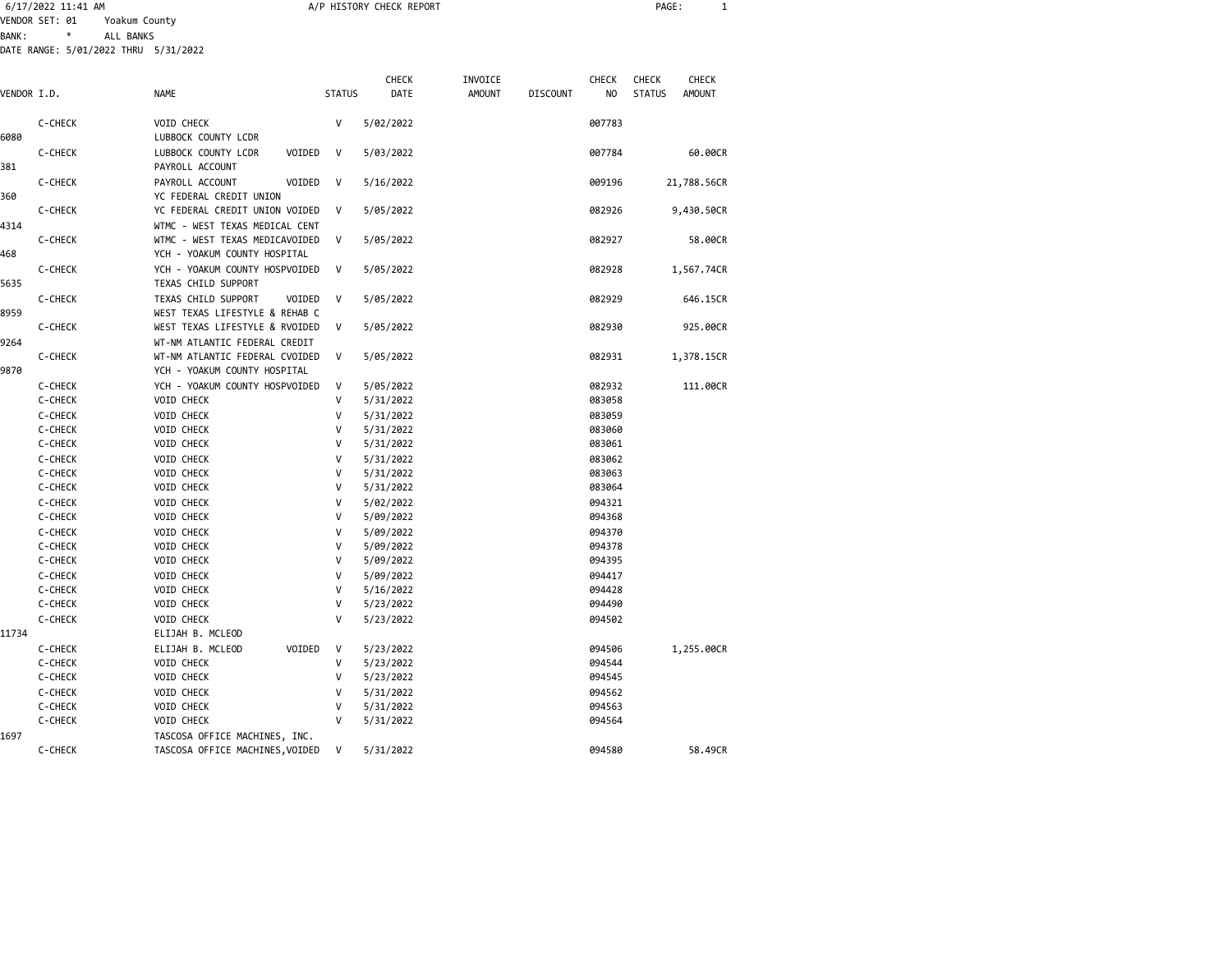|              | 6/17/2022 11:41 AM                   |                                                                  |               | A/P HISTORY CHECK REPORT |               |                 |                | PAGE:                          | $\mathbf{1}$ |
|--------------|--------------------------------------|------------------------------------------------------------------|---------------|--------------------------|---------------|-----------------|----------------|--------------------------------|--------------|
|              | VENDOR SET: 01<br>Yoakum County      |                                                                  |               |                          |               |                 |                |                                |              |
| <b>BANK:</b> | $\ast$<br>ALL BANKS                  |                                                                  |               |                          |               |                 |                |                                |              |
|              | DATE RANGE: 5/01/2022 THRU 5/31/2022 |                                                                  |               |                          |               |                 |                |                                |              |
|              |                                      |                                                                  |               |                          |               |                 |                |                                |              |
|              |                                      |                                                                  |               | <b>CHECK</b>             | INVOICE       |                 | <b>CHECK</b>   | <b>CHECK</b><br><b>CHECK</b>   |              |
| VENDOR I.D.  |                                      | <b>NAME</b>                                                      | <b>STATUS</b> | <b>DATE</b>              | <b>AMOUNT</b> | <b>DISCOUNT</b> | N <sub>0</sub> | <b>STATUS</b><br><b>AMOUNT</b> |              |
|              |                                      |                                                                  |               |                          |               |                 |                |                                |              |
|              | C-CHECK                              | <b>VOID CHECK</b>                                                | V             | 5/02/2022                |               |                 | 007783         |                                |              |
| 6080         |                                      | LUBBOCK COUNTY LCDR                                              |               |                          |               |                 |                |                                |              |
|              | C-CHECK                              | LUBBOCK COUNTY LCDR<br>VOIDED                                    | V             | 5/03/2022                |               |                 | 007784         | 60.00CR                        |              |
| 381          |                                      | PAYROLL ACCOUNT                                                  |               |                          |               |                 |                |                                |              |
|              | C-CHECK                              | PAYROLL ACCOUNT<br>VOIDED                                        | V             | 5/16/2022                |               |                 | 009196         | 21,788.56CR                    |              |
| 360          | C-CHECK                              | YC FEDERAL CREDIT UNION<br>YC FEDERAL CREDIT UNION VOIDED        | V             |                          |               |                 | 082926         |                                |              |
|              |                                      |                                                                  |               | 5/05/2022                |               |                 |                | 9,430.50CR                     |              |
| 4314         | C-CHECK                              | WTMC - WEST TEXAS MEDICAL CENT<br>WTMC - WEST TEXAS MEDICAVOIDED | V             | 5/05/2022                |               |                 | 082927         | 58.00CR                        |              |
| 468          |                                      | YCH - YOAKUM COUNTY HOSPITAL                                     |               |                          |               |                 |                |                                |              |
|              | C-CHECK                              | YCH - YOAKUM COUNTY HOSPVOIDED                                   | V             | 5/05/2022                |               |                 | 082928         | 1,567.74CR                     |              |
| 5635         |                                      | TEXAS CHILD SUPPORT                                              |               |                          |               |                 |                |                                |              |
|              | C-CHECK                              | TEXAS CHILD SUPPORT<br>VOIDED                                    | V             | 5/05/2022                |               |                 | 082929         | 646.15CR                       |              |
| 8959         |                                      | WEST TEXAS LIFESTYLE & REHAB C                                   |               |                          |               |                 |                |                                |              |
|              | C-CHECK                              | WEST TEXAS LIFESTYLE & RVOIDED                                   | V             | 5/05/2022                |               |                 | 082930         | 925.00CR                       |              |
| 9264         |                                      | WT-NM ATLANTIC FEDERAL CREDIT                                    |               |                          |               |                 |                |                                |              |
|              | C-CHECK                              | WT-NM ATLANTIC FEDERAL CVOIDED                                   | V             | 5/05/2022                |               |                 | 082931         | 1,378.15CR                     |              |
| 9870         |                                      | YCH - YOAKUM COUNTY HOSPITAL                                     |               |                          |               |                 |                |                                |              |
|              | C-CHECK                              | YCH - YOAKUM COUNTY HOSPVOIDED                                   | V             | 5/05/2022                |               |                 | 082932         | 111.00CR                       |              |
|              | C-CHECK                              | VOID CHECK                                                       | v             | 5/31/2022                |               |                 | 083058         |                                |              |
|              | C-CHECK                              | VOID CHECK                                                       | V             | 5/31/2022                |               |                 | 083059         |                                |              |
|              | C-CHECK                              | VOID CHECK                                                       | V             | 5/31/2022                |               |                 | 083060         |                                |              |
|              | C-CHECK                              | VOID CHECK                                                       | $\mathsf{V}$  | 5/31/2022                |               |                 | 083061         |                                |              |
|              | C-CHECK                              | <b>VOID CHECK</b>                                                | v             | 5/31/2022                |               |                 | 083062         |                                |              |
|              | C-CHECK                              | <b>VOID CHECK</b>                                                | v             | 5/31/2022                |               |                 | 083063         |                                |              |
|              | C-CHECK                              | <b>VOID CHECK</b>                                                | v             | 5/31/2022                |               |                 | 083064         |                                |              |
|              | C-CHECK                              | <b>VOID CHECK</b>                                                | v             | 5/02/2022                |               |                 | 094321         |                                |              |
|              | C-CHECK                              | <b>VOID CHECK</b>                                                | V             | 5/09/2022                |               |                 | 094368         |                                |              |
|              | C-CHECK                              | VOID CHECK                                                       | V             | 5/09/2022                |               |                 | 094370         |                                |              |
|              | C-CHECK                              | <b>VOID CHECK</b>                                                | v             | 5/09/2022                |               |                 | 094378         |                                |              |
|              | C-CHECK                              | <b>VOID CHECK</b>                                                | V             | 5/09/2022                |               |                 | 094395         |                                |              |
|              | C-CHECK                              | <b>VOID CHECK</b>                                                | v             | 5/09/2022                |               |                 | 094417         |                                |              |
|              | C-CHECK                              | <b>VOID CHECK</b>                                                | v             | 5/16/2022                |               |                 | 094428         |                                |              |
|              | C-CHECK                              | <b>VOID CHECK</b>                                                | v             | 5/23/2022                |               |                 | 094490         |                                |              |
|              | C-CHECK                              | <b>VOID CHECK</b>                                                | v             | 5/23/2022                |               |                 | 094502         |                                |              |
| 11734        |                                      | ELIJAH B. MCLEOD                                                 |               |                          |               |                 |                |                                |              |
|              | C-CHECK                              | VOIDED<br>ELIJAH B. MCLEOD                                       | $\mathsf{V}$  | 5/23/2022                |               |                 | 094506         | 1,255.00CR                     |              |
|              | C-CHECK                              | VOID CHECK                                                       | $\mathsf{V}$  | 5/23/2022                |               |                 | 094544         |                                |              |
|              | C-CHECK                              | VOID CHECK                                                       | $\mathsf{V}$  | 5/23/2022                |               |                 | 094545         |                                |              |

 C-CHECK VOID CHECK V 5/31/2022 094562 C-CHECK VOID CHECK V 5/31/2022 1697 TASCOSA OFFICE MACHINES, INC.

C-CHECK VOID CHECK V 5/31/2022 094564

TASCOSA OFFICE MACHINES, VOIDED V 5/31/2022 094580 694580 58.49CR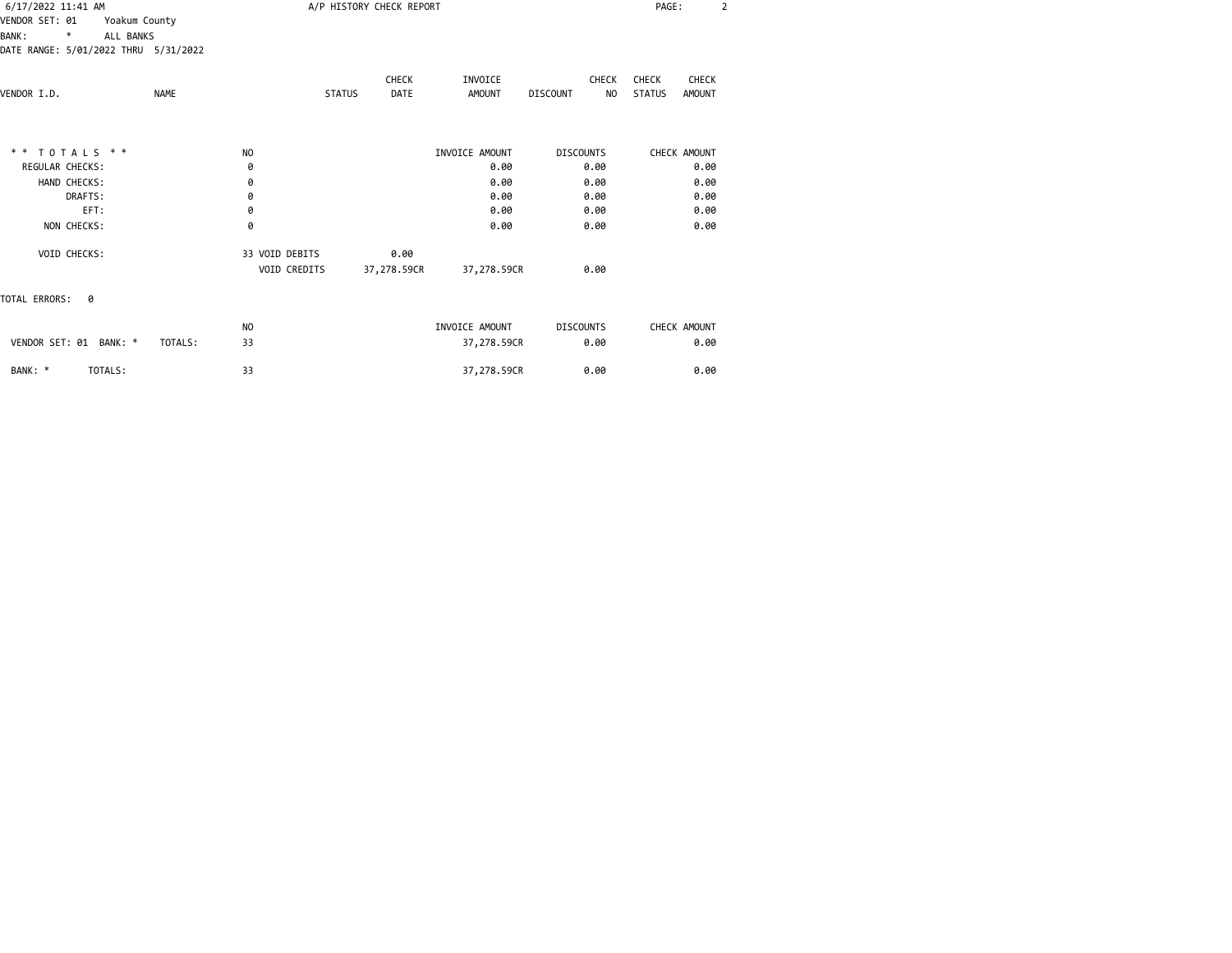| 6/17/2022 11:41 AM                   |               |                |               | A/P HISTORY CHECK REPORT |                |                       | PAGE:                          | $\overline{2}$ |
|--------------------------------------|---------------|----------------|---------------|--------------------------|----------------|-----------------------|--------------------------------|----------------|
| VENDOR SET: 01                       | Yoakum County |                |               |                          |                |                       |                                |                |
| ALL BANKS<br><b>BANK:</b><br>*       |               |                |               |                          |                |                       |                                |                |
| DATE RANGE: 5/01/2022 THRU 5/31/2022 |               |                |               |                          |                |                       |                                |                |
|                                      |               |                |               | CHECK                    | INVOICE        | <b>CHECK</b>          | <b>CHECK</b><br>CHECK          |                |
| VENDOR I.D.                          | <b>NAME</b>   |                | <b>STATUS</b> | DATE                     | <b>AMOUNT</b>  | <b>DISCOUNT</b><br>NO | <b>STATUS</b><br><b>AMOUNT</b> |                |
|                                      |               |                |               |                          |                |                       |                                |                |
| ** TOTALS **                         |               | N <sub>O</sub> |               |                          | INVOICE AMOUNT | <b>DISCOUNTS</b>      | CHECK AMOUNT                   |                |
| REGULAR CHECKS:                      |               | 0              |               |                          | 0.00           | 0.00                  | 0.00                           |                |
| HAND CHECKS:                         |               | 0              |               |                          | 0.00           | 0.00                  | 0.00                           |                |
| DRAFTS:                              |               | 0              |               |                          | 0.00           | 0.00                  | 0.00                           |                |
| EFT:                                 |               | 0              |               |                          | 0.00           | 0.00                  | 0.00                           |                |
| NON CHECKS:                          |               | 0              |               |                          | 0.00           | 0.00                  | 0.00                           |                |
| VOID CHECKS:                         |               | 33 VOID DEBITS |               | 0.00                     |                |                       |                                |                |
|                                      |               | VOID CREDITS   |               | 37,278.59CR              | 37,278.59CR    | 0.00                  |                                |                |
| TOTAL ERRORS:<br>ø                   |               |                |               |                          |                |                       |                                |                |
|                                      |               | N <sub>O</sub> |               |                          | INVOICE AMOUNT | <b>DISCOUNTS</b>      | CHECK AMOUNT                   |                |
| VENDOR SET: 01 BANK: *               | TOTALS:       | 33             |               |                          | 37,278.59CR    | 0.00                  | 0.00                           |                |
| BANK: *<br>TOTALS:                   |               | 33             |               |                          | 37,278.59CR    | 0.00                  | 0.00                           |                |
|                                      |               |                |               |                          |                |                       |                                |                |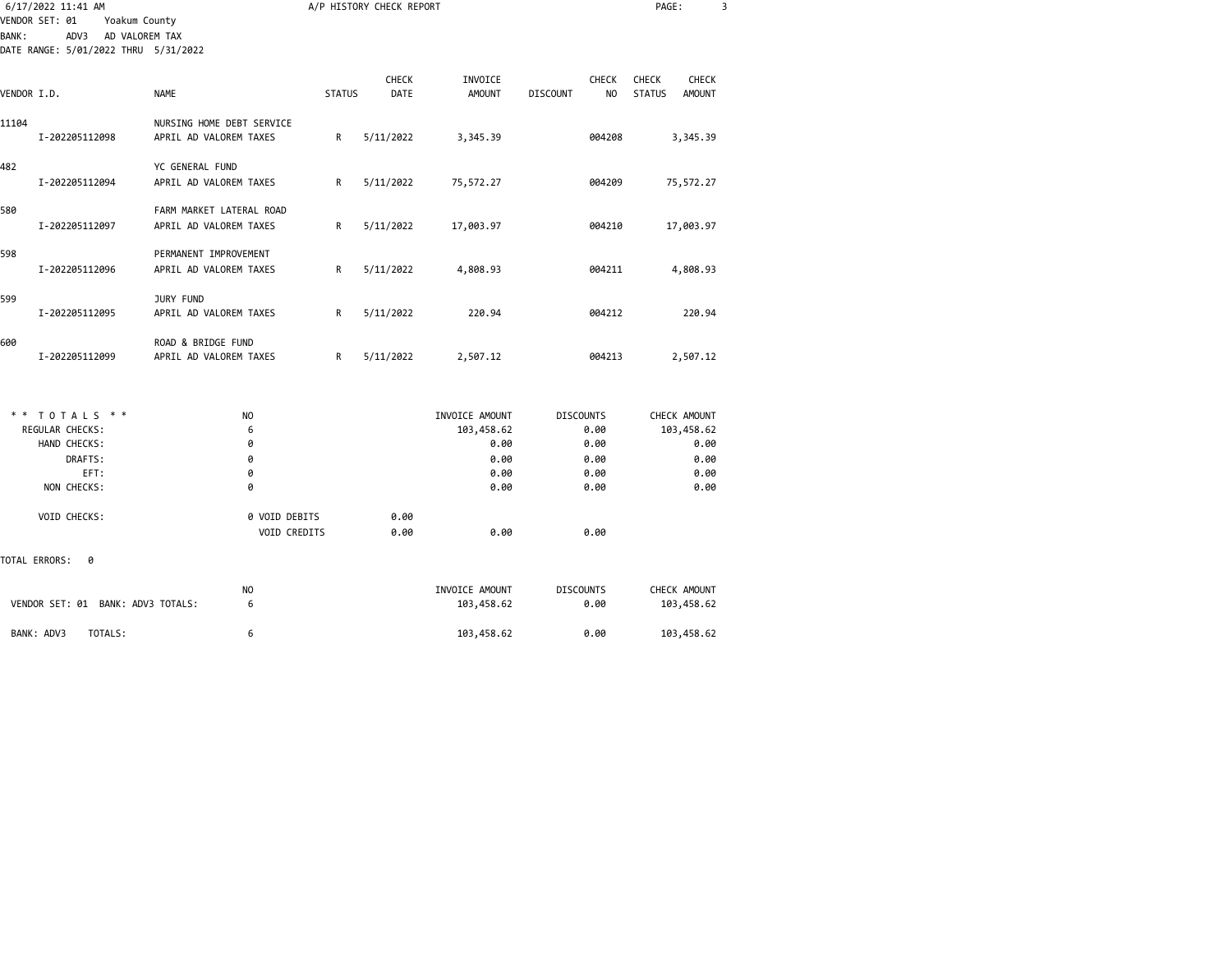|              | 6/17/2022 11:41 AM                                        |                                                     |               | A/P HISTORY CHECK REPORT |                              |                                                   | PAGE:                                                   | 3 |
|--------------|-----------------------------------------------------------|-----------------------------------------------------|---------------|--------------------------|------------------------------|---------------------------------------------------|---------------------------------------------------------|---|
| <b>BANK:</b> | VENDOR SET: 01<br>Yoakum County<br>ADV3<br>AD VALOREM TAX |                                                     |               |                          |                              |                                                   |                                                         |   |
|              | DATE RANGE: 5/01/2022 THRU 5/31/2022                      |                                                     |               |                          |                              |                                                   |                                                         |   |
|              |                                                           |                                                     |               |                          |                              |                                                   |                                                         |   |
| VENDOR I.D.  |                                                           | <b>NAME</b>                                         | <b>STATUS</b> | CHECK<br>DATE            | INVOICE<br><b>AMOUNT</b>     | <b>CHECK</b><br><b>DISCOUNT</b><br>N <sub>O</sub> | CHECK<br><b>CHECK</b><br><b>STATUS</b><br><b>AMOUNT</b> |   |
| 11104        | I-202205112098                                            | NURSING HOME DEBT SERVICE<br>APRIL AD VALOREM TAXES | R             | 5/11/2022                | 3,345.39                     | 004208                                            | 3,345.39                                                |   |
| 482          | I-202205112094                                            | YC GENERAL FUND<br>APRIL AD VALOREM TAXES           | R             | 5/11/2022                | 75,572.27                    | 004209                                            | 75,572.27                                               |   |
| 580          | I-202205112097                                            | FARM MARKET LATERAL ROAD<br>APRIL AD VALOREM TAXES  | R             | 5/11/2022                | 17,003.97                    | 004210                                            | 17,003.97                                               |   |
| 598          | I-202205112096                                            | PERMANENT IMPROVEMENT<br>APRIL AD VALOREM TAXES     | R             | 5/11/2022                | 4,808.93                     | 004211                                            | 4,808.93                                                |   |
| 599          | I-202205112095                                            | JURY FUND<br>APRIL AD VALOREM TAXES                 | R             | 5/11/2022                | 220.94                       | 004212                                            | 220.94                                                  |   |
| 600          | I-202205112099                                            | ROAD & BRIDGE FUND<br>APRIL AD VALOREM TAXES        | R             | 5/11/2022                | 2,507.12                     | 004213                                            | 2,507.12                                                |   |
|              |                                                           |                                                     |               |                          |                              |                                                   |                                                         |   |
|              | ** TOTALS **<br>REGULAR CHECKS:                           | N <sub>0</sub><br>6                                 |               |                          | INVOICE AMOUNT<br>103,458.62 | <b>DISCOUNTS</b><br>0.00                          | CHECK AMOUNT<br>103,458.62                              |   |
|              | HAND CHECKS:                                              | 0                                                   |               |                          | 0.00                         | 0.00                                              | 0.00                                                    |   |
|              | DRAFTS:                                                   | 0                                                   |               |                          | 0.00                         | 0.00                                              | 0.00                                                    |   |
|              | EFT:                                                      | 0                                                   |               |                          | 0.00                         | 0.00                                              | 0.00                                                    |   |
|              | NON CHECKS:                                               | 0                                                   |               |                          | 0.00                         | 0.00                                              | 0.00                                                    |   |
|              | VOID CHECKS:                                              | 0 VOID DEBITS<br>VOID CREDITS                       |               | 0.00<br>0.00             | 0.00                         | 0.00                                              |                                                         |   |
|              | TOTAL ERRORS:<br>ø                                        |                                                     |               |                          |                              |                                                   |                                                         |   |
|              |                                                           | NO                                                  |               |                          | INVOICE AMOUNT               | <b>DISCOUNTS</b>                                  | CHECK AMOUNT                                            |   |
|              | VENDOR SET: 01 BANK: ADV3 TOTALS:                         | 6                                                   |               |                          | 103,458.62                   | 0.00                                              | 103,458.62                                              |   |

BANK: ADV3 TOTALS: 6 103,458.62 0.00 103,458.62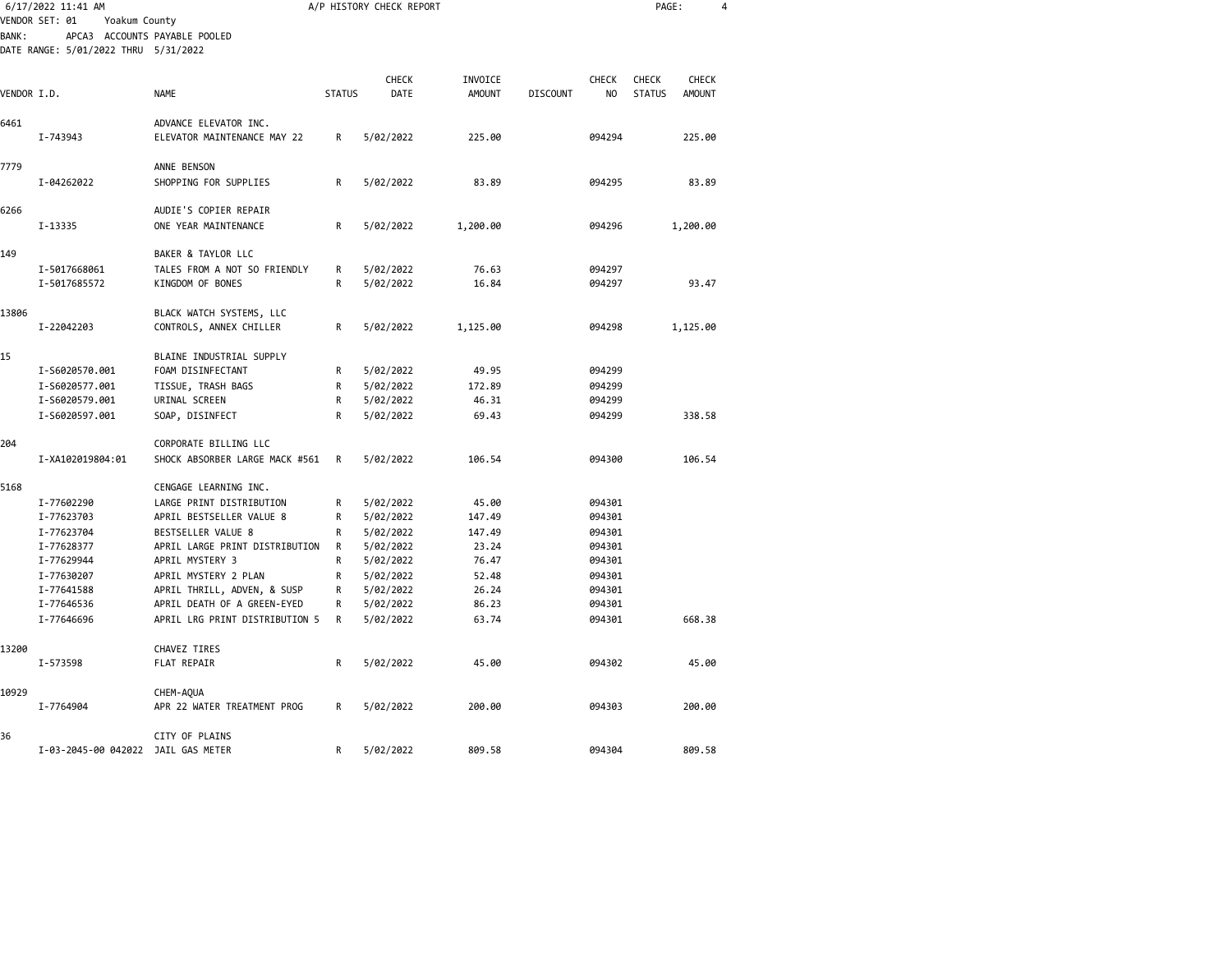|             | 6/17/2022 11:41 AM                                               |                                                               |               | A/P HISTORY CHECK REPORT |                |                 |                  | PAGE:         |               | 4 |
|-------------|------------------------------------------------------------------|---------------------------------------------------------------|---------------|--------------------------|----------------|-----------------|------------------|---------------|---------------|---|
| BANK:       | VENDOR SET: 01<br>Yoakum County<br>APCA3 ACCOUNTS PAYABLE POOLED |                                                               |               |                          |                |                 |                  |               |               |   |
|             | DATE RANGE: 5/01/2022 THRU 5/31/2022                             |                                                               |               |                          |                |                 |                  |               |               |   |
|             |                                                                  |                                                               |               | <b>CHECK</b>             | INVOICE        |                 | CHECK            | CHECK         | CHECK         |   |
| VENDOR I.D. |                                                                  | <b>NAME</b>                                                   | <b>STATUS</b> | DATE                     | <b>AMOUNT</b>  | <b>DISCOUNT</b> | NO               | <b>STATUS</b> | <b>AMOUNT</b> |   |
| 6461        | I-743943                                                         | ADVANCE ELEVATOR INC.<br>ELEVATOR MAINTENANCE MAY 22          | R             | 5/02/2022                | 225.00         |                 | 094294           |               | 225.00        |   |
| 7779        |                                                                  | ANNE BENSON                                                   |               |                          |                |                 |                  |               |               |   |
|             | I-04262022                                                       | SHOPPING FOR SUPPLIES                                         | R             | 5/02/2022                | 83.89          |                 | 094295           |               | 83.89         |   |
| 6266        |                                                                  | AUDIE'S COPIER REPAIR                                         |               |                          |                |                 |                  |               |               |   |
|             | I-13335                                                          | ONE YEAR MAINTENANCE                                          | R             | 5/02/2022                | 1,200.00       |                 | 094296           |               | 1,200.00      |   |
| 149         |                                                                  | BAKER & TAYLOR LLC                                            |               |                          |                |                 |                  |               |               |   |
|             | I-5017668061<br>I-5017685572                                     | TALES FROM A NOT SO FRIENDLY<br>KINGDOM OF BONES              | R<br>R        | 5/02/2022<br>5/02/2022   | 76.63<br>16.84 |                 | 094297<br>094297 |               | 93.47         |   |
| 13806       | I-22042203                                                       | BLACK WATCH SYSTEMS, LLC<br>CONTROLS, ANNEX CHILLER           | R             | 5/02/2022                | 1,125.00       |                 | 094298           |               | 1,125.00      |   |
| 15          |                                                                  | BLAINE INDUSTRIAL SUPPLY                                      |               |                          |                |                 |                  |               |               |   |
|             | I-S6020570.001                                                   | FOAM DISINFECTANT                                             | R             | 5/02/2022                | 49.95          |                 | 094299           |               |               |   |
|             | I-S6020577.001                                                   | TISSUE, TRASH BAGS                                            | R             | 5/02/2022                | 172.89         |                 | 094299           |               |               |   |
|             | I-S6020579.001                                                   | URINAL SCREEN                                                 | R             | 5/02/2022                | 46.31          |                 | 094299           |               |               |   |
|             | I-S6020597.001                                                   | SOAP, DISINFECT                                               | R             | 5/02/2022                | 69.43          |                 | 094299           |               | 338.58        |   |
| 204         |                                                                  | CORPORATE BILLING LLC                                         |               |                          |                |                 |                  |               |               |   |
|             | I-XA102019804:01                                                 | SHOCK ABSORBER LARGE MACK #561                                | R             | 5/02/2022                | 106.54         |                 | 094300           |               | 106.54        |   |
| 5168        |                                                                  | CENGAGE LEARNING INC.                                         |               |                          |                |                 |                  |               |               |   |
|             | I-77602290                                                       | LARGE PRINT DISTRIBUTION                                      | R             | 5/02/2022                | 45.00          |                 | 094301           |               |               |   |
|             | I-77623703                                                       | APRIL BESTSELLER VALUE 8                                      | R             | 5/02/2022                | 147.49         |                 | 094301           |               |               |   |
|             | I-77623704                                                       | BESTSELLER VALUE 8                                            | R             | 5/02/2022                | 147.49         |                 | 094301           |               |               |   |
|             | I-77628377                                                       | APRIL LARGE PRINT DISTRIBUTION                                | R             | 5/02/2022                | 23.24          |                 | 094301           |               |               |   |
|             | I-77629944                                                       | APRIL MYSTERY 3                                               | R             | 5/02/2022                | 76.47          |                 | 094301           |               |               |   |
|             | I-77630207                                                       | APRIL MYSTERY 2 PLAN                                          | R             | 5/02/2022                | 52.48          |                 | 094301           |               |               |   |
|             | I-77641588                                                       | APRIL THRILL, ADVEN, & SUSP                                   | R             | 5/02/2022                | 26.24          |                 | 094301           |               |               |   |
|             | I-77646536<br>I-77646696                                         | APRIL DEATH OF A GREEN-EYED<br>APRIL LRG PRINT DISTRIBUTION 5 | R<br>R        | 5/02/2022<br>5/02/2022   | 86.23<br>63.74 |                 | 094301<br>094301 |               | 668.38        |   |
|             |                                                                  |                                                               |               |                          |                |                 |                  |               |               |   |
| 13200       | I-573598                                                         | CHAVEZ TIRES<br>FLAT REPAIR                                   | R             | 5/02/2022                | 45.00          |                 | 094302           |               | 45.00         |   |
| 10929       |                                                                  | CHEM-AQUA                                                     |               |                          |                |                 |                  |               |               |   |
|             | I-7764904                                                        | APR 22 WATER TREATMENT PROG                                   | R             | 5/02/2022                | 200.00         |                 | 094303           |               | 200.00        |   |
| 36          |                                                                  | CITY OF PLAINS                                                |               |                          |                |                 |                  |               |               |   |
|             | I-03-2045-00 042022 JAIL GAS METER                               |                                                               | R             | 5/02/2022                | 809.58         |                 | 094304           |               | 809.58        |   |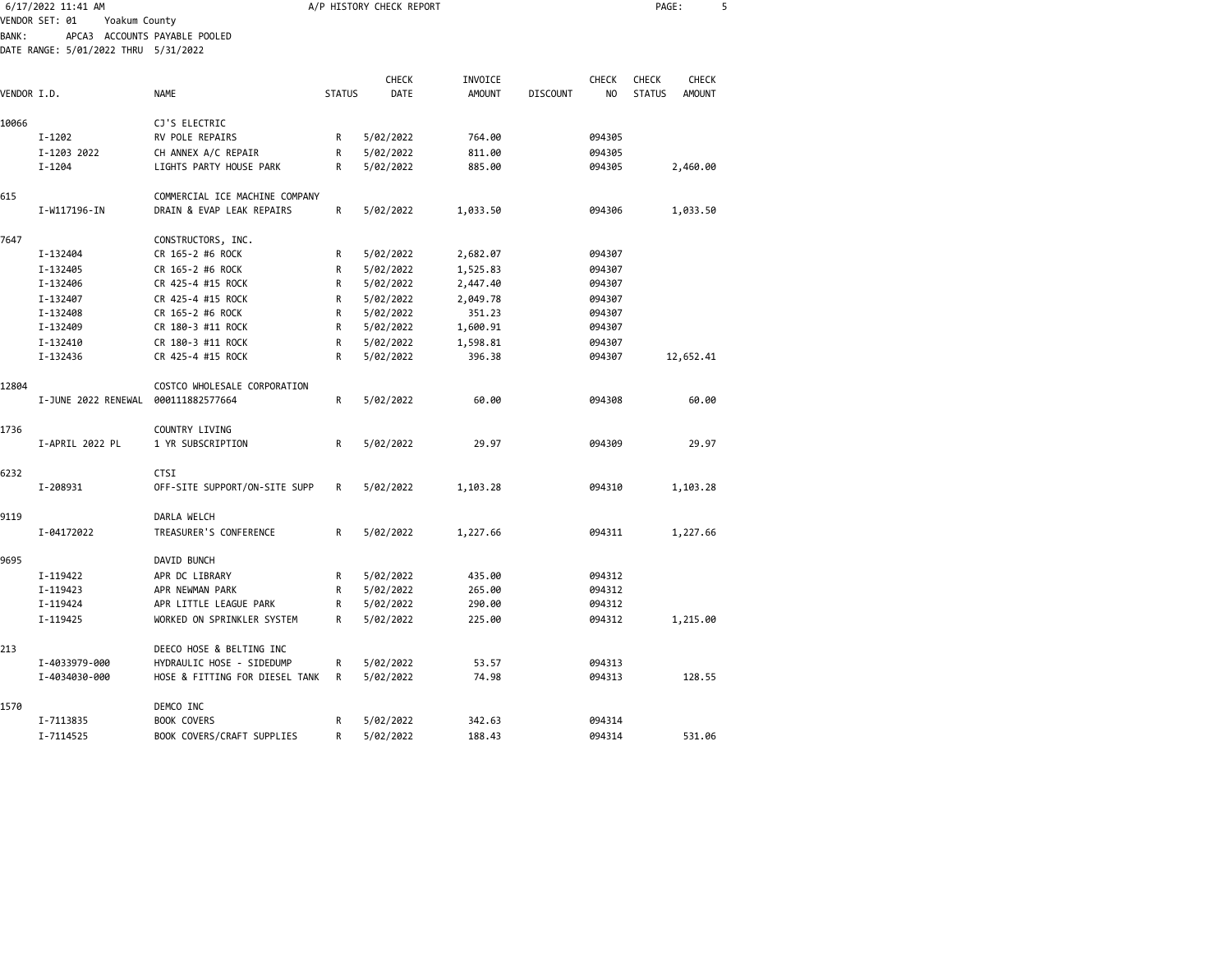|             | 6/17/2022 11:41 AM                   |                                |               | A/P HISTORY CHECK REPORT |               |                 |                | PAGE:         |               | 5 |
|-------------|--------------------------------------|--------------------------------|---------------|--------------------------|---------------|-----------------|----------------|---------------|---------------|---|
|             | VENDOR SET: 01<br>Yoakum County      |                                |               |                          |               |                 |                |               |               |   |
| BANK:       |                                      | APCA3 ACCOUNTS PAYABLE POOLED  |               |                          |               |                 |                |               |               |   |
|             | DATE RANGE: 5/01/2022 THRU 5/31/2022 |                                |               |                          |               |                 |                |               |               |   |
|             |                                      |                                |               | CHECK                    | INVOICE       |                 | <b>CHECK</b>   | CHECK         | <b>CHECK</b>  |   |
| VENDOR I.D. |                                      | <b>NAME</b>                    | <b>STATUS</b> | <b>DATE</b>              | <b>AMOUNT</b> | <b>DISCOUNT</b> | N <sub>O</sub> | <b>STATUS</b> | <b>AMOUNT</b> |   |
|             |                                      |                                |               |                          |               |                 |                |               |               |   |
| 10066       |                                      | CJ'S ELECTRIC                  |               |                          |               |                 |                |               |               |   |
|             | I-1202                               | RV POLE REPAIRS                | R             | 5/02/2022                | 764.00        |                 | 094305         |               |               |   |
|             | I-1203 2022                          | CH ANNEX A/C REPAIR            | $\mathsf{R}$  | 5/02/2022                | 811.00        |                 | 094305         |               |               |   |
|             | $I - 1204$                           | LIGHTS PARTY HOUSE PARK        | R             | 5/02/2022                | 885.00        |                 | 094305         |               | 2,460.00      |   |
| 615         |                                      | COMMERCIAL ICE MACHINE COMPANY |               |                          |               |                 |                |               |               |   |
|             | I-W117196-IN                         | DRAIN & EVAP LEAK REPAIRS      | R             | 5/02/2022                | 1,033.50      |                 | 094306         |               | 1,033.50      |   |
| 7647        |                                      | CONSTRUCTORS, INC.             |               |                          |               |                 |                |               |               |   |
|             | I-132404                             | CR 165-2 #6 ROCK               | R             | 5/02/2022                | 2,682.07      |                 | 094307         |               |               |   |
|             | I-132405                             | CR 165-2 #6 ROCK               | R             | 5/02/2022                | 1,525.83      |                 | 094307         |               |               |   |
|             | I-132406                             | CR 425-4 #15 ROCK              | R             | 5/02/2022                | 2,447.40      |                 | 094307         |               |               |   |
|             | I-132407                             | CR 425-4 #15 ROCK              | R             | 5/02/2022                | 2,049.78      |                 | 094307         |               |               |   |
|             | I-132408                             | CR 165-2 #6 ROCK               | $\mathsf{R}$  | 5/02/2022                | 351.23        |                 | 094307         |               |               |   |
|             | I-132409                             | CR 180-3 #11 ROCK              | R             | 5/02/2022                | 1,600.91      |                 | 094307         |               |               |   |
|             | I-132410                             | CR 180-3 #11 ROCK              | R             | 5/02/2022                | 1,598.81      |                 | 094307         |               |               |   |
|             | I-132436                             | CR 425-4 #15 ROCK              | R             | 5/02/2022                | 396.38        |                 | 094307         |               | 12,652.41     |   |
| 12804       |                                      | COSTCO WHOLESALE CORPORATION   |               |                          |               |                 |                |               |               |   |
|             | I-JUNE 2022 RENEWAL                  | 000111882577664                | R             | 5/02/2022                | 60.00         |                 | 094308         |               | 60.00         |   |
| 1736        |                                      | COUNTRY LIVING                 |               |                          |               |                 |                |               |               |   |
|             | I-APRIL 2022 PL                      | 1 YR SUBSCRIPTION              | R             | 5/02/2022                | 29.97         |                 | 094309         |               | 29.97         |   |
| 6232        |                                      | <b>CTSI</b>                    |               |                          |               |                 |                |               |               |   |
|             | I-208931                             | OFF-SITE SUPPORT/ON-SITE SUPP  | R             | 5/02/2022                | 1,103.28      |                 | 094310         |               | 1,103.28      |   |
| 9119        |                                      | DARLA WELCH                    |               |                          |               |                 |                |               |               |   |
|             | I-04172022                           | TREASURER'S CONFERENCE         | R             | 5/02/2022                | 1,227.66      |                 | 094311         |               | 1,227.66      |   |
| 9695        |                                      | DAVID BUNCH                    |               |                          |               |                 |                |               |               |   |
|             | I-119422                             | APR DC LIBRARY                 | R             | 5/02/2022                | 435.00        |                 | 094312         |               |               |   |
|             | I-119423                             | APR NEWMAN PARK                | R             | 5/02/2022                | 265.00        |                 | 094312         |               |               |   |
|             | I-119424                             | APR LITTLE LEAGUE PARK         | R             | 5/02/2022                | 290.00        |                 | 094312         |               |               |   |
|             | I-119425                             | WORKED ON SPRINKLER SYSTEM     | R             | 5/02/2022                | 225.00        |                 | 094312         |               | 1,215.00      |   |
| 213         |                                      | DEECO HOSE & BELTING INC       |               |                          |               |                 |                |               |               |   |
|             | I-4033979-000                        | HYDRAULIC HOSE - SIDEDUMP      | R             | 5/02/2022                | 53.57         |                 | 094313         |               |               |   |
|             | I-4034030-000                        | HOSE & FITTING FOR DIESEL TANK | R             | 5/02/2022                | 74.98         |                 | 094313         |               | 128.55        |   |
| 1570        |                                      | DEMCO INC                      |               |                          |               |                 |                |               |               |   |
|             | I-7113835                            | <b>BOOK COVERS</b>             | R             | 5/02/2022                | 342.63        |                 | 094314         |               |               |   |
|             | I-7114525                            | BOOK COVERS/CRAFT SUPPLIES     | R             | 5/02/2022                | 188.43        |                 | 094314         |               | 531.06        |   |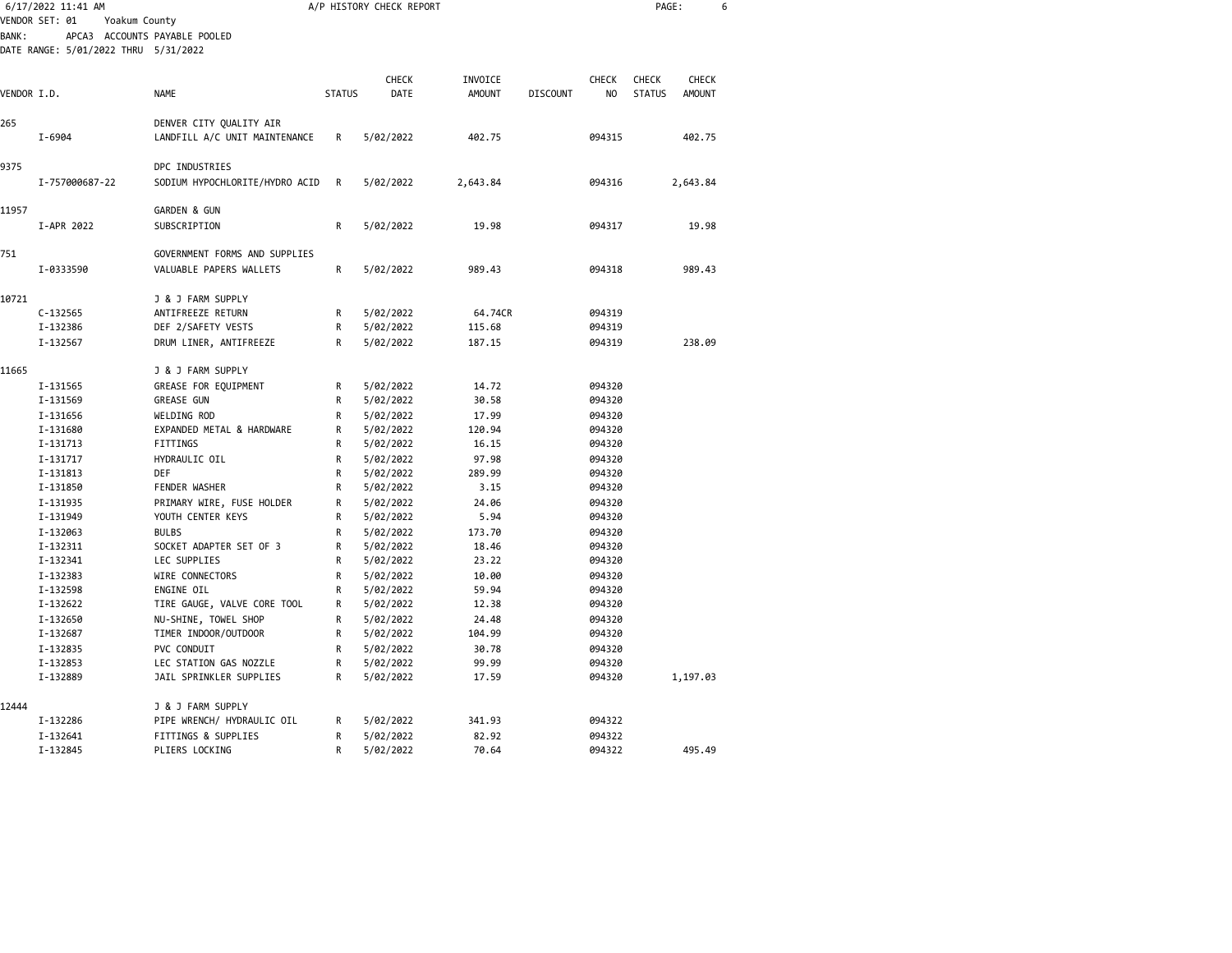|              | 6/17/2022 11:41 AM                                                    |                                |               | A/P HISTORY CHECK REPORT |               |                 |        | PAGE:         |          | 6 |
|--------------|-----------------------------------------------------------------------|--------------------------------|---------------|--------------------------|---------------|-----------------|--------|---------------|----------|---|
|              | VENDOR SET: 01<br>Yoakum County                                       |                                |               |                          |               |                 |        |               |          |   |
| <b>BANK:</b> | APCA3 ACCOUNTS PAYABLE POOLED<br>DATE RANGE: 5/01/2022 THRU 5/31/2022 |                                |               |                          |               |                 |        |               |          |   |
|              |                                                                       |                                |               |                          |               |                 |        |               |          |   |
|              |                                                                       |                                |               | CHECK                    | INVOICE       |                 | CHECK  | <b>CHECK</b>  | CHECK    |   |
| VENDOR I.D.  |                                                                       | NAME                           | <b>STATUS</b> | DATE                     | <b>AMOUNT</b> | <b>DISCOUNT</b> | NO.    | <b>STATUS</b> | AMOUNT   |   |
| 265          |                                                                       | DENVER CITY QUALITY AIR        |               |                          |               |                 |        |               |          |   |
|              | I-6904                                                                | LANDFILL A/C UNIT MAINTENANCE  | R             | 5/02/2022                | 402.75        |                 | 094315 |               | 402.75   |   |
| 9375         |                                                                       | DPC INDUSTRIES                 |               |                          |               |                 |        |               |          |   |
|              | I-757000687-22                                                        | SODIUM HYPOCHLORITE/HYDRO ACID | R             | 5/02/2022                | 2,643.84      |                 | 094316 |               | 2,643.84 |   |
| 11957        |                                                                       | <b>GARDEN &amp; GUN</b>        |               |                          |               |                 |        |               |          |   |
|              | I-APR 2022                                                            | SUBSCRIPTION                   | R             | 5/02/2022                | 19.98         |                 | 094317 |               | 19.98    |   |
| 751          |                                                                       | GOVERNMENT FORMS AND SUPPLIES  |               |                          |               |                 |        |               |          |   |
|              | I-0333590                                                             | VALUABLE PAPERS WALLETS        | R             | 5/02/2022                | 989.43        |                 | 094318 |               | 989.43   |   |
| 10721        |                                                                       | J & J FARM SUPPLY              |               |                          |               |                 |        |               |          |   |
|              | $C - 132565$                                                          | ANTIFREEZE RETURN              | R             | 5/02/2022                | 64.74CR       |                 | 094319 |               |          |   |
|              | I-132386                                                              | DEF 2/SAFETY VESTS             | R             | 5/02/2022                | 115.68        |                 | 094319 |               |          |   |
|              | I-132567                                                              | DRUM LINER, ANTIFREEZE         | R             | 5/02/2022                | 187.15        |                 | 094319 |               | 238.09   |   |
| 11665        |                                                                       | J & J FARM SUPPLY              |               |                          |               |                 |        |               |          |   |
|              | I-131565                                                              | GREASE FOR EQUIPMENT           | R             | 5/02/2022                | 14.72         |                 | 094320 |               |          |   |
|              | I-131569                                                              | <b>GREASE GUN</b>              | R             | 5/02/2022                | 30.58         |                 | 094320 |               |          |   |
|              | I-131656                                                              | WELDING ROD                    | R             | 5/02/2022                | 17.99         |                 | 094320 |               |          |   |
|              | I-131680                                                              | EXPANDED METAL & HARDWARE      | R             | 5/02/2022                | 120.94        |                 | 094320 |               |          |   |
|              | I-131713                                                              | FITTINGS                       | R             | 5/02/2022                | 16.15         |                 | 094320 |               |          |   |
|              | I-131717                                                              | HYDRAULIC OIL                  | $\mathsf{R}$  | 5/02/2022                | 97.98         |                 | 094320 |               |          |   |
|              | I-131813                                                              | DEF                            | R             | 5/02/2022                | 289.99        |                 | 094320 |               |          |   |
|              | I-131850                                                              | <b>FENDER WASHER</b>           | R             | 5/02/2022                | 3.15          |                 | 094320 |               |          |   |
|              | I-131935                                                              | PRIMARY WIRE, FUSE HOLDER      | R             | 5/02/2022                | 24.06         |                 | 094320 |               |          |   |
|              | I-131949                                                              | YOUTH CENTER KEYS              | R             | 5/02/2022                | 5.94          |                 | 094320 |               |          |   |
|              | I-132063                                                              | <b>BULBS</b>                   | R             | 5/02/2022                | 173.70        |                 | 094320 |               |          |   |
|              | I-132311                                                              | SOCKET ADAPTER SET OF 3        | $\mathsf R$   | 5/02/2022                | 18.46         |                 | 094320 |               |          |   |
|              | I-132341                                                              | LEC SUPPLIES                   | R             | 5/02/2022                | 23.22         |                 | 094320 |               |          |   |
|              | I-132383                                                              | WIRE CONNECTORS                | R             | 5/02/2022                | 10.00         |                 | 094320 |               |          |   |
|              | I-132598                                                              | ENGINE OIL                     | R             | 5/02/2022                | 59.94         |                 | 094320 |               |          |   |
|              | I-132622                                                              | TIRE GAUGE, VALVE CORE TOOL    | R             | 5/02/2022                | 12.38         |                 | 094320 |               |          |   |
|              | I-132650                                                              | NU-SHINE, TOWEL SHOP           | R             | 5/02/2022                | 24.48         |                 | 094320 |               |          |   |
|              | I-132687                                                              | TIMER INDOOR/OUTDOOR           | $\mathsf R$   | 5/02/2022                | 104.99        |                 | 094320 |               |          |   |
|              | I-132835                                                              | PVC CONDUIT                    | R             | 5/02/2022                | 30.78         |                 | 094320 |               |          |   |
|              | I-132853                                                              | LEC STATION GAS NOZZLE         | R             | 5/02/2022                | 99.99         |                 | 094320 |               |          |   |
|              | I-132889                                                              | JAIL SPRINKLER SUPPLIES        | R             | 5/02/2022                | 17.59         |                 | 094320 |               | 1,197.03 |   |
| 12444        |                                                                       | J & J FARM SUPPLY              |               |                          |               |                 |        |               |          |   |
|              | I-132286                                                              | PIPE WRENCH/ HYDRAULIC OIL     | R             | 5/02/2022                | 341.93        |                 | 094322 |               |          |   |
|              | I-132641                                                              | FITTINGS & SUPPLIES            | R             | 5/02/2022                | 82.92         |                 | 094322 |               |          |   |
|              | I-132845                                                              | PLIERS LOCKING                 | R             | 5/02/2022                | 70.64         |                 | 094322 |               | 495.49   |   |
|              |                                                                       |                                |               |                          |               |                 |        |               |          |   |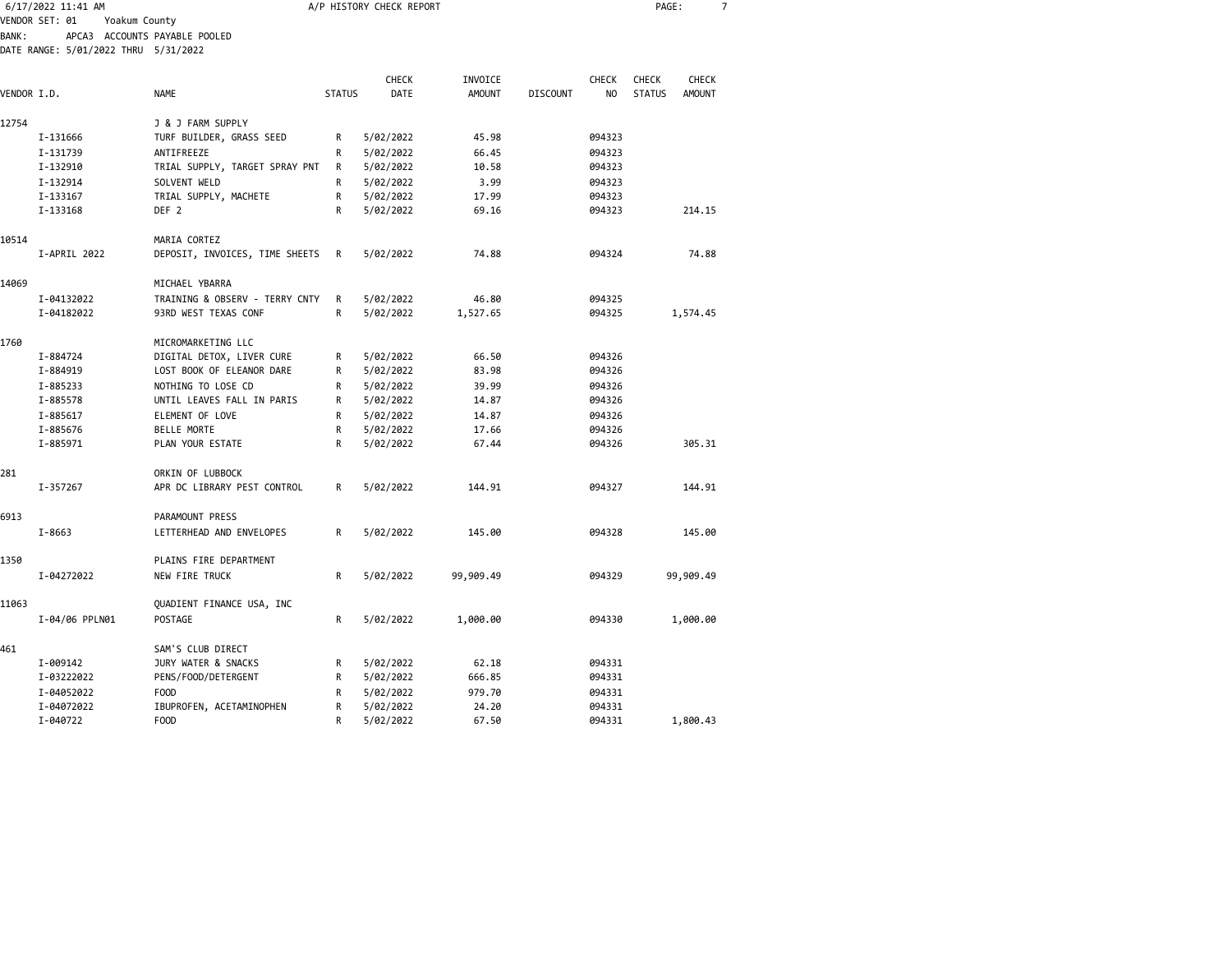|              | 6/17/2022 11:41 AM                   |                                        |               | A/P HISTORY CHECK REPORT |                |                 |              | PAGE:         |               | $\overline{7}$ |
|--------------|--------------------------------------|----------------------------------------|---------------|--------------------------|----------------|-----------------|--------------|---------------|---------------|----------------|
|              | VENDOR SET: 01<br>Yoakum County      |                                        |               |                          |                |                 |              |               |               |                |
| <b>BANK:</b> |                                      | APCA3 ACCOUNTS PAYABLE POOLED          |               |                          |                |                 |              |               |               |                |
|              | DATE RANGE: 5/01/2022 THRU 5/31/2022 |                                        |               |                          |                |                 |              |               |               |                |
|              |                                      |                                        |               |                          |                |                 |              |               |               |                |
|              |                                      |                                        |               | <b>CHECK</b>             | INVOICE        |                 | <b>CHECK</b> | <b>CHECK</b>  | <b>CHECK</b>  |                |
| VENDOR I.D.  |                                      | <b>NAME</b>                            | <b>STATUS</b> | DATE                     | <b>AMOUNT</b>  | <b>DISCOUNT</b> | NO           | <b>STATUS</b> | <b>AMOUNT</b> |                |
|              |                                      |                                        |               |                          |                |                 |              |               |               |                |
| 12754        | I-131666                             | J & J FARM SUPPLY                      |               | 5/02/2022                | 45.98          |                 | 094323       |               |               |                |
|              |                                      | TURF BUILDER, GRASS SEED<br>ANTIFREEZE | R             | 5/02/2022                |                |                 | 094323       |               |               |                |
|              | I-131739<br>I-132910                 | TRIAL SUPPLY, TARGET SPRAY PNT         | R<br>R        | 5/02/2022                | 66.45<br>10.58 |                 | 094323       |               |               |                |
|              |                                      |                                        |               |                          |                |                 | 094323       |               |               |                |
|              | I-132914<br>I-133167                 | SOLVENT WELD<br>TRIAL SUPPLY, MACHETE  | R<br>R        | 5/02/2022<br>5/02/2022   | 3.99<br>17.99  |                 | 094323       |               |               |                |
|              | I-133168                             | DEF <sub>2</sub>                       | R             | 5/02/2022                | 69.16          |                 | 094323       |               | 214.15        |                |
|              |                                      |                                        |               |                          |                |                 |              |               |               |                |
| 10514        |                                      | MARIA CORTEZ                           |               |                          |                |                 |              |               |               |                |
|              | I-APRIL 2022                         | DEPOSIT, INVOICES, TIME SHEETS         | R             | 5/02/2022                | 74.88          |                 | 094324       |               | 74.88         |                |
|              |                                      |                                        |               |                          |                |                 |              |               |               |                |
| 14069        |                                      | MICHAEL YBARRA                         |               |                          |                |                 |              |               |               |                |
|              | I-04132022                           | TRAINING & OBSERV - TERRY CNTY         | R             | 5/02/2022                | 46.80          |                 | 094325       |               |               |                |
|              | I-04182022                           | 93RD WEST TEXAS CONF                   | R             | 5/02/2022                | 1,527.65       |                 | 094325       |               | 1,574.45      |                |
|              |                                      |                                        |               |                          |                |                 |              |               |               |                |
| 1760         |                                      | MICROMARKETING LLC                     |               |                          |                |                 |              |               |               |                |
|              | I-884724                             | DIGITAL DETOX, LIVER CURE              | R             | 5/02/2022                | 66.50          |                 | 094326       |               |               |                |
|              | I-884919                             | LOST BOOK OF ELEANOR DARE              | R             | 5/02/2022                | 83.98          |                 | 094326       |               |               |                |
|              | I-885233                             | NOTHING TO LOSE CD                     | R             | 5/02/2022                | 39.99          |                 | 094326       |               |               |                |
|              | I-885578                             | UNTIL LEAVES FALL IN PARIS             | R             | 5/02/2022                | 14.87          |                 | 094326       |               |               |                |
|              | I-885617                             | ELEMENT OF LOVE                        | R             | 5/02/2022                | 14.87          |                 | 094326       |               |               |                |
|              | I-885676                             | <b>BELLE MORTE</b>                     | R             | 5/02/2022                | 17.66          |                 | 094326       |               |               |                |
|              | I-885971                             | PLAN YOUR ESTATE                       | R             | 5/02/2022                | 67.44          |                 | 094326       |               | 305.31        |                |
|              |                                      |                                        |               |                          |                |                 |              |               |               |                |
| 281          |                                      | ORKIN OF LUBBOCK                       |               |                          |                |                 |              |               |               |                |
|              | I-357267                             | APR DC LIBRARY PEST CONTROL            | R             | 5/02/2022                | 144.91         |                 | 094327       |               | 144.91        |                |
| 6913         |                                      |                                        |               |                          |                |                 |              |               |               |                |
|              |                                      | PARAMOUNT PRESS                        |               |                          |                |                 |              |               |               |                |
|              | $I - 8663$                           | LETTERHEAD AND ENVELOPES               | R             | 5/02/2022                | 145.00         |                 | 094328       |               | 145.00        |                |
| 1350         |                                      | PLAINS FIRE DEPARTMENT                 |               |                          |                |                 |              |               |               |                |
|              | I-04272022                           | NEW FIRE TRUCK                         | R             | 5/02/2022                | 99,909.49      |                 | 094329       |               | 99,909.49     |                |
|              |                                      |                                        |               |                          |                |                 |              |               |               |                |
| 11063        |                                      | QUADIENT FINANCE USA, INC              |               |                          |                |                 |              |               |               |                |
|              | I-04/06 PPLN01                       | POSTAGE                                | R             | 5/02/2022                | 1,000.00       |                 | 094330       |               | 1,000.00      |                |
|              |                                      |                                        |               |                          |                |                 |              |               |               |                |
| 461          |                                      | SAM'S CLUB DIRECT                      |               |                          |                |                 |              |               |               |                |
|              | I-009142                             | JURY WATER & SNACKS                    | R             | 5/02/2022                | 62.18          |                 | 094331       |               |               |                |
|              | I-03222022                           | PENS/FOOD/DETERGENT                    | R             | 5/02/2022                | 666.85         |                 | 094331       |               |               |                |
|              | I-04052022                           | <b>FOOD</b>                            | R             | 5/02/2022                | 979.70         |                 | 094331       |               |               |                |
|              | I-04072022                           | IBUPROFEN, ACETAMINOPHEN               | R             | 5/02/2022                | 24.20          |                 | 094331       |               |               |                |
|              | I-040722                             | F00D                                   | $\mathsf{R}$  | 5/02/2022                | 67.50          |                 | 094331       |               | 1,800.43      |                |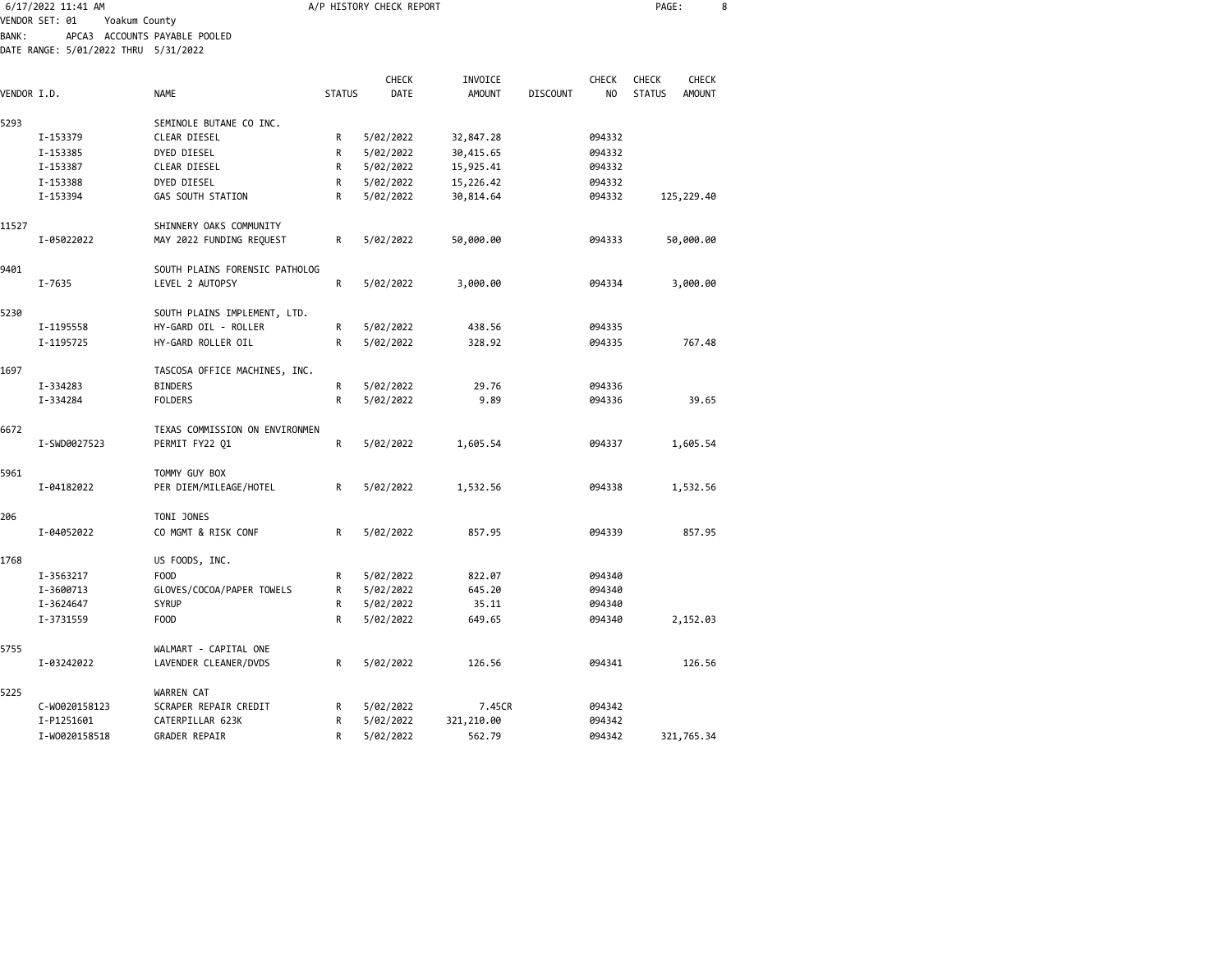|              | 6/17/2022 11:41 AM                   |                                                 |               | A/P HISTORY CHECK REPORT |               |                 |        | PAGE:         |               | 8 |
|--------------|--------------------------------------|-------------------------------------------------|---------------|--------------------------|---------------|-----------------|--------|---------------|---------------|---|
|              | VENDOR SET: 01                       | Yoakum County                                   |               |                          |               |                 |        |               |               |   |
| <b>BANK:</b> | DATE RANGE: 5/01/2022 THRU 5/31/2022 | APCA3 ACCOUNTS PAYABLE POOLED                   |               |                          |               |                 |        |               |               |   |
|              |                                      |                                                 |               |                          |               |                 |        |               |               |   |
|              |                                      |                                                 |               | CHECK                    | INVOICE       |                 | CHECK  | CHECK         | CHECK         |   |
| VENDOR I.D.  |                                      | <b>NAME</b>                                     | <b>STATUS</b> | DATE                     | <b>AMOUNT</b> | <b>DISCOUNT</b> | NO     | <b>STATUS</b> | <b>AMOUNT</b> |   |
|              |                                      |                                                 |               |                          |               |                 |        |               |               |   |
| 5293         |                                      | SEMINOLE BUTANE CO INC.                         |               |                          |               |                 |        |               |               |   |
|              | I-153379                             | CLEAR DIESEL                                    | R             | 5/02/2022                | 32,847.28     |                 | 094332 |               |               |   |
|              | I-153385                             | DYED DIESEL                                     | R             | 5/02/2022                | 30,415.65     |                 | 094332 |               |               |   |
|              | I-153387                             | CLEAR DIESEL                                    | R             | 5/02/2022                | 15,925.41     |                 | 094332 |               |               |   |
|              | I-153388                             | DYED DIESEL                                     | R             | 5/02/2022                | 15,226.42     |                 | 094332 |               |               |   |
|              | I-153394                             | GAS SOUTH STATION                               | R             | 5/02/2022                | 30,814.64     |                 | 094332 |               | 125,229.40    |   |
| 11527        |                                      | SHINNERY OAKS COMMUNITY                         |               |                          |               |                 |        |               |               |   |
|              | I-05022022                           | MAY 2022 FUNDING REQUEST                        | R             | 5/02/2022                | 50,000.00     |                 | 094333 |               | 50,000.00     |   |
|              |                                      |                                                 |               |                          |               |                 |        |               |               |   |
| 9401         |                                      | SOUTH PLAINS FORENSIC PATHOLOG                  |               |                          |               |                 |        |               |               |   |
|              | I-7635                               | LEVEL 2 AUTOPSY                                 | R             | 5/02/2022                | 3,000.00      |                 | 094334 |               | 3,000.00      |   |
|              |                                      |                                                 |               |                          |               |                 |        |               |               |   |
| 5230         |                                      | SOUTH PLAINS IMPLEMENT, LTD.                    |               |                          |               |                 |        |               |               |   |
|              | I-1195558                            | HY-GARD OIL - ROLLER                            | R             | 5/02/2022                | 438.56        |                 | 094335 |               |               |   |
|              | I-1195725                            | HY-GARD ROLLER OIL                              | R             | 5/02/2022                | 328.92        |                 | 094335 |               | 767.48        |   |
| 1697         |                                      |                                                 |               |                          |               |                 |        |               |               |   |
|              | I-334283                             | TASCOSA OFFICE MACHINES, INC.<br><b>BINDERS</b> | R             | 5/02/2022                | 29.76         |                 | 094336 |               |               |   |
|              | I-334284                             | <b>FOLDERS</b>                                  | R             | 5/02/2022                | 9.89          |                 | 094336 |               | 39.65         |   |
|              |                                      |                                                 |               |                          |               |                 |        |               |               |   |
| 6672         |                                      | TEXAS COMMISSION ON ENVIRONMEN                  |               |                          |               |                 |        |               |               |   |
|              | I-SWD0027523                         | PERMIT FY22 Q1                                  | R             | 5/02/2022                | 1,605.54      |                 | 094337 |               | 1,605.54      |   |
|              |                                      |                                                 |               |                          |               |                 |        |               |               |   |
| 5961         |                                      | TOMMY GUY BOX                                   |               |                          |               |                 |        |               |               |   |
|              | I-04182022                           | PER DIEM/MILEAGE/HOTEL                          | R             | 5/02/2022                | 1,532.56      |                 | 094338 |               | 1,532.56      |   |
| 206          |                                      |                                                 |               |                          |               |                 |        |               |               |   |
|              |                                      | TONI JONES                                      |               |                          |               |                 |        |               |               |   |
|              | I-04052022                           | CO MGMT & RISK CONF                             | R             | 5/02/2022                | 857.95        |                 | 094339 |               | 857.95        |   |
| 1768         |                                      | US FOODS, INC.                                  |               |                          |               |                 |        |               |               |   |
|              | I-3563217                            | <b>FOOD</b>                                     | R             | 5/02/2022                | 822.07        |                 | 094340 |               |               |   |
|              | I-3600713                            | GLOVES/COCOA/PAPER TOWELS                       | R             | 5/02/2022                | 645.20        |                 | 094340 |               |               |   |
|              | I-3624647                            | <b>SYRUP</b>                                    | R             | 5/02/2022                | 35.11         |                 | 094340 |               |               |   |
|              | I-3731559                            | F <sub>0</sub> 0D                               | R             | 5/02/2022                | 649.65        |                 | 094340 |               | 2,152.03      |   |
|              |                                      |                                                 |               |                          |               |                 |        |               |               |   |
| 5755         |                                      | WALMART - CAPITAL ONE                           |               |                          |               |                 |        |               |               |   |
|              | I-03242022                           | LAVENDER CLEANER/DVDS                           | R             | 5/02/2022                | 126.56        |                 | 094341 |               | 126.56        |   |
| 5225         |                                      | WARREN CAT                                      |               |                          |               |                 |        |               |               |   |
|              | C-W0020158123                        | SCRAPER REPAIR CREDIT                           | R             | 5/02/2022                | 7.45CR        |                 | 094342 |               |               |   |
|              | I-P1251601                           | CATERPILLAR 623K                                | R             | 5/02/2022                | 321,210.00    |                 | 094342 |               |               |   |
|              | I-W0020158518                        | <b>GRADER REPAIR</b>                            | $\mathsf{R}$  | 5/02/2022                | 562.79        |                 | 094342 |               | 321,765.34    |   |
|              |                                      |                                                 |               |                          |               |                 |        |               |               |   |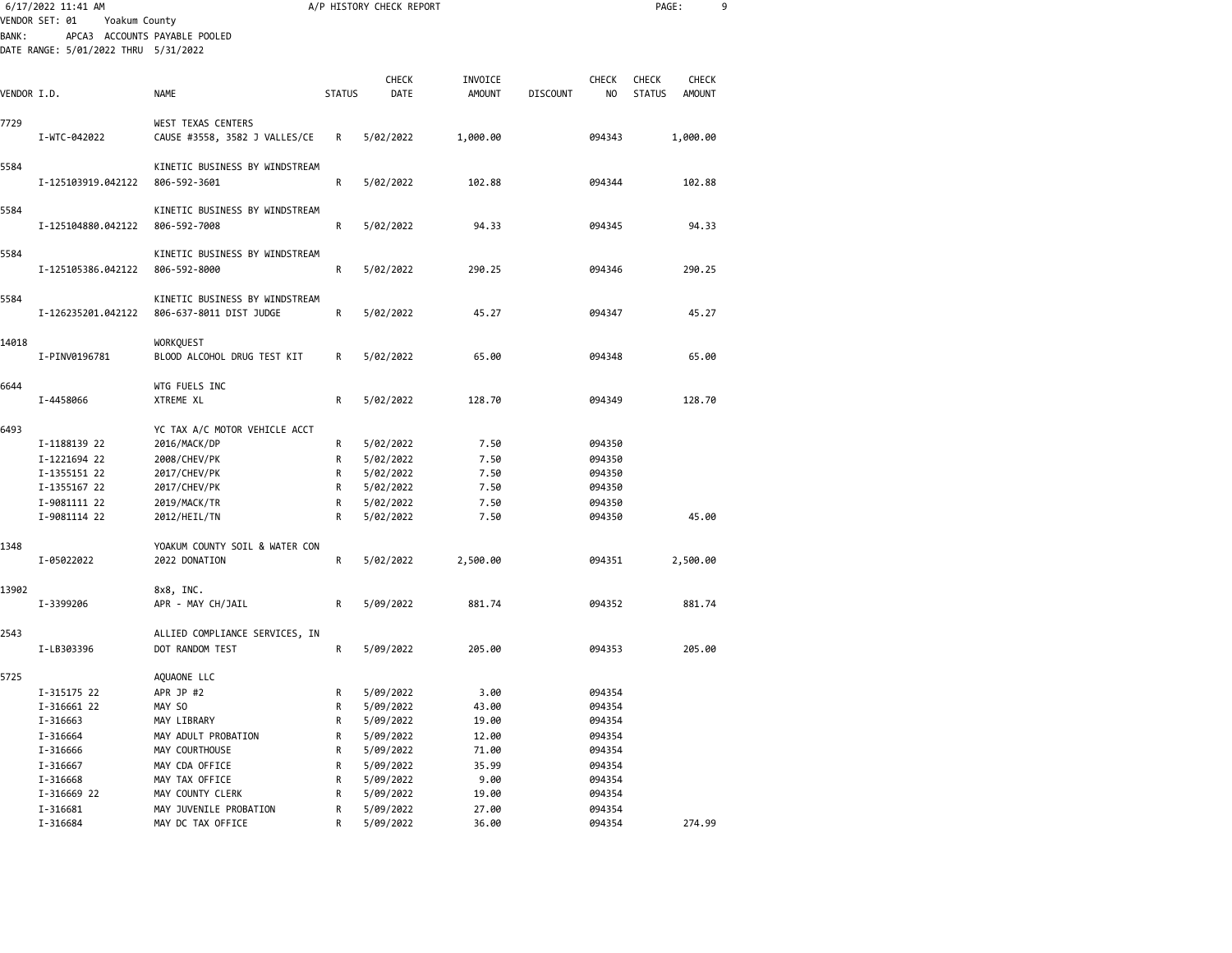|             | 6/17/2022 11:41 AM                   |                                                           |               | A/P HISTORY CHECK REPORT |                |                 |                  | PAGE:         |               | 9 |
|-------------|--------------------------------------|-----------------------------------------------------------|---------------|--------------------------|----------------|-----------------|------------------|---------------|---------------|---|
|             | VENDOR SET: 01<br>Yoakum County      |                                                           |               |                          |                |                 |                  |               |               |   |
| BANK:       |                                      | APCA3 ACCOUNTS PAYABLE POOLED                             |               |                          |                |                 |                  |               |               |   |
|             | DATE RANGE: 5/01/2022 THRU 5/31/2022 |                                                           |               |                          |                |                 |                  |               |               |   |
|             |                                      |                                                           |               |                          |                |                 |                  |               |               |   |
|             |                                      |                                                           |               | <b>CHECK</b>             | INVOICE        |                 | <b>CHECK</b>     | <b>CHECK</b>  | <b>CHECK</b>  |   |
| VENDOR I.D. |                                      | <b>NAME</b>                                               | <b>STATUS</b> | DATE                     | <b>AMOUNT</b>  | <b>DISCOUNT</b> | NO               | <b>STATUS</b> | <b>AMOUNT</b> |   |
| 7729        |                                      | WEST TEXAS CENTERS                                        |               |                          |                |                 |                  |               |               |   |
|             | I-WTC-042022                         | CAUSE #3558, 3582 J VALLES/CE                             | R             | 5/02/2022                | 1,000.00       |                 | 094343           |               | 1,000.00      |   |
|             |                                      |                                                           |               |                          |                |                 |                  |               |               |   |
| 5584        |                                      | KINETIC BUSINESS BY WINDSTREAM                            |               |                          |                |                 |                  |               |               |   |
|             | I-125103919.042122                   | 806-592-3601                                              | R             | 5/02/2022                | 102.88         |                 | 094344           |               | 102.88        |   |
|             |                                      |                                                           |               |                          |                |                 |                  |               |               |   |
| 5584        |                                      | KINETIC BUSINESS BY WINDSTREAM                            |               |                          |                |                 |                  |               |               |   |
|             | I-125104880.042122                   | 806-592-7008                                              | R             | 5/02/2022                | 94.33          |                 | 094345           |               | 94.33         |   |
|             |                                      |                                                           |               |                          |                |                 |                  |               |               |   |
| 5584        |                                      | KINETIC BUSINESS BY WINDSTREAM                            |               |                          |                |                 |                  |               |               |   |
|             | I-125105386.042122                   | 806-592-8000                                              | R             | 5/02/2022                | 290.25         |                 | 094346           |               | 290.25        |   |
|             |                                      |                                                           |               |                          |                |                 |                  |               |               |   |
| 5584        |                                      | KINETIC BUSINESS BY WINDSTREAM<br>806-637-8011 DIST JUDGE | R             | 5/02/2022                | 45.27          |                 | 094347           |               | 45.27         |   |
|             | I-126235201.042122                   |                                                           |               |                          |                |                 |                  |               |               |   |
| 14018       |                                      | <b>WORKQUEST</b>                                          |               |                          |                |                 |                  |               |               |   |
|             | I-PINV0196781                        | BLOOD ALCOHOL DRUG TEST KIT                               | R             | 5/02/2022                | 65.00          |                 | 094348           |               | 65.00         |   |
|             |                                      |                                                           |               |                          |                |                 |                  |               |               |   |
| 6644        |                                      | WTG FUELS INC                                             |               |                          |                |                 |                  |               |               |   |
|             | I-4458066                            | XTREME XL                                                 | R             | 5/02/2022                | 128.70         |                 | 094349           |               | 128.70        |   |
|             |                                      |                                                           |               |                          |                |                 |                  |               |               |   |
| 6493        |                                      | YC TAX A/C MOTOR VEHICLE ACCT                             |               |                          |                |                 |                  |               |               |   |
|             | I-1188139 22                         | 2016/MACK/DP                                              | R             | 5/02/2022                | 7.50           |                 | 094350           |               |               |   |
|             | I-1221694 22                         | 2008/CHEV/PK                                              | R             | 5/02/2022                | 7.50           |                 | 094350           |               |               |   |
|             | I-1355151 22                         | 2017/CHEV/PK                                              | R             | 5/02/2022                | 7.50           |                 | 094350           |               |               |   |
|             | I-1355167 22                         | 2017/CHEV/PK                                              | R             | 5/02/2022                | 7.50           |                 | 094350           |               |               |   |
|             | I-9081111 22                         | 2019/MACK/TR                                              | R             | 5/02/2022                | 7.50           |                 | 094350           |               |               |   |
|             | I-9081114 22                         | 2012/HEIL/TN                                              | R             | 5/02/2022                | 7.50           |                 | 094350           |               | 45.00         |   |
|             |                                      |                                                           |               |                          |                |                 |                  |               |               |   |
| 1348        | I-05022022                           | YOAKUM COUNTY SOIL & WATER CON<br>2022 DONATION           | R             |                          | 2,500.00       |                 |                  |               |               |   |
|             |                                      |                                                           |               | 5/02/2022                |                |                 | 094351           |               | 2,500.00      |   |
| 13902       |                                      | 8x8, INC.                                                 |               |                          |                |                 |                  |               |               |   |
|             | I-3399206                            | APR - MAY CH/JAIL                                         | R             | 5/09/2022                | 881.74         |                 | 094352           |               | 881.74        |   |
|             |                                      |                                                           |               |                          |                |                 |                  |               |               |   |
| 2543        |                                      | ALLIED COMPLIANCE SERVICES, IN                            |               |                          |                |                 |                  |               |               |   |
|             | I-LB303396                           | DOT RANDOM TEST                                           | R             | 5/09/2022                | 205.00         |                 | 094353           |               | 205.00        |   |
|             |                                      |                                                           |               |                          |                |                 |                  |               |               |   |
| 5725        |                                      | AQUAONE LLC                                               |               |                          |                |                 |                  |               |               |   |
|             | I-315175 22                          | APR JP #2                                                 | R             | 5/09/2022                | 3.00           |                 | 094354           |               |               |   |
|             | I-316661 22                          | MAY SO                                                    | R             | 5/09/2022                | 43.00          |                 | 094354           |               |               |   |
|             | I-316663                             | MAY LIBRARY                                               | R             | 5/09/2022                | 19.00          |                 | 094354           |               |               |   |
|             | I-316664                             | MAY ADULT PROBATION                                       | R             | 5/09/2022                | 12.00          |                 | 094354           |               |               |   |
|             | I-316666                             | MAY COURTHOUSE                                            | R             | 5/09/2022                | 71.00          |                 | 094354           |               |               |   |
|             | I-316667                             | MAY CDA OFFICE                                            | R             | 5/09/2022                | 35.99          |                 | 094354           |               |               |   |
|             | I-316668                             | MAY TAX OFFICE                                            | R             | 5/09/2022                | 9.00           |                 | 094354           |               |               |   |
|             | I-316669 22                          | MAY COUNTY CLERK                                          | R             | 5/09/2022                | 19.00          |                 | 094354           |               |               |   |
|             | I-316681<br>I-316684                 | MAY JUVENILE PROBATION<br>MAY DC TAX OFFICE               | R<br>R        | 5/09/2022<br>5/09/2022   | 27.00<br>36.00 |                 | 094354<br>094354 |               | 274.99        |   |
|             |                                      |                                                           |               |                          |                |                 |                  |               |               |   |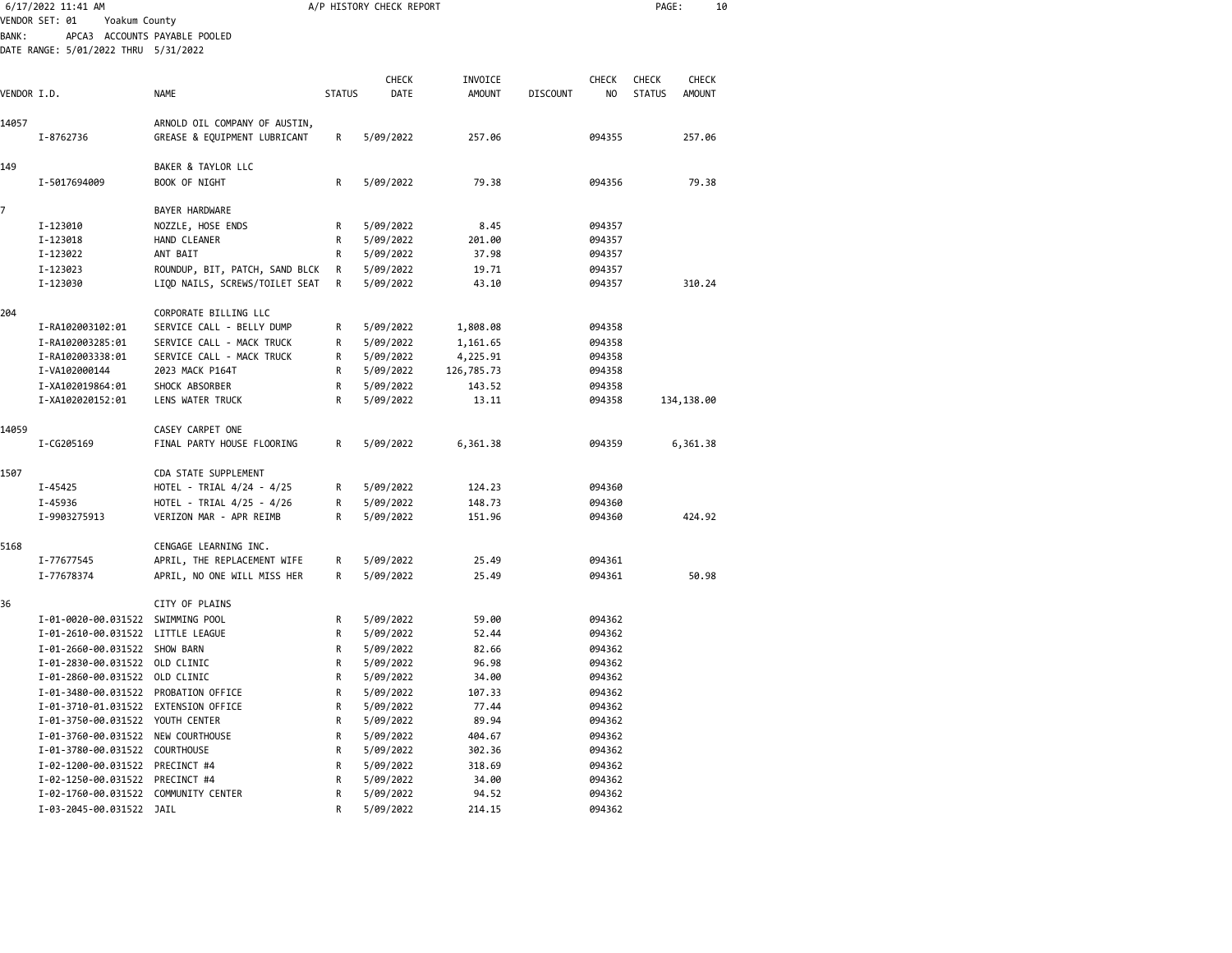|             | 6/17/2022 11:41 AM                                                           |                                |               | A/P HISTORY CHECK REPORT |                          |                 |                    | PAGE:                         | 10                            |  |
|-------------|------------------------------------------------------------------------------|--------------------------------|---------------|--------------------------|--------------------------|-----------------|--------------------|-------------------------------|-------------------------------|--|
|             | VENDOR SET: 01<br>Yoakum County                                              |                                |               |                          |                          |                 |                    |                               |                               |  |
| BANK :      | APCA3 ACCOUNTS PAYABLE POOLED<br>DATE RANGE: 5/01/2022 THRU 5/31/2022        |                                |               |                          |                          |                 |                    |                               |                               |  |
| VENDOR I.D. |                                                                              | <b>NAME</b>                    | <b>STATUS</b> | <b>CHECK</b><br>DATE     | INVOICE<br><b>AMOUNT</b> | <b>DISCOUNT</b> | <b>CHECK</b><br>NO | <b>CHECK</b><br><b>STATUS</b> | <b>CHECK</b><br><b>AMOUNT</b> |  |
| 14057       |                                                                              | ARNOLD OIL COMPANY OF AUSTIN,  |               |                          |                          |                 |                    |                               |                               |  |
|             | I-8762736                                                                    | GREASE & EQUIPMENT LUBRICANT   | R             | 5/09/2022                | 257.06                   |                 | 094355             |                               | 257.06                        |  |
| 149         |                                                                              | BAKER & TAYLOR LLC             |               |                          |                          |                 |                    |                               |                               |  |
|             | I-5017694009                                                                 | BOOK OF NIGHT                  | R             | 5/09/2022                | 79.38                    |                 | 094356             |                               | 79.38                         |  |
| 7           |                                                                              | <b>BAYER HARDWARE</b>          |               |                          |                          |                 |                    |                               |                               |  |
|             | I-123010                                                                     | NOZZLE, HOSE ENDS              | R             | 5/09/2022                | 8.45                     |                 | 094357             |                               |                               |  |
|             | I-123018                                                                     | HAND CLEANER                   | R             | 5/09/2022                | 201.00                   |                 | 094357             |                               |                               |  |
|             | I-123022                                                                     | ANT BAIT                       | R             | 5/09/2022                | 37.98                    |                 | 094357             |                               |                               |  |
|             | I-123023                                                                     | ROUNDUP, BIT, PATCH, SAND BLCK | R             | 5/09/2022                | 19.71                    |                 | 094357             |                               |                               |  |
|             | I-123030                                                                     | LIQD NAILS, SCREWS/TOILET SEAT | R             | 5/09/2022                | 43.10                    |                 | 094357             |                               | 310.24                        |  |
| 204         |                                                                              | CORPORATE BILLING LLC          |               |                          |                          |                 |                    |                               |                               |  |
|             | I-RA102003102:01                                                             | SERVICE CALL - BELLY DUMP      | R             | 5/09/2022                | 1,808.08                 |                 | 094358             |                               |                               |  |
|             | I-RA102003285:01                                                             | SERVICE CALL - MACK TRUCK      | R             | 5/09/2022                | 1,161.65                 |                 | 094358             |                               |                               |  |
|             | I-RA102003338:01                                                             | SERVICE CALL - MACK TRUCK      | R             | 5/09/2022                | 4,225.91                 |                 | 094358             |                               |                               |  |
|             | I-VA102000144                                                                | 2023 MACK P164T                | R             | 5/09/2022                | 126,785.73               |                 | 094358             |                               |                               |  |
|             | I-XA102019864:01                                                             | SHOCK ABSORBER                 | R             | 5/09/2022                | 143.52                   |                 | 094358             |                               |                               |  |
|             | I-XA102020152:01                                                             | LENS WATER TRUCK               | R             | 5/09/2022                | 13.11                    |                 | 094358             |                               | 134,138.00                    |  |
| 14059       |                                                                              | CASEY CARPET ONE               |               |                          |                          |                 |                    |                               |                               |  |
|             | I-CG205169                                                                   | FINAL PARTY HOUSE FLOORING     | R             | 5/09/2022                | 6,361.38                 |                 | 094359             |                               | 6,361.38                      |  |
| 1507        |                                                                              | CDA STATE SUPPLEMENT           |               |                          |                          |                 |                    |                               |                               |  |
|             | I-45425                                                                      | HOTEL - TRIAL 4/24 - 4/25      | R             | 5/09/2022                | 124.23                   |                 | 094360             |                               |                               |  |
|             | I-45936                                                                      | HOTEL - TRIAL 4/25 - 4/26      | R             | 5/09/2022                | 148.73                   |                 | 094360             |                               |                               |  |
|             | I-9903275913                                                                 | VERIZON MAR - APR REIMB        | R             | 5/09/2022                | 151.96                   |                 | 094360             |                               | 424.92                        |  |
| 5168        |                                                                              | CENGAGE LEARNING INC.          |               |                          |                          |                 |                    |                               |                               |  |
|             | I-77677545                                                                   | APRIL, THE REPLACEMENT WIFE    | R             | 5/09/2022                | 25.49                    |                 | 094361             |                               |                               |  |
|             | I-77678374                                                                   | APRIL, NO ONE WILL MISS HER    | R             | 5/09/2022                | 25.49                    |                 | 094361             |                               | 50.98                         |  |
| 36          |                                                                              | CITY OF PLAINS                 |               |                          |                          |                 |                    |                               |                               |  |
|             | I-01-0020-00.031522                                                          | SWIMMING POOL                  | R             | 5/09/2022                | 59.00                    |                 | 094362             |                               |                               |  |
|             | I-01-2610-00.031522 LITTLE LEAGUE                                            |                                | R             | 5/09/2022                | 52.44                    |                 | 094362             |                               |                               |  |
|             | I-01-2660-00.031522 SHOW BARN                                                |                                | R             | 5/09/2022                | 82.66                    |                 | 094362             |                               |                               |  |
|             | I-01-2830-00.031522                                                          | OLD CLINIC                     | R             | 5/09/2022                | 96.98                    |                 | 094362             |                               |                               |  |
|             | I-01-2860-00.031522 OLD CLINIC                                               |                                | R             | 5/09/2022                | 34.00                    |                 | 094362             |                               |                               |  |
|             |                                                                              |                                |               |                          |                          |                 | 094362             |                               |                               |  |
|             | I-01-3480-00.031522 PROBATION OFFICE<br>I-01-3710-01.031522 EXTENSION OFFICE |                                | R<br>R        | 5/09/2022                | 107.33<br>77.44          |                 | 094362             |                               |                               |  |
|             | I-01-3750-00.031522 YOUTH CENTER                                             |                                | R             | 5/09/2022<br>5/09/2022   | 89.94                    |                 | 094362             |                               |                               |  |
|             |                                                                              |                                |               |                          |                          |                 |                    |                               |                               |  |
|             | I-01-3760-00.031522 NEW COURTHOUSE                                           |                                | R             | 5/09/2022                | 404.67                   |                 | 094362             |                               |                               |  |
|             | I-01-3780-00.031522 COURTHOUSE                                               |                                | R             | 5/09/2022                | 302.36                   |                 | 094362             |                               |                               |  |
|             | I-02-1200-00.031522 PRECINCT #4                                              |                                | R             | 5/09/2022                | 318.69                   |                 | 094362             |                               |                               |  |
|             | I-02-1250-00.031522 PRECINCT #4                                              |                                | R             | 5/09/2022                | 34.00                    |                 | 094362             |                               |                               |  |
|             | I-02-1760-00.031522 COMMUNITY CENTER                                         |                                | R             | 5/09/2022                | 94.52                    |                 | 094362             |                               |                               |  |
|             | I-03-2045-00.031522 JAIL                                                     |                                | R             | 5/09/2022                | 214.15                   |                 | 094362             |                               |                               |  |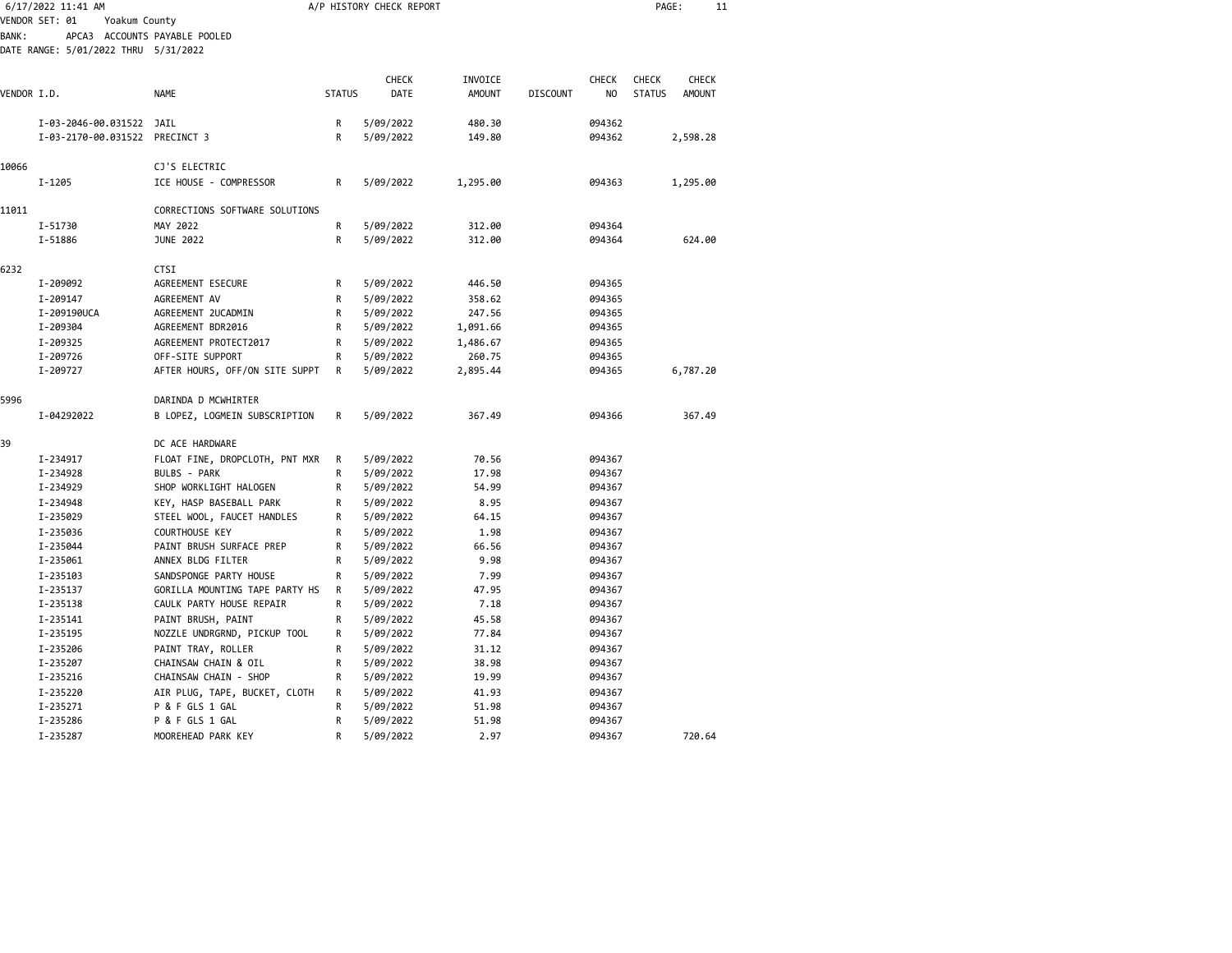|              | 6/17/2022 11:41 AM                   |                                |               | A/P HISTORY CHECK REPORT |               |                 |              | PAGE:         | 11            |  |
|--------------|--------------------------------------|--------------------------------|---------------|--------------------------|---------------|-----------------|--------------|---------------|---------------|--|
|              | VENDOR SET: 01<br>Yoakum County      |                                |               |                          |               |                 |              |               |               |  |
| <b>BANK:</b> |                                      | APCA3 ACCOUNTS PAYABLE POOLED  |               |                          |               |                 |              |               |               |  |
|              | DATE RANGE: 5/01/2022 THRU 5/31/2022 |                                |               |                          |               |                 |              |               |               |  |
|              |                                      |                                |               |                          |               |                 |              |               |               |  |
|              |                                      |                                |               | CHECK                    | INVOICE       |                 | <b>CHECK</b> | <b>CHECK</b>  | <b>CHECK</b>  |  |
| VENDOR I.D.  |                                      | <b>NAME</b>                    | <b>STATUS</b> | DATE                     | <b>AMOUNT</b> | <b>DISCOUNT</b> | NO.          | <b>STATUS</b> | <b>AMOUNT</b> |  |
|              |                                      |                                |               |                          |               |                 |              |               |               |  |
|              | I-03-2046-00.031522 JAIL             |                                | R             | 5/09/2022                | 480.30        |                 | 094362       |               |               |  |
|              | I-03-2170-00.031522 PRECINCT 3       |                                | R             | 5/09/2022                | 149.80        |                 | 094362       |               | 2,598.28      |  |
| 10066        |                                      |                                |               |                          |               |                 |              |               |               |  |
|              |                                      | CJ'S ELECTRIC                  |               |                          |               |                 |              |               |               |  |
|              | I-1205                               | ICE HOUSE - COMPRESSOR         | R             | 5/09/2022                | 1,295.00      |                 | 094363       |               | 1,295.00      |  |
| 11011        |                                      | CORRECTIONS SOFTWARE SOLUTIONS |               |                          |               |                 |              |               |               |  |
|              | I-51730                              | MAY 2022                       | R             | 5/09/2022                | 312.00        |                 | 094364       |               |               |  |
|              | I-51886                              | <b>JUNE 2022</b>               | R             | 5/09/2022                | 312.00        |                 | 094364       |               | 624.00        |  |
|              |                                      |                                |               |                          |               |                 |              |               |               |  |
| 6232         |                                      | CTSI                           |               |                          |               |                 |              |               |               |  |
|              | I-209092                             | AGREEMENT ESECURE              | R             | 5/09/2022                | 446.50        |                 | 094365       |               |               |  |
|              | I-209147                             | AGREEMENT AV                   | R             | 5/09/2022                | 358.62        |                 | 094365       |               |               |  |
|              | I-209190UCA                          | AGREEMENT 2UCADMIN             | R             | 5/09/2022                | 247.56        |                 | 094365       |               |               |  |
|              | I-209304                             | AGREEMENT BDR2016              | R             | 5/09/2022                | 1,091.66      |                 | 094365       |               |               |  |
|              | I-209325                             | AGREEMENT PROTECT2017          | R             | 5/09/2022                | 1,486.67      |                 | 094365       |               |               |  |
|              | I-209726                             | OFF-SITE SUPPORT               | R             | 5/09/2022                | 260.75        |                 | 094365       |               |               |  |
|              | I-209727                             | AFTER HOURS, OFF/ON SITE SUPPT | R             | 5/09/2022                | 2,895.44      |                 | 094365       |               | 6,787.20      |  |
|              |                                      |                                |               |                          |               |                 |              |               |               |  |
| 5996         |                                      | DARINDA D MCWHIRTER            |               |                          |               |                 |              |               |               |  |
|              | I-04292022                           | B LOPEZ, LOGMEIN SUBSCRIPTION  | R             | 5/09/2022                | 367.49        |                 | 094366       |               | 367.49        |  |
|              |                                      |                                |               |                          |               |                 |              |               |               |  |
| 39           |                                      | DC ACE HARDWARE                |               |                          |               |                 |              |               |               |  |
|              | I-234917                             | FLOAT FINE, DROPCLOTH, PNT MXR | R             | 5/09/2022                | 70.56         |                 | 094367       |               |               |  |
|              | I-234928                             | BULBS - PARK                   | R             | 5/09/2022                | 17.98         |                 | 094367       |               |               |  |
|              | I-234929                             | SHOP WORKLIGHT HALOGEN         | R             | 5/09/2022                | 54.99         |                 | 094367       |               |               |  |
|              | I-234948                             | KEY, HASP BASEBALL PARK        | R             | 5/09/2022                | 8.95          |                 | 094367       |               |               |  |
|              | I-235029                             | STEEL WOOL, FAUCET HANDLES     | R             | 5/09/2022                | 64.15         |                 | 094367       |               |               |  |
|              | I-235036                             | COURTHOUSE KEY                 | R             | 5/09/2022                | 1.98          |                 | 094367       |               |               |  |
|              | I-235044                             | PAINT BRUSH SURFACE PREP       | R             | 5/09/2022                | 66.56         |                 | 094367       |               |               |  |
|              | I-235061                             | ANNEX BLDG FILTER              | R             | 5/09/2022                | 9.98          |                 | 094367       |               |               |  |
|              | I-235103                             | SANDSPONGE PARTY HOUSE         | R             | 5/09/2022                | 7.99          |                 | 094367       |               |               |  |
|              | I-235137                             | GORILLA MOUNTING TAPE PARTY HS | R             | 5/09/2022                | 47.95         |                 | 094367       |               |               |  |
|              | I-235138                             | CAULK PARTY HOUSE REPAIR       | R             | 5/09/2022                | 7.18          |                 | 094367       |               |               |  |
|              | I-235141                             | PAINT BRUSH, PAINT             | R             | 5/09/2022                | 45.58         |                 | 094367       |               |               |  |
|              | I-235195                             | NOZZLE UNDRGRND, PICKUP TOOL   | R             | 5/09/2022                | 77.84         |                 | 094367       |               |               |  |
|              | I-235206                             | PAINT TRAY, ROLLER             | R             | 5/09/2022                | 31.12         |                 | 094367       |               |               |  |
|              | I-235207                             | CHAINSAW CHAIN & OIL           | R             | 5/09/2022                | 38.98         |                 | 094367       |               |               |  |
|              | I-235216                             | CHAINSAW CHAIN - SHOP          | R             | 5/09/2022                | 19.99         |                 | 094367       |               |               |  |
|              | I-235220                             | AIR PLUG, TAPE, BUCKET, CLOTH  | R             | 5/09/2022                | 41.93         |                 | 094367       |               |               |  |
|              | I-235271                             | P & F GLS 1 GAL                | R             | 5/09/2022                | 51.98         |                 | 094367       |               |               |  |
|              | I-235286                             | P & F GLS 1 GAL                | R             | 5/09/2022                | 51.98         |                 | 094367       |               |               |  |
|              | I-235287                             | MOOREHEAD PARK KEY             | R             | 5/09/2022                | 2.97          |                 | 094367       |               | 720.64        |  |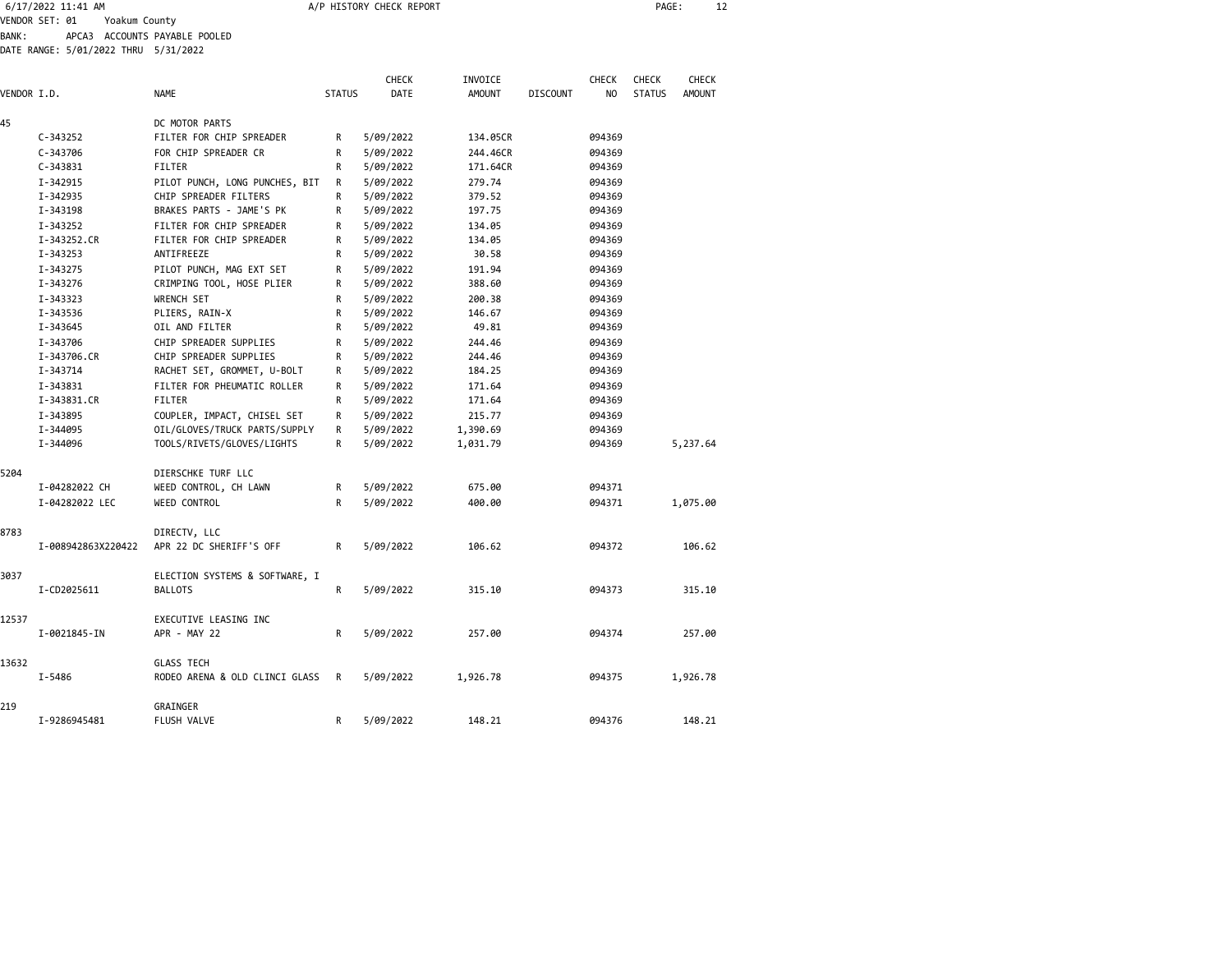| 6/17/2022 11:41 AM |                               | A/P HISTORY CHECK REPORT |  |  | PAGE: |  |
|--------------------|-------------------------------|--------------------------|--|--|-------|--|
| VENDOR SET: 01     | Yoakum County                 |                          |  |  |       |  |
| <b>BANK:</b>       | APCA3 ACCOUNTS PAYABLE POOLED |                          |  |  |       |  |

DATE RANGE: 5/01/2022 THRU 5/31/2022

| VENDOR I.D. |                    | <b>NAME</b>                    | <b>STATUS</b> | <b>CHECK</b><br>DATE | INVOICE<br><b>AMOUNT</b> | <b>DISCOUNT</b> | <b>CHECK</b><br>NO. | <b>CHECK</b><br><b>STATUS</b> | <b>CHECK</b><br><b>AMOUNT</b> |
|-------------|--------------------|--------------------------------|---------------|----------------------|--------------------------|-----------------|---------------------|-------------------------------|-------------------------------|
|             |                    |                                |               |                      |                          |                 |                     |                               |                               |
| 45          |                    | DC MOTOR PARTS                 |               |                      |                          |                 |                     |                               |                               |
|             | $C - 343252$       | FILTER FOR CHIP SPREADER       | R             | 5/09/2022            | 134.05CR                 |                 | 094369              |                               |                               |
|             | $C - 343706$       | FOR CHIP SPREADER CR           | R             | 5/09/2022            | 244,46CR                 |                 | 094369              |                               |                               |
|             | $C - 343831$       | <b>FILTER</b>                  | R             | 5/09/2022            | 171.64CR                 |                 | 094369              |                               |                               |
|             | I-342915           | PILOT PUNCH, LONG PUNCHES, BIT | R             | 5/09/2022            | 279.74                   |                 | 094369              |                               |                               |
|             | I-342935           | CHIP SPREADER FILTERS          | R             | 5/09/2022            | 379.52                   |                 | 094369              |                               |                               |
|             | I-343198           | BRAKES PARTS - JAME'S PK       | R             | 5/09/2022            | 197.75                   |                 | 094369              |                               |                               |
|             | I-343252           | FILTER FOR CHIP SPREADER       | R             | 5/09/2022            | 134.05                   |                 | 094369              |                               |                               |
|             | I-343252.CR        | FILTER FOR CHIP SPREADER       | R             | 5/09/2022            | 134.05                   |                 | 094369              |                               |                               |
|             | I-343253           | ANTIFREEZE                     | R             | 5/09/2022            | 30.58                    |                 | 094369              |                               |                               |
|             | I-343275           | PILOT PUNCH, MAG EXT SET       | R             | 5/09/2022            | 191.94                   |                 | 094369              |                               |                               |
|             | I-343276           | CRIMPING TOOL, HOSE PLIER      | R             | 5/09/2022            | 388.60                   |                 | 094369              |                               |                               |
|             | I-343323           | WRENCH SET                     | R             | 5/09/2022            | 200.38                   |                 | 094369              |                               |                               |
|             | I-343536           | PLIERS, RAIN-X                 | R             | 5/09/2022            | 146.67                   |                 | 094369              |                               |                               |
|             | I-343645           | OIL AND FILTER                 | R             | 5/09/2022            | 49.81                    |                 | 094369              |                               |                               |
|             | I-343706           | CHIP SPREADER SUPPLIES         | R             | 5/09/2022            | 244.46                   |                 | 094369              |                               |                               |
|             | I-343706.CR        | CHIP SPREADER SUPPLIES         | R             | 5/09/2022            | 244.46                   |                 | 094369              |                               |                               |
|             | I-343714           | RACHET SET, GROMMET, U-BOLT    | R             | 5/09/2022            | 184.25                   |                 | 094369              |                               |                               |
|             | I-343831           | FILTER FOR PHEUMATIC ROLLER    | R             | 5/09/2022            | 171.64                   |                 | 094369              |                               |                               |
|             | I-343831.CR        | FILTER                         | R             | 5/09/2022            | 171.64                   |                 | 094369              |                               |                               |
|             | I-343895           | COUPLER, IMPACT, CHISEL SET    | R             | 5/09/2022            | 215.77                   |                 | 094369              |                               |                               |
|             | I-344095           | OIL/GLOVES/TRUCK PARTS/SUPPLY  | R             | 5/09/2022            | 1,390.69                 |                 | 094369              |                               |                               |
|             | I-344096           | TOOLS/RIVETS/GLOVES/LIGHTS     | R             | 5/09/2022            | 1,031.79                 |                 | 094369              |                               | 5,237.64                      |
| 5204        |                    | DIERSCHKE TURF LLC             |               |                      |                          |                 |                     |                               |                               |
|             | I-04282022 CH      | WEED CONTROL, CH LAWN          | R             | 5/09/2022            | 675.00                   |                 | 094371              |                               |                               |
|             | I-04282022 LEC     | WEED CONTROL                   | R             | 5/09/2022            | 400.00                   |                 | 094371              |                               | 1,075.00                      |
| 8783        |                    | DIRECTV, LLC                   |               |                      |                          |                 |                     |                               |                               |
|             | I-008942863X220422 | APR 22 DC SHERIFF'S OFF        | R             | 5/09/2022            | 106.62                   |                 | 094372              |                               | 106.62                        |
| 3037        |                    | ELECTION SYSTEMS & SOFTWARE, I |               |                      |                          |                 |                     |                               |                               |
|             | I-CD2025611        | <b>BALLOTS</b>                 | R             | 5/09/2022            | 315.10                   |                 | 094373              |                               | 315.10                        |
| 12537       |                    | EXECUTIVE LEASING INC          |               |                      |                          |                 |                     |                               |                               |
|             | I-0021845-IN       | APR - MAY 22                   | R             | 5/09/2022            | 257.00                   |                 | 094374              |                               | 257.00                        |
| 13632       |                    | <b>GLASS TECH</b>              |               |                      |                          |                 |                     |                               |                               |
|             | I-5486             | RODEO ARENA & OLD CLINCI GLASS | R             | 5/09/2022            | 1,926.78                 |                 | 094375              |                               | 1,926.78                      |
| 219         |                    | GRAINGER                       |               |                      |                          |                 |                     |                               |                               |
|             | I-9286945481       | <b>FLUSH VALVE</b>             | R             | 5/09/2022            | 148.21                   |                 | 094376              |                               | 148.21                        |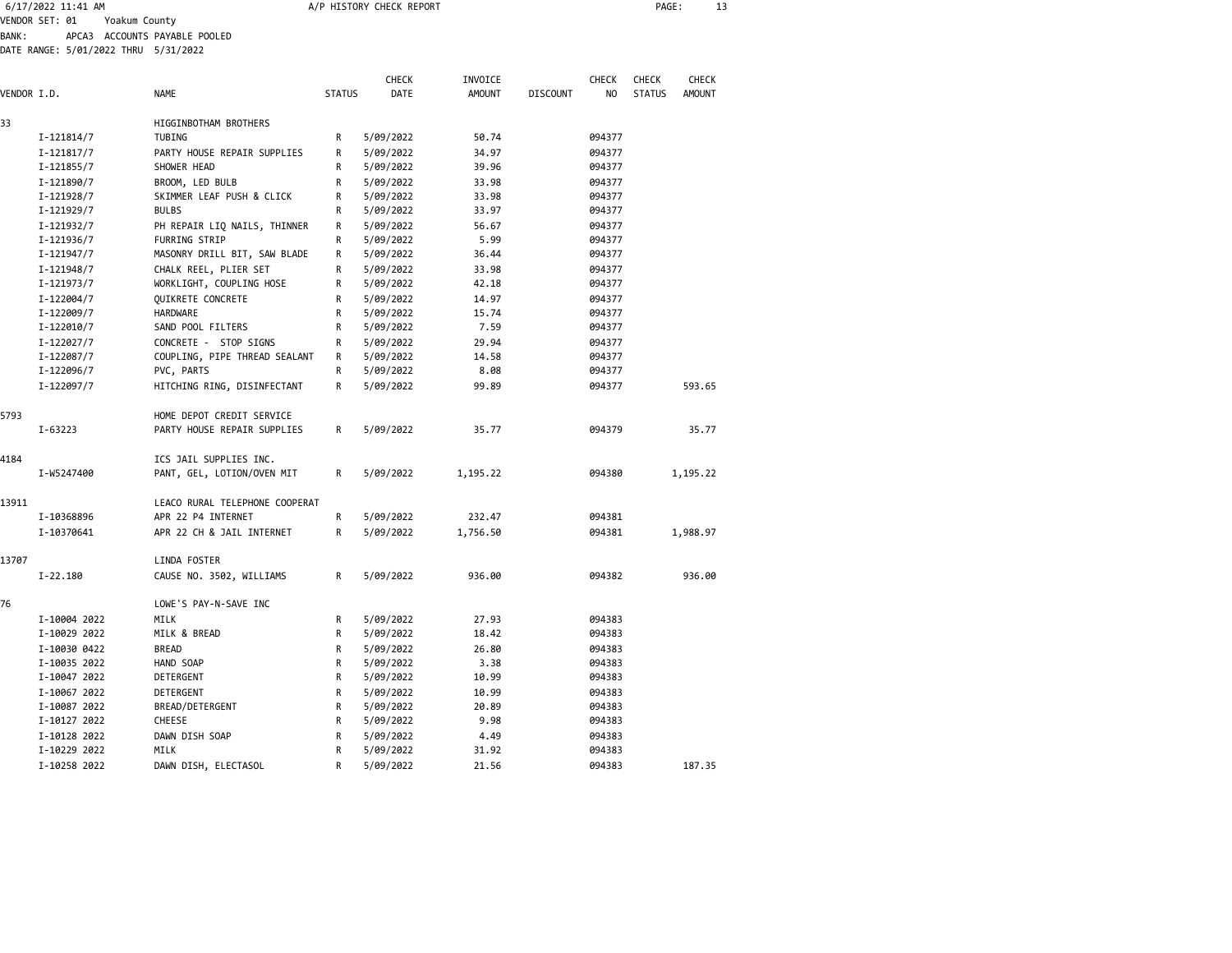| Yoakum County<br>APCA3 ACCOUNTS PAYABLE POOLED<br>DATE RANGE: 5/01/2022 THRU 5/31/2022<br><b>NAME</b><br>HIGGINBOTHAM BROTHERS<br>TUBING | <b>STATUS</b>             | <b>CHECK</b><br><b>DATE</b> | INVOICE<br><b>AMOUNT</b> | <b>DISCOUNT</b> | <b>CHECK</b><br><b>NO</b> | <b>CHECK</b>  | <b>CHECK</b> |  |
|------------------------------------------------------------------------------------------------------------------------------------------|---------------------------|-----------------------------|--------------------------|-----------------|---------------------------|---------------|--------------|--|
|                                                                                                                                          |                           |                             |                          |                 |                           |               |              |  |
|                                                                                                                                          |                           |                             |                          |                 |                           |               |              |  |
|                                                                                                                                          |                           |                             |                          |                 |                           |               |              |  |
|                                                                                                                                          |                           |                             |                          |                 |                           |               |              |  |
|                                                                                                                                          |                           |                             |                          |                 |                           |               |              |  |
|                                                                                                                                          |                           |                             |                          |                 |                           | <b>STATUS</b> | AMOUNT       |  |
|                                                                                                                                          |                           |                             |                          |                 |                           |               |              |  |
|                                                                                                                                          | R                         | 5/09/2022                   | 50.74                    |                 | 094377                    |               |              |  |
| PARTY HOUSE REPAIR SUPPLIES                                                                                                              | R                         | 5/09/2022                   | 34.97                    |                 | 094377                    |               |              |  |
| SHOWER HEAD                                                                                                                              | R                         | 5/09/2022                   | 39.96                    |                 | 094377                    |               |              |  |
| BROOM, LED BULB                                                                                                                          | R                         | 5/09/2022                   | 33.98                    |                 | 094377                    |               |              |  |
| SKIMMER LEAF PUSH & CLICK                                                                                                                | R                         | 5/09/2022                   | 33.98                    |                 | 094377                    |               |              |  |
| <b>BULBS</b>                                                                                                                             | R                         | 5/09/2022                   | 33.97                    |                 | 094377                    |               |              |  |
| PH REPAIR LIQ NAILS, THINNER                                                                                                             | R                         | 5/09/2022                   | 56.67                    |                 | 094377                    |               |              |  |
| <b>FURRING STRIP</b>                                                                                                                     | R                         | 5/09/2022                   | 5.99                     |                 | 094377                    |               |              |  |
| MASONRY DRILL BIT, SAW BLADE                                                                                                             | R                         | 5/09/2022                   | 36.44                    |                 | 094377                    |               |              |  |
| CHALK REEL, PLIER SET                                                                                                                    | R                         | 5/09/2022                   | 33.98                    |                 | 094377                    |               |              |  |
| WORKLIGHT, COUPLING HOSE                                                                                                                 | R                         | 5/09/2022                   | 42.18                    |                 | 094377                    |               |              |  |
| <b>OUIKRETE CONCRETE</b>                                                                                                                 | R                         | 5/09/2022                   | 14.97                    |                 | 094377                    |               |              |  |
| HARDWARE                                                                                                                                 | R                         | 5/09/2022                   | 15.74                    |                 | 094377                    |               |              |  |
| SAND POOL FILTERS                                                                                                                        | R                         | 5/09/2022                   | 7.59                     |                 | 094377                    |               |              |  |
| CONCRETE - STOP SIGNS                                                                                                                    | R                         | 5/09/2022                   | 29.94                    |                 | 094377                    |               |              |  |
| COUPLING, PIPE THREAD SEALANT                                                                                                            | R                         | 5/09/2022                   | 14.58                    |                 | 094377                    |               |              |  |
| PVC, PARTS                                                                                                                               | R                         | 5/09/2022                   | 8.08                     |                 | 094377                    |               |              |  |
| HITCHING RING, DISINFECTANT                                                                                                              | $\mathsf{R}$              | 5/09/2022                   | 99.89                    |                 | 094377                    |               | 593.65       |  |
|                                                                                                                                          |                           |                             |                          |                 |                           |               |              |  |
|                                                                                                                                          | HOME DEPOT CREDIT SERVICE |                             |                          |                 |                           |               |              |  |

| <b>D/93</b> | $I - 63223$  | HUME DEPUT CREDIT SERVICE<br>PARTY HOUSE REPAIR SUPPLIES | R            | 5/09/2022 | 35.77    | 094379 | 35.77    |
|-------------|--------------|----------------------------------------------------------|--------------|-----------|----------|--------|----------|
| 4184        | I-W5247400   | ICS JAIL SUPPLIES INC.<br>PANT, GEL, LOTION/OVEN MIT     | R            | 5/09/2022 | 1,195.22 | 094380 | 1,195.22 |
| 13911       |              | LEACO RURAL TELEPHONE COOPERAT                           |              |           |          |        |          |
|             | I-10368896   | APR 22 P4 INTERNET                                       | R            | 5/09/2022 | 232.47   | 094381 |          |
|             | I-10370641   | APR 22 CH & JAIL INTERNET                                | R            | 5/09/2022 | 1,756.50 | 094381 | 1,988.97 |
| 13707       |              | LINDA FOSTER                                             |              |           |          |        |          |
|             | $I-22.180$   | CAUSE NO. 3502, WILLIAMS                                 | R            | 5/09/2022 | 936.00   | 094382 | 936.00   |
| 76          |              | LOWE'S PAY-N-SAVE INC                                    |              |           |          |        |          |
|             | I-10004 2022 | MILK                                                     | R            | 5/09/2022 | 27.93    | 094383 |          |
|             | I-10029 2022 | MILK & BREAD                                             | R            | 5/09/2022 | 18.42    | 094383 |          |
|             | I-10030 0422 | <b>BREAD</b>                                             | R            | 5/09/2022 | 26.80    | 094383 |          |
|             | I-10035 2022 | HAND SOAP                                                | R            | 5/09/2022 | 3.38     | 094383 |          |
|             | I-10047 2022 | DETERGENT                                                | R            | 5/09/2022 | 10.99    | 094383 |          |
|             | I-10067 2022 | DETERGENT                                                | R            | 5/09/2022 | 10.99    | 094383 |          |
|             | I-10087 2022 | BREAD/DETERGENT                                          | $\mathsf{R}$ | 5/09/2022 | 20.89    | 094383 |          |
|             | I-10127 2022 | <b>CHEESE</b>                                            | R            | 5/09/2022 | 9.98     | 094383 |          |
|             | I-10128 2022 | DAWN DISH SOAP                                           | $\mathsf{R}$ | 5/09/2022 | 4.49     | 094383 |          |
|             | I-10229 2022 | MILK                                                     | R            | 5/09/2022 | 31.92    | 094383 |          |
|             | I-10258 2022 | DAWN DISH, ELECTASOL                                     | R            | 5/09/2022 | 21.56    | 094383 | 187.35   |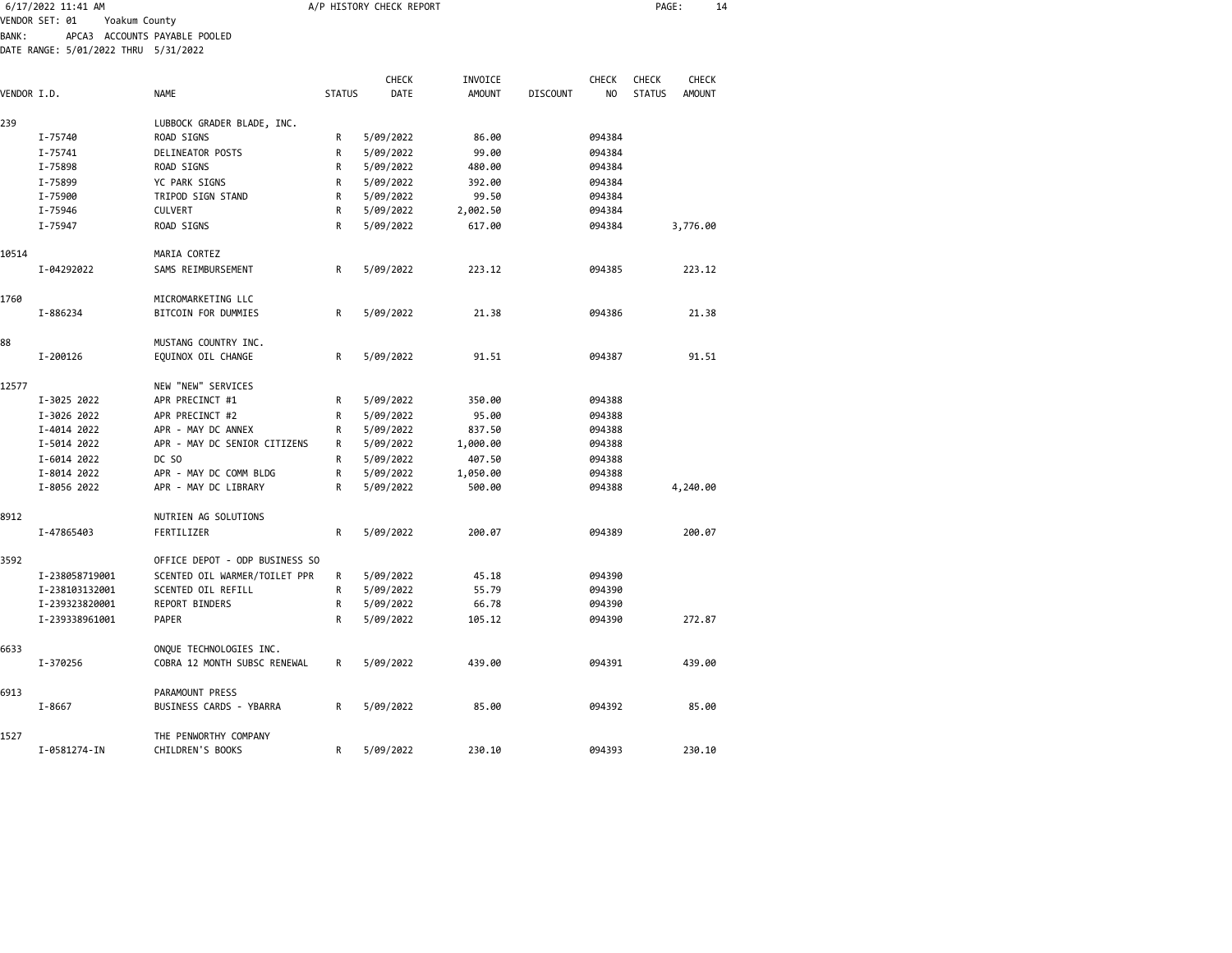| 6/17/2022 11:41 AM |                                      |                                |               | A/P HISTORY CHECK REPORT |               | PAGE:<br>14     |        |               |               |
|--------------------|--------------------------------------|--------------------------------|---------------|--------------------------|---------------|-----------------|--------|---------------|---------------|
|                    | VENDOR SET: 01<br>Yoakum County      |                                |               |                          |               |                 |        |               |               |
| <b>BANK:</b>       |                                      | APCA3 ACCOUNTS PAYABLE POOLED  |               |                          |               |                 |        |               |               |
|                    | DATE RANGE: 5/01/2022 THRU 5/31/2022 |                                |               |                          |               |                 |        |               |               |
|                    |                                      |                                |               | CHECK                    | INVOICE       |                 | CHECK  | <b>CHECK</b>  | CHECK         |
| VENDOR I.D.        |                                      | NAME                           | <b>STATUS</b> | DATE                     | <b>AMOUNT</b> | <b>DISCOUNT</b> | NO     | <b>STATUS</b> | <b>AMOUNT</b> |
|                    |                                      |                                |               |                          |               |                 |        |               |               |
| 239                |                                      | LUBBOCK GRADER BLADE, INC.     |               |                          |               |                 |        |               |               |
|                    | I-75740                              | ROAD SIGNS                     | R             | 5/09/2022                | 86.00         |                 | 094384 |               |               |
|                    | I-75741                              | DELINEATOR POSTS               | R             | 5/09/2022                | 99.00         |                 | 094384 |               |               |
|                    | I-75898                              | ROAD SIGNS                     | R             | 5/09/2022                | 480.00        |                 | 094384 |               |               |
|                    | I-75899                              | YC PARK SIGNS                  | R             | 5/09/2022                | 392.00        |                 | 094384 |               |               |
|                    | I-75900                              | TRIPOD SIGN STAND              | R             | 5/09/2022                | 99.50         |                 | 094384 |               |               |
|                    | I-75946                              | <b>CULVERT</b>                 | R             | 5/09/2022                | 2,002.50      |                 | 094384 |               |               |
|                    | I-75947                              | ROAD SIGNS                     | R             | 5/09/2022                | 617.00        |                 | 094384 |               | 3,776.00      |
| 10514              |                                      | MARIA CORTEZ                   |               |                          |               |                 |        |               |               |
|                    | I-04292022                           | SAMS REIMBURSEMENT             | R             | 5/09/2022                | 223.12        |                 | 094385 |               | 223.12        |
| 1760               |                                      | MICROMARKETING LLC             |               |                          |               |                 |        |               |               |
|                    | I-886234                             | BITCOIN FOR DUMMIES            | $\mathsf R$   | 5/09/2022                | 21.38         |                 | 094386 |               | 21.38         |
| 88                 |                                      | MUSTANG COUNTRY INC.           |               |                          |               |                 |        |               |               |
|                    | I-200126                             | EQUINOX OIL CHANGE             | R             | 5/09/2022                | 91.51         |                 | 094387 |               | 91.51         |
|                    |                                      |                                |               |                          |               |                 |        |               |               |
| 12577              |                                      | NEW "NEW" SERVICES             |               |                          |               |                 |        |               |               |
|                    | I-3025 2022                          | APR PRECINCT #1                | R             | 5/09/2022                | 350.00        |                 | 094388 |               |               |
|                    | I-3026 2022                          | APR PRECINCT #2                | R             | 5/09/2022                | 95.00         |                 | 094388 |               |               |
|                    | I-4014 2022                          | APR - MAY DC ANNEX             | R             | 5/09/2022                | 837.50        |                 | 094388 |               |               |
|                    | I-5014 2022                          | APR - MAY DC SENIOR CITIZENS   | R             | 5/09/2022                | 1,000.00      |                 | 094388 |               |               |
|                    | I-6014 2022                          | DC SO                          | $\mathsf{R}$  | 5/09/2022                | 407.50        |                 | 094388 |               |               |
|                    | I-8014 2022                          | APR - MAY DC COMM BLDG         | R             | 5/09/2022                | 1,050.00      |                 | 094388 |               |               |
|                    | I-8056 2022                          | APR - MAY DC LIBRARY           | R             | 5/09/2022                | 500.00        |                 | 094388 |               | 4,240.00      |
| 8912               |                                      | NUTRIEN AG SOLUTIONS           |               |                          |               |                 |        |               |               |
|                    | I-47865403                           | FERTILIZER                     | R             | 5/09/2022                | 200.07        |                 | 094389 |               | 200.07        |
| 3592               |                                      | OFFICE DEPOT - ODP BUSINESS SO |               |                          |               |                 |        |               |               |
|                    | I-238058719001                       | SCENTED OIL WARMER/TOILET PPR  | R             | 5/09/2022                | 45.18         |                 | 094390 |               |               |
|                    | I-238103132001                       | SCENTED OIL REFILL             | R             | 5/09/2022                | 55.79         |                 | 094390 |               |               |
|                    | I-239323820001                       | REPORT BINDERS                 | R             | 5/09/2022                | 66.78         |                 | 094390 |               |               |
|                    | I-239338961001                       | PAPER                          | $\mathsf{R}$  | 5/09/2022                | 105.12        |                 | 094390 |               | 272.87        |
| 6633               |                                      | ONQUE TECHNOLOGIES INC.        |               |                          |               |                 |        |               |               |
|                    | I-370256                             | COBRA 12 MONTH SUBSC RENEWAL   | R             | 5/09/2022                | 439.00        |                 | 094391 |               | 439.00        |
| 6913               |                                      | PARAMOUNT PRESS                |               |                          |               |                 |        |               |               |
|                    | $I - 8667$                           | BUSINESS CARDS - YBARRA        | R             | 5/09/2022                | 85.00         |                 | 094392 |               | 85.00         |
| 1527               |                                      | THE PENWORTHY COMPANY          |               |                          |               |                 |        |               |               |
|                    | I-0581274-IN                         | CHILDREN'S BOOKS               | R             | 5/09/2022                | 230.10        |                 | 094393 |               | 230.10        |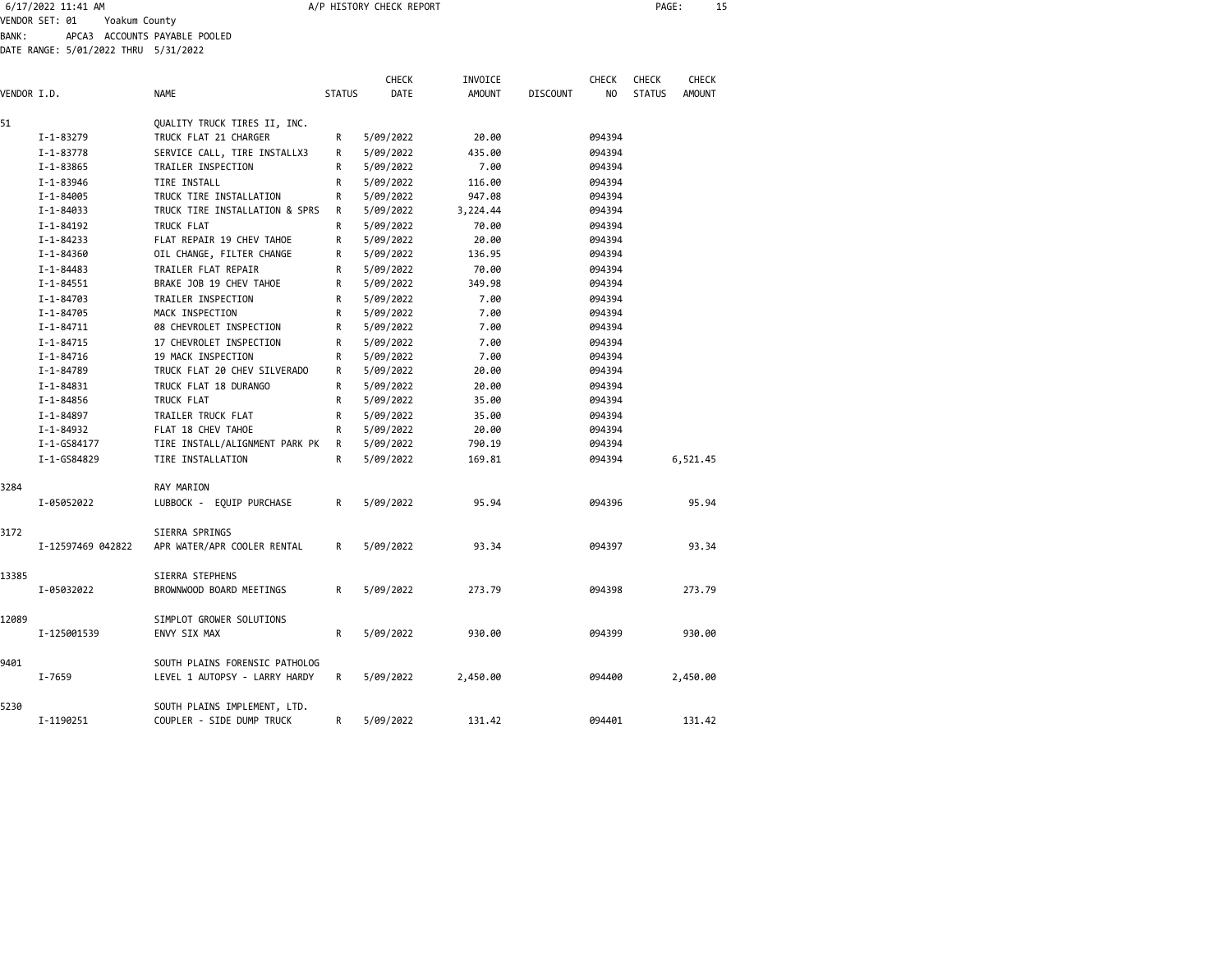| 6/17/2022 11:41 AM              | A/P HISTORY CHECK REPORT | <b>PAGE</b> |  |
|---------------------------------|--------------------------|-------------|--|
| Voakum County<br>VENDOR CET. A1 |                          |             |  |

VENDOR SET: 01 Yoakum County BANK: APCA3 ACCOUNTS PAYABLE POOLED

DATE RANGE: 5/01/2022 THRU 5/31/2022

| VENDOR I.D. |                        | <b>NAME</b>                    | <b>STATUS</b> | <b>CHECK</b><br><b>DATE</b> | INVOICE<br><b>AMOUNT</b> | <b>DISCOUNT</b> | <b>CHECK</b><br>N <sub>O</sub> | <b>CHECK</b><br><b>STATUS</b> | <b>CHECK</b><br><b>AMOUNT</b> |
|-------------|------------------------|--------------------------------|---------------|-----------------------------|--------------------------|-----------------|--------------------------------|-------------------------------|-------------------------------|
| 51          |                        | QUALITY TRUCK TIRES II, INC.   |               |                             |                          |                 |                                |                               |                               |
|             | $I - 1 - 83279$        | TRUCK FLAT 21 CHARGER          | R             | 5/09/2022                   | 20.00                    |                 | 094394                         |                               |                               |
|             | $I - 1 - 83778$        | SERVICE CALL, TIRE INSTALLX3   | R             | 5/09/2022                   | 435.00                   |                 | 094394                         |                               |                               |
|             | $I - 1 - 83865$        | TRAILER INSPECTION             | R             | 5/09/2022                   | 7.00                     |                 | 094394                         |                               |                               |
|             | I-1-83946              | TIRE INSTALL                   | R             | 5/09/2022                   | 116.00                   |                 | 094394                         |                               |                               |
|             | I-1-84005              | TRUCK TIRE INSTALLATION        | R             | 5/09/2022                   | 947.08                   |                 | 094394                         |                               |                               |
|             | I-1-84033              | TRUCK TIRE INSTALLATION & SPRS | R             | 5/09/2022                   | 3,224.44                 |                 | 094394                         |                               |                               |
|             | $I - 1 - 84192$        | TRUCK FLAT                     | R             | 5/09/2022                   | 70.00                    |                 | 094394                         |                               |                               |
|             | $I - 1 - 84233$        | FLAT REPAIR 19 CHEV TAHOE      | R             | 5/09/2022                   | 20.00                    |                 | 094394                         |                               |                               |
|             | I-1-84360              | OIL CHANGE, FILTER CHANGE      | R             | 5/09/2022                   | 136.95                   |                 | 094394                         |                               |                               |
|             | $I - 1 - 84483$        | TRAILER FLAT REPAIR            | R             | 5/09/2022                   | 70.00                    |                 | 094394                         |                               |                               |
|             | $I - 1 - 84551$        | BRAKE JOB 19 CHEV TAHOE        | R             | 5/09/2022                   | 349.98                   |                 | 094394                         |                               |                               |
|             | $I - 1 - 84703$        | TRAILER INSPECTION             | R             | 5/09/2022                   | 7.00                     |                 | 094394                         |                               |                               |
|             | I-1-84705              | MACK INSPECTION                | R             | 5/09/2022                   | 7.00                     |                 | 094394                         |                               |                               |
|             | I-1-84711              | 08 CHEVROLET INSPECTION        | R             | 5/09/2022                   | 7.00                     |                 | 094394                         |                               |                               |
|             | $I - 1 - 84715$        | 17 CHEVROLET INSPECTION        | R             | 5/09/2022                   | 7.00                     |                 | 094394                         |                               |                               |
|             | $I - 1 - 84716$        | 19 MACK INSPECTION             | R             | 5/09/2022                   | 7.00                     |                 | 094394                         |                               |                               |
|             | I-1-84789              | TRUCK FLAT 20 CHEV SILVERADO   | R             | 5/09/2022                   | 20.00                    |                 | 094394                         |                               |                               |
|             |                        | TRUCK FLAT 18 DURANGO          |               | 5/09/2022                   | 20.00                    |                 | 094394                         |                               |                               |
|             | I-1-84831<br>I-1-84856 | TRUCK FLAT                     | R<br>R        | 5/09/2022                   | 35.00                    |                 | 094394                         |                               |                               |
|             |                        |                                |               |                             |                          |                 |                                |                               |                               |
|             | $I - 1 - 84897$        | TRAILER TRUCK FLAT             | R             | 5/09/2022                   | 35.00                    |                 | 094394                         |                               |                               |
|             | I-1-84932              | FLAT 18 CHEV TAHOE             | R             | 5/09/2022                   | 20.00                    |                 | 094394                         |                               |                               |
|             | I-1-GS84177            | TIRE INSTALL/ALIGNMENT PARK PK | R             | 5/09/2022                   | 790.19                   |                 | 094394                         |                               |                               |
|             | I-1-GS84829            | TIRE INSTALLATION              | R             | 5/09/2022                   | 169.81                   |                 | 094394                         |                               | 6,521.45                      |
| 3284        |                        | RAY MARION                     |               |                             |                          |                 |                                |                               |                               |
|             | I-05052022             | LUBBOCK - EQUIP PURCHASE       | R             | 5/09/2022                   | 95.94                    |                 | 094396                         |                               | 95.94                         |
| 3172        |                        | SIERRA SPRINGS                 |               |                             |                          |                 |                                |                               |                               |
|             | I-12597469 042822      | APR WATER/APR COOLER RENTAL    | R             | 5/09/2022                   | 93.34                    |                 | 094397                         |                               | 93.34                         |
| 13385       |                        | SIERRA STEPHENS                |               |                             |                          |                 |                                |                               |                               |
|             | I-05032022             | BROWNWOOD BOARD MEETINGS       | R             | 5/09/2022                   | 273.79                   |                 | 094398                         |                               | 273.79                        |
| 12089       |                        | SIMPLOT GROWER SOLUTIONS       |               |                             |                          |                 |                                |                               |                               |
|             | I-125001539            | ENVY SIX MAX                   | R             | 5/09/2022                   | 930.00                   |                 | 094399                         |                               | 930.00                        |
| 9401        |                        | SOUTH PLAINS FORENSIC PATHOLOG |               |                             |                          |                 |                                |                               |                               |
|             | I-7659                 | LEVEL 1 AUTOPSY - LARRY HARDY  | R             | 5/09/2022                   | 2,450.00                 |                 | 094400                         |                               | 2,450.00                      |
| 5230        |                        | SOUTH PLAINS IMPLEMENT, LTD.   |               |                             |                          |                 |                                |                               |                               |
|             | I-1190251              | COUPLER - SIDE DUMP TRUCK      | R             | 5/09/2022                   | 131.42                   |                 | 094401                         |                               | 131.42                        |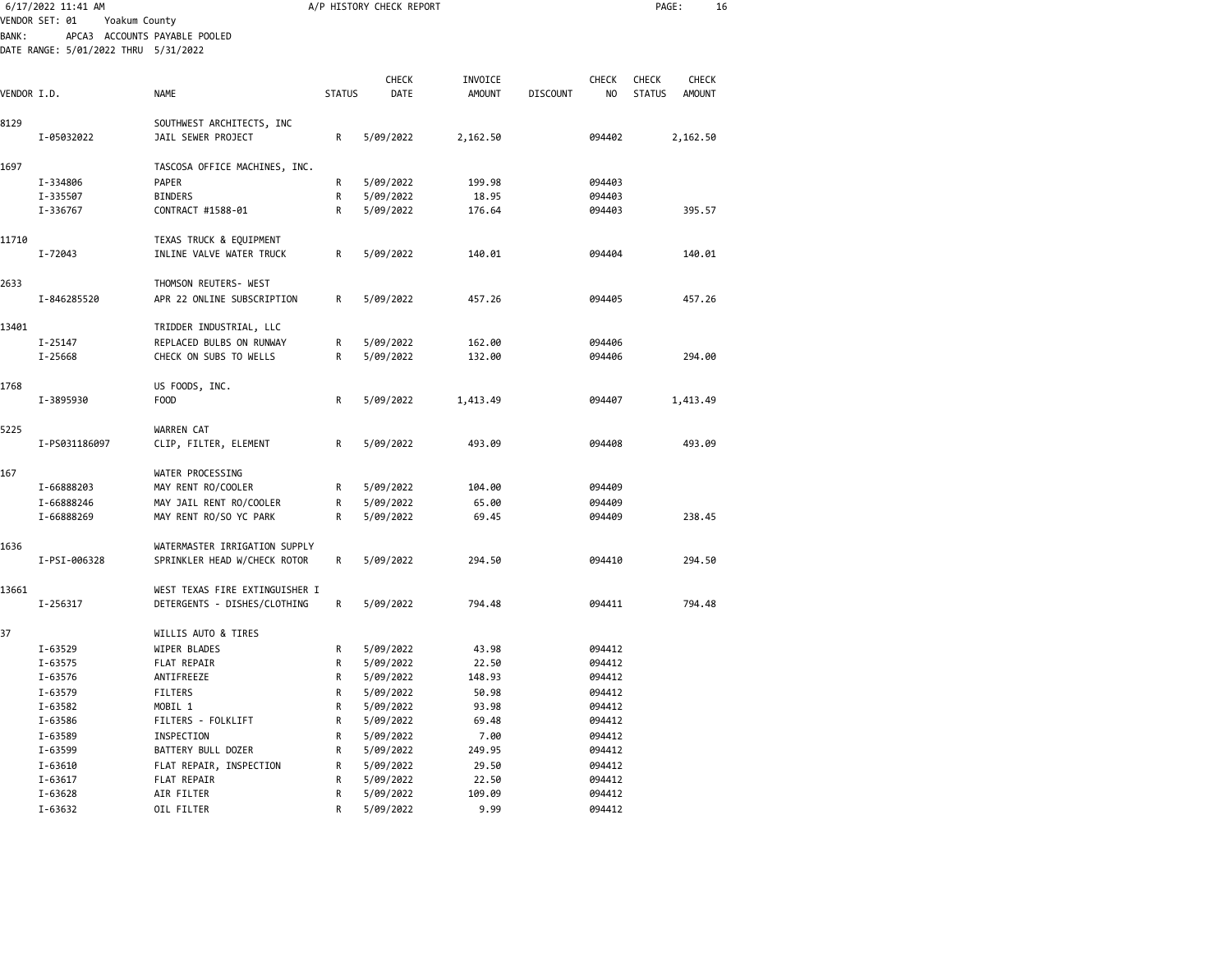|              | 6/17/2022 11:41 AM                   |                                |               | A/P HISTORY CHECK REPORT |               |                 |        | PAGE:         |               | 16 |
|--------------|--------------------------------------|--------------------------------|---------------|--------------------------|---------------|-----------------|--------|---------------|---------------|----|
|              | VENDOR SET: 01<br>Yoakum County      |                                |               |                          |               |                 |        |               |               |    |
| <b>BANK:</b> |                                      | APCA3 ACCOUNTS PAYABLE POOLED  |               |                          |               |                 |        |               |               |    |
|              | DATE RANGE: 5/01/2022 THRU 5/31/2022 |                                |               |                          |               |                 |        |               |               |    |
|              |                                      |                                |               |                          |               |                 |        |               |               |    |
|              |                                      |                                |               | <b>CHECK</b>             | INVOICE       |                 | CHECK  | <b>CHECK</b>  | <b>CHECK</b>  |    |
| VENDOR I.D.  |                                      | <b>NAME</b>                    | <b>STATUS</b> | DATE                     | <b>AMOUNT</b> | <b>DISCOUNT</b> | NO     | <b>STATUS</b> | <b>AMOUNT</b> |    |
| 8129         |                                      | SOUTHWEST ARCHITECTS, INC      |               |                          |               |                 |        |               |               |    |
|              | I-05032022                           | JAIL SEWER PROJECT             | R             | 5/09/2022                | 2,162.50      |                 | 094402 |               | 2,162.50      |    |
|              |                                      |                                |               |                          |               |                 |        |               |               |    |
| 1697         |                                      | TASCOSA OFFICE MACHINES, INC.  |               |                          |               |                 |        |               |               |    |
|              | I-334806                             | PAPER                          | R             | 5/09/2022                | 199.98        |                 | 094403 |               |               |    |
|              | I-335507                             | <b>BINDERS</b>                 | R             | 5/09/2022                | 18.95         |                 | 094403 |               |               |    |
|              | I-336767                             | CONTRACT #1588-01              | R             | 5/09/2022                | 176.64        |                 | 094403 |               | 395.57        |    |
| 11710        |                                      | TEXAS TRUCK & EQUIPMENT        |               |                          |               |                 |        |               |               |    |
|              | I-72043                              | INLINE VALVE WATER TRUCK       | R             | 5/09/2022                | 140.01        |                 | 094404 |               | 140.01        |    |
|              |                                      |                                |               |                          |               |                 |        |               |               |    |
| 2633         |                                      | THOMSON REUTERS- WEST          |               |                          |               |                 |        |               |               |    |
|              | I-846285520                          | APR 22 ONLINE SUBSCRIPTION     | R             | 5/09/2022                | 457.26        |                 | 094405 |               | 457.26        |    |
| 13401        |                                      | TRIDDER INDUSTRIAL, LLC        |               |                          |               |                 |        |               |               |    |
|              | $I - 25147$                          | REPLACED BULBS ON RUNWAY       | R             | 5/09/2022                | 162.00        |                 | 094406 |               |               |    |
|              | I-25668                              | CHECK ON SUBS TO WELLS         | R             | 5/09/2022                | 132.00        |                 | 094406 |               | 294.00        |    |
|              |                                      |                                |               |                          |               |                 |        |               |               |    |
| 1768         | I-3895930                            | US FOODS, INC.<br><b>FOOD</b>  | R             |                          |               |                 | 094407 |               |               |    |
|              |                                      |                                |               | 5/09/2022                | 1,413.49      |                 |        |               | 1,413.49      |    |
| 5225         |                                      | WARREN CAT                     |               |                          |               |                 |        |               |               |    |
|              | I-PS031186097                        | CLIP, FILTER, ELEMENT          | R             | 5/09/2022                | 493.09        |                 | 094408 |               | 493.09        |    |
|              |                                      |                                |               |                          |               |                 |        |               |               |    |
| 167          |                                      | WATER PROCESSING               |               |                          | 104.00        |                 |        |               |               |    |
|              | I-66888203                           | MAY RENT RO/COOLER             | R             | 5/09/2022                |               |                 | 094409 |               |               |    |
|              | I-66888246                           | MAY JAIL RENT RO/COOLER        | R             | 5/09/2022                | 65.00         |                 | 094409 |               |               |    |
|              | I-66888269                           | MAY RENT RO/SO YC PARK         | R             | 5/09/2022                | 69.45         |                 | 094409 |               | 238.45        |    |
| 1636         |                                      | WATERMASTER IRRIGATION SUPPLY  |               |                          |               |                 |        |               |               |    |
|              | I-PSI-006328                         | SPRINKLER HEAD W/CHECK ROTOR   | R             | 5/09/2022                | 294.50        |                 | 094410 |               | 294.50        |    |
|              |                                      |                                |               |                          |               |                 |        |               |               |    |
| 13661        |                                      | WEST TEXAS FIRE EXTINGUISHER I |               |                          |               |                 |        |               |               |    |
|              | I-256317                             | DETERGENTS - DISHES/CLOTHING   | R             | 5/09/2022                | 794.48        |                 | 094411 |               | 794.48        |    |
| 37           |                                      | WILLIS AUTO & TIRES            |               |                          |               |                 |        |               |               |    |
|              | I-63529                              | WIPER BLADES                   | R             | 5/09/2022                | 43.98         |                 | 094412 |               |               |    |
|              | I-63575                              | FLAT REPAIR                    | R             | 5/09/2022                | 22.50         |                 | 094412 |               |               |    |
|              | I-63576                              | ANTIFREEZE                     | R             | 5/09/2022                | 148.93        |                 | 094412 |               |               |    |
|              | I-63579                              | FILTERS                        | R             | 5/09/2022                | 50.98         |                 | 094412 |               |               |    |
|              | I-63582                              | MOBIL 1                        | R             | 5/09/2022                | 93.98         |                 | 094412 |               |               |    |
|              | I-63586                              | FILTERS - FOLKLIFT             | R             | 5/09/2022                | 69.48         |                 | 094412 |               |               |    |
|              | I-63589                              | INSPECTION                     | R             | 5/09/2022                | 7.00          |                 | 094412 |               |               |    |
|              | I-63599                              | BATTERY BULL DOZER             | R             | 5/09/2022                | 249.95        |                 | 094412 |               |               |    |
|              | I-63610                              | FLAT REPAIR, INSPECTION        | R             | 5/09/2022                | 29.50         |                 | 094412 |               |               |    |
|              | I-63617                              | FLAT REPAIR                    | R             | 5/09/2022                | 22.50         |                 | 094412 |               |               |    |
|              | I-63628                              | AIR FILTER                     | R             | 5/09/2022                | 109.09        |                 | 094412 |               |               |    |
|              | I-63632                              | OIL FILTER                     | R             | 5/09/2022                | 9.99          |                 | 094412 |               |               |    |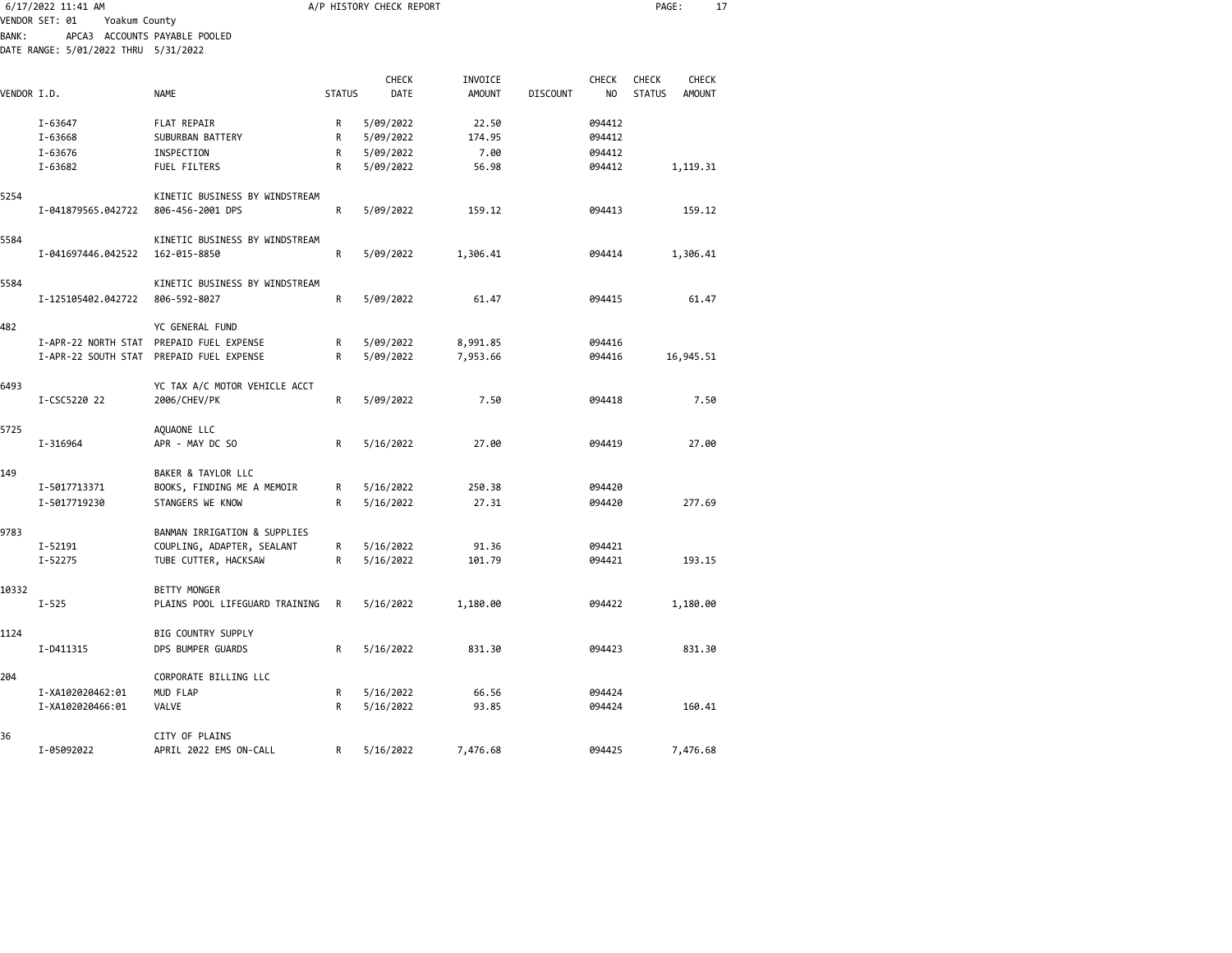|             | 6/17/2022 11:41 AM                   |                                                  | A/P HISTORY CHECK REPORT |               |                          |                 |                         |                               | 17<br>PAGE:            |  |  |
|-------------|--------------------------------------|--------------------------------------------------|--------------------------|---------------|--------------------------|-----------------|-------------------------|-------------------------------|------------------------|--|--|
|             | VENDOR SET: 01<br>Yoakum County      |                                                  |                          |               |                          |                 |                         |                               |                        |  |  |
| BANK:       | DATE RANGE: 5/01/2022 THRU 5/31/2022 | APCA3 ACCOUNTS PAYABLE POOLED                    |                          |               |                          |                 |                         |                               |                        |  |  |
| VENDOR I.D. |                                      | <b>NAME</b>                                      | <b>STATUS</b>            | CHECK<br>DATE | INVOICE<br><b>AMOUNT</b> | <b>DISCOUNT</b> | CHECK<br>N <sub>O</sub> | <b>CHECK</b><br><b>STATUS</b> | CHECK<br><b>AMOUNT</b> |  |  |
|             |                                      |                                                  |                          |               |                          |                 |                         |                               |                        |  |  |
|             | I-63647                              | <b>FLAT REPAIR</b>                               | R                        | 5/09/2022     | 22.50                    |                 | 094412                  |                               |                        |  |  |
|             | I-63668                              | SUBURBAN BATTERY                                 | R                        | 5/09/2022     | 174.95                   |                 | 094412                  |                               |                        |  |  |
|             | I-63676                              | INSPECTION                                       | R<br>R                   | 5/09/2022     | 7.00                     |                 | 094412                  |                               |                        |  |  |
|             | I-63682                              | FUEL FILTERS                                     |                          | 5/09/2022     | 56.98                    |                 | 094412                  |                               | 1,119.31               |  |  |
| 5254        |                                      | KINETIC BUSINESS BY WINDSTREAM                   |                          |               |                          |                 |                         |                               |                        |  |  |
|             | I-041879565.042722                   | 806-456-2001 DPS                                 | R                        | 5/09/2022     | 159.12                   |                 | 094413                  |                               | 159.12                 |  |  |
|             |                                      |                                                  |                          |               |                          |                 |                         |                               |                        |  |  |
| 5584        |                                      | KINETIC BUSINESS BY WINDSTREAM                   |                          |               |                          |                 |                         |                               |                        |  |  |
|             | I-041697446.042522                   | 162-015-8850                                     | R                        | 5/09/2022     | 1,306.41                 |                 | 094414                  |                               | 1,306.41               |  |  |
|             |                                      |                                                  |                          |               |                          |                 |                         |                               |                        |  |  |
| 5584        |                                      | KINETIC BUSINESS BY WINDSTREAM                   |                          |               |                          |                 |                         |                               |                        |  |  |
|             | I-125105402.042722                   | 806-592-8027                                     | R                        | 5/09/2022     | 61.47                    |                 | 094415                  |                               | 61.47                  |  |  |
| 482         |                                      | YC GENERAL FUND                                  |                          |               |                          |                 |                         |                               |                        |  |  |
|             |                                      | I-APR-22 NORTH STAT PREPAID FUEL EXPENSE         | R                        | 5/09/2022     | 8,991.85                 |                 | 094416                  |                               |                        |  |  |
|             |                                      | I-APR-22 SOUTH STAT PREPAID FUEL EXPENSE         | R                        | 5/09/2022     | 7,953.66                 |                 | 094416                  |                               | 16,945.51              |  |  |
|             |                                      |                                                  |                          |               |                          |                 |                         |                               |                        |  |  |
| 6493        |                                      | YC TAX A/C MOTOR VEHICLE ACCT                    |                          |               |                          |                 |                         |                               |                        |  |  |
|             | I-CSC5220 22                         | 2006/CHEV/PK                                     | R                        | 5/09/2022     | 7.50                     |                 | 094418                  |                               | 7.50                   |  |  |
|             |                                      |                                                  |                          |               |                          |                 |                         |                               |                        |  |  |
| 5725        |                                      | AQUAONE LLC                                      |                          |               |                          |                 |                         |                               |                        |  |  |
|             | I-316964                             | APR - MAY DC SO                                  | R                        | 5/16/2022     | 27.00                    |                 | 094419                  |                               | 27.00                  |  |  |
| 149         |                                      |                                                  |                          |               |                          |                 |                         |                               |                        |  |  |
|             | I-5017713371                         | BAKER & TAYLOR LLC<br>BOOKS, FINDING ME A MEMOIR | R                        | 5/16/2022     | 250.38                   |                 | 094420                  |                               |                        |  |  |
|             | I-5017719230                         | STANGERS WE KNOW                                 | R                        | 5/16/2022     | 27.31                    |                 | 094420                  |                               | 277.69                 |  |  |
|             |                                      |                                                  |                          |               |                          |                 |                         |                               |                        |  |  |
| 9783        |                                      | BANMAN IRRIGATION & SUPPLIES                     |                          |               |                          |                 |                         |                               |                        |  |  |
|             | I-52191                              | COUPLING, ADAPTER, SEALANT                       | R                        | 5/16/2022     | 91.36                    |                 | 094421                  |                               |                        |  |  |
|             | I-52275                              | TUBE CUTTER, HACKSAW                             | R                        | 5/16/2022     | 101.79                   |                 | 094421                  |                               | 193.15                 |  |  |
|             |                                      |                                                  |                          |               |                          |                 |                         |                               |                        |  |  |
| 10332       |                                      | <b>BETTY MONGER</b>                              |                          |               |                          |                 |                         |                               |                        |  |  |
|             | $I - 525$                            | PLAINS POOL LIFEGUARD TRAINING                   | R                        | 5/16/2022     | 1,180.00                 |                 | 094422                  |                               | 1,180.00               |  |  |
|             |                                      |                                                  |                          |               |                          |                 |                         |                               |                        |  |  |
| 1124        |                                      | BIG COUNTRY SUPPLY<br>DPS BUMPER GUARDS          | R                        |               | 831.30                   |                 | 094423                  |                               | 831.30                 |  |  |
|             | I-D411315                            |                                                  |                          | 5/16/2022     |                          |                 |                         |                               |                        |  |  |
| 204         |                                      | CORPORATE BILLING LLC                            |                          |               |                          |                 |                         |                               |                        |  |  |
|             | I-XA102020462:01                     | MUD FLAP                                         | R                        | 5/16/2022     | 66.56                    |                 | 094424                  |                               |                        |  |  |
|             | I-XA102020466:01                     | VALVE                                            | R                        | 5/16/2022     | 93.85                    |                 | 094424                  |                               | 160.41                 |  |  |
|             |                                      |                                                  |                          |               |                          |                 |                         |                               |                        |  |  |
| 36          |                                      | CITY OF PLAINS                                   |                          |               |                          |                 |                         |                               |                        |  |  |

I-05092022 APRIL 2022 EMS ON-CALL R 5/16/2022 7,476.68 094425 7,476.68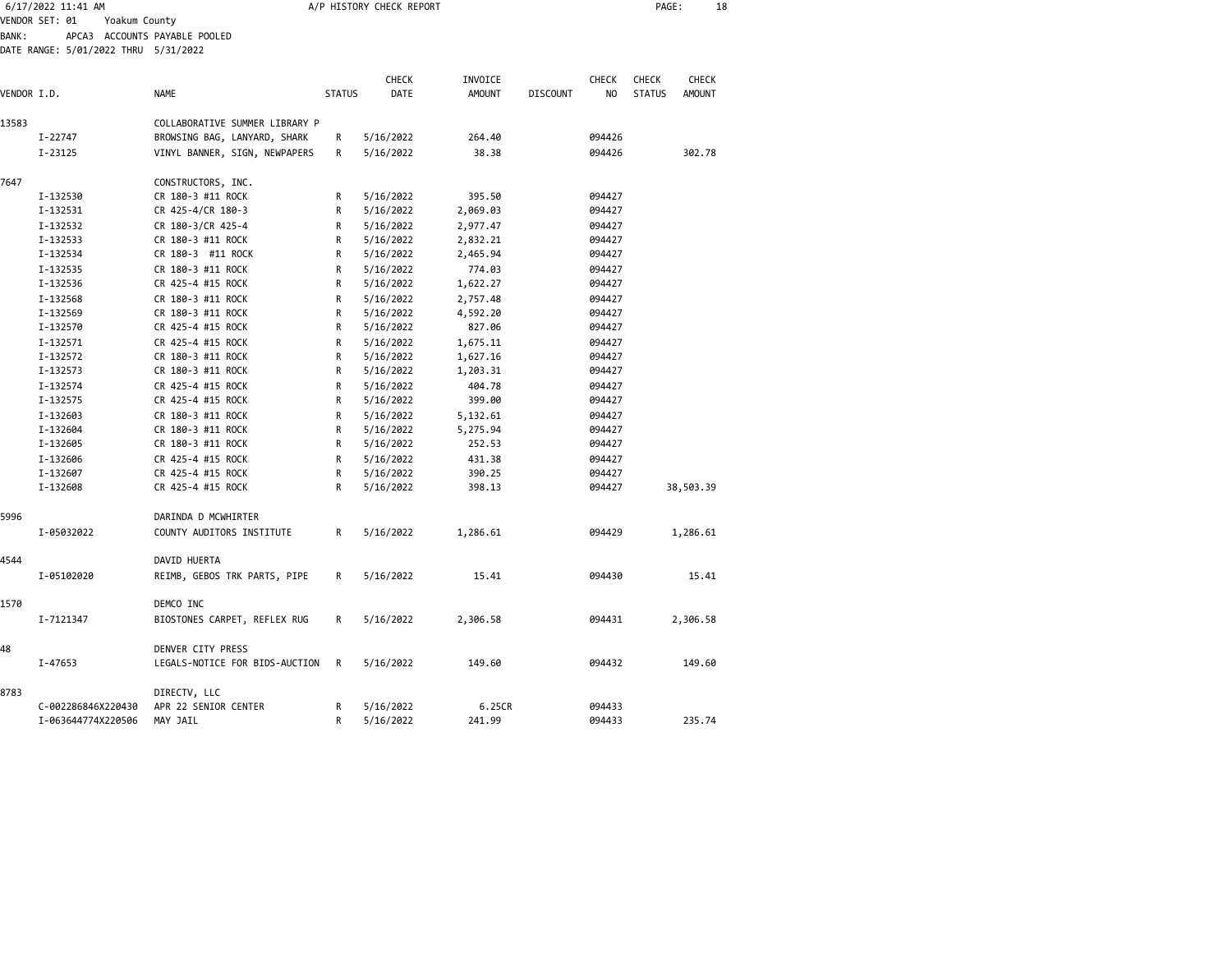|              | 6/17/2022 11:41 AM                   |                                | A/P HISTORY CHECK REPORT |              |               |                 |                |               | PAGE:<br>18   |  |
|--------------|--------------------------------------|--------------------------------|--------------------------|--------------|---------------|-----------------|----------------|---------------|---------------|--|
|              | VENDOR SET: 01<br>Yoakum County      |                                |                          |              |               |                 |                |               |               |  |
| <b>BANK:</b> |                                      | APCA3 ACCOUNTS PAYABLE POOLED  |                          |              |               |                 |                |               |               |  |
|              | DATE RANGE: 5/01/2022 THRU 5/31/2022 |                                |                          |              |               |                 |                |               |               |  |
|              |                                      |                                |                          |              |               |                 |                |               |               |  |
|              |                                      |                                |                          | <b>CHECK</b> | INVOICE       |                 | CHECK          | CHECK         | CHECK         |  |
| VENDOR I.D.  |                                      | <b>NAME</b>                    | <b>STATUS</b>            | DATE         | <b>AMOUNT</b> | <b>DISCOUNT</b> | N <sub>0</sub> | <b>STATUS</b> | <b>AMOUNT</b> |  |
| 13583        |                                      | COLLABORATIVE SUMMER LIBRARY P |                          |              |               |                 |                |               |               |  |
|              | I-22747                              | BROWSING BAG, LANYARD, SHARK   | R                        | 5/16/2022    | 264.40        |                 | 094426         |               |               |  |
|              | I-23125                              | VINYL BANNER, SIGN, NEWPAPERS  | R                        | 5/16/2022    | 38.38         |                 | 094426         |               | 302.78        |  |
|              |                                      |                                |                          |              |               |                 |                |               |               |  |
| 7647         |                                      | CONSTRUCTORS, INC.             |                          |              |               |                 |                |               |               |  |
|              | I-132530                             | CR 180-3 #11 ROCK              | R                        | 5/16/2022    | 395.50        |                 | 094427         |               |               |  |
|              | I-132531                             | CR 425-4/CR 180-3              | R                        | 5/16/2022    | 2,069.03      |                 | 094427         |               |               |  |
|              | I-132532                             | CR 180-3/CR 425-4              | R                        | 5/16/2022    | 2,977.47      |                 | 094427         |               |               |  |
|              | I-132533                             | CR 180-3 #11 ROCK              | R                        | 5/16/2022    | 2,832.21      |                 | 094427         |               |               |  |
|              | I-132534                             | CR 180-3 #11 ROCK              | R                        | 5/16/2022    | 2,465.94      |                 | 094427         |               |               |  |
|              | I-132535                             | CR 180-3 #11 ROCK              | R                        | 5/16/2022    | 774.03        |                 | 094427         |               |               |  |
|              | I-132536                             | CR 425-4 #15 ROCK              | R                        | 5/16/2022    | 1,622.27      |                 | 094427         |               |               |  |
|              | I-132568                             | CR 180-3 #11 ROCK              | R                        | 5/16/2022    | 2,757.48      |                 | 094427         |               |               |  |
|              | I-132569                             | CR 180-3 #11 ROCK              | R                        | 5/16/2022    | 4,592.20      |                 | 094427         |               |               |  |
|              | I-132570                             | CR 425-4 #15 ROCK              | R                        | 5/16/2022    | 827.06        |                 | 094427         |               |               |  |
|              | I-132571                             | CR 425-4 #15 ROCK              | R                        | 5/16/2022    | 1,675.11      |                 | 094427         |               |               |  |
|              | I-132572                             | CR 180-3 #11 ROCK              | R                        | 5/16/2022    | 1,627.16      |                 | 094427         |               |               |  |
|              | I-132573                             | CR 180-3 #11 ROCK              | R                        | 5/16/2022    | 1,203.31      |                 | 094427         |               |               |  |
|              | I-132574                             | CR 425-4 #15 ROCK              | R                        | 5/16/2022    | 404.78        |                 | 094427         |               |               |  |
|              | I-132575                             | CR 425-4 #15 ROCK              | R                        | 5/16/2022    | 399.00        |                 | 094427         |               |               |  |
|              | I-132603                             | CR 180-3 #11 ROCK              | R                        | 5/16/2022    | 5,132.61      |                 | 094427         |               |               |  |
|              | I-132604                             | CR 180-3 #11 ROCK              | R                        | 5/16/2022    | 5,275.94      |                 | 094427         |               |               |  |
|              | I-132605                             | CR 180-3 #11 ROCK              | R                        | 5/16/2022    | 252.53        |                 | 094427         |               |               |  |
|              | I-132606                             | CR 425-4 #15 ROCK              | R                        | 5/16/2022    | 431.38        |                 | 094427         |               |               |  |
|              | I-132607                             | CR 425-4 #15 ROCK              | R                        | 5/16/2022    | 390.25        |                 | 094427         |               |               |  |
|              | I-132608                             | CR 425-4 #15 ROCK              | R                        | 5/16/2022    | 398.13        |                 | 094427         |               | 38,503.39     |  |
|              |                                      |                                |                          |              |               |                 |                |               |               |  |
| 5996         |                                      | DARINDA D MCWHIRTER            |                          |              |               |                 |                |               |               |  |
|              | I-05032022                           | COUNTY AUDITORS INSTITUTE      | R                        | 5/16/2022    | 1,286.61      |                 | 094429         |               | 1,286.61      |  |
|              |                                      |                                |                          |              |               |                 |                |               |               |  |
| 4544         |                                      | DAVID HUERTA                   |                          |              |               |                 |                |               |               |  |
|              | I-05102020                           | REIMB, GEBOS TRK PARTS, PIPE   | R                        | 5/16/2022    | 15.41         |                 | 094430         |               | 15.41         |  |
|              |                                      |                                |                          |              |               |                 |                |               |               |  |
| 1570         |                                      | DEMCO INC                      |                          |              |               |                 |                |               |               |  |
|              | I-7121347                            | BIOSTONES CARPET, REFLEX RUG   | R                        | 5/16/2022    | 2,306.58      |                 | 094431         |               | 2,306.58      |  |
|              |                                      |                                |                          |              |               |                 |                |               |               |  |
| 48           |                                      | DENVER CITY PRESS              |                          |              |               |                 |                |               |               |  |
|              | I-47653                              | LEGALS-NOTICE FOR BIDS-AUCTION | R                        | 5/16/2022    | 149.60        |                 | 094432         |               | 149.60        |  |
|              |                                      |                                |                          |              |               |                 |                |               |               |  |
| 8783         |                                      | DIRECTV, LLC                   |                          |              |               |                 |                |               |               |  |
|              | C-002286846X220430                   | APR 22 SENIOR CENTER           | R                        | 5/16/2022    | 6.25CR        |                 | 094433         |               |               |  |
|              | I-063644774X220506                   | MAY JAIL                       | R                        | 5/16/2022    | 241.99        |                 | 094433         |               | 235.74        |  |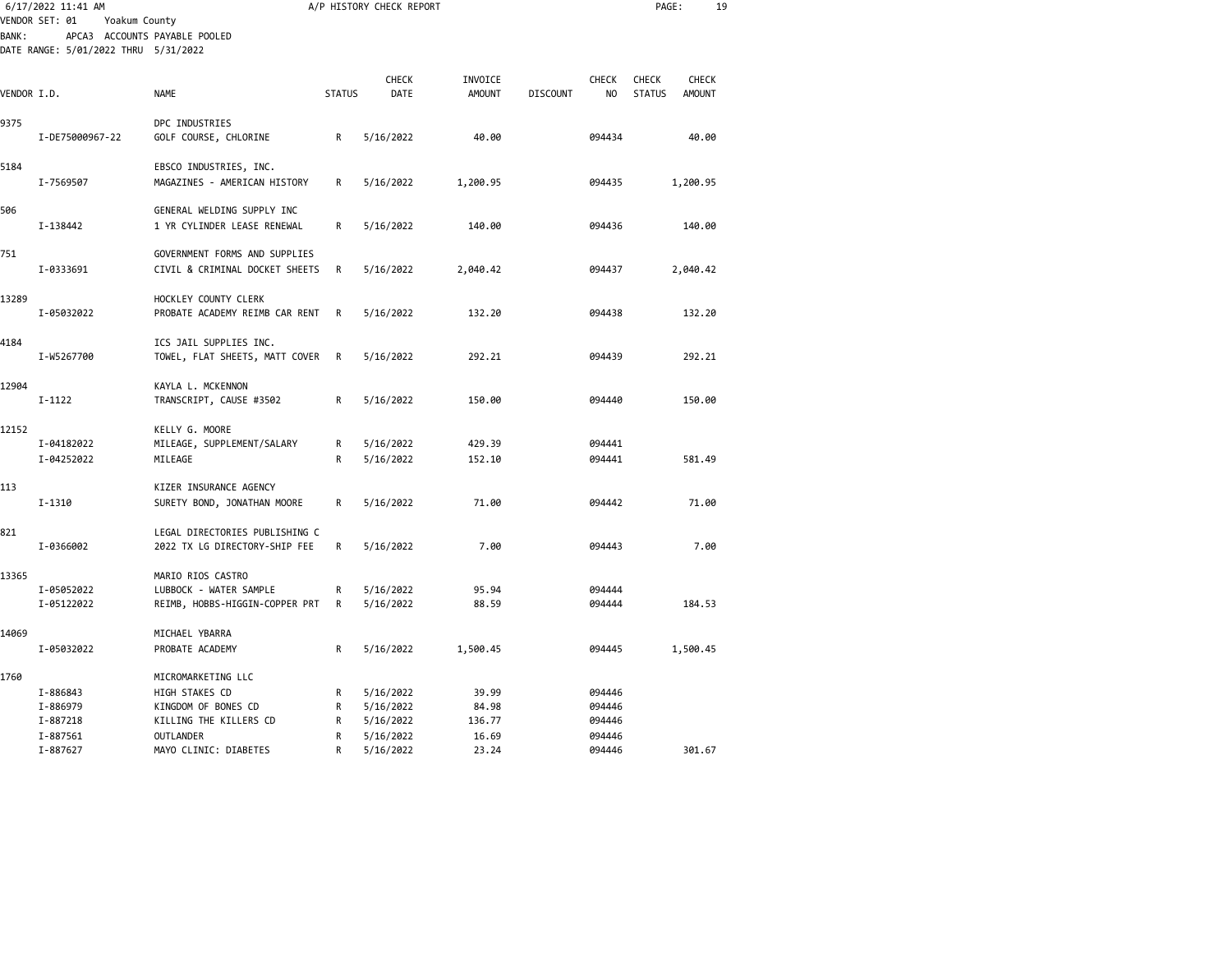|              | 6/17/2022 11:41 AM                   |                                |               | A/P HISTORY CHECK REPORT |               |                 |                | PAGE:         |               | 19 |
|--------------|--------------------------------------|--------------------------------|---------------|--------------------------|---------------|-----------------|----------------|---------------|---------------|----|
|              | VENDOR SET: 01<br>Yoakum County      |                                |               |                          |               |                 |                |               |               |    |
| <b>BANK:</b> |                                      | APCA3 ACCOUNTS PAYABLE POOLED  |               |                          |               |                 |                |               |               |    |
|              | DATE RANGE: 5/01/2022 THRU 5/31/2022 |                                |               |                          |               |                 |                |               |               |    |
|              |                                      |                                |               | CHECK                    | INVOICE       |                 | <b>CHECK</b>   | <b>CHECK</b>  | CHECK         |    |
| VENDOR I.D.  |                                      | <b>NAME</b>                    | <b>STATUS</b> | DATE                     | <b>AMOUNT</b> | <b>DISCOUNT</b> | N <sub>O</sub> | <b>STATUS</b> | <b>AMOUNT</b> |    |
| 9375         |                                      | DPC INDUSTRIES                 |               |                          |               |                 |                |               |               |    |
|              | I-DE75000967-22                      | GOLF COURSE, CHLORINE          | R             | 5/16/2022                | 40.00         |                 | 094434         |               | 40.00         |    |
| 5184         |                                      | EBSCO INDUSTRIES, INC.         |               |                          |               |                 |                |               |               |    |
|              | I-7569507                            | MAGAZINES - AMERICAN HISTORY   | R             | 5/16/2022                | 1,200.95      |                 | 094435         |               | 1,200.95      |    |
| 506          |                                      | GENERAL WELDING SUPPLY INC     |               |                          |               |                 |                |               |               |    |
|              | I-138442                             | 1 YR CYLINDER LEASE RENEWAL    | R             | 5/16/2022                | 140.00        |                 | 094436         |               | 140.00        |    |
| 751          |                                      | GOVERNMENT FORMS AND SUPPLIES  |               |                          |               |                 |                |               |               |    |
|              | I-0333691                            | CIVIL & CRIMINAL DOCKET SHEETS | R             | 5/16/2022                | 2,040.42      |                 | 094437         |               | 2,040.42      |    |
| 13289        |                                      | HOCKLEY COUNTY CLERK           |               |                          |               |                 |                |               |               |    |
|              | I-05032022                           | PROBATE ACADEMY REIMB CAR RENT | R             | 5/16/2022                | 132.20        |                 | 094438         |               | 132.20        |    |
| 4184         |                                      | ICS JAIL SUPPLIES INC.         |               |                          |               |                 |                |               |               |    |
|              | I-W5267700                           | TOWEL, FLAT SHEETS, MATT COVER | R             | 5/16/2022                | 292.21        |                 | 094439         |               | 292.21        |    |
| 12904        |                                      | KAYLA L. MCKENNON              |               |                          |               |                 |                |               |               |    |
|              | $I-1122$                             | TRANSCRIPT, CAUSE #3502        | R             | 5/16/2022                | 150.00        |                 | 094440         |               | 150.00        |    |
| 12152        |                                      | KELLY G. MOORE                 |               |                          |               |                 |                |               |               |    |
|              | I-04182022                           | MILEAGE, SUPPLEMENT/SALARY     | R             | 5/16/2022                | 429.39        |                 | 094441         |               |               |    |
|              | I-04252022                           | MILEAGE                        | R             | 5/16/2022                | 152.10        |                 | 094441         |               | 581.49        |    |
| 113          |                                      | KIZER INSURANCE AGENCY         |               |                          |               |                 |                |               |               |    |
|              | $I - 1310$                           | SURETY BOND, JONATHAN MOORE    | R             | 5/16/2022                | 71.00         |                 | 094442         |               | 71.00         |    |
| 821          |                                      | LEGAL DIRECTORIES PUBLISHING C |               |                          |               |                 |                |               |               |    |
|              | I-0366002                            | 2022 TX LG DIRECTORY-SHIP FEE  | R             | 5/16/2022                | 7.00          |                 | 094443         |               | 7.00          |    |
| 13365        |                                      | MARIO RIOS CASTRO              |               |                          |               |                 |                |               |               |    |
|              | I-05052022                           | LUBBOCK - WATER SAMPLE         | R             | 5/16/2022                | 95.94         |                 | 094444         |               |               |    |
|              | I-05122022                           | REIMB, HOBBS-HIGGIN-COPPER PRT | R             | 5/16/2022                | 88.59         |                 | 094444         |               | 184.53        |    |
| 14069        |                                      | MICHAEL YBARRA                 |               |                          |               |                 |                |               |               |    |
|              | I-05032022                           | PROBATE ACADEMY                | R             | 5/16/2022                | 1,500.45      |                 | 094445         |               | 1,500.45      |    |
| 1760         |                                      | MICROMARKETING LLC             |               |                          |               |                 |                |               |               |    |
|              | I-886843                             | HIGH STAKES CD                 | R             | 5/16/2022                | 39.99         |                 | 094446         |               |               |    |
|              | I-886979                             | KINGDOM OF BONES CD            | R             | 5/16/2022                | 84.98         |                 | 094446         |               |               |    |
|              | I-887218                             | KILLING THE KILLERS CD         | R             | 5/16/2022                | 136.77        |                 | 094446         |               |               |    |
|              | I-887561                             | <b>OUTLANDER</b>               | R             | 5/16/2022                | 16.69         |                 | 094446         |               |               |    |
|              | I-887627                             | MAYO CLINIC: DIABETES          | R             | 5/16/2022                | 23.24         |                 | 094446         |               | 301.67        |    |
|              |                                      |                                |               |                          |               |                 |                |               |               |    |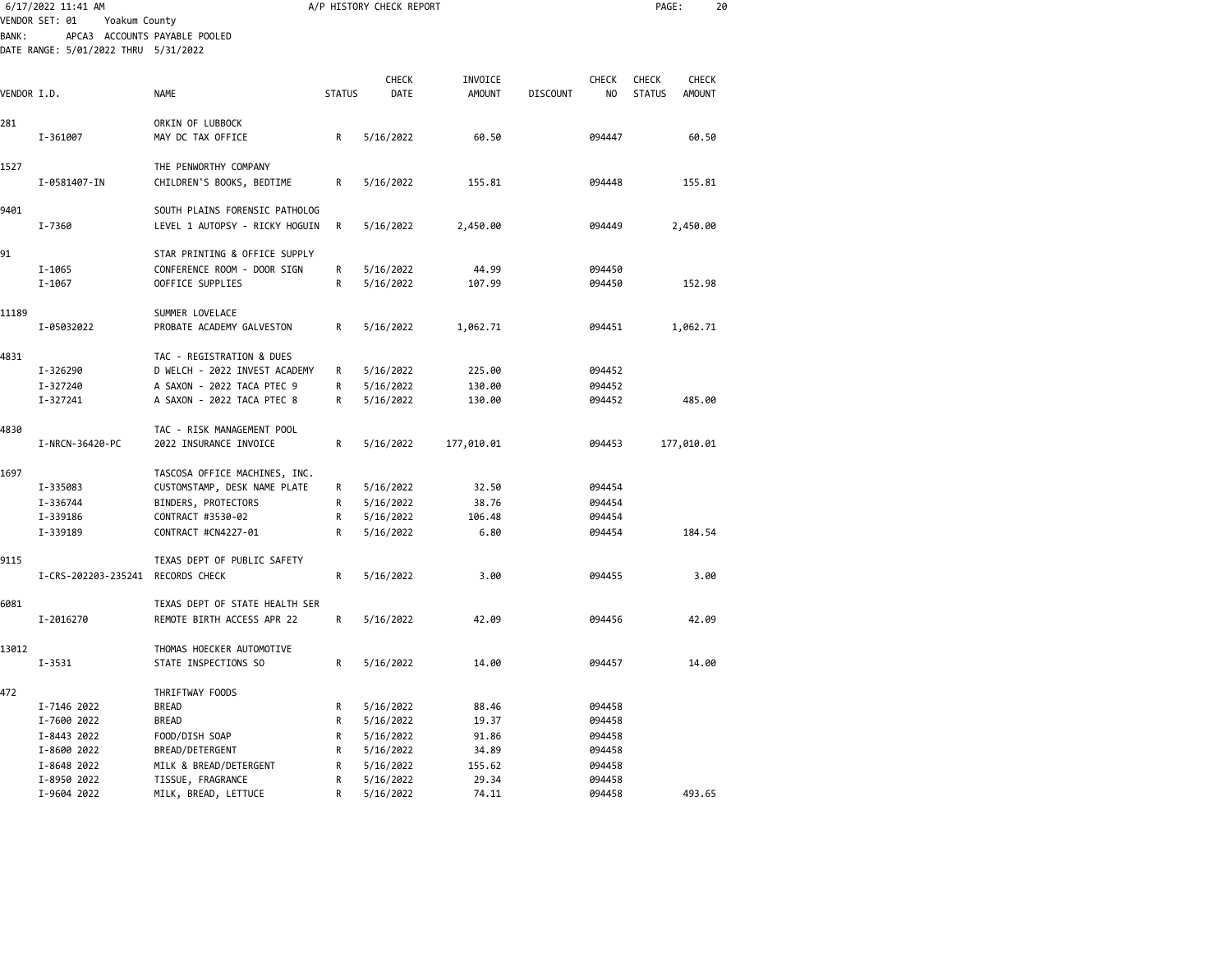|             | 6/17/2022 11:41 AM                   |                                                            |                  | A/P HISTORY CHECK REPORT |                          |                 |                                | PAGE:                  |                        | 20 |
|-------------|--------------------------------------|------------------------------------------------------------|------------------|--------------------------|--------------------------|-----------------|--------------------------------|------------------------|------------------------|----|
|             | VENDOR SET: 01<br>Yoakum County      |                                                            |                  |                          |                          |                 |                                |                        |                        |    |
| BANK:       |                                      | APCA3 ACCOUNTS PAYABLE POOLED                              |                  |                          |                          |                 |                                |                        |                        |    |
|             | DATE RANGE: 5/01/2022 THRU 5/31/2022 |                                                            |                  |                          |                          |                 |                                |                        |                        |    |
|             |                                      |                                                            |                  |                          |                          |                 |                                |                        |                        |    |
| VENDOR I.D. |                                      | <b>NAME</b>                                                | <b>STATUS</b>    | CHECK<br>DATE            | INVOICE<br><b>AMOUNT</b> | <b>DISCOUNT</b> | <b>CHECK</b><br>N <sub>O</sub> | CHECK<br><b>STATUS</b> | CHECK<br><b>AMOUNT</b> |    |
|             |                                      |                                                            |                  |                          |                          |                 |                                |                        |                        |    |
| 281         |                                      | ORKIN OF LUBBOCK                                           |                  |                          |                          |                 |                                |                        |                        |    |
|             | I-361007                             | MAY DC TAX OFFICE                                          | R                | 5/16/2022                | 60.50                    |                 | 094447                         |                        | 60.50                  |    |
|             |                                      |                                                            |                  |                          |                          |                 |                                |                        |                        |    |
| 1527        |                                      | THE PENWORTHY COMPANY                                      |                  |                          |                          |                 |                                |                        |                        |    |
|             | I-0581407-IN                         | CHILDREN'S BOOKS, BEDTIME                                  | R                | 5/16/2022                | 155.81                   |                 | 094448                         |                        | 155.81                 |    |
|             |                                      |                                                            |                  |                          |                          |                 |                                |                        |                        |    |
| 9401        |                                      | SOUTH PLAINS FORENSIC PATHOLOG                             |                  |                          |                          |                 |                                |                        |                        |    |
|             | I-7360                               | LEVEL 1 AUTOPSY - RICKY HOGUIN                             | $\mathsf{R}$     | 5/16/2022                | 2,450.00                 |                 | 094449                         |                        | 2,450.00               |    |
| 91          |                                      | STAR PRINTING & OFFICE SUPPLY                              |                  |                          |                          |                 |                                |                        |                        |    |
|             | I-1065                               | CONFERENCE ROOM - DOOR SIGN                                | $\mathsf R$      | 5/16/2022                | 44.99                    |                 | 094450                         |                        |                        |    |
|             | $I - 1067$                           | OOFFICE SUPPLIES                                           | R                | 5/16/2022                | 107.99                   |                 | 094450                         |                        | 152.98                 |    |
|             |                                      |                                                            |                  |                          |                          |                 |                                |                        |                        |    |
| 11189       |                                      | SUMMER LOVELACE                                            |                  |                          |                          |                 |                                |                        |                        |    |
|             | I-05032022                           | PROBATE ACADEMY GALVESTON                                  | $\mathsf{R}$     | 5/16/2022                | 1,062.71                 |                 | 094451                         |                        | 1,062.71               |    |
|             |                                      |                                                            |                  |                          |                          |                 |                                |                        |                        |    |
| 4831        | I-326290                             | TAC - REGISTRATION & DUES<br>D WELCH - 2022 INVEST ACADEMY | R                | 5/16/2022                | 225.00                   |                 | 094452                         |                        |                        |    |
|             | I-327240                             | A SAXON - 2022 TACA PTEC 9                                 | R                | 5/16/2022                | 130.00                   |                 | 094452                         |                        |                        |    |
|             | I-327241                             | A SAXON - 2022 TACA PTEC 8                                 | R                | 5/16/2022                | 130.00                   |                 | 094452                         |                        | 485.00                 |    |
|             |                                      |                                                            |                  |                          |                          |                 |                                |                        |                        |    |
| 4830        |                                      | TAC - RISK MANAGEMENT POOL                                 |                  |                          |                          |                 |                                |                        |                        |    |
|             | I-NRCN-36420-PC                      | 2022 INSURANCE INVOICE                                     | R                | 5/16/2022                | 177,010.01               |                 | 094453                         |                        | 177,010.01             |    |
|             |                                      |                                                            |                  |                          |                          |                 |                                |                        |                        |    |
| 1697        |                                      | TASCOSA OFFICE MACHINES, INC.                              |                  |                          |                          |                 |                                |                        |                        |    |
|             | I-335083                             | CUSTOMSTAMP, DESK NAME PLATE                               | R                | 5/16/2022                | 32.50                    |                 | 094454                         |                        |                        |    |
|             | I-336744<br>I-339186                 | BINDERS, PROTECTORS<br>CONTRACT #3530-02                   | R<br>R           | 5/16/2022<br>5/16/2022   | 38.76<br>106.48          |                 | 094454<br>094454               |                        |                        |    |
|             | I-339189                             | CONTRACT #CN4227-01                                        | R                | 5/16/2022                | 6.80                     |                 | 094454                         |                        | 184.54                 |    |
|             |                                      |                                                            |                  |                          |                          |                 |                                |                        |                        |    |
| 9115        |                                      | TEXAS DEPT OF PUBLIC SAFETY                                |                  |                          |                          |                 |                                |                        |                        |    |
|             | I-CRS-202203-235241 RECORDS CHECK    |                                                            | R                | 5/16/2022                | 3.00                     |                 | 094455                         |                        | 3.00                   |    |
|             |                                      |                                                            |                  |                          |                          |                 |                                |                        |                        |    |
| 6081        |                                      | TEXAS DEPT OF STATE HEALTH SER                             |                  |                          |                          |                 |                                |                        |                        |    |
|             | I-2016270                            | REMOTE BIRTH ACCESS APR 22                                 | R                | 5/16/2022                | 42.09                    |                 | 094456                         |                        | 42.09                  |    |
| 13012       |                                      | THOMAS HOECKER AUTOMOTIVE                                  |                  |                          |                          |                 |                                |                        |                        |    |
|             | $I - 3531$                           | STATE INSPECTIONS SO                                       | R                | 5/16/2022                | 14.00                    |                 | 094457                         |                        | 14.00                  |    |
|             |                                      |                                                            |                  |                          |                          |                 |                                |                        |                        |    |
| 472         |                                      | THRIFTWAY FOODS                                            |                  |                          |                          |                 |                                |                        |                        |    |
|             | I-7146 2022                          | <b>BREAD</b>                                               | $\mathsf R$      | 5/16/2022                | 88.46                    |                 | 094458                         |                        |                        |    |
|             | I-7600 2022                          | <b>BREAD</b>                                               | R                | 5/16/2022                | 19.37                    |                 | 094458                         |                        |                        |    |
|             | I-8443 2022                          | FOOD/DISH SOAP                                             | $\mathsf R$      | 5/16/2022                | 91.86                    |                 | 094458                         |                        |                        |    |
|             | I-8600 2022                          | BREAD/DETERGENT                                            | $\mathsf R$      | 5/16/2022                | 34.89                    |                 | 094458                         |                        |                        |    |
|             | I-8648 2022<br>I-8950 2022           | MILK & BREAD/DETERGENT                                     | R<br>$\mathsf R$ | 5/16/2022                | 155.62<br>29.34          |                 | 094458<br>094458               |                        |                        |    |
|             | I-9604 2022                          | TISSUE, FRAGRANCE<br>MILK, BREAD, LETTUCE                  | R                | 5/16/2022<br>5/16/2022   | 74.11                    |                 | 094458                         |                        | 493.65                 |    |
|             |                                      |                                                            |                  |                          |                          |                 |                                |                        |                        |    |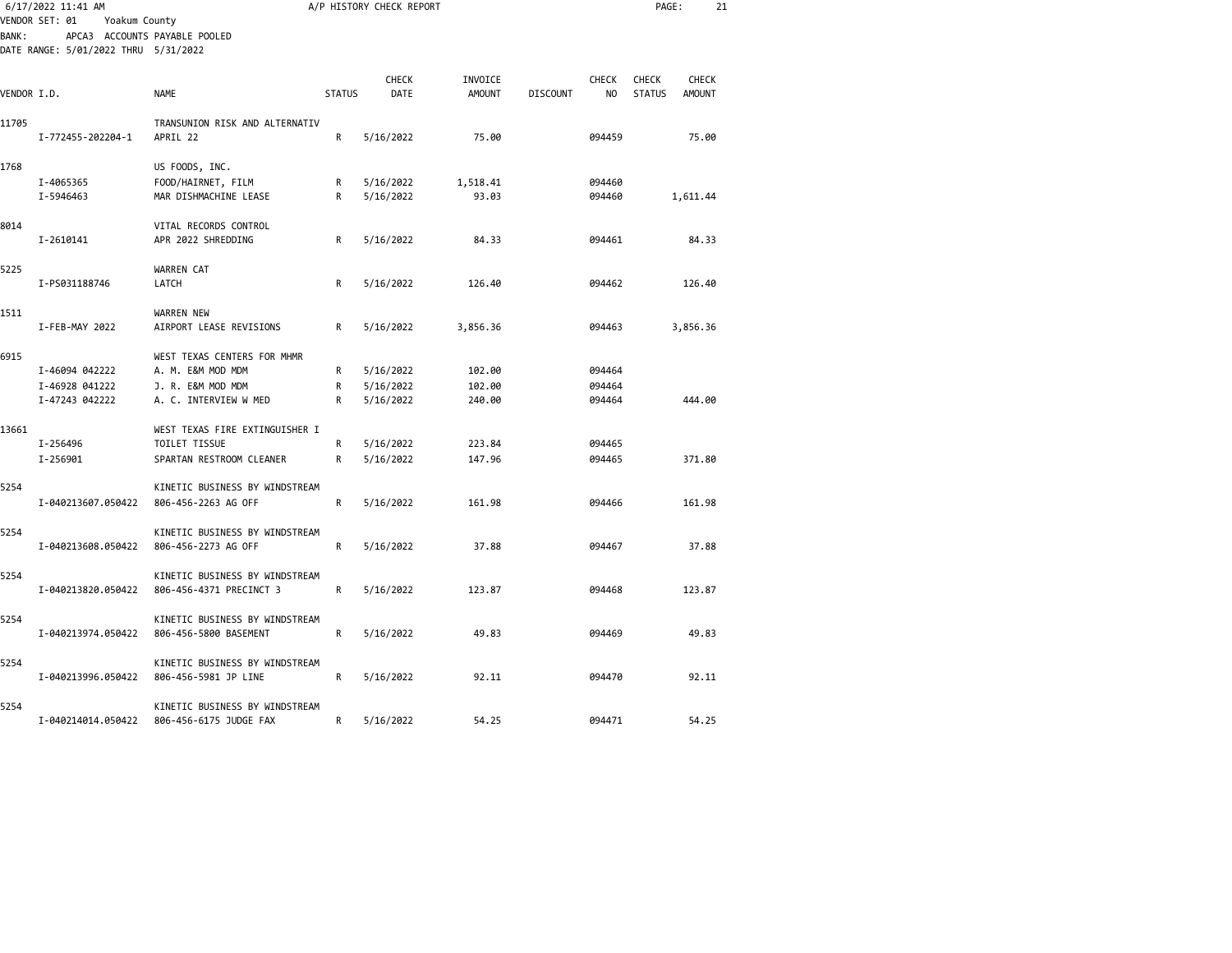|              | 6/17/2022 11:41 AM<br>VENDOR SET: 01<br>Yoakum County                 |                                                           |               | A/P HISTORY CHECK REPORT |                          | PAGE:<br>21     |                    |                               |                               |  |
|--------------|-----------------------------------------------------------------------|-----------------------------------------------------------|---------------|--------------------------|--------------------------|-----------------|--------------------|-------------------------------|-------------------------------|--|
| <b>BANK:</b> | APCA3 ACCOUNTS PAYABLE POOLED<br>DATE RANGE: 5/01/2022 THRU 5/31/2022 |                                                           |               |                          |                          |                 |                    |                               |                               |  |
| VENDOR I.D.  |                                                                       | <b>NAME</b>                                               | <b>STATUS</b> | CHECK<br>DATE            | INVOICE<br><b>AMOUNT</b> | <b>DISCOUNT</b> | <b>CHECK</b><br>NO | <b>CHECK</b><br><b>STATUS</b> | <b>CHECK</b><br><b>AMOUNT</b> |  |
|              |                                                                       |                                                           |               |                          |                          |                 |                    |                               |                               |  |
| 11705        | I-772455-202204-1                                                     | TRANSUNION RISK AND ALTERNATIV<br>APRIL 22                | R             | 5/16/2022                | 75.00                    |                 | 094459             |                               | 75.00                         |  |
| 1768         |                                                                       | US FOODS, INC.                                            |               |                          |                          |                 |                    |                               |                               |  |
|              | I-4065365<br>I-5946463                                                | FOOD/HAIRNET, FILM<br>MAR DISHMACHINE LEASE               | R<br>R        | 5/16/2022<br>5/16/2022   | 1,518.41<br>93.03        |                 | 094460<br>094460   |                               | 1,611.44                      |  |
| 8014         | I-2610141                                                             | VITAL RECORDS CONTROL<br>APR 2022 SHREDDING               | R             | 5/16/2022                | 84.33                    |                 | 094461             |                               | 84.33                         |  |
| 5225         | I-PS031188746                                                         | WARREN CAT<br>LATCH                                       | R             | 5/16/2022                | 126.40                   |                 | 094462             |                               | 126.40                        |  |
|              |                                                                       |                                                           |               |                          |                          |                 |                    |                               |                               |  |
| 1511         | I-FEB-MAY 2022                                                        | WARREN NEW<br>AIRPORT LEASE REVISIONS                     | R             | 5/16/2022                | 3,856.36                 |                 | 094463             |                               | 3,856.36                      |  |
| 6915         |                                                                       | WEST TEXAS CENTERS FOR MHMR                               |               |                          |                          |                 |                    |                               |                               |  |
|              | I-46094 042222                                                        | A. M. E&M MOD MDM                                         | R             | 5/16/2022                | 102.00                   |                 | 094464             |                               |                               |  |
|              | I-46928 041222                                                        | J. R. E&M MOD MDM                                         | R             | 5/16/2022                | 102.00                   |                 | 094464             |                               |                               |  |
|              | I-47243 042222                                                        | A. C. INTERVIEW W MED                                     | R             | 5/16/2022                | 240.00                   |                 | 094464             |                               | 444.00                        |  |
| 13661        |                                                                       | WEST TEXAS FIRE EXTINGUISHER I                            |               |                          |                          |                 |                    |                               |                               |  |
|              | I-256496                                                              | TOILET TISSUE                                             | R             | 5/16/2022                | 223.84                   |                 | 094465             |                               |                               |  |
|              | I-256901                                                              | SPARTAN RESTROOM CLEANER                                  | R             | 5/16/2022                | 147.96                   |                 | 094465             |                               | 371.80                        |  |
| 5254         |                                                                       | KINETIC BUSINESS BY WINDSTREAM                            |               |                          |                          |                 |                    |                               |                               |  |
|              | I-040213607.050422                                                    | 806-456-2263 AG OFF                                       | R             | 5/16/2022                | 161.98                   |                 | 094466             |                               | 161.98                        |  |
| 5254         | I-040213608.050422                                                    | KINETIC BUSINESS BY WINDSTREAM<br>806-456-2273 AG OFF     | R             | 5/16/2022                | 37.88                    |                 | 094467             |                               | 37.88                         |  |
| 5254         | I-040213820.050422                                                    | KINETIC BUSINESS BY WINDSTREAM<br>806-456-4371 PRECINCT 3 | R             | 5/16/2022                | 123.87                   |                 | 094468             |                               | 123.87                        |  |
| 5254         | I-040213974.050422                                                    | KINETIC BUSINESS BY WINDSTREAM<br>806-456-5800 BASEMENT   | $\mathsf{R}$  | 5/16/2022                | 49.83                    |                 | 094469             |                               | 49.83                         |  |
| 5254         | I-040213996.050422                                                    | KINETIC BUSINESS BY WINDSTREAM<br>806-456-5981 JP LINE    | R             | 5/16/2022                | 92.11                    |                 | 094470             |                               | 92.11                         |  |
| 5254         | I-040214014.050422                                                    | KINETIC BUSINESS BY WINDSTREAM<br>806-456-6175 JUDGE FAX  | R             | 5/16/2022                | 54.25                    |                 | 094471             |                               | 54.25                         |  |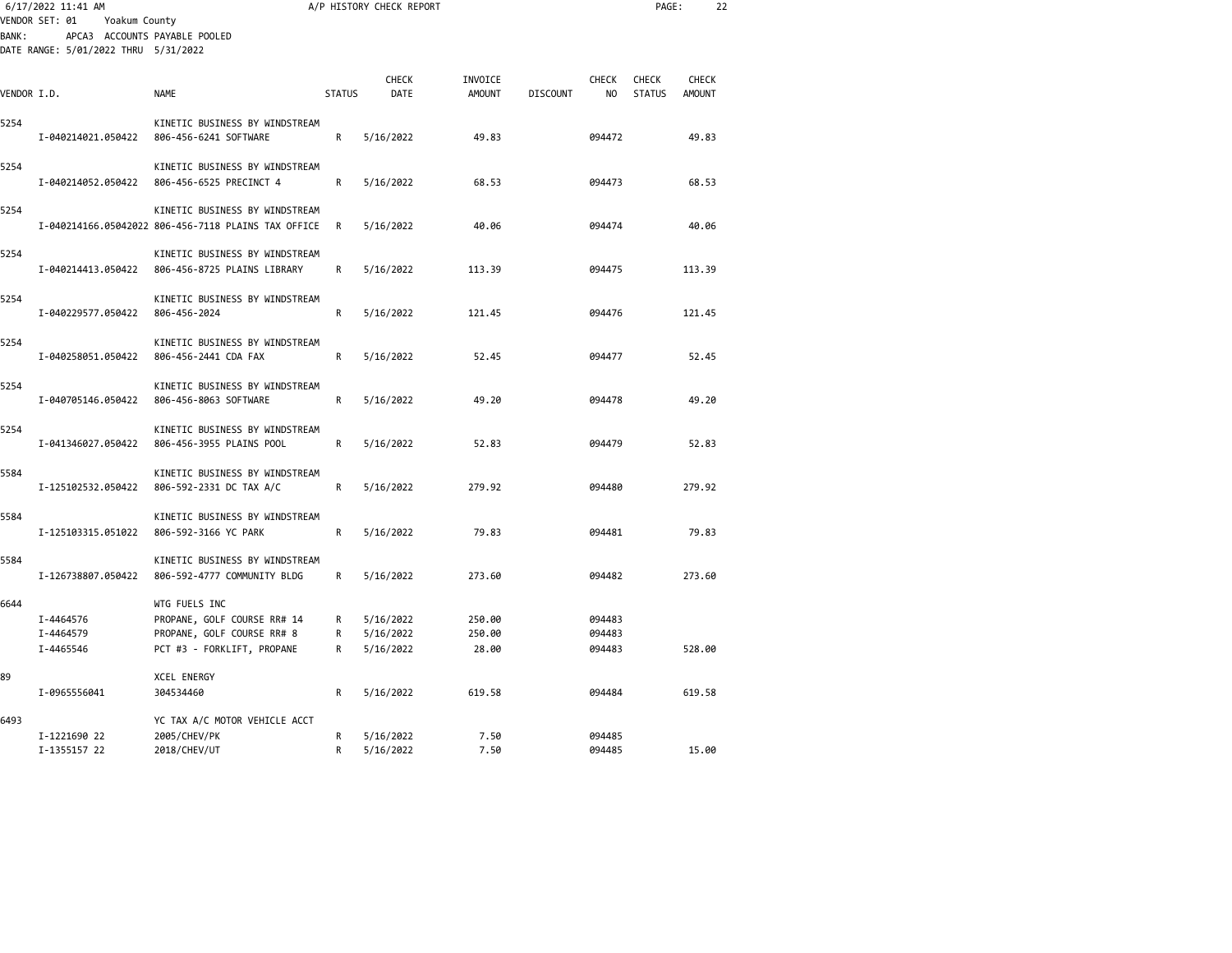|             | 6/17/2022 11:41 AM                                               |                                                                                                          |               | A/P HISTORY CHECK REPORT            |                           |                 |                            | PAGE:                         |                 | 22 |
|-------------|------------------------------------------------------------------|----------------------------------------------------------------------------------------------------------|---------------|-------------------------------------|---------------------------|-----------------|----------------------------|-------------------------------|-----------------|----|
| BANK:       | VENDOR SET: 01<br>Yoakum County<br>APCA3 ACCOUNTS PAYABLE POOLED |                                                                                                          |               |                                     |                           |                 |                            |                               |                 |    |
|             | DATE RANGE: 5/01/2022 THRU 5/31/2022                             |                                                                                                          |               |                                     |                           |                 |                            |                               |                 |    |
| VENDOR I.D. |                                                                  | NAME                                                                                                     | <b>STATUS</b> | <b>CHECK</b><br>DATE                | INVOICE<br><b>AMOUNT</b>  | <b>DISCOUNT</b> | <b>CHECK</b><br>NO         | <b>CHECK</b><br><b>STATUS</b> | CHECK<br>AMOUNT |    |
| 5254        | I-040214021.050422                                               | KINETIC BUSINESS BY WINDSTREAM<br>806-456-6241 SOFTWARE                                                  | R             | 5/16/2022                           | 49.83                     |                 | 094472                     |                               | 49.83           |    |
| 5254        | I-040214052.050422                                               | KINETIC BUSINESS BY WINDSTREAM<br>806-456-6525 PRECINCT 4                                                | R             | 5/16/2022                           | 68.53                     |                 | 094473                     |                               | 68.53           |    |
| 5254        |                                                                  | KINETIC BUSINESS BY WINDSTREAM<br>I-040214166.05042022 806-456-7118 PLAINS TAX OFFICE                    | R             | 5/16/2022                           | 40.06                     |                 | 094474                     |                               | 40.06           |    |
| 5254        | I-040214413.050422                                               | KINETIC BUSINESS BY WINDSTREAM<br>806-456-8725 PLAINS LIBRARY                                            | R             | 5/16/2022                           | 113.39                    |                 | 094475                     |                               | 113.39          |    |
| 5254        | I-040229577.050422                                               | KINETIC BUSINESS BY WINDSTREAM<br>806-456-2024                                                           | R             | 5/16/2022                           | 121.45                    |                 | 094476                     |                               | 121.45          |    |
| 5254        | I-040258051.050422                                               | KINETIC BUSINESS BY WINDSTREAM<br>806-456-2441 CDA FAX                                                   | R             | 5/16/2022                           | 52.45                     |                 | 094477                     |                               | 52.45           |    |
| 5254        | I-040705146.050422                                               | KINETIC BUSINESS BY WINDSTREAM<br>806-456-8063 SOFTWARE                                                  | R             | 5/16/2022                           | 49.20                     |                 | 094478                     |                               | 49.20           |    |
| 5254        | I-041346027.050422                                               | KINETIC BUSINESS BY WINDSTREAM<br>806-456-3955 PLAINS POOL                                               | R             | 5/16/2022                           | 52.83                     |                 | 094479                     |                               | 52.83           |    |
| 5584        | I-125102532.050422                                               | KINETIC BUSINESS BY WINDSTREAM<br>806-592-2331 DC TAX A/C                                                | R             | 5/16/2022                           | 279.92                    |                 | 094480                     |                               | 279.92          |    |
| 5584        | I-125103315.051022                                               | KINETIC BUSINESS BY WINDSTREAM<br>806-592-3166 YC PARK                                                   | R             | 5/16/2022                           | 79.83                     |                 | 094481                     |                               | 79.83           |    |
| 5584        | I-126738807.050422                                               | KINETIC BUSINESS BY WINDSTREAM<br>806-592-4777 COMMUNITY BLDG                                            | R             | 5/16/2022                           | 273.60                    |                 | 094482                     |                               | 273.60          |    |
| 6644        | I-4464576<br>I-4464579<br>I-4465546                              | WTG FUELS INC<br>PROPANE, GOLF COURSE RR# 14<br>PROPANE, GOLF COURSE RR# 8<br>PCT #3 - FORKLIFT, PROPANE | R<br>R<br>R   | 5/16/2022<br>5/16/2022<br>5/16/2022 | 250.00<br>250.00<br>28.00 |                 | 094483<br>094483<br>094483 |                               | 528.00          |    |
| 89          | I-0965556041                                                     | <b>XCEL ENERGY</b><br>304534460                                                                          | R             | 5/16/2022                           | 619.58                    |                 | 094484                     |                               | 619.58          |    |
| 6493        | I-1221690 22<br>I-1355157 22                                     | YC TAX A/C MOTOR VEHICLE ACCT<br>2005/CHEV/PK<br>2018/CHEV/UT                                            | R<br>R        | 5/16/2022<br>5/16/2022              | 7.50<br>7.50              |                 | 094485<br>094485           |                               | 15.00           |    |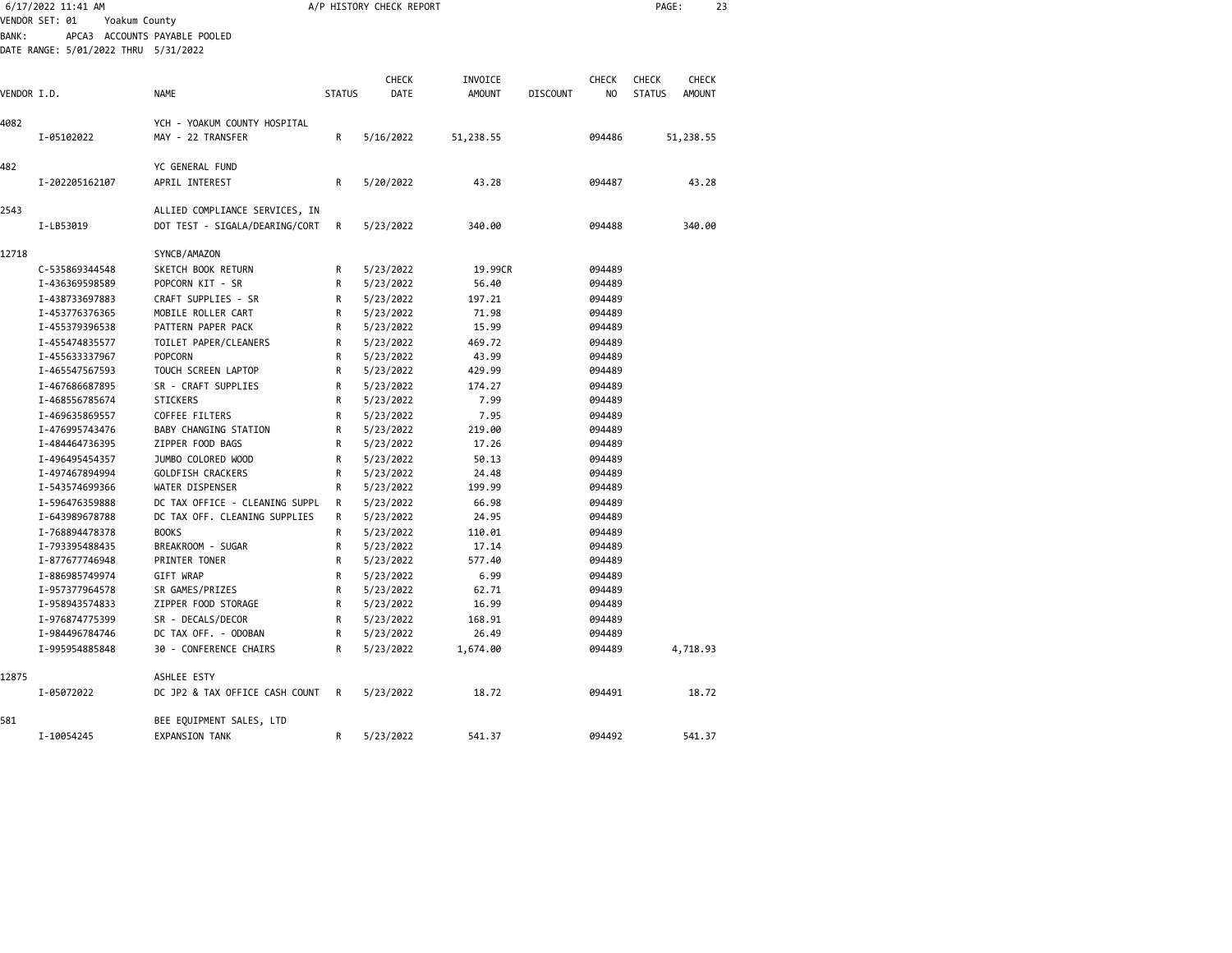| 6/17/2022 11:41 AM<br>VENDOR SET: 01<br>Yoakum County |                                      | A/P HISTORY CHECK REPORT                          | PAGE:         | 23                   |                          |                 |                                |                                                                |  |
|-------------------------------------------------------|--------------------------------------|---------------------------------------------------|---------------|----------------------|--------------------------|-----------------|--------------------------------|----------------------------------------------------------------|--|
| BANK:                                                 | DATE RANGE: 5/01/2022 THRU 5/31/2022 | APCA3 ACCOUNTS PAYABLE POOLED                     |               |                      |                          |                 |                                |                                                                |  |
| VENDOR I.D.                                           |                                      | <b>NAME</b>                                       | <b>STATUS</b> | <b>CHECK</b><br>DATE | INVOICE<br><b>AMOUNT</b> | <b>DISCOUNT</b> | <b>CHECK</b><br>N <sub>O</sub> | <b>CHECK</b><br><b>CHECK</b><br><b>STATUS</b><br><b>AMOUNT</b> |  |
|                                                       |                                      |                                                   |               |                      |                          |                 |                                |                                                                |  |
| 4082                                                  | I-05102022                           | YCH - YOAKUM COUNTY HOSPITAL<br>MAY - 22 TRANSFER | R             | 5/16/2022            | 51,238.55                |                 | 094486                         | 51,238.55                                                      |  |
| 482                                                   |                                      | YC GENERAL FUND                                   |               |                      |                          |                 |                                |                                                                |  |
|                                                       | I-202205162107                       | APRIL INTEREST                                    | R             | 5/20/2022            | 43.28                    |                 | 094487                         | 43.28                                                          |  |
| 2543                                                  |                                      | ALLIED COMPLIANCE SERVICES, IN                    |               |                      |                          |                 |                                |                                                                |  |
|                                                       | I-LB53019                            | DOT TEST - SIGALA/DEARING/CORT                    | R             | 5/23/2022            | 340.00                   |                 | 094488                         | 340.00                                                         |  |
| 12718                                                 |                                      | SYNCB/AMAZON                                      |               |                      |                          |                 |                                |                                                                |  |
|                                                       | C-535869344548                       | SKETCH BOOK RETURN                                | R             | 5/23/2022            | 19.99CR                  |                 | 094489                         |                                                                |  |
|                                                       | I-436369598589                       | POPCORN KIT - SR                                  | R             | 5/23/2022            | 56.40                    |                 | 094489                         |                                                                |  |
|                                                       | I-438733697883                       | CRAFT SUPPLIES - SR                               | R             | 5/23/2022            | 197.21                   |                 | 094489                         |                                                                |  |
|                                                       | I-453776376365                       | MOBILE ROLLER CART                                | R             | 5/23/2022            | 71.98                    |                 | 094489                         |                                                                |  |
|                                                       | I-455379396538                       | PATTERN PAPER PACK                                | R             | 5/23/2022            | 15.99                    |                 | 094489                         |                                                                |  |
|                                                       | I-455474835577                       | TOILET PAPER/CLEANERS                             | R             | 5/23/2022            | 469.72                   |                 | 094489                         |                                                                |  |
|                                                       | I-455633337967                       | <b>POPCORN</b>                                    | R             | 5/23/2022            | 43.99                    |                 | 094489                         |                                                                |  |
|                                                       | I-465547567593                       | TOUCH SCREEN LAPTOP                               | R             | 5/23/2022            | 429.99                   |                 | 094489                         |                                                                |  |
|                                                       | I-467686687895                       | SR - CRAFT SUPPLIES                               | R             | 5/23/2022            | 174.27                   |                 | 094489                         |                                                                |  |
|                                                       | I-468556785674                       | STICKERS                                          | R             | 5/23/2022            | 7.99                     |                 | 094489                         |                                                                |  |
|                                                       | I-469635869557                       | <b>COFFEE FILTERS</b>                             | R             | 5/23/2022            | 7.95                     |                 | 094489                         |                                                                |  |
|                                                       | I-476995743476                       | BABY CHANGING STATION                             | R             | 5/23/2022            | 219.00                   |                 | 094489                         |                                                                |  |
|                                                       | I-484464736395                       | ZIPPER FOOD BAGS                                  | R             | 5/23/2022            | 17.26                    |                 | 094489                         |                                                                |  |
|                                                       | I-496495454357                       | JUMBO COLORED WOOD                                | R             | 5/23/2022            | 50.13                    |                 | 094489                         |                                                                |  |
|                                                       | I-497467894994                       | GOLDFISH CRACKERS                                 | R             | 5/23/2022            | 24.48                    |                 | 094489                         |                                                                |  |
|                                                       | I-543574699366                       | WATER DISPENSER                                   | R             | 5/23/2022            | 199.99                   |                 | 094489                         |                                                                |  |
|                                                       | I-596476359888                       | DC TAX OFFICE - CLEANING SUPPL                    | R             | 5/23/2022            | 66.98                    |                 | 094489                         |                                                                |  |
|                                                       | I-643989678788                       | DC TAX OFF. CLEANING SUPPLIES                     | R             | 5/23/2022            | 24.95                    |                 | 094489                         |                                                                |  |
|                                                       | I-768894478378                       | <b>BOOKS</b>                                      | R             | 5/23/2022            | 110.01                   |                 | 094489                         |                                                                |  |
|                                                       | I-793395488435                       | BREAKROOM - SUGAR                                 | R             | 5/23/2022            | 17.14                    |                 | 094489                         |                                                                |  |
|                                                       | I-877677746948                       | PRINTER TONER                                     | R             | 5/23/2022            | 577.40                   |                 | 094489                         |                                                                |  |
|                                                       | I-886985749974                       | GIFT WRAP                                         | R             | 5/23/2022            | 6.99                     |                 | 094489                         |                                                                |  |
|                                                       | I-957377964578                       | SR GAMES/PRIZES                                   | R             | 5/23/2022            | 62.71                    |                 | 094489                         |                                                                |  |
|                                                       | I-958943574833                       | ZIPPER FOOD STORAGE                               | R             | 5/23/2022            | 16.99                    |                 | 094489                         |                                                                |  |
|                                                       | I-976874775399                       | SR - DECALS/DECOR                                 | R             | 5/23/2022            | 168.91                   |                 | 094489                         |                                                                |  |
|                                                       | I-984496784746                       | DC TAX OFF. - ODOBAN                              | R             | 5/23/2022            | 26.49                    |                 | 094489                         |                                                                |  |
|                                                       | I-995954885848                       | 30 - CONFERENCE CHAIRS                            | R             | 5/23/2022            | 1,674.00                 |                 | 094489                         | 4,718.93                                                       |  |
| 12875                                                 |                                      | ASHLEE ESTY                                       |               |                      |                          |                 |                                |                                                                |  |
|                                                       | I-05072022                           | DC JP2 & TAX OFFICE CASH COUNT                    | R             | 5/23/2022            | 18.72                    |                 | 094491                         | 18.72                                                          |  |
| 581                                                   |                                      | BEE EQUIPMENT SALES, LTD                          |               |                      |                          |                 |                                |                                                                |  |
|                                                       | I-10054245                           | <b>EXPANSION TANK</b>                             | R             | 5/23/2022            | 541.37                   |                 | 094492                         | 541.37                                                         |  |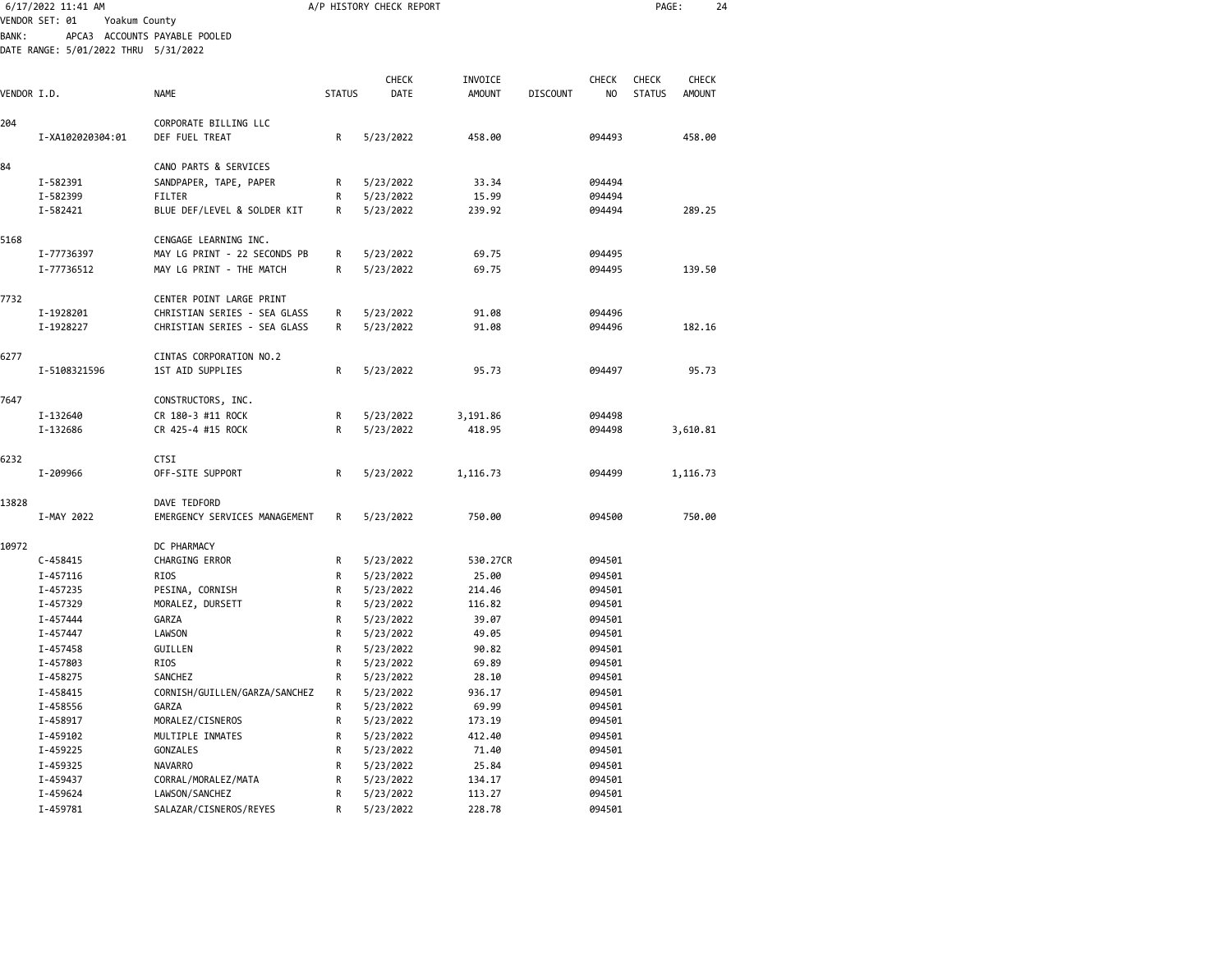|             | 6/17/2022 11:41 AM                   |                               |               | A/P HISTORY CHECK REPORT |               |                 |              | PAGE:         |               | 24 |
|-------------|--------------------------------------|-------------------------------|---------------|--------------------------|---------------|-----------------|--------------|---------------|---------------|----|
|             | VENDOR SET: 01<br>Yoakum County      |                               |               |                          |               |                 |              |               |               |    |
| BANK:       |                                      | APCA3 ACCOUNTS PAYABLE POOLED |               |                          |               |                 |              |               |               |    |
|             | DATE RANGE: 5/01/2022 THRU 5/31/2022 |                               |               |                          |               |                 |              |               |               |    |
|             |                                      |                               |               |                          |               |                 |              |               |               |    |
|             |                                      |                               |               | <b>CHECK</b>             | INVOICE       |                 | <b>CHECK</b> | <b>CHECK</b>  | <b>CHECK</b>  |    |
| VENDOR I.D. |                                      | <b>NAME</b>                   | <b>STATUS</b> | DATE                     | <b>AMOUNT</b> | <b>DISCOUNT</b> | NO           | <b>STATUS</b> | <b>AMOUNT</b> |    |
|             |                                      |                               |               |                          |               |                 |              |               |               |    |
| 204         |                                      | CORPORATE BILLING LLC         |               |                          |               |                 |              |               |               |    |
|             | I-XA102020304:01                     | DEF FUEL TREAT                | R             | 5/23/2022                | 458.00        |                 | 094493       |               | 458.00        |    |
|             |                                      |                               |               |                          |               |                 |              |               |               |    |
| 84          |                                      | CANO PARTS & SERVICES         |               |                          |               |                 |              |               |               |    |
|             | I-582391                             | SANDPAPER, TAPE, PAPER        | R             | 5/23/2022                | 33.34         |                 | 094494       |               |               |    |
|             | I-582399                             | FILTER                        | R             | 5/23/2022                | 15.99         |                 | 094494       |               |               |    |
|             | I-582421                             | BLUE DEF/LEVEL & SOLDER KIT   | R             | 5/23/2022                | 239.92        |                 | 094494       |               | 289.25        |    |
|             |                                      |                               |               |                          |               |                 |              |               |               |    |
| 5168        |                                      | CENGAGE LEARNING INC.         |               |                          | 69.75         |                 |              |               |               |    |
|             | I-77736397                           | MAY LG PRINT - 22 SECONDS PB  | R             | 5/23/2022                |               |                 | 094495       |               |               |    |
|             | I-77736512                           | MAY LG PRINT - THE MATCH      | R             | 5/23/2022                | 69.75         |                 | 094495       |               | 139.50        |    |
| 7732        |                                      | CENTER POINT LARGE PRINT      |               |                          |               |                 |              |               |               |    |
|             | I-1928201                            | CHRISTIAN SERIES - SEA GLASS  | R             | 5/23/2022                | 91.08         |                 | 094496       |               |               |    |
|             | I-1928227                            | CHRISTIAN SERIES - SEA GLASS  | R             | 5/23/2022                | 91.08         |                 | 094496       |               | 182.16        |    |
|             |                                      |                               |               |                          |               |                 |              |               |               |    |
| 6277        |                                      | CINTAS CORPORATION NO.2       |               |                          |               |                 |              |               |               |    |
|             | I-5108321596                         | 1ST AID SUPPLIES              | R             | 5/23/2022                | 95.73         |                 | 094497       |               | 95.73         |    |
|             |                                      |                               |               |                          |               |                 |              |               |               |    |
| 7647        |                                      | CONSTRUCTORS, INC.            |               |                          |               |                 |              |               |               |    |
|             | I-132640                             | CR 180-3 #11 ROCK             | R             | 5/23/2022                | 3,191.86      |                 | 094498       |               |               |    |
|             | I-132686                             | CR 425-4 #15 ROCK             | R             | 5/23/2022                | 418.95        |                 | 094498       |               | 3,610.81      |    |
|             |                                      |                               |               |                          |               |                 |              |               |               |    |
| 6232        |                                      | <b>CTSI</b>                   |               |                          |               |                 |              |               |               |    |
|             | I-209966                             | OFF-SITE SUPPORT              | R             | 5/23/2022                | 1,116.73      |                 | 094499       |               | 1,116.73      |    |
|             |                                      |                               |               |                          |               |                 |              |               |               |    |
| 13828       |                                      | DAVE TEDFORD                  |               |                          |               |                 |              |               |               |    |
|             | I-MAY 2022                           | EMERGENCY SERVICES MANAGEMENT | R             | 5/23/2022                | 750.00        |                 | 094500       |               | 750.00        |    |
| 10972       |                                      | DC PHARMACY                   |               |                          |               |                 |              |               |               |    |
|             | C-458415                             | CHARGING ERROR                | R             | 5/23/2022                | 530.27CR      |                 | 094501       |               |               |    |
|             | I-457116                             | RIOS                          | R             | 5/23/2022                | 25.00         |                 | 094501       |               |               |    |
|             | I-457235                             | PESINA, CORNISH               | R             | 5/23/2022                | 214.46        |                 | 094501       |               |               |    |
|             | I-457329                             | MORALEZ, DURSETT              | R             | 5/23/2022                | 116.82        |                 | 094501       |               |               |    |
|             | I-457444                             | GARZA                         | R             | 5/23/2022                | 39.07         |                 | 094501       |               |               |    |
|             | I-457447                             | <b>LAWSON</b>                 | R             | 5/23/2022                | 49.05         |                 | 094501       |               |               |    |
|             | I-457458                             | GUILLEN                       | R             | 5/23/2022                | 90.82         |                 | 094501       |               |               |    |
|             | I-457803                             | RIOS                          | R             | 5/23/2022                | 69.89         |                 | 094501       |               |               |    |
|             | I-458275                             | SANCHEZ                       | R             | 5/23/2022                | 28.10         |                 | 094501       |               |               |    |
|             | I-458415                             | CORNISH/GUILLEN/GARZA/SANCHEZ | R             | 5/23/2022                | 936.17        |                 | 094501       |               |               |    |
|             | I-458556                             | GARZA                         | R             | 5/23/2022                | 69.99         |                 | 094501       |               |               |    |
|             | I-458917                             | MORALEZ/CISNEROS              | R             | 5/23/2022                | 173.19        |                 | 094501       |               |               |    |
|             | I-459102                             | MULTIPLE INMATES              | R             | 5/23/2022                | 412.40        |                 | 094501       |               |               |    |
|             | I-459225                             | GONZALES                      | R             | 5/23/2022                | 71.40         |                 | 094501       |               |               |    |
|             | I-459325                             | NAVARRO                       | R             | 5/23/2022                | 25.84         |                 | 094501       |               |               |    |
|             | I-459437                             | CORRAL/MORALEZ/MATA           | R             | 5/23/2022                | 134.17        |                 | 094501       |               |               |    |
|             | I-459624                             | LAWSON/SANCHEZ                | R             | 5/23/2022                | 113.27        |                 | 094501       |               |               |    |
|             | I-459781                             | SALAZAR/CISNEROS/REYES        | R             | 5/23/2022                | 228.78        |                 | 094501       |               |               |    |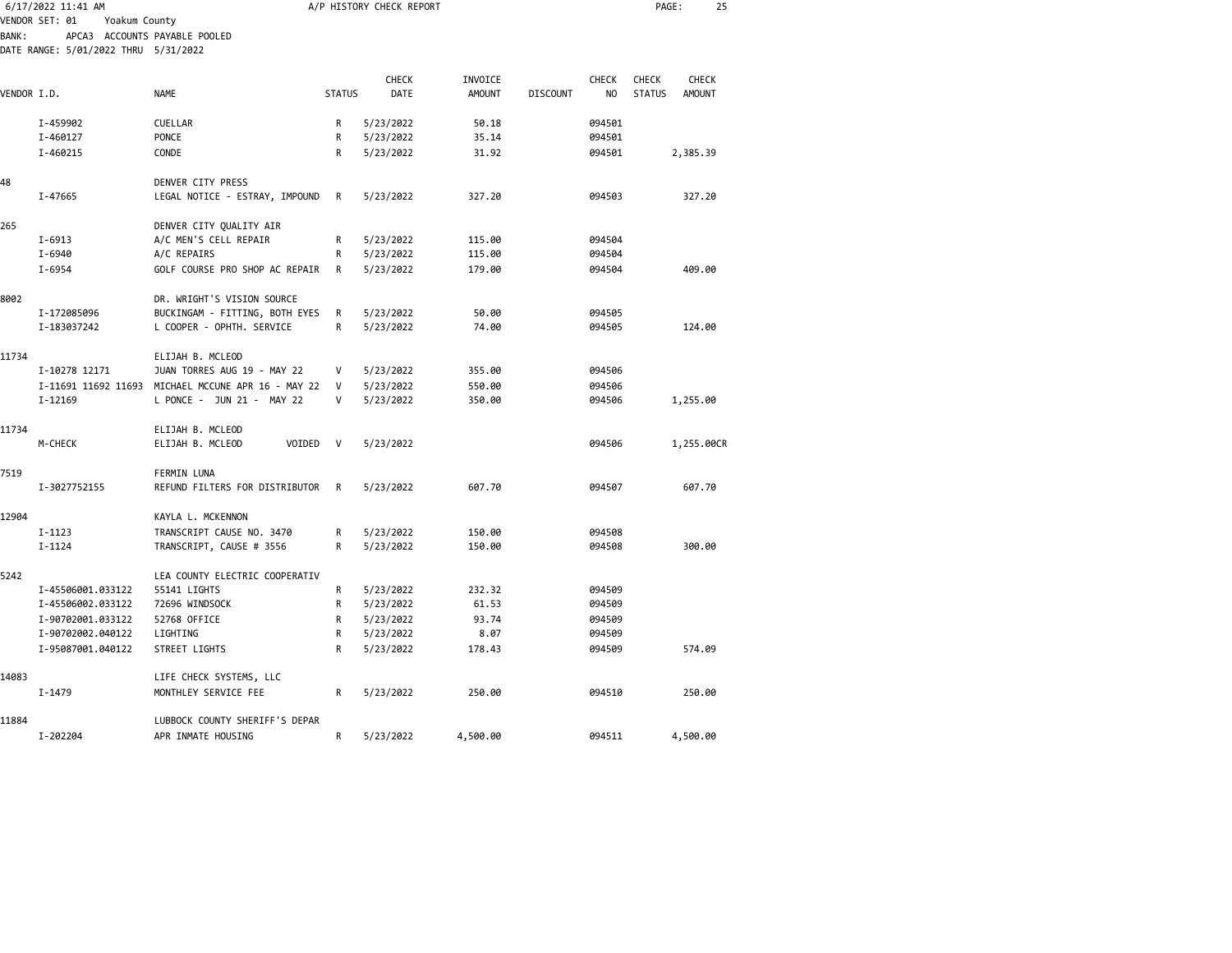|              | 6/17/2022 11:41 AM                   |                                                             |               | A/P HISTORY CHECK REPORT |                |                 |                  | PAGE:         | 25            |  |
|--------------|--------------------------------------|-------------------------------------------------------------|---------------|--------------------------|----------------|-----------------|------------------|---------------|---------------|--|
|              | VENDOR SET: 01<br>Yoakum County      |                                                             |               |                          |                |                 |                  |               |               |  |
| <b>BANK:</b> |                                      | APCA3 ACCOUNTS PAYABLE POOLED                               |               |                          |                |                 |                  |               |               |  |
|              | DATE RANGE: 5/01/2022 THRU 5/31/2022 |                                                             |               |                          |                |                 |                  |               |               |  |
|              |                                      |                                                             |               | <b>CHECK</b>             | INVOICE        |                 | <b>CHECK</b>     | <b>CHECK</b>  | <b>CHECK</b>  |  |
| VENDOR I.D.  |                                      | <b>NAME</b>                                                 | <b>STATUS</b> | <b>DATE</b>              | <b>AMOUNT</b>  | <b>DISCOUNT</b> | N <sub>O</sub>   | <b>STATUS</b> | <b>AMOUNT</b> |  |
|              |                                      |                                                             |               |                          |                |                 |                  |               |               |  |
|              | I-459902                             | <b>CUELLAR</b>                                              | R             | 5/23/2022                | 50.18          |                 | 094501           |               |               |  |
|              | I-460127                             | <b>PONCE</b>                                                | R             | 5/23/2022                | 35.14          |                 | 094501           |               |               |  |
|              | I-460215                             | CONDE                                                       | R             | 5/23/2022                | 31.92          |                 | 094501           |               | 2,385.39      |  |
|              |                                      |                                                             |               |                          |                |                 |                  |               |               |  |
| 48           |                                      | DENVER CITY PRESS                                           |               |                          |                |                 |                  |               | 327.20        |  |
|              | I-47665                              | LEGAL NOTICE - ESTRAY, IMPOUND                              | R             | 5/23/2022                | 327.20         |                 | 094503           |               |               |  |
| 265          |                                      | DENVER CITY QUALITY AIR                                     |               |                          |                |                 |                  |               |               |  |
|              | $I - 6913$                           | A/C MEN'S CELL REPAIR                                       | R             | 5/23/2022                | 115.00         |                 | 094504           |               |               |  |
|              | I-6940                               | A/C REPAIRS                                                 | R             | 5/23/2022                | 115.00         |                 | 094504           |               |               |  |
|              | $I - 6954$                           | GOLF COURSE PRO SHOP AC REPAIR                              | R             | 5/23/2022                | 179.00         |                 | 094504           |               | 409.00        |  |
|              |                                      |                                                             |               |                          |                |                 |                  |               |               |  |
| 8002         |                                      | DR. WRIGHT'S VISION SOURCE                                  |               |                          |                |                 |                  |               |               |  |
|              | I-172085096<br>I-183037242           | BUCKINGAM - FITTING, BOTH EYES<br>L COOPER - OPHTH. SERVICE | R<br>R        | 5/23/2022<br>5/23/2022   | 50.00<br>74.00 |                 | 094505<br>094505 |               | 124.00        |  |
|              |                                      |                                                             |               |                          |                |                 |                  |               |               |  |
| 11734        |                                      | ELIJAH B. MCLEOD                                            |               |                          |                |                 |                  |               |               |  |
|              | I-10278 12171                        | JUAN TORRES AUG 19 - MAY 22                                 | V             | 5/23/2022                | 355.00         |                 | 094506           |               |               |  |
|              |                                      | I-11691 11692 11693 MICHAEL MCCUNE APR 16 - MAY 22          | v             | 5/23/2022                | 550.00         |                 | 094506           |               |               |  |
|              | $I - 12169$                          | L PONCE - JUN 21 - MAY 22                                   | $\mathsf{V}$  | 5/23/2022                | 350.00         |                 | 094506           |               | 1,255.00      |  |
|              |                                      |                                                             |               |                          |                |                 |                  |               |               |  |
| 11734        |                                      | ELIJAH B. MCLEOD<br>VOIDED                                  | $\mathsf{V}$  |                          |                |                 |                  |               |               |  |
|              | M-CHECK                              | ELIJAH B. MCLEOD                                            |               | 5/23/2022                |                |                 | 094506           |               | 1,255.00CR    |  |
| 7519         |                                      | <b>FERMIN LUNA</b>                                          |               |                          |                |                 |                  |               |               |  |
|              | I-3027752155                         | REFUND FILTERS FOR DISTRIBUTOR                              | R             | 5/23/2022                | 607.70         |                 | 094507           |               | 607.70        |  |
|              |                                      |                                                             |               |                          |                |                 |                  |               |               |  |
| 12904        |                                      | KAYLA L. MCKENNON                                           |               |                          |                |                 |                  |               |               |  |
|              | $I-1123$                             | TRANSCRIPT CAUSE NO. 3470                                   | R             | 5/23/2022                | 150.00         |                 | 094508           |               |               |  |
|              | $I - 1124$                           | TRANSCRIPT, CAUSE # 3556                                    | R             | 5/23/2022                | 150.00         |                 | 094508           |               | 300.00        |  |
| 5242         |                                      | LEA COUNTY ELECTRIC COOPERATIV                              |               |                          |                |                 |                  |               |               |  |
|              | I-45506001.033122                    | 55141 LIGHTS                                                | R             | 5/23/2022                | 232.32         |                 | 094509           |               |               |  |
|              | I-45506002.033122                    | 72696 WINDSOCK                                              | R             | 5/23/2022                | 61.53          |                 | 094509           |               |               |  |
|              | I-90702001.033122                    | 52768 OFFICE                                                | R             | 5/23/2022                | 93.74          |                 | 094509           |               |               |  |
|              | I-90702002.040122                    | LIGHTING                                                    | R             | 5/23/2022                | 8.07           |                 | 094509           |               |               |  |
|              | I-95087001.040122                    | STREET LIGHTS                                               | R             | 5/23/2022                | 178.43         |                 | 094509           |               | 574.09        |  |
|              |                                      |                                                             |               |                          |                |                 |                  |               |               |  |
| 14083        |                                      | LIFE CHECK SYSTEMS, LLC                                     |               |                          |                |                 |                  |               |               |  |
|              | $I - 1479$                           | MONTHLEY SERVICE FEE                                        | R             | 5/23/2022                | 250.00         |                 | 094510           |               | 250.00        |  |
| 11884        |                                      | LUBBOCK COUNTY SHERIFF'S DEPAR                              |               |                          |                |                 |                  |               |               |  |
|              | I-202204                             | APR INMATE HOUSING                                          | R             | 5/23/2022                | 4,500.00       |                 | 094511           |               | 4,500.00      |  |
|              |                                      |                                                             |               |                          |                |                 |                  |               |               |  |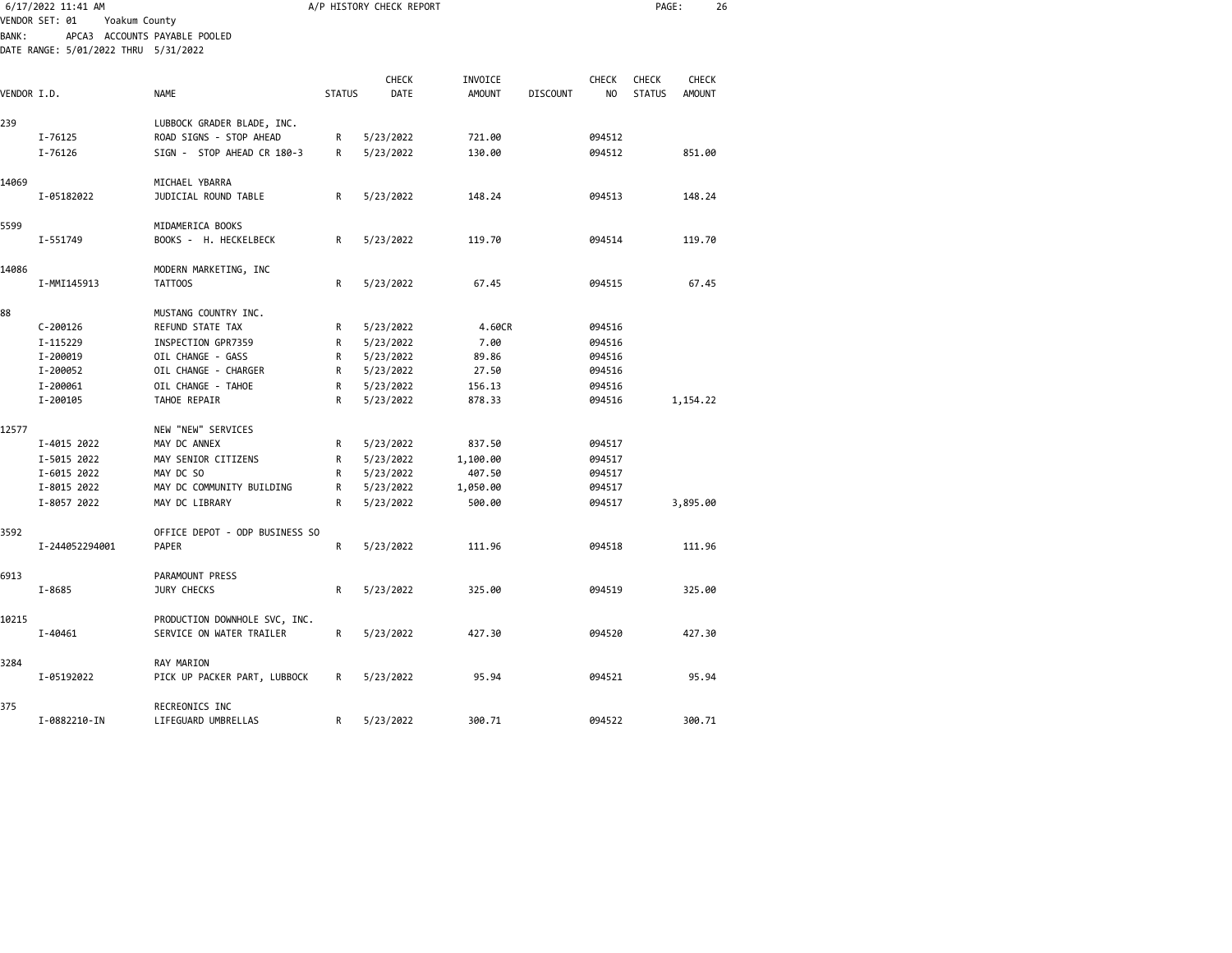|              | 6/17/2022 11:41 AM<br>VENDOR SET: 01<br>Yoakum County |                                | A/P HISTORY CHECK REPORT |              |               |                 |                |               | PAGE:<br>26   |  |
|--------------|-------------------------------------------------------|--------------------------------|--------------------------|--------------|---------------|-----------------|----------------|---------------|---------------|--|
| <b>BANK:</b> | DATE RANGE: 5/01/2022 THRU 5/31/2022                  | APCA3 ACCOUNTS PAYABLE POOLED  |                          |              |               |                 |                |               |               |  |
|              |                                                       |                                |                          | <b>CHECK</b> | INVOICE       |                 | <b>CHECK</b>   | <b>CHECK</b>  | <b>CHECK</b>  |  |
| VENDOR I.D.  |                                                       | <b>NAME</b>                    | <b>STATUS</b>            | <b>DATE</b>  | <b>AMOUNT</b> | <b>DISCOUNT</b> | N <sub>O</sub> | <b>STATUS</b> | <b>AMOUNT</b> |  |
| 239          |                                                       | LUBBOCK GRADER BLADE, INC.     |                          |              |               |                 |                |               |               |  |
|              | I-76125                                               | ROAD SIGNS - STOP AHEAD        | R                        | 5/23/2022    | 721.00        |                 | 094512         |               |               |  |
|              | I-76126                                               | SIGN - STOP AHEAD CR 180-3     | R                        | 5/23/2022    | 130.00        |                 | 094512         |               | 851.00        |  |
| 14069        |                                                       | MICHAEL YBARRA                 |                          |              |               |                 |                |               |               |  |
|              | I-05182022                                            | JUDICIAL ROUND TABLE           | R                        | 5/23/2022    | 148.24        |                 | 094513         |               | 148.24        |  |
| 5599         |                                                       | MIDAMERICA BOOKS               |                          |              |               |                 |                |               |               |  |
|              | I-551749                                              | BOOKS - H. HECKELBECK          | R                        | 5/23/2022    | 119.70        |                 | 094514         |               | 119.70        |  |
| 14086        |                                                       | MODERN MARKETING, INC          |                          |              |               |                 |                |               |               |  |
|              | I-MMI145913                                           | TATT00S                        | R                        | 5/23/2022    | 67.45         |                 | 094515         |               | 67.45         |  |
| 88           |                                                       | MUSTANG COUNTRY INC.           |                          |              |               |                 |                |               |               |  |
|              | $C - 200126$                                          | REFUND STATE TAX               | R                        | 5/23/2022    | 4.60CR        |                 | 094516         |               |               |  |
|              | I-115229                                              | INSPECTION GPR7359             | R                        | 5/23/2022    | 7.00          |                 | 094516         |               |               |  |
|              | I-200019                                              | OIL CHANGE - GASS              | R                        | 5/23/2022    | 89.86         |                 | 094516         |               |               |  |
|              | I-200052                                              | OIL CHANGE - CHARGER           | R                        | 5/23/2022    | 27.50         |                 | 094516         |               |               |  |
|              | I-200061                                              | OIL CHANGE - TAHOE             | R                        | 5/23/2022    | 156.13        |                 | 094516         |               |               |  |
|              | I-200105                                              | TAHOE REPAIR                   | R                        | 5/23/2022    | 878.33        |                 | 094516         |               | 1,154.22      |  |
| 12577        |                                                       | NEW "NEW" SERVICES             |                          |              |               |                 |                |               |               |  |
|              | I-4015 2022                                           | MAY DC ANNEX                   | R                        | 5/23/2022    | 837.50        |                 | 094517         |               |               |  |
|              | I-5015 2022                                           | MAY SENIOR CITIZENS            | R                        | 5/23/2022    | 1,100.00      |                 | 094517         |               |               |  |
|              | I-6015 2022                                           | MAY DC SO                      | R                        | 5/23/2022    | 407.50        |                 | 094517         |               |               |  |
|              | I-8015 2022                                           | MAY DC COMMUNITY BUILDING      | R                        | 5/23/2022    | 1,050.00      |                 | 094517         |               |               |  |
|              | I-8057 2022                                           | MAY DC LIBRARY                 | R                        | 5/23/2022    | 500.00        |                 | 094517         |               | 3,895.00      |  |
| 3592         |                                                       | OFFICE DEPOT - ODP BUSINESS SO |                          |              |               |                 |                |               |               |  |
|              | I-244052294001                                        | PAPER                          | $\mathsf R$              | 5/23/2022    | 111.96        |                 | 094518         |               | 111.96        |  |
| 6913         |                                                       | PARAMOUNT PRESS                |                          |              |               |                 |                |               |               |  |
|              | I-8685                                                | JURY CHECKS                    | R                        | 5/23/2022    | 325.00        |                 | 094519         |               | 325.00        |  |
| 10215        |                                                       | PRODUCTION DOWNHOLE SVC, INC.  |                          |              |               |                 |                |               |               |  |
|              | I-40461                                               | SERVICE ON WATER TRAILER       | R                        | 5/23/2022    | 427.30        |                 | 094520         |               | 427.30        |  |
| 3284         |                                                       | RAY MARION                     |                          |              |               |                 |                |               |               |  |
|              | I-05192022                                            | PICK UP PACKER PART, LUBBOCK   | R                        | 5/23/2022    | 95.94         |                 | 094521         |               | 95.94         |  |
| 375          |                                                       | RECREONICS INC                 |                          |              |               |                 |                |               |               |  |
|              | I-0882210-IN                                          | LIFEGUARD UMBRELLAS            | R                        | 5/23/2022    | 300.71        |                 | 094522         |               | 300.71        |  |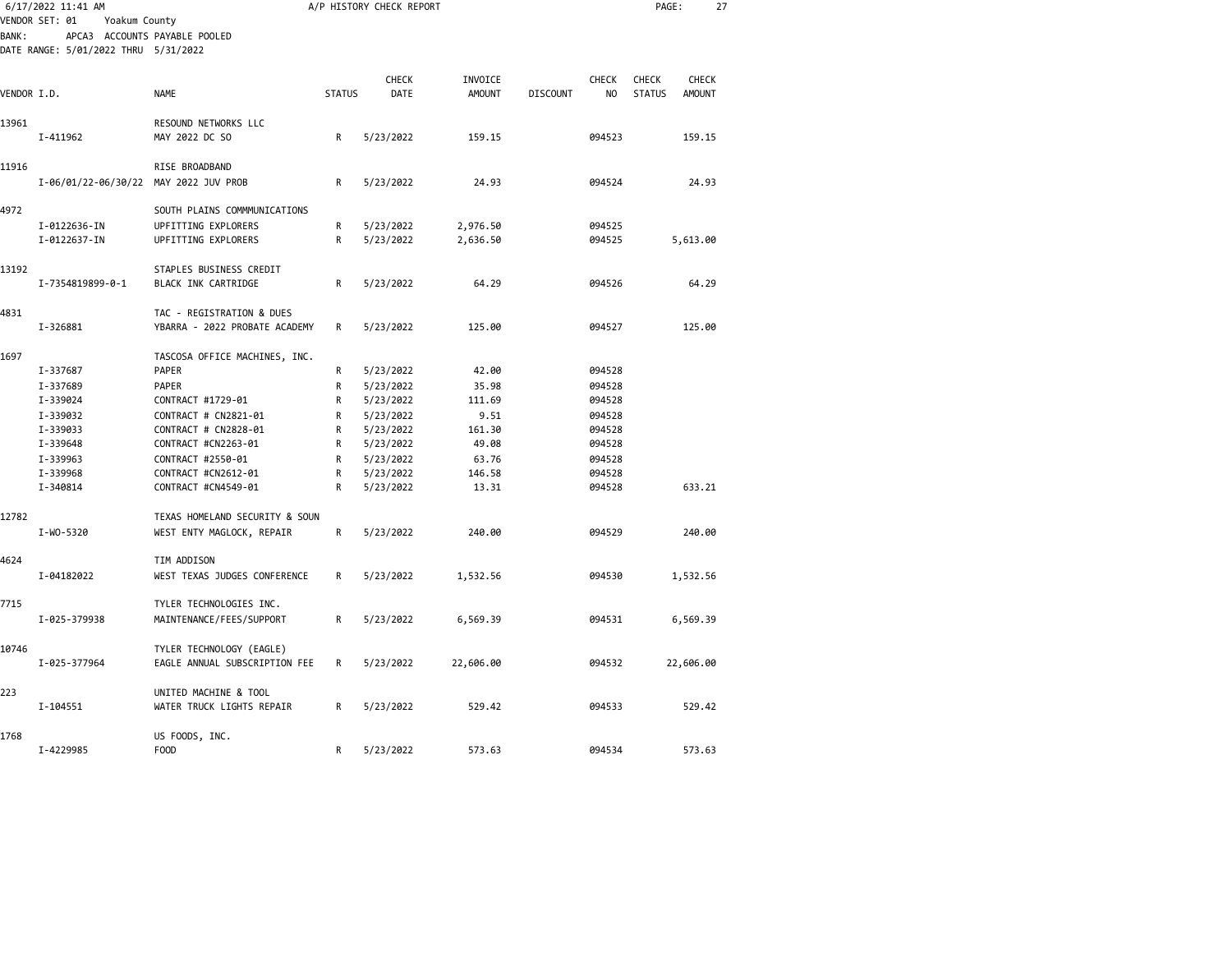|             | 6/17/2022 11:41 AM                    |                                |               | A/P HISTORY CHECK REPORT | PAGE:<br>27              |                 |              |                               |                               |  |
|-------------|---------------------------------------|--------------------------------|---------------|--------------------------|--------------------------|-----------------|--------------|-------------------------------|-------------------------------|--|
|             | VENDOR SET: 01<br>Yoakum County       |                                |               |                          |                          |                 |              |                               |                               |  |
| BANK :      |                                       | APCA3 ACCOUNTS PAYABLE POOLED  |               |                          |                          |                 |              |                               |                               |  |
|             | DATE RANGE: 5/01/2022 THRU 5/31/2022  |                                |               |                          |                          |                 |              |                               |                               |  |
|             |                                       |                                |               |                          |                          |                 |              |                               |                               |  |
|             |                                       | <b>NAME</b>                    | <b>STATUS</b> | <b>CHECK</b><br>DATE     | INVOICE<br><b>AMOUNT</b> | <b>DISCOUNT</b> | <b>CHECK</b> | <b>CHECK</b><br><b>STATUS</b> | <b>CHECK</b><br><b>AMOUNT</b> |  |
| VENDOR I.D. |                                       |                                |               |                          |                          |                 | NO           |                               |                               |  |
| 13961       |                                       | RESOUND NETWORKS LLC           |               |                          |                          |                 |              |                               |                               |  |
|             | I-411962                              | MAY 2022 DC SO                 | R             | 5/23/2022                | 159.15                   |                 | 094523       |                               | 159.15                        |  |
|             |                                       |                                |               |                          |                          |                 |              |                               |                               |  |
| 11916       |                                       | RISE BROADBAND                 |               |                          |                          |                 |              |                               |                               |  |
|             | I-06/01/22-06/30/22 MAY 2022 JUV PROB |                                | R             | 5/23/2022                | 24.93                    |                 | 094524       |                               | 24.93                         |  |
|             |                                       |                                |               |                          |                          |                 |              |                               |                               |  |
| 4972        |                                       | SOUTH PLAINS COMMMUNICATIONS   |               |                          |                          |                 |              |                               |                               |  |
|             | I-0122636-IN                          | UPFITTING EXPLORERS            | R             | 5/23/2022                | 2,976.50                 |                 | 094525       |                               |                               |  |
|             | I-0122637-IN                          | UPFITTING EXPLORERS            | $\mathsf R$   | 5/23/2022                | 2,636.50                 |                 | 094525       |                               | 5,613.00                      |  |
|             |                                       |                                |               |                          |                          |                 |              |                               |                               |  |
| 13192       |                                       | STAPLES BUSINESS CREDIT        |               |                          |                          |                 |              |                               |                               |  |
|             | I-7354819899-0-1                      | BLACK INK CARTRIDGE            | R             | 5/23/2022                | 64.29                    |                 | 094526       |                               | 64.29                         |  |
|             |                                       |                                |               |                          |                          |                 |              |                               |                               |  |
| 4831        |                                       | TAC - REGISTRATION & DUES      |               |                          |                          |                 |              |                               |                               |  |
|             | I-326881                              | YBARRA - 2022 PROBATE ACADEMY  | R             | 5/23/2022                | 125.00                   |                 | 094527       |                               | 125.00                        |  |
|             |                                       |                                |               |                          |                          |                 |              |                               |                               |  |
| 1697        |                                       | TASCOSA OFFICE MACHINES, INC.  |               |                          |                          |                 |              |                               |                               |  |
|             | I-337687                              | PAPER                          | R             | 5/23/2022                | 42.00                    |                 | 094528       |                               |                               |  |
|             | I-337689                              | <b>PAPER</b>                   | R             | 5/23/2022                | 35.98                    |                 | 094528       |                               |                               |  |
|             | I-339024                              | CONTRACT #1729-01              | R             | 5/23/2022                | 111.69                   |                 | 094528       |                               |                               |  |
|             | I-339032                              | CONTRACT # CN2821-01           | R             | 5/23/2022                | 9.51                     |                 | 094528       |                               |                               |  |
|             | I-339033                              | CONTRACT # CN2828-01           | R             | 5/23/2022                | 161.30                   |                 | 094528       |                               |                               |  |
|             | I-339648                              | CONTRACT #CN2263-01            | R             | 5/23/2022                | 49.08                    |                 | 094528       |                               |                               |  |
|             | I-339963                              | CONTRACT #2550-01              | R             | 5/23/2022                | 63.76                    |                 | 094528       |                               |                               |  |
|             | I-339968                              | CONTRACT #CN2612-01            | R             | 5/23/2022                | 146.58                   |                 | 094528       |                               |                               |  |
|             | I-340814                              | CONTRACT #CN4549-01            | R             | 5/23/2022                | 13.31                    |                 | 094528       |                               | 633.21                        |  |
|             |                                       |                                |               |                          |                          |                 |              |                               |                               |  |
| 12782       |                                       | TEXAS HOMELAND SECURITY & SOUN |               |                          |                          |                 |              |                               |                               |  |
|             | I-WO-5320                             | WEST ENTY MAGLOCK, REPAIR      | R             | 5/23/2022                | 240.00                   |                 | 094529       |                               | 240.00                        |  |
| 4624        |                                       | TIM ADDISON                    |               |                          |                          |                 |              |                               |                               |  |
|             | I-04182022                            | WEST TEXAS JUDGES CONFERENCE   | R             | 5/23/2022                | 1,532.56                 |                 | 094530       |                               | 1,532.56                      |  |
|             |                                       |                                |               |                          |                          |                 |              |                               |                               |  |
| 7715        |                                       | TYLER TECHNOLOGIES INC.        |               |                          |                          |                 |              |                               |                               |  |
|             | I-025-379938                          | MAINTENANCE/FEES/SUPPORT       | R             | 5/23/2022                | 6,569.39                 |                 | 094531       |                               | 6,569.39                      |  |
|             |                                       |                                |               |                          |                          |                 |              |                               |                               |  |
| 10746       |                                       | TYLER TECHNOLOGY (EAGLE)       |               |                          |                          |                 |              |                               |                               |  |
|             | I-025-377964                          | EAGLE ANNUAL SUBSCRIPTION FEE  | R             | 5/23/2022                | 22,606.00                |                 | 094532       |                               | 22,606.00                     |  |
|             |                                       |                                |               |                          |                          |                 |              |                               |                               |  |
| 223         |                                       | UNITED MACHINE & TOOL          |               |                          |                          |                 |              |                               |                               |  |
|             | I-104551                              | WATER TRUCK LIGHTS REPAIR      | R             | 5/23/2022                | 529.42                   |                 | 094533       |                               | 529.42                        |  |
|             |                                       |                                |               |                          |                          |                 |              |                               |                               |  |
| 1768        |                                       | US FOODS, INC.                 |               |                          |                          |                 |              |                               |                               |  |
|             | I-4229985                             | <b>FOOD</b>                    | R             | 5/23/2022                | 573.63                   |                 | 094534       |                               | 573.63                        |  |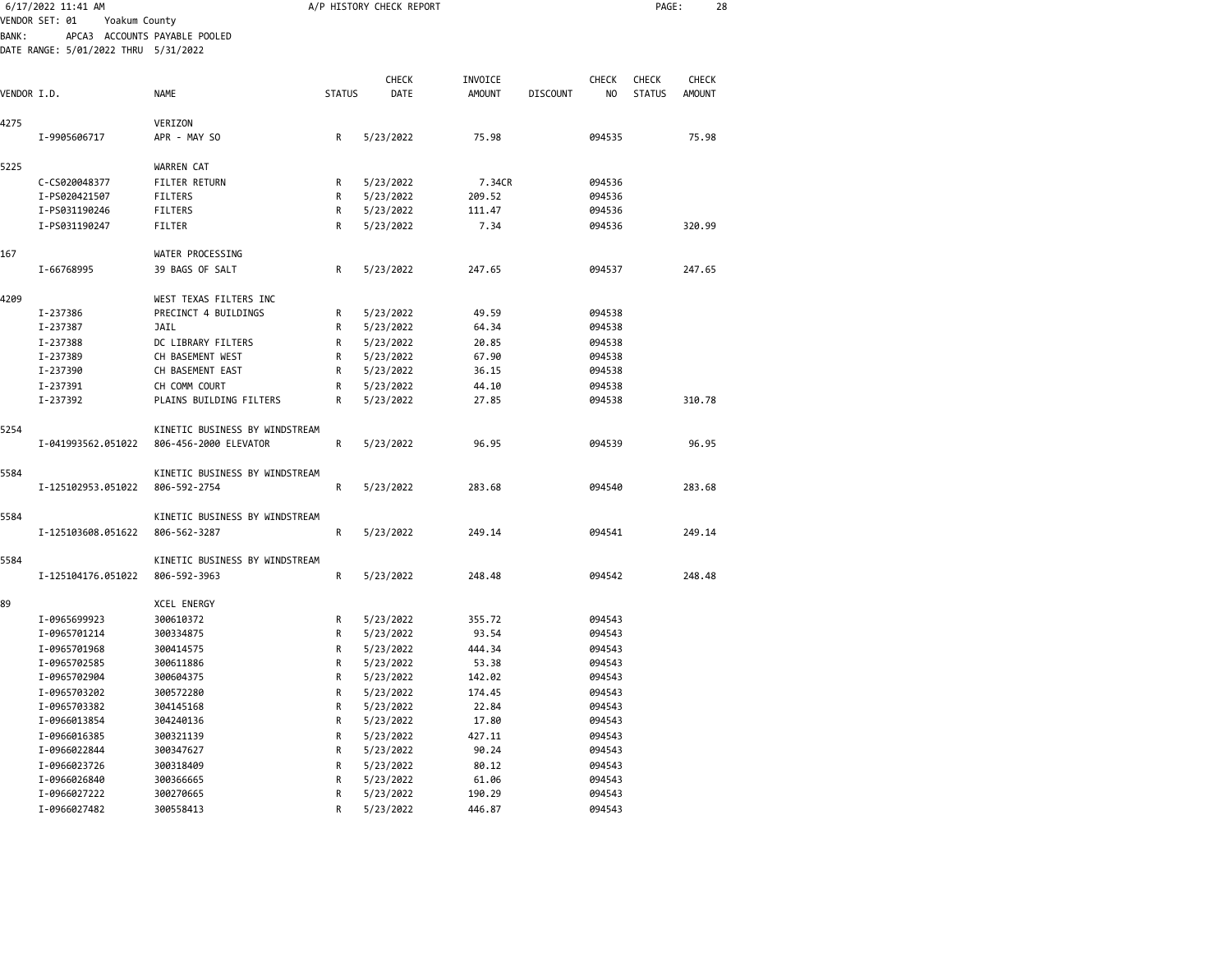|              | 6/17/2022 11:41 AM                   |                                |               | A/P HISTORY CHECK REPORT |               |                 |              | PAGE:         | 28            |  |
|--------------|--------------------------------------|--------------------------------|---------------|--------------------------|---------------|-----------------|--------------|---------------|---------------|--|
|              | VENDOR SET: 01<br>Yoakum County      |                                |               |                          |               |                 |              |               |               |  |
| <b>BANK:</b> |                                      | APCA3 ACCOUNTS PAYABLE POOLED  |               |                          |               |                 |              |               |               |  |
|              | DATE RANGE: 5/01/2022 THRU 5/31/2022 |                                |               |                          |               |                 |              |               |               |  |
|              |                                      |                                |               |                          |               |                 |              |               |               |  |
|              |                                      |                                |               | <b>CHECK</b>             | INVOICE       |                 | <b>CHECK</b> | <b>CHECK</b>  | CHECK         |  |
| VENDOR I.D.  |                                      | <b>NAME</b>                    | <b>STATUS</b> | DATE                     | <b>AMOUNT</b> | <b>DISCOUNT</b> | NO           | <b>STATUS</b> | <b>AMOUNT</b> |  |
| 4275         |                                      | VERIZON                        |               |                          |               |                 |              |               |               |  |
|              | I-9905606717                         | APR - MAY SO                   | R             | 5/23/2022                | 75.98         |                 | 094535       |               | 75.98         |  |
|              |                                      |                                |               |                          |               |                 |              |               |               |  |
| 5225         |                                      | WARREN CAT                     |               |                          |               |                 |              |               |               |  |
|              | C-CS020048377                        | <b>FILTER RETURN</b>           | R             | 5/23/2022                | 7.34CR        |                 | 094536       |               |               |  |
|              | I-PS020421507                        | <b>FILTERS</b>                 | R             | 5/23/2022                | 209.52        |                 | 094536       |               |               |  |
|              | I-PS031190246                        | FILTERS                        | R             | 5/23/2022                | 111.47        |                 | 094536       |               |               |  |
|              | I-PS031190247                        | FILTER                         | R             | 5/23/2022                | 7.34          |                 | 094536       |               | 320.99        |  |
| 167          |                                      | WATER PROCESSING               |               |                          |               |                 |              |               |               |  |
|              | I-66768995                           | 39 BAGS OF SALT                | R             | 5/23/2022                | 247.65        |                 | 094537       |               | 247.65        |  |
|              |                                      |                                |               |                          |               |                 |              |               |               |  |
| 4209         |                                      | WEST TEXAS FILTERS INC         |               |                          |               |                 |              |               |               |  |
|              | I-237386                             | PRECINCT 4 BUILDINGS           | R             | 5/23/2022                | 49.59         |                 | 094538       |               |               |  |
|              | I-237387                             | JAIL                           | R             | 5/23/2022                | 64.34         |                 | 094538       |               |               |  |
|              | I-237388                             | DC LIBRARY FILTERS             | R             | 5/23/2022                | 20.85         |                 | 094538       |               |               |  |
|              | I-237389                             | CH BASEMENT WEST               | R             | 5/23/2022                | 67.90         |                 | 094538       |               |               |  |
|              | I-237390                             | CH BASEMENT EAST               | R             | 5/23/2022                | 36.15         |                 | 094538       |               |               |  |
|              | I-237391                             | CH COMM COURT                  | R             | 5/23/2022                | 44.10         |                 | 094538       |               |               |  |
|              | I-237392                             | PLAINS BUILDING FILTERS        | R             | 5/23/2022                | 27.85         |                 | 094538       |               | 310.78        |  |
| 5254         |                                      | KINETIC BUSINESS BY WINDSTREAM |               |                          |               |                 |              |               |               |  |
|              | I-041993562.051022                   | 806-456-2000 ELEVATOR          | R             | 5/23/2022                | 96.95         |                 | 094539       |               | 96.95         |  |
|              |                                      |                                |               |                          |               |                 |              |               |               |  |
| 5584         |                                      | KINETIC BUSINESS BY WINDSTREAM |               |                          |               |                 |              |               |               |  |
|              | I-125102953.051022                   | 806-592-2754                   | R             | 5/23/2022                | 283.68        |                 | 094540       |               | 283.68        |  |
|              |                                      |                                |               |                          |               |                 |              |               |               |  |
| 5584         |                                      | KINETIC BUSINESS BY WINDSTREAM |               |                          |               |                 |              |               |               |  |
|              | I-125103608.051622                   | 806-562-3287                   | R             | 5/23/2022                | 249.14        |                 | 094541       |               | 249.14        |  |
| 5584         |                                      | KINETIC BUSINESS BY WINDSTREAM |               |                          |               |                 |              |               |               |  |
|              | I-125104176.051022                   | 806-592-3963                   | R             | 5/23/2022                | 248.48        |                 | 094542       |               | 248.48        |  |
|              |                                      |                                |               |                          |               |                 |              |               |               |  |
| 89           |                                      | XCEL ENERGY                    |               |                          |               |                 |              |               |               |  |
|              | I-0965699923                         | 300610372                      | R             | 5/23/2022                | 355.72        |                 | 094543       |               |               |  |
|              | I-0965701214                         | 300334875                      | R             | 5/23/2022                | 93.54         |                 | 094543       |               |               |  |
|              | I-0965701968                         | 300414575                      | R             | 5/23/2022                | 444.34        |                 | 094543       |               |               |  |
|              | I-0965702585                         | 300611886                      | R             | 5/23/2022                | 53.38         |                 | 094543       |               |               |  |
|              | I-0965702904                         | 300604375                      | R             | 5/23/2022                | 142.02        |                 | 094543       |               |               |  |
|              | I-0965703202                         | 300572280                      | R             | 5/23/2022                | 174.45        |                 | 094543       |               |               |  |
|              | I-0965703382                         | 304145168                      | R             | 5/23/2022                | 22.84         |                 | 094543       |               |               |  |
|              | I-0966013854                         | 304240136                      | R             | 5/23/2022                | 17.80         |                 | 094543       |               |               |  |
|              | I-0966016385                         | 300321139                      | R             | 5/23/2022                | 427.11        |                 | 094543       |               |               |  |
|              | I-0966022844                         | 300347627                      | R             | 5/23/2022                | 90.24         |                 | 094543       |               |               |  |
|              | I-0966023726                         | 300318409                      | R             | 5/23/2022                | 80.12         |                 | 094543       |               |               |  |
|              | I-0966026840                         | 300366665                      | R             | 5/23/2022                | 61.06         |                 | 094543       |               |               |  |
|              | I-0966027222                         | 300270665                      | R             | 5/23/2022                | 190.29        |                 | 094543       |               |               |  |
|              | I-0966027482                         | 300558413                      | R             | 5/23/2022                | 446.87        |                 | 094543       |               |               |  |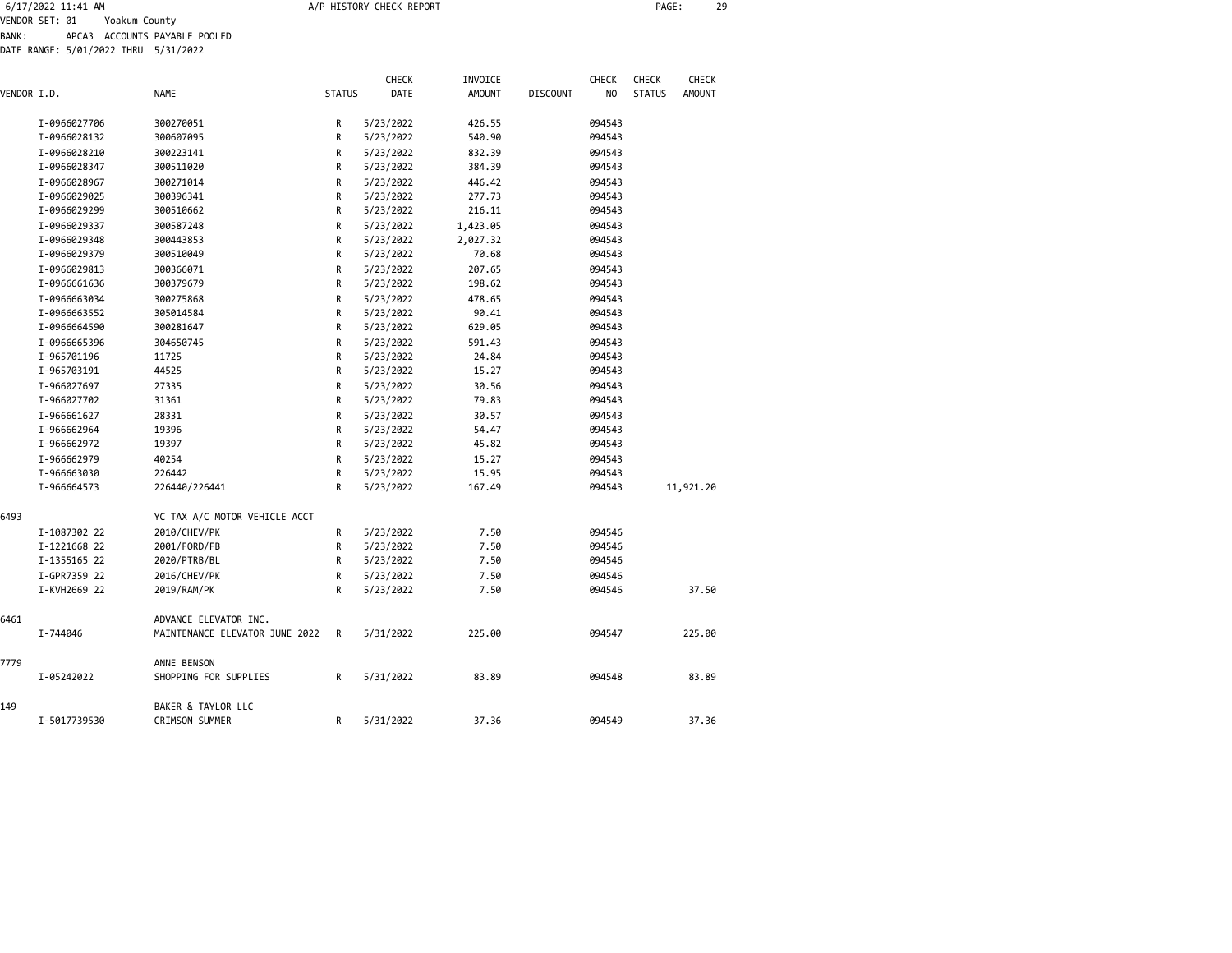| 6/17/2022 11:41 AM              | A/P HISTORY CHECK REPORT | PAGE: | າດ |
|---------------------------------|--------------------------|-------|----|
| VENDOR CET. 01<br>Voolum County |                          |       |    |

VENDOR SET: 01 Yoakum County BANK: APCA3 ACCOUNTS PAYABLE POOLED

DATE RANGE: 5/01/2022 THRU 5/31/2022

|             |              | <b>NAME</b>                    | <b>STATUS</b> | CHECK<br>DATE | INVOICE<br><b>AMOUNT</b> |                 | <b>CHECK</b><br>N <sub>O</sub> | <b>CHECK</b><br><b>STATUS</b> | CHECK<br><b>AMOUNT</b> |
|-------------|--------------|--------------------------------|---------------|---------------|--------------------------|-----------------|--------------------------------|-------------------------------|------------------------|
| VENDOR I.D. |              |                                |               |               |                          | <b>DISCOUNT</b> |                                |                               |                        |
|             | I-0966027706 | 300270051                      | R             | 5/23/2022     | 426.55                   |                 | 094543                         |                               |                        |
|             | I-0966028132 | 300607095                      | R             | 5/23/2022     | 540.90                   |                 | 094543                         |                               |                        |
|             | I-0966028210 | 300223141                      | R             | 5/23/2022     | 832.39                   |                 | 094543                         |                               |                        |
|             | I-0966028347 | 300511020                      | R             | 5/23/2022     | 384.39                   |                 | 094543                         |                               |                        |
|             | I-0966028967 | 300271014                      | R             | 5/23/2022     | 446.42                   |                 | 094543                         |                               |                        |
|             | I-0966029025 | 300396341                      | R             | 5/23/2022     | 277.73                   |                 | 094543                         |                               |                        |
|             | I-0966029299 | 300510662                      | R             | 5/23/2022     | 216.11                   |                 | 094543                         |                               |                        |
|             | I-0966029337 | 300587248                      | R             | 5/23/2022     | 1,423.05                 |                 | 094543                         |                               |                        |
|             | I-0966029348 | 300443853                      | R             | 5/23/2022     | 2,027.32                 |                 | 094543                         |                               |                        |
|             | I-0966029379 | 300510049                      | R             | 5/23/2022     | 70.68                    |                 | 094543                         |                               |                        |
|             | I-0966029813 | 300366071                      | R             | 5/23/2022     | 207.65                   |                 | 094543                         |                               |                        |
|             | I-0966661636 | 300379679                      | R             | 5/23/2022     | 198.62                   |                 | 094543                         |                               |                        |
|             | I-0966663034 | 300275868                      | R             | 5/23/2022     | 478.65                   |                 | 094543                         |                               |                        |
|             | I-0966663552 | 305014584                      | R             | 5/23/2022     | 90.41                    |                 | 094543                         |                               |                        |
|             | I-0966664590 | 300281647                      | R             | 5/23/2022     | 629.05                   |                 | 094543                         |                               |                        |
|             | I-0966665396 | 304650745                      | R             | 5/23/2022     | 591.43                   |                 | 094543                         |                               |                        |
|             | I-965701196  | 11725                          | R             | 5/23/2022     | 24.84                    |                 | 094543                         |                               |                        |
|             | I-965703191  | 44525                          | R             | 5/23/2022     | 15.27                    |                 | 094543                         |                               |                        |
|             | I-966027697  | 27335                          | R             | 5/23/2022     | 30.56                    |                 | 094543                         |                               |                        |
|             | I-966027702  | 31361                          | R             | 5/23/2022     | 79.83                    |                 | 094543                         |                               |                        |
|             | I-966661627  | 28331                          | R             | 5/23/2022     | 30.57                    |                 | 094543                         |                               |                        |
|             | I-966662964  | 19396                          | R             | 5/23/2022     | 54.47                    |                 | 094543                         |                               |                        |
|             | I-966662972  | 19397                          | R             | 5/23/2022     | 45.82                    |                 | 094543                         |                               |                        |
|             | I-966662979  | 40254                          | R             | 5/23/2022     | 15.27                    |                 | 094543                         |                               |                        |
|             | I-966663030  | 226442                         | R             | 5/23/2022     | 15.95                    |                 | 094543                         |                               |                        |
|             | I-966664573  | 226440/226441                  | R             | 5/23/2022     | 167.49                   |                 | 094543                         |                               | 11,921.20              |
| 6493        |              | YC TAX A/C MOTOR VEHICLE ACCT  |               |               |                          |                 |                                |                               |                        |
|             | I-1087302 22 | 2010/CHEV/PK                   | R             | 5/23/2022     | 7.50                     |                 | 094546                         |                               |                        |
|             | I-1221668 22 | 2001/FORD/FB                   | R             | 5/23/2022     | 7.50                     |                 | 094546                         |                               |                        |
|             | I-1355165 22 | 2020/PTRB/BL                   | R             | 5/23/2022     | 7.50                     |                 | 094546                         |                               |                        |
|             | I-GPR7359 22 | 2016/CHEV/PK                   | R             | 5/23/2022     | 7.50                     |                 | 094546                         |                               |                        |
|             | I-KVH2669 22 | 2019/RAM/PK                    | R             | 5/23/2022     | 7.50                     |                 | 094546                         |                               | 37.50                  |
| 6461        |              | ADVANCE ELEVATOR INC.          |               |               |                          |                 |                                |                               |                        |
|             | I-744046     | MAINTENANCE ELEVATOR JUNE 2022 | R             | 5/31/2022     | 225.00                   |                 | 094547                         |                               | 225.00                 |
| 7779        |              | ANNE BENSON                    |               |               |                          |                 |                                |                               |                        |
|             | I-05242022   | SHOPPING FOR SUPPLIES          | R             | 5/31/2022     | 83.89                    |                 | 094548                         |                               | 83.89                  |
| 149         |              | BAKER & TAYLOR LLC             |               |               |                          |                 |                                |                               |                        |
|             | I-5017739530 | <b>CRIMSON SUMMER</b>          | R             | 5/31/2022     | 37.36                    |                 | 094549                         |                               | 37.36                  |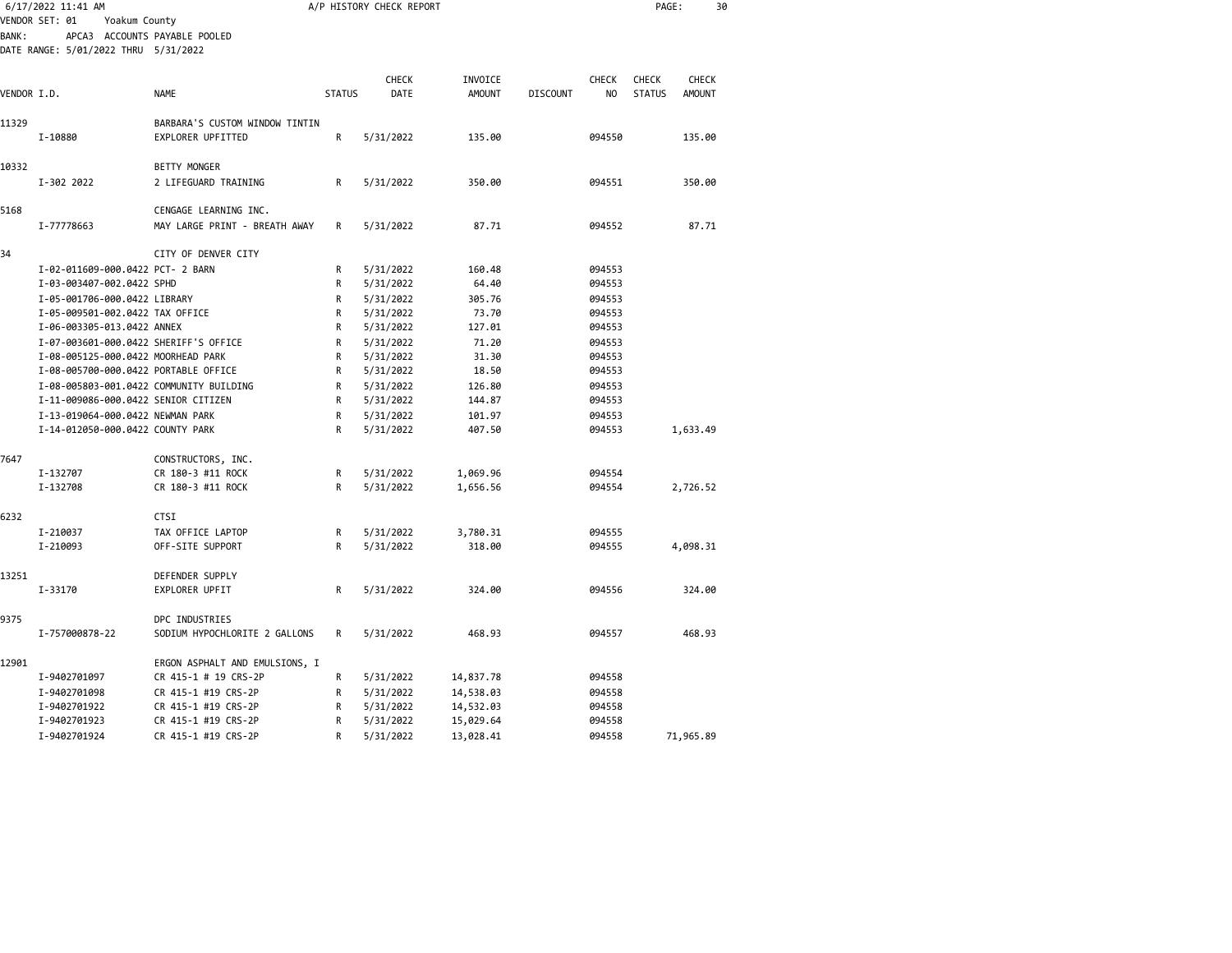|                |                                                     |                                                                                                                                                                                                                                                                                                                                                                                                                                                                                                                                           |                                                                       |                        |                                                |                |                     | 30            |
|----------------|-----------------------------------------------------|-------------------------------------------------------------------------------------------------------------------------------------------------------------------------------------------------------------------------------------------------------------------------------------------------------------------------------------------------------------------------------------------------------------------------------------------------------------------------------------------------------------------------------------------|-----------------------------------------------------------------------|------------------------|------------------------------------------------|----------------|---------------------|---------------|
|                |                                                     |                                                                                                                                                                                                                                                                                                                                                                                                                                                                                                                                           |                                                                       |                        |                                                |                |                     |               |
|                |                                                     |                                                                                                                                                                                                                                                                                                                                                                                                                                                                                                                                           |                                                                       |                        |                                                |                |                     |               |
|                |                                                     |                                                                                                                                                                                                                                                                                                                                                                                                                                                                                                                                           |                                                                       |                        |                                                |                |                     |               |
|                |                                                     |                                                                                                                                                                                                                                                                                                                                                                                                                                                                                                                                           | CHECK                                                                 | INVOICE                |                                                | <b>CHECK</b>   | <b>CHECK</b>        | CHECK         |
|                | <b>NAME</b>                                         | <b>STATUS</b>                                                                                                                                                                                                                                                                                                                                                                                                                                                                                                                             | <b>DATE</b>                                                           | <b>AMOUNT</b>          | <b>DISCOUNT</b>                                | N <sub>O</sub> | <b>STATUS</b>       | <b>AMOUNT</b> |
|                |                                                     |                                                                                                                                                                                                                                                                                                                                                                                                                                                                                                                                           |                                                                       |                        |                                                |                |                     |               |
| I-10880        | EXPLORER UPFITTED                                   | R                                                                                                                                                                                                                                                                                                                                                                                                                                                                                                                                         | 5/31/2022                                                             | 135.00                 |                                                | 094550         |                     | 135.00        |
|                | <b>BETTY MONGER</b>                                 |                                                                                                                                                                                                                                                                                                                                                                                                                                                                                                                                           |                                                                       |                        |                                                |                |                     |               |
| I-302 2022     | 2 LIFEGUARD TRAINING                                | R                                                                                                                                                                                                                                                                                                                                                                                                                                                                                                                                         | 5/31/2022                                                             | 350.00                 |                                                | 094551         |                     | 350.00        |
|                | CENGAGE LEARNING INC.                               |                                                                                                                                                                                                                                                                                                                                                                                                                                                                                                                                           |                                                                       |                        |                                                |                |                     |               |
| I-77778663     | MAY LARGE PRINT - BREATH AWAY                       | R                                                                                                                                                                                                                                                                                                                                                                                                                                                                                                                                         | 5/31/2022                                                             | 87.71                  |                                                | 094552         |                     | 87.71         |
|                | CITY OF DENVER CITY                                 |                                                                                                                                                                                                                                                                                                                                                                                                                                                                                                                                           |                                                                       |                        |                                                |                |                     |               |
|                |                                                     | R                                                                                                                                                                                                                                                                                                                                                                                                                                                                                                                                         | 5/31/2022                                                             | 160.48                 |                                                | 094553         |                     |               |
|                |                                                     | R                                                                                                                                                                                                                                                                                                                                                                                                                                                                                                                                         | 5/31/2022                                                             | 64.40                  |                                                | 094553         |                     |               |
|                |                                                     | R                                                                                                                                                                                                                                                                                                                                                                                                                                                                                                                                         | 5/31/2022                                                             | 305.76                 |                                                | 094553         |                     |               |
|                |                                                     | R                                                                                                                                                                                                                                                                                                                                                                                                                                                                                                                                         | 5/31/2022                                                             | 73.70                  |                                                | 094553         |                     |               |
|                |                                                     | R                                                                                                                                                                                                                                                                                                                                                                                                                                                                                                                                         | 5/31/2022                                                             | 127.01                 |                                                | 094553         |                     |               |
|                |                                                     | R                                                                                                                                                                                                                                                                                                                                                                                                                                                                                                                                         | 5/31/2022                                                             | 71.20                  |                                                | 094553         |                     |               |
|                |                                                     | R                                                                                                                                                                                                                                                                                                                                                                                                                                                                                                                                         | 5/31/2022                                                             | 31.30                  |                                                | 094553         |                     |               |
|                |                                                     | R                                                                                                                                                                                                                                                                                                                                                                                                                                                                                                                                         | 5/31/2022                                                             | 18.50                  |                                                | 094553         |                     |               |
|                |                                                     | R                                                                                                                                                                                                                                                                                                                                                                                                                                                                                                                                         | 5/31/2022                                                             | 126.80                 |                                                | 094553         |                     |               |
|                |                                                     | R                                                                                                                                                                                                                                                                                                                                                                                                                                                                                                                                         | 5/31/2022                                                             | 144.87                 |                                                | 094553         |                     |               |
|                |                                                     |                                                                                                                                                                                                                                                                                                                                                                                                                                                                                                                                           |                                                                       |                        |                                                |                |                     |               |
|                |                                                     | R                                                                                                                                                                                                                                                                                                                                                                                                                                                                                                                                         | 5/31/2022                                                             | 407.50                 |                                                | 094553         |                     | 1,633.49      |
|                | CONSTRUCTORS, INC.                                  |                                                                                                                                                                                                                                                                                                                                                                                                                                                                                                                                           |                                                                       |                        |                                                |                |                     |               |
| I-132707       | CR 180-3 #11 ROCK                                   | R                                                                                                                                                                                                                                                                                                                                                                                                                                                                                                                                         | 5/31/2022                                                             | 1,069.96               |                                                | 094554         |                     |               |
| I-132708       | CR 180-3 #11 ROCK                                   | R                                                                                                                                                                                                                                                                                                                                                                                                                                                                                                                                         | 5/31/2022                                                             | 1,656.56               |                                                | 094554         |                     | 2,726.52      |
|                | <b>CTSI</b>                                         |                                                                                                                                                                                                                                                                                                                                                                                                                                                                                                                                           |                                                                       |                        |                                                |                |                     |               |
| I-210037       | TAX OFFICE LAPTOP                                   | R                                                                                                                                                                                                                                                                                                                                                                                                                                                                                                                                         |                                                                       |                        |                                                | 094555         |                     |               |
| I-210093       | OFF-SITE SUPPORT                                    | R                                                                                                                                                                                                                                                                                                                                                                                                                                                                                                                                         | 5/31/2022                                                             | 318.00                 |                                                | 094555         |                     | 4,098.31      |
|                | DEFENDER SUPPLY                                     |                                                                                                                                                                                                                                                                                                                                                                                                                                                                                                                                           |                                                                       |                        |                                                |                |                     |               |
| I-33170        | EXPLORER UPFIT                                      | R                                                                                                                                                                                                                                                                                                                                                                                                                                                                                                                                         | 5/31/2022                                                             | 324.00                 |                                                | 094556         |                     | 324.00        |
|                | DPC INDUSTRIES                                      |                                                                                                                                                                                                                                                                                                                                                                                                                                                                                                                                           |                                                                       |                        |                                                |                |                     |               |
| I-757000878-22 | SODIUM HYPOCHLORITE 2 GALLONS                       | R                                                                                                                                                                                                                                                                                                                                                                                                                                                                                                                                         | 5/31/2022                                                             | 468.93                 |                                                | 094557         |                     | 468.93        |
|                |                                                     |                                                                                                                                                                                                                                                                                                                                                                                                                                                                                                                                           |                                                                       |                        |                                                |                |                     |               |
| I-9402701097   | CR 415-1 # 19 CRS-2P                                | R                                                                                                                                                                                                                                                                                                                                                                                                                                                                                                                                         | 5/31/2022                                                             | 14,837.78              |                                                | 094558         |                     |               |
| I-9402701098   | CR 415-1 #19 CRS-2P                                 | R                                                                                                                                                                                                                                                                                                                                                                                                                                                                                                                                         | 5/31/2022                                                             | 14,538.03              |                                                | 094558         |                     |               |
| I-9402701922   | CR 415-1 #19 CRS-2P                                 | R                                                                                                                                                                                                                                                                                                                                                                                                                                                                                                                                         | 5/31/2022                                                             | 14,532.03              |                                                | 094558         |                     |               |
| I-9402701923   | CR 415-1 #19 CRS-2P                                 | R                                                                                                                                                                                                                                                                                                                                                                                                                                                                                                                                         | 5/31/2022                                                             | 15,029.64              |                                                | 094558         |                     |               |
| I-9402701924   | CR 415-1 #19 CRS-2P                                 | R                                                                                                                                                                                                                                                                                                                                                                                                                                                                                                                                         | 5/31/2022                                                             |                        |                                                | 094558         |                     | 71,965.89     |
|                | 6/17/2022 11:41 AM<br>VENDOR SET: 01<br>VENDOR I.D. | Yoakum County<br>APCA3 ACCOUNTS PAYABLE POOLED<br>DATE RANGE: 5/01/2022 THRU 5/31/2022<br>I-02-011609-000.0422 PCT- 2 BARN<br>I-03-003407-002.0422 SPHD<br>I-05-001706-000.0422 LIBRARY<br>I-05-009501-002.0422 TAX OFFICE<br>I-06-003305-013.0422 ANNEX<br>I-07-003601-000.0422 SHERIFF'S OFFICE<br>I-08-005125-000.0422 MOORHEAD PARK<br>I-08-005700-000.0422 PORTABLE OFFICE<br>I-08-005803-001.0422 COMMUNITY BUILDING<br>I-11-009086-000.0422 SENIOR CITIZEN<br>I-13-019064-000.0422 NEWMAN PARK<br>I-14-012050-000.0422 COUNTY PARK | BARBARA'S CUSTOM WINDOW TINTIN<br>R<br>ERGON ASPHALT AND EMULSIONS, I | 5/31/2022<br>5/31/2022 | A/P HISTORY CHECK REPORT<br>101.97<br>3,780.31 |                | 094553<br>13,028.41 | PAGE:         |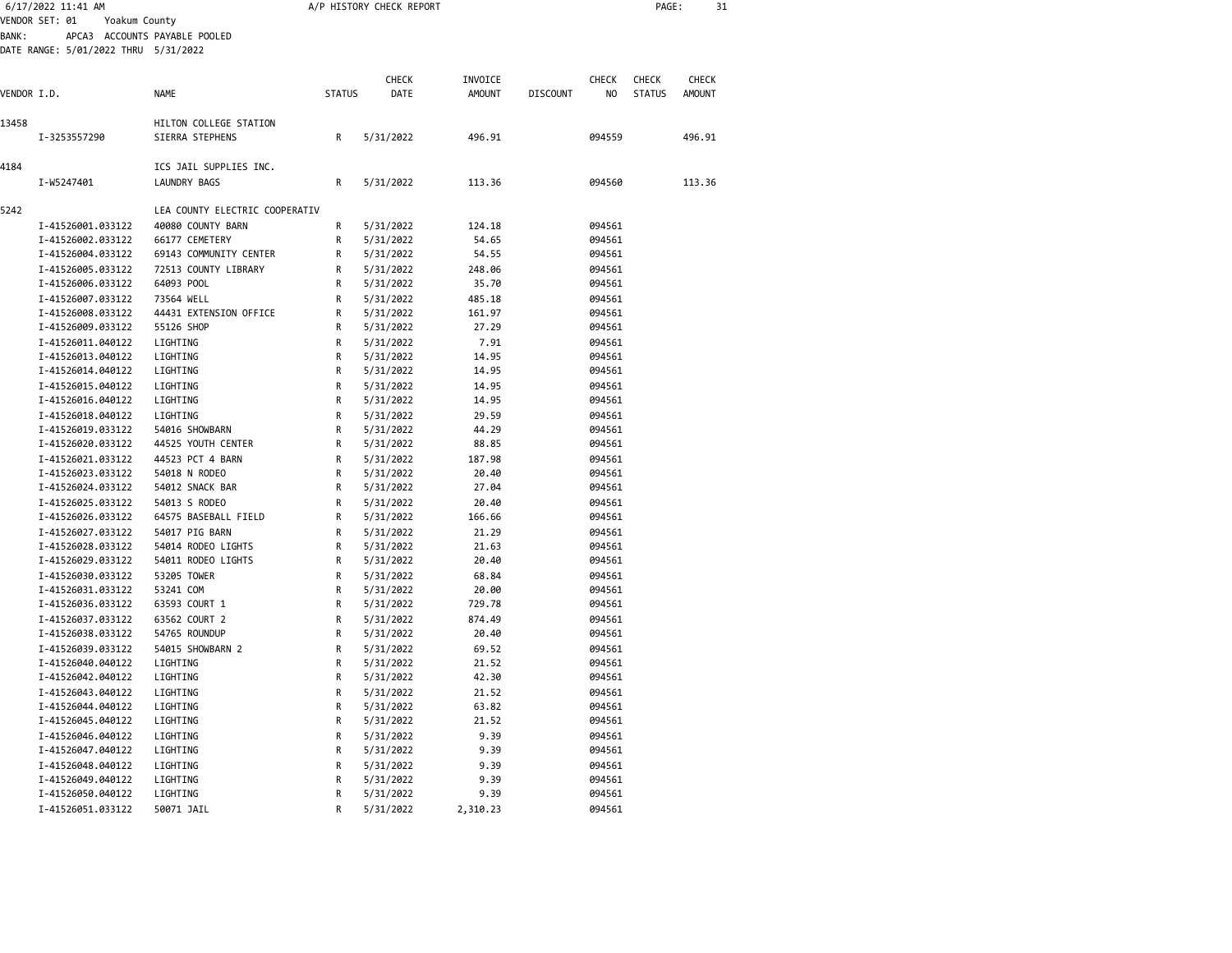|             | 6/17/2022 11:41 AM                                                      |                                |               | A/P HISTORY CHECK REPORT |               |                 |        | PAGE:         |               | 31 |
|-------------|-------------------------------------------------------------------------|--------------------------------|---------------|--------------------------|---------------|-----------------|--------|---------------|---------------|----|
| BANK :      | VENDOR SET: 01<br>Yoakum County<br>DATE RANGE: 5/01/2022 THRU 5/31/2022 | APCA3 ACCOUNTS PAYABLE POOLED  |               |                          |               |                 |        |               |               |    |
|             |                                                                         |                                |               | <b>CHECK</b>             | INVOICE       |                 | CHECK  | <b>CHECK</b>  | CHECK         |    |
| VENDOR I.D. |                                                                         | <b>NAME</b>                    | <b>STATUS</b> | DATE                     | <b>AMOUNT</b> | <b>DISCOUNT</b> | NO     | <b>STATUS</b> | <b>AMOUNT</b> |    |
| 13458       |                                                                         | HILTON COLLEGE STATION         |               |                          |               |                 |        |               |               |    |
|             | I-3253557290                                                            | SIERRA STEPHENS                | R             | 5/31/2022                | 496.91        |                 | 094559 |               | 496.91        |    |
| 4184        |                                                                         | ICS JAIL SUPPLIES INC.         |               |                          |               |                 |        |               |               |    |
|             | I-W5247401                                                              | LAUNDRY BAGS                   | R             | 5/31/2022                | 113.36        |                 | 094560 |               | 113.36        |    |
| 5242        |                                                                         | LEA COUNTY ELECTRIC COOPERATIV |               |                          |               |                 |        |               |               |    |
|             | I-41526001.033122                                                       | 40080 COUNTY BARN              | R             | 5/31/2022                | 124.18        |                 | 094561 |               |               |    |
|             | I-41526002.033122                                                       | 66177 CEMETERY                 | R             | 5/31/2022                | 54.65         |                 | 094561 |               |               |    |
|             | I-41526004.033122                                                       | 69143 COMMUNITY CENTER         | R             | 5/31/2022                | 54.55         |                 | 094561 |               |               |    |
|             |                                                                         |                                |               |                          |               |                 |        |               |               |    |
|             | I-41526005.033122                                                       | 72513 COUNTY LIBRARY           | R             | 5/31/2022                | 248.06        |                 | 094561 |               |               |    |
|             | I-41526006.033122                                                       | 64093 POOL                     | R             | 5/31/2022                | 35.70         |                 | 094561 |               |               |    |
|             | I-41526007.033122                                                       | 73564 WELL                     | R             | 5/31/2022                | 485.18        |                 | 094561 |               |               |    |
|             | I-41526008.033122                                                       | 44431 EXTENSION OFFICE         | R             | 5/31/2022                | 161.97        |                 | 094561 |               |               |    |
|             | I-41526009.033122                                                       | 55126 SHOP                     | R             | 5/31/2022                | 27.29         |                 | 094561 |               |               |    |
|             | I-41526011.040122                                                       | LIGHTING                       | R             | 5/31/2022                | 7.91          |                 | 094561 |               |               |    |
|             | I-41526013.040122                                                       | LIGHTING                       | R             | 5/31/2022                | 14.95         |                 | 094561 |               |               |    |
|             | I-41526014.040122                                                       | LIGHTING                       | R             | 5/31/2022                | 14.95         |                 | 094561 |               |               |    |
|             | I-41526015.040122                                                       | LIGHTING                       | R             | 5/31/2022                | 14.95         |                 | 094561 |               |               |    |
|             | I-41526016.040122                                                       | LIGHTING                       | R             | 5/31/2022                | 14.95         |                 | 094561 |               |               |    |
|             | I-41526018.040122                                                       | LIGHTING                       | R             | 5/31/2022                | 29.59         |                 | 094561 |               |               |    |
|             | I-41526019.033122                                                       | 54016 SHOWBARN                 | R             | 5/31/2022                | 44.29         |                 | 094561 |               |               |    |
|             | I-41526020.033122                                                       | 44525 YOUTH CENTER             | R             | 5/31/2022                | 88.85         |                 | 094561 |               |               |    |
|             | I-41526021.033122                                                       | 44523 PCT 4 BARN               | R             | 5/31/2022                | 187.98        |                 | 094561 |               |               |    |
|             | I-41526023.033122                                                       | 54018 N RODEO                  | R             | 5/31/2022                | 20.40         |                 | 094561 |               |               |    |
|             | I-41526024.033122                                                       | 54012 SNACK BAR                | R             | 5/31/2022                | 27.04         |                 | 094561 |               |               |    |
|             | I-41526025.033122                                                       | 54013 S RODEO                  | R             |                          |               |                 | 094561 |               |               |    |
|             |                                                                         |                                | R             | 5/31/2022                | 20.40         |                 | 094561 |               |               |    |
|             | I-41526026.033122                                                       | 64575 BASEBALL FIELD           |               | 5/31/2022                | 166.66        |                 |        |               |               |    |
|             | I-41526027.033122                                                       | 54017 PIG BARN                 | R             | 5/31/2022                | 21.29         |                 | 094561 |               |               |    |
|             | I-41526028.033122                                                       | 54014 RODEO LIGHTS             | R             | 5/31/2022                | 21.63         |                 | 094561 |               |               |    |
|             | I-41526029.033122                                                       | 54011 RODEO LIGHTS             | R             | 5/31/2022                | 20.40         |                 | 094561 |               |               |    |
|             | I-41526030.033122                                                       | 53205 TOWER                    | R             | 5/31/2022                | 68.84         |                 | 094561 |               |               |    |
|             | I-41526031.033122                                                       | 53241 COM                      | R             | 5/31/2022                | 20.00         |                 | 094561 |               |               |    |
|             | I-41526036.033122                                                       | 63593 COURT 1                  | R             | 5/31/2022                | 729.78        |                 | 094561 |               |               |    |
|             | I-41526037.033122                                                       | 63562 COURT 2                  | R             | 5/31/2022                | 874.49        |                 | 094561 |               |               |    |
|             | I-41526038.033122                                                       | 54765 ROUNDUP                  | R             | 5/31/2022                | 20.40         |                 | 094561 |               |               |    |
|             | I-41526039.033122                                                       | 54015 SHOWBARN 2               | R             | 5/31/2022                | 69.52         |                 | 094561 |               |               |    |
|             | I-41526040.040122                                                       | LIGHTING                       | R             | 5/31/2022                | 21.52         |                 | 094561 |               |               |    |
|             | I-41526042.040122                                                       | LIGHTING                       | R             | 5/31/2022                | 42.30         |                 | 094561 |               |               |    |
|             | I-41526043.040122                                                       | LIGHTING                       | R             | 5/31/2022                | 21.52         |                 | 094561 |               |               |    |
|             | I-41526044.040122                                                       | LIGHTING                       | R             | 5/31/2022                | 63.82         |                 | 094561 |               |               |    |
|             | I-41526045.040122                                                       | LIGHTING                       | R             | 5/31/2022                | 21.52         |                 | 094561 |               |               |    |
|             | I-41526046.040122                                                       | LIGHTING                       | R             | 5/31/2022                | 9.39          |                 | 094561 |               |               |    |
|             | I-41526047.040122                                                       |                                | R             | 5/31/2022                | 9.39          |                 | 094561 |               |               |    |
|             |                                                                         | LIGHTING                       |               |                          |               |                 |        |               |               |    |
|             | I-41526048.040122                                                       | LIGHTING                       | R             | 5/31/2022                | 9.39          |                 | 094561 |               |               |    |
|             | I-41526049.040122                                                       | LIGHTING                       | R             | 5/31/2022                | 9.39          |                 | 094561 |               |               |    |
|             | I-41526050.040122                                                       | LIGHTING                       | R             | 5/31/2022                | 9.39          |                 | 094561 |               |               |    |
|             | I-41526051.033122                                                       | 50071 JAIL                     | R             | 5/31/2022                | 2,310.23      |                 | 094561 |               |               |    |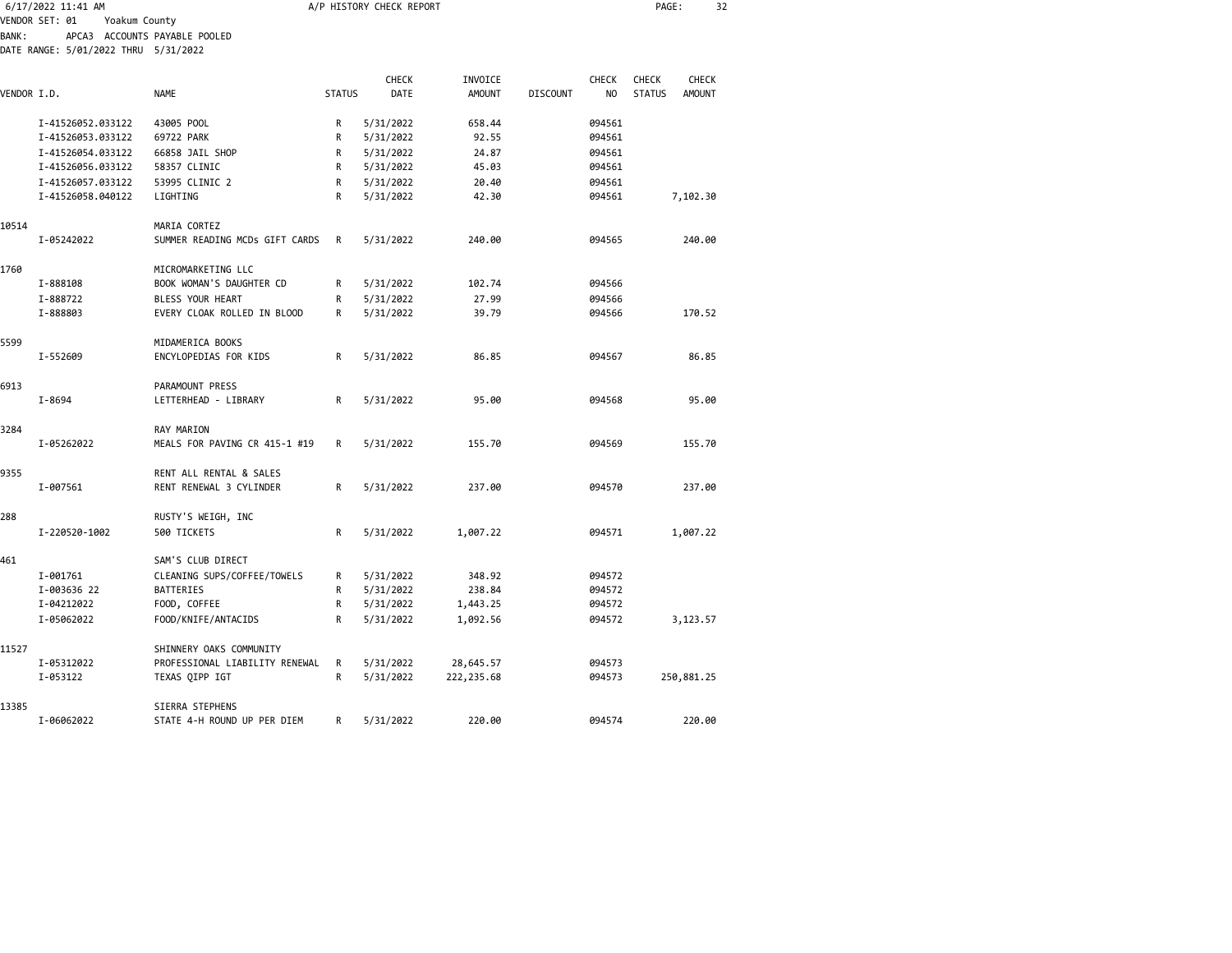|              | 6/17/2022 11:41 AM                   |                                                    |               | A/P HISTORY CHECK REPORT |               | 32<br>PAGE:     |              |               |               |  |
|--------------|--------------------------------------|----------------------------------------------------|---------------|--------------------------|---------------|-----------------|--------------|---------------|---------------|--|
|              | VENDOR SET: 01<br>Yoakum County      |                                                    |               |                          |               |                 |              |               |               |  |
| <b>BANK:</b> |                                      | APCA3 ACCOUNTS PAYABLE POOLED                      |               |                          |               |                 |              |               |               |  |
|              | DATE RANGE: 5/01/2022 THRU 5/31/2022 |                                                    |               |                          |               |                 |              |               |               |  |
|              |                                      |                                                    |               |                          |               |                 |              |               |               |  |
|              |                                      |                                                    |               | CHECK                    | INVOICE       |                 | <b>CHECK</b> | <b>CHECK</b>  | CHECK         |  |
| VENDOR I.D.  |                                      | <b>NAME</b>                                        | <b>STATUS</b> | <b>DATE</b>              | <b>AMOUNT</b> | <b>DISCOUNT</b> | NO           | <b>STATUS</b> | <b>AMOUNT</b> |  |
|              | I-41526052.033122                    | 43005 POOL                                         | R             | 5/31/2022                | 658.44        |                 | 094561       |               |               |  |
|              | I-41526053.033122                    | 69722 PARK                                         | R             | 5/31/2022                | 92.55         |                 | 094561       |               |               |  |
|              | I-41526054.033122                    | 66858 JAIL SHOP                                    | R             | 5/31/2022                | 24.87         |                 | 094561       |               |               |  |
|              | I-41526056.033122                    | 58357 CLINIC                                       | R             | 5/31/2022                | 45.03         |                 | 094561       |               |               |  |
|              | I-41526057.033122                    | 53995 CLINIC 2                                     | R             | 5/31/2022                | 20.40         |                 | 094561       |               |               |  |
|              | I-41526058.040122                    | LIGHTING                                           | R             | 5/31/2022                | 42.30         |                 | 094561       |               | 7,102.30      |  |
|              |                                      |                                                    |               |                          |               |                 |              |               |               |  |
| 10514        |                                      | MARIA CORTEZ                                       |               |                          |               |                 |              |               |               |  |
|              | I-05242022                           | SUMMER READING MCDs GIFT CARDS                     | R             | 5/31/2022                | 240.00        |                 | 094565       |               | 240.00        |  |
|              |                                      |                                                    |               |                          |               |                 |              |               |               |  |
| 1760         |                                      | MICROMARKETING LLC                                 |               |                          |               |                 |              |               |               |  |
|              | I-888108                             | BOOK WOMAN'S DAUGHTER CD                           | R             | 5/31/2022                | 102.74        |                 | 094566       |               |               |  |
|              | I-888722                             | BLESS YOUR HEART                                   | R             | 5/31/2022                | 27.99         |                 | 094566       |               |               |  |
|              | I-888803                             | EVERY CLOAK ROLLED IN BLOOD                        | R             | 5/31/2022                | 39.79         |                 | 094566       |               | 170.52        |  |
|              |                                      |                                                    |               |                          |               |                 |              |               |               |  |
| 5599         |                                      | MIDAMERICA BOOKS                                   |               |                          |               |                 |              |               |               |  |
|              | I-552609                             | ENCYLOPEDIAS FOR KIDS                              | R             | 5/31/2022                | 86.85         |                 | 094567       |               | 86.85         |  |
|              |                                      |                                                    |               |                          |               |                 |              |               |               |  |
| 6913         |                                      | <b>PARAMOUNT PRESS</b>                             |               |                          |               |                 |              |               |               |  |
|              | I-8694                               | LETTERHEAD - LIBRARY                               | R             | 5/31/2022                | 95.00         |                 | 094568       |               | 95.00         |  |
|              |                                      |                                                    |               |                          |               |                 |              |               |               |  |
| 3284         |                                      | RAY MARION                                         |               |                          |               |                 |              |               |               |  |
|              | I-05262022                           | MEALS FOR PAVING CR 415-1 #19                      | R             | 5/31/2022                | 155.70        |                 | 094569       |               | 155.70        |  |
|              |                                      |                                                    |               |                          |               |                 |              |               |               |  |
| 9355         | I-007561                             | RENT ALL RENTAL & SALES<br>RENT RENEWAL 3 CYLINDER | R             | 5/31/2022                | 237.00        |                 | 094570       |               | 237.00        |  |
|              |                                      |                                                    |               |                          |               |                 |              |               |               |  |
| 288          |                                      | RUSTY'S WEIGH, INC                                 |               |                          |               |                 |              |               |               |  |
|              | I-220520-1002                        | 500 TICKETS                                        | R             | 5/31/2022                | 1,007.22      |                 | 094571       |               | 1,007.22      |  |
|              |                                      |                                                    |               |                          |               |                 |              |               |               |  |
| 461          |                                      | SAM'S CLUB DIRECT                                  |               |                          |               |                 |              |               |               |  |
|              | I-001761                             | CLEANING SUPS/COFFEE/TOWELS                        | R             | 5/31/2022                | 348.92        |                 | 094572       |               |               |  |
|              | I-003636 22                          | <b>BATTERIES</b>                                   | R             | 5/31/2022                | 238.84        |                 | 094572       |               |               |  |
|              | I-04212022                           | FOOD, COFFEE                                       | R             | 5/31/2022                | 1,443.25      |                 | 094572       |               |               |  |
|              | I-05062022                           | FOOD/KNIFE/ANTACIDS                                | R             | 5/31/2022                | 1,092.56      |                 | 094572       |               | 3,123.57      |  |
|              |                                      |                                                    |               |                          |               |                 |              |               |               |  |
| 11527        |                                      | SHINNERY OAKS COMMUNITY                            |               |                          |               |                 |              |               |               |  |
|              | I-05312022                           | PROFESSIONAL LIABILITY RENEWAL                     | R             | 5/31/2022                | 28,645.57     |                 | 094573       |               |               |  |
|              | I-053122                             | TEXAS QIPP IGT                                     | R             | 5/31/2022                | 222, 235.68   |                 | 094573       |               | 250,881.25    |  |
|              |                                      |                                                    |               |                          |               |                 |              |               |               |  |
| 13385        |                                      | SIERRA STEPHENS                                    |               |                          |               |                 |              |               |               |  |
|              | I-06062022                           | STATE 4-H ROUND UP PER DIEM                        | R             | 5/31/2022                | 220.00        |                 | 094574       |               | 220.00        |  |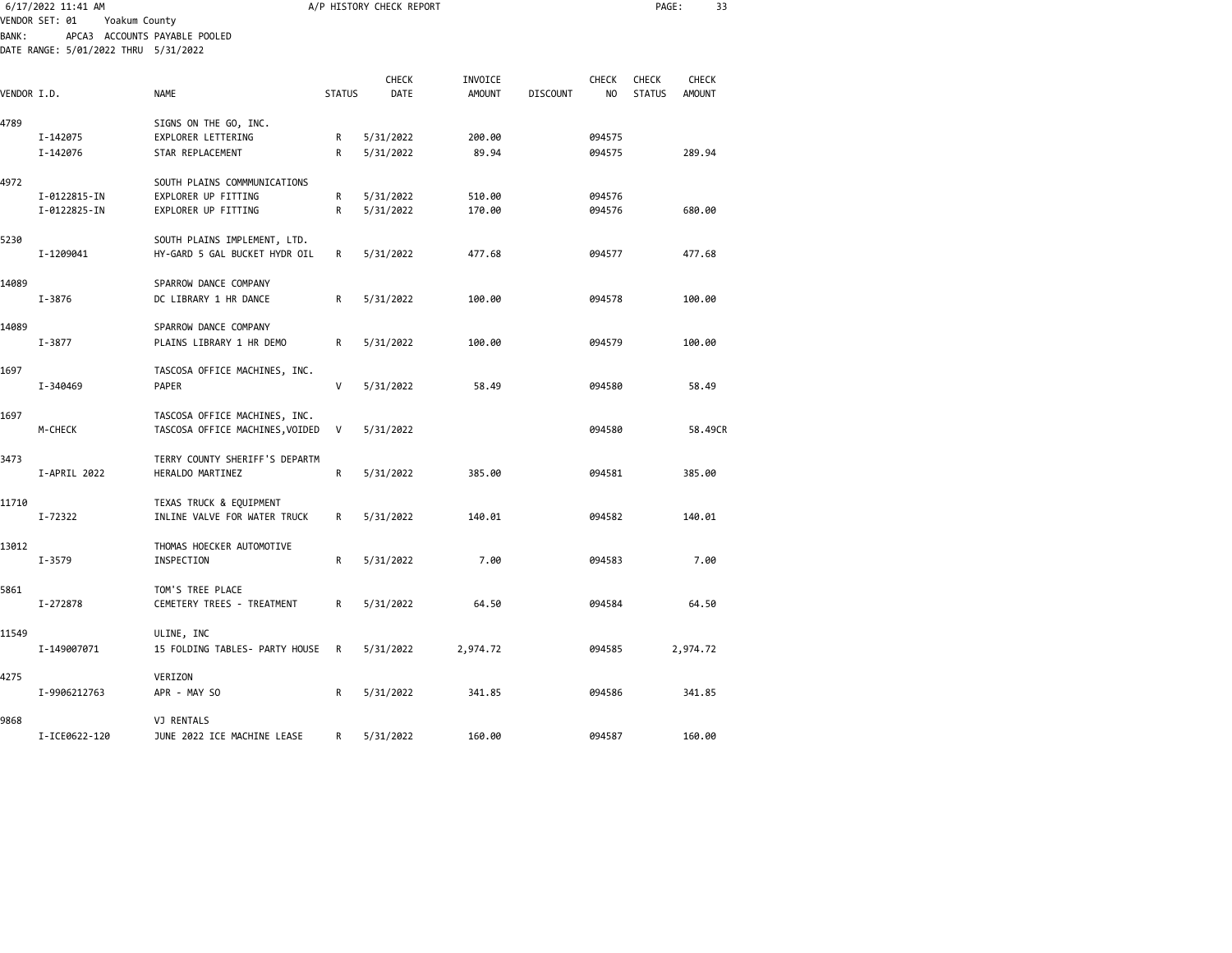| 6/17/2022 11:41 AM<br>VENDOR SET: 01<br>Yoakum County |                                      |                                 |               | A/P HISTORY CHECK REPORT |               |                 | PAGE:        | 33            |               |  |
|-------------------------------------------------------|--------------------------------------|---------------------------------|---------------|--------------------------|---------------|-----------------|--------------|---------------|---------------|--|
| <b>BANK:</b>                                          |                                      | APCA3 ACCOUNTS PAYABLE POOLED   |               |                          |               |                 |              |               |               |  |
|                                                       | DATE RANGE: 5/01/2022 THRU 5/31/2022 |                                 |               |                          |               |                 |              |               |               |  |
|                                                       |                                      |                                 |               | CHECK                    | INVOICE       |                 | <b>CHECK</b> | <b>CHECK</b>  | <b>CHECK</b>  |  |
| VENDOR I.D.                                           |                                      | <b>NAME</b>                     | <b>STATUS</b> | DATE                     | <b>AMOUNT</b> | <b>DISCOUNT</b> | NO           | <b>STATUS</b> | <b>AMOUNT</b> |  |
| 4789                                                  |                                      | SIGNS ON THE GO, INC.           |               |                          |               |                 |              |               |               |  |
|                                                       | I-142075                             | EXPLORER LETTERING              | R             | 5/31/2022                | 200.00        |                 | 094575       |               |               |  |
|                                                       | I-142076                             | STAR REPLACEMENT                | R             | 5/31/2022                | 89.94         |                 | 094575       |               | 289.94        |  |
| 4972                                                  |                                      | SOUTH PLAINS COMMMUNICATIONS    |               |                          |               |                 |              |               |               |  |
|                                                       | I-0122815-IN                         | EXPLORER UP FITTING             | R             | 5/31/2022                | 510.00        |                 | 094576       |               |               |  |
|                                                       | I-0122825-IN                         | EXPLORER UP FITTING             | R             | 5/31/2022                | 170.00        |                 | 094576       |               | 680.00        |  |
| 5230                                                  |                                      | SOUTH PLAINS IMPLEMENT, LTD.    |               |                          |               |                 |              |               |               |  |
|                                                       | I-1209041                            | HY-GARD 5 GAL BUCKET HYDR OIL   | R             | 5/31/2022                | 477.68        |                 | 094577       |               | 477.68        |  |
| 14089                                                 |                                      | SPARROW DANCE COMPANY           |               |                          |               |                 |              |               |               |  |
|                                                       | I-3876                               | DC LIBRARY 1 HR DANCE           | R             | 5/31/2022                | 100.00        |                 | 094578       |               | 100.00        |  |
| 14089                                                 |                                      | SPARROW DANCE COMPANY           |               |                          |               |                 |              |               |               |  |
|                                                       | I-3877                               | PLAINS LIBRARY 1 HR DEMO        | R             | 5/31/2022                | 100.00        |                 | 094579       |               | 100.00        |  |
| 1697                                                  |                                      | TASCOSA OFFICE MACHINES, INC.   |               |                          |               |                 |              |               |               |  |
|                                                       | I-340469                             | <b>PAPER</b>                    | V             | 5/31/2022                | 58.49         |                 | 094580       |               | 58.49         |  |
| 1697                                                  |                                      | TASCOSA OFFICE MACHINES, INC.   |               |                          |               |                 |              |               |               |  |
|                                                       | M-CHECK                              | TASCOSA OFFICE MACHINES, VOIDED | V             | 5/31/2022                |               |                 | 094580       |               | 58.49CR       |  |
| 3473                                                  |                                      | TERRY COUNTY SHERIFF'S DEPARTM  |               |                          |               |                 |              |               |               |  |
|                                                       | I-APRIL 2022                         | HERALDO MARTINEZ                | R             | 5/31/2022                | 385.00        |                 | 094581       |               | 385.00        |  |
| 11710                                                 |                                      | TEXAS TRUCK & EQUIPMENT         |               |                          |               |                 |              |               |               |  |
|                                                       | I-72322                              | INLINE VALVE FOR WATER TRUCK    | R             | 5/31/2022                | 140.01        |                 | 094582       |               | 140.01        |  |
| 13012                                                 |                                      | THOMAS HOECKER AUTOMOTIVE       |               |                          |               |                 |              |               |               |  |
|                                                       | I-3579                               | INSPECTION                      | R             | 5/31/2022                | 7.00          |                 | 094583       |               | 7.00          |  |
| 5861                                                  |                                      | TOM'S TREE PLACE                |               |                          |               |                 |              |               |               |  |
|                                                       | I-272878                             | CEMETERY TREES - TREATMENT      | R             | 5/31/2022                | 64.50         |                 | 094584       |               | 64.50         |  |
| 11549                                                 |                                      | ULINE, INC                      |               |                          |               |                 |              |               |               |  |
|                                                       | I-149007071                          | 15 FOLDING TABLES- PARTY HOUSE  | R             | 5/31/2022                | 2,974.72      |                 | 094585       |               | 2,974.72      |  |
| 4275                                                  |                                      | VERIZON                         |               |                          |               |                 |              |               |               |  |
|                                                       | I-9906212763                         | APR - MAY SO                    | R             | 5/31/2022                | 341.85        |                 | 094586       |               | 341.85        |  |
| 9868                                                  |                                      | VJ RENTALS                      |               |                          |               |                 |              |               |               |  |
|                                                       | I-ICE0622-120                        | JUNE 2022 ICE MACHINE LEASE     | R             | 5/31/2022                | 160.00        |                 | 094587       |               | 160.00        |  |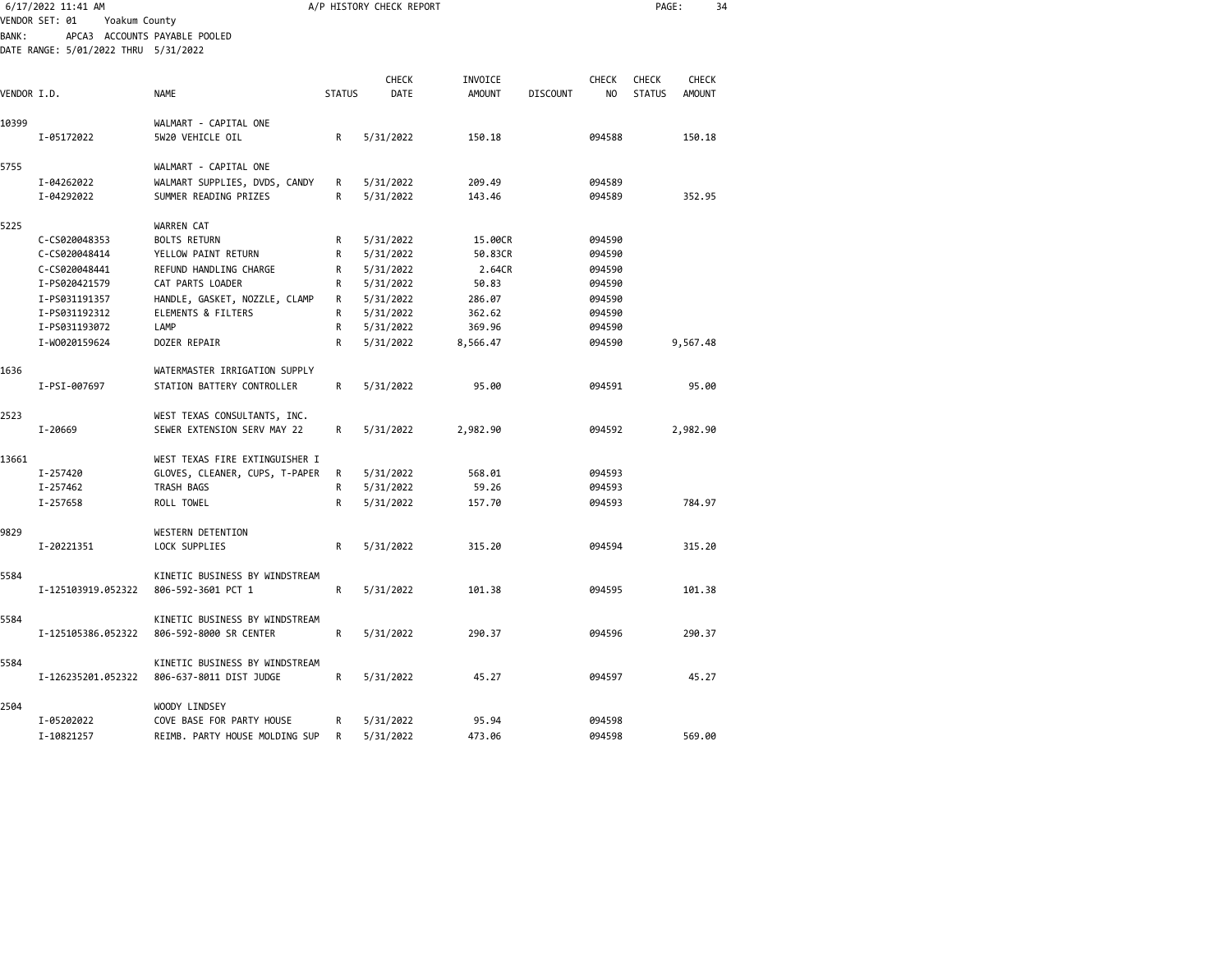| 6/17/2022 11:41 AM |                                      |                                                           | A/P HISTORY CHECK REPORT | PAGE:                  | 34            |                 |                |               |               |
|--------------------|--------------------------------------|-----------------------------------------------------------|--------------------------|------------------------|---------------|-----------------|----------------|---------------|---------------|
|                    | VENDOR SET: 01<br>Yoakum County      |                                                           |                          |                        |               |                 |                |               |               |
| <b>BANK:</b>       | DATE RANGE: 5/01/2022 THRU 5/31/2022 | APCA3 ACCOUNTS PAYABLE POOLED                             |                          |                        |               |                 |                |               |               |
|                    |                                      |                                                           |                          |                        |               |                 |                |               |               |
|                    |                                      |                                                           |                          | CHECK                  | INVOICE       |                 | CHECK          | <b>CHECK</b>  | CHECK         |
| VENDOR I.D.        |                                      | <b>NAME</b>                                               | <b>STATUS</b>            | <b>DATE</b>            | <b>AMOUNT</b> | <b>DISCOUNT</b> | N <sub>0</sub> | <b>STATUS</b> | <b>AMOUNT</b> |
| 10399              |                                      | WALMART - CAPITAL ONE                                     |                          |                        |               |                 |                |               |               |
|                    | I-05172022                           | 5W20 VEHICLE OIL                                          | R                        | 5/31/2022              | 150.18        |                 | 094588         |               | 150.18        |
| 5755               |                                      | WALMART - CAPITAL ONE                                     |                          |                        |               |                 |                |               |               |
|                    | I-04262022                           | WALMART SUPPLIES, DVDS, CANDY                             | R                        | 5/31/2022              | 209.49        |                 | 094589         |               |               |
|                    | I-04292022                           | SUMMER READING PRIZES                                     | R                        | 5/31/2022              | 143.46        |                 | 094589         |               | 352.95        |
| 5225               |                                      | WARREN CAT                                                |                          |                        |               |                 |                |               |               |
|                    | C-CS020048353                        | <b>BOLTS RETURN</b>                                       | R                        | 5/31/2022              | 15.00CR       |                 | 094590         |               |               |
|                    | C-CS020048414                        | YELLOW PAINT RETURN                                       | R                        | 5/31/2022              | 50.83CR       |                 | 094590         |               |               |
|                    | C-CS020048441                        | REFUND HANDLING CHARGE                                    | R                        | 5/31/2022              | 2.64CR        |                 | 094590         |               |               |
|                    | I-PS020421579                        | CAT PARTS LOADER                                          | R                        | 5/31/2022              | 50.83         |                 | 094590         |               |               |
|                    | I-PS031191357                        | HANDLE, GASKET, NOZZLE, CLAMP                             | R                        | 5/31/2022              | 286.07        |                 | 094590         |               |               |
|                    | I-PS031192312                        | ELEMENTS & FILTERS                                        | R                        | 5/31/2022              | 362.62        |                 | 094590         |               |               |
|                    | I-PS031193072                        | LAMP                                                      | R                        | 5/31/2022              | 369.96        |                 | 094590         |               |               |
|                    | I-W0020159624                        | DOZER REPAIR                                              | R                        | 5/31/2022              | 8,566.47      |                 | 094590         |               | 9,567.48      |
| 1636               |                                      | WATERMASTER IRRIGATION SUPPLY                             |                          |                        |               |                 |                |               |               |
|                    | I-PSI-007697                         | STATION BATTERY CONTROLLER                                | R                        | 5/31/2022              | 95.00         |                 | 094591         |               | 95.00         |
| 2523               |                                      | WEST TEXAS CONSULTANTS, INC.                              |                          |                        |               |                 |                |               |               |
|                    | I-20669                              | SEWER EXTENSION SERV MAY 22                               | R                        | 5/31/2022              | 2,982.90      |                 | 094592         |               | 2,982.90      |
|                    |                                      |                                                           |                          |                        |               |                 |                |               |               |
| 13661              | I-257420                             | WEST TEXAS FIRE EXTINGUISHER I                            |                          |                        | 568.01        |                 | 094593         |               |               |
|                    | I-257462                             | GLOVES, CLEANER, CUPS, T-PAPER<br>TRASH BAGS              | R<br>R                   | 5/31/2022<br>5/31/2022 | 59.26         |                 | 094593         |               |               |
|                    | I-257658                             | ROLL TOWEL                                                | R                        | 5/31/2022              | 157.70        |                 | 094593         |               | 784.97        |
|                    |                                      |                                                           |                          |                        |               |                 |                |               |               |
| 9829               |                                      | WESTERN DETENTION                                         |                          |                        |               |                 |                |               |               |
|                    | I-20221351                           | LOCK SUPPLIES                                             | R                        | 5/31/2022              | 315.20        |                 | 094594         |               | 315.20        |
| 5584               |                                      | KINETIC BUSINESS BY WINDSTREAM                            |                          |                        |               |                 |                |               |               |
|                    | I-125103919.052322                   | 806-592-3601 PCT 1                                        | R                        | 5/31/2022              | 101.38        |                 | 094595         |               | 101.38        |
| 5584               |                                      | KINETIC BUSINESS BY WINDSTREAM                            |                          |                        |               |                 |                |               |               |
|                    | I-125105386.052322                   | 806-592-8000 SR CENTER                                    | R                        | 5/31/2022              | 290.37        |                 | 094596         |               | 290.37        |
|                    |                                      |                                                           |                          |                        |               |                 |                |               |               |
| 5584               | I-126235201.052322                   | KINETIC BUSINESS BY WINDSTREAM<br>806-637-8011 DIST JUDGE | R                        | 5/31/2022              | 45.27         |                 | 094597         |               | 45.27         |
|                    |                                      |                                                           |                          |                        |               |                 |                |               |               |
| 2504               |                                      | <b>WOODY LINDSEY</b>                                      |                          |                        |               |                 |                |               |               |
|                    | I-05202022                           | COVE BASE FOR PARTY HOUSE                                 | R                        | 5/31/2022              | 95.94         |                 | 094598         |               |               |
|                    | I-10821257                           | REIMB. PARTY HOUSE MOLDING SUP                            | R                        | 5/31/2022              | 473.06        |                 | 094598         |               | 569.00        |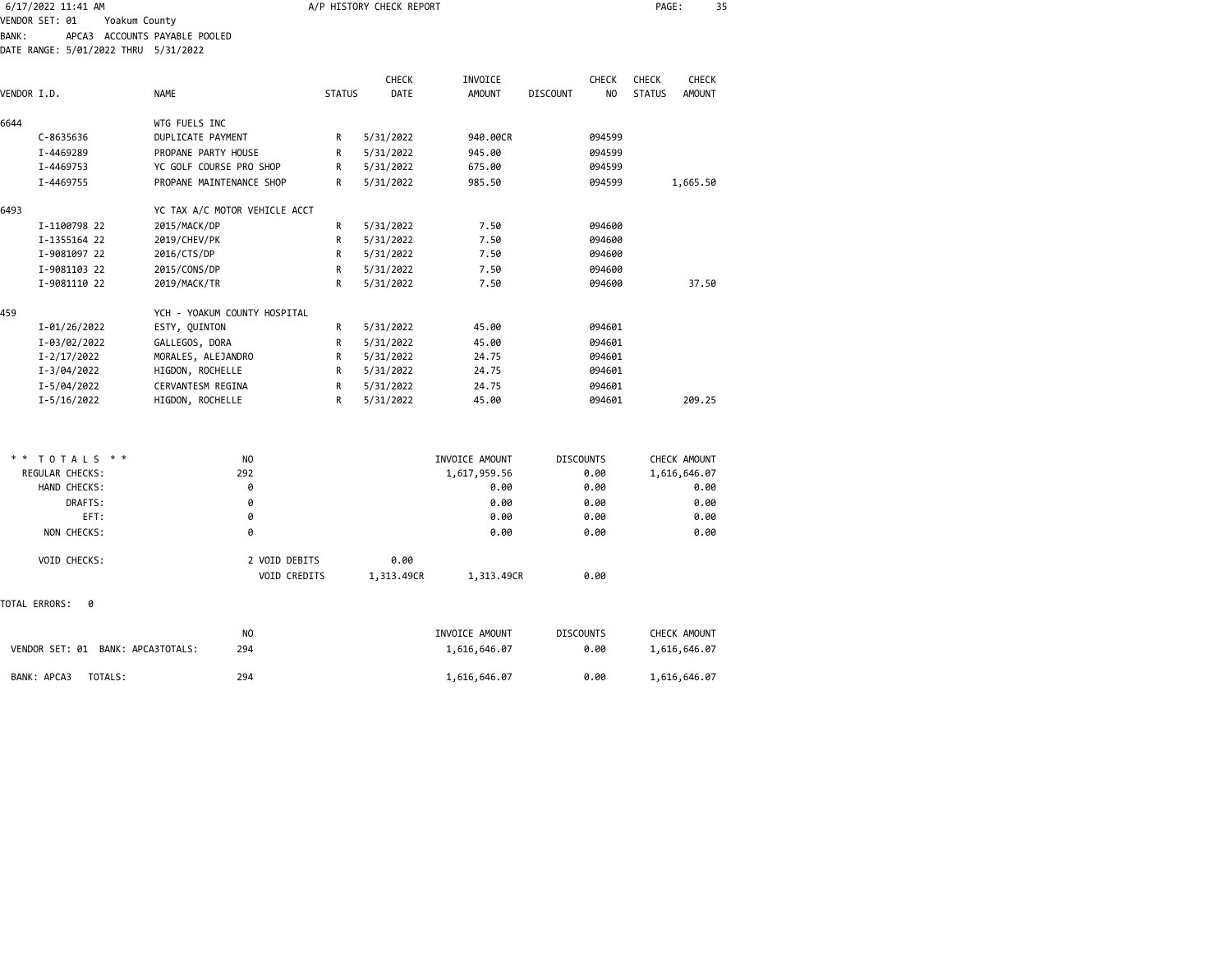| 6/17/2022 11:41 AM |                                      |                               |               | A/P HISTORY CHECK REPORT |               |                 |                | PAGE:         | 35            |  |
|--------------------|--------------------------------------|-------------------------------|---------------|--------------------------|---------------|-----------------|----------------|---------------|---------------|--|
|                    | VENDOR SET: 01<br>Yoakum County      |                               |               |                          |               |                 |                |               |               |  |
| <b>BANK:</b>       |                                      | APCA3 ACCOUNTS PAYABLE POOLED |               |                          |               |                 |                |               |               |  |
|                    | DATE RANGE: 5/01/2022 THRU 5/31/2022 |                               |               |                          |               |                 |                |               |               |  |
|                    |                                      |                               |               |                          |               |                 |                |               |               |  |
|                    |                                      |                               |               | <b>CHECK</b>             | INVOICE       |                 | <b>CHECK</b>   | <b>CHECK</b>  | <b>CHECK</b>  |  |
| VENDOR I.D.        |                                      | <b>NAME</b>                   | <b>STATUS</b> | DATE                     | <b>AMOUNT</b> | <b>DISCOUNT</b> | N <sub>O</sub> | <b>STATUS</b> | <b>AMOUNT</b> |  |
| 6644               |                                      | WTG FUELS INC                 |               |                          |               |                 |                |               |               |  |
|                    | C-8635636                            | DUPLICATE PAYMENT             | R             | 5/31/2022                | 940,00CR      |                 | 094599         |               |               |  |
|                    | I-4469289                            | PROPANE PARTY HOUSE           | R             | 5/31/2022                | 945.00        |                 | 094599         |               |               |  |
|                    | I-4469753                            | YC GOLF COURSE PRO SHOP       | R             | 5/31/2022                | 675.00        |                 | 094599         |               |               |  |
|                    | I-4469755                            | PROPANE MAINTENANCE SHOP      | R             | 5/31/2022                | 985.50        |                 | 094599         |               | 1,665.50      |  |
| 6493               |                                      | YC TAX A/C MOTOR VEHICLE ACCT |               |                          |               |                 |                |               |               |  |
|                    | I-1100798 22                         | 2015/MACK/DP                  | R             | 5/31/2022                | 7.50          |                 | 094600         |               |               |  |
|                    | I-1355164 22                         | 2019/CHEV/PK                  | R             | 5/31/2022                | 7.50          |                 | 094600         |               |               |  |
|                    | I-9081097 22                         | 2016/CTS/DP                   | R             | 5/31/2022                | 7.50          |                 | 094600         |               |               |  |
|                    | I-9081103 22                         | 2015/CONS/DP                  | R             | 5/31/2022                | 7.50          |                 | 094600         |               |               |  |
|                    | I-9081110 22                         | 2019/MACK/TR                  | R             | 5/31/2022                | 7.50          |                 | 094600         |               | 37.50         |  |
| 459                |                                      | YCH - YOAKUM COUNTY HOSPITAL  |               |                          |               |                 |                |               |               |  |
|                    | I-01/26/2022                         | ESTY, QUINTON                 | R             | 5/31/2022                | 45.00         |                 | 094601         |               |               |  |
|                    | I-03/02/2022                         | GALLEGOS, DORA                | R             | 5/31/2022                | 45.00         |                 | 094601         |               |               |  |
|                    | I-2/17/2022                          | MORALES, ALEJANDRO            | R             | 5/31/2022                | 24.75         |                 | 094601         |               |               |  |
|                    | I-3/04/2022                          | HIGDON, ROCHELLE              | R             | 5/31/2022                | 24.75         |                 | 094601         |               |               |  |
|                    | I-5/04/2022                          | <b>CERVANTESM REGINA</b>      | R             | 5/31/2022                | 24.75         |                 | 094601         |               |               |  |
|                    | I-5/16/2022                          | HIGDON, ROCHELLE              | R             | 5/31/2022                | 45.00         |                 | 094601         |               | 209.25        |  |
|                    |                                      |                               |               |                          |               |                 |                |               |               |  |

| $* * TOTALS **$                      | N <sub>0</sub> |            | INVOICE AMOUNT | <b>DISCOUNTS</b> | CHECK AMOUNT |
|--------------------------------------|----------------|------------|----------------|------------------|--------------|
| <b>REGULAR CHECKS:</b>               | 292            |            | 1,617,959.56   | 0.00             | 1,616,646.07 |
| HAND CHECKS:                         | 0              |            | 0.00           | 0.00             | 0.00         |
| DRAFTS:                              | 0              |            | 0.00           | 0.00             | 0.00         |
| EFT:                                 | 0              |            | 0.00           | 0.00             | 0.00         |
| NON CHECKS:                          | 0              |            | 0.00           | 0.00             | 0.00         |
| VOID CHECKS:                         | 2 VOID DEBITS  | 0.00       |                |                  |              |
|                                      | VOID CREDITS   | 1,313.49CR | 1,313.49CR     | 0.00             |              |
| TOTAL ERRORS:<br>ø                   |                |            |                |                  |              |
|                                      | N <sub>O</sub> |            | INVOICE AMOUNT | <b>DISCOUNTS</b> | CHECK AMOUNT |
| VENDOR SET: 01<br>BANK: APCA3TOTALS: | 294            |            | 1,616,646.07   | 0.00             | 1,616,646.07 |
| TOTALS:<br>BANK: APCA3               | 294            |            | 1,616,646.07   | 0.00             | 1,616,646.07 |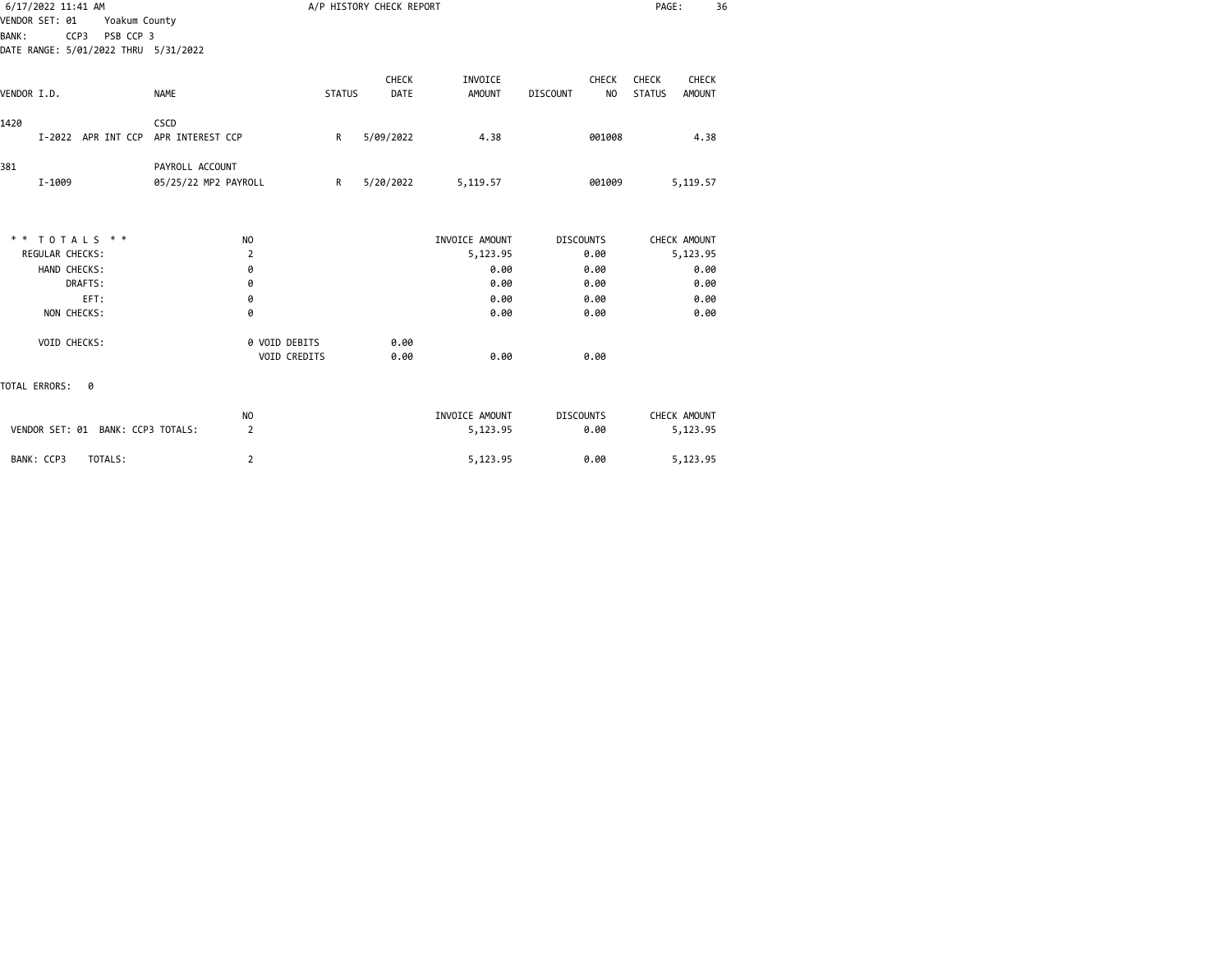| 6/17/2022 11:41 AM                   |                      |               | A/P HISTORY CHECK REPORT |                |                                   | PAGE:                   | 36 |
|--------------------------------------|----------------------|---------------|--------------------------|----------------|-----------------------------------|-------------------------|----|
| VENDOR SET: 01<br>Yoakum County      |                      |               |                          |                |                                   |                         |    |
| PSB CCP 3<br><b>BANK:</b><br>CCP3    |                      |               |                          |                |                                   |                         |    |
| DATE RANGE: 5/01/2022 THRU 5/31/2022 |                      |               |                          |                |                                   |                         |    |
|                                      |                      |               |                          |                |                                   |                         |    |
|                                      |                      |               | CHECK                    | INVOICE        | CHECK                             | CHECK<br>CHECK          |    |
| VENDOR I.D.                          | <b>NAME</b>          | <b>STATUS</b> | DATE                     | <b>AMOUNT</b>  | <b>DISCOUNT</b><br>N <sub>O</sub> | <b>STATUS</b><br>AMOUNT |    |
| 1420                                 | CSCD                 |               |                          |                |                                   |                         |    |
| I-2022 APR INT CCP                   | APR INTEREST CCP     | R             | 5/09/2022                | 4.38           | 001008                            | 4.38                    |    |
| 381                                  | PAYROLL ACCOUNT      |               |                          |                |                                   |                         |    |
| I-1009                               | 05/25/22 MP2 PAYROLL | R             | 5/20/2022                | 5,119.57       | 001009                            | 5,119.57                |    |
|                                      |                      |               |                          |                |                                   |                         |    |
| TOTALS * *<br>* *                    | NO                   |               |                          | INVOICE AMOUNT | <b>DISCOUNTS</b>                  | CHECK AMOUNT            |    |
| REGULAR CHECKS:                      | 2                    |               |                          | 5,123.95       | 0.00                              | 5,123.95                |    |
| HAND CHECKS:                         | 0                    |               |                          | 0.00           | 0.00                              | 0.00                    |    |
| DRAFTS:                              | 0                    |               |                          | 0.00           | 0.00                              | 0.00                    |    |
| EFT:                                 | 0                    |               |                          | 0.00           | 0.00                              | 0.00                    |    |
| NON CHECKS:                          | 0                    |               |                          | 0.00           | 0.00                              | 0.00                    |    |
| VOID CHECKS:                         | 0 VOID DEBITS        |               | 0.00                     |                |                                   |                         |    |
|                                      | VOID CREDITS         |               | 0.00                     | 0.00           | 0.00                              |                         |    |
| TOTAL ERRORS:<br>0                   |                      |               |                          |                |                                   |                         |    |
|                                      | NO                   |               |                          | INVOICE AMOUNT | <b>DISCOUNTS</b>                  | CHECK AMOUNT            |    |
| VENDOR SET: 01 BANK: CCP3 TOTALS:    | $\overline{2}$       |               |                          | 5,123.95       | 0.00                              | 5,123.95                |    |
| BANK: CCP3<br>TOTALS:                | $\overline{2}$       |               |                          | 5,123.95       | 0.00                              | 5,123.95                |    |
|                                      |                      |               |                          |                |                                   |                         |    |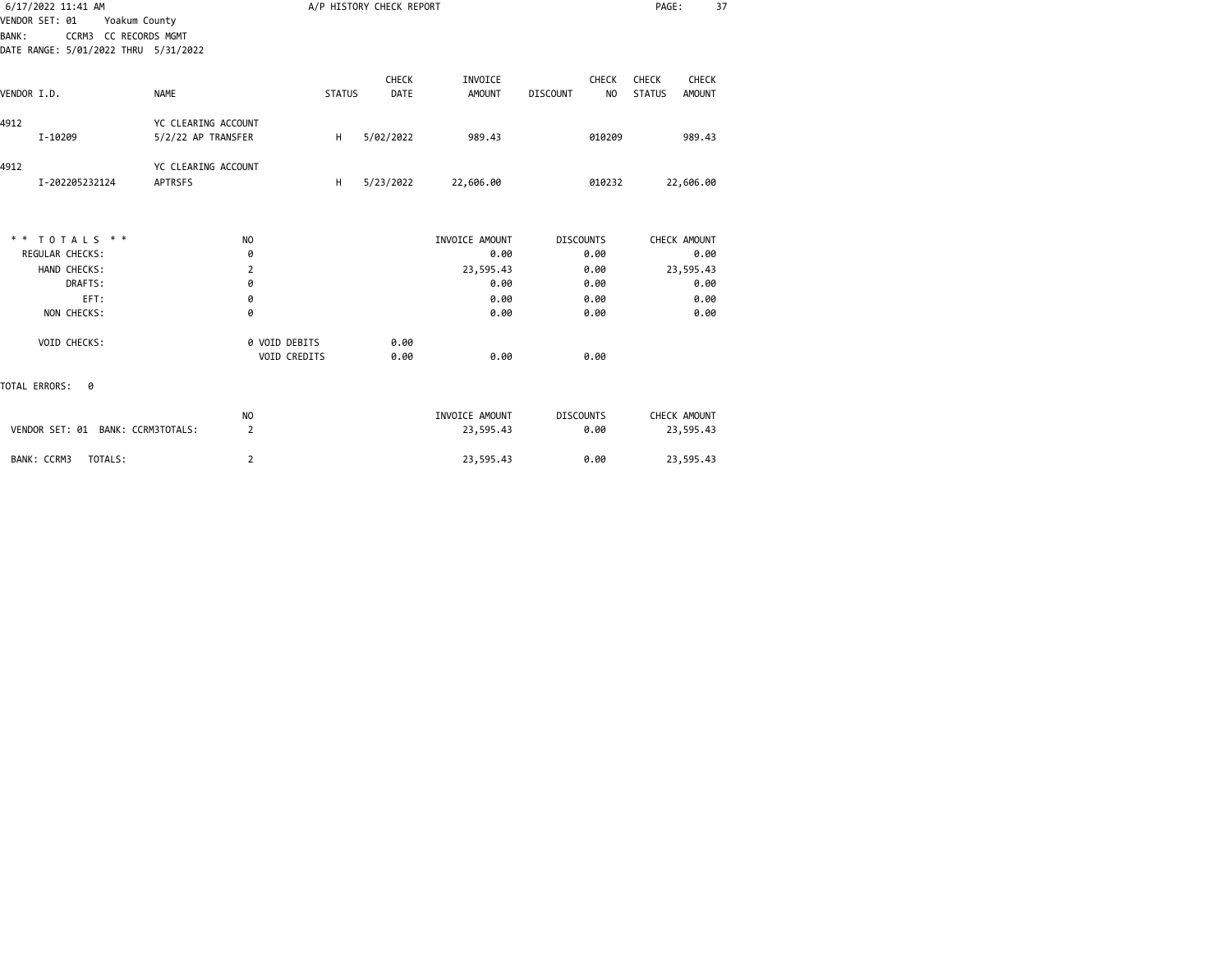| 6/17/2022 11:41 AM                    |                     |               | A/P HISTORY CHECK REPORT |                |                                   | PAGE:                   | 37 |
|---------------------------------------|---------------------|---------------|--------------------------|----------------|-----------------------------------|-------------------------|----|
| VENDOR SET: 01<br>Yoakum County       |                     |               |                          |                |                                   |                         |    |
| CCRM3 CC RECORDS MGMT<br><b>BANK:</b> |                     |               |                          |                |                                   |                         |    |
| DATE RANGE: 5/01/2022 THRU 5/31/2022  |                     |               |                          |                |                                   |                         |    |
|                                       |                     |               | <b>CHECK</b>             | INVOICE        | <b>CHECK</b>                      | <b>CHECK</b><br>CHECK   |    |
| VENDOR I.D.                           | <b>NAME</b>         | <b>STATUS</b> | <b>DATE</b>              | <b>AMOUNT</b>  | N <sub>O</sub><br><b>DISCOUNT</b> | <b>STATUS</b><br>AMOUNT |    |
|                                       |                     |               |                          |                |                                   |                         |    |
| 4912                                  | YC CLEARING ACCOUNT |               |                          |                |                                   |                         |    |
| I-10209                               | 5/2/22 AP TRANSFER  | Н.            | 5/02/2022                | 989.43         | 010209                            | 989.43                  |    |
|                                       |                     |               |                          |                |                                   |                         |    |
| 4912                                  | YC CLEARING ACCOUNT |               |                          |                |                                   |                         |    |
| I-202205232124                        | <b>APTRSFS</b>      | H             | 5/23/2022                | 22,606.00      | 010232                            | 22,606.00               |    |
|                                       |                     |               |                          |                |                                   |                         |    |
| ** TOTALS **                          | <b>NO</b>           |               |                          | INVOICE AMOUNT | <b>DISCOUNTS</b>                  | CHECK AMOUNT            |    |
| <b>REGULAR CHECKS:</b>                | 0                   |               |                          | 0.00           | 0.00                              | 0.00                    |    |
| HAND CHECKS:                          | $\overline{2}$      |               |                          | 23,595.43      | 0.00                              | 23,595.43               |    |
| DRAFTS:                               | 0                   |               |                          | 0.00           | 0.00                              | 0.00                    |    |
| EFT:                                  | 0                   |               |                          | 0.00           | 0.00                              | 0.00                    |    |
| NON CHECKS:                           | 0                   |               |                          | 0.00           | 0.00                              | 0.00                    |    |
| VOID CHECKS:                          | 0 VOID DEBITS       |               | 0.00                     |                |                                   |                         |    |
|                                       | <b>VOID CREDITS</b> |               | 0.00                     | 0.00           | 0.00                              |                         |    |
| TOTAL ERRORS:<br>0                    |                     |               |                          |                |                                   |                         |    |
|                                       | NO                  |               |                          | INVOICE AMOUNT | <b>DISCOUNTS</b>                  | CHECK AMOUNT            |    |
| VENDOR SET: 01 BANK: CCRM3TOTALS:     | $\overline{2}$      |               |                          | 23,595.43      | 0.00                              | 23,595.43               |    |
| TOTALS:<br>BANK: CCRM3                | $\overline{2}$      |               |                          | 23,595.43      | 0.00                              | 23,595.43               |    |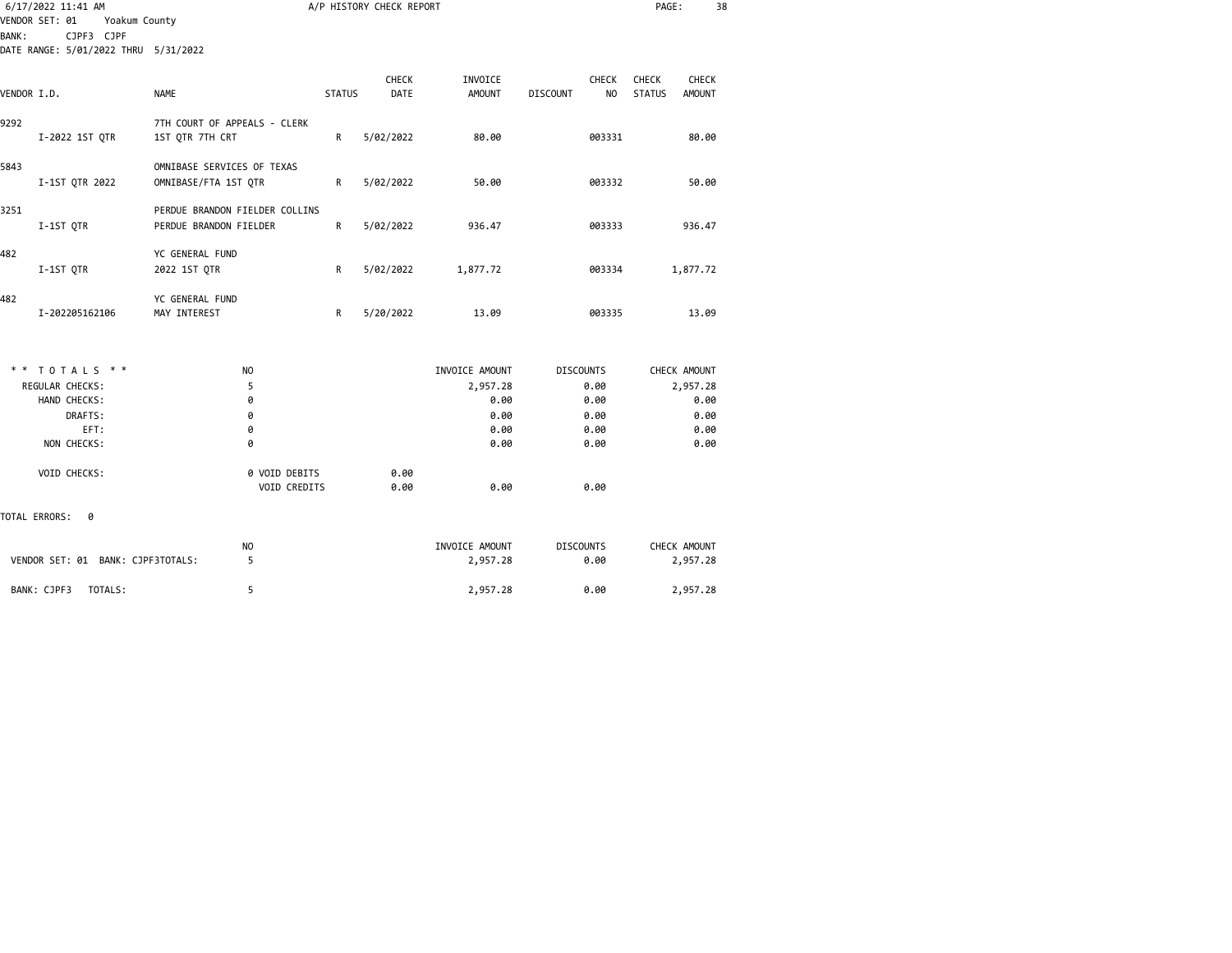|                |             | 6/17/2022 11:41 AM |               |                                        |               | A/P HISTORY CHECK REPORT |                |                 |                  | PAGE:         |               | 38 |
|----------------|-------------|--------------------|---------------|----------------------------------------|---------------|--------------------------|----------------|-----------------|------------------|---------------|---------------|----|
| VENDOR SET: 01 |             |                    | Yoakum County |                                        |               |                          |                |                 |                  |               |               |    |
| <b>BANK:</b>   |             | CJPF3 CJPF         |               | DATE RANGE: 5/01/2022 THRU 5/31/2022   |               |                          |                |                 |                  |               |               |    |
|                |             |                    |               |                                        |               |                          |                |                 |                  |               |               |    |
|                |             |                    |               |                                        |               | <b>CHECK</b>             | INVOICE        |                 | <b>CHECK</b>     | <b>CHECK</b>  | <b>CHECK</b>  |    |
| VENDOR I.D.    |             |                    |               | <b>NAME</b>                            | <b>STATUS</b> | DATE                     | <b>AMOUNT</b>  | <b>DISCOUNT</b> | NO               | <b>STATUS</b> | <b>AMOUNT</b> |    |
| 9292           |             |                    |               | 7TH COURT OF APPEALS - CLERK           |               |                          |                |                 |                  |               |               |    |
|                |             | I-2022 1ST QTR     |               | 1ST QTR 7TH CRT                        | R             | 5/02/2022                | 80.00          |                 | 003331           |               | 80.00         |    |
| 5843           |             |                    |               | OMNIBASE SERVICES OF TEXAS             |               |                          |                |                 |                  |               |               |    |
|                |             | I-1ST QTR 2022     |               | OMNIBASE/FTA 1ST QTR                   | R             | 5/02/2022                | 50.00          |                 | 003332           |               | 50.00         |    |
| 3251           |             |                    |               | PERDUE BRANDON FIELDER COLLINS         |               |                          |                |                 |                  |               |               |    |
|                | I-1ST QTR   |                    |               | PERDUE BRANDON FIELDER                 | R             | 5/02/2022                | 936.47         |                 | 003333           |               | 936.47        |    |
| 482            |             |                    |               | YC GENERAL FUND                        |               |                          |                |                 |                  |               |               |    |
|                | I-1ST QTR   |                    |               | 2022 1ST QTR                           | R             | 5/02/2022                | 1,877.72       |                 | 003334           |               | 1,877.72      |    |
| 482            |             |                    |               | YC GENERAL FUND                        |               |                          |                |                 |                  |               |               |    |
|                |             | I-202205162106     |               | MAY INTEREST                           | R             | 5/20/2022                | 13.09          |                 | 003335           |               | 13.09         |    |
|                |             |                    |               |                                        |               |                          |                |                 |                  |               |               |    |
|                |             | ** TOTALS **       |               | NO                                     |               |                          | INVOICE AMOUNT |                 | <b>DISCOUNTS</b> |               | CHECK AMOUNT  |    |
|                |             | REGULAR CHECKS:    |               | 5                                      |               |                          | 2,957.28       |                 | 0.00             |               | 2,957.28      |    |
|                |             | HAND CHECKS:       |               | 0                                      |               |                          | 0.00           |                 | 0.00             |               | 0.00          |    |
|                |             | DRAFTS:            |               | 0                                      |               |                          | 0.00           |                 | 0.00             |               | 0.00          |    |
|                |             | EFT:               |               | 0                                      |               |                          | 0.00           |                 | 0.00             |               | 0.00          |    |
|                |             | NON CHECKS:        |               | 0                                      |               |                          | 0.00           |                 | 0.00             |               | 0.00          |    |
|                |             | VOID CHECKS:       |               | 0 VOID DEBITS                          |               | 0.00                     |                |                 |                  |               |               |    |
|                |             |                    |               | VOID CREDITS                           |               | 0.00                     | 0.00           |                 | 0.00             |               |               |    |
| TOTAL ERRORS:  |             | 0                  |               |                                        |               |                          |                |                 |                  |               |               |    |
|                |             |                    |               | NO                                     |               |                          | INVOICE AMOUNT |                 | <b>DISCOUNTS</b> |               | CHECK AMOUNT  |    |
|                |             |                    |               | VENDOR SET: 01 BANK: CJPF3TOTALS:<br>5 |               |                          | 2,957.28       |                 | 0.00             |               | 2,957.28      |    |
|                | BANK: CJPF3 |                    | TOTALS:       | 5                                      |               |                          | 2,957.28       |                 | 0.00             |               | 2,957.28      |    |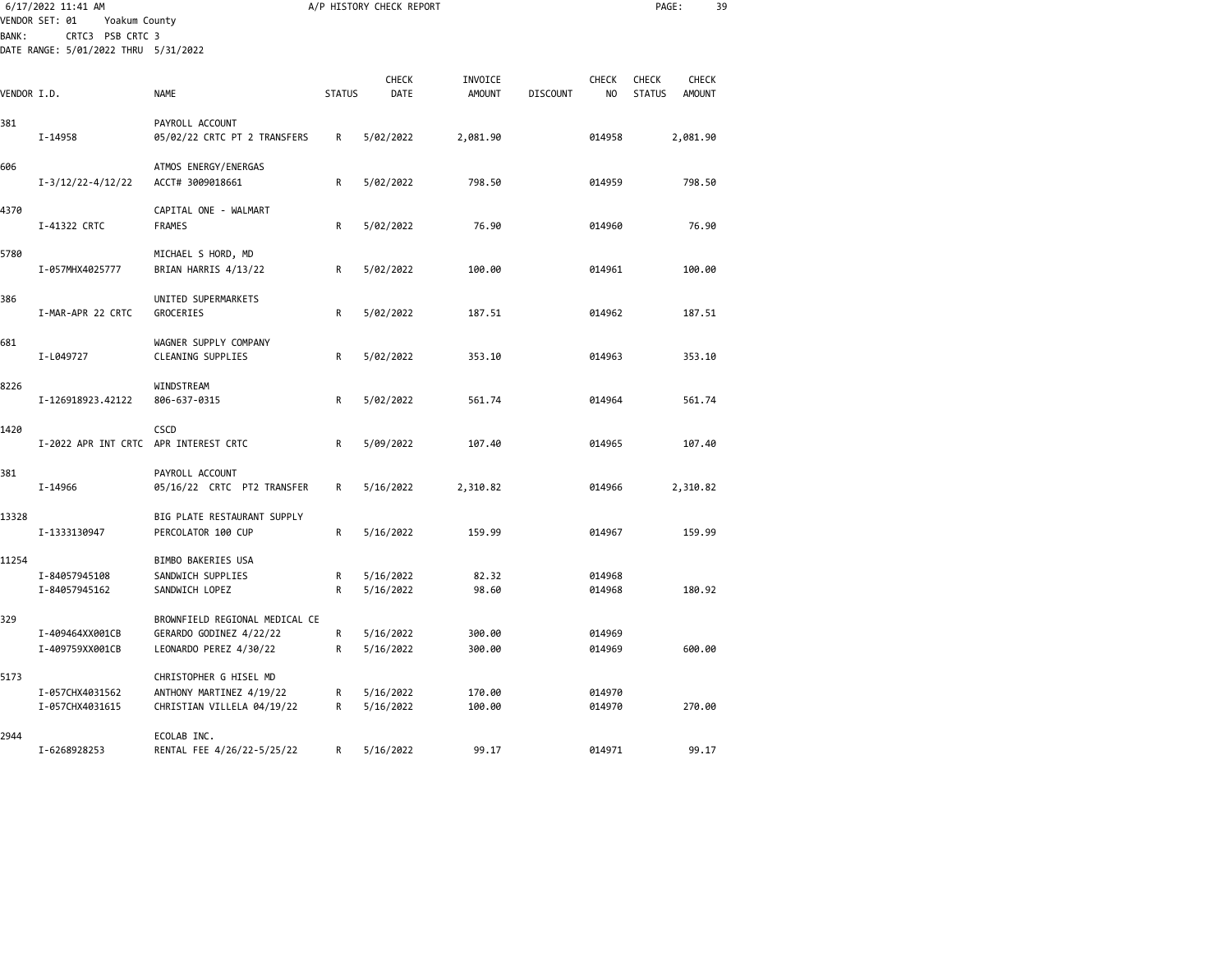|              | 6/17/2022 11:41 AM                                  |                                                                                     |               | A/P HISTORY CHECK REPORT |                          |                 |                                | PAGE:                         |                        | 39 |
|--------------|-----------------------------------------------------|-------------------------------------------------------------------------------------|---------------|--------------------------|--------------------------|-----------------|--------------------------------|-------------------------------|------------------------|----|
| <b>BANK:</b> | VENDOR SET: 01<br>Yoakum County<br>CRTC3 PSB CRTC 3 |                                                                                     |               |                          |                          |                 |                                |                               |                        |    |
|              | DATE RANGE: 5/01/2022 THRU 5/31/2022                |                                                                                     |               |                          |                          |                 |                                |                               |                        |    |
| VENDOR I.D.  |                                                     | <b>NAME</b>                                                                         | <b>STATUS</b> | CHECK<br>DATE            | INVOICE<br><b>AMOUNT</b> | <b>DISCOUNT</b> | <b>CHECK</b><br>N <sub>O</sub> | <b>CHECK</b><br><b>STATUS</b> | CHECK<br><b>AMOUNT</b> |    |
| 381          | I-14958                                             | PAYROLL ACCOUNT<br>05/02/22 CRTC PT 2 TRANSFERS                                     | R             | 5/02/2022                | 2,081.90                 |                 | 014958                         |                               | 2,081.90               |    |
| 606          | $I-3/12/22-4/12/22$                                 | ATMOS ENERGY/ENERGAS<br>ACCT# 3009018661                                            | R             | 5/02/2022                | 798.50                   |                 | 014959                         |                               | 798.50                 |    |
| 4370         | I-41322 CRTC                                        | CAPITAL ONE - WALMART<br><b>FRAMES</b>                                              | R             | 5/02/2022                | 76.90                    |                 | 014960                         |                               | 76.90                  |    |
| 5780         | I-057MHX4025777                                     | MICHAEL S HORD, MD<br>BRIAN HARRIS 4/13/22                                          | R             | 5/02/2022                | 100.00                   |                 | 014961                         |                               | 100.00                 |    |
| 386          | I-MAR-APR 22 CRTC                                   | UNITED SUPERMARKETS<br><b>GROCERIES</b>                                             | R             | 5/02/2022                | 187.51                   |                 | 014962                         |                               | 187.51                 |    |
| 681          | I-L049727                                           | WAGNER SUPPLY COMPANY<br>CLEANING SUPPLIES                                          | R             | 5/02/2022                | 353.10                   |                 | 014963                         |                               | 353.10                 |    |
| 8226         | I-126918923.42122                                   | WINDSTREAM<br>806-637-0315                                                          | R             | 5/02/2022                | 561.74                   |                 | 014964                         |                               | 561.74                 |    |
| 1420         | I-2022 APR INT CRTC APR INTEREST CRTC               | CSCD                                                                                | R             | 5/09/2022                | 107.40                   |                 | 014965                         |                               | 107.40                 |    |
| 381          | I-14966                                             | PAYROLL ACCOUNT<br>05/16/22 CRTC PT2 TRANSFER                                       | R             | 5/16/2022                | 2,310.82                 |                 | 014966                         |                               | 2,310.82               |    |
| 13328        | I-1333130947                                        | BIG PLATE RESTAURANT SUPPLY<br>PERCOLATOR 100 CUP                                   | R             | 5/16/2022                | 159.99                   |                 | 014967                         |                               | 159.99                 |    |
| 11254        | I-84057945108<br>I-84057945162                      | BIMBO BAKERIES USA<br>SANDWICH SUPPLIES<br>SANDWICH LOPEZ                           | R<br>R        | 5/16/2022<br>5/16/2022   | 82.32<br>98.60           |                 | 014968<br>014968               |                               | 180.92                 |    |
| 329          | I-409464XX001CB<br>I-409759XX001CB                  | BROWNFIELD REGIONAL MEDICAL CE<br>GERARDO GODINEZ 4/22/22<br>LEONARDO PEREZ 4/30/22 | R<br>R        | 5/16/2022<br>5/16/2022   | 300.00<br>300.00         |                 | 014969<br>014969               |                               | 600.00                 |    |
| 5173         | I-057CHX4031562                                     | CHRISTOPHER G HISEL MD<br>ANTHONY MARTINEZ 4/19/22                                  | R             | 5/16/2022                | 170.00                   |                 | 014970                         |                               |                        |    |
| 2944         | I-057CHX4031615                                     | CHRISTIAN VILLELA 04/19/22<br>ECOLAB INC.                                           | R             | 5/16/2022                | 100.00                   |                 | 014970                         |                               | 270.00                 |    |
|              | I-6268928253                                        | RENTAL FEE 4/26/22-5/25/22                                                          | R             | 5/16/2022                | 99.17                    |                 | 014971                         |                               | 99.17                  |    |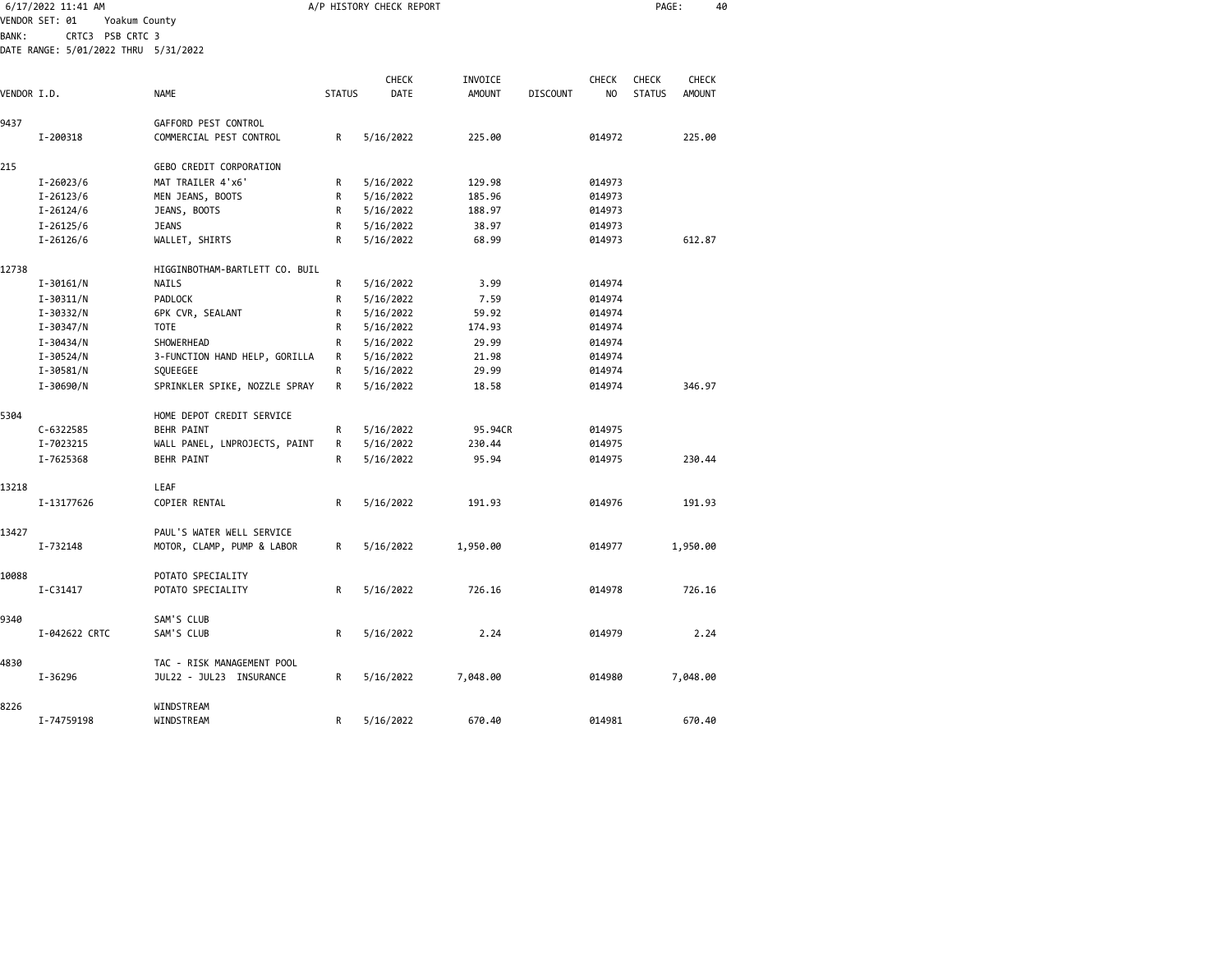|              | 6/17/2022 11:41 AM                   |                                |               | A/P HISTORY CHECK REPORT |                          | PAGE:           | 40             |                               |                        |  |
|--------------|--------------------------------------|--------------------------------|---------------|--------------------------|--------------------------|-----------------|----------------|-------------------------------|------------------------|--|
|              | VENDOR SET: 01<br>Yoakum County      |                                |               |                          |                          |                 |                |                               |                        |  |
| <b>BANK:</b> | CRTC3 PSB CRTC 3                     |                                |               |                          |                          |                 |                |                               |                        |  |
|              | DATE RANGE: 5/01/2022 THRU 5/31/2022 |                                |               |                          |                          |                 |                |                               |                        |  |
|              |                                      |                                |               |                          |                          |                 | CHECK          |                               |                        |  |
| VENDOR I.D.  |                                      | <b>NAME</b>                    | <b>STATUS</b> | CHECK<br>DATE            | INVOICE<br><b>AMOUNT</b> | <b>DISCOUNT</b> | N <sub>O</sub> | <b>CHECK</b><br><b>STATUS</b> | CHECK<br><b>AMOUNT</b> |  |
|              |                                      |                                |               |                          |                          |                 |                |                               |                        |  |
| 9437         |                                      | GAFFORD PEST CONTROL           |               |                          |                          |                 |                |                               |                        |  |
|              | I-200318                             | COMMERCIAL PEST CONTROL        | R             | 5/16/2022                | 225.00                   |                 | 014972         |                               | 225.00                 |  |
| 215          |                                      | GEBO CREDIT CORPORATION        |               |                          |                          |                 |                |                               |                        |  |
|              | $I - 26023/6$                        | MAT TRAILER 4'x6'              | R             | 5/16/2022                | 129.98                   |                 | 014973         |                               |                        |  |
|              | $I - 26123/6$                        | MEN JEANS, BOOTS               | R             | 5/16/2022                | 185.96                   |                 | 014973         |                               |                        |  |
|              | $I - 26124/6$                        | JEANS, BOOTS                   | R             | 5/16/2022                | 188.97                   |                 | 014973         |                               |                        |  |
|              | $I - 26125/6$                        | <b>JEANS</b>                   | R             | 5/16/2022                | 38.97                    |                 | 014973         |                               |                        |  |
|              | $I - 26126/6$                        | WALLET, SHIRTS                 | R             | 5/16/2022                | 68.99                    |                 | 014973         |                               | 612.87                 |  |
| 12738        |                                      | HIGGINBOTHAM-BARTLETT CO. BUIL |               |                          |                          |                 |                |                               |                        |  |
|              | $I - 30161/N$                        | NAILS                          | R             | 5/16/2022                | 3.99                     |                 | 014974         |                               |                        |  |
|              | $I - 30311/N$                        | PADLOCK                        | R             | 5/16/2022                | 7.59                     |                 | 014974         |                               |                        |  |
|              | I-30332/N                            | 6PK CVR, SEALANT               | R             | 5/16/2022                | 59.92                    |                 | 014974         |                               |                        |  |
|              | I-30347/N                            | <b>TOTE</b>                    | R             | 5/16/2022                | 174.93                   |                 | 014974         |                               |                        |  |
|              | I-30434/N                            | SHOWERHEAD                     | R             | 5/16/2022                | 29.99                    |                 | 014974         |                               |                        |  |
|              | I-30524/N                            | 3-FUNCTION HAND HELP, GORILLA  | R             | 5/16/2022                | 21.98                    |                 | 014974         |                               |                        |  |
|              | I-30581/N                            | SQUEEGEE                       | R             | 5/16/2022                | 29.99                    |                 | 014974         |                               |                        |  |
|              | I-30690/N                            | SPRINKLER SPIKE, NOZZLE SPRAY  | R             | 5/16/2022                | 18.58                    |                 | 014974         |                               | 346.97                 |  |
| 5304         |                                      | HOME DEPOT CREDIT SERVICE      |               |                          |                          |                 |                |                               |                        |  |
|              | C-6322585                            | <b>BEHR PAINT</b>              | R             | 5/16/2022                | 95.94CR                  |                 | 014975         |                               |                        |  |
|              | I-7023215                            | WALL PANEL, LNPROJECTS, PAINT  | R             | 5/16/2022                | 230.44                   |                 | 014975         |                               |                        |  |
|              | I-7625368                            | <b>BEHR PAINT</b>              | R             | 5/16/2022                | 95.94                    |                 | 014975         |                               | 230.44                 |  |
| 13218        |                                      | LEAF                           |               |                          |                          |                 |                |                               |                        |  |
|              | I-13177626                           | COPIER RENTAL                  | R             | 5/16/2022                | 191.93                   |                 | 014976         |                               | 191.93                 |  |
| 13427        |                                      | PAUL'S WATER WELL SERVICE      |               |                          |                          |                 |                |                               |                        |  |
|              | I-732148                             | MOTOR, CLAMP, PUMP & LABOR     | R             | 5/16/2022                | 1,950.00                 |                 | 014977         |                               | 1,950.00               |  |
| 10088        |                                      | POTATO SPECIALITY              |               |                          |                          |                 |                |                               |                        |  |
|              | I-C31417                             | POTATO SPECIALITY              | R             | 5/16/2022                | 726.16                   |                 | 014978         |                               | 726.16                 |  |
| 9340         |                                      | SAM'S CLUB                     |               |                          |                          |                 |                |                               |                        |  |
|              | I-042622 CRTC                        | SAM'S CLUB                     | R             | 5/16/2022                | 2.24                     |                 | 014979         |                               | 2.24                   |  |
| 4830         |                                      | TAC - RISK MANAGEMENT POOL     |               |                          |                          |                 |                |                               |                        |  |
|              | I-36296                              | JUL22 - JUL23 INSURANCE        | R             | 5/16/2022                | 7,048.00                 |                 | 014980         |                               | 7,048.00               |  |
| 8226         |                                      | WINDSTREAM                     |               |                          |                          |                 |                |                               |                        |  |
|              | I-74759198                           | WINDSTREAM                     | R             | 5/16/2022                | 670.40                   |                 | 014981         |                               | 670.40                 |  |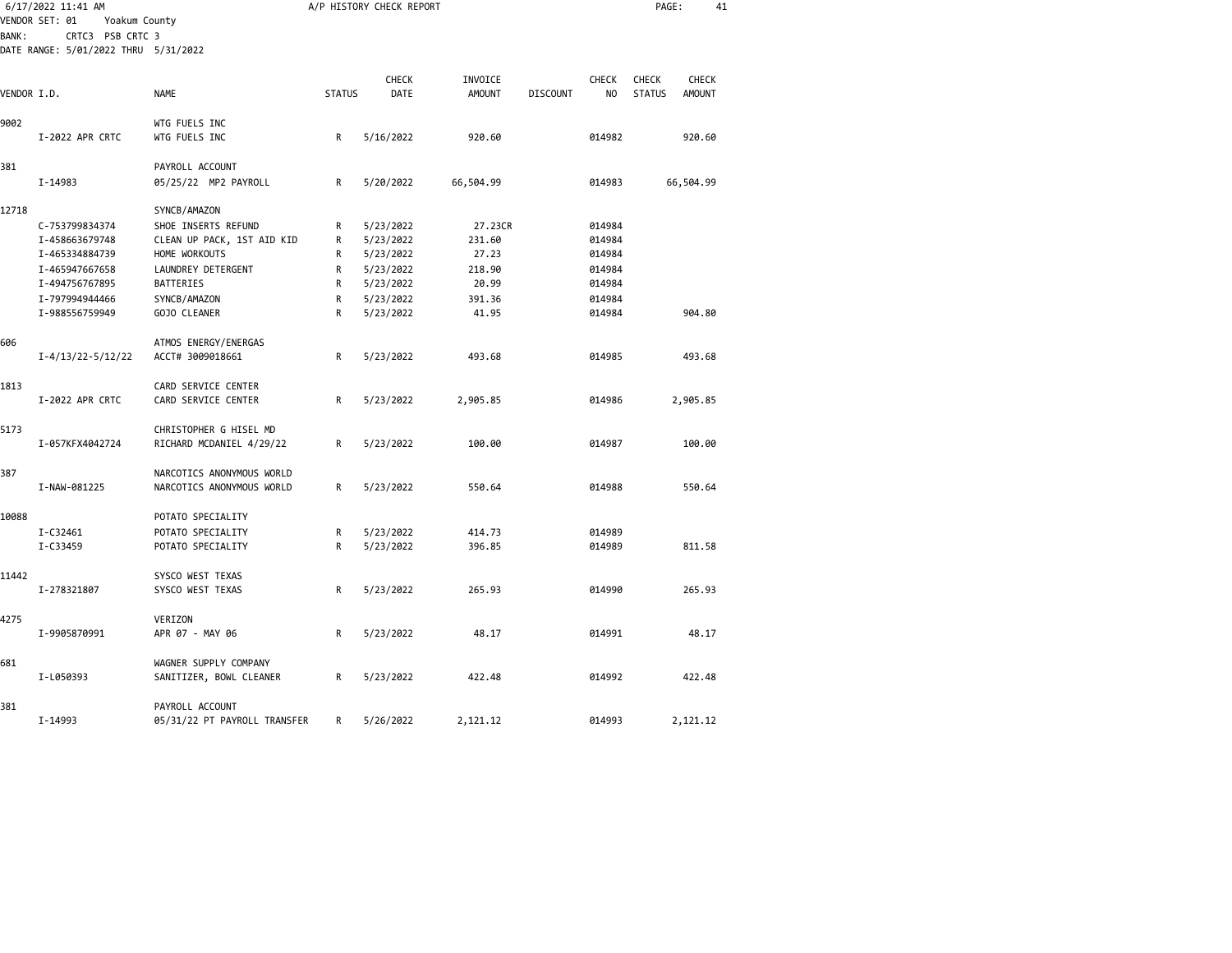|             | 6/17/2022 11:41 AM<br>VENDOR SET: 01<br>Yoakum County |                              |               | A/P HISTORY CHECK REPORT |               |                 |                | PAGE:         | 41            |  |
|-------------|-------------------------------------------------------|------------------------------|---------------|--------------------------|---------------|-----------------|----------------|---------------|---------------|--|
| BANK:       | CRTC3 PSB CRTC 3                                      |                              |               |                          |               |                 |                |               |               |  |
|             | DATE RANGE: 5/01/2022 THRU 5/31/2022                  |                              |               |                          |               |                 |                |               |               |  |
|             |                                                       |                              |               | CHECK                    | INVOICE       |                 | <b>CHECK</b>   | CHECK         | CHECK         |  |
| VENDOR I.D. |                                                       | <b>NAME</b>                  | <b>STATUS</b> | DATE                     | <b>AMOUNT</b> | <b>DISCOUNT</b> | N <sub>O</sub> | <b>STATUS</b> | <b>AMOUNT</b> |  |
| 9002        |                                                       | WTG FUELS INC                |               |                          |               |                 |                |               |               |  |
|             | I-2022 APR CRTC                                       | WTG FUELS INC                | R             | 5/16/2022                | 920.60        |                 | 014982         |               | 920.60        |  |
| 381         |                                                       | PAYROLL ACCOUNT              |               |                          |               |                 |                |               |               |  |
|             | I-14983                                               | 05/25/22 MP2 PAYROLL         | R             | 5/20/2022                | 66,504.99     |                 | 014983         |               | 66,504.99     |  |
| 12718       |                                                       | SYNCB/AMAZON                 |               |                          |               |                 |                |               |               |  |
|             | C-753799834374                                        | SHOE INSERTS REFUND          | R             | 5/23/2022                | 27.23CR       |                 | 014984         |               |               |  |
|             | I-458663679748                                        | CLEAN UP PACK, 1ST AID KID   | R             | 5/23/2022                | 231.60        |                 | 014984         |               |               |  |
|             | I-465334884739                                        | HOME WORKOUTS                | R             | 5/23/2022                | 27.23         |                 | 014984         |               |               |  |
|             | I-465947667658                                        | LAUNDREY DETERGENT           | R             | 5/23/2022                | 218.90        |                 | 014984         |               |               |  |
|             | I-494756767895                                        | <b>BATTERIES</b>             | R             | 5/23/2022                | 20.99         |                 | 014984         |               |               |  |
|             | I-797994944466                                        | SYNCB/AMAZON                 | R             | 5/23/2022                | 391.36        |                 | 014984         |               |               |  |
|             | I-988556759949                                        | GOJO CLEANER                 | R             | 5/23/2022                | 41.95         |                 | 014984         |               | 904.80        |  |
| 606         |                                                       | ATMOS ENERGY/ENERGAS         |               |                          |               |                 |                |               |               |  |
|             | $I - 4/13/22 - 5/12/22$                               | ACCT# 3009018661             | R             | 5/23/2022                | 493.68        |                 | 014985         |               | 493.68        |  |
| 1813        |                                                       | CARD SERVICE CENTER          |               |                          |               |                 |                |               |               |  |
|             | I-2022 APR CRTC                                       | CARD SERVICE CENTER          | R             | 5/23/2022                | 2,905.85      |                 | 014986         |               | 2,905.85      |  |
| 5173        |                                                       | CHRISTOPHER G HISEL MD       |               |                          |               |                 |                |               |               |  |
|             | I-057KFX4042724                                       | RICHARD MCDANIEL 4/29/22     | R             | 5/23/2022                | 100.00        |                 | 014987         |               | 100.00        |  |
| 387         |                                                       | NARCOTICS ANONYMOUS WORLD    |               |                          |               |                 |                |               |               |  |
|             | I-NAW-081225                                          | NARCOTICS ANONYMOUS WORLD    | R             | 5/23/2022                | 550.64        |                 | 014988         |               | 550.64        |  |
| 10088       |                                                       | POTATO SPECIALITY            |               |                          |               |                 |                |               |               |  |
|             | I-C32461                                              | POTATO SPECIALITY            | R             | 5/23/2022                | 414.73        |                 | 014989         |               |               |  |
|             | I-C33459                                              | POTATO SPECIALITY            | R             | 5/23/2022                | 396.85        |                 | 014989         |               | 811.58        |  |
| 11442       |                                                       | SYSCO WEST TEXAS             |               |                          |               |                 |                |               |               |  |
|             | I-278321807                                           | SYSCO WEST TEXAS             | R             | 5/23/2022                | 265.93        |                 | 014990         |               | 265.93        |  |
| 4275        |                                                       | VERIZON                      |               |                          |               |                 |                |               |               |  |
|             | I-9905870991                                          | APR 07 - MAY 06              | R             | 5/23/2022                | 48.17         |                 | 014991         |               | 48.17         |  |
| 681         |                                                       | WAGNER SUPPLY COMPANY        |               |                          |               |                 |                |               |               |  |
|             | I-L050393                                             | SANITIZER, BOWL CLEANER      | R             | 5/23/2022                | 422.48        |                 | 014992         |               | 422.48        |  |
| 381         |                                                       | PAYROLL ACCOUNT              |               |                          |               |                 |                |               |               |  |
|             | I-14993                                               | 05/31/22 PT PAYROLL TRANSFER | R             | 5/26/2022                | 2,121.12      |                 | 014993         |               | 2,121.12      |  |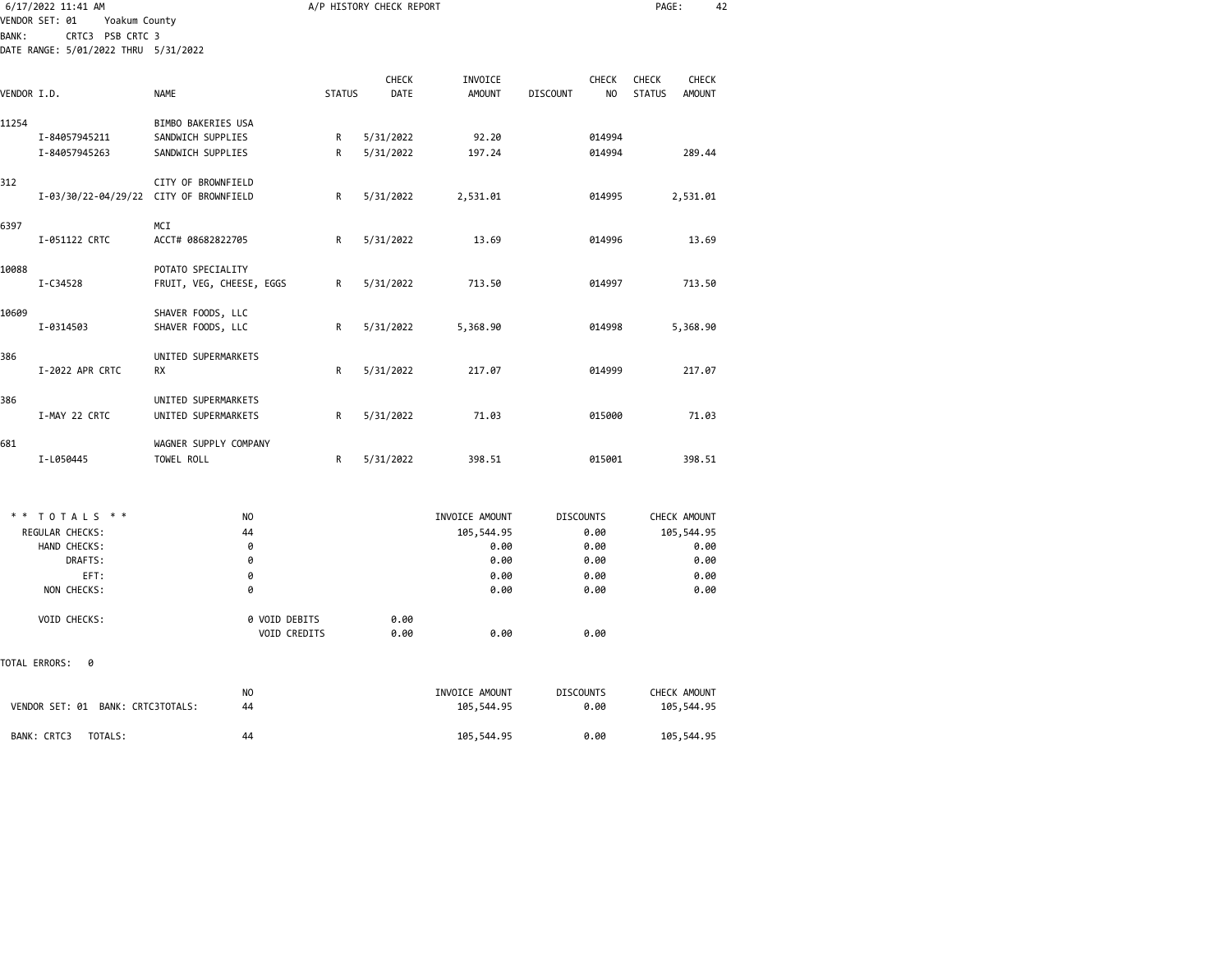| 6/17/2022 11:41 AM                                           |                                        |               | A/P HISTORY CHECK REPORT |                          |                  |                    | PAGE:                         | 42                     |  |
|--------------------------------------------------------------|----------------------------------------|---------------|--------------------------|--------------------------|------------------|--------------------|-------------------------------|------------------------|--|
| VENDOR SET: 01<br>Yoakum County<br>CRTC3 PSB CRTC 3<br>BANK: |                                        |               |                          |                          |                  |                    |                               |                        |  |
| DATE RANGE: 5/01/2022 THRU 5/31/2022                         |                                        |               |                          |                          |                  |                    |                               |                        |  |
| VENDOR I.D.                                                  | <b>NAME</b>                            | <b>STATUS</b> | <b>CHECK</b><br>DATE     | INVOICE<br><b>AMOUNT</b> | <b>DISCOUNT</b>  | <b>CHECK</b><br>NO | <b>CHECK</b><br><b>STATUS</b> | <b>CHECK</b><br>AMOUNT |  |
|                                                              |                                        |               |                          |                          |                  |                    |                               |                        |  |
| 11254                                                        | BIMBO BAKERIES USA                     |               |                          |                          |                  |                    |                               |                        |  |
| I-84057945211                                                | SANDWICH SUPPLIES                      | R             | 5/31/2022                | 92.20                    |                  | 014994             |                               |                        |  |
| I-84057945263                                                | SANDWICH SUPPLIES                      | R             | 5/31/2022                | 197.24                   |                  | 014994             |                               | 289.44                 |  |
| 312                                                          | CITY OF BROWNFIELD                     |               |                          |                          |                  |                    |                               |                        |  |
|                                                              | I-03/30/22-04/29/22 CITY OF BROWNFIELD | R             | 5/31/2022                | 2,531.01                 |                  | 014995             |                               | 2,531.01               |  |
| 6397                                                         | MCI                                    |               |                          |                          |                  |                    |                               |                        |  |
| I-051122 CRTC                                                | ACCT# 08682822705                      | R             | 5/31/2022                | 13.69                    |                  | 014996             |                               | 13.69                  |  |
| 10088                                                        | POTATO SPECIALITY                      |               |                          |                          |                  |                    |                               |                        |  |
| I-C34528                                                     | FRUIT, VEG, CHEESE, EGGS               | R             | 5/31/2022                | 713.50                   |                  | 014997             |                               | 713.50                 |  |
| 10609                                                        | SHAVER FOODS, LLC                      |               |                          |                          |                  |                    |                               |                        |  |
| I-0314503                                                    | SHAVER FOODS, LLC                      | R             | 5/31/2022                | 5,368.90                 |                  | 014998             |                               | 5,368.90               |  |
| 386                                                          | UNITED SUPERMARKETS                    |               |                          |                          |                  |                    |                               |                        |  |
| I-2022 APR CRTC                                              | <b>RX</b>                              | R             | 5/31/2022                | 217.07                   |                  | 014999             |                               | 217.07                 |  |
| 386                                                          | UNITED SUPERMARKETS                    |               |                          |                          |                  |                    |                               |                        |  |
| I-MAY 22 CRTC                                                | UNITED SUPERMARKETS                    | R             | 5/31/2022                | 71.03                    |                  | 015000             |                               | 71.03                  |  |
| 681                                                          | WAGNER SUPPLY COMPANY                  |               |                          |                          |                  |                    |                               |                        |  |
| I-L050445                                                    | TOWEL ROLL                             | R             | 5/31/2022                | 398.51                   |                  | 015001             |                               | 398.51                 |  |
|                                                              |                                        |               |                          |                          |                  |                    |                               |                        |  |
|                                                              |                                        |               |                          |                          |                  |                    |                               |                        |  |
| TOTALS **                                                    | NO                                     |               |                          | INVOICE AMOUNT           | <b>DISCOUNTS</b> |                    |                               | CHECK AMOUNT           |  |
| REGULAR CHECKS:                                              | 44                                     |               |                          | 105,544.95               |                  | 0.00               |                               | 105,544.95             |  |
| HAND CHECKS:                                                 | 0                                      |               |                          | 0.00                     |                  | 0.00               |                               | 0.00                   |  |
| DRAFTS:                                                      | 0                                      |               |                          | 0.00                     |                  | 0.00               |                               | 0.00                   |  |
| EFT:                                                         | 0                                      |               |                          | 0.00                     |                  | 0.00               |                               | 0.00                   |  |
| NON CHECKS:                                                  | 0                                      |               |                          | 0.00                     |                  | 0.00               |                               | 0.00                   |  |
| VOID CHECKS:                                                 | 0 VOID DEBITS                          |               | 0.00                     |                          |                  |                    |                               |                        |  |
|                                                              | VOID CREDITS                           |               | 0.00                     | 0.00                     |                  | 0.00               |                               |                        |  |
| TOTAL ERRORS:<br>0                                           |                                        |               |                          |                          |                  |                    |                               |                        |  |
|                                                              | NO                                     |               |                          | INVOICE AMOUNT           | <b>DISCOUNTS</b> |                    |                               | CHECK AMOUNT           |  |
| VENDOR SET: 01 BANK: CRTC3TOTALS:                            | 44                                     |               |                          | 105,544.95               |                  | 0.00               |                               | 105,544.95             |  |
| BANK: CRTC3<br>TOTALS:                                       | 44                                     |               |                          | 105,544.95               |                  | 0.00               |                               | 105,544.95             |  |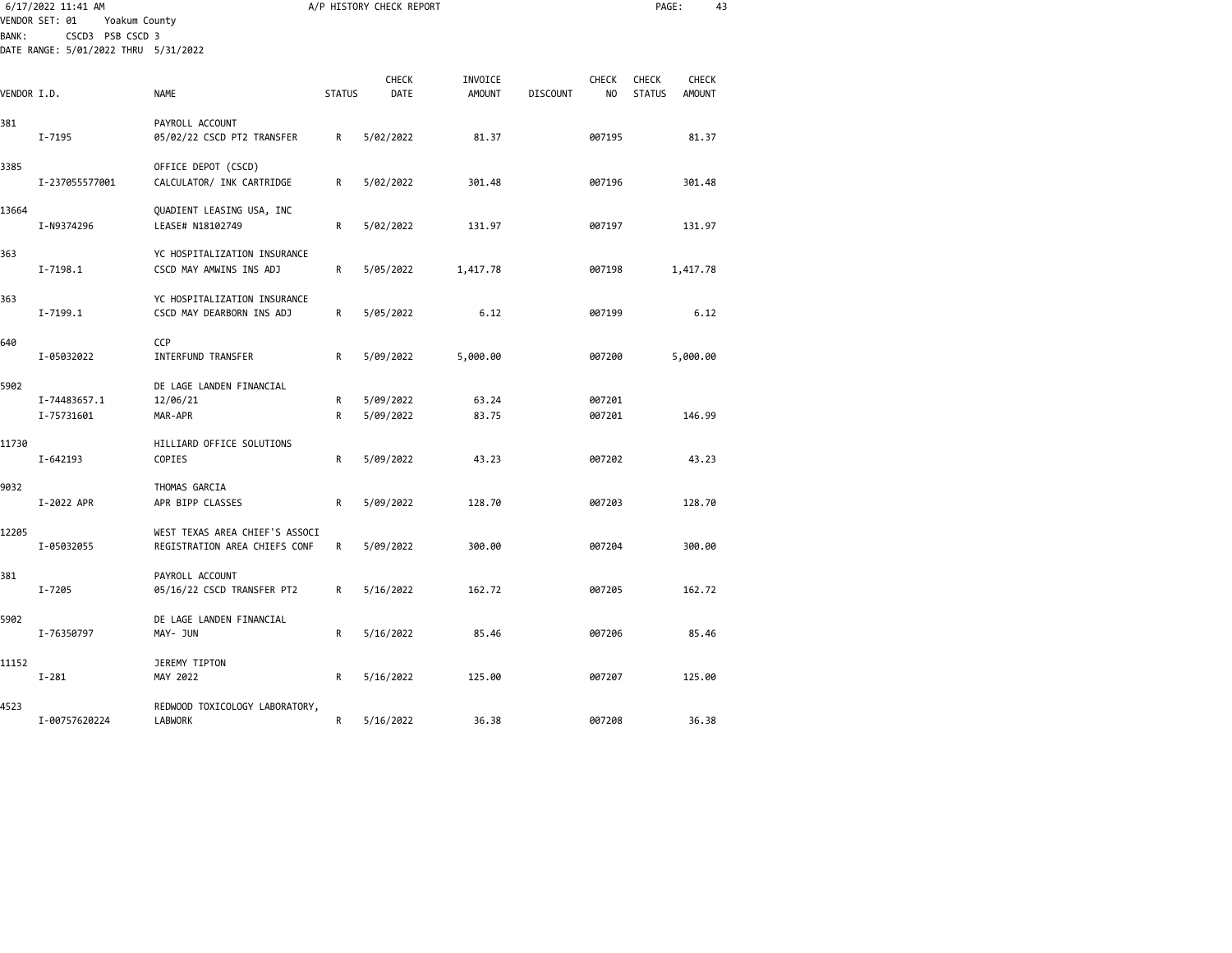|             | 6/17/2022 11:41 AM<br>VENDOR SET: 01<br>Yoakum County    |                                                                 |               | A/P HISTORY CHECK REPORT |                          |                 |                                | PAGE:                  | 43                     |  |
|-------------|----------------------------------------------------------|-----------------------------------------------------------------|---------------|--------------------------|--------------------------|-----------------|--------------------------------|------------------------|------------------------|--|
| BANK :      | CSCD3 PSB CSCD 3<br>DATE RANGE: 5/01/2022 THRU 5/31/2022 |                                                                 |               |                          |                          |                 |                                |                        |                        |  |
| VENDOR I.D. |                                                          | <b>NAME</b>                                                     | <b>STATUS</b> | <b>CHECK</b><br>DATE     | INVOICE<br><b>AMOUNT</b> | <b>DISCOUNT</b> | <b>CHECK</b><br>N <sub>O</sub> | CHECK<br><b>STATUS</b> | CHECK<br><b>AMOUNT</b> |  |
| 381         | I-7195                                                   | PAYROLL ACCOUNT<br>05/02/22 CSCD PT2 TRANSFER                   | R             | 5/02/2022                | 81.37                    |                 | 007195                         |                        | 81.37                  |  |
| 3385        | I-237055577001                                           | OFFICE DEPOT (CSCD)<br>CALCULATOR/ INK CARTRIDGE                | R             | 5/02/2022                | 301.48                   |                 | 007196                         |                        | 301.48                 |  |
| 13664       | I-N9374296                                               | QUADIENT LEASING USA, INC<br>LEASE# N18102749                   | R             | 5/02/2022                | 131.97                   |                 | 007197                         |                        | 131.97                 |  |
| 363         | $I - 7198.1$                                             | YC HOSPITALIZATION INSURANCE<br>CSCD MAY AMWINS INS ADJ         | R             | 5/05/2022                | 1,417.78                 |                 | 007198                         |                        | 1,417.78               |  |
| 363         | $I - 7199.1$                                             | YC HOSPITALIZATION INSURANCE<br>CSCD MAY DEARBORN INS ADJ       | R             | 5/05/2022                | 6.12                     |                 | 007199                         |                        | 6.12                   |  |
| 640         | I-05032022                                               | CCP<br>INTERFUND TRANSFER                                       | R             | 5/09/2022                | 5,000.00                 |                 | 007200                         |                        | 5,000.00               |  |
| 5902        | I-74483657.1<br>I-75731601                               | DE LAGE LANDEN FINANCIAL<br>12/06/21<br>MAR-APR                 | R<br>R        | 5/09/2022<br>5/09/2022   | 63.24<br>83.75           |                 | 007201<br>007201               |                        | 146.99                 |  |
| 11730       | I-642193                                                 | HILLIARD OFFICE SOLUTIONS<br>COPIES                             | R             | 5/09/2022                | 43.23                    |                 | 007202                         |                        | 43.23                  |  |
| 9032        | I-2022 APR                                               | THOMAS GARCIA<br>APR BIPP CLASSES                               | R             | 5/09/2022                | 128.70                   |                 | 007203                         |                        | 128.70                 |  |
| 12205       | I-05032055                                               | WEST TEXAS AREA CHIEF'S ASSOCI<br>REGISTRATION AREA CHIEFS CONF | R             | 5/09/2022                | 300.00                   |                 | 007204                         |                        | 300.00                 |  |
| 381         | I-7205                                                   | PAYROLL ACCOUNT<br>05/16/22 CSCD TRANSFER PT2                   | R             | 5/16/2022                | 162.72                   |                 | 007205                         |                        | 162.72                 |  |
| 5902        | I-76350797                                               | DE LAGE LANDEN FINANCIAL<br>MAY- JUN                            | R             | 5/16/2022                | 85.46                    |                 | 007206                         |                        | 85.46                  |  |
| 11152       | $I - 281$                                                | JEREMY TIPTON<br>MAY 2022                                       | R             | 5/16/2022                | 125.00                   |                 | 007207                         |                        | 125.00                 |  |
| 4523        | I-00757620224                                            | REDWOOD TOXICOLOGY LABORATORY,<br><b>LABWORK</b>                | R             | 5/16/2022                | 36.38                    |                 | 007208                         |                        | 36.38                  |  |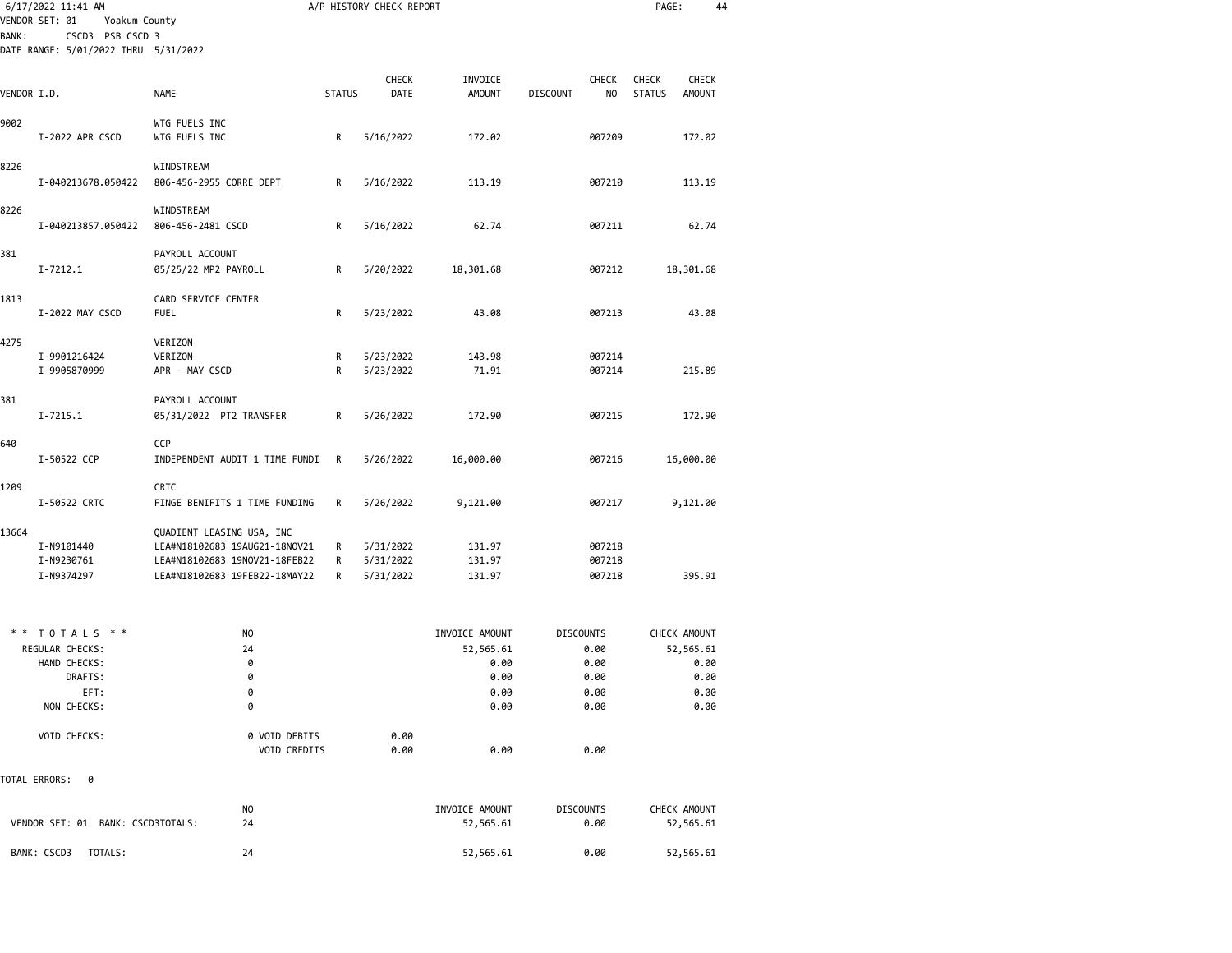|              | 6/17/2022 11:41 AM<br>VENDOR SET: 01<br>Yoakum County |                                                                |               | A/P HISTORY CHECK REPORT |                   |                          | PAGE:                          | 44 |
|--------------|-------------------------------------------------------|----------------------------------------------------------------|---------------|--------------------------|-------------------|--------------------------|--------------------------------|----|
| <b>BANK:</b> | CSCD3 PSB CSCD 3                                      |                                                                |               |                          |                   |                          |                                |    |
|              | DATE RANGE: 5/01/2022 THRU 5/31/2022                  |                                                                |               |                          |                   |                          |                                |    |
|              |                                                       |                                                                |               |                          |                   |                          |                                |    |
|              |                                                       |                                                                |               | <b>CHECK</b>             | INVOICE           | <b>CHECK</b>             | <b>CHECK</b><br><b>CHECK</b>   |    |
| VENDOR I.D.  |                                                       | <b>NAME</b>                                                    | <b>STATUS</b> | DATE                     | <b>AMOUNT</b>     | <b>DISCOUNT</b><br>NO    | <b>STATUS</b><br><b>AMOUNT</b> |    |
| 9002         |                                                       | WTG FUELS INC                                                  |               |                          |                   |                          |                                |    |
|              | I-2022 APR CSCD                                       | WTG FUELS INC                                                  | R             | 5/16/2022                | 172.02            | 007209                   | 172.02                         |    |
|              |                                                       |                                                                |               |                          |                   |                          |                                |    |
| 8226         |                                                       | WINDSTREAM                                                     |               |                          |                   |                          |                                |    |
|              | I-040213678.050422                                    | 806-456-2955 CORRE DEPT                                        | R             | 5/16/2022                | 113.19            | 007210                   | 113.19                         |    |
| 8226         |                                                       | WINDSTREAM                                                     |               |                          |                   |                          |                                |    |
|              | I-040213857.050422                                    | 806-456-2481 CSCD                                              | R             | 5/16/2022                | 62.74             | 007211                   | 62.74                          |    |
|              |                                                       |                                                                |               |                          |                   |                          |                                |    |
| 381          |                                                       | PAYROLL ACCOUNT                                                |               |                          |                   |                          |                                |    |
|              | $I - 7212.1$                                          | 05/25/22 MP2 PAYROLL                                           | R             | 5/20/2022                | 18,301.68         | 007212                   | 18,301.68                      |    |
| 1813         |                                                       | CARD SERVICE CENTER                                            |               |                          |                   |                          |                                |    |
|              | I-2022 MAY CSCD                                       | <b>FUEL</b>                                                    | R             | 5/23/2022                | 43.08             | 007213                   | 43.08                          |    |
|              |                                                       |                                                                |               |                          |                   |                          |                                |    |
| 4275         |                                                       | VERIZON                                                        |               |                          |                   |                          |                                |    |
|              | I-9901216424                                          | VERIZON                                                        | R             | 5/23/2022                | 143.98            | 007214                   |                                |    |
|              | I-9905870999                                          | APR - MAY CSCD                                                 | R             | 5/23/2022                | 71.91             | 007214                   | 215.89                         |    |
| 381          |                                                       | PAYROLL ACCOUNT                                                |               |                          |                   |                          |                                |    |
|              | $I - 7215.1$                                          | 05/31/2022 PT2 TRANSFER                                        | R             | 5/26/2022                | 172.90            | 007215                   | 172.90                         |    |
|              |                                                       |                                                                |               |                          |                   |                          |                                |    |
| 640          |                                                       | CCP                                                            |               |                          |                   |                          |                                |    |
|              | I-50522 CCP                                           | INDEPENDENT AUDIT 1 TIME FUNDI                                 | R             | 5/26/2022                | 16,000.00         | 007216                   | 16,000.00                      |    |
| 1209         |                                                       | <b>CRTC</b>                                                    |               |                          |                   |                          |                                |    |
|              | I-50522 CRTC                                          | FINGE BENIFITS 1 TIME FUNDING                                  | R             | 5/26/2022                | 9,121.00          | 007217                   | 9,121.00                       |    |
|              |                                                       |                                                                |               |                          |                   |                          |                                |    |
| 13664        |                                                       | QUADIENT LEASING USA, INC                                      |               |                          |                   |                          |                                |    |
|              | I-N9101440                                            | LEA#N18102683 19AUG21-18NOV21                                  | R             | 5/31/2022                | 131.97            | 007218                   |                                |    |
|              | I-N9230761<br>I-N9374297                              | LEA#N18102683 19NOV21-18FEB22<br>LEA#N18102683 19FEB22-18MAY22 | R<br>R        | 5/31/2022<br>5/31/2022   | 131.97<br>131.97  | 007218<br>007218         | 395.91                         |    |
|              |                                                       |                                                                |               |                          |                   |                          |                                |    |
|              |                                                       |                                                                |               |                          |                   |                          |                                |    |
| * *          | TOTALS * *                                            |                                                                |               |                          |                   |                          |                                |    |
|              | REGULAR CHECKS:                                       | NO<br>24                                                       |               |                          | INVOICE AMOUNT    | <b>DISCOUNTS</b><br>0.00 | CHECK AMOUNT<br>52,565.61      |    |
|              | HAND CHECKS:                                          | 0                                                              |               |                          | 52,565.61<br>0.00 | 0.00                     | 0.00                           |    |
|              | DRAFTS:                                               | 0                                                              |               |                          | 0.00              | 0.00                     | 0.00                           |    |
|              | EFT:                                                  | 0                                                              |               |                          | 0.00              | 0.00                     | 0.00                           |    |
|              | NON CHECKS:                                           | 0                                                              |               |                          | 0.00              | 0.00                     | 0.00                           |    |
|              |                                                       |                                                                |               |                          |                   |                          |                                |    |
|              | VOID CHECKS:                                          | 0 VOID DEBITS                                                  |               | 0.00                     |                   |                          |                                |    |
|              |                                                       | VOID CREDITS                                                   |               | 0.00                     | 0.00              | 0.00                     |                                |    |
|              | TOTAL ERRORS:<br>0                                    |                                                                |               |                          |                   |                          |                                |    |
|              |                                                       |                                                                |               |                          |                   |                          |                                |    |
|              |                                                       | NO                                                             |               |                          | INVOICE AMOUNT    | <b>DISCOUNTS</b>         | CHECK AMOUNT                   |    |
|              | VENDOR SET: 01 BANK: CSCD3TOTALS:                     | 24                                                             |               |                          | 52,565.61         | 0.00                     | 52,565.61                      |    |
|              |                                                       |                                                                |               |                          |                   |                          |                                |    |
|              | BANK: CSCD3<br>TOTALS:                                | 24                                                             |               |                          | 52,565.61         | 0.00                     | 52,565.61                      |    |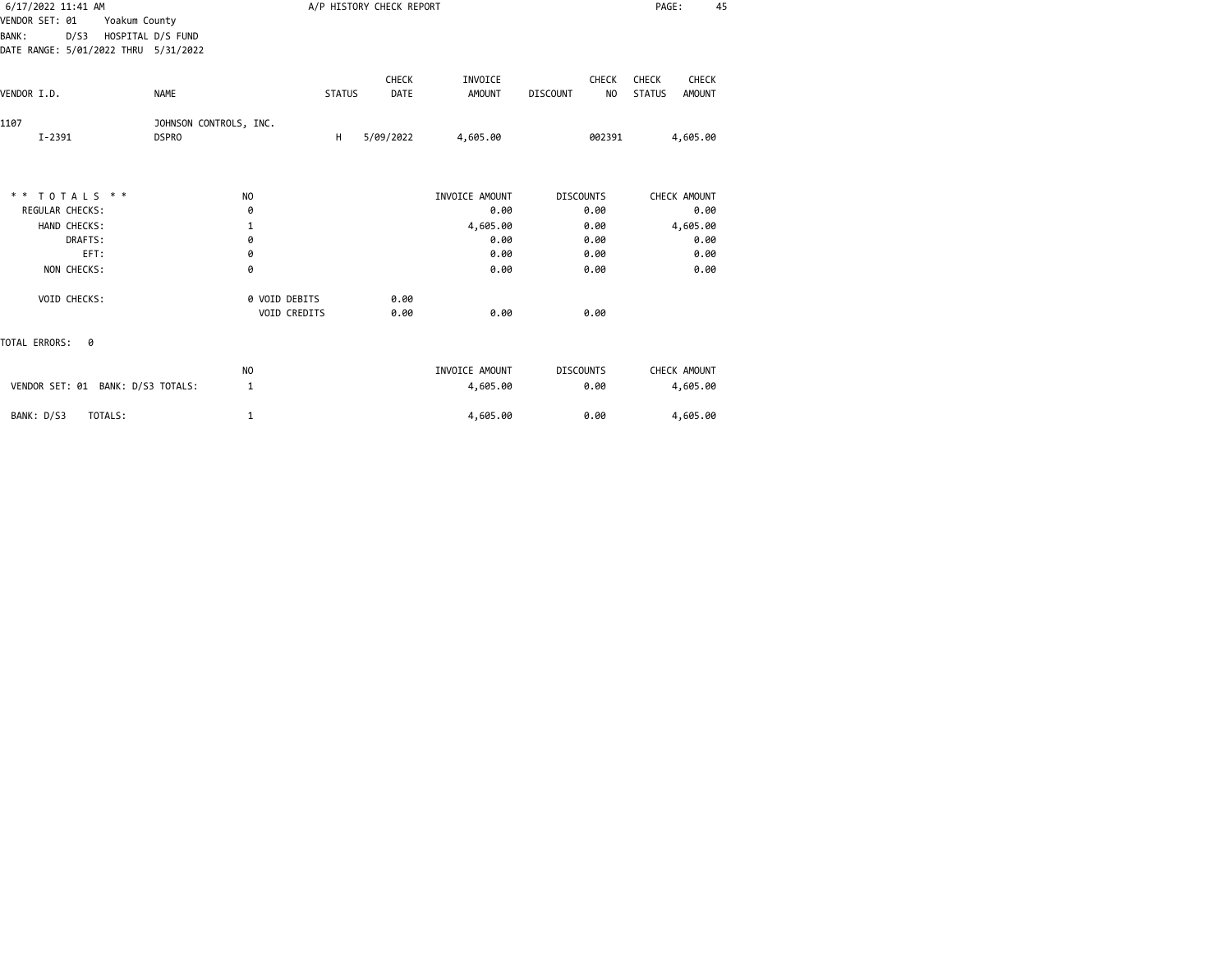| 6/17/2022 11:41 AM                        |                        |               | A/P HISTORY CHECK REPORT |                |                                   | PAGE:<br>45                    |  |
|-------------------------------------------|------------------------|---------------|--------------------------|----------------|-----------------------------------|--------------------------------|--|
| VENDOR SET: 01<br>Yoakum County           |                        |               |                          |                |                                   |                                |  |
| HOSPITAL D/S FUND<br><b>BANK:</b><br>D/S3 |                        |               |                          |                |                                   |                                |  |
| DATE RANGE: 5/01/2022 THRU 5/31/2022      |                        |               |                          |                |                                   |                                |  |
|                                           |                        |               | <b>CHECK</b>             | INVOICE        | CHECK                             | CHECK<br>CHECK                 |  |
| <b>NAME</b><br>VENDOR I.D.                |                        | <b>STATUS</b> | DATE                     | <b>AMOUNT</b>  | <b>DISCOUNT</b><br>N <sub>O</sub> | <b>STATUS</b><br><b>AMOUNT</b> |  |
| 1107                                      | JOHNSON CONTROLS, INC. |               |                          |                |                                   |                                |  |
| $I - 2391$<br><b>DSPRO</b>                |                        | H             | 5/09/2022                | 4,605.00       | 002391                            | 4,605.00                       |  |
|                                           |                        |               |                          |                |                                   |                                |  |
| ** TOTALS **                              | NO                     |               |                          | INVOICE AMOUNT | <b>DISCOUNTS</b>                  | CHECK AMOUNT                   |  |
| <b>REGULAR CHECKS:</b>                    | 0                      |               |                          | 0.00           | 0.00                              | 0.00                           |  |
| HAND CHECKS:                              | 1                      |               |                          | 4,605.00       | 0.00                              | 4,605.00                       |  |
| DRAFTS:                                   | 0                      |               |                          | 0.00           | 0.00                              | 0.00                           |  |
| EFT:                                      | 0                      |               |                          | 0.00           | 0.00                              | 0.00                           |  |
| NON CHECKS:                               | 0                      |               |                          | 0.00           | 0.00                              | 0.00                           |  |
| VOID CHECKS:                              | 0 VOID DEBITS          |               | 0.00                     |                |                                   |                                |  |
|                                           | VOID CREDITS           |               | 0.00                     | 0.00           | 0.00                              |                                |  |
| TOTAL ERRORS:<br>0                        |                        |               |                          |                |                                   |                                |  |
|                                           | <b>NO</b>              |               |                          | INVOICE AMOUNT | <b>DISCOUNTS</b>                  | CHECK AMOUNT                   |  |
| VENDOR SET: 01 BANK: D/S3 TOTALS:         | 1                      |               |                          | 4,605.00       | 0.00                              | 4,605.00                       |  |
| BANK: D/S3<br>TOTALS:                     | 1                      |               |                          | 4,605.00       | 0.00                              | 4,605.00                       |  |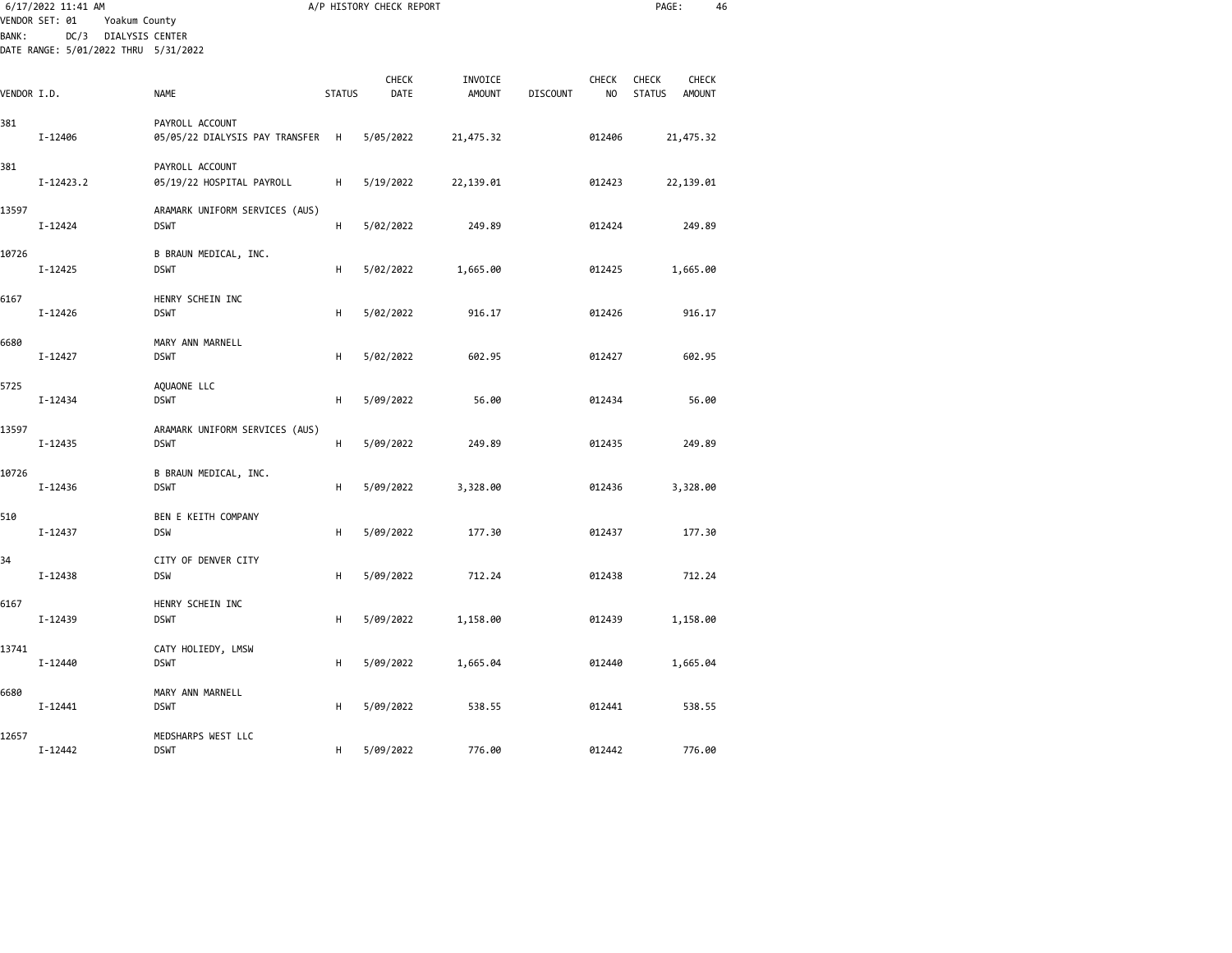|             | 6/17/2022 11:41 AM<br>VENDOR SET: 01<br>Yoakum County<br>DC/3<br>DIALYSIS CENTER<br><b>BANK:</b> |                                                   |               | A/P HISTORY CHECK REPORT |                          |                 |             | PAGE:                         | 46                     |
|-------------|--------------------------------------------------------------------------------------------------|---------------------------------------------------|---------------|--------------------------|--------------------------|-----------------|-------------|-------------------------------|------------------------|
|             | DATE RANGE: 5/01/2022 THRU 5/31/2022                                                             |                                                   |               |                          |                          |                 |             |                               |                        |
| VENDOR I.D. |                                                                                                  | <b>NAME</b>                                       | <b>STATUS</b> | CHECK<br>DATE            | INVOICE<br><b>AMOUNT</b> | <b>DISCOUNT</b> | CHECK<br>NO | <b>CHECK</b><br><b>STATUS</b> | CHECK<br><b>AMOUNT</b> |
| 381         | I-12406                                                                                          | PAYROLL ACCOUNT<br>05/05/22 DIALYSIS PAY TRANSFER | H             | 5/05/2022                | 21,475.32                |                 | 012406      | 21,475.32                     |                        |
| 381         | $I-12423.2$                                                                                      | PAYROLL ACCOUNT<br>05/19/22 HOSPITAL PAYROLL      | н             | 5/19/2022                | 22,139.01                |                 | 012423      | 22,139.01                     |                        |
| 13597       | I-12424                                                                                          | ARAMARK UNIFORM SERVICES (AUS)<br><b>DSWT</b>     | н             | 5/02/2022                | 249.89                   |                 | 012424      |                               | 249.89                 |
| 10726       | I-12425                                                                                          | B BRAUN MEDICAL, INC.<br><b>DSWT</b>              | н             | 5/02/2022                | 1,665.00                 |                 | 012425      | 1,665.00                      |                        |
| 6167        | I-12426                                                                                          | HENRY SCHEIN INC<br><b>DSWT</b>                   | H             | 5/02/2022                | 916.17                   |                 | 012426      |                               | 916.17                 |
| 6680        | I-12427                                                                                          | MARY ANN MARNELL<br><b>DSWT</b>                   | н             | 5/02/2022                | 602.95                   |                 | 012427      |                               | 602.95                 |
| 5725        | $I - 12434$                                                                                      | AQUAONE LLC<br><b>DSWT</b>                        | H             | 5/09/2022                | 56.00                    |                 | 012434      |                               | 56.00                  |
| 13597       | $I - 12435$                                                                                      | ARAMARK UNIFORM SERVICES (AUS)<br><b>DSWT</b>     | н             | 5/09/2022                | 249.89                   |                 | 012435      |                               | 249.89                 |
| 10726       | I-12436                                                                                          | B BRAUN MEDICAL, INC.<br><b>DSWT</b>              | н             | 5/09/2022                | 3,328.00                 |                 | 012436      | 3,328.00                      |                        |
| 510         | $I - 12437$                                                                                      | BEN E KEITH COMPANY<br><b>DSW</b>                 | H             | 5/09/2022                | 177.30                   |                 | 012437      |                               | 177.30                 |
| 34          | $I - 12438$                                                                                      | CITY OF DENVER CITY<br><b>DSW</b>                 | H             | 5/09/2022                | 712.24                   |                 | 012438      |                               | 712.24                 |
| 6167        | I-12439                                                                                          | HENRY SCHEIN INC<br><b>DSWT</b>                   | н             | 5/09/2022                | 1,158.00                 |                 | 012439      | 1,158.00                      |                        |
| 13741       | I-12440                                                                                          | CATY HOLIEDY, LMSW<br><b>DSWT</b>                 | н             | 5/09/2022                | 1,665.04                 |                 | 012440      | 1,665.04                      |                        |
| 6680        | I-12441                                                                                          | MARY ANN MARNELL<br><b>DSWT</b>                   | н             | 5/09/2022                | 538.55                   |                 | 012441      |                               | 538.55                 |
| 12657       | I-12442                                                                                          | MEDSHARPS WEST LLC<br><b>DSWT</b>                 | н             | 5/09/2022                | 776.00                   |                 | 012442      |                               | 776.00                 |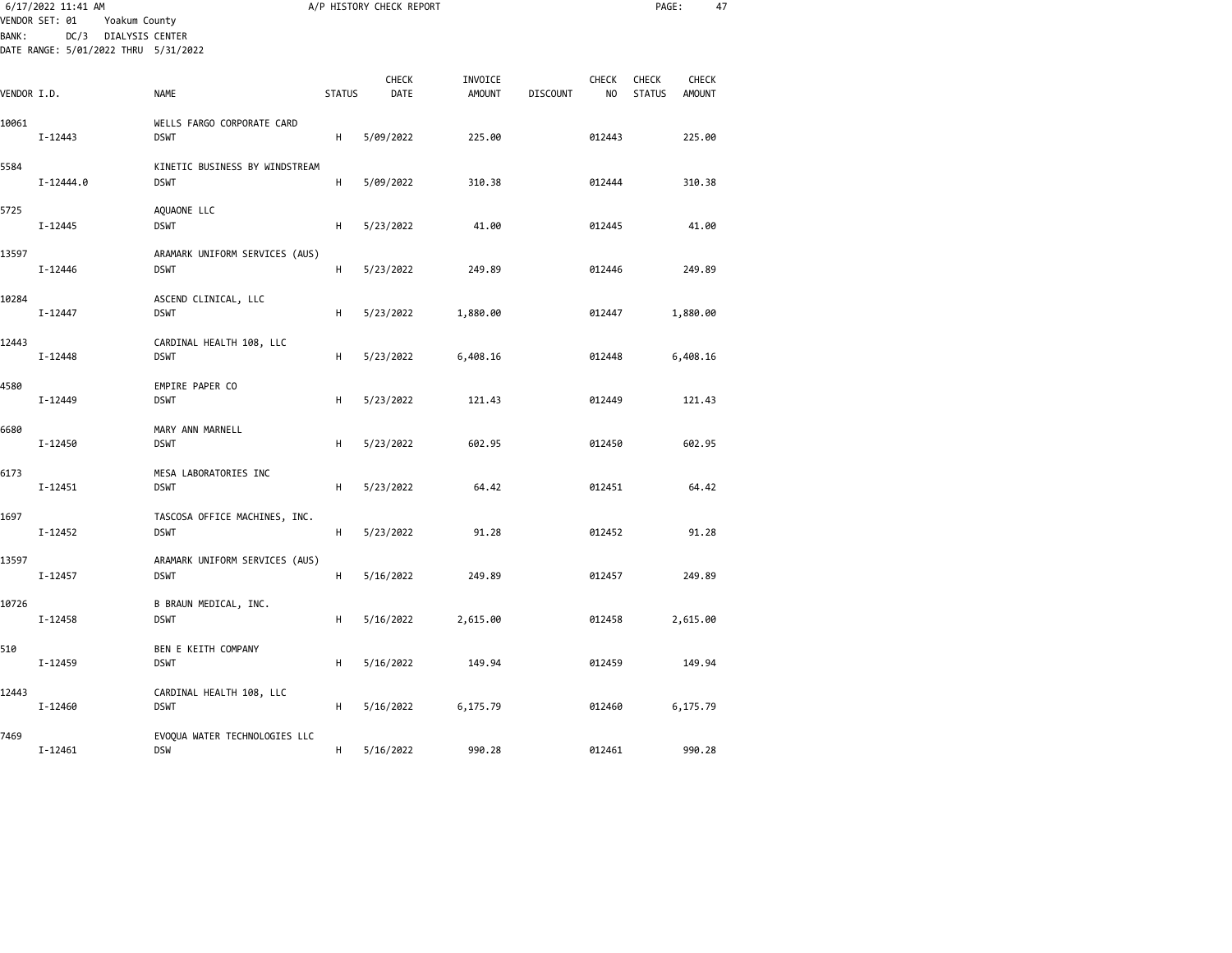| <b>BANK:</b> | 6/17/2022 11:41 AM<br>VENDOR SET: 01<br>Yoakum County<br>DC/3 DIALYSIS CENTER<br>DATE RANGE: 5/01/2022 THRU 5/31/2022 |                                               |               | A/P HISTORY CHECK REPORT |                          |                 |                    | PAGE:                  | 47                     |  |
|--------------|-----------------------------------------------------------------------------------------------------------------------|-----------------------------------------------|---------------|--------------------------|--------------------------|-----------------|--------------------|------------------------|------------------------|--|
|              |                                                                                                                       |                                               |               |                          |                          |                 |                    |                        |                        |  |
| VENDOR I.D.  |                                                                                                                       | <b>NAME</b>                                   | <b>STATUS</b> | CHECK<br>DATE            | INVOICE<br><b>AMOUNT</b> | <b>DISCOUNT</b> | <b>CHECK</b><br>NO | CHECK<br><b>STATUS</b> | CHECK<br><b>AMOUNT</b> |  |
| 10061        | I-12443                                                                                                               | WELLS FARGO CORPORATE CARD<br><b>DSWT</b>     | н             | 5/09/2022                | 225.00                   |                 | 012443             |                        | 225.00                 |  |
| 5584         | $I - 12444.0$                                                                                                         | KINETIC BUSINESS BY WINDSTREAM<br><b>DSWT</b> | н             | 5/09/2022                | 310.38                   |                 | 012444             |                        | 310.38                 |  |
| 5725         | I-12445                                                                                                               | AQUAONE LLC<br><b>DSWT</b>                    | H             | 5/23/2022                | 41.00                    |                 | 012445             |                        | 41.00                  |  |
| 13597        | I-12446                                                                                                               | ARAMARK UNIFORM SERVICES (AUS)<br><b>DSWT</b> | н             | 5/23/2022                | 249.89                   |                 | 012446             |                        | 249.89                 |  |
| 10284        | I-12447                                                                                                               | ASCEND CLINICAL, LLC<br><b>DSWT</b>           | H             | 5/23/2022                | 1,880.00                 |                 | 012447             |                        | 1,880.00               |  |
| 12443        | I-12448                                                                                                               | CARDINAL HEALTH 108, LLC<br><b>DSWT</b>       | н             | 5/23/2022                | 6,408.16                 |                 | 012448             |                        | 6,408.16               |  |
| 4580         | $I - 12449$                                                                                                           | EMPIRE PAPER CO<br><b>DSWT</b>                | H             | 5/23/2022                | 121.43                   |                 | 012449             |                        | 121.43                 |  |
| 6680         | I-12450                                                                                                               | MARY ANN MARNELL<br><b>DSWT</b>               | н             | 5/23/2022                | 602.95                   |                 | 012450             |                        | 602.95                 |  |
| 6173         | I-12451                                                                                                               | MESA LABORATORIES INC<br><b>DSWT</b>          | н             | 5/23/2022                | 64.42                    |                 | 012451             |                        | 64.42                  |  |
| 1697         | I-12452                                                                                                               | TASCOSA OFFICE MACHINES, INC.<br><b>DSWT</b>  | H             | 5/23/2022                | 91.28                    |                 | 012452             |                        | 91.28                  |  |
| 13597        | $I - 12457$                                                                                                           | ARAMARK UNIFORM SERVICES (AUS)<br><b>DSWT</b> | H             | 5/16/2022                | 249.89                   |                 | 012457             |                        | 249.89                 |  |
| 10726        | I-12458                                                                                                               | B BRAUN MEDICAL, INC.<br><b>DSWT</b>          | н             | 5/16/2022                | 2,615.00                 |                 | 012458             |                        | 2,615.00               |  |
| 510          | I-12459                                                                                                               | BEN E KEITH COMPANY<br><b>DSWT</b>            | н             | 5/16/2022                | 149.94                   |                 | 012459             |                        | 149.94                 |  |
| 12443        | I-12460                                                                                                               | CARDINAL HEALTH 108, LLC<br><b>DSWT</b>       | н             | 5/16/2022                | 6,175.79                 |                 | 012460             |                        | 6,175.79               |  |
| 7469         | $I - 12461$                                                                                                           | EVOQUA WATER TECHNOLOGIES LLC<br><b>DSW</b>   | н             | 5/16/2022                | 990.28                   |                 | 012461             |                        | 990.28                 |  |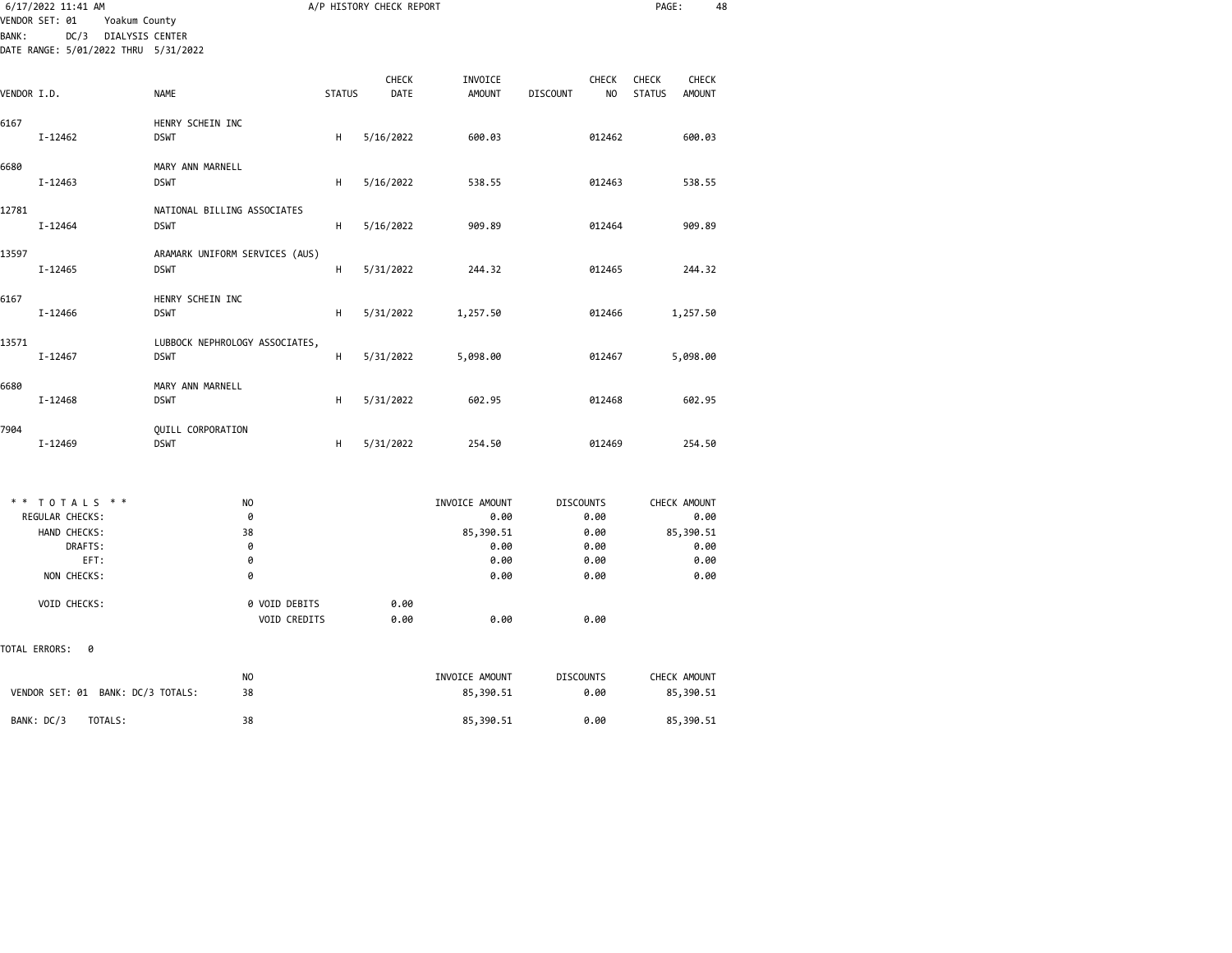|              | 6/17/2022 11:41 AM                                                                                 |                                               |               | A/P HISTORY CHECK REPORT |                          |                                                   | PAGE:                                                   | 48   |
|--------------|----------------------------------------------------------------------------------------------------|-----------------------------------------------|---------------|--------------------------|--------------------------|---------------------------------------------------|---------------------------------------------------------|------|
| <b>BANK:</b> | VENDOR SET: 01<br>Yoakum County<br>DC/3<br>DIALYSIS CENTER<br>DATE RANGE: 5/01/2022 THRU 5/31/2022 |                                               |               |                          |                          |                                                   |                                                         |      |
| VENDOR I.D.  |                                                                                                    | <b>NAME</b>                                   | <b>STATUS</b> | CHECK<br>DATE            | INVOICE<br><b>AMOUNT</b> | <b>CHECK</b><br><b>DISCOUNT</b><br>N <sub>O</sub> | <b>CHECK</b><br><b>CHECK</b><br><b>STATUS</b><br>AMOUNT |      |
| 6167         | I-12462                                                                                            | HENRY SCHEIN INC<br><b>DSWT</b>               | H             | 5/16/2022                | 600.03                   | 012462                                            | 600.03                                                  |      |
| 6680         | I-12463                                                                                            | MARY ANN MARNELL<br><b>DSWT</b>               | H             | 5/16/2022                | 538.55                   | 012463                                            | 538.55                                                  |      |
| 12781        | I-12464                                                                                            | NATIONAL BILLING ASSOCIATES<br><b>DSWT</b>    | н             | 5/16/2022                | 909.89                   | 012464                                            | 909.89                                                  |      |
| 13597        | I-12465                                                                                            | ARAMARK UNIFORM SERVICES (AUS)<br><b>DSWT</b> | H             | 5/31/2022                | 244.32                   | 012465                                            | 244.32                                                  |      |
| 6167         | I-12466                                                                                            | HENRY SCHEIN INC<br><b>DSWT</b>               | H             | 5/31/2022                | 1,257.50                 | 012466                                            | 1,257.50                                                |      |
| 13571        | I-12467                                                                                            | LUBBOCK NEPHROLOGY ASSOCIATES,<br><b>DSWT</b> | н             | 5/31/2022                | 5,098.00                 | 012467                                            | 5,098.00                                                |      |
| 6680         | I-12468                                                                                            | MARY ANN MARNELL<br><b>DSWT</b>               | н             | 5/31/2022                | 602.95                   | 012468                                            | 602.95                                                  |      |
| 7904         | I-12469                                                                                            | QUILL CORPORATION<br><b>DSWT</b>              | н             | 5/31/2022                | 254.50                   | 012469                                            | 254.50                                                  |      |
|              | ** TOTALS **                                                                                       | NO.                                           |               |                          | INVOICE AMOUNT           | <b>DISCOUNTS</b>                                  | CHECK AMOUNT                                            |      |
|              | REGULAR CHECKS:<br>HAND CHECKS:                                                                    | 0<br>38                                       |               |                          | 0.00<br>85,390.51        | 0.00<br>0.00                                      | 85,390.51                                               | 0.00 |
|              | DRAFTS:                                                                                            | 0                                             |               |                          | 0.00                     | 0.00                                              |                                                         | 0.00 |
|              | EFT:                                                                                               | 0                                             |               |                          | 0.00                     | 0.00                                              |                                                         | 0.00 |
|              | NON CHECKS:                                                                                        | 0                                             |               |                          | 0.00                     | 0.00                                              |                                                         | 0.00 |
|              | VOID CHECKS:                                                                                       | 0 VOID DEBITS                                 |               | 0.00                     |                          |                                                   |                                                         |      |

TOTAL ERRORS: 0

| VENDOR SET: 01 BANK: DC/3 TOTALS: | NO | INVOICE AMOUNT | <b>DISCOUNTS</b> | CHECK AMOUNT |
|-----------------------------------|----|----------------|------------------|--------------|
|                                   | 38 | 85,390.51      | 0.00             | 85,390.51    |
| BANK: DC/3<br>TOTALS:             | 38 | 85,390.51      | 0.00             | 85,390.51    |

VOID CREDITS 0.00 0.00 0.00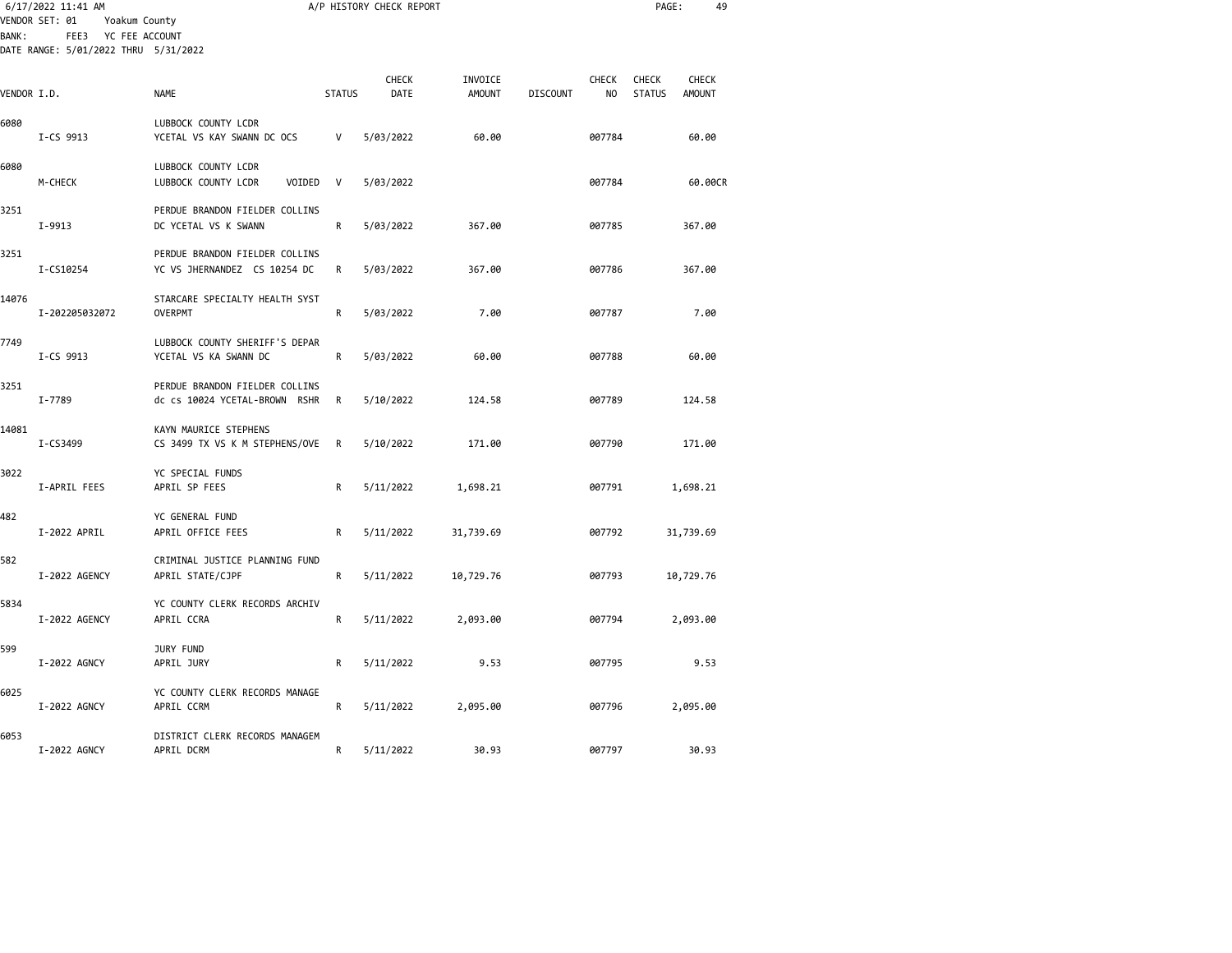| <b>BANK:</b> | 6/17/2022 11:41 AM<br>VENDOR SET: 01<br>Yoakum County<br>YC FEE ACCOUNT<br>FEE3<br>DATE RANGE: 5/01/2022 THRU 5/31/2022 |                                                                 |               | A/P HISTORY CHECK REPORT |                          |                 |                    | PAGE:                         | 49                            |  |
|--------------|-------------------------------------------------------------------------------------------------------------------------|-----------------------------------------------------------------|---------------|--------------------------|--------------------------|-----------------|--------------------|-------------------------------|-------------------------------|--|
| VENDOR I.D.  |                                                                                                                         | <b>NAME</b>                                                     | <b>STATUS</b> | <b>CHECK</b><br>DATE     | INVOICE<br><b>AMOUNT</b> | <b>DISCOUNT</b> | <b>CHECK</b><br>NO | <b>CHECK</b><br><b>STATUS</b> | <b>CHECK</b><br><b>AMOUNT</b> |  |
| 6080         | I-CS 9913                                                                                                               | LUBBOCK COUNTY LCDR<br>YCETAL VS KAY SWANN DC OCS               | V             | 5/03/2022                | 60.00                    |                 | 007784             |                               | 60.00                         |  |
| 6080         | M-CHECK                                                                                                                 | LUBBOCK COUNTY LCDR<br>LUBBOCK COUNTY LCDR<br>VOIDED            | V             | 5/03/2022                |                          |                 | 007784             |                               | 60.00CR                       |  |
| 3251         | I-9913                                                                                                                  | PERDUE BRANDON FIELDER COLLINS<br>DC YCETAL VS K SWANN          | R             | 5/03/2022                | 367.00                   |                 | 007785             |                               | 367.00                        |  |
| 3251         | I-CS10254                                                                                                               | PERDUE BRANDON FIELDER COLLINS<br>YC VS JHERNANDEZ CS 10254 DC  | R             | 5/03/2022                | 367.00                   |                 | 007786             |                               | 367.00                        |  |
| 14076        | I-202205032072                                                                                                          | STARCARE SPECIALTY HEALTH SYST<br><b>OVERPMT</b>                | R             | 5/03/2022                | 7.00                     |                 | 007787             |                               | 7.00                          |  |
| 7749         | I-CS 9913                                                                                                               | LUBBOCK COUNTY SHERIFF'S DEPAR<br>YCETAL VS KA SWANN DC         | R             | 5/03/2022                | 60.00                    |                 | 007788             |                               | 60.00                         |  |
| 3251         | I-7789                                                                                                                  | PERDUE BRANDON FIELDER COLLINS<br>dc cs 10024 YCETAL-BROWN RSHR | R             | 5/10/2022                | 124.58                   |                 | 007789             |                               | 124.58                        |  |
| 14081        | I-CS3499                                                                                                                | KAYN MAURICE STEPHENS<br>CS 3499 TX VS K M STEPHENS/OVE         | R             | 5/10/2022                | 171.00                   |                 | 007790             |                               | 171.00                        |  |
| 3022         | I-APRIL FEES                                                                                                            | YC SPECIAL FUNDS<br>APRIL SP FEES                               | R             | 5/11/2022                | 1,698.21                 |                 | 007791             |                               | 1,698.21                      |  |
| 482          | I-2022 APRIL                                                                                                            | YC GENERAL FUND<br>APRIL OFFICE FEES                            | R             | 5/11/2022                | 31,739.69                |                 | 007792             |                               | 31,739.69                     |  |
| 582          | I-2022 AGENCY                                                                                                           | CRIMINAL JUSTICE PLANNING FUND<br>APRIL STATE/CJPF              | R             | 5/11/2022                | 10,729.76                |                 | 007793             |                               | 10,729.76                     |  |
| 5834         | I-2022 AGENCY                                                                                                           | YC COUNTY CLERK RECORDS ARCHIV<br>APRIL CCRA                    | R             | 5/11/2022                | 2,093.00                 |                 | 007794             |                               | 2,093.00                      |  |
| 599          | I-2022 AGNCY                                                                                                            | JURY FUND<br>APRIL JURY                                         | $\mathsf{R}$  | 5/11/2022                | 9.53                     |                 | 007795             |                               | 9.53                          |  |
| 6025         | I-2022 AGNCY                                                                                                            | YC COUNTY CLERK RECORDS MANAGE<br>APRIL CCRM                    | R             | 5/11/2022                | 2,095.00                 |                 | 007796             |                               | 2,095.00                      |  |
| 6053         | I-2022 AGNCY                                                                                                            | DISTRICT CLERK RECORDS MANAGEM<br>APRIL DCRM                    | R             | 5/11/2022                | 30.93                    |                 | 007797             |                               | 30.93                         |  |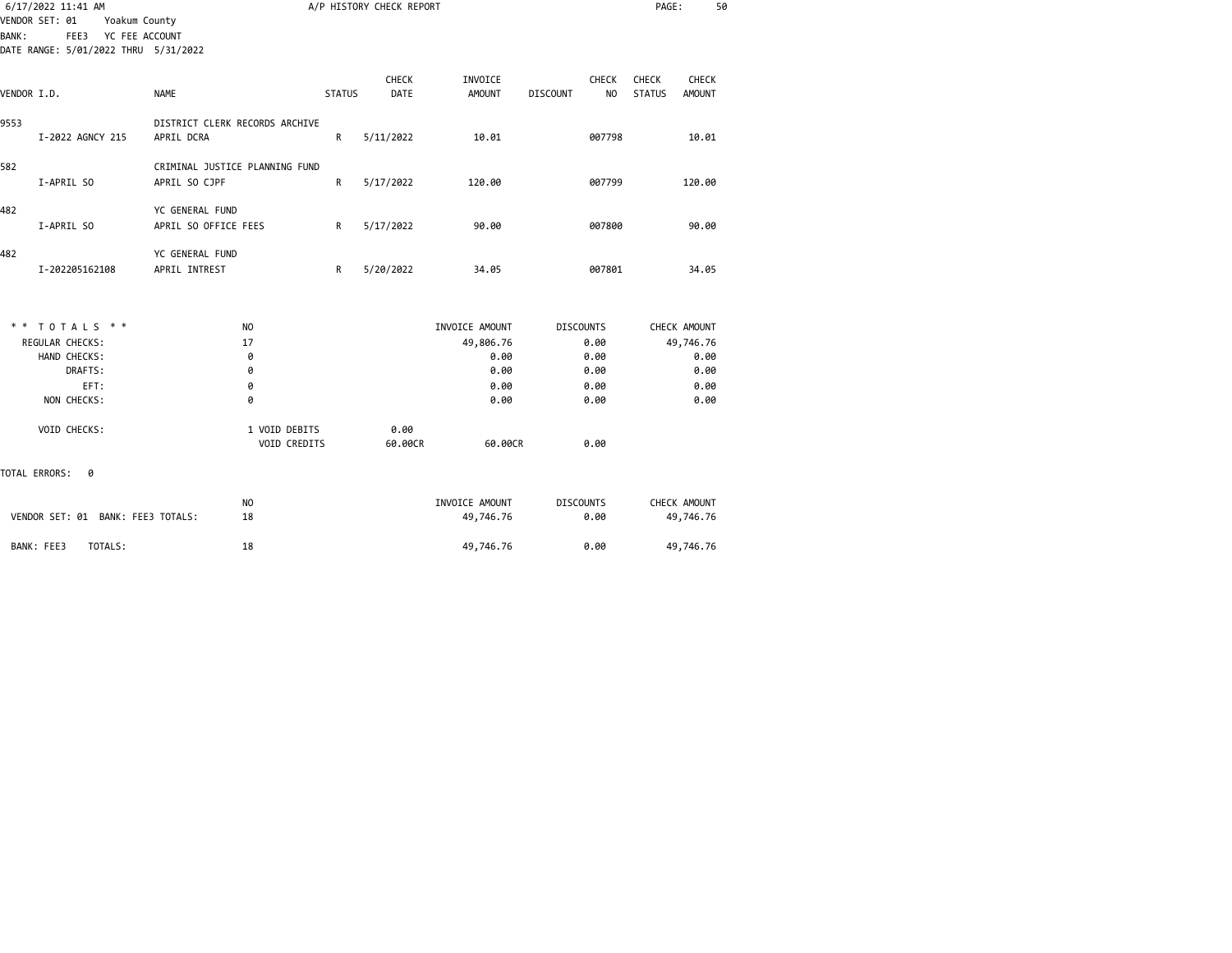|              | 6/17/2022 11:41 AM                   |                |                                |               | A/P HISTORY CHECK REPORT |                          |                                | PAGE:                  | 50                            |
|--------------|--------------------------------------|----------------|--------------------------------|---------------|--------------------------|--------------------------|--------------------------------|------------------------|-------------------------------|
|              | VENDOR SET: 01                       | Yoakum County  |                                |               |                          |                          |                                |                        |                               |
| <b>BANK:</b> | FEE3                                 | YC FEE ACCOUNT |                                |               |                          |                          |                                |                        |                               |
|              | DATE RANGE: 5/01/2022 THRU 5/31/2022 |                |                                |               |                          |                          |                                |                        |                               |
| VENDOR I.D.  |                                      |                | <b>NAME</b>                    | <b>STATUS</b> | CHECK<br>DATE            | INVOICE<br><b>AMOUNT</b> | CHECK<br>NO<br><b>DISCOUNT</b> | CHECK<br><b>STATUS</b> | <b>CHECK</b><br><b>AMOUNT</b> |
| 9553         |                                      |                | DISTRICT CLERK RECORDS ARCHIVE |               |                          |                          |                                |                        |                               |
|              | I-2022 AGNCY 215                     |                | APRIL DCRA                     | R             | 5/11/2022                | 10.01                    | 007798                         |                        | 10.01                         |
| 582          |                                      |                | CRIMINAL JUSTICE PLANNING FUND |               |                          |                          |                                |                        |                               |
|              | I-APRIL SO                           |                | APRIL SO CJPF                  | R             | 5/17/2022                | 120.00                   | 007799                         |                        | 120.00                        |
| 482          |                                      |                | YC GENERAL FUND                |               |                          |                          |                                |                        |                               |
|              | I-APRIL SO                           |                | APRIL SO OFFICE FEES           | R             | 5/17/2022                | 90.00                    | 007800                         |                        | 90.00                         |
| 482          |                                      |                | YC GENERAL FUND                |               |                          |                          |                                |                        |                               |
|              | I-202205162108                       |                | APRIL INTREST                  | R             | 5/20/2022                | 34.05                    | 007801                         |                        | 34.05                         |
|              |                                      |                |                                |               |                          |                          |                                |                        |                               |
|              | $* * TOTALS **$                      |                | N <sub>O</sub>                 |               |                          | INVOICE AMOUNT           | <b>DISCOUNTS</b>               | CHECK AMOUNT           |                               |
|              | <b>REGULAR CHECKS:</b>               |                | 17                             |               |                          | 49,806.76                | 0.00                           | 49,746.76              |                               |
|              | HAND CHECKS:                         |                | 0                              |               |                          | 0.00                     | 0.00                           |                        | 0.00                          |
|              | DRAFTS:                              |                | 0                              |               |                          | 0.00                     | 0.00                           |                        | 0.00                          |
|              | EFT:                                 |                | 0                              |               |                          | 0.00                     | 0.00                           |                        | 0.00                          |
|              | NON CHECKS:                          |                | 0                              |               |                          | 0.00                     | 0.00                           |                        | 0.00                          |

VOID CREDITS 60.00CR 60.00CR 60.00CR 0.00

NO 1NVOICE AMOUNT DISCOUNTS CHECK AMOUNT<br>18 49,746.76 6.00 49,746.76

VOID CHECKS: 1 VOID DEBITS 0.00

VENDOR SET: 01 BANK: FEE3 TOTALS: 18 49,746.76 0.00

BANK: FEE3 TOTALS: 18 49,746.76 0.00 49,746.76

TOTAL ERRORS: 0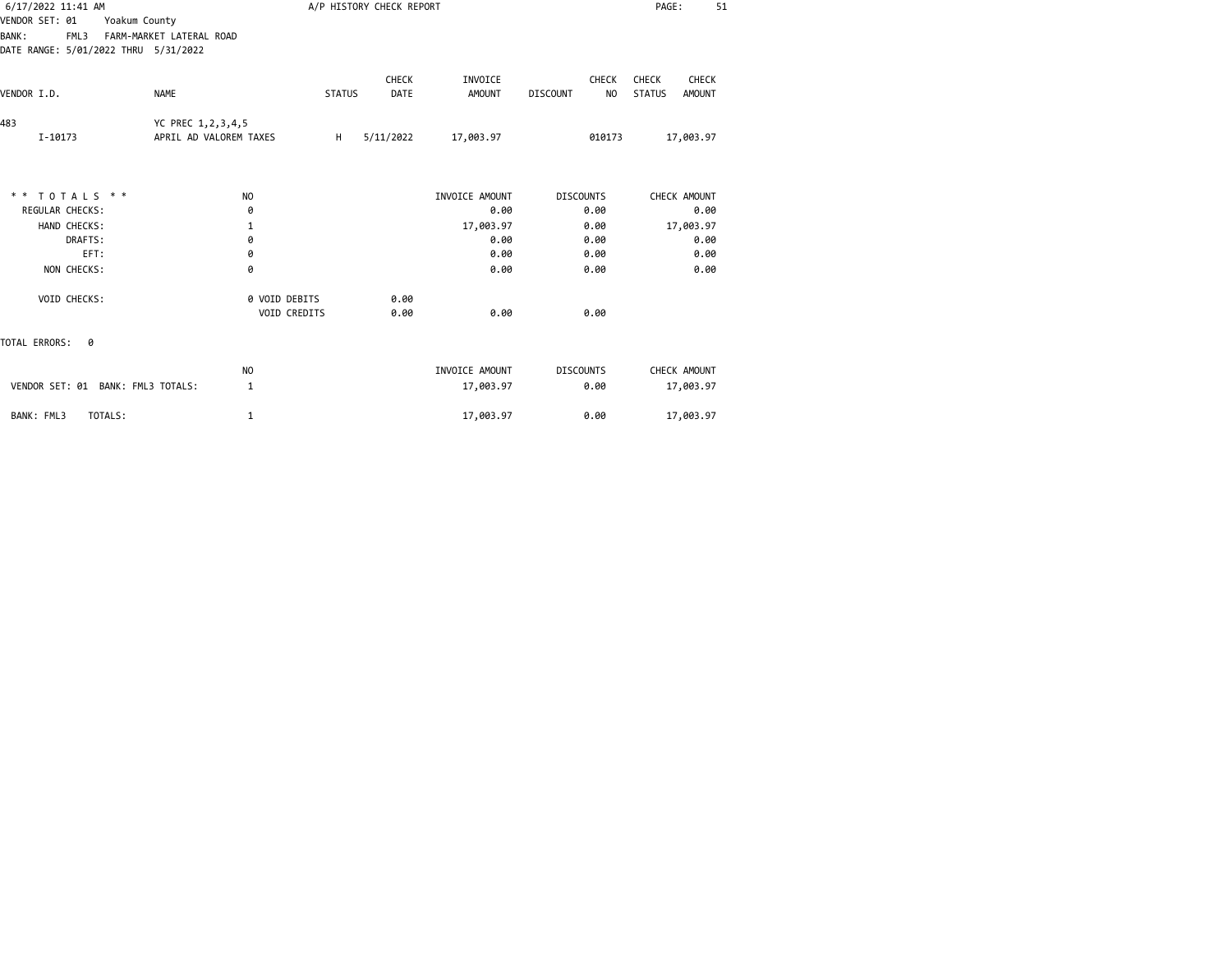| 6/17/2022 11:41 AM<br>VENDOR SET: 01<br>Yoakum County        |                                             |               | A/P HISTORY CHECK REPORT |                          |                                | PAGE:<br>51                               |
|--------------------------------------------------------------|---------------------------------------------|---------------|--------------------------|--------------------------|--------------------------------|-------------------------------------------|
| <b>BANK:</b><br>FML3<br>DATE RANGE: 5/01/2022 THRU 5/31/2022 | FARM-MARKET LATERAL ROAD                    |               |                          |                          |                                |                                           |
| <b>NAME</b><br>VENDOR I.D.                                   |                                             | <b>STATUS</b> | CHECK<br>DATE            | INVOICE<br><b>AMOUNT</b> | CHECK<br><b>DISCOUNT</b><br>NO | CHECK<br>CHECK<br><b>STATUS</b><br>AMOUNT |
| 483<br>I-10173                                               | YC PREC 1,2,3,4,5<br>APRIL AD VALOREM TAXES | H             | 5/11/2022                | 17,003.97                | 010173                         | 17,003.97                                 |
|                                                              |                                             |               |                          |                          |                                |                                           |
| ** TOTALS **                                                 | <b>NO</b>                                   |               |                          | INVOICE AMOUNT           | <b>DISCOUNTS</b>               | CHECK AMOUNT                              |
| REGULAR CHECKS:                                              | 0                                           |               |                          | 0.00                     | 0.00                           | 0.00                                      |
| HAND CHECKS:<br>DRAFTS:                                      | $\mathbf 1$<br>0                            |               |                          | 17,003.97<br>0.00        | 0.00<br>0.00                   | 17,003.97<br>0.00                         |
| EFT:                                                         | 0                                           |               |                          | 0.00                     | 0.00                           | 0.00                                      |
| NON CHECKS:                                                  | 0                                           |               |                          | 0.00                     | 0.00                           | 0.00                                      |
| VOID CHECKS:                                                 | 0 VOID DEBITS<br>VOID CREDITS               |               | 0.00<br>0.00             | 0.00                     | 0.00                           |                                           |
| TOTAL ERRORS:<br>- 0                                         |                                             |               |                          |                          |                                |                                           |
|                                                              | NO                                          |               |                          | INVOICE AMOUNT           | <b>DISCOUNTS</b>               | CHECK AMOUNT                              |
| VENDOR SET: 01 BANK: FML3 TOTALS:                            | 1                                           |               |                          | 17,003.97                | 0.00                           | 17,003.97                                 |
| BANK: FML3<br>TOTALS:                                        | 1                                           |               |                          | 17,003.97                | 0.00                           | 17,003.97                                 |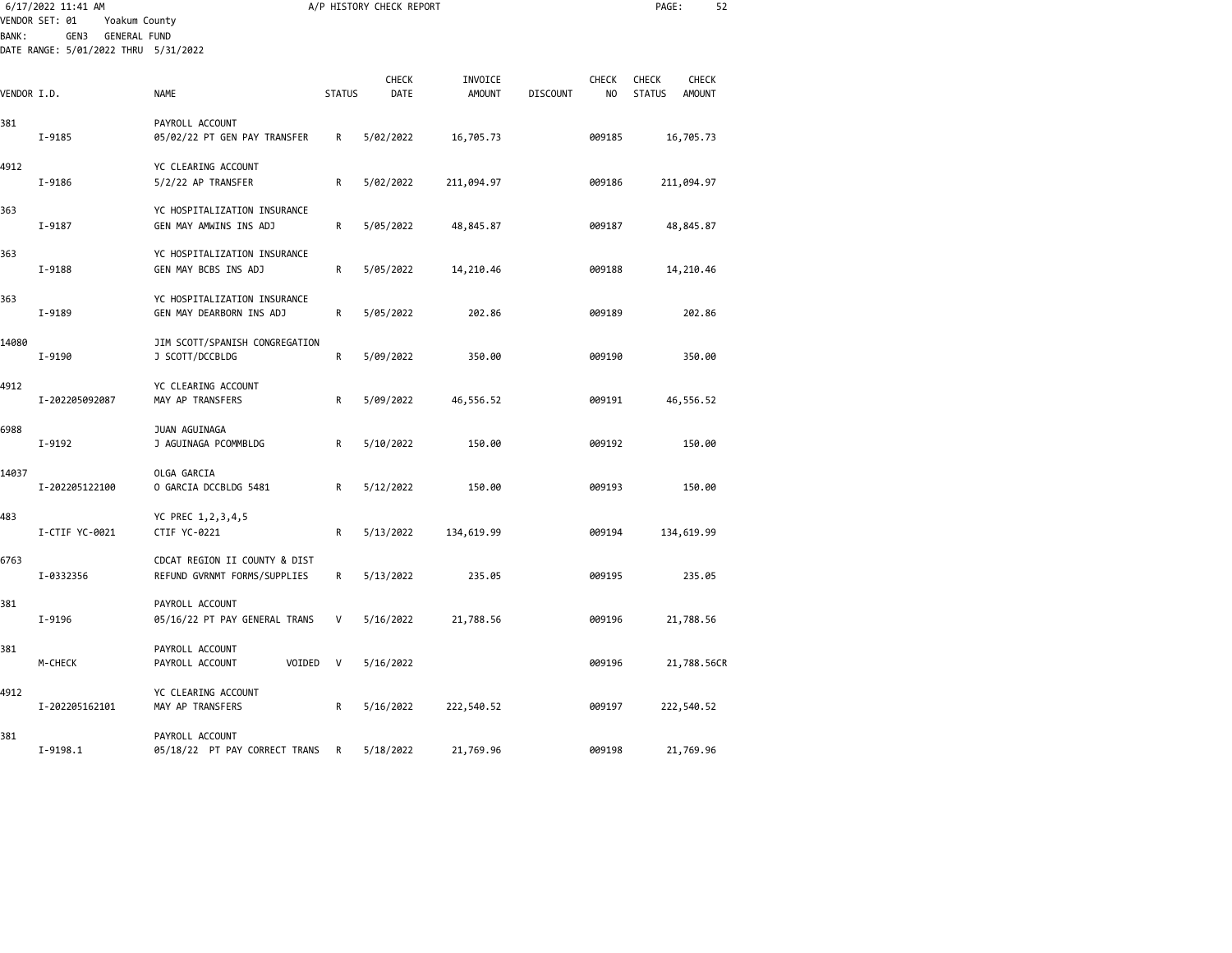|             | 6/17/2022 11:41 AM<br>VENDOR SET: 01<br>Yoakum County               |                                                               |               | A/P HISTORY CHECK REPORT |                          |                 |                                | PAGE:                                                   | 52 |
|-------------|---------------------------------------------------------------------|---------------------------------------------------------------|---------------|--------------------------|--------------------------|-----------------|--------------------------------|---------------------------------------------------------|----|
| BANK :      | GEN3<br><b>GENERAL FUND</b><br>DATE RANGE: 5/01/2022 THRU 5/31/2022 |                                                               |               |                          |                          |                 |                                |                                                         |    |
| VENDOR I.D. |                                                                     | <b>NAME</b>                                                   | <b>STATUS</b> | <b>CHECK</b><br>DATE     | INVOICE<br><b>AMOUNT</b> | <b>DISCOUNT</b> | <b>CHECK</b><br>N <sub>0</sub> | CHECK<br><b>CHECK</b><br><b>STATUS</b><br><b>AMOUNT</b> |    |
| 381         | I-9185                                                              | PAYROLL ACCOUNT<br>05/02/22 PT GEN PAY TRANSFER               | R             | 5/02/2022                | 16,705.73                |                 | 009185                         | 16,705.73                                               |    |
| 4912        | I-9186                                                              | YC CLEARING ACCOUNT<br>5/2/22 AP TRANSFER                     | R             | 5/02/2022                | 211,094.97               |                 | 009186                         | 211,094.97                                              |    |
| 363         | I-9187                                                              | YC HOSPITALIZATION INSURANCE<br>GEN MAY AMWINS INS ADJ        | R             | 5/05/2022                | 48,845.87                |                 | 009187                         | 48,845.87                                               |    |
| 363         | I-9188                                                              | YC HOSPITALIZATION INSURANCE<br>GEN MAY BCBS INS ADJ          | R             | 5/05/2022                | 14,210.46                |                 | 009188                         | 14,210.46                                               |    |
| 363         | I-9189                                                              | YC HOSPITALIZATION INSURANCE<br>GEN MAY DEARBORN INS ADJ      | R             | 5/05/2022                | 202.86                   |                 | 009189                         | 202.86                                                  |    |
| 14080       | I-9190                                                              | JIM SCOTT/SPANISH CONGREGATION<br>J SCOTT/DCCBLDG             | R             | 5/09/2022                | 350.00                   |                 | 009190                         | 350.00                                                  |    |
| 4912        | I-202205092087                                                      | YC CLEARING ACCOUNT<br>MAY AP TRANSFERS                       | R             | 5/09/2022                | 46,556.52                |                 | 009191                         | 46,556.52                                               |    |
| 6988        | I-9192                                                              | JUAN AGUINAGA<br>J AGUINAGA PCOMMBLDG                         | R             | 5/10/2022                | 150.00                   |                 | 009192                         | 150.00                                                  |    |
| 14037       | I-202205122100                                                      | OLGA GARCIA<br>O GARCIA DCCBLDG 5481                          | R             | 5/12/2022                | 150.00                   |                 | 009193                         | 150.00                                                  |    |
| 483         | I-CTIF YC-0021                                                      | YC PREC 1,2,3,4,5<br>CTIF YC-0221                             | R             | 5/13/2022                | 134,619.99               |                 | 009194                         | 134,619.99                                              |    |
| 6763        | I-0332356                                                           | CDCAT REGION II COUNTY & DIST<br>REFUND GVRNMT FORMS/SUPPLIES | R             | 5/13/2022                | 235.05                   |                 | 009195                         | 235.05                                                  |    |
| 381         | I-9196                                                              | PAYROLL ACCOUNT<br>05/16/22 PT PAY GENERAL TRANS              | V             | 5/16/2022                | 21,788.56                |                 | 009196                         | 21,788.56                                               |    |
| 381         | M-CHECK                                                             | PAYROLL ACCOUNT<br>VOIDED<br>PAYROLL ACCOUNT                  | V             | 5/16/2022                |                          |                 | 009196                         | 21,788.56CR                                             |    |
| 4912        | I-202205162101                                                      | YC CLEARING ACCOUNT<br>MAY AP TRANSFERS                       | R             | 5/16/2022                | 222,540.52               |                 | 009197                         | 222,540.52                                              |    |
| 381         | $I-9198.1$                                                          | PAYROLL ACCOUNT<br>05/18/22 PT PAY CORRECT TRANS              | R             | 5/18/2022                | 21,769.96                |                 | 009198                         | 21,769.96                                               |    |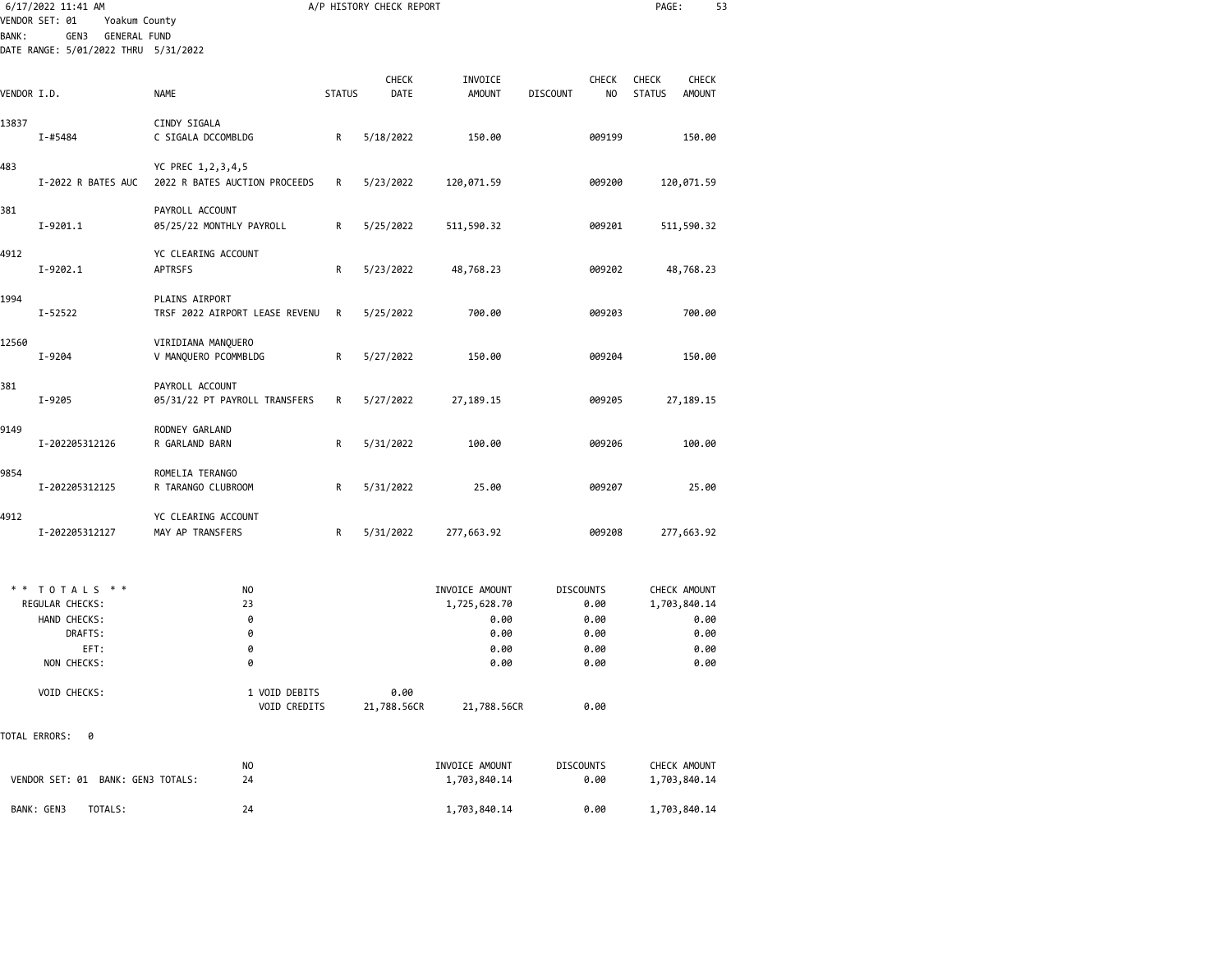| 6/17/2022 11:41 AM                                                                                                     |                                                    |               | A/P HISTORY CHECK REPORT |                                                                |                                  |                      | PAGE:                         | 53                                                           |
|------------------------------------------------------------------------------------------------------------------------|----------------------------------------------------|---------------|--------------------------|----------------------------------------------------------------|----------------------------------|----------------------|-------------------------------|--------------------------------------------------------------|
| VENDOR SET: 01<br>Yoakum County<br><b>BANK:</b><br>GEN3<br><b>GENERAL FUND</b><br>DATE RANGE: 5/01/2022 THRU 5/31/2022 |                                                    |               |                          |                                                                |                                  |                      |                               |                                                              |
| VENDOR I.D.                                                                                                            | NAME                                               | <b>STATUS</b> | <b>CHECK</b><br>DATE     | INVOICE<br><b>AMOUNT</b>                                       | <b>DISCOUNT</b>                  | <b>CHECK</b><br>NO   | <b>CHECK</b><br><b>STATUS</b> | <b>CHECK</b><br><b>AMOUNT</b>                                |
| 13837<br>I-#5484                                                                                                       | CINDY SIGALA<br>C SIGALA DCCOMBLDG                 | R             | 5/18/2022                | 150.00                                                         |                                  | 009199               |                               | 150.00                                                       |
| 483<br>I-2022 R BATES AUC                                                                                              | YC PREC 1,2,3,4,5<br>2022 R BATES AUCTION PROCEEDS | R             | 5/23/2022                | 120,071.59                                                     |                                  | 009200               |                               | 120,071.59                                                   |
| 381<br>I-9201.1                                                                                                        | PAYROLL ACCOUNT<br>05/25/22 MONTHLY PAYROLL        | R             | 5/25/2022                | 511,590.32                                                     |                                  | 009201               |                               | 511,590.32                                                   |
| 4912<br>I-9202.1                                                                                                       | YC CLEARING ACCOUNT<br>APTRSFS                     | R             | 5/23/2022                | 48,768.23                                                      |                                  | 009202               |                               | 48,768.23                                                    |
| 1994<br>I-52522                                                                                                        | PLAINS AIRPORT<br>TRSF 2022 AIRPORT LEASE REVENU   | R             | 5/25/2022                | 700.00                                                         |                                  | 009203               |                               | 700.00                                                       |
| 12560<br>I-9204                                                                                                        | VIRIDIANA MANQUERO<br>V MANQUERO PCOMMBLDG         | R             | 5/27/2022                | 150.00                                                         |                                  | 009204               |                               | 150.00                                                       |
| 381<br>I-9205                                                                                                          | PAYROLL ACCOUNT<br>05/31/22 PT PAYROLL TRANSFERS   | R             | 5/27/2022                | 27, 189. 15                                                    |                                  | 009205               |                               | 27,189.15                                                    |
| 9149<br>I-202205312126                                                                                                 | RODNEY GARLAND<br>R GARLAND BARN                   | R             | 5/31/2022                | 100.00                                                         |                                  | 009206               |                               | 100.00                                                       |
| 9854<br>I-202205312125                                                                                                 | ROMELIA TERANGO<br>R TARANGO CLUBROOM              | R             | 5/31/2022                | 25.00                                                          |                                  | 009207               |                               | 25.00                                                        |
| 4912<br>I-202205312127                                                                                                 | YC CLEARING ACCOUNT<br>MAY AP TRANSFERS            | R             | 5/31/2022                | 277,663.92                                                     |                                  | 009208               |                               | 277,663.92                                                   |
| TOTALS * *<br>REGULAR CHECKS:<br>HAND CHECKS:<br>DRAFTS:<br>EFT:<br>NON CHECKS:                                        | NO.<br>23<br>0<br>0<br>0<br>0                      |               |                          | INVOICE AMOUNT<br>1,725,628.70<br>0.00<br>0.00<br>0.00<br>0.00 | <b>DISCOUNTS</b><br>0.00<br>0.00 | 0.00<br>0.00<br>0.00 |                               | CHECK AMOUNT<br>1,703,840.14<br>0.00<br>0.00<br>0.00<br>0.00 |
| VOID CHECKS:                                                                                                           | 1 VOID DEBITS<br>VOID CREDITS                      |               | 0.00<br>21,788.56CR      | 21,788.56CR                                                    |                                  | 0.00                 |                               |                                                              |
| TOTAL ERRORS:<br>0                                                                                                     |                                                    |               |                          |                                                                |                                  |                      |                               |                                                              |
| VENDOR SET: 01 BANK: GEN3 TOTALS:                                                                                      | NO<br>24                                           |               |                          | INVOICE AMOUNT<br>1,703,840.14                                 | <b>DISCOUNTS</b>                 | 0.00                 |                               | CHECK AMOUNT<br>1,703,840.14                                 |
| BANK: GEN3<br>TOTALS:                                                                                                  | 24                                                 |               |                          | 1,703,840.14                                                   |                                  | 0.00                 |                               | 1,703,840.14                                                 |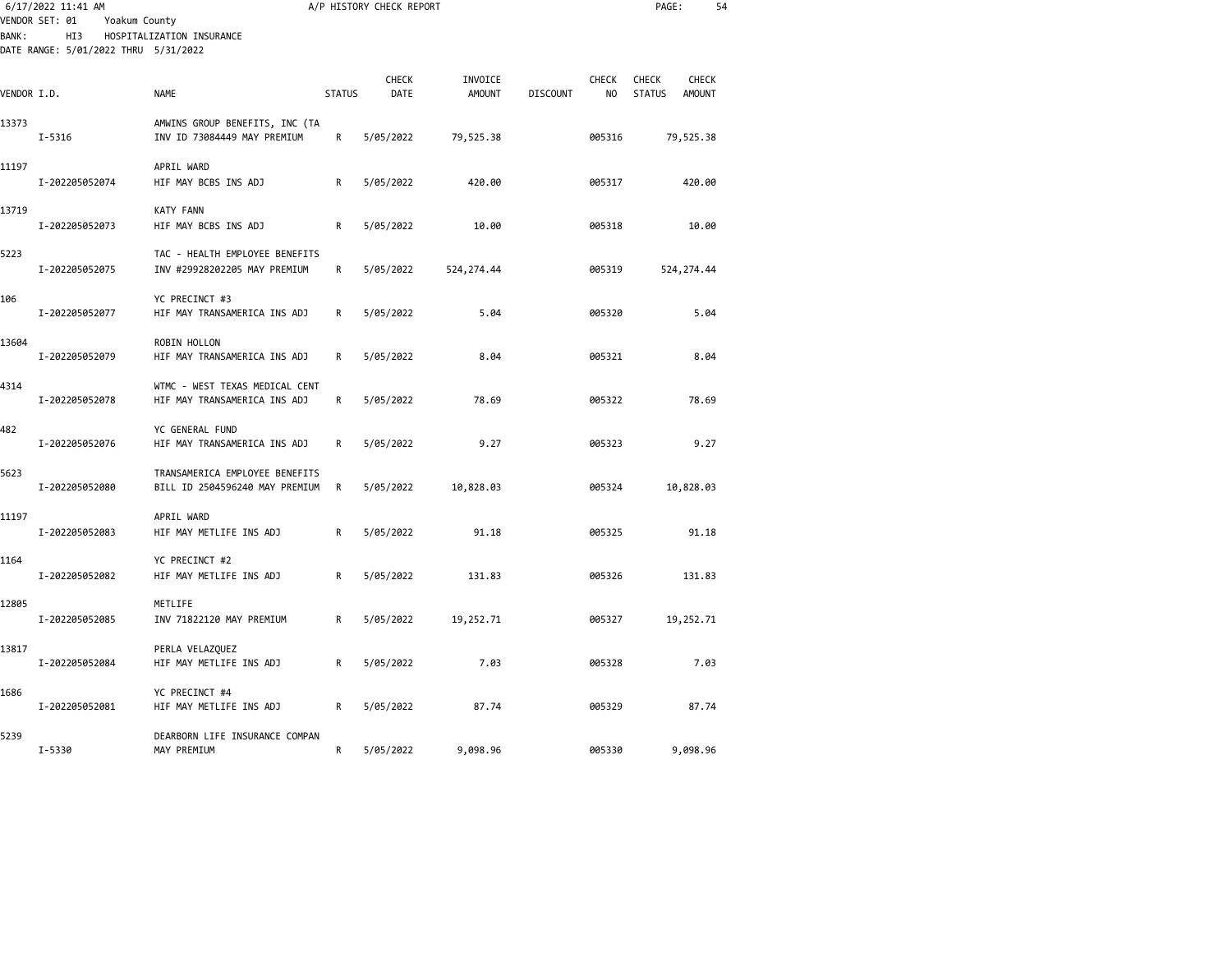|             | 6/17/2022 11:41 AM<br>VENDOR SET: 01<br>Yoakum County |                                                                  |               | A/P HISTORY CHECK REPORT |                          |                                       | PAGE:                                                          | 54 |
|-------------|-------------------------------------------------------|------------------------------------------------------------------|---------------|--------------------------|--------------------------|---------------------------------------|----------------------------------------------------------------|----|
| BANK:       | HI3<br>DATE RANGE: 5/01/2022 THRU 5/31/2022           | HOSPITALIZATION INSURANCE                                        |               |                          |                          |                                       |                                                                |    |
| VENDOR I.D. |                                                       | <b>NAME</b>                                                      | <b>STATUS</b> | CHECK<br>DATE            | INVOICE<br><b>AMOUNT</b> | <b>CHECK</b><br>NO<br><b>DISCOUNT</b> | <b>CHECK</b><br><b>CHECK</b><br><b>STATUS</b><br><b>AMOUNT</b> |    |
| 13373       | $I - 5316$                                            | AMWINS GROUP BENEFITS, INC (TA<br>INV ID 73084449 MAY PREMIUM    | R             | 5/05/2022                | 79,525.38                | 005316                                | 79,525.38                                                      |    |
| 11197       | I-202205052074                                        | APRIL WARD<br>HIF MAY BCBS INS ADJ                               | R             | 5/05/2022                | 420.00                   | 005317                                | 420.00                                                         |    |
| 13719       | I-202205052073                                        | <b>KATY FANN</b><br>HIF MAY BCBS INS ADJ                         | R             | 5/05/2022                | 10.00                    | 005318                                | 10.00                                                          |    |
| 5223        | I-202205052075                                        | TAC - HEALTH EMPLOYEE BENEFITS<br>INV #29928202205 MAY PREMIUM   | R             | 5/05/2022                | 524, 274.44              | 005319                                | 524, 274.44                                                    |    |
| 106         | I-202205052077                                        | YC PRECINCT #3<br>HIF MAY TRANSAMERICA INS ADJ                   | R             | 5/05/2022                | 5.04                     | 005320                                | 5.04                                                           |    |
| 13604       | I-202205052079                                        | ROBIN HOLLON<br>HIF MAY TRANSAMERICA INS ADJ                     | R             | 5/05/2022                | 8.04                     | 005321                                | 8.04                                                           |    |
| 4314        | I-202205052078                                        | WTMC - WEST TEXAS MEDICAL CENT<br>HIF MAY TRANSAMERICA INS ADJ   | R             | 5/05/2022                | 78.69                    | 005322                                | 78.69                                                          |    |
| 482         | I-202205052076                                        | YC GENERAL FUND<br>HIF MAY TRANSAMERICA INS ADJ                  | R             | 5/05/2022                | 9.27                     | 005323                                | 9.27                                                           |    |
| 5623        | I-202205052080                                        | TRANSAMERICA EMPLOYEE BENEFITS<br>BILL ID 2504596240 MAY PREMIUM | R             | 5/05/2022                | 10,828.03                | 005324                                | 10,828.03                                                      |    |
| 11197       | I-202205052083                                        | APRIL WARD<br>HIF MAY METLIFE INS ADJ                            | R             | 5/05/2022                | 91.18                    | 005325                                | 91.18                                                          |    |
| 1164        | I-202205052082                                        | YC PRECINCT #2<br>HIF MAY METLIFE INS ADJ                        | R             | 5/05/2022                | 131.83                   | 005326                                | 131.83                                                         |    |
| 12805       | I-202205052085                                        | METLIFE<br>INV 71822120 MAY PREMIUM                              | R             | 5/05/2022                | 19,252.71                | 005327                                | 19,252.71                                                      |    |
| 13817       | I-202205052084                                        | PERLA VELAZQUEZ<br>HIF MAY METLIFE INS ADJ                       | R             | 5/05/2022                | 7.03                     | 005328                                | 7.03                                                           |    |
| 1686        | I-202205052081                                        | YC PRECINCT #4<br>HIF MAY METLIFE INS ADJ                        | R             | 5/05/2022                | 87.74                    | 005329                                | 87.74                                                          |    |
| 5239        | I-5330                                                | DEARBORN LIFE INSURANCE COMPAN<br>MAY PREMIUM                    | R             | 5/05/2022                | 9,098.96                 | 005330                                | 9,098.96                                                       |    |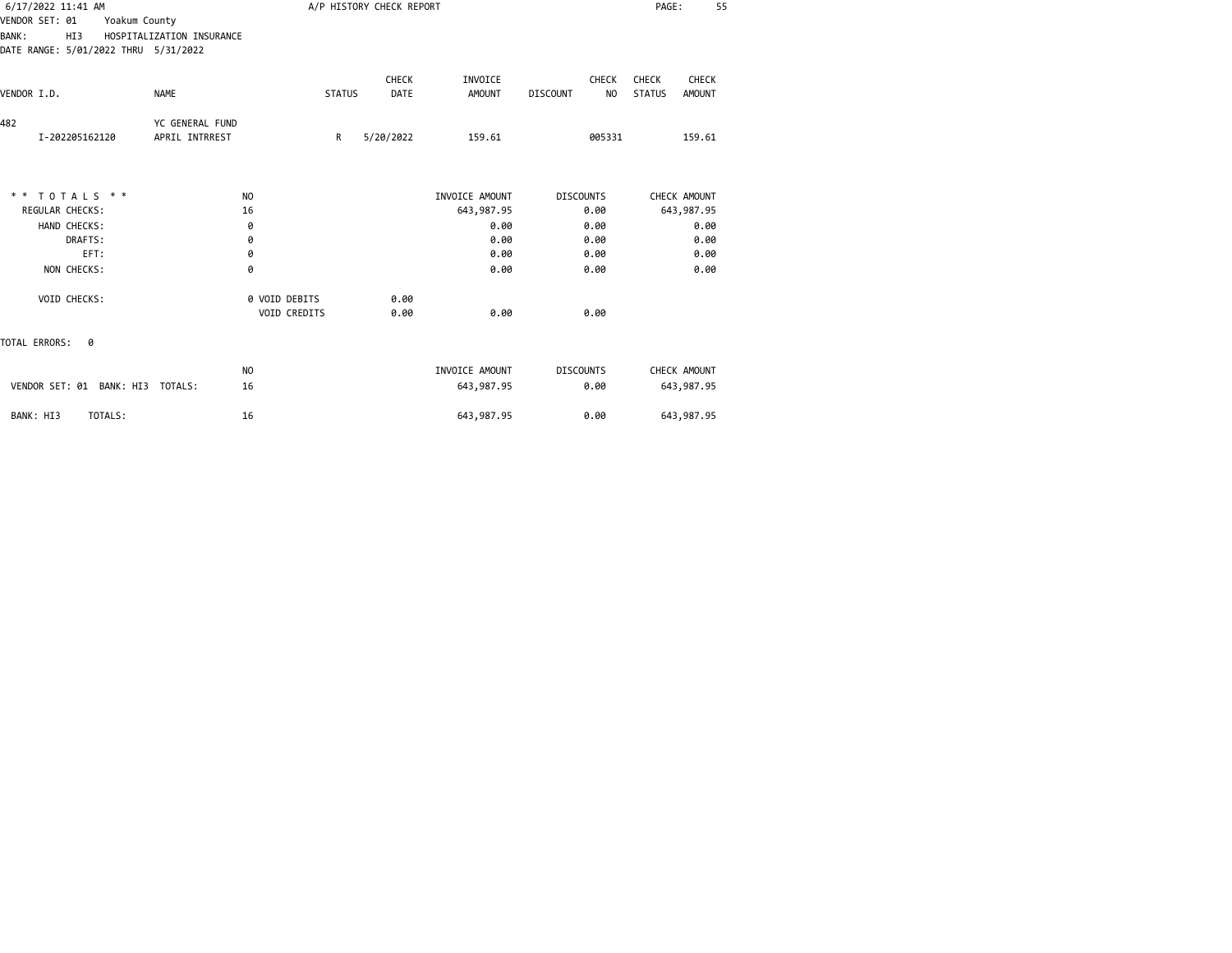| 6/17/2022 11:41 AM                                                                             |                                   |                               |               | A/P HISTORY CHECK REPORT |                          |                                                   | PAGE:<br>55                                             |
|------------------------------------------------------------------------------------------------|-----------------------------------|-------------------------------|---------------|--------------------------|--------------------------|---------------------------------------------------|---------------------------------------------------------|
| VENDOR SET: 01<br>Yoakum County<br><b>BANK:</b><br>HI3<br>DATE RANGE: 5/01/2022 THRU 5/31/2022 | HOSPITALIZATION INSURANCE         |                               |               |                          |                          |                                                   |                                                         |
| VENDOR I.D.                                                                                    | <b>NAME</b>                       |                               | <b>STATUS</b> | <b>CHECK</b><br>DATE     | INVOICE<br><b>AMOUNT</b> | <b>CHECK</b><br>N <sub>O</sub><br><b>DISCOUNT</b> | CHECK<br><b>CHECK</b><br><b>STATUS</b><br><b>AMOUNT</b> |
| 482<br>I-202205162120                                                                          | YC GENERAL FUND<br>APRIL INTRREST |                               | R             | 5/20/2022                | 159.61                   | 005331                                            | 159.61                                                  |
| $* * TOTALS **$                                                                                |                                   | N <sub>O</sub>                |               |                          | INVOICE AMOUNT           | <b>DISCOUNTS</b>                                  | CHECK AMOUNT                                            |
| <b>REGULAR CHECKS:</b>                                                                         |                                   | 16                            |               |                          | 643,987.95               | 0.00                                              | 643,987.95                                              |
| HAND CHECKS:                                                                                   |                                   | 0                             |               |                          | 0.00                     | 0.00                                              | 0.00                                                    |
| DRAFTS:<br>EFT:                                                                                |                                   | 0<br>0                        |               |                          | 0.00<br>0.00             | 0.00<br>0.00                                      | 0.00<br>0.00                                            |
| NON CHECKS:                                                                                    |                                   | 0                             |               |                          | 0.00                     | 0.00                                              | 0.00                                                    |
| VOID CHECKS:                                                                                   |                                   | 0 VOID DEBITS<br>VOID CREDITS |               | 0.00<br>0.00             | 0.00                     | 0.00                                              |                                                         |
| TOTAL ERRORS:<br>0                                                                             |                                   |                               |               |                          |                          |                                                   |                                                         |
|                                                                                                |                                   | NO.                           |               |                          | INVOICE AMOUNT           | <b>DISCOUNTS</b>                                  | CHECK AMOUNT                                            |
| VENDOR SET: 01 BANK: HI3 TOTALS:                                                               |                                   | 16                            |               |                          | 643,987.95               | 0.00                                              | 643,987.95                                              |
| TOTALS:<br>BANK: HI3                                                                           |                                   | 16                            |               |                          | 643,987.95               | 0.00                                              | 643,987.95                                              |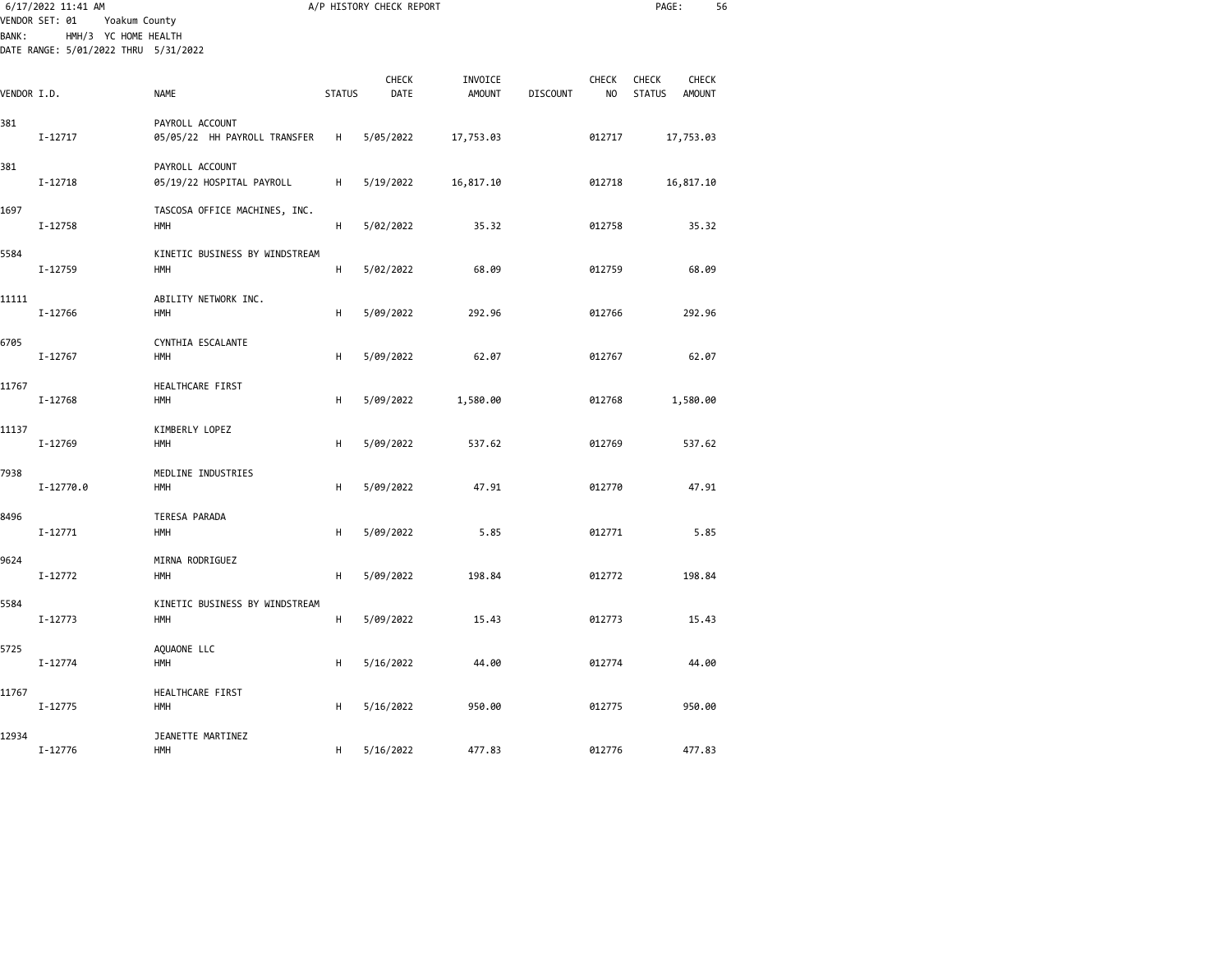|              | 6/17/2022 11:41 AM<br>VENDOR SET: 01<br>Yoakum County        |                                                 |               | A/P HISTORY CHECK REPORT |                          |                 |                    | PAGE:                                            | 56 |
|--------------|--------------------------------------------------------------|-------------------------------------------------|---------------|--------------------------|--------------------------|-----------------|--------------------|--------------------------------------------------|----|
| <b>BANK:</b> | HMH/3 YC HOME HEALTH<br>DATE RANGE: 5/01/2022 THRU 5/31/2022 |                                                 |               |                          |                          |                 |                    |                                                  |    |
| VENDOR I.D.  |                                                              | <b>NAME</b>                                     | <b>STATUS</b> | <b>CHECK</b><br>DATE     | INVOICE<br><b>AMOUNT</b> | <b>DISCOUNT</b> | <b>CHECK</b><br>NO | CHECK<br>CHECK<br><b>STATUS</b><br><b>AMOUNT</b> |    |
| 381          | I-12717                                                      | PAYROLL ACCOUNT<br>05/05/22 HH PAYROLL TRANSFER | H             | 5/05/2022                | 17,753.03                |                 | 012717             | 17,753.03                                        |    |
| 381          | I-12718                                                      | PAYROLL ACCOUNT<br>05/19/22 HOSPITAL PAYROLL    | H             | 5/19/2022                | 16,817.10                |                 | 012718             | 16,817.10                                        |    |
| 1697         | I-12758                                                      | TASCOSA OFFICE MACHINES, INC.<br>HMH            | H             | 5/02/2022                | 35.32                    |                 | 012758             | 35.32                                            |    |
| 5584         | I-12759                                                      | KINETIC BUSINESS BY WINDSTREAM<br>HMH           | H             | 5/02/2022                | 68.09                    |                 | 012759             | 68.09                                            |    |
| 11111        | I-12766                                                      | ABILITY NETWORK INC.<br><b>HMH</b>              | н             | 5/09/2022                | 292.96                   |                 | 012766             | 292.96                                           |    |
| 6705         | I-12767                                                      | CYNTHIA ESCALANTE<br><b>HMH</b>                 | H             | 5/09/2022                | 62.07                    |                 | 012767             | 62.07                                            |    |
| 11767        | I-12768                                                      | HEALTHCARE FIRST<br><b>HMH</b>                  | н             | 5/09/2022                | 1,580.00                 |                 | 012768             | 1,580.00                                         |    |
| 11137        | I-12769                                                      | KIMBERLY LOPEZ<br>HMH                           | н             | 5/09/2022                | 537.62                   |                 | 012769             | 537.62                                           |    |
| 7938         | I-12770.0                                                    | MEDLINE INDUSTRIES<br>HMH                       | н             | 5/09/2022                | 47.91                    |                 | 012770             | 47.91                                            |    |
| 8496         | $I - 12771$                                                  | TERESA PARADA<br>HMH                            | н             | 5/09/2022                | 5.85                     |                 | 012771             | 5.85                                             |    |
| 9624         | $I - 12772$                                                  | MIRNA RODRIGUEZ<br><b>HMH</b>                   | H             | 5/09/2022                | 198.84                   |                 | 012772             | 198.84                                           |    |
| 5584         | $I - 12773$                                                  | KINETIC BUSINESS BY WINDSTREAM<br>HMH           | н             | 5/09/2022                | 15.43                    |                 | 012773             | 15.43                                            |    |
| 5725         | I-12774                                                      | AQUAONE LLC<br>HMH                              | н             | 5/16/2022                | 44.00                    |                 | 012774             | 44.00                                            |    |
| 11767        | I-12775                                                      | HEALTHCARE FIRST<br>HMH                         | н             | 5/16/2022                | 950.00                   |                 | 012775             | 950.00                                           |    |
| 12934        | I-12776                                                      | JEANETTE MARTINEZ<br><b>HMH</b>                 | H             | 5/16/2022                | 477.83                   |                 | 012776             | 477.83                                           |    |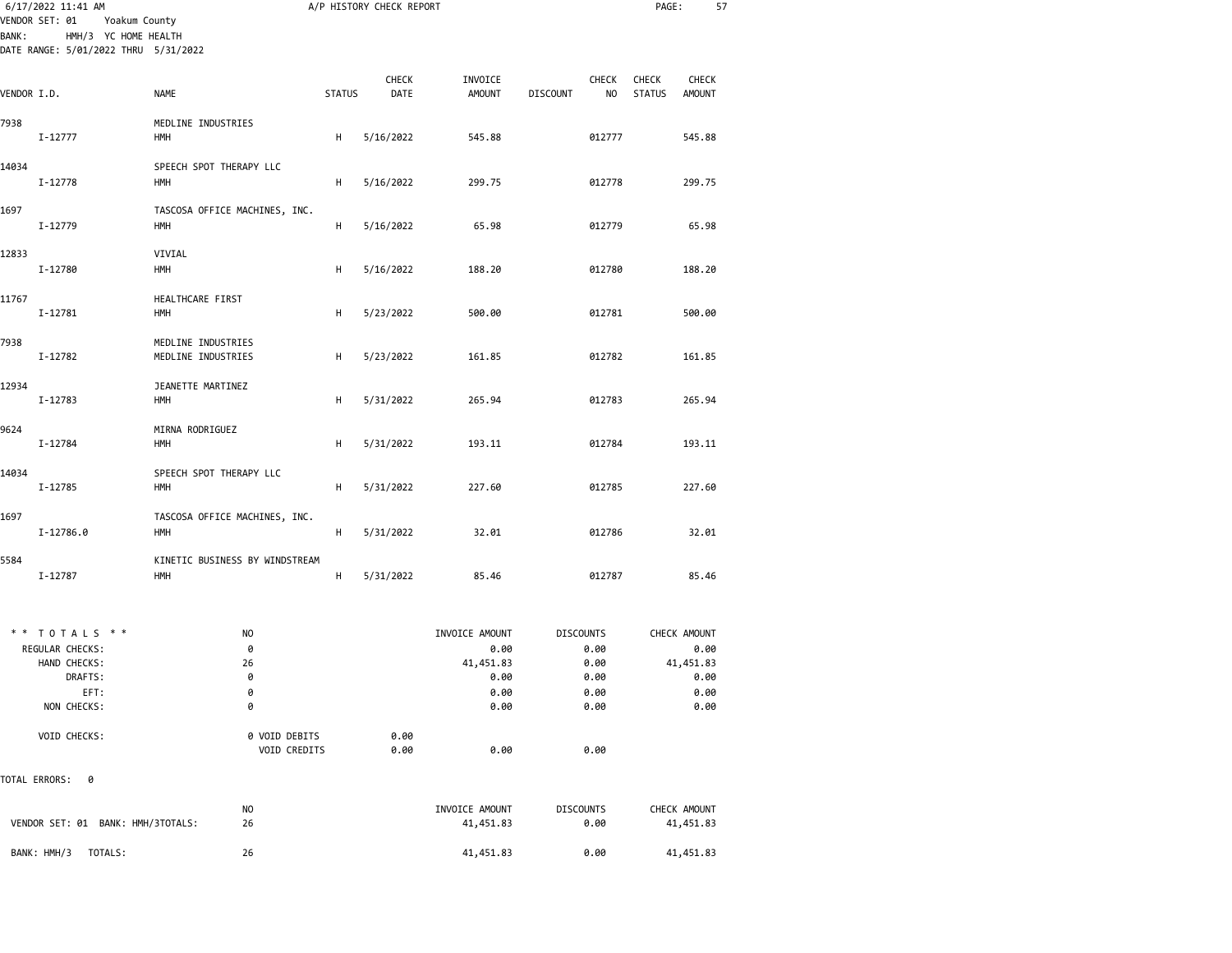| VENDOR SET: 01 | 6/17/2022 11:41 AM<br>Yoakum County                          |                                              |               | A/P HISTORY CHECK REPORT |                             | PAGE:<br>57                            |                                                                |  |  |  |
|----------------|--------------------------------------------------------------|----------------------------------------------|---------------|--------------------------|-----------------------------|----------------------------------------|----------------------------------------------------------------|--|--|--|
| <b>BANK:</b>   | HMH/3 YC HOME HEALTH<br>DATE RANGE: 5/01/2022 THRU 5/31/2022 |                                              |               |                          |                             |                                        |                                                                |  |  |  |
| VENDOR I.D.    |                                                              | <b>NAME</b>                                  | <b>STATUS</b> | <b>CHECK</b><br>DATE     | INVOICE<br><b>AMOUNT</b>    | <b>CHECK</b><br><b>DISCOUNT</b><br>NO. | <b>CHECK</b><br><b>CHECK</b><br><b>STATUS</b><br><b>AMOUNT</b> |  |  |  |
| 7938           | I-12777                                                      | MEDLINE INDUSTRIES<br><b>HMH</b>             | н             | 5/16/2022                | 545.88                      | 012777                                 | 545.88                                                         |  |  |  |
| 14034          | I-12778                                                      | SPEECH SPOT THERAPY LLC<br>HMH               | H             | 5/16/2022                | 299.75                      | 012778                                 | 299.75                                                         |  |  |  |
| 1697           | I-12779                                                      | TASCOSA OFFICE MACHINES, INC.<br>HMH         | н             | 5/16/2022                | 65.98                       | 012779                                 | 65.98                                                          |  |  |  |
| 12833          | I-12780                                                      | VIVIAL<br><b>HMH</b>                         | н             | 5/16/2022                | 188.20                      | 012780                                 | 188.20                                                         |  |  |  |
| 11767          | I-12781                                                      | HEALTHCARE FIRST<br>HMH                      | H             | 5/23/2022                | 500.00                      | 012781                                 | 500.00                                                         |  |  |  |
| 7938           |                                                              | MEDLINE INDUSTRIES                           |               |                          |                             |                                        |                                                                |  |  |  |
| 12934          | I-12782                                                      | MEDLINE INDUSTRIES<br>JEANETTE MARTINEZ      | н             | 5/23/2022                | 161.85                      | 012782                                 | 161.85                                                         |  |  |  |
| 9624           | I-12783                                                      | <b>HMH</b><br>MIRNA RODRIGUEZ                | н             | 5/31/2022                | 265.94                      | 012783                                 | 265.94                                                         |  |  |  |
| 14034          | I-12784                                                      | <b>HMH</b><br>SPEECH SPOT THERAPY LLC        | н             | 5/31/2022                | 193.11                      | 012784                                 | 193.11                                                         |  |  |  |
|                | I-12785                                                      | <b>HMH</b>                                   | н             | 5/31/2022                | 227.60                      | 012785                                 | 227.60                                                         |  |  |  |
| 1697           | I-12786.0                                                    | TASCOSA OFFICE MACHINES, INC.<br><b>HMH</b>  | H             | 5/31/2022                | 32.01                       | 012786                                 | 32.01                                                          |  |  |  |
| 5584           | I-12787                                                      | KINETIC BUSINESS BY WINDSTREAM<br><b>HMH</b> | н             | 5/31/2022                | 85.46                       | 012787                                 | 85.46                                                          |  |  |  |
|                | ** TOTALS **<br>REGULAR CHECKS:                              | NO.<br>0                                     |               |                          | INVOICE AMOUNT<br>0.00      | <b>DISCOUNTS</b><br>0.00               | CHECK AMOUNT<br>0.00                                           |  |  |  |
|                | HAND CHECKS:<br>DRAFTS:<br>EFT:                              | 26<br>0<br>0                                 |               |                          | 41,451.83<br>0.00<br>0.00   | 0.00<br>0.00<br>0.00                   | 41,451.83<br>0.00<br>0.00                                      |  |  |  |
|                | NON CHECKS:<br>VOID CHECKS:                                  | 0<br>0 VOID DEBITS<br>VOID CREDITS           |               | 0.00                     | 0.00                        | 0.00                                   | 0.00                                                           |  |  |  |
| TOTAL ERRORS:  | 0                                                            |                                              |               | 0.00                     | 0.00                        | 0.00                                   |                                                                |  |  |  |
|                | VENDOR SET: 01 BANK: HMH/3TOTALS:                            | N <sub>O</sub><br>26                         |               |                          | INVOICE AMOUNT<br>41,451.83 | <b>DISCOUNTS</b><br>0.00               | CHECK AMOUNT<br>41,451.83                                      |  |  |  |

BANK: HMH/3 TOTALS: 26 41,451.83 0.00 41,451.83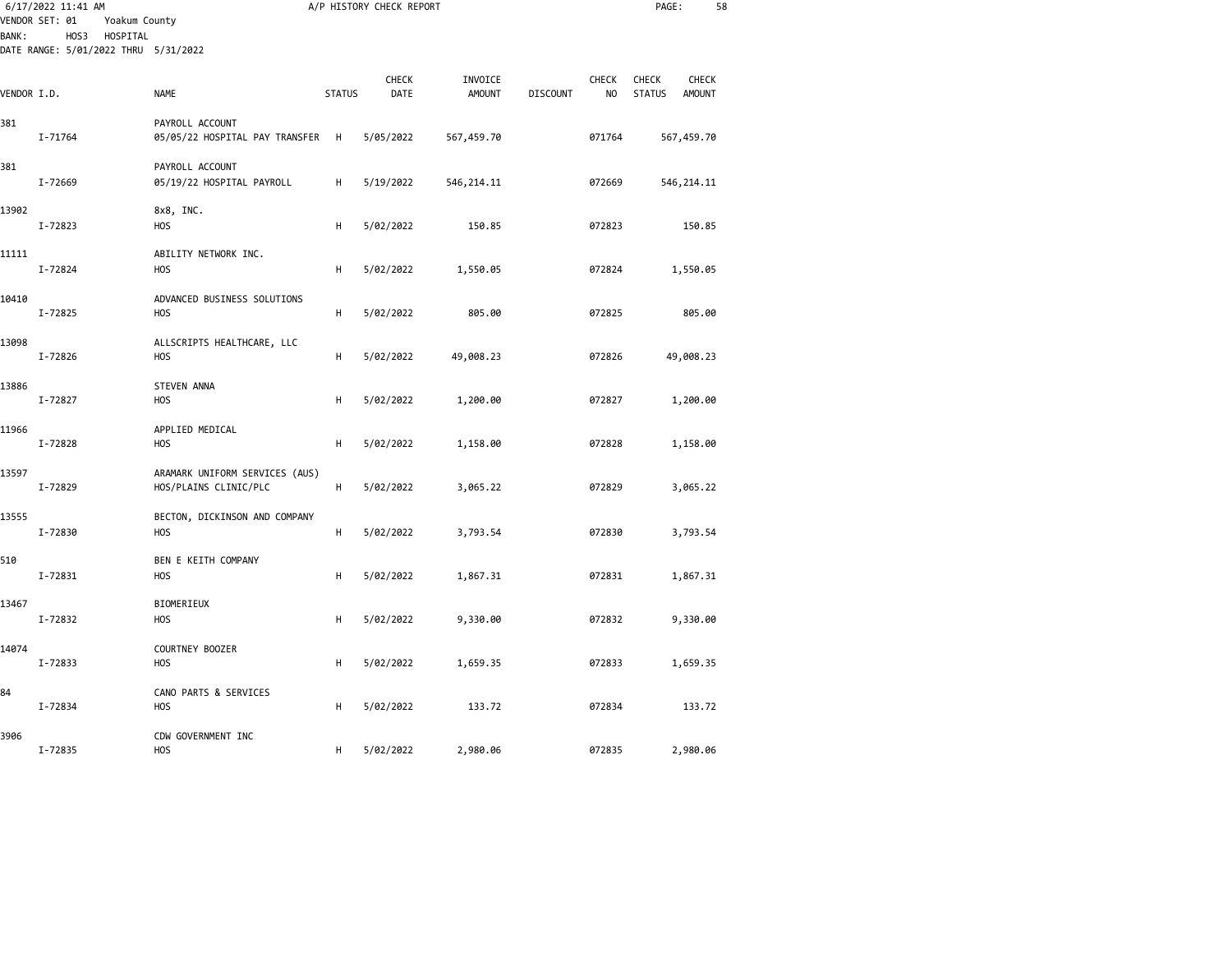|             | 6/17/2022 11:41 AM<br>VENDOR SET: 01<br>Yoakum County    |                                                         |               | A/P HISTORY CHECK REPORT |                          |                 |                    | PAGE:                                          | 58    |
|-------------|----------------------------------------------------------|---------------------------------------------------------|---------------|--------------------------|--------------------------|-----------------|--------------------|------------------------------------------------|-------|
| BANK :      | HOS3<br>HOSPITAL<br>DATE RANGE: 5/01/2022 THRU 5/31/2022 |                                                         |               |                          |                          |                 |                    |                                                |       |
| VENDOR I.D. |                                                          | <b>NAME</b>                                             | <b>STATUS</b> | CHECK<br>DATE            | INVOICE<br><b>AMOUNT</b> | <b>DISCOUNT</b> | <b>CHECK</b><br>NO | <b>CHECK</b><br><b>STATUS</b><br><b>AMOUNT</b> | CHECK |
| 381         | I-71764                                                  | PAYROLL ACCOUNT<br>05/05/22 HOSPITAL PAY TRANSFER       | H             | 5/05/2022                | 567,459.70               |                 | 071764             | 567,459.70                                     |       |
| 381         | I-72669                                                  | PAYROLL ACCOUNT<br>05/19/22 HOSPITAL PAYROLL            | H             | 5/19/2022                | 546, 214.11              |                 | 072669             | 546, 214.11                                    |       |
| 13902       | I-72823                                                  | 8x8, INC.<br><b>HOS</b>                                 | H             | 5/02/2022                | 150.85                   |                 | 072823             | 150.85                                         |       |
| 11111       | I-72824                                                  | ABILITY NETWORK INC.<br><b>HOS</b>                      | н             | 5/02/2022                | 1,550.05                 |                 | 072824             | 1,550.05                                       |       |
| 10410       | I-72825                                                  | ADVANCED BUSINESS SOLUTIONS<br><b>HOS</b>               | н             | 5/02/2022                | 805.00                   |                 | 072825             | 805.00                                         |       |
| 13098       | I-72826                                                  | ALLSCRIPTS HEALTHCARE, LLC<br><b>HOS</b>                | н             | 5/02/2022                | 49,008.23                |                 | 072826             | 49,008.23                                      |       |
| 13886       | I-72827                                                  | <b>STEVEN ANNA</b><br><b>HOS</b>                        | н             | 5/02/2022                | 1,200.00                 |                 | 072827             | 1,200.00                                       |       |
| 11966       | I-72828                                                  | APPLIED MEDICAL<br><b>HOS</b>                           | н             | 5/02/2022                | 1,158.00                 |                 | 072828             | 1,158.00                                       |       |
| 13597       | I-72829                                                  | ARAMARK UNIFORM SERVICES (AUS)<br>HOS/PLAINS CLINIC/PLC | н             | 5/02/2022                | 3,065.22                 |                 | 072829             | 3,065.22                                       |       |
| 13555       | I-72830                                                  | BECTON, DICKINSON AND COMPANY<br><b>HOS</b>             | H             | 5/02/2022                | 3,793.54                 |                 | 072830             | 3,793.54                                       |       |
| 510         | I-72831                                                  | BEN E KEITH COMPANY<br><b>HOS</b>                       | н             | 5/02/2022                | 1,867.31                 |                 | 072831             | 1,867.31                                       |       |
| 13467       | I-72832                                                  | BIOMERIEUX<br><b>HOS</b>                                | н             | 5/02/2022                | 9,330.00                 |                 | 072832             | 9,330.00                                       |       |
| 14074       | I-72833                                                  | COURTNEY BOOZER<br><b>HOS</b>                           | н             | 5/02/2022                | 1,659.35                 |                 | 072833             | 1,659.35                                       |       |
| 84          | I-72834                                                  | CANO PARTS & SERVICES<br>HOS                            | н             | 5/02/2022                | 133.72                   |                 | 072834             | 133.72                                         |       |
| 3906        | I-72835                                                  | CDW GOVERNMENT INC<br><b>HOS</b>                        | н             | 5/02/2022                | 2,980.06                 |                 | 072835             | 2,980.06                                       |       |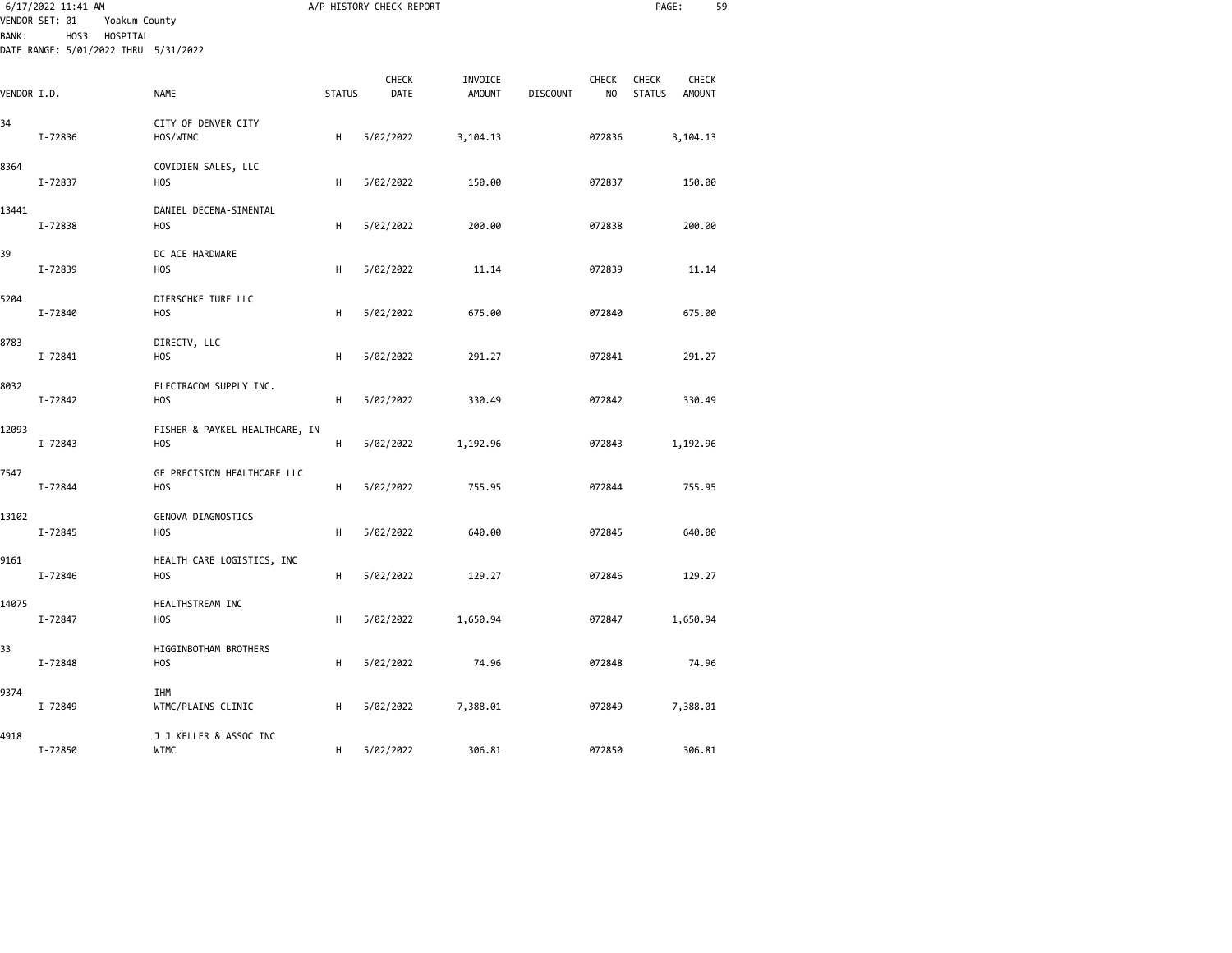| <b>BANK:</b> | 6/17/2022 11:41 AM<br>VENDOR SET: 01<br>Yoakum County<br>HOS3<br>HOSPITAL |                                                 |               | A/P HISTORY CHECK REPORT |                          |                 |                                | PAGE:                  | 59                            |  |
|--------------|---------------------------------------------------------------------------|-------------------------------------------------|---------------|--------------------------|--------------------------|-----------------|--------------------------------|------------------------|-------------------------------|--|
|              | DATE RANGE: 5/01/2022 THRU 5/31/2022                                      |                                                 |               |                          |                          |                 |                                |                        |                               |  |
| VENDOR I.D.  |                                                                           | <b>NAME</b>                                     | <b>STATUS</b> | CHECK<br>DATE            | INVOICE<br><b>AMOUNT</b> | <b>DISCOUNT</b> | <b>CHECK</b><br>N <sub>O</sub> | CHECK<br><b>STATUS</b> | <b>CHECK</b><br><b>AMOUNT</b> |  |
| 34           | I-72836                                                                   | CITY OF DENVER CITY<br>HOS/WTMC                 | н             | 5/02/2022                | 3,104.13                 |                 | 072836                         |                        | 3,104.13                      |  |
| 8364         | I-72837                                                                   | COVIDIEN SALES, LLC<br><b>HOS</b>               | н             | 5/02/2022                | 150.00                   |                 | 072837                         |                        | 150.00                        |  |
| 13441        | I-72838                                                                   | DANIEL DECENA-SIMENTAL<br>H <sub>O</sub> S      | H             | 5/02/2022                | 200.00                   |                 | 072838                         |                        | 200.00                        |  |
| 39           | I-72839                                                                   | DC ACE HARDWARE<br><b>HOS</b>                   | н             | 5/02/2022                | 11.14                    |                 | 072839                         |                        | 11.14                         |  |
| 5204         | I-72840                                                                   | DIERSCHKE TURF LLC<br><b>HOS</b>                | н             | 5/02/2022                | 675.00                   |                 | 072840                         |                        | 675.00                        |  |
| 8783         | I-72841                                                                   | DIRECTV, LLC<br><b>HOS</b>                      | н             | 5/02/2022                | 291.27                   |                 | 072841                         |                        | 291.27                        |  |
| 8032         | I-72842                                                                   | ELECTRACOM SUPPLY INC.<br><b>HOS</b>            | н             | 5/02/2022                | 330.49                   |                 | 072842                         |                        | 330.49                        |  |
| 12093        | I-72843                                                                   | FISHER & PAYKEL HEALTHCARE, IN<br><b>HOS</b>    | н             | 5/02/2022                | 1,192.96                 |                 | 072843                         |                        | 1,192.96                      |  |
| 7547         | I-72844                                                                   | GE PRECISION HEALTHCARE LLC<br>H <sub>O</sub> S | н             | 5/02/2022                | 755.95                   |                 | 072844                         |                        | 755.95                        |  |
| 13102        | I-72845                                                                   | GENOVA DIAGNOSTICS<br><b>HOS</b>                | H             | 5/02/2022                | 640.00                   |                 | 072845                         |                        | 640.00                        |  |
| 9161         | I-72846                                                                   | HEALTH CARE LOGISTICS, INC<br>H <sub>O</sub> S  | H             | 5/02/2022                | 129.27                   |                 | 072846                         |                        | 129.27                        |  |
| 14075        | I-72847                                                                   | HEALTHSTREAM INC<br><b>HOS</b>                  | н             | 5/02/2022                | 1,650.94                 |                 | 072847                         |                        | 1,650.94                      |  |
| 33           | I-72848                                                                   | HIGGINBOTHAM BROTHERS<br><b>HOS</b>             | н             | 5/02/2022                | 74.96                    |                 | 072848                         |                        | 74.96                         |  |
| 9374         | I-72849                                                                   | IHM<br>WTMC/PLAINS CLINIC                       | н             | 5/02/2022                | 7,388.01                 |                 | 072849                         |                        | 7,388.01                      |  |
| 4918         | I-72850                                                                   | J J KELLER & ASSOC INC<br><b>WTMC</b>           | н             | 5/02/2022                | 306.81                   |                 | 072850                         |                        | 306.81                        |  |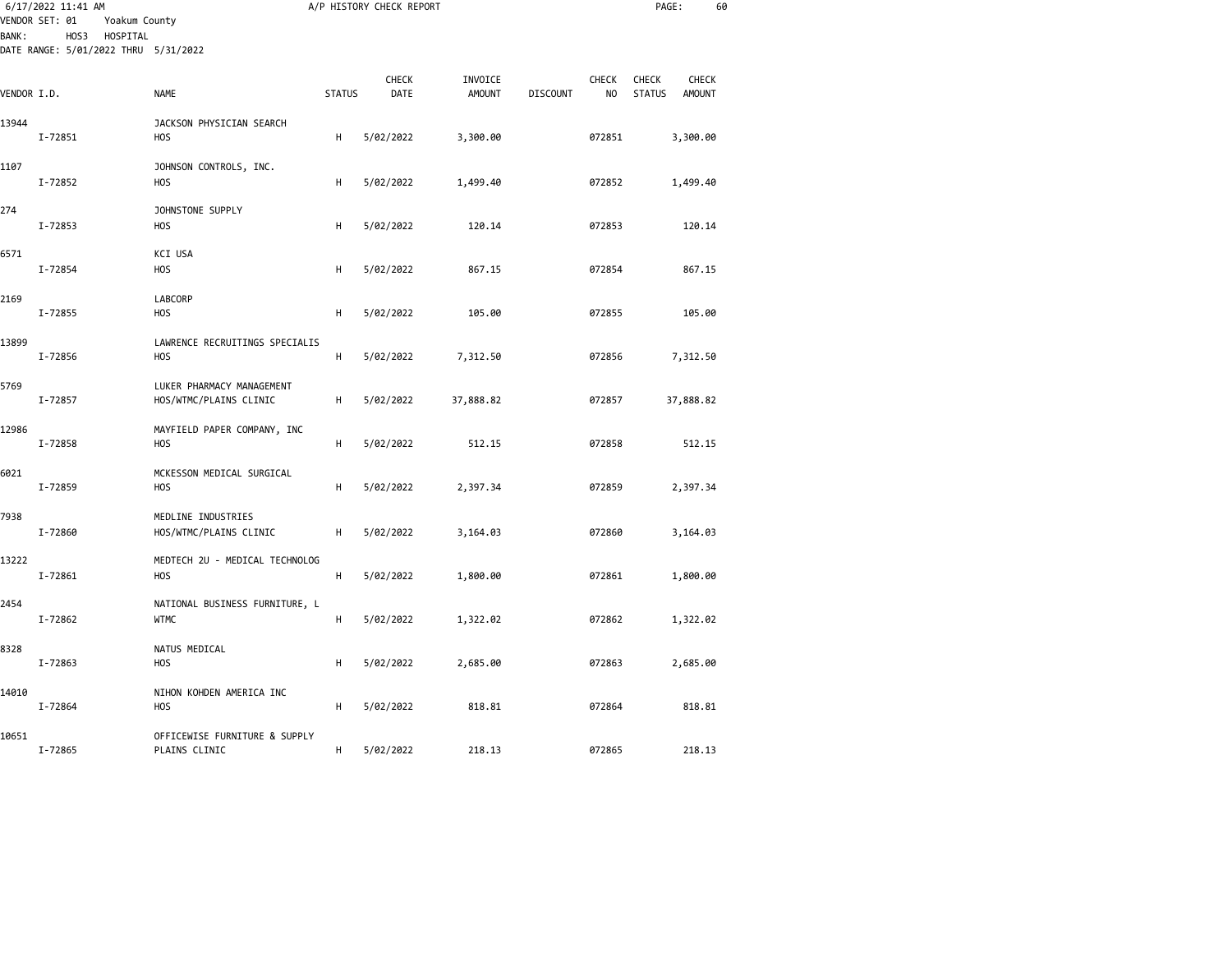|              | 6/17/2022 11:41 AM<br>VENDOR SET: 01<br>Yoakum County    |                                                     |               | A/P HISTORY CHECK REPORT |                          |                 |             | PAGE:                                                   | 60 |
|--------------|----------------------------------------------------------|-----------------------------------------------------|---------------|--------------------------|--------------------------|-----------------|-------------|---------------------------------------------------------|----|
| <b>BANK:</b> | HOS3<br>HOSPITAL<br>DATE RANGE: 5/01/2022 THRU 5/31/2022 |                                                     |               |                          |                          |                 |             |                                                         |    |
| VENDOR I.D.  |                                                          | NAME                                                | <b>STATUS</b> | CHECK<br>DATE            | INVOICE<br><b>AMOUNT</b> | <b>DISCOUNT</b> | CHECK<br>NO | CHECK<br><b>CHECK</b><br><b>STATUS</b><br><b>AMOUNT</b> |    |
| 13944        | I-72851                                                  | JACKSON PHYSICIAN SEARCH<br><b>HOS</b>              | н             | 5/02/2022                | 3,300.00                 |                 | 072851      | 3,300.00                                                |    |
| 1107         | I-72852                                                  | JOHNSON CONTROLS, INC.<br><b>HOS</b>                | н             | 5/02/2022                | 1,499.40                 |                 | 072852      | 1,499.40                                                |    |
| 274          | I-72853                                                  | JOHNSTONE SUPPLY<br><b>HOS</b>                      | н             | 5/02/2022                | 120.14                   |                 | 072853      | 120.14                                                  |    |
| 6571         | I-72854                                                  | KCI USA<br><b>HOS</b>                               | н             | 5/02/2022                | 867.15                   |                 | 072854      | 867.15                                                  |    |
| 2169         | I-72855                                                  | LABCORP<br><b>HOS</b>                               | н             | 5/02/2022                | 105.00                   |                 | 072855      | 105.00                                                  |    |
| 13899        | I-72856                                                  | LAWRENCE RECRUITINGS SPECIALIS<br><b>HOS</b>        | H             | 5/02/2022                | 7,312.50                 |                 | 072856      | 7,312.50                                                |    |
| 5769         | I-72857                                                  | LUKER PHARMACY MANAGEMENT<br>HOS/WTMC/PLAINS CLINIC | H             | 5/02/2022                | 37,888.82                |                 | 072857      | 37,888.82                                               |    |
| 12986        | I-72858                                                  | MAYFIELD PAPER COMPANY, INC<br><b>HOS</b>           | н             | 5/02/2022                | 512.15                   |                 | 072858      | 512.15                                                  |    |
| 6021         | I-72859                                                  | MCKESSON MEDICAL SURGICAL<br>H <sub>O</sub> S       | н             | 5/02/2022                | 2,397.34                 |                 | 072859      | 2,397.34                                                |    |
| 7938         | I-72860                                                  | MEDLINE INDUSTRIES<br>HOS/WTMC/PLAINS CLINIC        | H             | 5/02/2022                | 3,164.03                 |                 | 072860      | 3,164.03                                                |    |
| 13222        | I-72861                                                  | MEDTECH 2U - MEDICAL TECHNOLOG<br><b>HOS</b>        | н             | 5/02/2022                | 1,800.00                 |                 | 072861      | 1,800.00                                                |    |
| 2454         | I-72862                                                  | NATIONAL BUSINESS FURNITURE, L<br><b>WTMC</b>       | н             | 5/02/2022                | 1,322.02                 |                 | 072862      | 1,322.02                                                |    |
| 8328         | I-72863                                                  | NATUS MEDICAL<br><b>HOS</b>                         | Н             | 5/02/2022                | 2,685.00                 |                 | 072863      | 2,685.00                                                |    |
| 14010        | I-72864                                                  | NIHON KOHDEN AMERICA INC<br><b>HOS</b>              | н             | 5/02/2022                | 818.81                   |                 | 072864      | 818.81                                                  |    |
| 10651        | I-72865                                                  | OFFICEWISE FURNITURE & SUPPLY<br>PLAINS CLINIC      | H             | 5/02/2022                | 218.13                   |                 | 072865      | 218.13                                                  |    |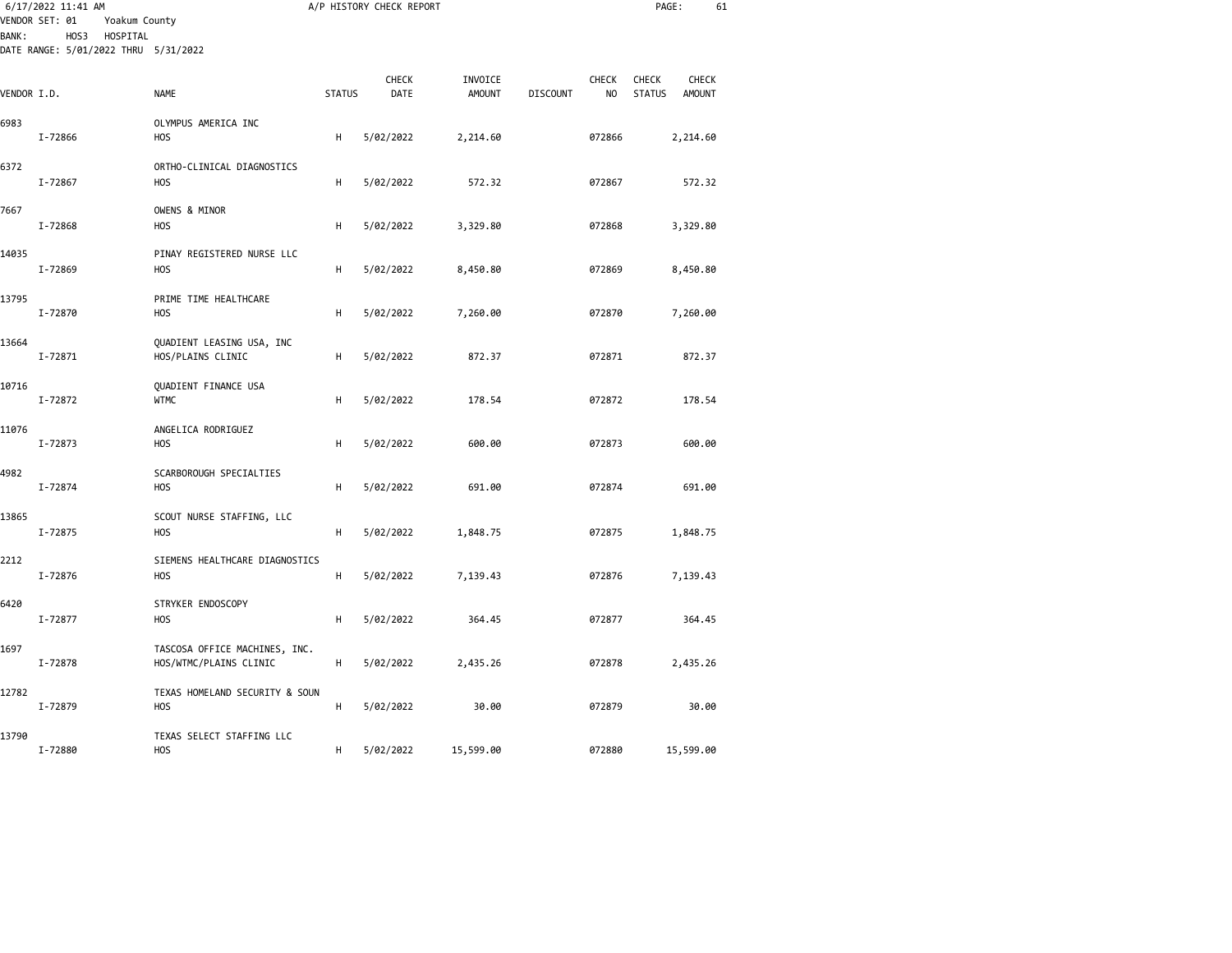| <b>BANK:</b> | 6/17/2022 11:41 AM<br>VENDOR SET: 01<br>Yoakum County<br>HOS3<br>HOSPITAL<br>DATE RANGE: 5/01/2022 THRU 5/31/2022 |                                                         |               | A/P HISTORY CHECK REPORT |               |                 |              | PAGE:         | 61            |  |
|--------------|-------------------------------------------------------------------------------------------------------------------|---------------------------------------------------------|---------------|--------------------------|---------------|-----------------|--------------|---------------|---------------|--|
|              |                                                                                                                   |                                                         |               | CHECK                    | INVOICE       |                 | <b>CHECK</b> | <b>CHECK</b>  | <b>CHECK</b>  |  |
| VENDOR I.D.  |                                                                                                                   | NAME                                                    | <b>STATUS</b> | DATE                     | <b>AMOUNT</b> | <b>DISCOUNT</b> | NO           | <b>STATUS</b> | <b>AMOUNT</b> |  |
| 6983         | I-72866                                                                                                           | OLYMPUS AMERICA INC<br>H <sub>O</sub> S                 | Н             | 5/02/2022                | 2,214.60      |                 | 072866       |               | 2,214.60      |  |
| 6372         | I-72867                                                                                                           | ORTHO-CLINICAL DIAGNOSTICS<br>H <sub>0</sub> S          | Н             | 5/02/2022                | 572.32        |                 | 072867       |               | 572.32        |  |
| 7667         | I-72868                                                                                                           | OWENS & MINOR<br>H <sub>O</sub> S                       | н             | 5/02/2022                | 3,329.80      |                 | 072868       |               | 3,329.80      |  |
| 14035        | I-72869                                                                                                           | PINAY REGISTERED NURSE LLC<br><b>HOS</b>                | н             | 5/02/2022                | 8,450.80      |                 | 072869       |               | 8,450.80      |  |
| 13795        | I-72870                                                                                                           | PRIME TIME HEALTHCARE<br>H <sub>O</sub> S               | H             | 5/02/2022                | 7,260.00      |                 | 072870       |               | 7,260.00      |  |
| 13664        | I-72871                                                                                                           | QUADIENT LEASING USA, INC<br>HOS/PLAINS CLINIC          | н             | 5/02/2022                | 872.37        |                 | 072871       |               | 872.37        |  |
| 10716        | I-72872                                                                                                           | QUADIENT FINANCE USA<br><b>WTMC</b>                     | н             | 5/02/2022                | 178.54        |                 | 072872       |               | 178.54        |  |
| 11076        | I-72873                                                                                                           | ANGELICA RODRIGUEZ<br><b>HOS</b>                        | Н             | 5/02/2022                | 600.00        |                 | 072873       |               | 600.00        |  |
| 4982         | I-72874                                                                                                           | SCARBOROUGH SPECIALTIES<br><b>HOS</b>                   | н             | 5/02/2022                | 691.00        |                 | 072874       |               | 691.00        |  |
| 13865        | I-72875                                                                                                           | SCOUT NURSE STAFFING, LLC<br>H <sub>O</sub> S           | н             | 5/02/2022                | 1,848.75      |                 | 072875       |               | 1,848.75      |  |
| 2212         | I-72876                                                                                                           | SIEMENS HEALTHCARE DIAGNOSTICS<br><b>HOS</b>            | н             | 5/02/2022                | 7,139.43      |                 | 072876       |               | 7,139.43      |  |
| 6420         | I-72877                                                                                                           | STRYKER ENDOSCOPY<br>H <sub>O</sub> S                   | H             | 5/02/2022                | 364.45        |                 | 072877       |               | 364.45        |  |
| 1697         | I-72878                                                                                                           | TASCOSA OFFICE MACHINES, INC.<br>HOS/WTMC/PLAINS CLINIC | н             | 5/02/2022                | 2,435.26      |                 | 072878       |               | 2,435.26      |  |
| 12782        | I-72879                                                                                                           | TEXAS HOMELAND SECURITY & SOUN<br>H <sub>0</sub> S      | Н             | 5/02/2022                | 30.00         |                 | 072879       |               | 30.00         |  |
| 13790        | I-72880                                                                                                           | TEXAS SELECT STAFFING LLC<br><b>HOS</b>                 | н             | 5/02/2022                | 15,599.00     |                 | 072880       |               | 15,599.00     |  |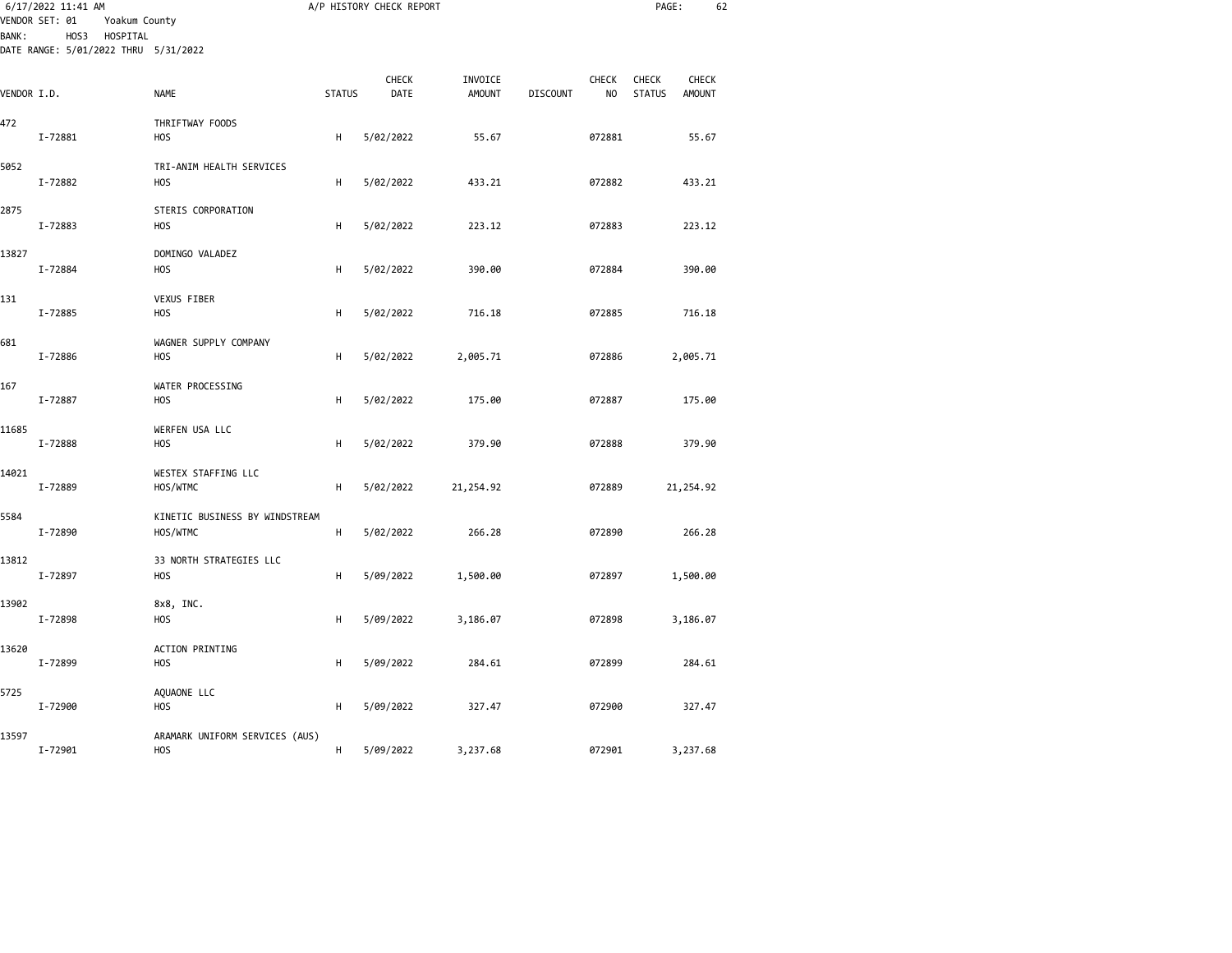|              | 6/17/2022 11:41 AM<br>VENDOR SET: 01<br>Yoakum County    |                                              |               | A/P HISTORY CHECK REPORT |                          |                 |                     | PAGE:                                                   | 62 |
|--------------|----------------------------------------------------------|----------------------------------------------|---------------|--------------------------|--------------------------|-----------------|---------------------|---------------------------------------------------------|----|
| <b>BANK:</b> | HOSPITAL<br>HOS3<br>DATE RANGE: 5/01/2022 THRU 5/31/2022 |                                              |               |                          |                          |                 |                     |                                                         |    |
| VENDOR I.D.  |                                                          | NAME                                         | <b>STATUS</b> | CHECK<br>DATE            | INVOICE<br><b>AMOUNT</b> | <b>DISCOUNT</b> | <b>CHECK</b><br>NO. | CHECK<br><b>CHECK</b><br><b>STATUS</b><br><b>AMOUNT</b> |    |
| 472          | I-72881                                                  | THRIFTWAY FOODS<br><b>HOS</b>                | H             | 5/02/2022                | 55.67                    |                 | 072881              | 55.67                                                   |    |
| 5052         | I-72882                                                  | TRI-ANIM HEALTH SERVICES<br><b>HOS</b>       | н             | 5/02/2022                | 433.21                   |                 | 072882              | 433.21                                                  |    |
| 2875         | I-72883                                                  | STERIS CORPORATION<br><b>HOS</b>             | H             | 5/02/2022                | 223.12                   |                 | 072883              | 223.12                                                  |    |
| 13827        | I-72884                                                  | DOMINGO VALADEZ<br><b>HOS</b>                | H             | 5/02/2022                | 390.00                   |                 | 072884              | 390.00                                                  |    |
| 131          | I-72885                                                  | VEXUS FIBER<br><b>HOS</b>                    | H             | 5/02/2022                | 716.18                   |                 | 072885              | 716.18                                                  |    |
| 681          | I-72886                                                  | WAGNER SUPPLY COMPANY<br><b>HOS</b>          | н             | 5/02/2022                | 2,005.71                 |                 | 072886              | 2,005.71                                                |    |
| 167          | I-72887                                                  | WATER PROCESSING<br><b>HOS</b>               | н             | 5/02/2022                | 175.00                   |                 | 072887              | 175.00                                                  |    |
| 11685        | I-72888                                                  | WERFEN USA LLC<br><b>HOS</b>                 | H             | 5/02/2022                | 379.90                   |                 | 072888              | 379.90                                                  |    |
| 14021        | I-72889                                                  | WESTEX STAFFING LLC<br>HOS/WTMC              | H             | 5/02/2022                | 21,254.92                |                 | 072889              | 21,254.92                                               |    |
| 5584         | I-72890                                                  | KINETIC BUSINESS BY WINDSTREAM<br>HOS/WTMC   | H             | 5/02/2022                | 266.28                   |                 | 072890              | 266.28                                                  |    |
| 13812        | I-72897                                                  | 33 NORTH STRATEGIES LLC<br><b>HOS</b>        | н             | 5/09/2022                | 1,500.00                 |                 | 072897              | 1,500.00                                                |    |
| 13902        | I-72898                                                  | 8x8, INC.<br>HOS                             | H             | 5/09/2022                | 3,186.07                 |                 | 072898              | 3,186.07                                                |    |
| 13620        | I-72899                                                  | ACTION PRINTING<br><b>HOS</b>                | H             | 5/09/2022                | 284.61                   |                 | 072899              | 284.61                                                  |    |
| 5725         | I-72900                                                  | AQUAONE LLC<br><b>HOS</b>                    | H             | 5/09/2022                | 327.47                   |                 | 072900              | 327.47                                                  |    |
| 13597        | I-72901                                                  | ARAMARK UNIFORM SERVICES (AUS)<br><b>HOS</b> | H             | 5/09/2022                | 3,237.68                 |                 | 072901              | 3,237.68                                                |    |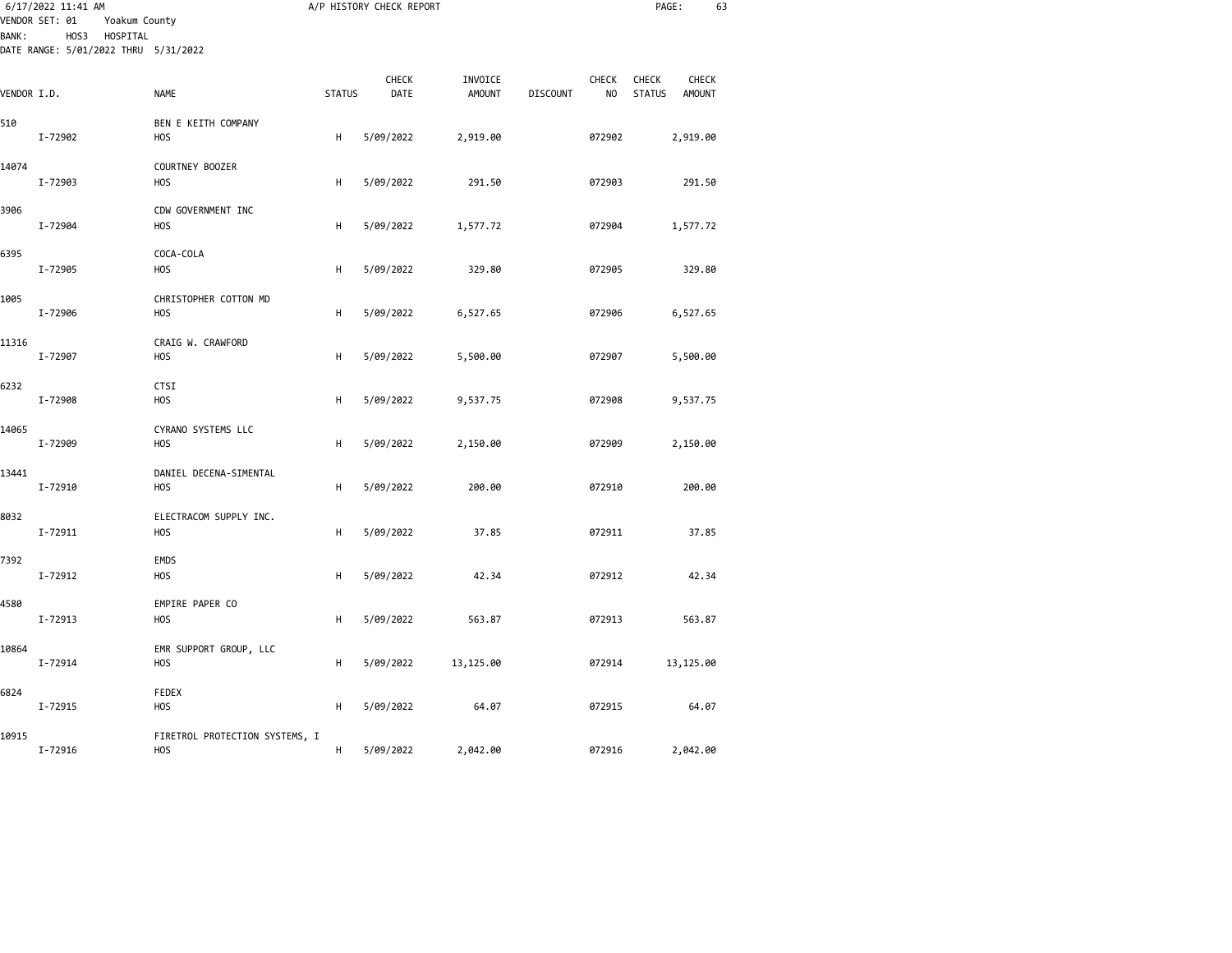| <b>BANK:</b> | 6/17/2022 11:41 AM<br>VENDOR SET: 01<br>Yoakum County<br>HOSPITAL<br>HOS3 |                                              |               | A/P HISTORY CHECK REPORT |                          |                 |             | PAGE:                         | 63                     |  |
|--------------|---------------------------------------------------------------------------|----------------------------------------------|---------------|--------------------------|--------------------------|-----------------|-------------|-------------------------------|------------------------|--|
|              | DATE RANGE: 5/01/2022 THRU 5/31/2022                                      |                                              |               |                          |                          |                 |             |                               |                        |  |
| VENDOR I.D.  |                                                                           | NAME                                         | <b>STATUS</b> | CHECK<br>DATE            | INVOICE<br><b>AMOUNT</b> | <b>DISCOUNT</b> | CHECK<br>NO | <b>CHECK</b><br><b>STATUS</b> | CHECK<br><b>AMOUNT</b> |  |
| 510          | I-72902                                                                   | BEN E KEITH COMPANY<br>H <sub>O</sub> S      | н             | 5/09/2022                | 2,919.00                 |                 | 072902      |                               | 2,919.00               |  |
| 14074        | I-72903                                                                   | COURTNEY BOOZER<br>H <sub>O</sub> S          | н             | 5/09/2022                | 291.50                   |                 | 072903      |                               | 291.50                 |  |
| 3906         | I-72904                                                                   | CDW GOVERNMENT INC<br>H <sub>O</sub> S       | н             | 5/09/2022                | 1,577.72                 |                 | 072904      |                               | 1,577.72               |  |
| 6395         | I-72905                                                                   | COCA-COLA<br><b>HOS</b>                      | н             | 5/09/2022                | 329.80                   |                 | 072905      |                               | 329.80                 |  |
| 1005         | I-72906                                                                   | CHRISTOPHER COTTON MD<br>H <sub>O</sub> S    | н             | 5/09/2022                | 6,527.65                 |                 | 072906      |                               | 6,527.65               |  |
| 11316        | I-72907                                                                   | CRAIG W. CRAWFORD<br><b>HOS</b>              | н             | 5/09/2022                | 5,500.00                 |                 | 072907      |                               | 5,500.00               |  |
| 6232         | I-72908                                                                   | <b>CTSI</b><br><b>HOS</b>                    | н             | 5/09/2022                | 9,537.75                 |                 | 072908      |                               | 9,537.75               |  |
| 14065        | I-72909                                                                   | CYRANO SYSTEMS LLC<br><b>HOS</b>             | н             | 5/09/2022                | 2,150.00                 |                 | 072909      |                               | 2,150.00               |  |
| 13441        | I-72910                                                                   | DANIEL DECENA-SIMENTAL<br>H <sub>O</sub> S   | н             | 5/09/2022                | 200.00                   |                 | 072910      |                               | 200.00                 |  |
| 8032         | I-72911                                                                   | ELECTRACOM SUPPLY INC.<br><b>HOS</b>         | н             | 5/09/2022                | 37.85                    |                 | 072911      |                               | 37.85                  |  |
| 7392         | I-72912                                                                   | <b>EMDS</b><br>H <sub>O</sub> S              | н             | 5/09/2022                | 42.34                    |                 | 072912      |                               | 42.34                  |  |
| 4580         | I-72913                                                                   | EMPIRE PAPER CO<br><b>HOS</b>                | н             | 5/09/2022                | 563.87                   |                 | 072913      |                               | 563.87                 |  |
| 10864        | I-72914                                                                   | EMR SUPPORT GROUP, LLC<br><b>HOS</b>         | н             | 5/09/2022                | 13,125.00                |                 | 072914      |                               | 13,125.00              |  |
| 6824         | I-72915                                                                   | FEDEX<br>H <sub>O</sub> S                    | н             | 5/09/2022                | 64.07                    |                 | 072915      |                               | 64.07                  |  |
| 10915        | I-72916                                                                   | FIRETROL PROTECTION SYSTEMS, I<br><b>HOS</b> | H             | 5/09/2022                | 2,042.00                 |                 | 072916      |                               | 2,042.00               |  |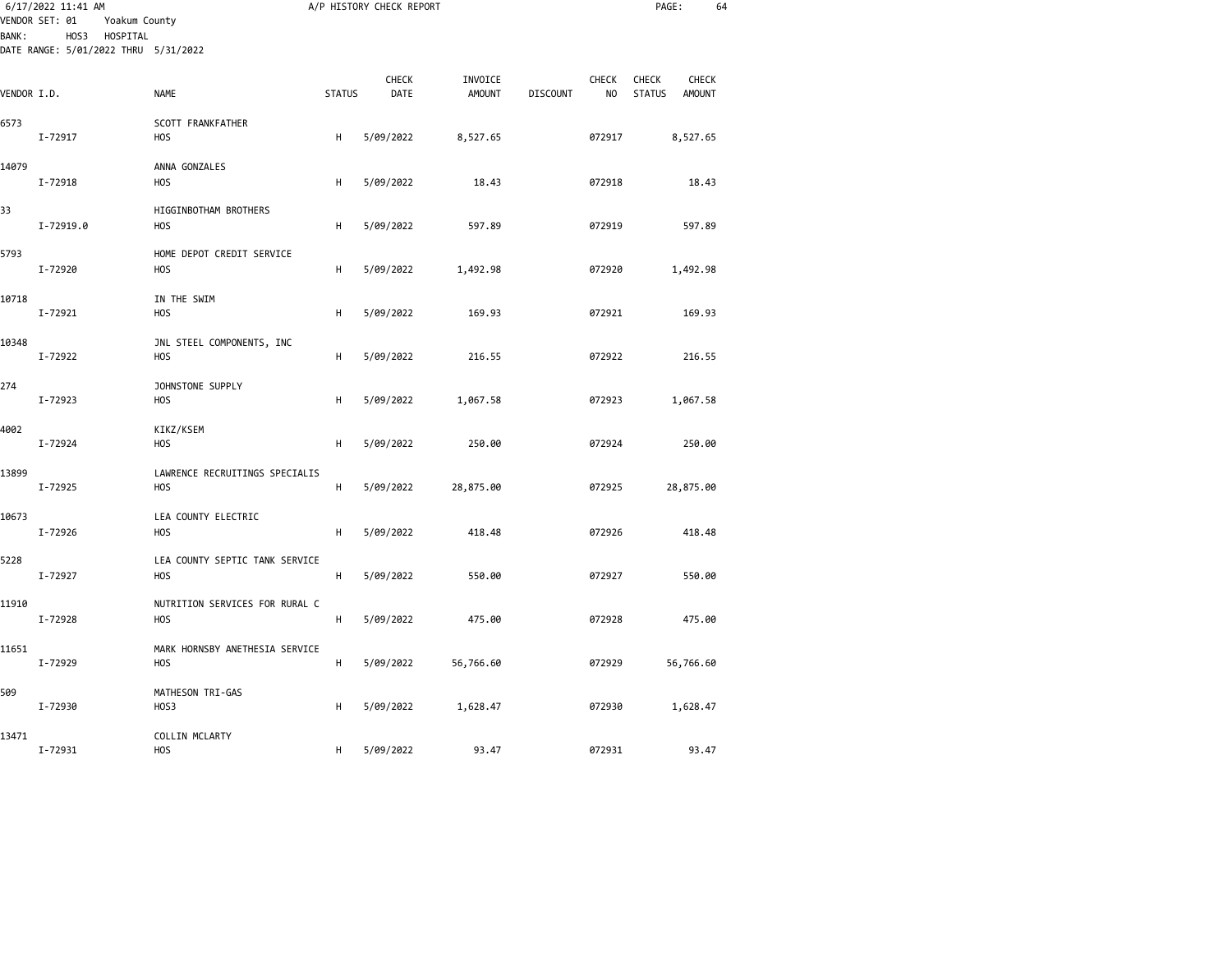|              | 6/17/2022 11:41 AM<br>VENDOR SET: 01<br>Yoakum County    |                                                    |               | A/P HISTORY CHECK REPORT |                          |                 |                                | PAGE:                  | 64                     |  |
|--------------|----------------------------------------------------------|----------------------------------------------------|---------------|--------------------------|--------------------------|-----------------|--------------------------------|------------------------|------------------------|--|
| <b>BANK:</b> | HOS3<br>HOSPITAL<br>DATE RANGE: 5/01/2022 THRU 5/31/2022 |                                                    |               |                          |                          |                 |                                |                        |                        |  |
| VENDOR I.D.  |                                                          | <b>NAME</b>                                        | <b>STATUS</b> | CHECK<br>DATE            | INVOICE<br><b>AMOUNT</b> | <b>DISCOUNT</b> | <b>CHECK</b><br>N <sub>O</sub> | CHECK<br><b>STATUS</b> | CHECK<br><b>AMOUNT</b> |  |
| 6573         | I-72917                                                  | SCOTT FRANKFATHER<br>HOS                           | Н             | 5/09/2022                | 8,527.65                 |                 | 072917                         |                        | 8,527.65               |  |
| 14079        | I-72918                                                  | ANNA GONZALES<br>H <sub>O</sub> S                  | Н             | 5/09/2022                | 18.43                    |                 | 072918                         |                        | 18.43                  |  |
| 33           | I-72919.0                                                | HIGGINBOTHAM BROTHERS<br>H <sub>O</sub> S          | Н             | 5/09/2022                | 597.89                   |                 | 072919                         |                        | 597.89                 |  |
| 5793         | I-72920                                                  | HOME DEPOT CREDIT SERVICE<br><b>HOS</b>            | н             | 5/09/2022                | 1,492.98                 |                 | 072920                         |                        | 1,492.98               |  |
| 10718        | I-72921                                                  | IN THE SWIM<br>H <sub>O</sub> S                    | Н             | 5/09/2022                | 169.93                   |                 | 072921                         |                        | 169.93                 |  |
| 10348        | I-72922                                                  | JNL STEEL COMPONENTS, INC<br><b>HOS</b>            | Н             | 5/09/2022                | 216.55                   |                 | 072922                         |                        | 216.55                 |  |
| 274          | I-72923                                                  | JOHNSTONE SUPPLY<br>H <sub>O</sub> S               | Н             | 5/09/2022                | 1,067.58                 |                 | 072923                         |                        | 1,067.58               |  |
| 4002         | I-72924                                                  | KIKZ/KSEM<br><b>HOS</b>                            | H             | 5/09/2022                | 250.00                   |                 | 072924                         |                        | 250.00                 |  |
| 13899        | I-72925                                                  | LAWRENCE RECRUITINGS SPECIALIS<br>H <sub>O</sub> S | H             | 5/09/2022                | 28,875.00                |                 | 072925                         |                        | 28,875.00              |  |
| 10673        | I-72926                                                  | LEA COUNTY ELECTRIC<br>H <sub>O</sub> S            | н             | 5/09/2022                | 418.48                   |                 | 072926                         |                        | 418.48                 |  |
| 5228         | I-72927                                                  | LEA COUNTY SEPTIC TANK SERVICE<br>H <sub>O</sub> S | H             | 5/09/2022                | 550.00                   |                 | 072927                         |                        | 550.00                 |  |
| 11910        | I-72928                                                  | NUTRITION SERVICES FOR RURAL C<br><b>HOS</b>       | H             | 5/09/2022                | 475.00                   |                 | 072928                         |                        | 475.00                 |  |
| 11651        | I-72929                                                  | MARK HORNSBY ANETHESIA SERVICE<br><b>HOS</b>       | H             | 5/09/2022                | 56,766.60                |                 | 072929                         |                        | 56,766.60              |  |
| 509          | I-72930                                                  | MATHESON TRI-GAS<br>HOS3                           | Н             | 5/09/2022                | 1,628.47                 |                 | 072930                         |                        | 1,628.47               |  |
| 13471        | I-72931                                                  | COLLIN MCLARTY<br><b>HOS</b>                       | н             | 5/09/2022                | 93.47                    |                 | 072931                         |                        | 93.47                  |  |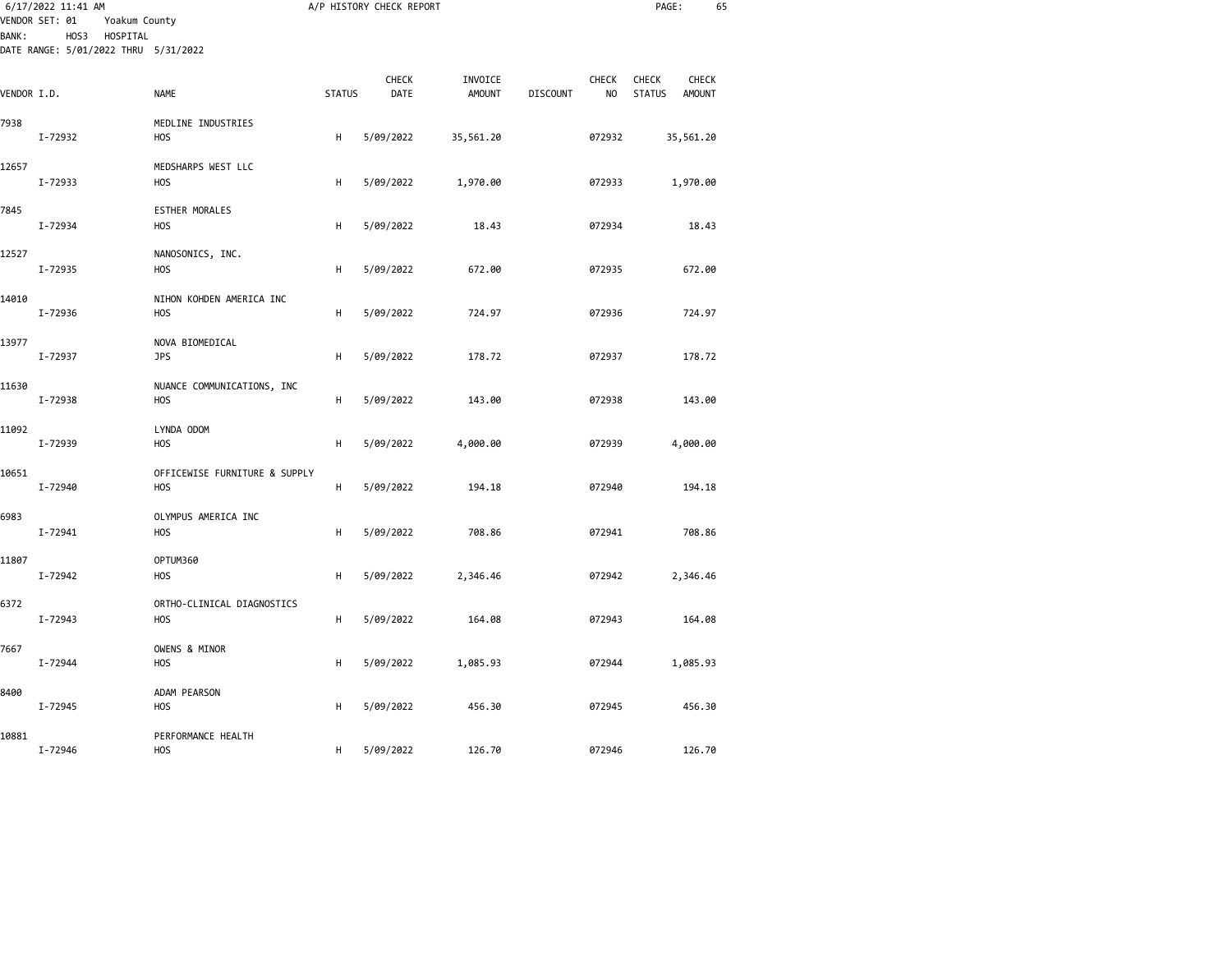|              | 6/17/2022 11:41 AM<br>VENDOR SET: 01<br>Yoakum County    |                                                |               | A/P HISTORY CHECK REPORT |                          |                 |                                | PAGE:                         | 65              |  |
|--------------|----------------------------------------------------------|------------------------------------------------|---------------|--------------------------|--------------------------|-----------------|--------------------------------|-------------------------------|-----------------|--|
| <b>BANK:</b> | HOS3<br>HOSPITAL<br>DATE RANGE: 5/01/2022 THRU 5/31/2022 |                                                |               |                          |                          |                 |                                |                               |                 |  |
| VENDOR I.D.  |                                                          | <b>NAME</b>                                    | <b>STATUS</b> | CHECK<br>DATE            | INVOICE<br><b>AMOUNT</b> | <b>DISCOUNT</b> | <b>CHECK</b><br>N <sub>O</sub> | <b>CHECK</b><br><b>STATUS</b> | CHECK<br>AMOUNT |  |
| 7938         | I-72932                                                  | MEDLINE INDUSTRIES<br><b>HOS</b>               | н             | 5/09/2022                | 35,561.20                |                 | 072932                         |                               | 35,561.20       |  |
| 12657        | I-72933                                                  | MEDSHARPS WEST LLC<br>H <sub>0</sub> S         | н             | 5/09/2022                | 1,970.00                 |                 | 072933                         |                               | 1,970.00        |  |
| 7845         | I-72934                                                  | <b>ESTHER MORALES</b><br><b>HOS</b>            | н             | 5/09/2022                | 18.43                    |                 | 072934                         |                               | 18.43           |  |
| 12527        | I-72935                                                  | NANOSONICS, INC.<br>H <sub>0</sub> S           | н             | 5/09/2022                | 672.00                   |                 | 072935                         |                               | 672.00          |  |
| 14010        | I-72936                                                  | NIHON KOHDEN AMERICA INC<br>H <sub>0</sub> S   | н             | 5/09/2022                | 724.97                   |                 | 072936                         |                               | 724.97          |  |
| 13977        | I-72937                                                  | NOVA BIOMEDICAL<br><b>JPS</b>                  | H             | 5/09/2022                | 178.72                   |                 | 072937                         |                               | 178.72          |  |
| 11630        | I-72938                                                  | NUANCE COMMUNICATIONS, INC<br>H <sub>0</sub> S | н             | 5/09/2022                | 143.00                   |                 | 072938                         |                               | 143.00          |  |
| 11092        | I-72939                                                  | LYNDA ODOM<br>H <sub>O</sub> S                 | н             | 5/09/2022                | 4,000.00                 |                 | 072939                         |                               | 4,000.00        |  |
| 10651        | I-72940                                                  | OFFICEWISE FURNITURE & SUPPLY<br><b>HOS</b>    | н             | 5/09/2022                | 194.18                   |                 | 072940                         |                               | 194.18          |  |
| 6983         | I-72941                                                  | OLYMPUS AMERICA INC<br>H <sub>0</sub> S        | H             | 5/09/2022                | 708.86                   |                 | 072941                         |                               | 708.86          |  |
| 11807        | I-72942                                                  | OPTUM360<br>H <sub>0</sub> S                   | н             | 5/09/2022                | 2,346.46                 |                 | 072942                         |                               | 2,346.46        |  |
| 6372         | I-72943                                                  | ORTHO-CLINICAL DIAGNOSTICS<br><b>HOS</b>       | н             | 5/09/2022                | 164.08                   |                 | 072943                         |                               | 164.08          |  |
| 7667         | I-72944                                                  | OWENS & MINOR<br><b>HOS</b>                    | Н             | 5/09/2022                | 1,085.93                 |                 | 072944                         |                               | 1,085.93        |  |
| 8400         | I-72945                                                  | ADAM PEARSON<br>H <sub>0</sub> S               | н             | 5/09/2022                | 456.30                   |                 | 072945                         |                               | 456.30          |  |
| 10881        | I-72946                                                  | PERFORMANCE HEALTH<br><b>HOS</b>               | н             | 5/09/2022                | 126.70                   |                 | 072946                         |                               | 126.70          |  |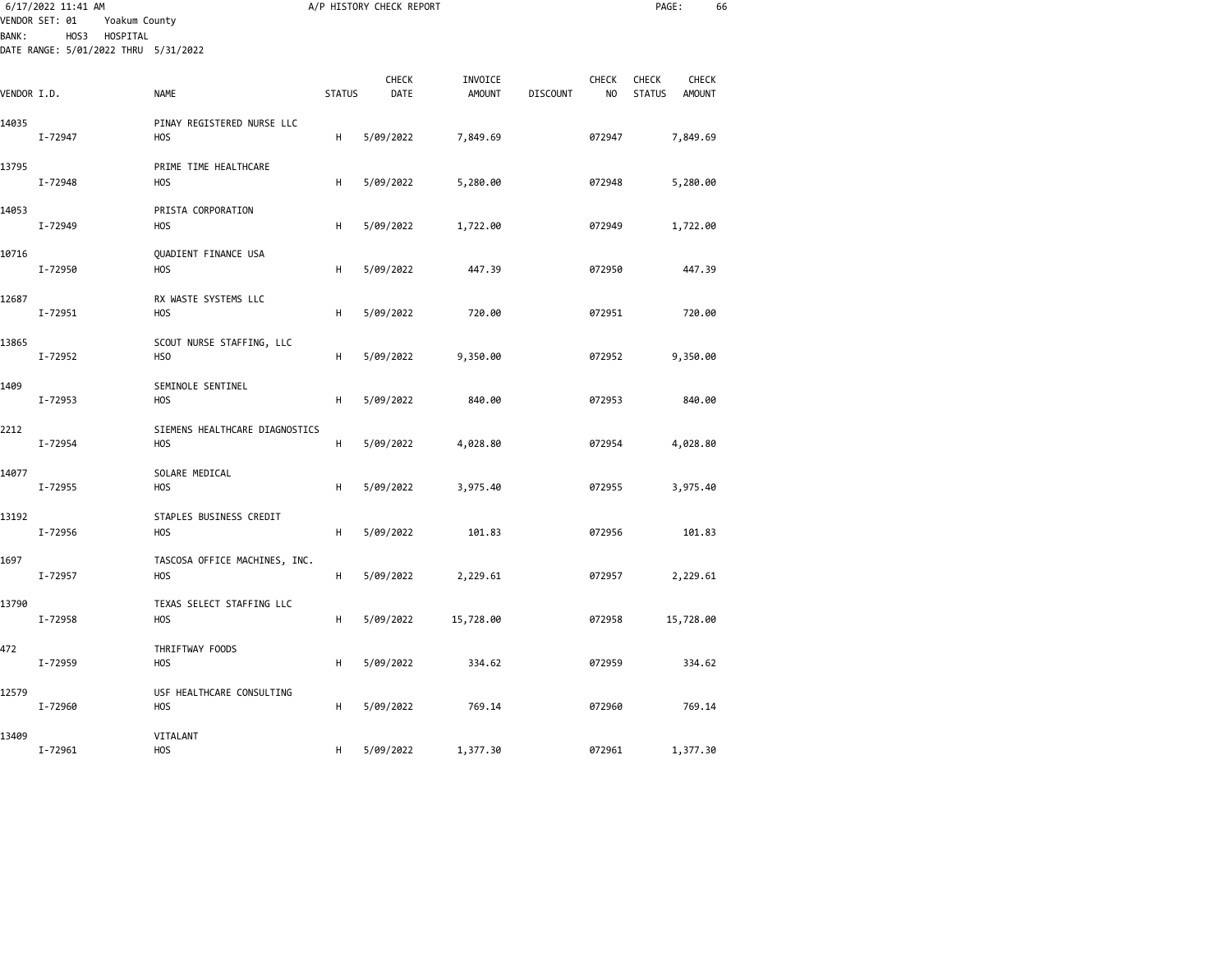| BANK :      | 6/17/2022 11:41 AM<br>VENDOR SET: 01<br>Yoakum County<br>HOS3<br>HOSPITAL |                                                     |               | A/P HISTORY CHECK REPORT |                          |                 |                         | PAGE:                         | 66                            |  |
|-------------|---------------------------------------------------------------------------|-----------------------------------------------------|---------------|--------------------------|--------------------------|-----------------|-------------------------|-------------------------------|-------------------------------|--|
| VENDOR I.D. | DATE RANGE: 5/01/2022 THRU 5/31/2022                                      | <b>NAME</b>                                         | <b>STATUS</b> | CHECK<br>DATE            | INVOICE<br><b>AMOUNT</b> | <b>DISCOUNT</b> | CHECK<br>N <sub>O</sub> | <b>CHECK</b><br><b>STATUS</b> | <b>CHECK</b><br><b>AMOUNT</b> |  |
| 14035       | I-72947                                                                   | PINAY REGISTERED NURSE LLC<br><b>HOS</b>            | H             | 5/09/2022                | 7,849.69                 |                 | 072947                  |                               | 7,849.69                      |  |
| 13795       | I-72948                                                                   | PRIME TIME HEALTHCARE<br><b>HOS</b>                 | Н             | 5/09/2022                | 5,280.00                 |                 | 072948                  |                               | 5,280.00                      |  |
| 14053       | I-72949                                                                   | PRISTA CORPORATION<br><b>HOS</b>                    | H             | 5/09/2022                | 1,722.00                 |                 | 072949                  |                               | 1,722.00                      |  |
| 10716       | I-72950                                                                   | QUADIENT FINANCE USA<br>H <sub>O</sub> S            | H             | 5/09/2022                | 447.39                   |                 | 072950                  |                               | 447.39                        |  |
| 12687       | I-72951                                                                   | RX WASTE SYSTEMS LLC<br>H <sub>O</sub> S            | Н             | 5/09/2022                | 720.00                   |                 | 072951                  |                               | 720.00                        |  |
| 13865       | I-72952                                                                   | SCOUT NURSE STAFFING, LLC<br>HS <sub>0</sub>        | Н             | 5/09/2022                | 9,350.00                 |                 | 072952                  |                               | 9,350.00                      |  |
| 1409        | I-72953                                                                   | SEMINOLE SENTINEL<br><b>HOS</b>                     | H             | 5/09/2022                | 840.00                   |                 | 072953                  |                               | 840.00                        |  |
| 2212        | I-72954                                                                   | SIEMENS HEALTHCARE DIAGNOSTICS<br><b>HOS</b>        | H             | 5/09/2022                | 4,028.80                 |                 | 072954                  |                               | 4,028.80                      |  |
| 14077       | I-72955                                                                   | SOLARE MEDICAL<br><b>HOS</b>                        | H             | 5/09/2022                | 3,975.40                 |                 | 072955                  |                               | 3,975.40                      |  |
| 13192       | I-72956                                                                   | STAPLES BUSINESS CREDIT<br>H <sub>O</sub> S         | H             | 5/09/2022                | 101.83                   |                 | 072956                  |                               | 101.83                        |  |
| 1697        | I-72957                                                                   | TASCOSA OFFICE MACHINES, INC.<br><b>HOS</b>         | Н             | 5/09/2022                | 2,229.61                 |                 | 072957                  |                               | 2,229.61                      |  |
| 13790       | I-72958                                                                   | TEXAS SELECT STAFFING LLC<br><b>HOS</b>             | Н             | 5/09/2022                | 15,728.00                |                 | 072958                  |                               | 15,728.00                     |  |
| 472         | I-72959                                                                   | THRIFTWAY FOODS<br><b>HOS</b>                       | H             | 5/09/2022                | 334.62                   |                 | 072959                  |                               | 334.62                        |  |
| 12579       | I-72960                                                                   | USF HEALTHCARE CONSULTING<br><b>HOS</b><br>VITALANT | н             | 5/09/2022                | 769.14                   |                 | 072960                  |                               | 769.14                        |  |
| 13409       | I-72961                                                                   | <b>HOS</b>                                          | н             | 5/09/2022                | 1,377.30                 |                 | 072961                  |                               | 1,377.30                      |  |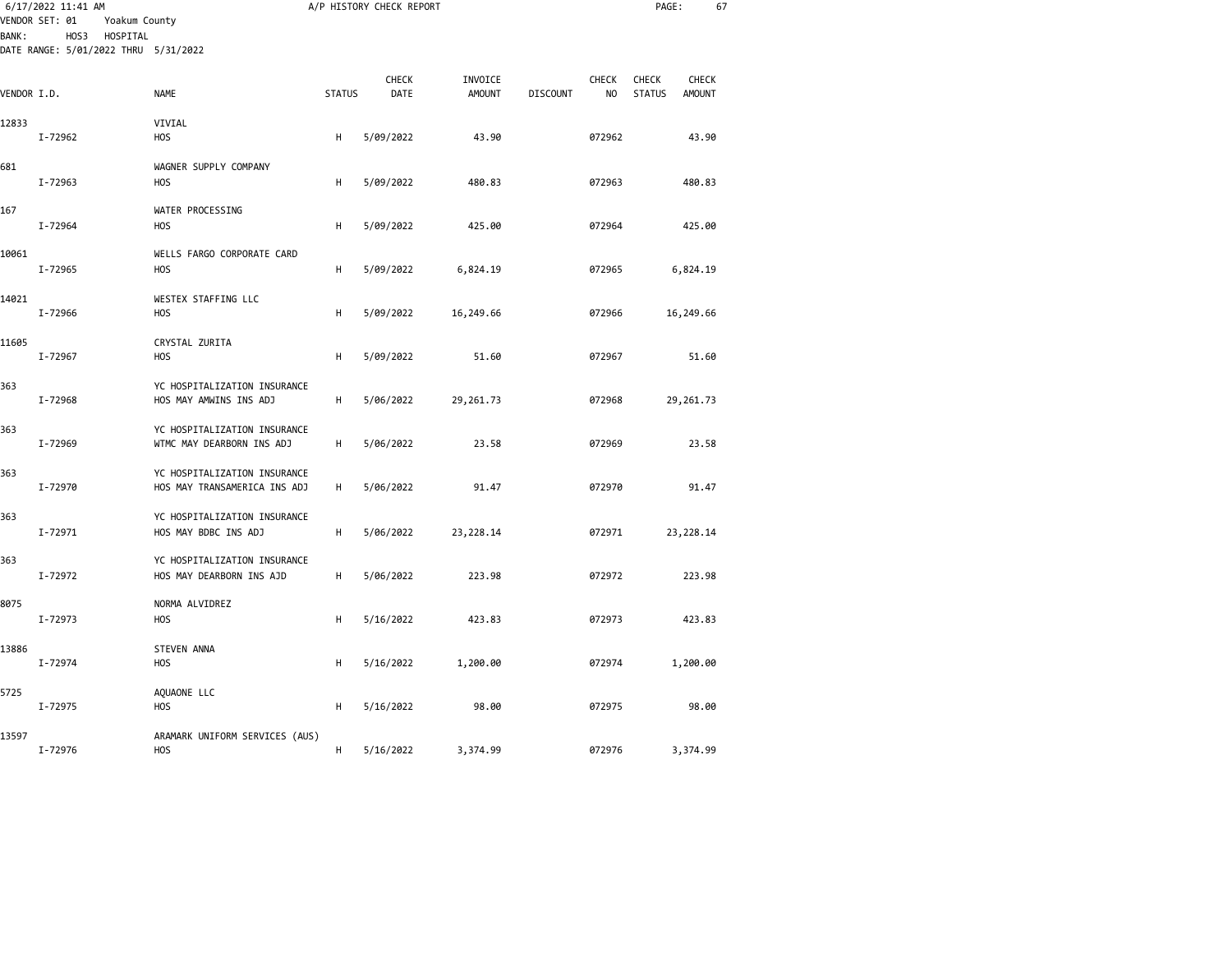| <b>BANK:</b> | 6/17/2022 11:41 AM<br>VENDOR SET: 01<br>Yoakum County<br>HOS3<br>HOSPITAL<br>DATE RANGE: 5/01/2022 THRU 5/31/2022 |                                                              |               | A/P HISTORY CHECK REPORT |               |                 |              | PAGE:         | 67            |  |
|--------------|-------------------------------------------------------------------------------------------------------------------|--------------------------------------------------------------|---------------|--------------------------|---------------|-----------------|--------------|---------------|---------------|--|
|              |                                                                                                                   |                                                              |               | <b>CHECK</b>             | INVOICE       |                 | <b>CHECK</b> | <b>CHECK</b>  | <b>CHECK</b>  |  |
| VENDOR I.D.  |                                                                                                                   | NAME                                                         | <b>STATUS</b> | DATE                     | <b>AMOUNT</b> | <b>DISCOUNT</b> | NO           | <b>STATUS</b> | <b>AMOUNT</b> |  |
| 12833        | I-72962                                                                                                           | VIVIAL<br>H <sub>O</sub> S                                   | Н             | 5/09/2022                | 43.90         |                 | 072962       |               | 43.90         |  |
| 681          | I-72963                                                                                                           | WAGNER SUPPLY COMPANY<br>H <sub>O</sub> S                    | Н             | 5/09/2022                | 480.83        |                 | 072963       |               | 480.83        |  |
| 167          |                                                                                                                   | WATER PROCESSING                                             |               |                          |               |                 |              |               |               |  |
|              | I-72964                                                                                                           | H <sub>O</sub> S                                             | н             | 5/09/2022                | 425.00        |                 | 072964       |               | 425.00        |  |
| 10061        | I-72965                                                                                                           | WELLS FARGO CORPORATE CARD<br><b>HOS</b>                     | н             | 5/09/2022                | 6,824.19      |                 | 072965       |               | 6,824.19      |  |
| 14021        | I-72966                                                                                                           | WESTEX STAFFING LLC<br><b>HOS</b>                            | H             | 5/09/2022                | 16,249.66     |                 | 072966       |               | 16,249.66     |  |
| 11605        | I-72967                                                                                                           | CRYSTAL ZURITA<br><b>HOS</b>                                 | н             | 5/09/2022                | 51.60         |                 | 072967       |               | 51.60         |  |
| 363          | I-72968                                                                                                           | YC HOSPITALIZATION INSURANCE<br>HOS MAY AMWINS INS ADJ       | н             | 5/06/2022                | 29,261.73     |                 | 072968       |               | 29,261.73     |  |
| 363          | I-72969                                                                                                           | YC HOSPITALIZATION INSURANCE<br>WTMC MAY DEARBORN INS ADJ    | н             | 5/06/2022                | 23.58         |                 | 072969       |               | 23.58         |  |
| 363          | I-72970                                                                                                           | YC HOSPITALIZATION INSURANCE<br>HOS MAY TRANSAMERICA INS ADJ | н             | 5/06/2022                | 91.47         |                 | 072970       |               | 91.47         |  |
| 363          | I-72971                                                                                                           | YC HOSPITALIZATION INSURANCE<br>HOS MAY BDBC INS ADJ         | н             | 5/06/2022                | 23,228.14     |                 | 072971       |               | 23,228.14     |  |
| 363          | I-72972                                                                                                           | YC HOSPITALIZATION INSURANCE<br>HOS MAY DEARBORN INS AJD     | н             | 5/06/2022                | 223.98        |                 | 072972       |               | 223.98        |  |
| 8075         | I-72973                                                                                                           | NORMA ALVIDREZ<br><b>HOS</b>                                 | н             | 5/16/2022                | 423.83        |                 | 072973       |               | 423.83        |  |
| 13886        | I-72974                                                                                                           | <b>STEVEN ANNA</b><br><b>HOS</b>                             | н             | 5/16/2022                | 1,200.00      |                 | 072974       |               | 1,200.00      |  |
| 5725         | I-72975                                                                                                           | AQUAONE LLC<br><b>HOS</b>                                    | н             | 5/16/2022                | 98.00         |                 | 072975       |               | 98.00         |  |
| 13597        | I-72976                                                                                                           | ARAMARK UNIFORM SERVICES (AUS)<br><b>HOS</b>                 | H             | 5/16/2022                | 3,374.99      |                 | 072976       |               | 3,374.99      |  |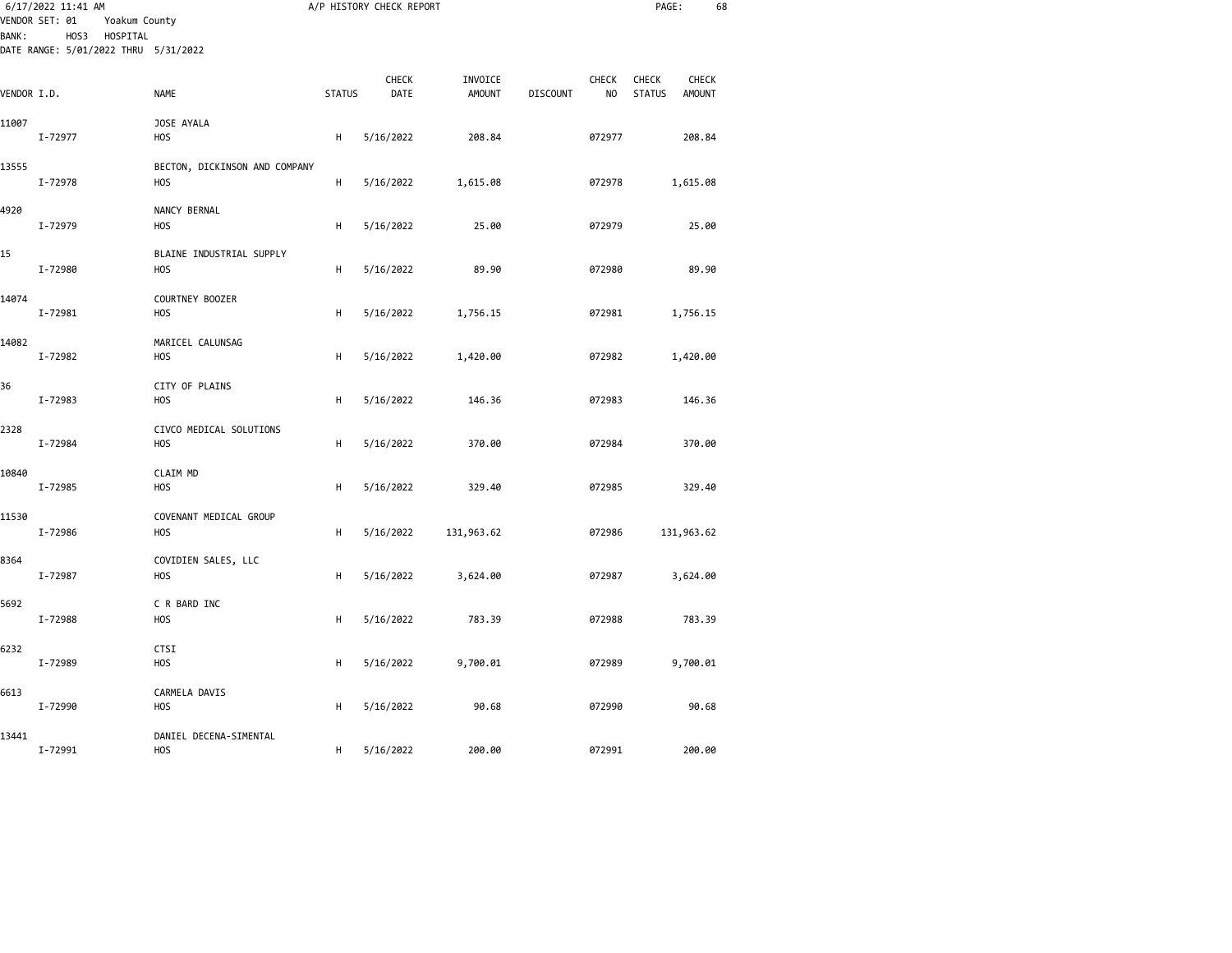|              | 6/17/2022 11:41 AM<br>VENDOR SET: 01<br>Yoakum County    |                               |               | A/P HISTORY CHECK REPORT |                          |                 |             | PAGE:                  | 68                     |  |
|--------------|----------------------------------------------------------|-------------------------------|---------------|--------------------------|--------------------------|-----------------|-------------|------------------------|------------------------|--|
| <b>BANK:</b> | HOS3<br>HOSPITAL<br>DATE RANGE: 5/01/2022 THRU 5/31/2022 |                               |               |                          |                          |                 |             |                        |                        |  |
| VENDOR I.D.  |                                                          | <b>NAME</b>                   | <b>STATUS</b> | CHECK<br>DATE            | INVOICE<br><b>AMOUNT</b> | <b>DISCOUNT</b> | CHECK<br>NO | CHECK<br><b>STATUS</b> | CHECK<br><b>AMOUNT</b> |  |
| 11007        |                                                          | JOSE AYALA                    |               |                          |                          |                 |             |                        |                        |  |
|              | I-72977                                                  | HOS                           | н             | 5/16/2022                | 208.84                   |                 | 072977      |                        | 208.84                 |  |
| 13555        |                                                          | BECTON, DICKINSON AND COMPANY |               |                          |                          |                 |             |                        |                        |  |
|              | I-72978                                                  | HOS                           | H             | 5/16/2022                | 1,615.08                 |                 | 072978      |                        | 1,615.08               |  |
| 4920         |                                                          | NANCY BERNAL                  |               |                          |                          |                 |             |                        |                        |  |
|              | I-72979                                                  | <b>HOS</b>                    | H             | 5/16/2022                | 25.00                    |                 | 072979      |                        | 25.00                  |  |
| 15           |                                                          | BLAINE INDUSTRIAL SUPPLY      |               |                          |                          |                 |             |                        |                        |  |
|              | I-72980                                                  | <b>HOS</b>                    | н             | 5/16/2022                | 89.90                    |                 | 072980      |                        | 89.90                  |  |
| 14074        |                                                          | COURTNEY BOOZER               |               |                          |                          |                 |             |                        |                        |  |
|              | I-72981                                                  | <b>HOS</b>                    | н             | 5/16/2022                | 1,756.15                 |                 | 072981      |                        | 1,756.15               |  |
| 14082        |                                                          | MARICEL CALUNSAG              |               |                          |                          |                 |             |                        |                        |  |
|              | I-72982                                                  | <b>HOS</b>                    | н             | 5/16/2022                | 1,420.00                 |                 | 072982      |                        | 1,420.00               |  |
| 36           |                                                          | CITY OF PLAINS                |               |                          |                          |                 |             |                        |                        |  |
|              | I-72983                                                  | <b>HOS</b>                    | H             | 5/16/2022                | 146.36                   |                 | 072983      |                        | 146.36                 |  |
| 2328         |                                                          | CIVCO MEDICAL SOLUTIONS       |               |                          |                          |                 |             |                        |                        |  |
|              | I-72984                                                  | <b>HOS</b>                    | н             | 5/16/2022                | 370.00                   |                 | 072984      |                        | 370.00                 |  |
| 10840        |                                                          | CLAIM MD                      |               |                          |                          |                 |             |                        |                        |  |
|              | I-72985                                                  | H <sub>O</sub> S              | н             | 5/16/2022                | 329.40                   |                 | 072985      |                        | 329.40                 |  |
| 11530        |                                                          | COVENANT MEDICAL GROUP        |               |                          |                          |                 |             |                        |                        |  |
|              | I-72986                                                  | <b>HOS</b>                    | н             | 5/16/2022                | 131,963.62               |                 | 072986      |                        | 131,963.62             |  |
| 8364         |                                                          | COVIDIEN SALES, LLC           |               |                          |                          |                 |             |                        |                        |  |
|              | I-72987                                                  | <b>HOS</b>                    | H             | 5/16/2022                | 3,624.00                 |                 | 072987      |                        | 3,624.00               |  |
| 5692         |                                                          | C R BARD INC                  |               |                          |                          |                 |             |                        |                        |  |
|              | I-72988                                                  | <b>HOS</b>                    | н             | 5/16/2022                | 783.39                   |                 | 072988      |                        | 783.39                 |  |
| 6232         |                                                          | CTSI                          |               |                          |                          |                 |             |                        |                        |  |
|              | I-72989                                                  | <b>HOS</b>                    | н             | 5/16/2022                | 9,700.01                 |                 | 072989      |                        | 9,700.01               |  |
| 6613         |                                                          | CARMELA DAVIS                 |               |                          |                          |                 |             |                        |                        |  |
|              | I-72990                                                  | <b>HOS</b>                    | н             | 5/16/2022                | 90.68                    |                 | 072990      |                        | 90.68                  |  |
| 13441        |                                                          | DANIEL DECENA-SIMENTAL        |               |                          |                          |                 |             |                        |                        |  |
|              | I-72991                                                  | HOS                           | н             | 5/16/2022                | 200.00                   |                 | 072991      |                        | 200.00                 |  |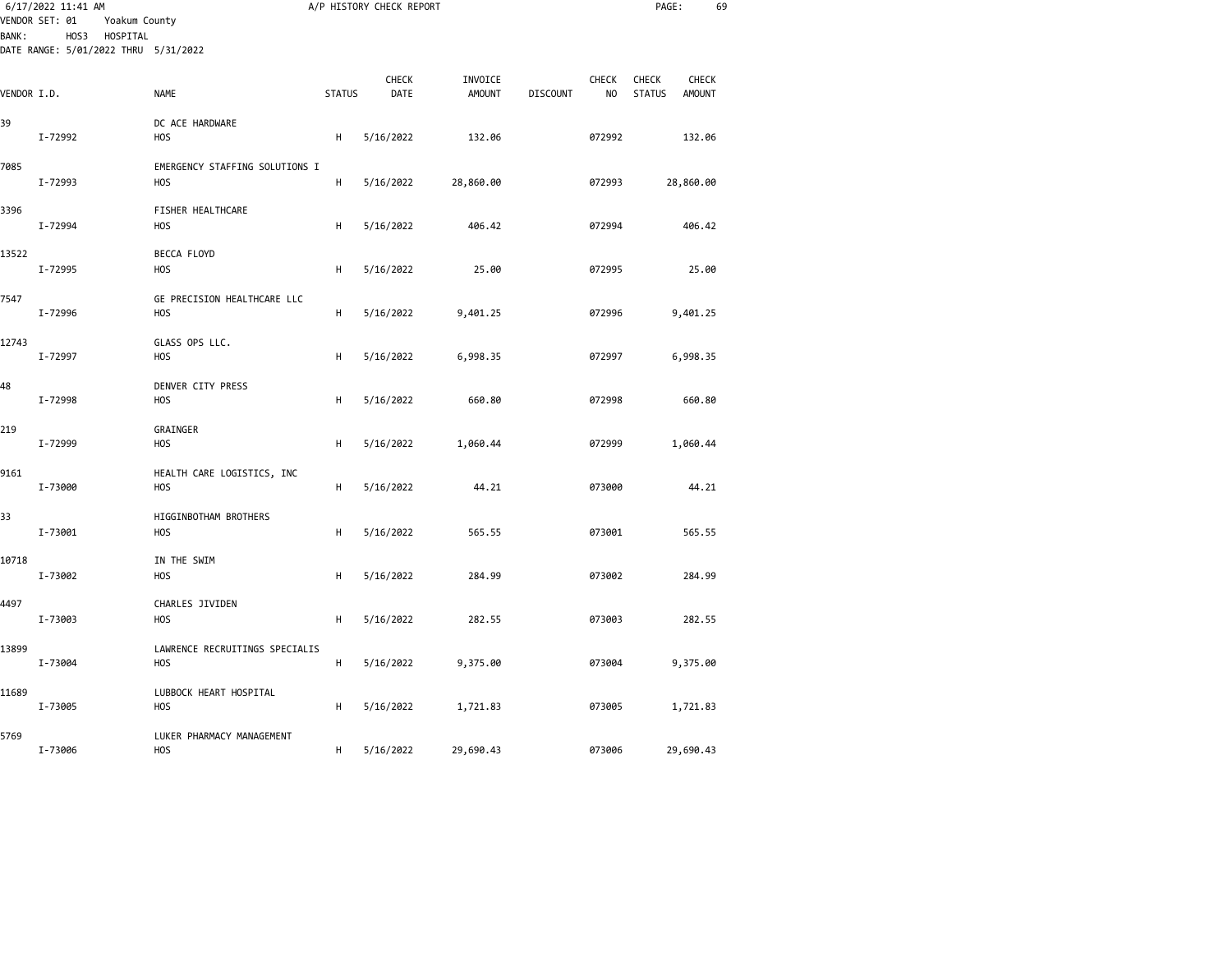|              | 6/17/2022 11:41 AM<br>VENDOR SET: 01<br>Yoakum County |                                              |               | A/P HISTORY CHECK REPORT |                          |                 |             | PAGE:                                            | 69 |
|--------------|-------------------------------------------------------|----------------------------------------------|---------------|--------------------------|--------------------------|-----------------|-------------|--------------------------------------------------|----|
| <b>BANK:</b> | HOS3 HOSPITAL<br>DATE RANGE: 5/01/2022 THRU 5/31/2022 |                                              |               |                          |                          |                 |             |                                                  |    |
| VENDOR I.D.  |                                                       | NAME                                         | <b>STATUS</b> | <b>CHECK</b><br>DATE     | INVOICE<br><b>AMOUNT</b> | <b>DISCOUNT</b> | CHECK<br>NO | CHECK<br>CHECK<br><b>STATUS</b><br><b>AMOUNT</b> |    |
| 39           | I-72992                                               | DC ACE HARDWARE<br><b>HOS</b>                | н             | 5/16/2022                | 132.06                   |                 | 072992      | 132.06                                           |    |
| 7085         | I-72993                                               | EMERGENCY STAFFING SOLUTIONS I<br><b>HOS</b> | н             | 5/16/2022                | 28,860.00                |                 | 072993      | 28,860.00                                        |    |
| 3396         | I-72994                                               | FISHER HEALTHCARE<br><b>HOS</b>              | н             | 5/16/2022                | 406.42                   |                 | 072994      | 406.42                                           |    |
| 13522        | I-72995                                               | BECCA FLOYD<br><b>HOS</b>                    | н             | 5/16/2022                | 25.00                    |                 | 072995      | 25.00                                            |    |
| 7547         | I-72996                                               | GE PRECISION HEALTHCARE LLC<br><b>HOS</b>    | H             | 5/16/2022                | 9,401.25                 |                 | 072996      | 9,401.25                                         |    |
| 12743        | I-72997                                               | GLASS OPS LLC.<br><b>HOS</b>                 | н             | 5/16/2022                | 6,998.35                 |                 | 072997      | 6,998.35                                         |    |
| 48           | I-72998                                               | DENVER CITY PRESS<br>HOS                     | н             | 5/16/2022                | 660.80                   |                 | 072998      | 660.80                                           |    |
| 219          | I-72999                                               | GRAINGER<br>HOS                              | н             | 5/16/2022                | 1,060.44                 |                 | 072999      | 1,060.44                                         |    |
| 9161         | I-73000                                               | HEALTH CARE LOGISTICS, INC<br>HOS            | н             | 5/16/2022                | 44.21                    |                 | 073000      | 44.21                                            |    |
| 33           | I-73001                                               | HIGGINBOTHAM BROTHERS<br>H <sub>O</sub> S    | н             | 5/16/2022                | 565.55                   |                 | 073001      | 565.55                                           |    |
| 10718        | I-73002                                               | IN THE SWIM<br>H <sub>O</sub> S              | н             | 5/16/2022                | 284.99                   |                 | 073002      | 284.99                                           |    |
| 4497         | I-73003                                               | CHARLES JIVIDEN<br><b>HOS</b>                | н             | 5/16/2022                | 282.55                   |                 | 073003      | 282.55                                           |    |
| 13899        | I-73004                                               | LAWRENCE RECRUITINGS SPECIALIS<br><b>HOS</b> | H             | 5/16/2022                | 9,375.00                 |                 | 073004      | 9,375.00                                         |    |
| 11689        | I-73005                                               | LUBBOCK HEART HOSPITAL<br><b>HOS</b>         | н             | 5/16/2022                | 1,721.83                 |                 | 073005      | 1,721.83                                         |    |
| 5769         | I-73006                                               | LUKER PHARMACY MANAGEMENT<br><b>HOS</b>      | н             | 5/16/2022                | 29,690.43                |                 | 073006      | 29,690.43                                        |    |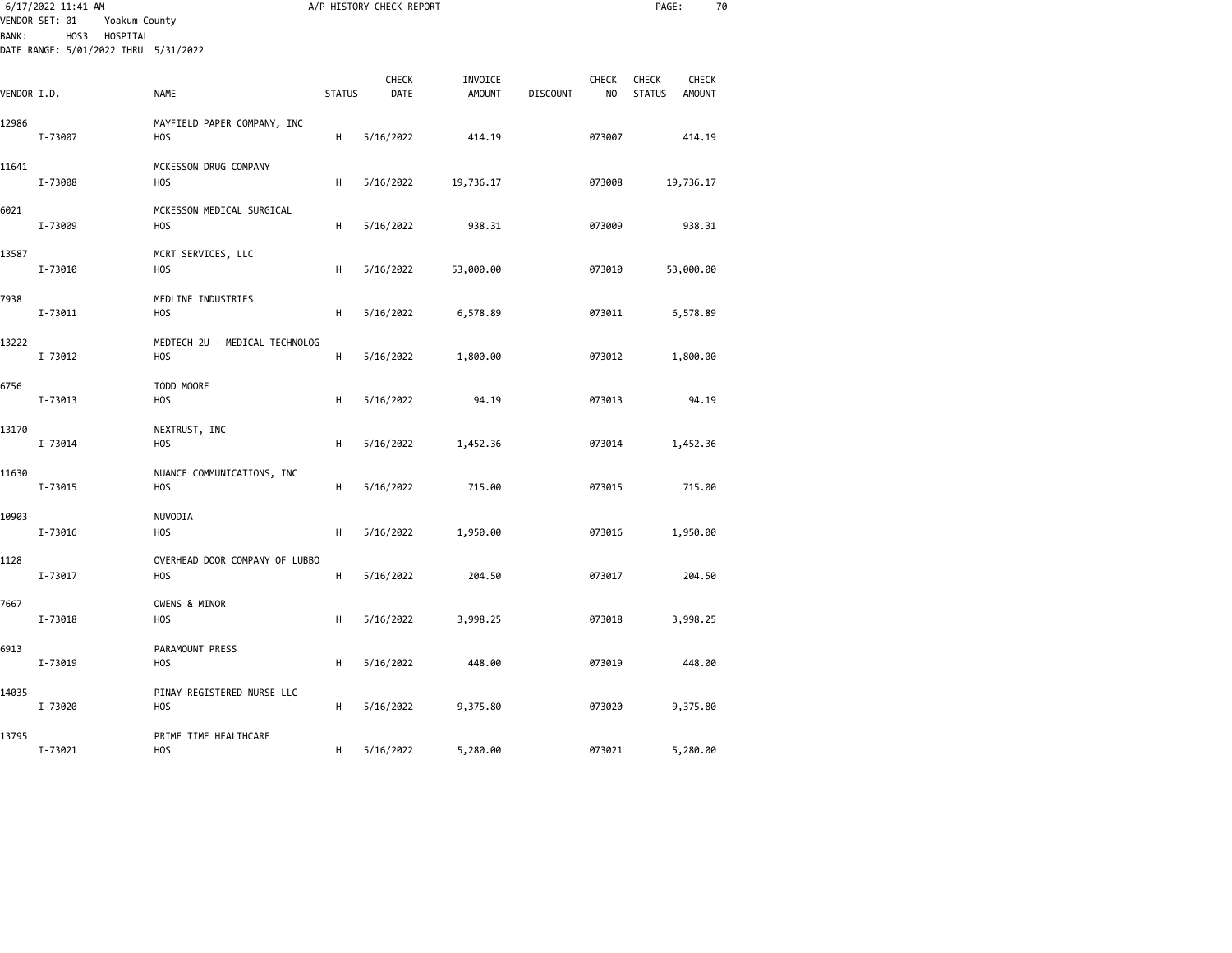|              | 6/17/2022 11:41 AM<br>VENDOR SET: 01<br>Yoakum County |                                                    |               | A/P HISTORY CHECK REPORT |                          |                 |                    | PAGE:                                                          | 70 |
|--------------|-------------------------------------------------------|----------------------------------------------------|---------------|--------------------------|--------------------------|-----------------|--------------------|----------------------------------------------------------------|----|
| <b>BANK:</b> | HOS3 HOSPITAL<br>DATE RANGE: 5/01/2022 THRU 5/31/2022 |                                                    |               |                          |                          |                 |                    |                                                                |    |
| VENDOR I.D.  |                                                       | <b>NAME</b>                                        | <b>STATUS</b> | <b>CHECK</b><br>DATE     | INVOICE<br><b>AMOUNT</b> | <b>DISCOUNT</b> | <b>CHECK</b><br>NO | <b>CHECK</b><br><b>CHECK</b><br><b>STATUS</b><br><b>AMOUNT</b> |    |
| 12986        | I-73007                                               | MAYFIELD PAPER COMPANY, INC<br>HOS                 | н             | 5/16/2022                | 414.19                   |                 | 073007             | 414.19                                                         |    |
| 11641        | I-73008                                               | MCKESSON DRUG COMPANY<br>H <sub>O</sub> S          | н             | 5/16/2022                | 19,736.17                |                 | 073008             | 19,736.17                                                      |    |
| 6021         | I-73009                                               | MCKESSON MEDICAL SURGICAL<br><b>HOS</b>            | н             | 5/16/2022                | 938.31                   |                 | 073009             | 938.31                                                         |    |
| 13587        | I-73010                                               | MCRT SERVICES, LLC<br><b>HOS</b>                   | н             | 5/16/2022                | 53,000.00                |                 | 073010             | 53,000.00                                                      |    |
| 7938         | I-73011                                               | MEDLINE INDUSTRIES<br><b>HOS</b>                   | н             | 5/16/2022                | 6,578.89                 |                 | 073011             | 6,578.89                                                       |    |
| 13222        | I-73012                                               | MEDTECH 2U - MEDICAL TECHNOLOG<br><b>HOS</b>       | н             | 5/16/2022                | 1,800.00                 |                 | 073012             | 1,800.00                                                       |    |
| 6756         | I-73013                                               | TODD MOORE<br><b>HOS</b>                           | н             | 5/16/2022                | 94.19                    |                 | 073013             | 94.19                                                          |    |
| 13170        | I-73014                                               | NEXTRUST, INC<br><b>HOS</b>                        | н             | 5/16/2022                | 1,452.36                 |                 | 073014             | 1,452.36                                                       |    |
| 11630        | I-73015                                               | NUANCE COMMUNICATIONS, INC<br><b>HOS</b>           | н             | 5/16/2022                | 715.00                   |                 | 073015             | 715.00                                                         |    |
| 10903        | I-73016                                               | NUVODIA<br><b>HOS</b>                              | н             | 5/16/2022                | 1,950.00                 |                 | 073016             | 1,950.00                                                       |    |
| 1128         | I-73017                                               | OVERHEAD DOOR COMPANY OF LUBBO<br>H <sub>O</sub> S | н             | 5/16/2022                | 204.50                   |                 | 073017             | 204.50                                                         |    |
| 7667         | I-73018                                               | OWENS & MINOR<br><b>HOS</b>                        | н             | 5/16/2022                | 3,998.25                 |                 | 073018             | 3,998.25                                                       |    |
| 6913         | I-73019                                               | PARAMOUNT PRESS<br>HOS                             | н             | 5/16/2022                | 448.00                   |                 | 073019             | 448.00                                                         |    |
| 14035        | I-73020                                               | PINAY REGISTERED NURSE LLC<br><b>HOS</b>           | н             | 5/16/2022                | 9,375.80                 |                 | 073020             | 9,375.80                                                       |    |
| 13795        | I-73021                                               | PRIME TIME HEALTHCARE<br><b>HOS</b>                | н             | 5/16/2022                | 5,280.00                 |                 | 073021             | 5,280.00                                                       |    |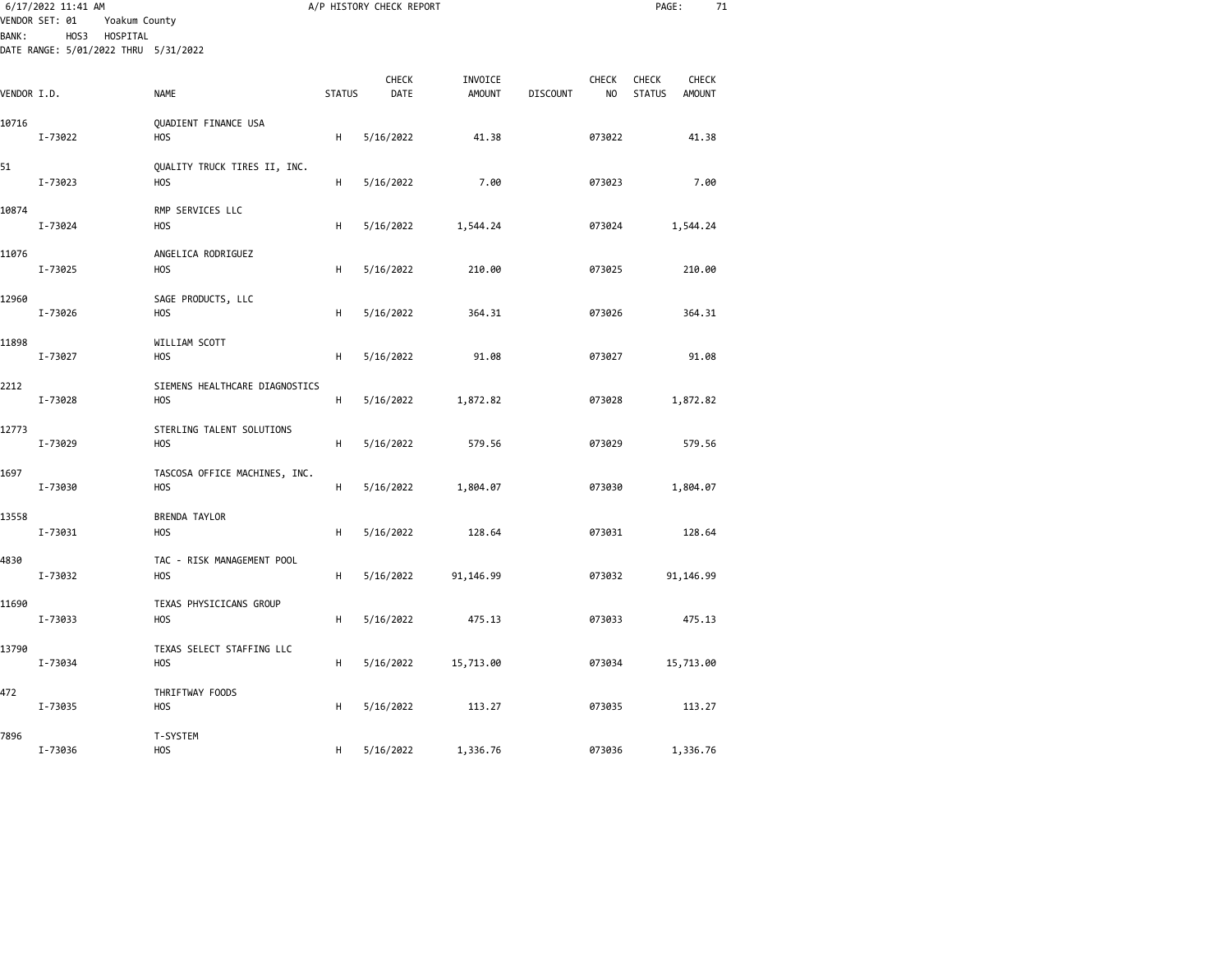| <b>BANK:</b> | 6/17/2022 11:41 AM<br>VENDOR SET: 01<br>Yoakum County<br>HOS3<br>HOSPITAL<br>DATE RANGE: 5/01/2022 THRU 5/31/2022 |                                             |               | A/P HISTORY CHECK REPORT |                          |                 |                    | PAGE:                         | 71                     |  |
|--------------|-------------------------------------------------------------------------------------------------------------------|---------------------------------------------|---------------|--------------------------|--------------------------|-----------------|--------------------|-------------------------------|------------------------|--|
| VENDOR I.D.  |                                                                                                                   | <b>NAME</b>                                 | <b>STATUS</b> | CHECK<br>DATE            | INVOICE<br><b>AMOUNT</b> | <b>DISCOUNT</b> | <b>CHECK</b><br>NO | <b>CHECK</b><br><b>STATUS</b> | CHECK<br><b>AMOUNT</b> |  |
| 10716        | I-73022                                                                                                           | QUADIENT FINANCE USA<br><b>HOS</b>          | H             | 5/16/2022                | 41.38                    |                 | 073022             |                               | 41.38                  |  |
| 51           | I-73023                                                                                                           | QUALITY TRUCK TIRES II, INC.<br><b>HOS</b>  | H             | 5/16/2022                | 7.00                     |                 | 073023             |                               | 7.00                   |  |
| 10874        | I-73024                                                                                                           | RMP SERVICES LLC<br><b>HOS</b>              | н             | 5/16/2022                | 1,544.24                 |                 | 073024             |                               | 1,544.24               |  |
| 11076        | I-73025                                                                                                           | ANGELICA RODRIGUEZ<br><b>HOS</b>            | H             | 5/16/2022                | 210.00                   |                 | 073025             |                               | 210.00                 |  |
| 12960        | I-73026                                                                                                           | SAGE PRODUCTS, LLC<br><b>HOS</b>            | H             | 5/16/2022                | 364.31                   |                 | 073026             |                               | 364.31                 |  |
| 11898        | I-73027                                                                                                           | WILLIAM SCOTT<br><b>HOS</b>                 | H             | 5/16/2022                | 91.08                    |                 | 073027             |                               | 91.08                  |  |
| 2212         | I-73028                                                                                                           | SIEMENS HEALTHCARE DIAGNOSTICS<br>HOS       | н             | 5/16/2022                | 1,872.82                 |                 | 073028             |                               | 1,872.82               |  |
| 12773        | I-73029                                                                                                           | STERLING TALENT SOLUTIONS<br><b>HOS</b>     | н             | 5/16/2022                | 579.56                   |                 | 073029             |                               | 579.56                 |  |
| 1697         | I-73030                                                                                                           | TASCOSA OFFICE MACHINES, INC.<br><b>HOS</b> | H             | 5/16/2022                | 1,804.07                 |                 | 073030             |                               | 1,804.07               |  |
| 13558        | I-73031                                                                                                           | BRENDA TAYLOR<br><b>HOS</b>                 | н             | 5/16/2022                | 128.64                   |                 | 073031             |                               | 128.64                 |  |
| 4830         | I-73032                                                                                                           | TAC - RISK MANAGEMENT POOL<br><b>HOS</b>    | н             | 5/16/2022                | 91,146.99                |                 | 073032             |                               | 91,146.99              |  |
| 11690        | I-73033                                                                                                           | TEXAS PHYSICICANS GROUP<br><b>HOS</b>       | н             | 5/16/2022                | 475.13                   |                 | 073033             |                               | 475.13                 |  |
| 13790        | I-73034                                                                                                           | TEXAS SELECT STAFFING LLC<br><b>HOS</b>     | н             | 5/16/2022                | 15,713.00                |                 | 073034             |                               | 15,713.00              |  |
| 472          | I-73035                                                                                                           | THRIFTWAY FOODS<br>HOS                      | н             | 5/16/2022                | 113.27                   |                 | 073035             |                               | 113.27                 |  |
| 7896         | I-73036                                                                                                           | T-SYSTEM<br><b>HOS</b>                      | н             | 5/16/2022                | 1,336.76                 |                 | 073036             |                               | 1,336.76               |  |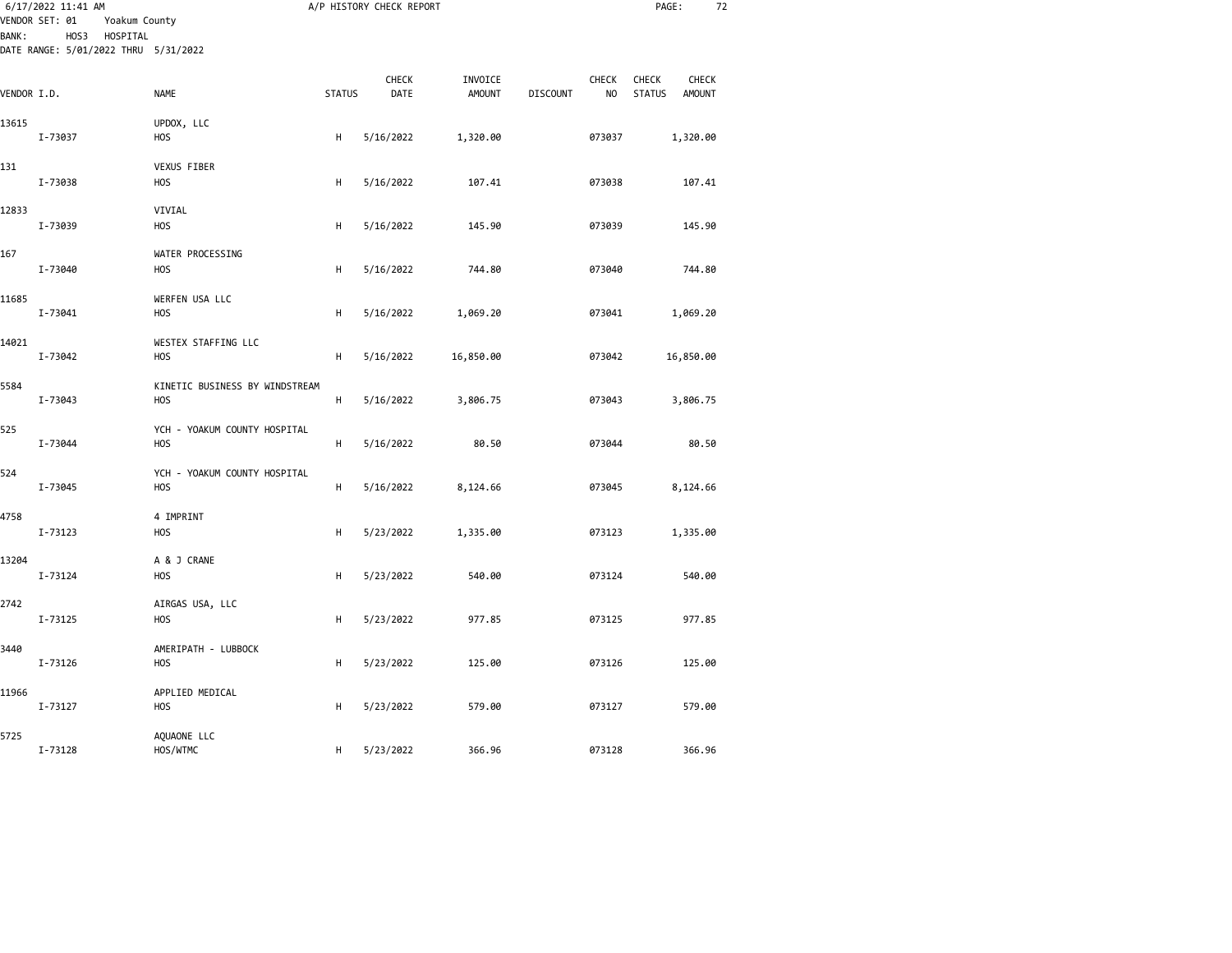| 6/17/2022 11:41 AM<br>VENDOR SET: 01<br>Yoakum County |                                                          |                                                  | A/P HISTORY CHECK REPORT |               |                          |                 | PAGE:                   |                               |                        | 72 |
|-------------------------------------------------------|----------------------------------------------------------|--------------------------------------------------|--------------------------|---------------|--------------------------|-----------------|-------------------------|-------------------------------|------------------------|----|
| <b>BANK:</b>                                          | HOS3<br>HOSPITAL<br>DATE RANGE: 5/01/2022 THRU 5/31/2022 |                                                  |                          |               |                          |                 |                         |                               |                        |    |
| VENDOR I.D.                                           |                                                          | <b>NAME</b>                                      | <b>STATUS</b>            | CHECK<br>DATE | INVOICE<br><b>AMOUNT</b> | <b>DISCOUNT</b> | CHECK<br>N <sub>O</sub> | <b>CHECK</b><br><b>STATUS</b> | <b>CHECK</b><br>AMOUNT |    |
| 13615                                                 | I-73037                                                  | UPDOX, LLC<br><b>HOS</b>                         | H                        | 5/16/2022     | 1,320.00                 |                 | 073037                  |                               | 1,320.00               |    |
|                                                       |                                                          |                                                  |                          |               |                          |                 |                         |                               |                        |    |
| 131                                                   | I-73038                                                  | VEXUS FIBER<br>H <sub>O</sub> S                  | Н                        | 5/16/2022     | 107.41                   |                 | 073038                  |                               | 107.41                 |    |
| 12833                                                 |                                                          | VIVIAL                                           |                          |               |                          |                 |                         |                               |                        |    |
|                                                       | I-73039                                                  | <b>HOS</b>                                       | Н                        | 5/16/2022     | 145.90                   |                 | 073039                  |                               | 145.90                 |    |
| 167                                                   | I-73040                                                  | WATER PROCESSING<br>H <sub>O</sub> S             | Н                        | 5/16/2022     | 744.80                   |                 | 073040                  |                               | 744.80                 |    |
| 11685                                                 | I-73041                                                  | WERFEN USA LLC<br><b>HOS</b>                     | H                        | 5/16/2022     | 1,069.20                 |                 | 073041                  |                               | 1,069.20               |    |
| 14021                                                 | I-73042                                                  | WESTEX STAFFING LLC<br>H <sub>O</sub> S          | Н                        | 5/16/2022     | 16,850.00                |                 | 073042                  |                               | 16,850.00              |    |
| 5584                                                  | I-73043                                                  | KINETIC BUSINESS BY WINDSTREAM<br><b>HOS</b>     | H                        | 5/16/2022     | 3,806.75                 |                 | 073043                  |                               | 3,806.75               |    |
| 525                                                   | I-73044                                                  | YCH - YOAKUM COUNTY HOSPITAL<br><b>HOS</b>       | H                        | 5/16/2022     | 80.50                    |                 | 073044                  |                               | 80.50                  |    |
| 524                                                   | I-73045                                                  | YCH - YOAKUM COUNTY HOSPITAL<br>H <sub>O</sub> S | Н                        | 5/16/2022     | 8,124.66                 |                 | 073045                  |                               | 8,124.66               |    |
| 4758                                                  | I-73123                                                  | 4 IMPRINT<br>H <sub>O</sub> S                    | H                        | 5/23/2022     | 1,335.00                 |                 | 073123                  |                               | 1,335.00               |    |
| 13204                                                 | I-73124                                                  | A & J CRANE<br><b>HOS</b>                        | Н                        | 5/23/2022     | 540.00                   |                 | 073124                  |                               | 540.00                 |    |
| 2742                                                  | I-73125                                                  | AIRGAS USA, LLC<br>H <sub>O</sub> S              | Н                        | 5/23/2022     | 977.85                   |                 | 073125                  |                               | 977.85                 |    |
| 3440                                                  | I-73126                                                  | AMERIPATH - LUBBOCK<br><b>HOS</b>                | Н                        | 5/23/2022     | 125.00                   |                 | 073126                  |                               | 125.00                 |    |
| 11966                                                 | I-73127                                                  | APPLIED MEDICAL<br><b>HOS</b>                    | Н                        | 5/23/2022     | 579.00                   |                 | 073127                  |                               | 579.00                 |    |
| 5725                                                  | I-73128                                                  | AQUAONE LLC<br>HOS/WTMC                          | н                        | 5/23/2022     | 366.96                   |                 | 073128                  |                               | 366.96                 |    |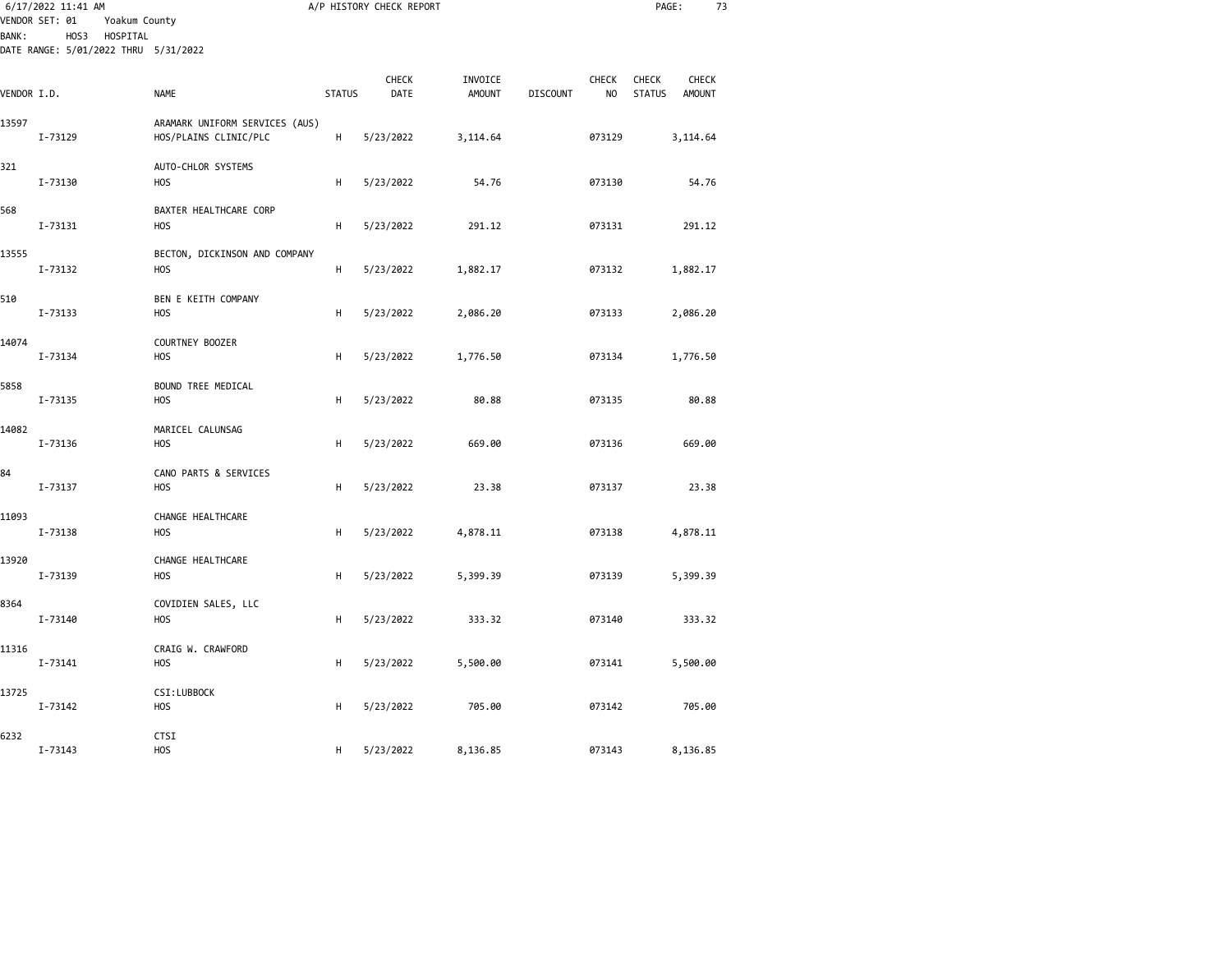|              | 6/17/2022 11:41 AM<br>VENDOR SET: 01<br>Yoakum County    |                                                         |               | A/P HISTORY CHECK REPORT |                          |                 |                    | PAGE:                         | 73                            |
|--------------|----------------------------------------------------------|---------------------------------------------------------|---------------|--------------------------|--------------------------|-----------------|--------------------|-------------------------------|-------------------------------|
| <b>BANK:</b> | HOS3<br>HOSPITAL<br>DATE RANGE: 5/01/2022 THRU 5/31/2022 |                                                         |               |                          |                          |                 |                    |                               |                               |
| VENDOR I.D.  |                                                          | <b>NAME</b>                                             | <b>STATUS</b> | <b>CHECK</b><br>DATE     | INVOICE<br><b>AMOUNT</b> | <b>DISCOUNT</b> | <b>CHECK</b><br>NO | <b>CHECK</b><br><b>STATUS</b> | <b>CHECK</b><br><b>AMOUNT</b> |
| 13597        | I-73129                                                  | ARAMARK UNIFORM SERVICES (AUS)<br>HOS/PLAINS CLINIC/PLC | н             | 5/23/2022                | 3,114.64                 |                 | 073129             |                               | 3,114.64                      |
| 321          | I-73130                                                  | AUTO-CHLOR SYSTEMS<br><b>HOS</b>                        | н             | 5/23/2022                | 54.76                    |                 | 073130             |                               | 54.76                         |
| 568          | I-73131                                                  | BAXTER HEALTHCARE CORP<br><b>HOS</b>                    | н             | 5/23/2022                | 291.12                   |                 | 073131             |                               | 291.12                        |
| 13555        | I-73132                                                  | BECTON, DICKINSON AND COMPANY<br>H <sub>O</sub> S       | н             | 5/23/2022                | 1,882.17                 |                 | 073132             |                               | 1,882.17                      |
| 510          | I-73133                                                  | BEN E KEITH COMPANY<br>HOS                              | н             | 5/23/2022                | 2,086.20                 |                 | 073133             |                               | 2,086.20                      |
| 14074        | I-73134                                                  | COURTNEY BOOZER<br>H <sub>O</sub> S                     | н             | 5/23/2022                | 1,776.50                 |                 | 073134             |                               | 1,776.50                      |
| 5858         | I-73135                                                  | BOUND TREE MEDICAL<br>HOS                               | н             | 5/23/2022                | 80.88                    |                 | 073135             |                               | 80.88                         |
| 14082        | I-73136                                                  | MARICEL CALUNSAG<br><b>HOS</b>                          | н             | 5/23/2022                | 669.00                   |                 | 073136             |                               | 669.00                        |
| 84           | I-73137                                                  | CANO PARTS & SERVICES<br>H <sub>O</sub> S               | н             | 5/23/2022                | 23.38                    |                 | 073137             |                               | 23.38                         |
| 11093        | I-73138                                                  | CHANGE HEALTHCARE<br><b>HOS</b>                         | н             | 5/23/2022                | 4,878.11                 |                 | 073138             |                               | 4,878.11                      |
| 13920        | I-73139                                                  | CHANGE HEALTHCARE<br>H <sub>O</sub> S                   | Н             | 5/23/2022                | 5,399.39                 |                 | 073139             |                               | 5,399.39                      |
| 8364         | I-73140                                                  | COVIDIEN SALES, LLC<br><b>HOS</b>                       | н             | 5/23/2022                | 333.32                   |                 | 073140             |                               | 333.32                        |
| 11316        | I-73141                                                  | CRAIG W. CRAWFORD<br>H <sub>O</sub> S                   | н             | 5/23/2022                | 5,500.00                 |                 | 073141             |                               | 5,500.00                      |
| 13725        | I-73142                                                  | CSI:LUBBOCK<br><b>HOS</b>                               | Н             | 5/23/2022                | 705.00                   |                 | 073142             |                               | 705.00                        |
| 6232         | I-73143                                                  | CTSI<br><b>HOS</b>                                      | н             | 5/23/2022                | 8,136.85                 |                 | 073143             |                               | 8,136.85                      |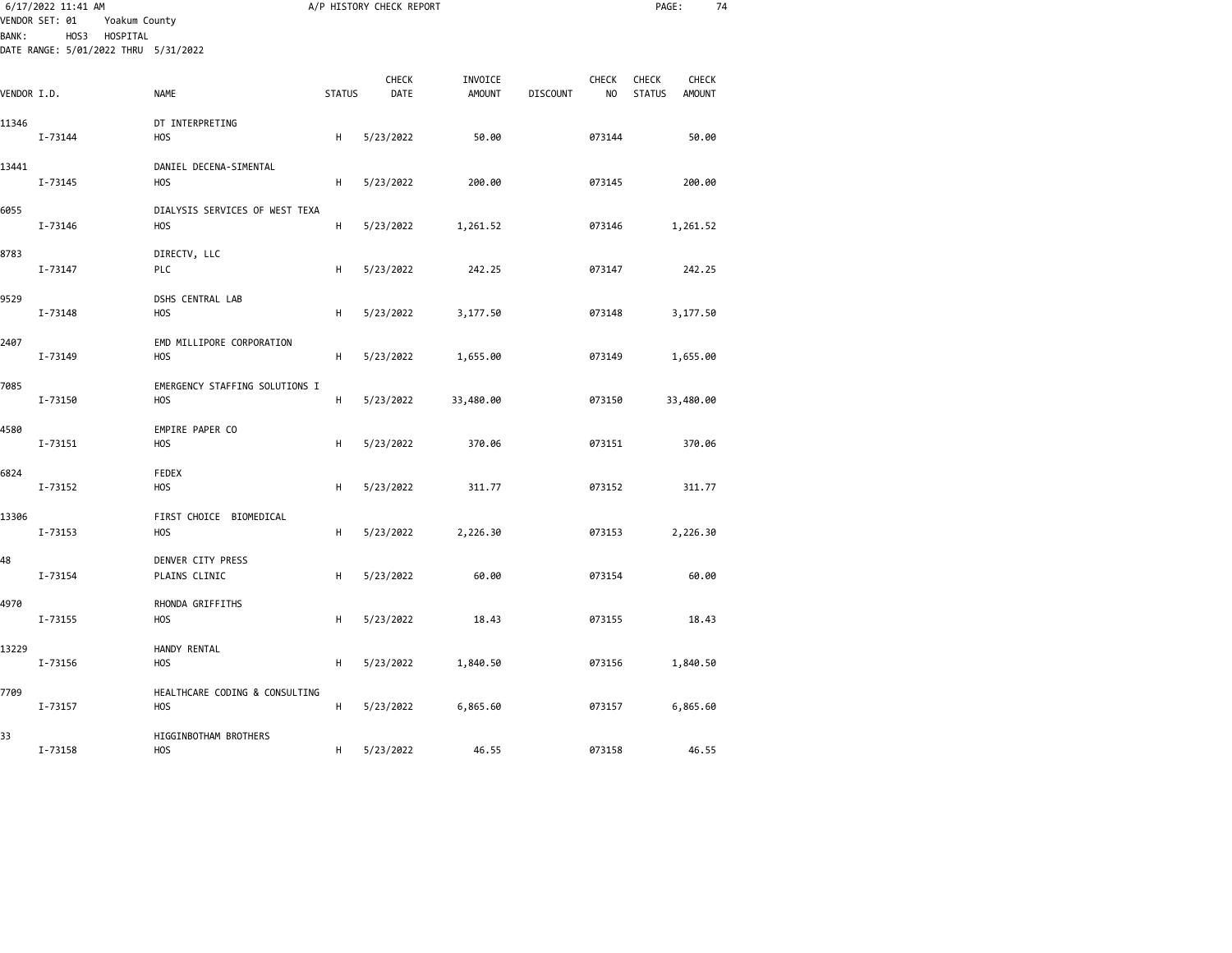| 6/17/2022 11:41 AM<br>VENDOR SET: 01<br>Yoakum County<br>HOSPITAL<br>HOS3<br><b>BANK:</b><br>DATE RANGE: 5/01/2022 THRU 5/31/2022 |         |                                                    |               | A/P HISTORY CHECK REPORT |                          |                 |                    | PAGE:                         | 74                            |  |
|-----------------------------------------------------------------------------------------------------------------------------------|---------|----------------------------------------------------|---------------|--------------------------|--------------------------|-----------------|--------------------|-------------------------------|-------------------------------|--|
|                                                                                                                                   |         |                                                    |               |                          |                          |                 |                    |                               |                               |  |
| VENDOR I.D.                                                                                                                       |         | NAME                                               | <b>STATUS</b> | CHECK<br>DATE            | INVOICE<br><b>AMOUNT</b> | <b>DISCOUNT</b> | <b>CHECK</b><br>NO | <b>CHECK</b><br><b>STATUS</b> | <b>CHECK</b><br><b>AMOUNT</b> |  |
| 11346                                                                                                                             | I-73144 | DT INTERPRETING<br>H <sub>O</sub> S                | Н             | 5/23/2022                | 50.00                    |                 | 073144             |                               | 50.00                         |  |
| 13441                                                                                                                             | I-73145 | DANIEL DECENA-SIMENTAL<br><b>HOS</b>               | Н             | 5/23/2022                | 200.00                   |                 | 073145             |                               | 200.00                        |  |
| 6055                                                                                                                              | I-73146 | DIALYSIS SERVICES OF WEST TEXA<br>H <sub>O</sub> S | Н             | 5/23/2022                | 1,261.52                 |                 | 073146             |                               | 1,261.52                      |  |
| 8783                                                                                                                              | I-73147 | DIRECTV, LLC<br><b>PLC</b>                         | H             | 5/23/2022                | 242.25                   |                 | 073147             |                               | 242.25                        |  |
| 9529                                                                                                                              | I-73148 | DSHS CENTRAL LAB<br>H <sub>O</sub> S               | H             | 5/23/2022                | 3,177.50                 |                 | 073148             |                               | 3,177.50                      |  |
| 2407                                                                                                                              | I-73149 | EMD MILLIPORE CORPORATION<br><b>HOS</b>            | H             | 5/23/2022                | 1,655.00                 |                 | 073149             |                               | 1,655.00                      |  |
| 7085                                                                                                                              | I-73150 | EMERGENCY STAFFING SOLUTIONS I<br>H <sub>O</sub> S | H             | 5/23/2022                | 33,480.00                |                 | 073150             |                               | 33,480.00                     |  |
| 4580                                                                                                                              | I-73151 | EMPIRE PAPER CO<br>H <sub>O</sub> S                | Н             | 5/23/2022                | 370.06                   |                 | 073151             |                               | 370.06                        |  |
| 6824                                                                                                                              | I-73152 | FEDEX<br><b>HOS</b>                                | H             | 5/23/2022                | 311.77                   |                 | 073152             |                               | 311.77                        |  |
| 13306                                                                                                                             | I-73153 | FIRST CHOICE BIOMEDICAL<br>H <sub>O</sub> S        | Н             | 5/23/2022                | 2,226.30                 |                 | 073153             |                               | 2,226.30                      |  |
| 48                                                                                                                                | I-73154 | DENVER CITY PRESS<br>PLAINS CLINIC                 | Н             | 5/23/2022                | 60.00                    |                 | 073154             |                               | 60.00                         |  |
| 4970                                                                                                                              | I-73155 | RHONDA GRIFFITHS<br>H <sub>O</sub> S               | H             | 5/23/2022                | 18.43                    |                 | 073155             |                               | 18.43                         |  |
| 13229                                                                                                                             | I-73156 | HANDY RENTAL<br><b>HOS</b>                         | Н             | 5/23/2022                | 1,840.50                 |                 | 073156             |                               | 1,840.50                      |  |
| 7709                                                                                                                              | I-73157 | HEALTHCARE CODING & CONSULTING<br>H <sub>O</sub> S | H             | 5/23/2022                | 6,865.60                 |                 | 073157             |                               | 6,865.60                      |  |
| 33                                                                                                                                | I-73158 | HIGGINBOTHAM BROTHERS<br><b>HOS</b>                | н             | 5/23/2022                | 46.55                    |                 | 073158             |                               | 46.55                         |  |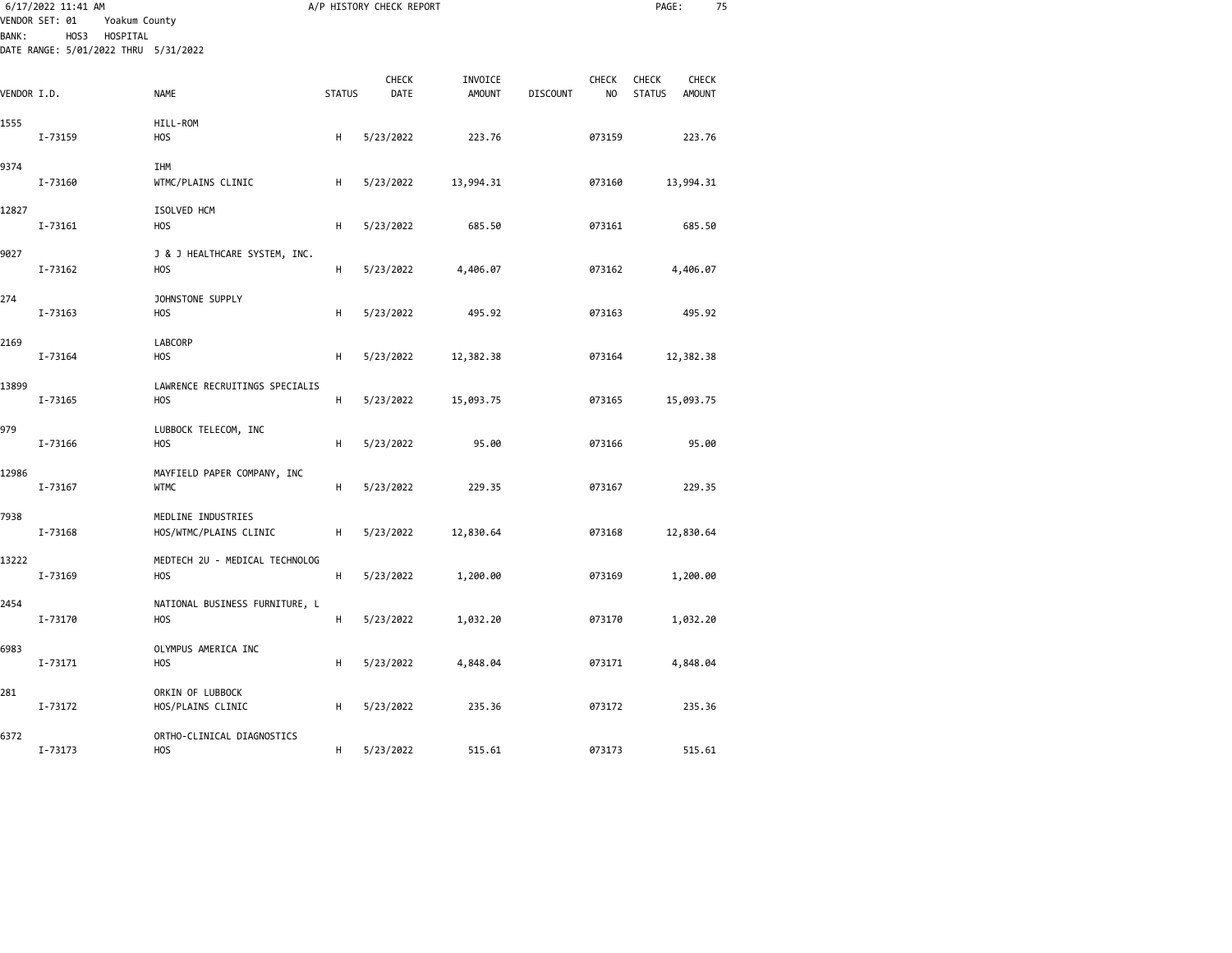| 6/17/2022 11:41 AM<br>VENDOR SET: 01<br>Yoakum County<br>HOS3<br>HOSPITAL<br><b>BANK:</b> |                                      |                                              |               | A/P HISTORY CHECK REPORT |                          |                 |             | PAGE:                  | 75                     |  |
|-------------------------------------------------------------------------------------------|--------------------------------------|----------------------------------------------|---------------|--------------------------|--------------------------|-----------------|-------------|------------------------|------------------------|--|
|                                                                                           | DATE RANGE: 5/01/2022 THRU 5/31/2022 |                                              |               |                          |                          |                 |             |                        |                        |  |
| VENDOR I.D.                                                                               |                                      | <b>NAME</b>                                  | <b>STATUS</b> | CHECK<br>DATE            | INVOICE<br><b>AMOUNT</b> | <b>DISCOUNT</b> | CHECK<br>NO | CHECK<br><b>STATUS</b> | CHECK<br><b>AMOUNT</b> |  |
| 1555                                                                                      | I-73159                              | HILL-ROM<br>HOS                              | н             | 5/23/2022                | 223.76                   |                 | 073159      |                        | 223.76                 |  |
| 9374                                                                                      | I-73160                              | IHM<br>WTMC/PLAINS CLINIC                    | н             | 5/23/2022                | 13,994.31                |                 | 073160      |                        | 13,994.31              |  |
| 12827                                                                                     | I-73161                              | ISOLVED HCM<br><b>HOS</b>                    | H             | 5/23/2022                | 685.50                   |                 | 073161      |                        | 685.50                 |  |
| 9027                                                                                      | I-73162                              | J & J HEALTHCARE SYSTEM, INC.<br><b>HOS</b>  | н             | 5/23/2022                | 4,406.07                 |                 | 073162      |                        | 4,406.07               |  |
| 274                                                                                       | I-73163                              | JOHNSTONE SUPPLY<br>HOS                      | H             | 5/23/2022                | 495.92                   |                 | 073163      |                        | 495.92                 |  |
| 2169                                                                                      | I-73164                              | LABCORP<br><b>HOS</b>                        | н             | 5/23/2022                | 12,382.38                |                 | 073164      |                        | 12,382.38              |  |
| 13899                                                                                     | I-73165                              | LAWRENCE RECRUITINGS SPECIALIS<br><b>HOS</b> | н             | 5/23/2022                | 15,093.75                |                 | 073165      |                        | 15,093.75              |  |
| 979                                                                                       | I-73166                              | LUBBOCK TELECOM, INC<br><b>HOS</b>           | н             | 5/23/2022                | 95.00                    |                 | 073166      |                        | 95.00                  |  |
| 12986                                                                                     | I-73167                              | MAYFIELD PAPER COMPANY, INC<br><b>WTMC</b>   | н             | 5/23/2022                | 229.35                   |                 | 073167      |                        | 229.35                 |  |
| 7938                                                                                      | I-73168                              | MEDLINE INDUSTRIES<br>HOS/WTMC/PLAINS CLINIC | н             | 5/23/2022                | 12,830.64                |                 | 073168      |                        | 12,830.64              |  |
| 13222                                                                                     | I-73169                              | MEDTECH 2U - MEDICAL TECHNOLOG<br><b>HOS</b> | н             | 5/23/2022                | 1,200.00                 |                 | 073169      |                        | 1,200.00               |  |
| 2454                                                                                      | I-73170                              | NATIONAL BUSINESS FURNITURE, L<br><b>HOS</b> | н             | 5/23/2022                | 1,032.20                 |                 | 073170      |                        | 1,032.20               |  |
| 6983                                                                                      | I-73171                              | OLYMPUS AMERICA INC<br>HOS                   | н             | 5/23/2022                | 4,848.04                 |                 | 073171      |                        | 4,848.04               |  |
| 281                                                                                       | I-73172                              | ORKIN OF LUBBOCK<br>HOS/PLAINS CLINIC        | н             | 5/23/2022                | 235.36                   |                 | 073172      |                        | 235.36                 |  |
| 6372                                                                                      | I-73173                              | ORTHO-CLINICAL DIAGNOSTICS<br>HOS            | н             | 5/23/2022                | 515.61                   |                 | 073173      |                        | 515.61                 |  |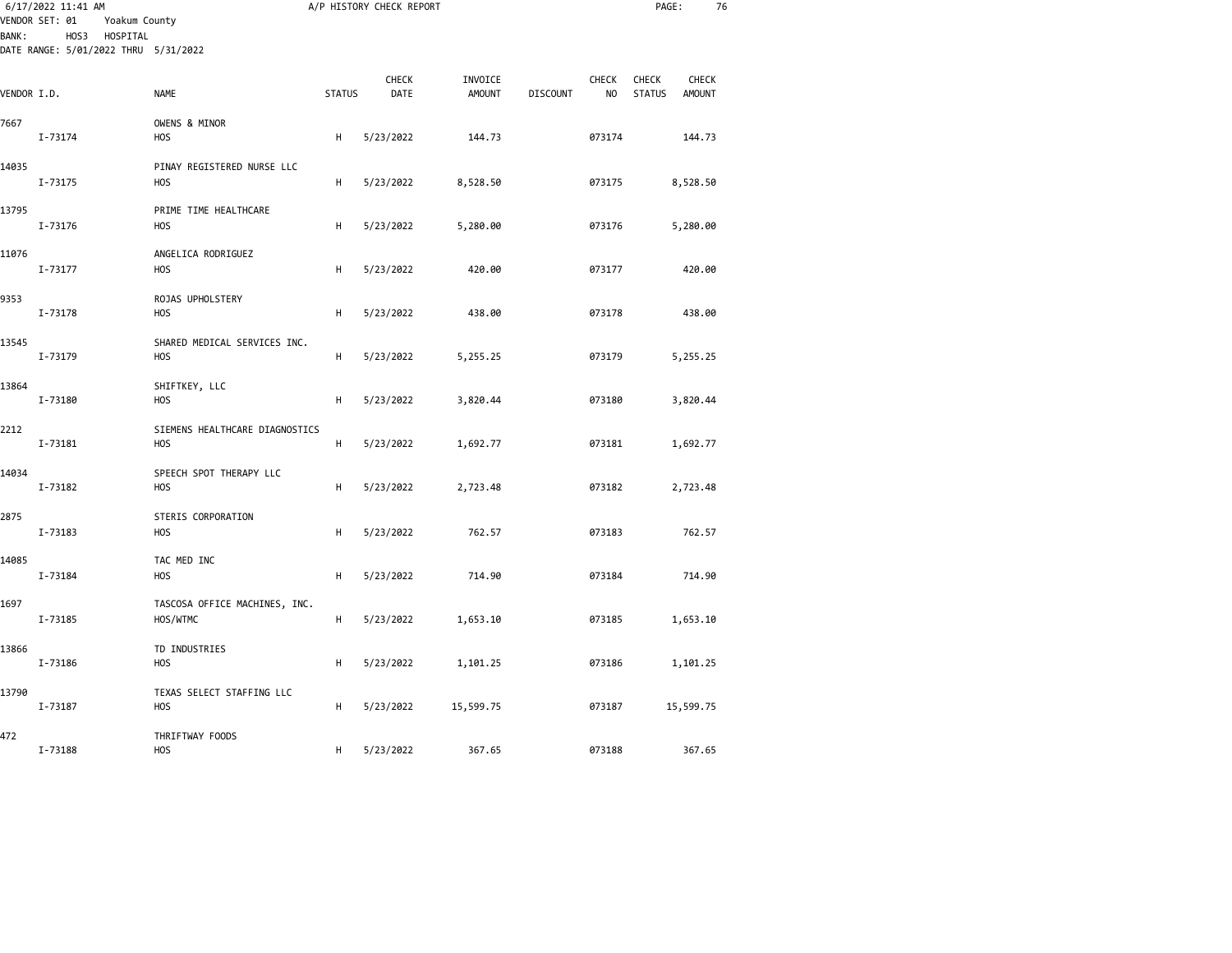| 6/17/2022 11:41 AM<br>VENDOR SET: 01<br>Yoakum County<br>HOS3<br>HOSPITAL<br><b>BANK:</b><br>DATE RANGE: 5/01/2022 THRU 5/31/2022 |         |                                               |               | A/P HISTORY CHECK REPORT |                          |                 |                                | PAGE:                  | 76                     |  |
|-----------------------------------------------------------------------------------------------------------------------------------|---------|-----------------------------------------------|---------------|--------------------------|--------------------------|-----------------|--------------------------------|------------------------|------------------------|--|
|                                                                                                                                   |         |                                               |               |                          |                          |                 |                                |                        |                        |  |
| VENDOR I.D.                                                                                                                       |         | <b>NAME</b>                                   | <b>STATUS</b> | CHECK<br>DATE            | INVOICE<br><b>AMOUNT</b> | <b>DISCOUNT</b> | <b>CHECK</b><br>N <sub>O</sub> | CHECK<br><b>STATUS</b> | CHECK<br><b>AMOUNT</b> |  |
| 7667                                                                                                                              | I-73174 | OWENS & MINOR<br>HOS                          | Н             | 5/23/2022                | 144.73                   |                 | 073174                         |                        | 144.73                 |  |
| 14035                                                                                                                             | I-73175 | PINAY REGISTERED NURSE LLC<br><b>HOS</b>      | Н             | 5/23/2022                | 8,528.50                 |                 | 073175                         |                        | 8,528.50               |  |
| 13795                                                                                                                             | I-73176 | PRIME TIME HEALTHCARE<br>H <sub>O</sub> S     | Н             | 5/23/2022                | 5,280.00                 |                 | 073176                         |                        | 5,280.00               |  |
| 11076                                                                                                                             | I-73177 | ANGELICA RODRIGUEZ<br>H <sub>O</sub> S        | Н             | 5/23/2022                | 420.00                   |                 | 073177                         |                        | 420.00                 |  |
| 9353                                                                                                                              | I-73178 | ROJAS UPHOLSTERY<br>H <sub>O</sub> S          | Н             | 5/23/2022                | 438.00                   |                 | 073178                         |                        | 438.00                 |  |
| 13545                                                                                                                             | I-73179 | SHARED MEDICAL SERVICES INC.<br><b>HOS</b>    | Н             | 5/23/2022                | 5,255.25                 |                 | 073179                         |                        | 5,255.25               |  |
| 13864                                                                                                                             | I-73180 | SHIFTKEY, LLC<br>H <sub>O</sub> S             | н             | 5/23/2022                | 3,820.44                 |                 | 073180                         |                        | 3,820.44               |  |
| 2212                                                                                                                              | I-73181 | SIEMENS HEALTHCARE DIAGNOSTICS<br><b>HOS</b>  | H             | 5/23/2022                | 1,692.77                 |                 | 073181                         |                        | 1,692.77               |  |
| 14034                                                                                                                             | I-73182 | SPEECH SPOT THERAPY LLC<br>H <sub>O</sub> S   | Н             | 5/23/2022                | 2,723.48                 |                 | 073182                         |                        | 2,723.48               |  |
| 2875                                                                                                                              | I-73183 | STERIS CORPORATION<br>H <sub>O</sub> S        | н             | 5/23/2022                | 762.57                   |                 | 073183                         |                        | 762.57                 |  |
| 14085                                                                                                                             | I-73184 | TAC MED INC<br>H <sub>O</sub> S               | H             | 5/23/2022                | 714.90                   |                 | 073184                         |                        | 714.90                 |  |
| 1697                                                                                                                              | I-73185 | TASCOSA OFFICE MACHINES, INC.<br>HOS/WTMC     | H             | 5/23/2022                | 1,653.10                 |                 | 073185                         |                        | 1,653.10               |  |
| 13866                                                                                                                             | I-73186 | TD INDUSTRIES<br><b>HOS</b>                   | Н             | 5/23/2022                | 1,101.25                 |                 | 073186                         |                        | 1,101.25               |  |
| 13790                                                                                                                             | I-73187 | TEXAS SELECT STAFFING LLC<br>H <sub>O</sub> S | н             | 5/23/2022                | 15,599.75                |                 | 073187                         |                        | 15,599.75              |  |
| 472                                                                                                                               | I-73188 | THRIFTWAY FOODS<br><b>HOS</b>                 | н             | 5/23/2022                | 367.65                   |                 | 073188                         |                        | 367.65                 |  |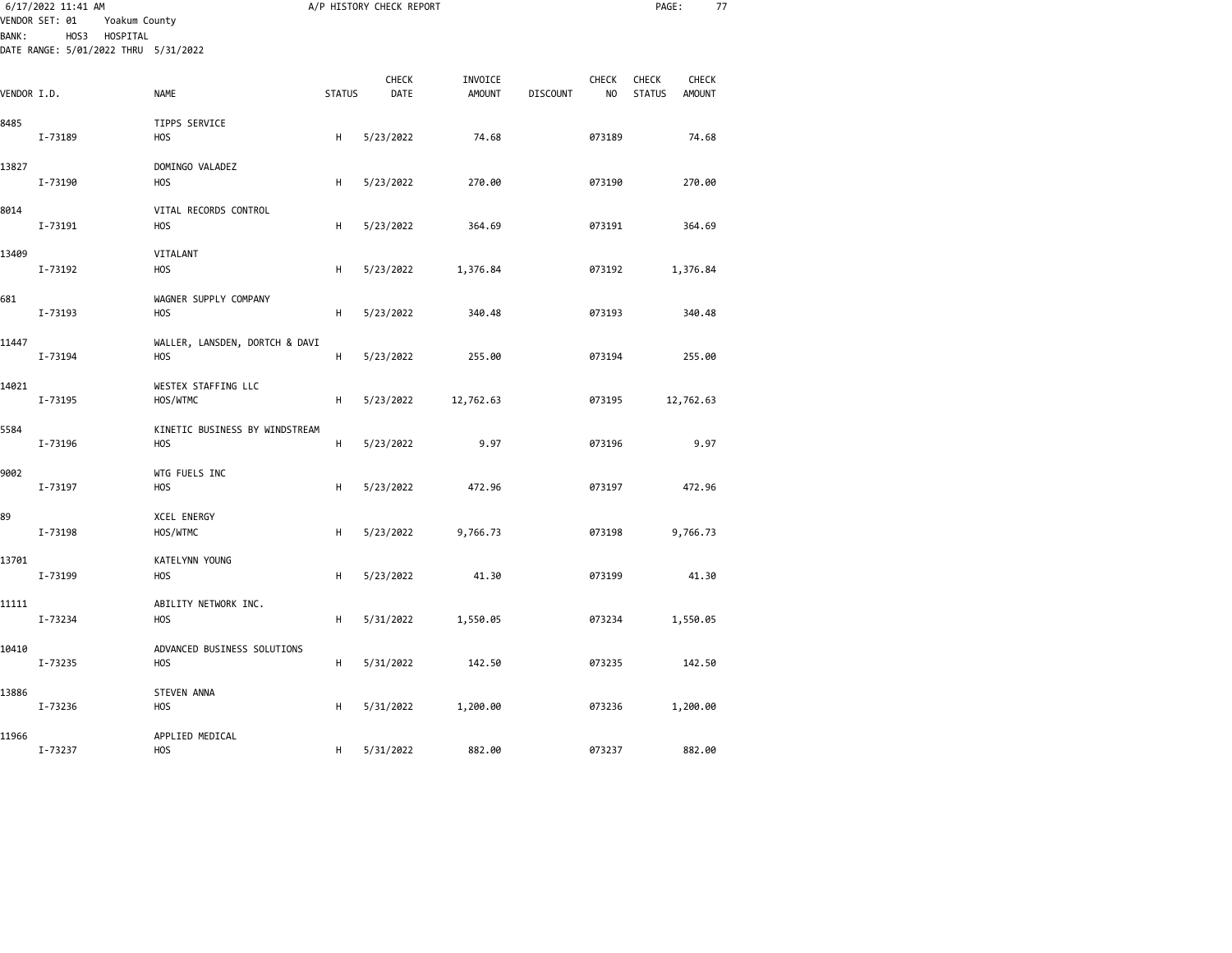|              | 6/17/2022 11:41 AM<br>VENDOR SET: 01<br>Yoakum County<br>HOS3<br>HOSPITAL |                                                    |               | A/P HISTORY CHECK REPORT |                          |                 |                         | PAGE:                         | 77                            |  |
|--------------|---------------------------------------------------------------------------|----------------------------------------------------|---------------|--------------------------|--------------------------|-----------------|-------------------------|-------------------------------|-------------------------------|--|
| <b>BANK:</b> | DATE RANGE: 5/01/2022 THRU 5/31/2022                                      |                                                    |               |                          |                          |                 |                         |                               |                               |  |
| VENDOR I.D.  |                                                                           | <b>NAME</b>                                        | <b>STATUS</b> | CHECK<br>DATE            | INVOICE<br><b>AMOUNT</b> | <b>DISCOUNT</b> | CHECK<br>N <sub>O</sub> | <b>CHECK</b><br><b>STATUS</b> | <b>CHECK</b><br><b>AMOUNT</b> |  |
| 8485         | I-73189                                                                   | TIPPS SERVICE<br><b>HOS</b>                        | H             | 5/23/2022                | 74.68                    |                 | 073189                  |                               | 74.68                         |  |
| 13827        |                                                                           | DOMINGO VALADEZ                                    |               |                          |                          |                 |                         |                               |                               |  |
|              | I-73190                                                                   | <b>HOS</b>                                         | Н             | 5/23/2022                | 270.00                   |                 | 073190                  |                               | 270.00                        |  |
| 8014         | I-73191                                                                   | VITAL RECORDS CONTROL<br>H <sub>O</sub> S          | Н             | 5/23/2022                | 364.69                   |                 | 073191                  |                               | 364.69                        |  |
| 13409        |                                                                           | VITALANT                                           |               |                          |                          |                 |                         |                               |                               |  |
| 681          | I-73192                                                                   | <b>HOS</b><br>WAGNER SUPPLY COMPANY                | Н             | 5/23/2022                | 1,376.84                 |                 | 073192                  |                               | 1,376.84                      |  |
|              | I-73193                                                                   | H <sub>O</sub> S                                   | H             | 5/23/2022                | 340.48                   |                 | 073193                  |                               | 340.48                        |  |
| 11447        | I-73194                                                                   | WALLER, LANSDEN, DORTCH & DAVI<br>H <sub>O</sub> S | H             | 5/23/2022                | 255.00                   |                 | 073194                  |                               | 255.00                        |  |
| 14021        | I-73195                                                                   | WESTEX STAFFING LLC<br>HOS/WTMC                    | Н             | 5/23/2022                | 12,762.63                |                 | 073195                  |                               | 12,762.63                     |  |
| 5584         | I-73196                                                                   | KINETIC BUSINESS BY WINDSTREAM<br><b>HOS</b>       | H             | 5/23/2022                | 9.97                     |                 | 073196                  |                               | 9.97                          |  |
| 9002         | I-73197                                                                   | WTG FUELS INC<br>H <sub>O</sub> S                  | Н             | 5/23/2022                | 472.96                   |                 | 073197                  |                               | 472.96                        |  |
| 89           | I-73198                                                                   | <b>XCEL ENERGY</b><br>HOS/WTMC                     | H             | 5/23/2022                | 9,766.73                 |                 | 073198                  |                               | 9,766.73                      |  |
| 13701        | I-73199                                                                   | KATELYNN YOUNG<br><b>HOS</b>                       | Н             | 5/23/2022                | 41.30                    |                 | 073199                  |                               | 41.30                         |  |
| 11111        | I-73234                                                                   | ABILITY NETWORK INC.<br><b>HOS</b>                 | Н             | 5/31/2022                | 1,550.05                 |                 | 073234                  |                               | 1,550.05                      |  |
| 10410        | I-73235                                                                   | ADVANCED BUSINESS SOLUTIONS<br><b>HOS</b>          | H             | 5/31/2022                | 142.50                   |                 | 073235                  |                               | 142.50                        |  |
| 13886        | I-73236                                                                   | <b>STEVEN ANNA</b><br>H <sub>O</sub> S             | Н             | 5/31/2022                | 1,200.00                 |                 | 073236                  |                               | 1,200.00                      |  |
| 11966        | I-73237                                                                   | APPLIED MEDICAL<br>H <sub>O</sub> S                | н             | 5/31/2022                | 882.00                   |                 | 073237                  |                               | 882.00                        |  |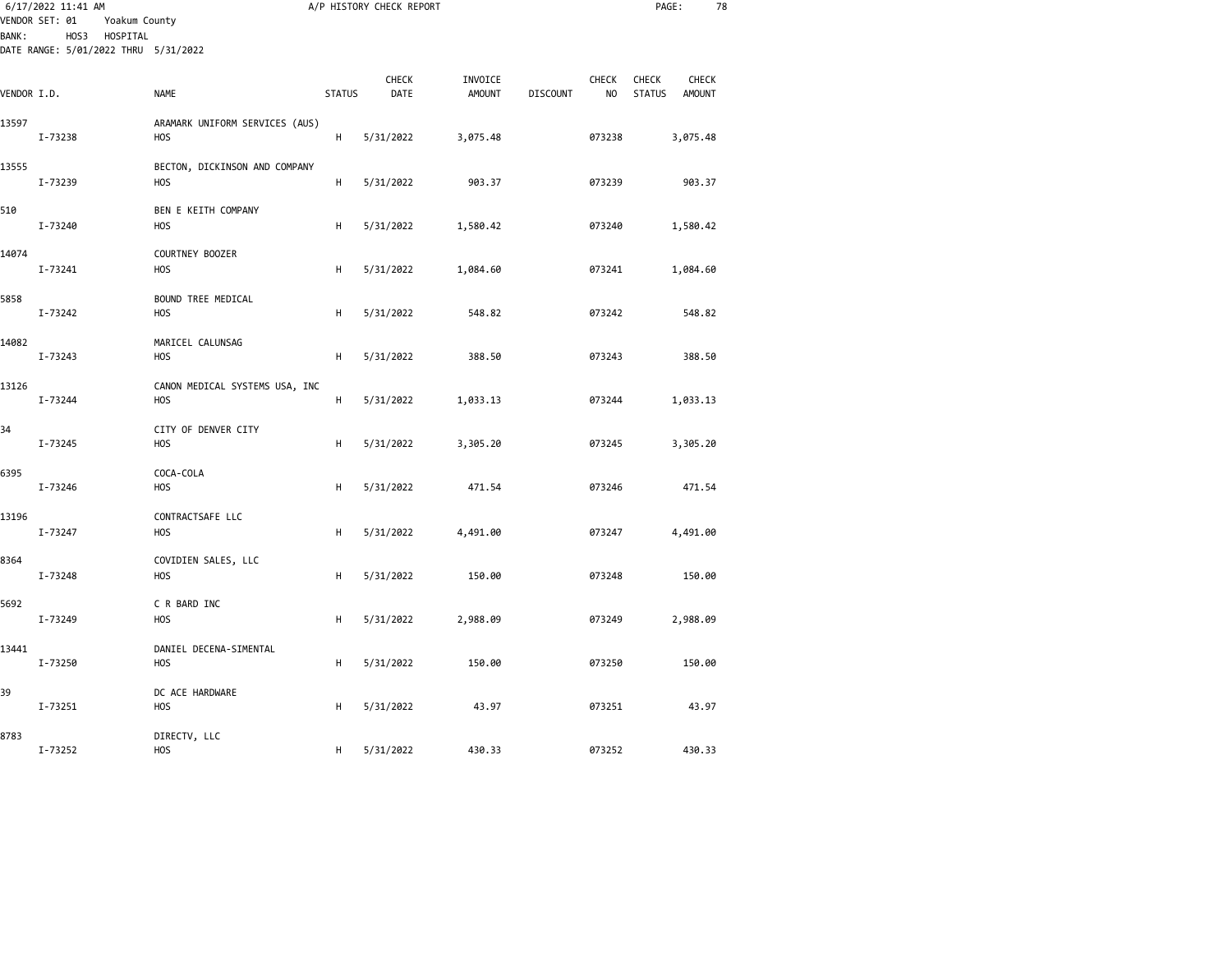| <b>BANK:</b> | 6/17/2022 11:41 AM<br>VENDOR SET: 01<br>Yoakum County<br>HOS3<br>HOSPITAL<br>DATE RANGE: 5/01/2022 THRU 5/31/2022 |                                              |               | A/P HISTORY CHECK REPORT |                          |                 |                     | PAGE:                                            | 78 |
|--------------|-------------------------------------------------------------------------------------------------------------------|----------------------------------------------|---------------|--------------------------|--------------------------|-----------------|---------------------|--------------------------------------------------|----|
| VENDOR I.D.  |                                                                                                                   | <b>NAME</b>                                  | <b>STATUS</b> | CHECK<br>DATE            | INVOICE<br><b>AMOUNT</b> | <b>DISCOUNT</b> | <b>CHECK</b><br>NO. | CHECK<br>CHECK<br><b>STATUS</b><br><b>AMOUNT</b> |    |
| 13597        | I-73238                                                                                                           | ARAMARK UNIFORM SERVICES (AUS)<br>HOS        | H             | 5/31/2022                | 3,075.48                 |                 | 073238              | 3,075.48                                         |    |
| 13555        | I-73239                                                                                                           | BECTON, DICKINSON AND COMPANY<br><b>HOS</b>  | H             | 5/31/2022                | 903.37                   |                 | 073239              | 903.37                                           |    |
| 510          | I-73240                                                                                                           | BEN E KEITH COMPANY<br><b>HOS</b>            | н             | 5/31/2022                | 1,580.42                 |                 | 073240              | 1,580.42                                         |    |
| 14074        | I-73241                                                                                                           | COURTNEY BOOZER<br><b>HOS</b>                | н             | 5/31/2022                | 1,084.60                 |                 | 073241              | 1,084.60                                         |    |
| 5858         | I-73242                                                                                                           | BOUND TREE MEDICAL<br>HOS                    | н             | 5/31/2022                | 548.82                   |                 | 073242              | 548.82                                           |    |
| 14082        | I-73243                                                                                                           | MARICEL CALUNSAG<br><b>HOS</b>               | н             | 5/31/2022                | 388.50                   |                 | 073243              | 388.50                                           |    |
| 13126        | I-73244                                                                                                           | CANON MEDICAL SYSTEMS USA, INC<br><b>HOS</b> | н             | 5/31/2022                | 1,033.13                 |                 | 073244              | 1,033.13                                         |    |
| 34           | I-73245                                                                                                           | CITY OF DENVER CITY<br><b>HOS</b>            | н             | 5/31/2022                | 3,305.20                 |                 | 073245              | 3,305.20                                         |    |
| 6395         | I-73246                                                                                                           | COCA-COLA<br><b>HOS</b>                      | H             | 5/31/2022                | 471.54                   |                 | 073246              | 471.54                                           |    |
| 13196        | I-73247                                                                                                           | CONTRACTSAFE LLC<br><b>HOS</b>               | н             | 5/31/2022                | 4,491.00                 |                 | 073247              | 4,491.00                                         |    |
| 8364         | I-73248                                                                                                           | COVIDIEN SALES, LLC<br><b>HOS</b>            | н             | 5/31/2022                | 150.00                   |                 | 073248              | 150.00                                           |    |
| 5692         | I-73249                                                                                                           | C R BARD INC<br><b>HOS</b>                   | н             | 5/31/2022                | 2,988.09                 |                 | 073249              | 2,988.09                                         |    |
| 13441        | I-73250                                                                                                           | DANIEL DECENA-SIMENTAL<br><b>HOS</b>         | H             | 5/31/2022                | 150.00                   |                 | 073250              | 150.00                                           |    |
| 39           | I-73251                                                                                                           | DC ACE HARDWARE<br><b>HOS</b>                | н             | 5/31/2022                | 43.97                    |                 | 073251              | 43.97                                            |    |
| 8783         | I-73252                                                                                                           | DIRECTV, LLC<br><b>HOS</b>                   | н             | 5/31/2022                | 430.33                   |                 | 073252              | 430.33                                           |    |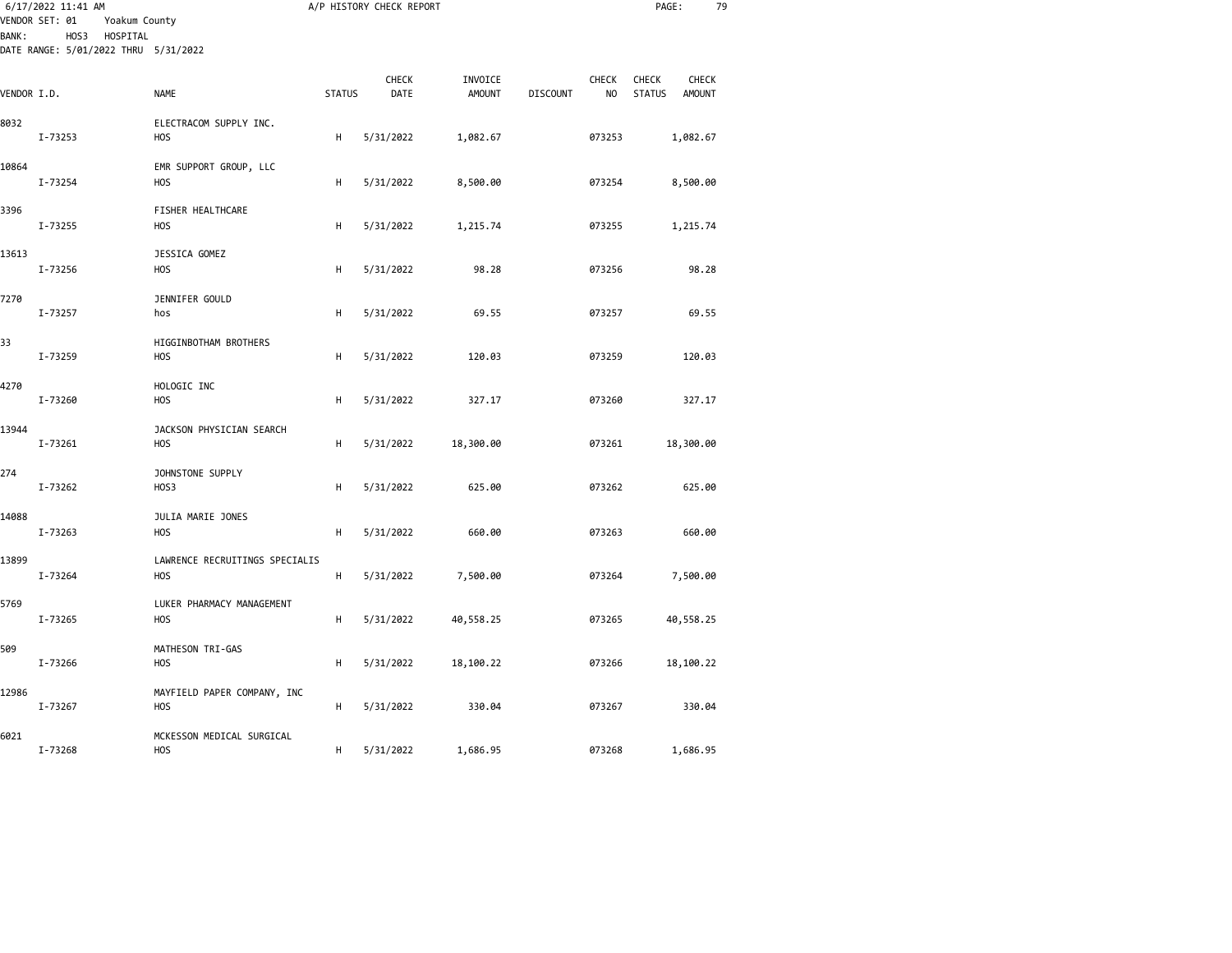| <b>BANK:</b> | 6/17/2022 11:41 AM<br>VENDOR SET: 01<br>Yoakum County<br>HOS3 HOSPITAL |                                               |               | A/P HISTORY CHECK REPORT |                          |                 |             | PAGE:                                     | 79 |
|--------------|------------------------------------------------------------------------|-----------------------------------------------|---------------|--------------------------|--------------------------|-----------------|-------------|-------------------------------------------|----|
|              | DATE RANGE: 5/01/2022 THRU 5/31/2022                                   |                                               |               |                          |                          |                 |             |                                           |    |
| VENDOR I.D.  |                                                                        | <b>NAME</b>                                   | <b>STATUS</b> | CHECK<br>DATE            | INVOICE<br><b>AMOUNT</b> | <b>DISCOUNT</b> | CHECK<br>NO | CHECK<br>CHECK<br><b>STATUS</b><br>AMOUNT |    |
| 8032         | I-73253                                                                | ELECTRACOM SUPPLY INC.<br><b>HOS</b>          | н             | 5/31/2022                | 1,082.67                 |                 | 073253      | 1,082.67                                  |    |
| 10864        | I-73254                                                                | EMR SUPPORT GROUP, LLC<br>H <sub>O</sub> S    | н             | 5/31/2022                | 8,500.00                 |                 | 073254      | 8,500.00                                  |    |
| 3396         | I-73255                                                                | FISHER HEALTHCARE<br>H <sub>O</sub> S         | н             | 5/31/2022                | 1,215.74                 |                 | 073255      | 1,215.74                                  |    |
| 13613        | I-73256                                                                | JESSICA GOMEZ<br><b>HOS</b>                   | н             | 5/31/2022                | 98.28                    |                 | 073256      | 98.28                                     |    |
| 7270         | I-73257                                                                | JENNIFER GOULD<br>hos                         | н             | 5/31/2022                | 69.55                    |                 | 073257      | 69.55                                     |    |
| 33           | I-73259                                                                | HIGGINBOTHAM BROTHERS<br><b>HOS</b>           | н             | 5/31/2022                | 120.03                   |                 | 073259      | 120.03                                    |    |
| 4270         | I-73260                                                                | HOLOGIC INC<br><b>HOS</b>                     | н             | 5/31/2022                | 327.17                   |                 | 073260      | 327.17                                    |    |
| 13944        | I-73261                                                                | JACKSON PHYSICIAN SEARCH<br><b>HOS</b>        | н             | 5/31/2022                | 18,300.00                |                 | 073261      | 18,300.00                                 |    |
| 274          | I-73262                                                                | JOHNSTONE SUPPLY<br>HOS3                      | н             | 5/31/2022                | 625.00                   |                 | 073262      | 625.00                                    |    |
| 14088        | I-73263                                                                | JULIA MARIE JONES<br><b>HOS</b>               | н             | 5/31/2022                | 660.00                   |                 | 073263      | 660.00                                    |    |
| 13899        | I-73264                                                                | LAWRENCE RECRUITINGS SPECIALIS<br><b>HOS</b>  | н             | 5/31/2022                | 7,500.00                 |                 | 073264      | 7,500.00                                  |    |
| 5769         | I-73265                                                                | LUKER PHARMACY MANAGEMENT<br>H <sub>O</sub> S | н             | 5/31/2022                | 40,558.25                |                 | 073265      | 40,558.25                                 |    |
| 509          | I-73266                                                                | MATHESON TRI-GAS<br><b>HOS</b>                | H             | 5/31/2022                | 18,100.22                |                 | 073266      | 18,100.22                                 |    |
| 12986        | I-73267                                                                | MAYFIELD PAPER COMPANY, INC<br><b>HOS</b>     | н             | 5/31/2022                | 330.04                   |                 | 073267      | 330.04                                    |    |
| 6021         | I-73268                                                                | MCKESSON MEDICAL SURGICAL<br>H <sub>O</sub> S | н             | 5/31/2022                | 1,686.95                 |                 | 073268      | 1,686.95                                  |    |
|              |                                                                        |                                               |               |                          |                          |                 |             |                                           |    |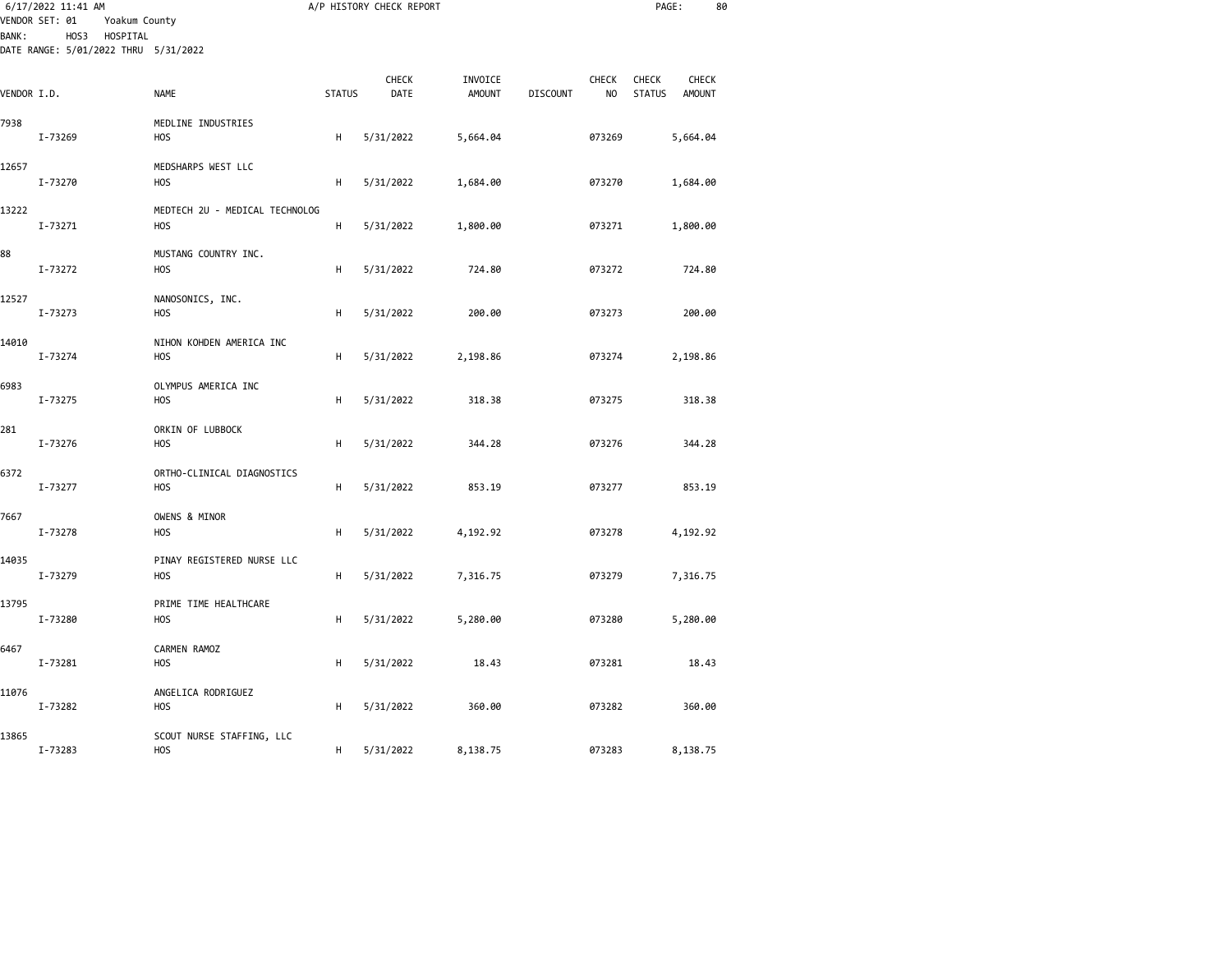|              | 6/17/2022 11:41 AM<br>VENDOR SET: 01<br>Yoakum County |                                                    |               | A/P HISTORY CHECK REPORT |                          |                                 |                                     | PAGE:                  | 80 |
|--------------|-------------------------------------------------------|----------------------------------------------------|---------------|--------------------------|--------------------------|---------------------------------|-------------------------------------|------------------------|----|
| <b>BANK:</b> | HOS3 HOSPITAL<br>DATE RANGE: 5/01/2022 THRU 5/31/2022 |                                                    |               |                          |                          |                                 |                                     |                        |    |
| VENDOR I.D.  |                                                       | <b>NAME</b>                                        | <b>STATUS</b> | <b>CHECK</b><br>DATE     | INVOICE<br><b>AMOUNT</b> | <b>CHECK</b><br><b>DISCOUNT</b> | <b>CHECK</b><br>NO<br><b>STATUS</b> | <b>CHECK</b><br>AMOUNT |    |
| 7938         | I-73269                                               | MEDLINE INDUSTRIES<br><b>HOS</b>                   | н             | 5/31/2022                | 5,664.04                 | 073269                          |                                     | 5,664.04               |    |
| 12657        | I-73270                                               | MEDSHARPS WEST LLC<br>H <sub>O</sub> S             | н             | 5/31/2022                | 1,684.00                 | 073270                          |                                     | 1,684.00               |    |
| 13222        | I-73271                                               | MEDTECH 2U - MEDICAL TECHNOLOG<br>H <sub>O</sub> S | н             | 5/31/2022                | 1,800.00                 | 073271                          |                                     | 1,800.00               |    |
| 88           | I-73272                                               | MUSTANG COUNTRY INC.<br>H <sub>O</sub> S           | н             | 5/31/2022                | 724.80                   | 073272                          |                                     | 724.80                 |    |
| 12527        | I-73273                                               | NANOSONICS, INC.<br><b>HOS</b>                     | н             | 5/31/2022                | 200.00                   | 073273                          |                                     | 200.00                 |    |
| 14010        | I-73274                                               | NIHON KOHDEN AMERICA INC<br>H <sub>O</sub> S       | н             | 5/31/2022                | 2,198.86                 | 073274                          |                                     | 2,198.86               |    |
| 6983         | I-73275                                               | OLYMPUS AMERICA INC<br><b>HOS</b>                  | н             | 5/31/2022                | 318.38                   | 073275                          |                                     | 318.38                 |    |
| 281          | I-73276                                               | ORKIN OF LUBBOCK<br>H <sub>O</sub> S               | н             | 5/31/2022                | 344.28                   | 073276                          |                                     | 344.28                 |    |
| 6372         | I-73277                                               | ORTHO-CLINICAL DIAGNOSTICS<br><b>HOS</b>           | н             | 5/31/2022                | 853.19                   | 073277                          |                                     | 853.19                 |    |
| 7667         | I-73278                                               | OWENS & MINOR<br>H <sub>O</sub> S                  | н             | 5/31/2022                | 4,192.92                 | 073278                          |                                     | 4,192.92               |    |
| 14035        | I-73279                                               | PINAY REGISTERED NURSE LLC<br>H <sub>O</sub> S     | н             | 5/31/2022                | 7,316.75                 | 073279                          |                                     | 7,316.75               |    |
| 13795        | I-73280                                               | PRIME TIME HEALTHCARE<br>H <sub>O</sub> S          | н             | 5/31/2022                | 5,280.00                 | 073280                          |                                     | 5,280.00               |    |
| 6467         | I-73281                                               | CARMEN RAMOZ<br><b>HOS</b>                         | н             | 5/31/2022                | 18.43                    | 073281                          |                                     | 18.43                  |    |
| 11076        | I-73282                                               | ANGELICA RODRIGUEZ<br>H <sub>O</sub> S             | н             | 5/31/2022                | 360.00                   | 073282                          |                                     | 360.00                 |    |
| 13865        | I-73283                                               | SCOUT NURSE STAFFING, LLC<br><b>HOS</b>            | н             | 5/31/2022                | 8,138.75                 | 073283                          |                                     | 8,138.75               |    |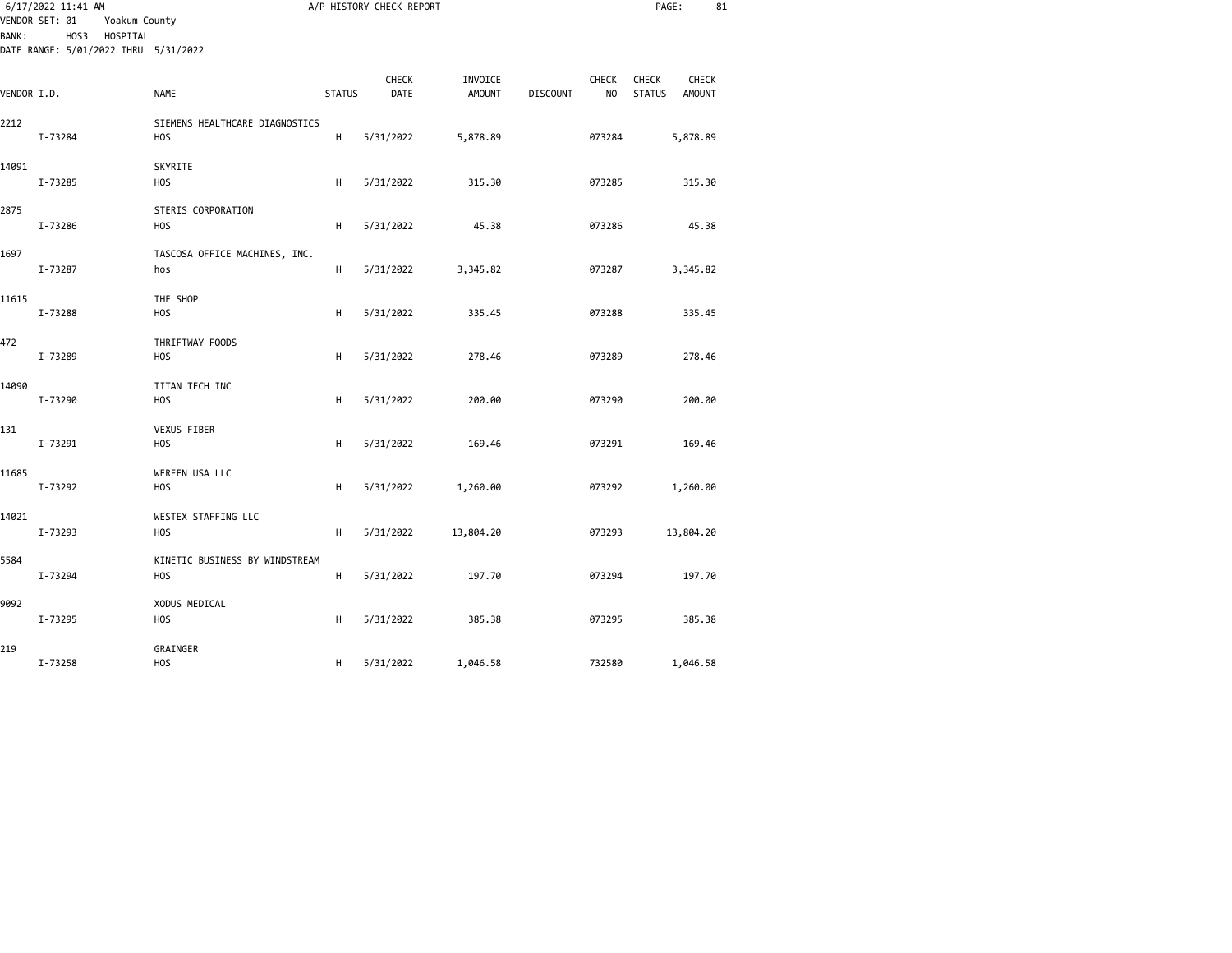|              | 6/17/2022 11:41 AM                                                                          |                                              |               | A/P HISTORY CHECK REPORT |                          |                 |                                | PAGE:                         |                               | 81 |
|--------------|---------------------------------------------------------------------------------------------|----------------------------------------------|---------------|--------------------------|--------------------------|-----------------|--------------------------------|-------------------------------|-------------------------------|----|
| <b>BANK:</b> | VENDOR SET: 01<br>Yoakum County<br>HOS3<br>HOSPITAL<br>DATE RANGE: 5/01/2022 THRU 5/31/2022 |                                              |               |                          |                          |                 |                                |                               |                               |    |
| VENDOR I.D.  |                                                                                             | <b>NAME</b>                                  | <b>STATUS</b> | CHECK<br>DATE            | INVOICE<br><b>AMOUNT</b> | <b>DISCOUNT</b> | <b>CHECK</b><br>N <sub>O</sub> | <b>CHECK</b><br><b>STATUS</b> | <b>CHECK</b><br><b>AMOUNT</b> |    |
| 2212         | I-73284                                                                                     | SIEMENS HEALTHCARE DIAGNOSTICS<br><b>HOS</b> | н             | 5/31/2022                | 5,878.89                 |                 | 073284                         |                               | 5,878.89                      |    |
| 14091        | I-73285                                                                                     | SKYRITE<br><b>HOS</b>                        | Н             | 5/31/2022                | 315.30                   |                 | 073285                         |                               | 315.30                        |    |
| 2875         | I-73286                                                                                     | STERIS CORPORATION<br><b>HOS</b>             | Н             | 5/31/2022                | 45.38                    |                 | 073286                         |                               | 45.38                         |    |
| 1697         | I-73287                                                                                     | TASCOSA OFFICE MACHINES, INC.<br>hos         | H             | 5/31/2022                | 3,345.82                 |                 | 073287                         |                               | 3,345.82                      |    |
| 11615        | I-73288                                                                                     | THE SHOP<br><b>HOS</b>                       | Н             | 5/31/2022                | 335.45                   |                 | 073288                         |                               | 335.45                        |    |
| 472          | I-73289                                                                                     | THRIFTWAY FOODS<br>H <sub>O</sub> S          | Н             | 5/31/2022                | 278.46                   |                 | 073289                         |                               | 278.46                        |    |
| 14090        | I-73290                                                                                     | TITAN TECH INC<br>H <sub>O</sub> S           | Н             | 5/31/2022                | 200.00                   |                 | 073290                         |                               | 200.00                        |    |
| 131          | I-73291                                                                                     | VEXUS FIBER<br><b>HOS</b>                    | Н             | 5/31/2022                | 169.46                   |                 | 073291                         |                               | 169.46                        |    |
| 11685        | I-73292                                                                                     | WERFEN USA LLC<br><b>HOS</b>                 | Н             | 5/31/2022                | 1,260.00                 |                 | 073292                         |                               | 1,260.00                      |    |
| 14021        | I-73293                                                                                     | WESTEX STAFFING LLC<br><b>HOS</b>            | Н             | 5/31/2022                | 13,804.20                |                 | 073293                         |                               | 13,804.20                     |    |
| 5584         | I-73294                                                                                     | KINETIC BUSINESS BY WINDSTREAM<br><b>HOS</b> | Н             | 5/31/2022                | 197.70                   |                 | 073294                         |                               | 197.70                        |    |
| 9092         | I-73295                                                                                     | XODUS MEDICAL<br><b>HOS</b>                  | Н             | 5/31/2022                | 385.38                   |                 | 073295                         |                               | 385.38                        |    |
| 219          | I-73258                                                                                     | GRAINGER<br><b>HOS</b>                       | н             | 5/31/2022                | 1,046.58                 |                 | 732580                         |                               | 1,046.58                      |    |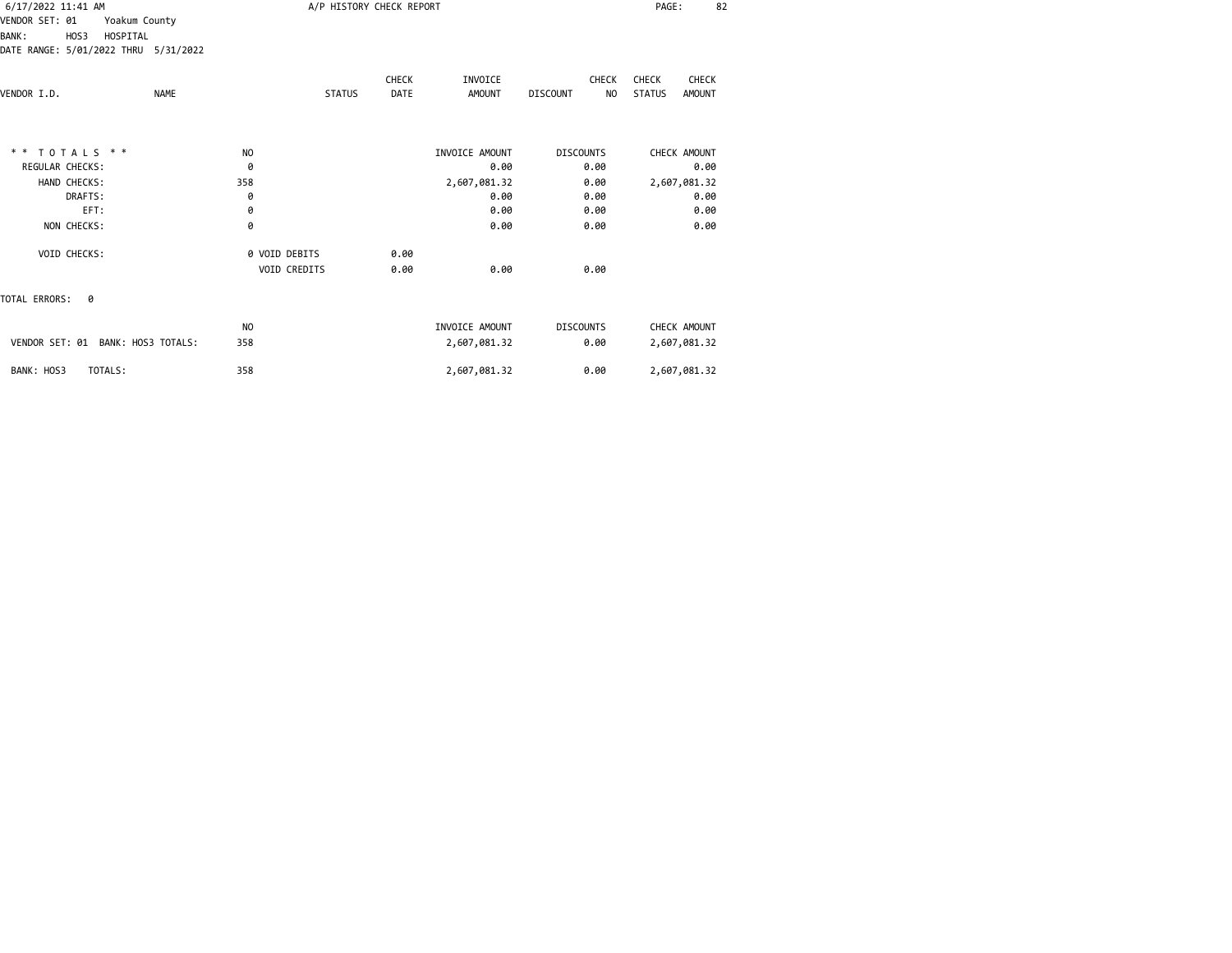| 6/17/2022 11:41 AM<br>VENDOR SET: 01<br>Yoakum County<br>HOS3<br>HOSPITAL<br><b>BANK:</b><br>DATE RANGE: 5/01/2022 THRU 5/31/2022 |                                    | A/P HISTORY CHECK REPORT |                                | PAGE:<br>82                           |                                                  |  |
|-----------------------------------------------------------------------------------------------------------------------------------|------------------------------------|--------------------------|--------------------------------|---------------------------------------|--------------------------------------------------|--|
| VENDOR I.D.<br><b>NAME</b>                                                                                                        | <b>STATUS</b>                      | <b>CHECK</b><br>DATE     | INVOICE<br><b>AMOUNT</b>       | <b>CHECK</b><br><b>DISCOUNT</b><br>NO | CHECK<br>CHECK<br><b>STATUS</b><br><b>AMOUNT</b> |  |
| ** TOTALS **<br><b>REGULAR CHECKS:</b>                                                                                            | N <sub>O</sub><br>0                |                          | INVOICE AMOUNT<br>0.00         | <b>DISCOUNTS</b><br>0.00              | CHECK AMOUNT<br>0.00                             |  |
| HAND CHECKS:<br>DRAFTS:<br>EFT:                                                                                                   | 358<br>0<br>0                      |                          | 2,607,081.32<br>0.00<br>0.00   | 0.00<br>0.00<br>0.00                  | 2,607,081.32<br>0.00<br>0.00                     |  |
| NON CHECKS:<br>VOID CHECKS:                                                                                                       | 0<br>0 VOID DEBITS<br>VOID CREDITS | 0.00<br>0.00             | 0.00<br>0.00                   | 0.00<br>0.00                          | 0.00                                             |  |
| TOTAL ERRORS:<br>0                                                                                                                |                                    |                          |                                |                                       |                                                  |  |
| VENDOR SET: 01 BANK: HOS3 TOTALS:                                                                                                 | N <sub>O</sub><br>358              |                          | INVOICE AMOUNT<br>2,607,081.32 | <b>DISCOUNTS</b><br>0.00              | CHECK AMOUNT<br>2,607,081.32                     |  |
| BANK: HOS3<br>TOTALS:                                                                                                             | 358                                |                          | 2,607,081.32                   | 0.00                                  | 2,607,081.32                                     |  |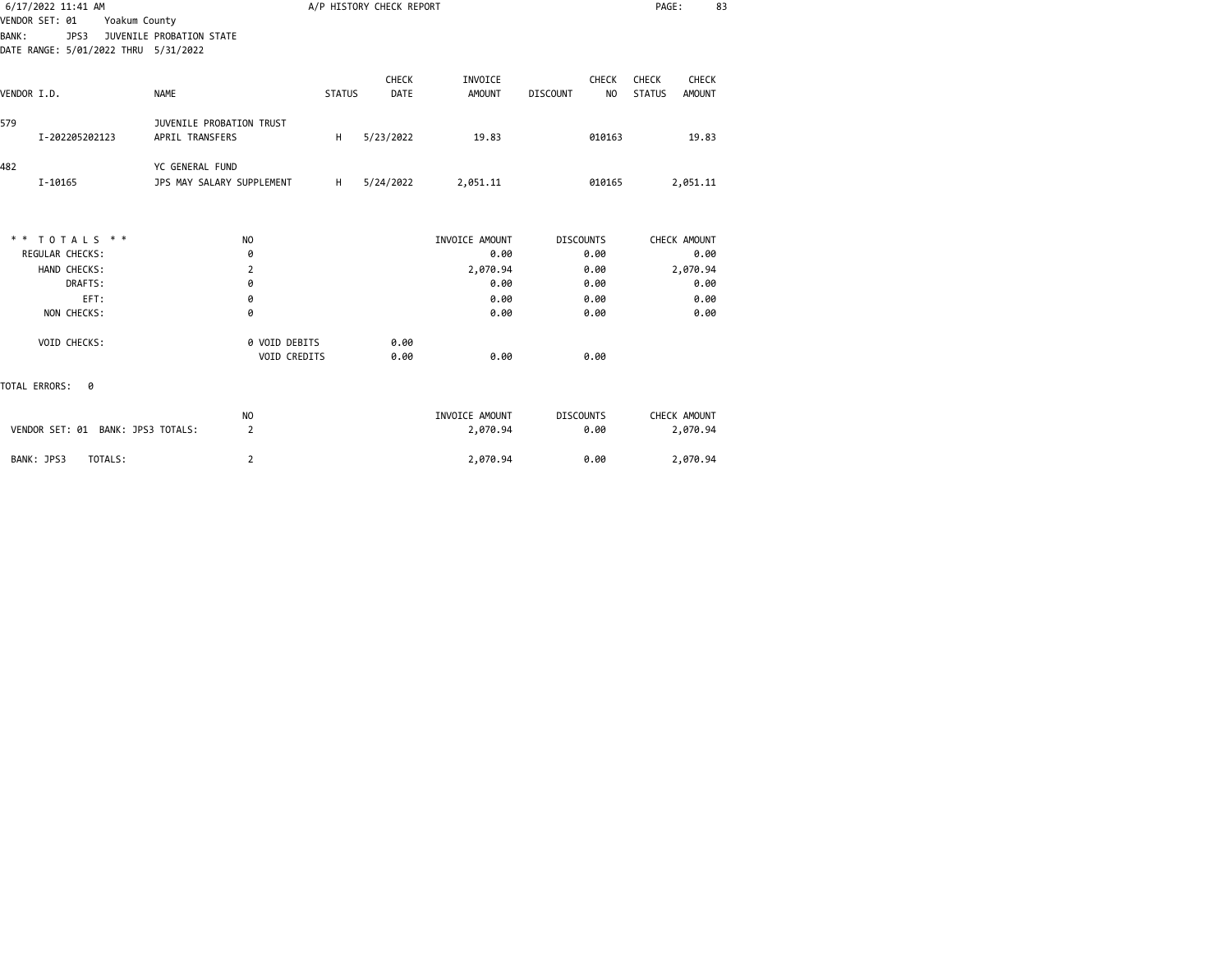| 6/17/2022 11:41 AM                                                                              |                                                    |               | A/P HISTORY CHECK REPORT |                          |                                       | PAGE:                                                   | 83 |
|-------------------------------------------------------------------------------------------------|----------------------------------------------------|---------------|--------------------------|--------------------------|---------------------------------------|---------------------------------------------------------|----|
| VENDOR SET: 01<br>Yoakum County<br>JPS3<br><b>BANK:</b><br>DATE RANGE: 5/01/2022 THRU 5/31/2022 | JUVENILE PROBATION STATE                           |               |                          |                          |                                       |                                                         |    |
| VENDOR I.D.                                                                                     | <b>NAME</b>                                        | <b>STATUS</b> | CHECK<br><b>DATE</b>     | INVOICE<br><b>AMOUNT</b> | <b>CHECK</b><br><b>DISCOUNT</b><br>NO | <b>CHECK</b><br><b>CHECK</b><br><b>STATUS</b><br>AMOUNT |    |
| 579<br>I-202205202123                                                                           | <b>JUVENILE PROBATION TRUST</b><br>APRIL TRANSFERS | н             | 5/23/2022                | 19.83                    | 010163                                | 19.83                                                   |    |
| 482<br>I-10165                                                                                  | YC GENERAL FUND<br>JPS MAY SALARY SUPPLEMENT       | H             | 5/24/2022                | 2,051.11                 | 010165                                | 2,051.11                                                |    |
| TOTALS * *<br>* *                                                                               | N <sub>O</sub>                                     |               |                          | INVOICE AMOUNT           | <b>DISCOUNTS</b>                      | CHECK AMOUNT                                            |    |
| REGULAR CHECKS:                                                                                 | 0                                                  |               |                          | 0.00                     | 0.00                                  | 0.00                                                    |    |
| HAND CHECKS:                                                                                    | $\overline{2}$                                     |               |                          | 2,070.94                 | 0.00                                  | 2,070.94                                                |    |
| DRAFTS:                                                                                         | 0                                                  |               |                          | 0.00                     | 0.00                                  | 0.00                                                    |    |
| EFT:<br>NON CHECKS:                                                                             | 0<br>0                                             |               |                          | 0.00<br>0.00             | 0.00<br>0.00                          | 0.00<br>0.00                                            |    |
| VOID CHECKS:                                                                                    | 0 VOID DEBITS<br>VOID CREDITS                      |               | 0.00<br>0.00             | 0.00                     | 0.00                                  |                                                         |    |
| TOTAL ERRORS:<br>0                                                                              |                                                    |               |                          |                          |                                       |                                                         |    |
|                                                                                                 | N <sub>O</sub>                                     |               |                          | INVOICE AMOUNT           | <b>DISCOUNTS</b>                      | CHECK AMOUNT                                            |    |
| VENDOR SET: 01 BANK: JPS3 TOTALS:                                                               | $\overline{2}$                                     |               |                          | 2,070.94                 | 0.00                                  | 2,070.94                                                |    |
| BANK: JPS3<br>TOTALS:                                                                           | $\overline{2}$                                     |               |                          | 2,070.94                 | 0.00                                  | 2,070.94                                                |    |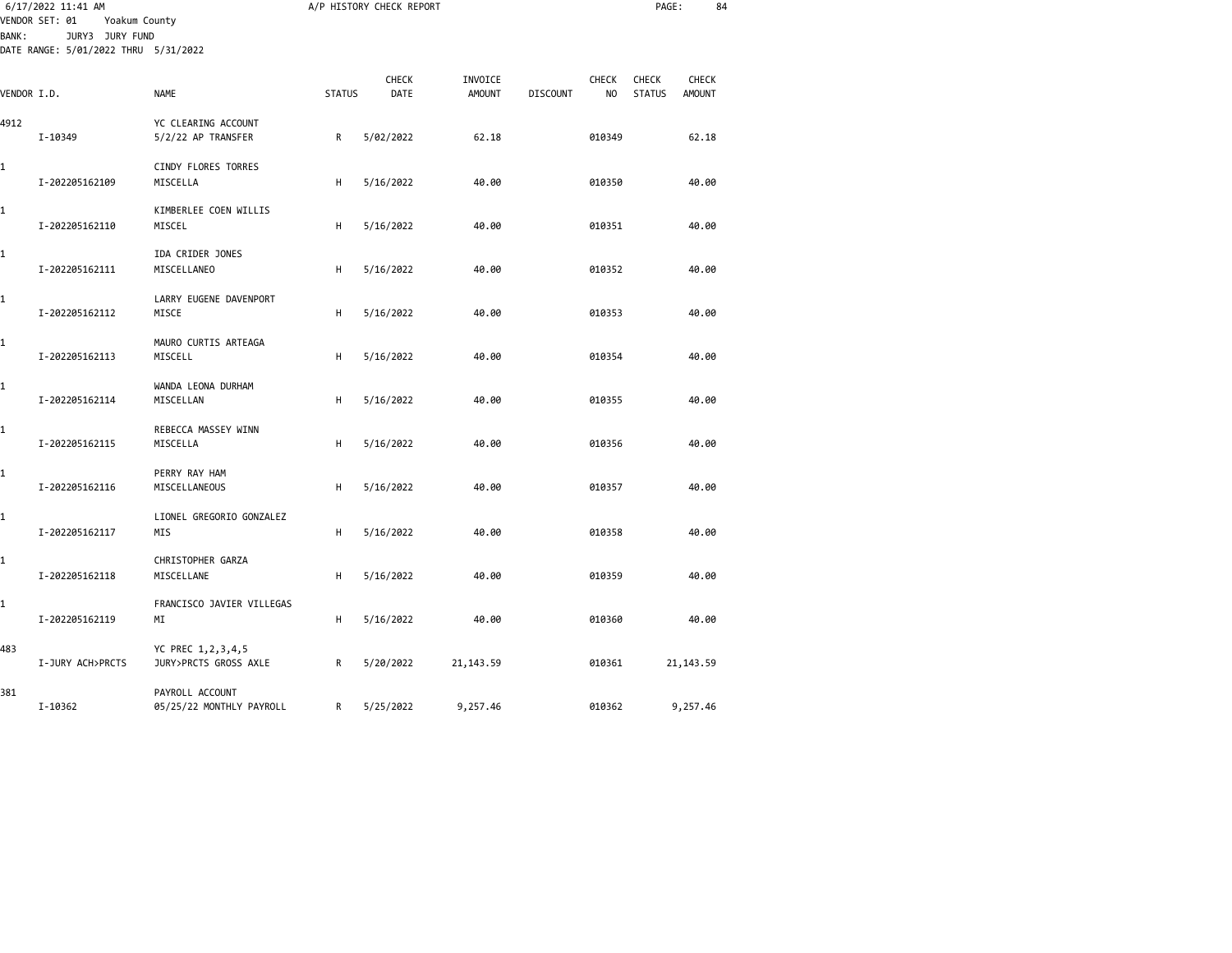| <b>BANK:</b> | 6/17/2022 11:41 AM<br>VENDOR SET: 01<br>Yoakum County<br>JURY3 JURY FUND<br>DATE RANGE: 5/01/2022 THRU 5/31/2022 |                                             |               | A/P HISTORY CHECK REPORT |               |                 |                | PAGE:         | 84            |  |
|--------------|------------------------------------------------------------------------------------------------------------------|---------------------------------------------|---------------|--------------------------|---------------|-----------------|----------------|---------------|---------------|--|
|              |                                                                                                                  |                                             |               | CHECK                    | INVOICE       |                 | <b>CHECK</b>   | <b>CHECK</b>  | <b>CHECK</b>  |  |
| VENDOR I.D.  |                                                                                                                  | <b>NAME</b>                                 | <b>STATUS</b> | DATE                     | <b>AMOUNT</b> | <b>DISCOUNT</b> | N <sub>O</sub> | <b>STATUS</b> | <b>AMOUNT</b> |  |
| 4912         | I-10349                                                                                                          | YC CLEARING ACCOUNT<br>5/2/22 AP TRANSFER   | R             | 5/02/2022                | 62.18         |                 | 010349         |               | 62.18         |  |
| 1            | I-202205162109                                                                                                   | CINDY FLORES TORRES<br>MISCELLA             | н             | 5/16/2022                | 40.00         |                 | 010350         |               | 40.00         |  |
| 1            | I-202205162110                                                                                                   | KIMBERLEE COEN WILLIS<br>MISCEL             | н             | 5/16/2022                | 40.00         |                 | 010351         |               | 40.00         |  |
| 1            | I-202205162111                                                                                                   | IDA CRIDER JONES<br>MISCELLANEO             | н             | 5/16/2022                | 40.00         |                 | 010352         |               | 40.00         |  |
| 1            | I-202205162112                                                                                                   | LARRY EUGENE DAVENPORT<br>MISCE             | H             | 5/16/2022                | 40.00         |                 | 010353         |               | 40.00         |  |
| 1            | I-202205162113                                                                                                   | MAURO CURTIS ARTEAGA<br>MISCELL             | H             | 5/16/2022                | 40.00         |                 | 010354         |               | 40.00         |  |
| 1            | I-202205162114                                                                                                   | WANDA LEONA DURHAM<br>MISCELLAN             | н             | 5/16/2022                | 40.00         |                 | 010355         |               | 40.00         |  |
| 1            | I-202205162115                                                                                                   | REBECCA MASSEY WINN<br>MISCELLA             | H             | 5/16/2022                | 40.00         |                 | 010356         |               | 40.00         |  |
| 1            | I-202205162116                                                                                                   | PERRY RAY HAM<br>MISCELLANEOUS              | H             | 5/16/2022                | 40.00         |                 | 010357         |               | 40.00         |  |
| 1            | I-202205162117                                                                                                   | LIONEL GREGORIO GONZALEZ<br>MIS             | н             | 5/16/2022                | 40.00         |                 | 010358         |               | 40.00         |  |
| 1            | I-202205162118                                                                                                   | CHRISTOPHER GARZA<br>MISCELLANE             | H             | 5/16/2022                | 40.00         |                 | 010359         |               | 40.00         |  |
| 1            | I-202205162119                                                                                                   | FRANCISCO JAVIER VILLEGAS<br>ΜI             | H             | 5/16/2022                | 40.00         |                 | 010360         |               | 40.00         |  |
| 483          | I-JURY ACH>PRCTS                                                                                                 | YC PREC 1,2,3,4,5<br>JURY>PRCTS GROSS AXLE  | R             | 5/20/2022                | 21, 143.59    |                 | 010361         |               | 21, 143.59    |  |
| 381          | I-10362                                                                                                          | PAYROLL ACCOUNT<br>05/25/22 MONTHLY PAYROLL | R             | 5/25/2022                | 9,257.46      |                 | 010362         |               | 9,257.46      |  |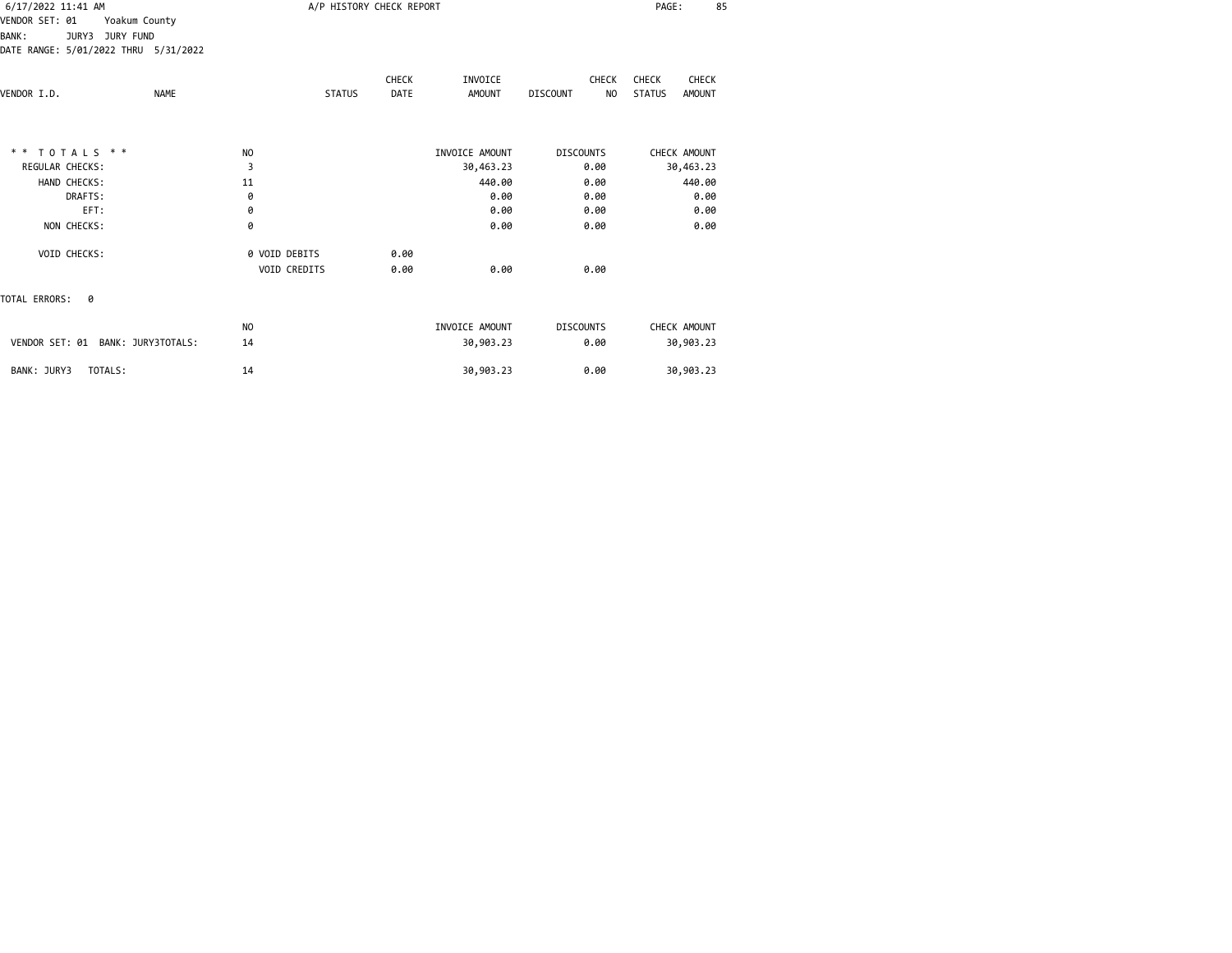| 6/17/2022 11:41 AM |                                      |               |               | A/P HISTORY CHECK REPORT |                |                            | PAGE:<br>85             |  |
|--------------------|--------------------------------------|---------------|---------------|--------------------------|----------------|----------------------------|-------------------------|--|
| VENDOR SET: 01     | Yoakum County                        |               |               |                          |                |                            |                         |  |
| <b>BANK:</b>       | JURY3 JURY FUND                      |               |               |                          |                |                            |                         |  |
|                    | DATE RANGE: 5/01/2022 THRU 5/31/2022 |               |               |                          |                |                            |                         |  |
|                    |                                      |               |               | CHECK                    | INVOICE        | <b>CHECK</b>               | CHECK<br>CHECK          |  |
| VENDOR I.D.        | <b>NAME</b>                          |               | <b>STATUS</b> | DATE                     | <b>AMOUNT</b>  | DISCOUNT<br>N <sub>O</sub> | <b>STATUS</b><br>AMOUNT |  |
|                    |                                      |               |               |                          |                |                            |                         |  |
|                    | $* * TOTALS **$                      | NO            |               |                          | INVOICE AMOUNT | <b>DISCOUNTS</b>           | CHECK AMOUNT            |  |
| REGULAR CHECKS:    |                                      | 3             |               |                          | 30,463.23      | 0.00                       | 30,463.23               |  |
|                    | HAND CHECKS:                         | 11            |               |                          | 440.00         | 0.00                       | 440.00                  |  |
|                    | DRAFTS:                              | 0             |               |                          | 0.00           | 0.00                       | 0.00                    |  |
|                    | EFT:                                 | 0             |               |                          | 0.00           | 0.00                       | 0.00                    |  |
|                    | NON CHECKS:                          | 0             |               |                          | 0.00           | 0.00                       | 0.00                    |  |
|                    | VOID CHECKS:                         | 0 VOID DEBITS |               | 0.00                     |                |                            |                         |  |
|                    |                                      | VOID CREDITS  |               | 0.00                     | 0.00           | 0.00                       |                         |  |
| TOTAL ERRORS: 0    |                                      |               |               |                          |                |                            |                         |  |
|                    |                                      | NO            |               |                          | INVOICE AMOUNT | <b>DISCOUNTS</b>           | CHECK AMOUNT            |  |
|                    | VENDOR SET: 01 BANK: JURY3TOTALS:    | 14            |               |                          | 30,903.23      | 0.00                       | 30,903.23               |  |
| BANK: JURY3        | TOTALS:                              | 14            |               |                          | 30,903.23      | 0.00                       | 30,903.23               |  |
|                    |                                      |               |               |                          |                |                            |                         |  |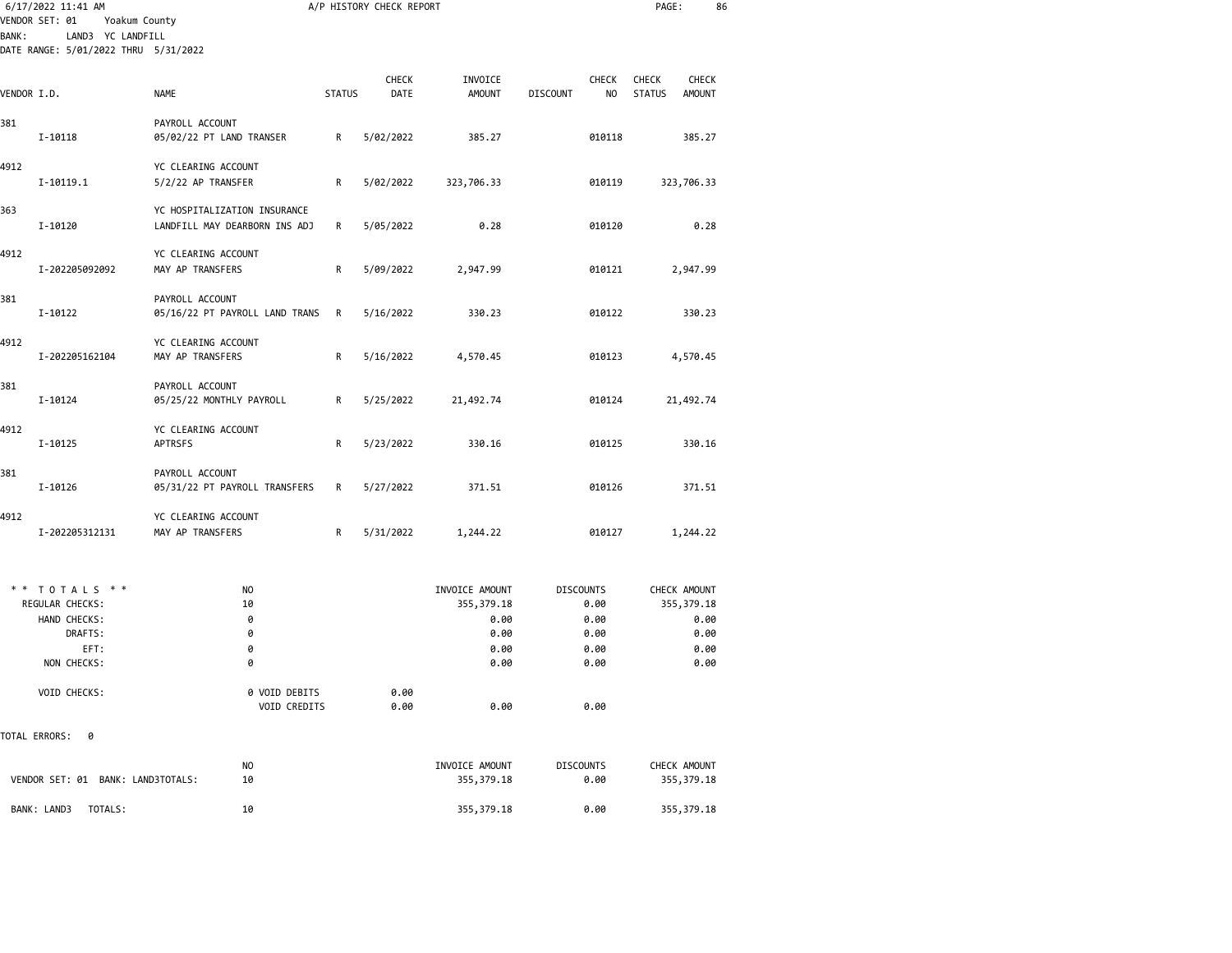| 6/17/2022 11:41 AM                                                                          |                                                               |               | A/P HISTORY CHECK REPORT |                                                               |                                                          | PAGE:                                                          | 86                           |
|---------------------------------------------------------------------------------------------|---------------------------------------------------------------|---------------|--------------------------|---------------------------------------------------------------|----------------------------------------------------------|----------------------------------------------------------------|------------------------------|
| VENDOR SET: 01<br>LAND3 YC LANDFILL<br><b>BANK:</b><br>DATE RANGE: 5/01/2022 THRU 5/31/2022 | Yoakum County                                                 |               |                          |                                                               |                                                          |                                                                |                              |
| VENDOR I.D.                                                                                 | <b>NAME</b>                                                   | <b>STATUS</b> | <b>CHECK</b><br>DATE     | INVOICE<br><b>AMOUNT</b>                                      | <b>CHECK</b><br><b>DISCOUNT</b><br>NO                    | <b>CHECK</b><br><b>CHECK</b><br><b>STATUS</b><br><b>AMOUNT</b> |                              |
| 381<br>I-10118                                                                              | PAYROLL ACCOUNT<br>05/02/22 PT LAND TRANSER                   | R             | 5/02/2022                | 385.27                                                        | 010118                                                   | 385.27                                                         |                              |
| 4912<br>I-10119.1                                                                           | YC CLEARING ACCOUNT<br>5/2/22 AP TRANSFER                     | R             | 5/02/2022                | 323,706.33                                                    | 010119                                                   | 323,706.33                                                     |                              |
| 363<br>I-10120                                                                              | YC HOSPITALIZATION INSURANCE<br>LANDFILL MAY DEARBORN INS ADJ | R             | 5/05/2022                | 0.28                                                          | 010120                                                   |                                                                | 0.28                         |
| 4912<br>I-202205092092                                                                      | YC CLEARING ACCOUNT<br>MAY AP TRANSFERS                       | R             | 5/09/2022                | 2,947.99                                                      | 010121                                                   | 2,947.99                                                       |                              |
| 381<br>I-10122                                                                              | PAYROLL ACCOUNT<br>05/16/22 PT PAYROLL LAND TRANS             | R             | 5/16/2022                | 330.23                                                        | 010122                                                   | 330.23                                                         |                              |
| 4912<br>I-202205162104                                                                      | YC CLEARING ACCOUNT<br>MAY AP TRANSFERS                       | R             | 5/16/2022                | 4,570.45                                                      | 010123                                                   | 4,570.45                                                       |                              |
| 381<br>I-10124                                                                              | PAYROLL ACCOUNT<br>05/25/22 MONTHLY PAYROLL                   | R             | 5/25/2022                | 21,492.74                                                     | 010124                                                   | 21,492.74                                                      |                              |
| 4912<br>I-10125                                                                             | YC CLEARING ACCOUNT<br>APTRSFS                                | R             | 5/23/2022                | 330.16                                                        | 010125                                                   | 330.16                                                         |                              |
| 381<br>I-10126                                                                              | PAYROLL ACCOUNT<br>05/31/22 PT PAYROLL TRANSFERS              | R             | 5/27/2022                | 371.51                                                        | 010126                                                   | 371.51                                                         |                              |
| 4912<br>I-202205312131                                                                      | YC CLEARING ACCOUNT<br>MAY AP TRANSFERS                       | R             | 5/31/2022                | 1,244.22                                                      | 010127                                                   | 1,244.22                                                       |                              |
| TOTALS * *<br>* *<br>REGULAR CHECKS:<br>HAND CHECKS:<br>DRAFTS:<br>EFT:<br>NON CHECKS:      | NO.<br>10<br>0<br>0<br>0<br>0                                 |               |                          | INVOICE AMOUNT<br>355, 379.18<br>0.00<br>0.00<br>0.00<br>0.00 | <b>DISCOUNTS</b><br>0.00<br>0.00<br>0.00<br>0.00<br>0.00 | CHECK AMOUNT<br>355, 379.18                                    | 0.00<br>0.00<br>0.00<br>0.00 |
| VOID CHECKS:                                                                                | 0 VOID DEBITS<br>VOID CREDITS                                 |               | 0.00<br>0.00             | 0.00                                                          | 0.00                                                     |                                                                |                              |
| TOTAL ERRORS:<br>0                                                                          |                                                               |               |                          |                                                               |                                                          |                                                                |                              |
| VENDOR SET: 01 BANK: LAND3TOTALS:                                                           | NO.<br>10                                                     |               |                          | INVOICE AMOUNT<br>355, 379.18                                 | <b>DISCOUNTS</b><br>0.00                                 | CHECK AMOUNT<br>355, 379.18                                    |                              |
| BANK: LAND3<br>TOTALS:                                                                      | 10                                                            |               |                          | 355, 379.18                                                   | 0.00                                                     | 355, 379.18                                                    |                              |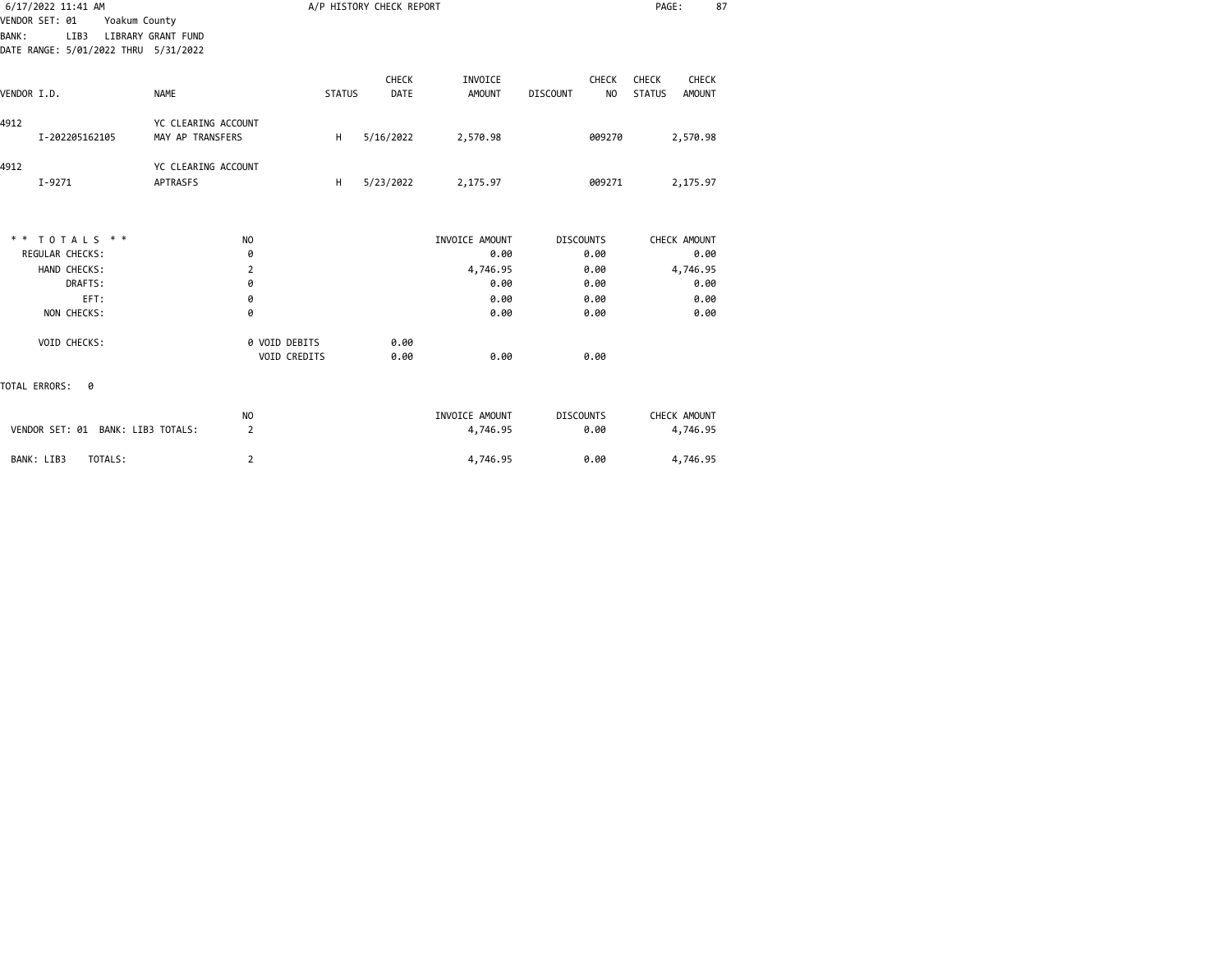|              | 6/17/2022 11:41 AM                   |                     |               | A/P HISTORY CHECK REPORT |                |                                   | PAGE:                          | 87 |
|--------------|--------------------------------------|---------------------|---------------|--------------------------|----------------|-----------------------------------|--------------------------------|----|
|              | VENDOR SET: 01<br>Yoakum County      |                     |               |                          |                |                                   |                                |    |
| <b>BANK:</b> | LIB3                                 | LIBRARY GRANT FUND  |               |                          |                |                                   |                                |    |
|              | DATE RANGE: 5/01/2022 THRU 5/31/2022 |                     |               |                          |                |                                   |                                |    |
|              |                                      |                     |               | <b>CHECK</b>             | INVOICE        | <b>CHECK</b>                      | <b>CHECK</b><br><b>CHECK</b>   |    |
| VENDOR I.D.  |                                      | <b>NAME</b>         | <b>STATUS</b> | <b>DATE</b>              | <b>AMOUNT</b>  | <b>DISCOUNT</b><br>N <sub>O</sub> | <b>STATUS</b><br><b>AMOUNT</b> |    |
| 4912         |                                      | YC CLEARING ACCOUNT |               |                          |                |                                   |                                |    |
|              | I-202205162105                       | MAY AP TRANSFERS    | н             | 5/16/2022                | 2,570.98       | 009270                            | 2,570.98                       |    |
| 4912         |                                      | YC CLEARING ACCOUNT |               |                          |                |                                   |                                |    |
|              | $I - 9271$                           | <b>APTRASFS</b>     | H             | 5/23/2022                | 2,175.97       | 009271                            | 2,175.97                       |    |
|              |                                      |                     |               |                          |                |                                   |                                |    |
|              | ** TOTALS **                         | NO.                 |               |                          | INVOICE AMOUNT | <b>DISCOUNTS</b>                  | CHECK AMOUNT                   |    |
|              | <b>REGULAR CHECKS:</b>               | 0                   |               |                          | 0.00           | 0.00                              | 0.00                           |    |
|              | HAND CHECKS:                         | 2                   |               |                          | 4,746.95       | 0.00                              | 4,746.95                       |    |
|              | DRAFTS:                              | 0                   |               |                          | 0.00           | 0.00                              | 0.00                           |    |
|              | EFT:                                 | 0                   |               |                          | 0.00           | 0.00                              | 0.00                           |    |
|              | NON CHECKS:                          | 0                   |               |                          | 0.00           | 0.00                              | 0.00                           |    |
|              | VOID CHECKS:                         | 0 VOID DEBITS       |               | 0.00                     |                |                                   |                                |    |
|              |                                      | VOID CREDITS        |               | 0.00                     | 0.00           | 0.00                              |                                |    |
|              | TOTAL ERRORS:<br>0                   |                     |               |                          |                |                                   |                                |    |
|              |                                      | NO.                 |               |                          | INVOICE AMOUNT | <b>DISCOUNTS</b>                  | CHECK AMOUNT                   |    |
|              | VENDOR SET: 01 BANK: LIB3 TOTALS:    | $\overline{2}$      |               |                          | 4,746.95       | 0.00                              | 4,746.95                       |    |
|              | TOTALS:<br>BANK: LIB3                | 2                   |               |                          | 4,746.95       | 0.00                              | 4,746.95                       |    |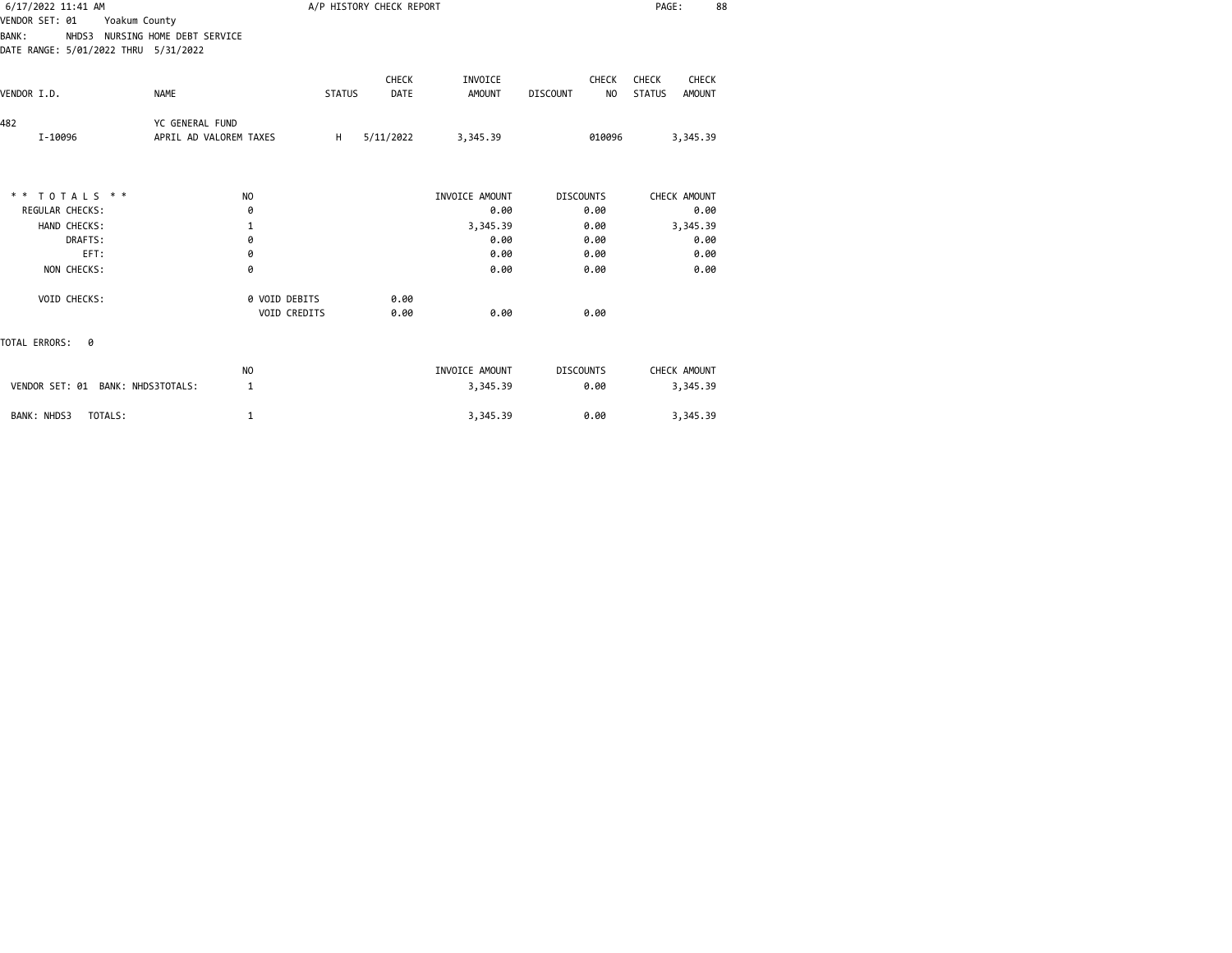| 6/17/2022 11:41 AM                   |                                 |               | A/P HISTORY CHECK REPORT |                |                                   | PAGE:<br>88                    |
|--------------------------------------|---------------------------------|---------------|--------------------------|----------------|-----------------------------------|--------------------------------|
| VENDOR SET: 01<br>Yoakum County      |                                 |               |                          |                |                                   |                                |
| <b>BANK:</b>                         | NHDS3 NURSING HOME DEBT SERVICE |               |                          |                |                                   |                                |
| DATE RANGE: 5/01/2022 THRU 5/31/2022 |                                 |               |                          |                |                                   |                                |
|                                      |                                 |               | <b>CHECK</b>             | INVOICE        | <b>CHECK</b>                      | CHECK<br>CHECK                 |
| VENDOR I.D.                          | <b>NAME</b>                     | <b>STATUS</b> | DATE                     | <b>AMOUNT</b>  | N <sub>O</sub><br><b>DISCOUNT</b> | <b>STATUS</b><br><b>AMOUNT</b> |
| 482                                  | YC GENERAL FUND                 |               |                          |                |                                   |                                |
| I-10096                              | APRIL AD VALOREM TAXES          | H             | 5/11/2022                | 3,345.39       | 010096                            | 3,345.39                       |
|                                      |                                 |               |                          |                |                                   |                                |
| ** TOTALS **                         | N <sub>O</sub>                  |               |                          | INVOICE AMOUNT | <b>DISCOUNTS</b>                  | CHECK AMOUNT                   |
| <b>REGULAR CHECKS:</b>               | 0                               |               |                          | 0.00           | 0.00                              | 0.00                           |
| HAND CHECKS:                         | 1                               |               |                          | 3,345.39       | 0.00                              | 3,345.39                       |
| DRAFTS:                              | 0                               |               |                          | 0.00           | 0.00                              | 0.00                           |
| EFT:                                 | 0                               |               |                          | 0.00           | 0.00                              | 0.00                           |
| NON CHECKS:                          | 0                               |               |                          | 0.00           | 0.00                              | 0.00                           |
| VOID CHECKS:                         | 0 VOID DEBITS                   |               | 0.00                     |                |                                   |                                |
|                                      | VOID CREDITS                    |               | 0.00                     | 0.00           | 0.00                              |                                |
| TOTAL ERRORS:<br>ø                   |                                 |               |                          |                |                                   |                                |
|                                      | NO.                             |               |                          | INVOICE AMOUNT | <b>DISCOUNTS</b>                  | CHECK AMOUNT                   |
| VENDOR SET: 01 BANK: NHDS3TOTALS:    | 1                               |               |                          | 3,345.39       | 0.00                              | 3,345.39                       |
| BANK: NHDS3<br>TOTALS:               | 1                               |               |                          | 3,345.39       | 0.00                              | 3,345.39                       |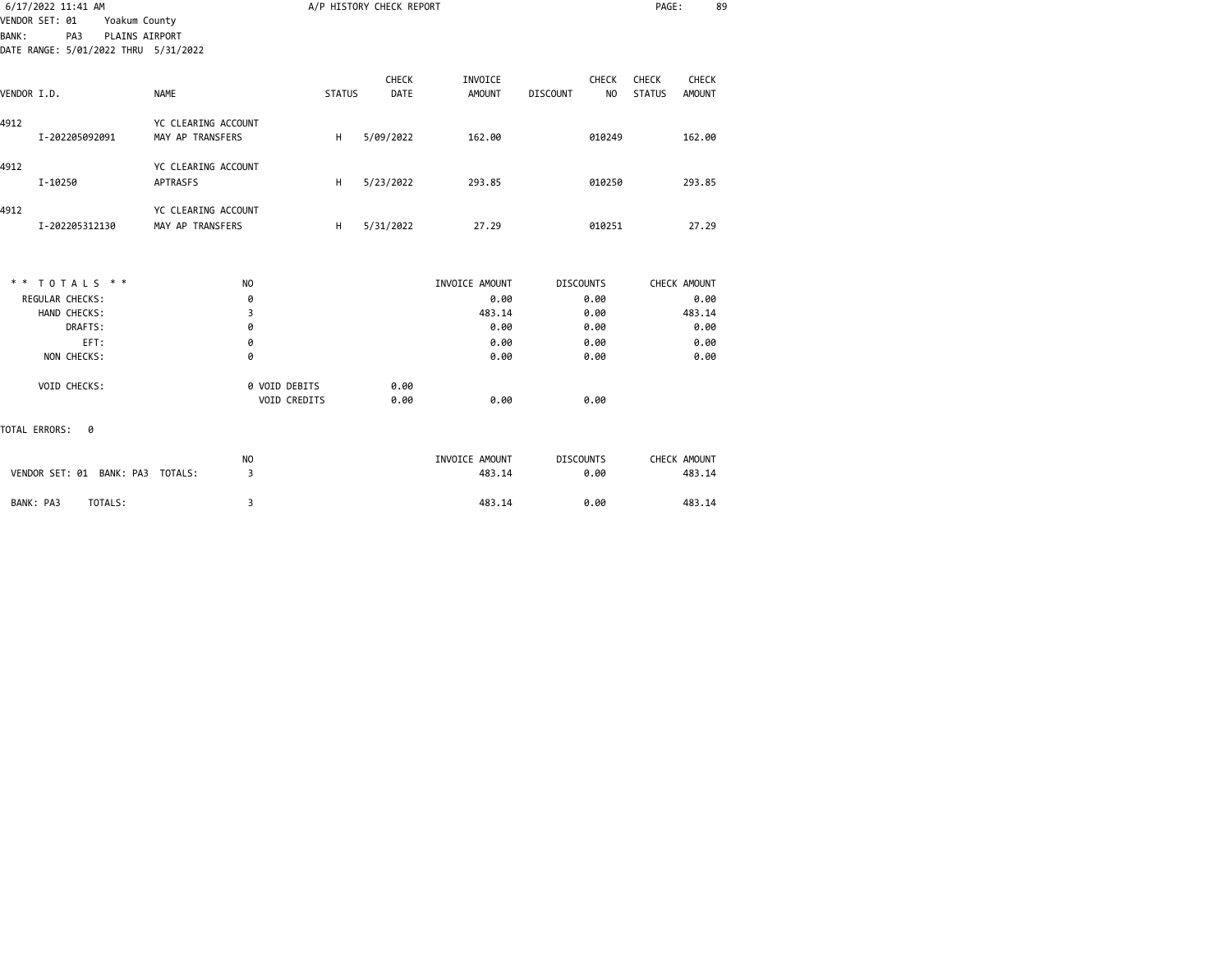| 6/17/2022 11:41 AM |                                                                                                                                                                                                |                                                                                                                       | A/P HISTORY CHECK REPORT      |                          |                                              | PAGE:                         | 89                     |
|--------------------|------------------------------------------------------------------------------------------------------------------------------------------------------------------------------------------------|-----------------------------------------------------------------------------------------------------------------------|-------------------------------|--------------------------|----------------------------------------------|-------------------------------|------------------------|
| PA3                |                                                                                                                                                                                                |                                                                                                                       |                               |                          |                                              |                               |                        |
|                    | <b>NAME</b>                                                                                                                                                                                    |                                                                                                                       | <b>CHECK</b><br><b>DATE</b>   | INVOICE<br><b>AMOUNT</b> | <b>CHECK</b><br><b>DISCOUNT</b><br><b>NO</b> | <b>CHECK</b><br><b>STATUS</b> | CHECK<br><b>AMOUNT</b> |
|                    | YC CLEARING ACCOUNT<br>MAY AP TRANSFERS                                                                                                                                                        | H                                                                                                                     | 5/09/2022                     | 162.00                   | 010249                                       |                               | 162.00                 |
|                    | YC CLEARING ACCOUNT<br><b>APTRASFS</b>                                                                                                                                                         | H                                                                                                                     | 5/23/2022                     | 293.85                   | 010250                                       |                               | 293.85                 |
|                    | YC CLEARING ACCOUNT<br>MAY AP TRANSFERS                                                                                                                                                        | H                                                                                                                     | 5/31/2022                     | 27.29                    | 010251                                       |                               | 27.29                  |
|                    | N <sub>O</sub>                                                                                                                                                                                 |                                                                                                                       |                               | INVOICE AMOUNT           | <b>DISCOUNTS</b>                             |                               | CHECK AMOUNT           |
|                    | 0                                                                                                                                                                                              |                                                                                                                       |                               | 0.00                     | 0.00                                         |                               | 0.00                   |
|                    | 3                                                                                                                                                                                              |                                                                                                                       |                               | 483.14                   | 0.00                                         |                               | 483.14                 |
| DRAFTS:            | 0                                                                                                                                                                                              |                                                                                                                       |                               | 0.00                     | 0.00                                         |                               | 0.00                   |
|                    | 0                                                                                                                                                                                              |                                                                                                                       |                               |                          |                                              |                               | 0.00                   |
|                    |                                                                                                                                                                                                |                                                                                                                       |                               |                          |                                              |                               | 0.00                   |
|                    |                                                                                                                                                                                                |                                                                                                                       | 0.00<br>0.00                  | 0.00                     | 0.00                                         |                               |                        |
| 0                  |                                                                                                                                                                                                |                                                                                                                       |                               |                          |                                              |                               |                        |
|                    | N <sub>O</sub>                                                                                                                                                                                 |                                                                                                                       |                               | INVOICE AMOUNT           | <b>DISCOUNTS</b>                             |                               | CHECK AMOUNT<br>483.14 |
|                    | VENDOR SET: 01<br>VENDOR I.D.<br>I-202205092091<br>I-10250<br>I-202205312130<br>** TOTALS **<br><b>REGULAR CHECKS:</b><br>HAND CHECKS:<br>EFT:<br>NON CHECKS:<br>VOID CHECKS:<br>TOTAL ERRORS: | Yoakum County<br>PLAINS AIRPORT<br>DATE RANGE: 5/01/2022 THRU 5/31/2022<br>0<br>VENDOR SET: 01 BANK: PA3 TOTALS:<br>3 | 0 VOID DEBITS<br>VOID CREDITS | <b>STATUS</b>            | 0.00<br>0.00<br>483.14                       | 0.00<br>0.00<br>0.00          |                        |

BANK: PA3 TOTALS: 3 483.14 0.00 483.14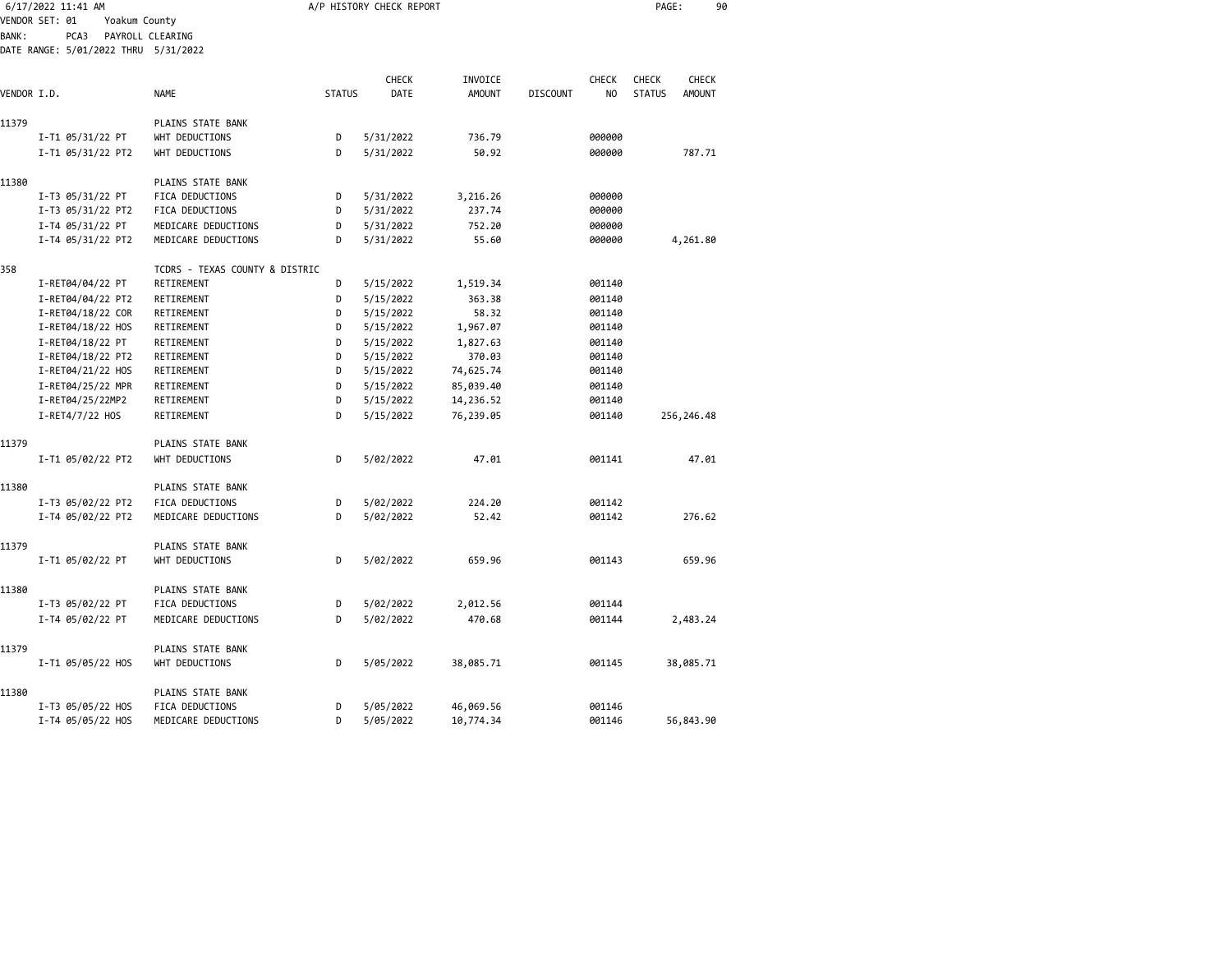| 6/17/2022 11:41 AM |                                              |                                |               | A/P HISTORY CHECK REPORT |               |                 |                | PAGE:         | 90            |  |
|--------------------|----------------------------------------------|--------------------------------|---------------|--------------------------|---------------|-----------------|----------------|---------------|---------------|--|
|                    | VENDOR SET: 01<br>Yoakum County              |                                |               |                          |               |                 |                |               |               |  |
| <b>BANK:</b>       | PCA3<br>DATE RANGE: 5/01/2022 THRU 5/31/2022 | PAYROLL CLEARING               |               |                          |               |                 |                |               |               |  |
|                    |                                              |                                |               |                          |               |                 |                |               |               |  |
|                    |                                              |                                |               | <b>CHECK</b>             | INVOICE       |                 | CHECK          | <b>CHECK</b>  | <b>CHECK</b>  |  |
| VENDOR I.D.        |                                              | <b>NAME</b>                    | <b>STATUS</b> | DATE                     | <b>AMOUNT</b> | <b>DISCOUNT</b> | N <sub>O</sub> | <b>STATUS</b> | <b>AMOUNT</b> |  |
|                    |                                              |                                |               |                          |               |                 |                |               |               |  |
| 11379              |                                              | PLAINS STATE BANK              |               |                          |               |                 |                |               |               |  |
|                    | I-T1 05/31/22 PT                             | WHT DEDUCTIONS                 | D             | 5/31/2022                | 736.79        |                 | 000000         |               |               |  |
|                    | I-T1 05/31/22 PT2                            | WHT DEDUCTIONS                 | D             | 5/31/2022                | 50.92         |                 | 000000         |               | 787.71        |  |
| 11380              |                                              | PLAINS STATE BANK              |               |                          |               |                 |                |               |               |  |
|                    | I-T3 05/31/22 PT                             | FICA DEDUCTIONS                | D             | 5/31/2022                | 3,216.26      |                 | 000000         |               |               |  |
|                    | I-T3 05/31/22 PT2                            | FICA DEDUCTIONS                | D             | 5/31/2022                | 237.74        |                 | 000000         |               |               |  |
|                    | I-T4 05/31/22 PT                             | MEDICARE DEDUCTIONS            | D             | 5/31/2022                | 752.20        |                 | 000000         |               |               |  |
|                    | I-T4 05/31/22 PT2                            | MEDICARE DEDUCTIONS            | D             | 5/31/2022                | 55.60         |                 | 000000         |               | 4,261.80      |  |
| 358                |                                              | TCDRS - TEXAS COUNTY & DISTRIC |               |                          |               |                 |                |               |               |  |
|                    | I-RET04/04/22 PT                             | RETIREMENT                     | D             | 5/15/2022                | 1,519.34      |                 | 001140         |               |               |  |
|                    | I-RET04/04/22 PT2                            | RETIREMENT                     | D             | 5/15/2022                | 363.38        |                 | 001140         |               |               |  |
|                    | I-RET04/18/22 COR                            | RETIREMENT                     | D             | 5/15/2022                | 58.32         |                 | 001140         |               |               |  |
|                    | I-RET04/18/22 HOS                            | RETIREMENT                     | D             | 5/15/2022                | 1,967.07      |                 | 001140         |               |               |  |
|                    | I-RET04/18/22 PT                             | RETIREMENT                     | D             | 5/15/2022                | 1,827.63      |                 | 001140         |               |               |  |
|                    | I-RET04/18/22 PT2                            | RETIREMENT                     | D             | 5/15/2022                | 370.03        |                 | 001140         |               |               |  |
|                    | I-RET04/21/22 HOS                            | RETIREMENT                     | D             | 5/15/2022                | 74,625.74     |                 | 001140         |               |               |  |
|                    | I-RET04/25/22 MPR                            | RETIREMENT                     | D             | 5/15/2022                | 85,039.40     |                 | 001140         |               |               |  |
|                    | I-RET04/25/22MP2                             | RETIREMENT                     | D             | 5/15/2022                | 14,236.52     |                 | 001140         |               |               |  |
|                    | I-RET4/7/22 HOS                              | RETIREMENT                     | D             | 5/15/2022                | 76,239.05     |                 | 001140         |               | 256,246.48    |  |
| 11379              |                                              | PLAINS STATE BANK              |               |                          |               |                 |                |               |               |  |
|                    | I-T1 05/02/22 PT2                            | WHT DEDUCTIONS                 | D             | 5/02/2022                | 47.01         |                 | 001141         |               | 47.01         |  |
| 11380              |                                              | PLAINS STATE BANK              |               |                          |               |                 |                |               |               |  |
|                    | I-T3 05/02/22 PT2                            | FICA DEDUCTIONS                | D             | 5/02/2022                | 224.20        |                 | 001142         |               |               |  |
|                    | I-T4 05/02/22 PT2                            | MEDICARE DEDUCTIONS            | D             | 5/02/2022                | 52.42         |                 | 001142         |               | 276.62        |  |
| 11379              |                                              | PLAINS STATE BANK              |               |                          |               |                 |                |               |               |  |
|                    | I-T1 05/02/22 PT                             | WHT DEDUCTIONS                 | D             | 5/02/2022                | 659.96        |                 | 001143         |               | 659.96        |  |
| 11380              |                                              | PLAINS STATE BANK              |               |                          |               |                 |                |               |               |  |
|                    | I-T3 05/02/22 PT                             | FICA DEDUCTIONS                | D             | 5/02/2022                | 2,012.56      |                 | 001144         |               |               |  |
|                    | I-T4 05/02/22 PT                             | MEDICARE DEDUCTIONS            | D             | 5/02/2022                | 470.68        |                 | 001144         |               | 2,483.24      |  |
| 11379              |                                              | PLAINS STATE BANK              |               |                          |               |                 |                |               |               |  |
|                    | I-T1 05/05/22 HOS                            | WHT DEDUCTIONS                 | D             | 5/05/2022                | 38,085.71     |                 | 001145         |               | 38,085.71     |  |
| 11380              |                                              | PLAINS STATE BANK              |               |                          |               |                 |                |               |               |  |
|                    | I-T3 05/05/22 HOS                            | <b>FICA DEDUCTIONS</b>         | D             | 5/05/2022                | 46,069.56     |                 | 001146         |               |               |  |
|                    | I-T4 05/05/22 HOS                            | MEDICARE DEDUCTIONS            | D             | 5/05/2022                | 10,774.34     |                 | 001146         |               | 56,843.90     |  |
|                    |                                              |                                |               |                          |               |                 |                |               |               |  |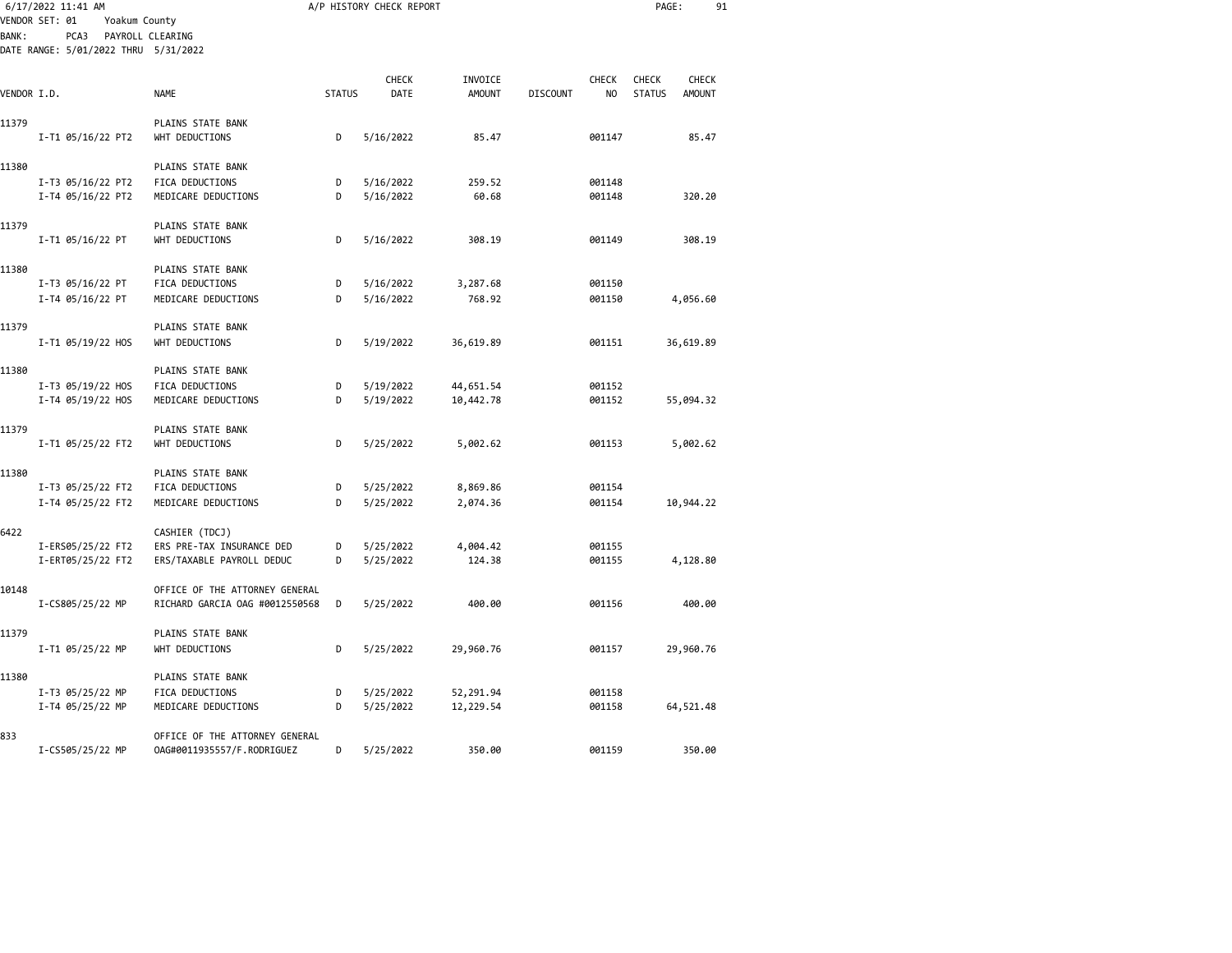|              | 6/17/2022 11:41 AM                   |                                             |               | A/P HISTORY CHECK REPORT |               |                 |              | PAGE:         |               | 91 |
|--------------|--------------------------------------|---------------------------------------------|---------------|--------------------------|---------------|-----------------|--------------|---------------|---------------|----|
|              | VENDOR SET: 01<br>Yoakum County      |                                             |               |                          |               |                 |              |               |               |    |
| <b>BANK:</b> | PCA3                                 | PAYROLL CLEARING                            |               |                          |               |                 |              |               |               |    |
|              | DATE RANGE: 5/01/2022 THRU 5/31/2022 |                                             |               |                          |               |                 |              |               |               |    |
|              |                                      |                                             |               | <b>CHECK</b>             | INVOICE       |                 | <b>CHECK</b> | <b>CHECK</b>  | <b>CHECK</b>  |    |
| VENDOR I.D.  |                                      | <b>NAME</b>                                 | <b>STATUS</b> | DATE                     | <b>AMOUNT</b> | <b>DISCOUNT</b> | NO           | <b>STATUS</b> | <b>AMOUNT</b> |    |
|              |                                      |                                             |               |                          |               |                 |              |               |               |    |
| 11379        |                                      | PLAINS STATE BANK                           |               |                          |               |                 |              |               |               |    |
|              | I-T1 05/16/22 PT2                    | WHT DEDUCTIONS                              | D             | 5/16/2022                | 85.47         |                 | 001147       |               | 85.47         |    |
| 11380        |                                      | PLAINS STATE BANK                           |               |                          |               |                 |              |               |               |    |
|              | I-T3 05/16/22 PT2                    | FICA DEDUCTIONS                             | D             | 5/16/2022                | 259.52        |                 | 001148       |               |               |    |
|              | I-T4 05/16/22 PT2                    | MEDICARE DEDUCTIONS                         | D             | 5/16/2022                | 60.68         |                 | 001148       |               | 320.20        |    |
|              |                                      |                                             |               |                          |               |                 |              |               |               |    |
| 11379        |                                      | PLAINS STATE BANK                           |               |                          |               |                 |              |               |               |    |
|              | I-T1 05/16/22 PT                     | WHT DEDUCTIONS                              | D             | 5/16/2022                | 308.19        |                 | 001149       |               | 308.19        |    |
|              |                                      |                                             |               |                          |               |                 |              |               |               |    |
| 11380        | I-T3 05/16/22 PT                     | PLAINS STATE BANK<br>FICA DEDUCTIONS        | D             | 5/16/2022                | 3,287.68      |                 | 001150       |               |               |    |
|              | I-T4 05/16/22 PT                     | MEDICARE DEDUCTIONS                         | D             | 5/16/2022                | 768.92        |                 | 001150       |               | 4,056.60      |    |
|              |                                      |                                             |               |                          |               |                 |              |               |               |    |
| 11379        |                                      | PLAINS STATE BANK                           |               |                          |               |                 |              |               |               |    |
|              | I-T1 05/19/22 HOS                    | WHT DEDUCTIONS                              | D             | 5/19/2022                | 36,619.89     |                 | 001151       |               | 36,619.89     |    |
|              |                                      |                                             |               |                          |               |                 |              |               |               |    |
| 11380        |                                      | PLAINS STATE BANK                           |               |                          |               |                 |              |               |               |    |
|              | I-T3 05/19/22 HOS                    | FICA DEDUCTIONS                             | D             | 5/19/2022                | 44,651.54     |                 | 001152       |               |               |    |
|              | I-T4 05/19/22 HOS                    | MEDICARE DEDUCTIONS                         | D             | 5/19/2022                | 10,442.78     |                 | 001152       |               | 55,094.32     |    |
| 11379        |                                      | PLAINS STATE BANK                           |               |                          |               |                 |              |               |               |    |
|              | I-T1 05/25/22 FT2                    | WHT DEDUCTIONS                              | D             | 5/25/2022                | 5,002.62      |                 | 001153       |               | 5,002.62      |    |
|              |                                      |                                             |               |                          |               |                 |              |               |               |    |
| 11380        |                                      | PLAINS STATE BANK                           |               |                          |               |                 |              |               |               |    |
|              | I-T3 05/25/22 FT2                    | FICA DEDUCTIONS                             | D             | 5/25/2022                | 8,869.86      |                 | 001154       |               |               |    |
|              | I-T4 05/25/22 FT2                    | MEDICARE DEDUCTIONS                         | D             | 5/25/2022                | 2,074.36      |                 | 001154       |               | 10,944.22     |    |
|              |                                      |                                             |               |                          |               |                 |              |               |               |    |
| 6422         | I-ERS05/25/22 FT2                    | CASHIER (TDCJ)<br>ERS PRE-TAX INSURANCE DED | D             | 5/25/2022                | 4,004.42      |                 | 001155       |               |               |    |
|              | I-ERT05/25/22 FT2                    | ERS/TAXABLE PAYROLL DEDUC                   | D             | 5/25/2022                | 124.38        |                 | 001155       |               | 4,128.80      |    |
|              |                                      |                                             |               |                          |               |                 |              |               |               |    |
| 10148        |                                      | OFFICE OF THE ATTORNEY GENERAL              |               |                          |               |                 |              |               |               |    |
|              | I-CS805/25/22 MP                     | RICHARD GARCIA OAG #0012550568              | D             | 5/25/2022                | 400.00        |                 | 001156       |               | 400.00        |    |
|              |                                      |                                             |               |                          |               |                 |              |               |               |    |
| 11379        |                                      | PLAINS STATE BANK                           |               |                          |               |                 |              |               |               |    |
|              | I-T1 05/25/22 MP                     | WHT DEDUCTIONS                              | D             | 5/25/2022                | 29,960.76     |                 | 001157       |               | 29,960.76     |    |
| 11380        |                                      | PLAINS STATE BANK                           |               |                          |               |                 |              |               |               |    |
|              | I-T3 05/25/22 MP                     | FICA DEDUCTIONS                             | D             | 5/25/2022                | 52,291.94     |                 | 001158       |               |               |    |
|              | I-T4 05/25/22 MP                     | MEDICARE DEDUCTIONS                         | D             | 5/25/2022                | 12,229.54     |                 | 001158       |               | 64,521.48     |    |
|              |                                      |                                             |               |                          |               |                 |              |               |               |    |
| 833          |                                      | OFFICE OF THE ATTORNEY GENERAL              |               |                          |               |                 |              |               |               |    |
|              | I-CS505/25/22 MP                     | 0AG#0011935557/F.RODRIGUEZ                  | D             | 5/25/2022                | 350.00        |                 | 001159       |               | 350.00        |    |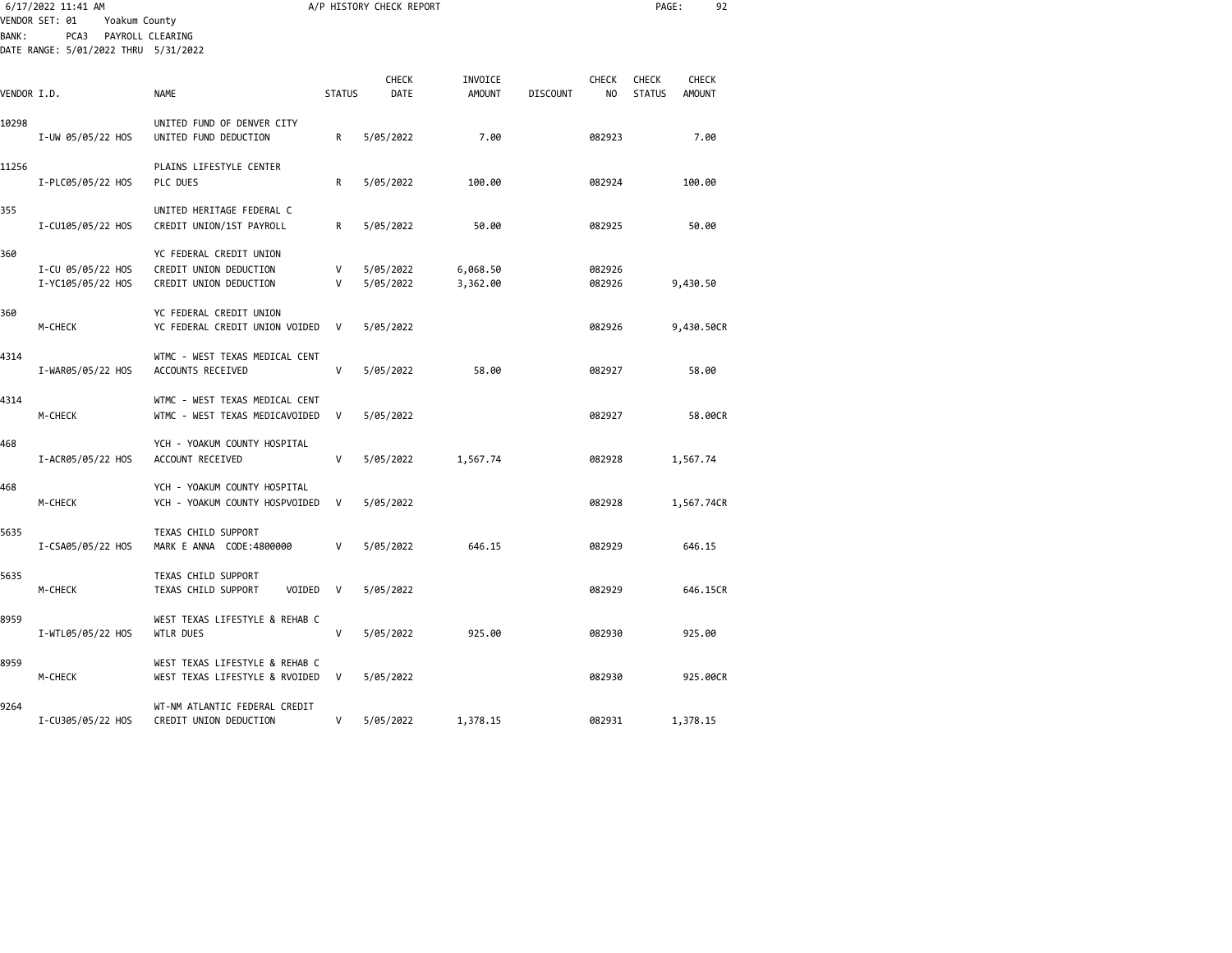| <b>BANK:</b> | 6/17/2022 11:41 AM<br>VENDOR SET: 01<br>Yoakum County<br>PCA3<br>PAYROLL CLEARING<br>DATE RANGE: 5/01/2022 THRU 5/31/2022 |                                                                             |               | A/P HISTORY CHECK REPORT |                          |                 |                  | PAGE:                                            | 92       |
|--------------|---------------------------------------------------------------------------------------------------------------------------|-----------------------------------------------------------------------------|---------------|--------------------------|--------------------------|-----------------|------------------|--------------------------------------------------|----------|
| VENDOR I.D.  |                                                                                                                           | <b>NAME</b>                                                                 | <b>STATUS</b> | <b>CHECK</b><br>DATE     | INVOICE<br><b>AMOUNT</b> | <b>DISCOUNT</b> | CHECK<br>NO      | CHECK<br>CHECK<br><b>STATUS</b><br><b>AMOUNT</b> |          |
| 10298        | I-UW 05/05/22 HOS                                                                                                         | UNITED FUND OF DENVER CITY<br>UNITED FUND DEDUCTION                         | R             | 5/05/2022                | 7.00                     |                 | 082923           |                                                  | 7.00     |
| 11256        | I-PLC05/05/22 HOS                                                                                                         | PLAINS LIFESTYLE CENTER<br>PLC DUES                                         | R             | 5/05/2022                | 100.00                   |                 | 082924           | 100.00                                           |          |
| 355          | I-CU105/05/22 HOS                                                                                                         | UNITED HERITAGE FEDERAL C<br>CREDIT UNION/1ST PAYROLL                       | R             | 5/05/2022                | 50.00                    |                 | 082925           | 50.00                                            |          |
| 360          | I-CU 05/05/22 HOS<br>I-YC105/05/22 HOS                                                                                    | YC FEDERAL CREDIT UNION<br>CREDIT UNION DEDUCTION<br>CREDIT UNION DEDUCTION | V<br>V        | 5/05/2022<br>5/05/2022   | 6,068.50<br>3,362.00     |                 | 082926<br>082926 | 9,430.50                                         |          |
| 360          | M-CHECK                                                                                                                   | YC FEDERAL CREDIT UNION<br>YC FEDERAL CREDIT UNION VOIDED                   | $\mathsf{V}$  | 5/05/2022                |                          |                 | 082926           | 9,430.50CR                                       |          |
| 4314         | I-WAR05/05/22 HOS                                                                                                         | WTMC - WEST TEXAS MEDICAL CENT<br>ACCOUNTS RECEIVED                         | V             | 5/05/2022                | 58.00                    |                 | 082927           | 58.00                                            |          |
| 4314         | M-CHECK                                                                                                                   | WTMC - WEST TEXAS MEDICAL CENT<br>WTMC - WEST TEXAS MEDICAVOIDED            | V             | 5/05/2022                |                          |                 | 082927           |                                                  | 58.00CR  |
| 468          | I-ACR05/05/22 HOS                                                                                                         | YCH - YOAKUM COUNTY HOSPITAL<br>ACCOUNT RECEIVED                            | $\mathsf{V}$  | 5/05/2022                | 1,567.74                 |                 | 082928           | 1,567.74                                         |          |
| 468          | M-CHECK                                                                                                                   | YCH - YOAKUM COUNTY HOSPITAL<br>YCH - YOAKUM COUNTY HOSPVOIDED              | V             | 5/05/2022                |                          |                 | 082928           | 1,567.74CR                                       |          |
| 5635         | I-CSA05/05/22 HOS                                                                                                         | TEXAS CHILD SUPPORT<br>MARK E ANNA CODE:4800000                             | v             | 5/05/2022                | 646.15                   |                 | 082929           | 646.15                                           |          |
| 5635         | M-CHECK                                                                                                                   | TEXAS CHILD SUPPORT<br>TEXAS CHILD SUPPORT<br>VOIDED                        | $\mathsf{V}$  | 5/05/2022                |                          |                 | 082929           |                                                  | 646.15CR |
| 8959         | I-WTL05/05/22 HOS                                                                                                         | WEST TEXAS LIFESTYLE & REHAB C<br>WTLR DUES                                 | V             | 5/05/2022                | 925.00                   |                 | 082930           | 925.00                                           |          |
| 8959         | M-CHECK                                                                                                                   | WEST TEXAS LIFESTYLE & REHAB C<br>WEST TEXAS LIFESTYLE & RVOIDED            | $\mathsf{V}$  | 5/05/2022                |                          |                 | 082930           |                                                  | 925.00CR |
| 9264         | I-CU305/05/22 HOS                                                                                                         | WT-NM ATLANTIC FEDERAL CREDIT<br>CREDIT UNION DEDUCTION                     | V             | 5/05/2022                | 1,378.15                 |                 | 082931           | 1,378.15                                         |          |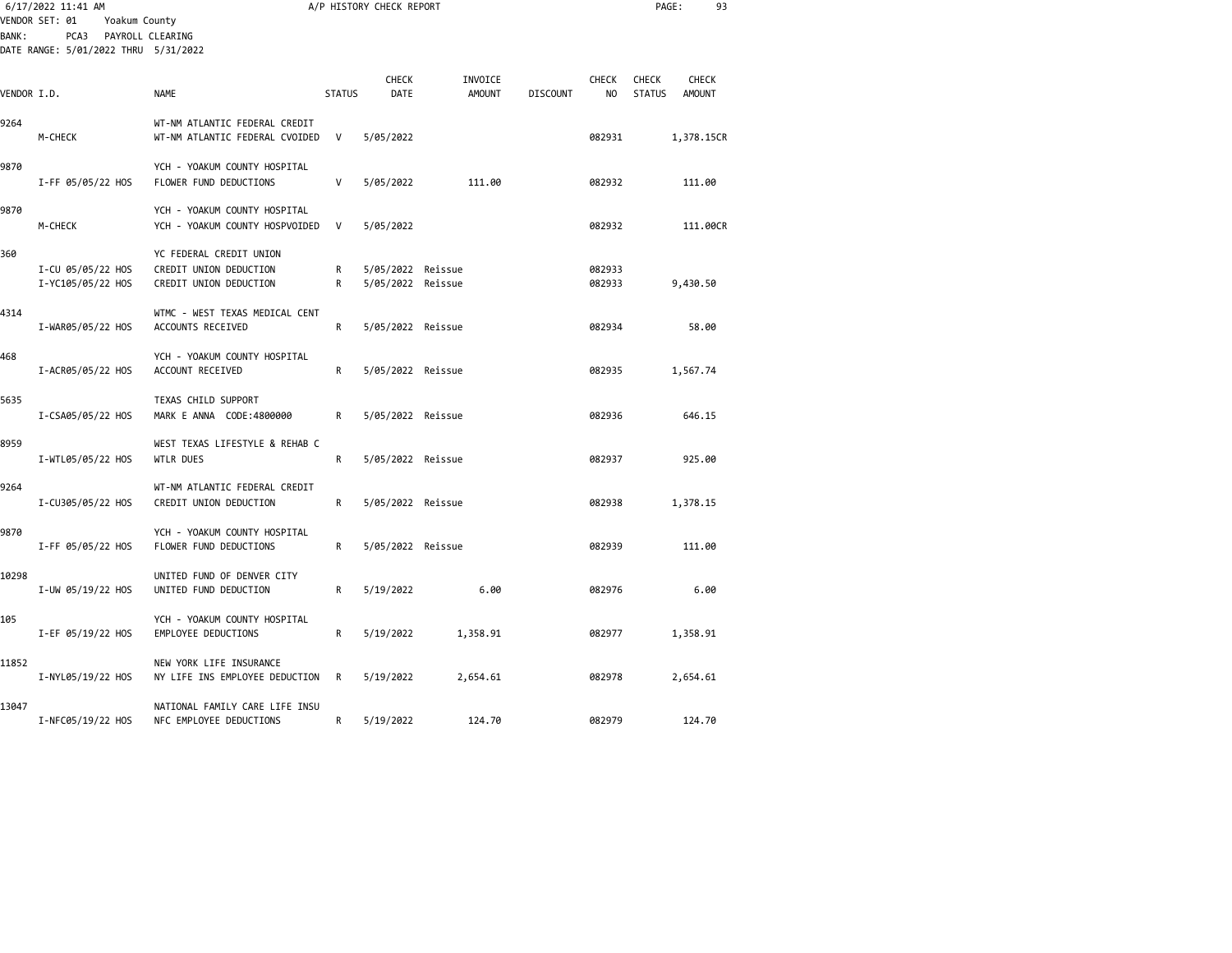|             | 6/17/2022 11:41 AM<br>VENDOR SET: 01<br>Yoakum County            |                                                                             |               | A/P HISTORY CHECK REPORT               |                          | PAGE:<br>93     |                    |                               |                               |  |
|-------------|------------------------------------------------------------------|-----------------------------------------------------------------------------|---------------|----------------------------------------|--------------------------|-----------------|--------------------|-------------------------------|-------------------------------|--|
| BANK:       | PCA3<br>PAYROLL CLEARING<br>DATE RANGE: 5/01/2022 THRU 5/31/2022 |                                                                             |               |                                        |                          |                 |                    |                               |                               |  |
| VENDOR I.D. |                                                                  | <b>NAME</b>                                                                 | <b>STATUS</b> | <b>CHECK</b><br>DATE                   | INVOICE<br><b>AMOUNT</b> | <b>DISCOUNT</b> | <b>CHECK</b><br>NO | <b>CHECK</b><br><b>STATUS</b> | <b>CHECK</b><br><b>AMOUNT</b> |  |
| 9264        | M-CHECK                                                          | WT-NM ATLANTIC FEDERAL CREDIT<br>WT-NM ATLANTIC FEDERAL CVOIDED             | V             | 5/05/2022                              |                          |                 | 082931             |                               | 1,378.15CR                    |  |
| 9870        | I-FF 05/05/22 HOS                                                | YCH - YOAKUM COUNTY HOSPITAL<br>FLOWER FUND DEDUCTIONS                      | V             | 5/05/2022                              | 111.00                   |                 | 082932             |                               | 111.00                        |  |
| 9870        | M-CHECK                                                          | YCH - YOAKUM COUNTY HOSPITAL<br>YCH - YOAKUM COUNTY HOSPVOIDED              | V             | 5/05/2022                              |                          |                 | 082932             |                               | 111,00CR                      |  |
| 360         | I-CU 05/05/22 HOS<br>I-YC105/05/22 HOS                           | YC FEDERAL CREDIT UNION<br>CREDIT UNION DEDUCTION<br>CREDIT UNION DEDUCTION | R<br>R        | 5/05/2022 Reissue<br>5/05/2022 Reissue |                          |                 | 082933<br>082933   |                               | 9,430.50                      |  |
| 4314        | I-WAR05/05/22 HOS                                                | WTMC - WEST TEXAS MEDICAL CENT<br>ACCOUNTS RECEIVED                         | R             | 5/05/2022 Reissue                      |                          |                 | 082934             |                               | 58.00                         |  |
| 468         | I-ACR05/05/22 HOS                                                | YCH - YOAKUM COUNTY HOSPITAL<br>ACCOUNT RECEIVED                            | R             | 5/05/2022 Reissue                      |                          |                 | 082935             |                               | 1,567.74                      |  |
| 5635        | I-CSA05/05/22 HOS                                                | TEXAS CHILD SUPPORT<br>MARK E ANNA CODE:4800000                             | R             | 5/05/2022 Reissue                      |                          |                 | 082936             |                               | 646.15                        |  |
| 8959        | I-WTL05/05/22 HOS                                                | WEST TEXAS LIFESTYLE & REHAB C<br>WTLR DUES                                 | R             | 5/05/2022 Reissue                      |                          |                 | 082937             |                               | 925.00                        |  |
| 9264        | I-CU305/05/22 HOS                                                | WT-NM ATLANTIC FEDERAL CREDIT<br>CREDIT UNION DEDUCTION                     | R             | 5/05/2022 Reissue                      |                          |                 | 082938             |                               | 1,378.15                      |  |
| 9870        | I-FF 05/05/22 HOS                                                | YCH - YOAKUM COUNTY HOSPITAL<br>FLOWER FUND DEDUCTIONS                      | R             | 5/05/2022 Reissue                      |                          |                 | 082939             |                               | 111.00                        |  |
| 10298       | I-UW 05/19/22 HOS                                                | UNITED FUND OF DENVER CITY<br>UNITED FUND DEDUCTION                         | R             | 5/19/2022                              | 6.00                     |                 | 082976             |                               | 6.00                          |  |
| 105         | I-EF 05/19/22 HOS                                                | YCH - YOAKUM COUNTY HOSPITAL<br>EMPLOYEE DEDUCTIONS                         | R             | 5/19/2022                              | 1,358.91                 |                 | 082977             |                               | 1,358.91                      |  |
| 11852       | I-NYL05/19/22 HOS                                                | NEW YORK LIFE INSURANCE<br>NY LIFE INS EMPLOYEE DEDUCTION                   | R             | 5/19/2022                              | 2,654.61                 |                 | 082978             |                               | 2,654.61                      |  |
| 13047       | I-NFC05/19/22 HOS                                                | NATIONAL FAMILY CARE LIFE INSU<br>NFC EMPLOYEE DEDUCTIONS                   | R             | 5/19/2022                              | 124.70                   |                 | 082979             |                               | 124.70                        |  |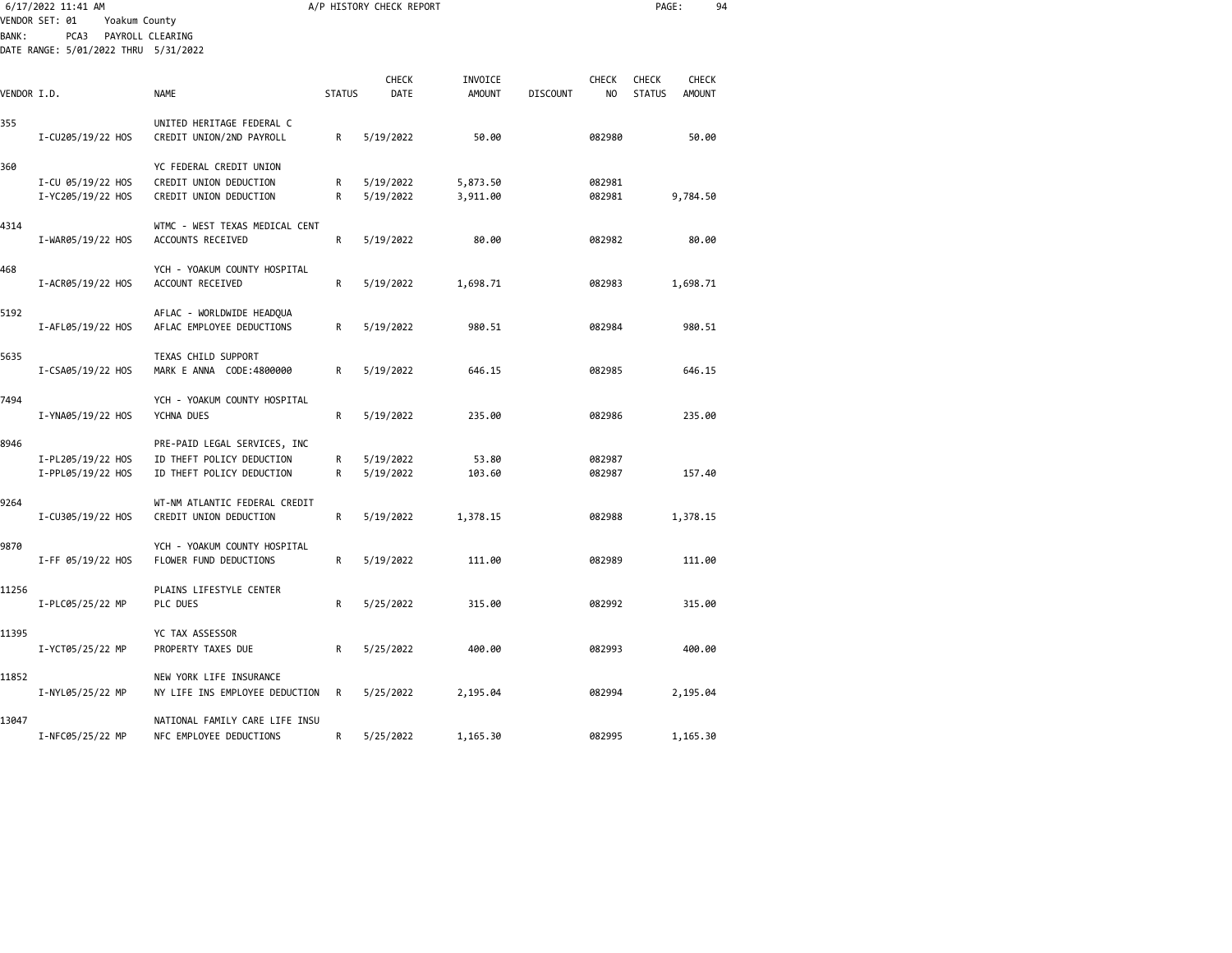|             | 6/17/2022 11:41 AM                                                              |                                                                                        |               | A/P HISTORY CHECK REPORT |                          |                 |                                | PAGE:                         |                        | 94 |
|-------------|---------------------------------------------------------------------------------|----------------------------------------------------------------------------------------|---------------|--------------------------|--------------------------|-----------------|--------------------------------|-------------------------------|------------------------|----|
| BANK :      | VENDOR SET: 01<br>Yoakum County<br>PCA3<br>DATE RANGE: 5/01/2022 THRU 5/31/2022 | PAYROLL CLEARING                                                                       |               |                          |                          |                 |                                |                               |                        |    |
| VENDOR I.D. |                                                                                 | NAME                                                                                   | <b>STATUS</b> | <b>CHECK</b><br>DATE     | INVOICE<br><b>AMOUNT</b> | <b>DISCOUNT</b> | <b>CHECK</b><br>N <sub>O</sub> | <b>CHECK</b><br><b>STATUS</b> | CHECK<br><b>AMOUNT</b> |    |
| 355         | I-CU205/19/22 HOS                                                               | UNITED HERITAGE FEDERAL C<br>CREDIT UNION/2ND PAYROLL                                  | R             | 5/19/2022                | 50.00                    |                 | 082980                         |                               | 50.00                  |    |
| 360         | I-CU 05/19/22 HOS<br>I-YC205/19/22 HOS                                          | YC FEDERAL CREDIT UNION<br>CREDIT UNION DEDUCTION<br>CREDIT UNION DEDUCTION            | R<br>R        | 5/19/2022<br>5/19/2022   | 5,873.50<br>3,911.00     |                 | 082981<br>082981               |                               | 9,784.50               |    |
| 4314        | I-WAR05/19/22 HOS                                                               | WTMC - WEST TEXAS MEDICAL CENT<br>ACCOUNTS RECEIVED                                    | R             | 5/19/2022                | 80.00                    |                 | 082982                         |                               | 80.00                  |    |
| 468         | I-ACR05/19/22 HOS                                                               | YCH - YOAKUM COUNTY HOSPITAL<br>ACCOUNT RECEIVED                                       | R             | 5/19/2022                | 1,698.71                 |                 | 082983                         |                               | 1,698.71               |    |
| 5192        | I-AFL05/19/22 HOS                                                               | AFLAC - WORLDWIDE HEADQUA<br>AFLAC EMPLOYEE DEDUCTIONS                                 | R             | 5/19/2022                | 980.51                   |                 | 082984                         |                               | 980.51                 |    |
| 5635        | I-CSA05/19/22 HOS                                                               | TEXAS CHILD SUPPORT<br>MARK E ANNA CODE:4800000                                        | R             | 5/19/2022                | 646.15                   |                 | 082985                         |                               | 646.15                 |    |
| 7494        | I-YNA05/19/22 HOS                                                               | YCH - YOAKUM COUNTY HOSPITAL<br>YCHNA DUES                                             | R             | 5/19/2022                | 235.00                   |                 | 082986                         |                               | 235.00                 |    |
| 8946        | I-PL205/19/22 HOS<br>I-PPL05/19/22 HOS                                          | PRE-PAID LEGAL SERVICES, INC<br>ID THEFT POLICY DEDUCTION<br>ID THEFT POLICY DEDUCTION | R<br>R        | 5/19/2022<br>5/19/2022   | 53.80<br>103.60          |                 | 082987<br>082987               |                               | 157.40                 |    |
| 9264        | I-CU305/19/22 HOS                                                               | WT-NM ATLANTIC FEDERAL CREDIT<br>CREDIT UNION DEDUCTION                                | R             | 5/19/2022                | 1,378.15                 |                 | 082988                         |                               | 1,378.15               |    |
| 9870        | I-FF 05/19/22 HOS                                                               | YCH - YOAKUM COUNTY HOSPITAL<br>FLOWER FUND DEDUCTIONS                                 | R             | 5/19/2022                | 111.00                   |                 | 082989                         |                               | 111.00                 |    |
| 11256       | I-PLC05/25/22 MP                                                                | PLAINS LIFESTYLE CENTER<br>PLC DUES                                                    | R             | 5/25/2022                | 315.00                   |                 | 082992                         |                               | 315.00                 |    |
| 11395       | I-YCT05/25/22 MP                                                                | YC TAX ASSESSOR<br>PROPERTY TAXES DUE                                                  | R             | 5/25/2022                | 400.00                   |                 | 082993                         |                               | 400.00                 |    |
| 11852       | I-NYL05/25/22 MP                                                                | NEW YORK LIFE INSURANCE<br>NY LIFE INS EMPLOYEE DEDUCTION                              | R             | 5/25/2022                | 2,195.04                 |                 | 082994                         |                               | 2,195.04               |    |
| 13047       | I-NFC05/25/22 MP                                                                | NATIONAL FAMILY CARE LIFE INSU<br>NFC EMPLOYEE DEDUCTIONS                              | R             | 5/25/2022                | 1,165.30                 |                 | 082995                         |                               | 1,165.30               |    |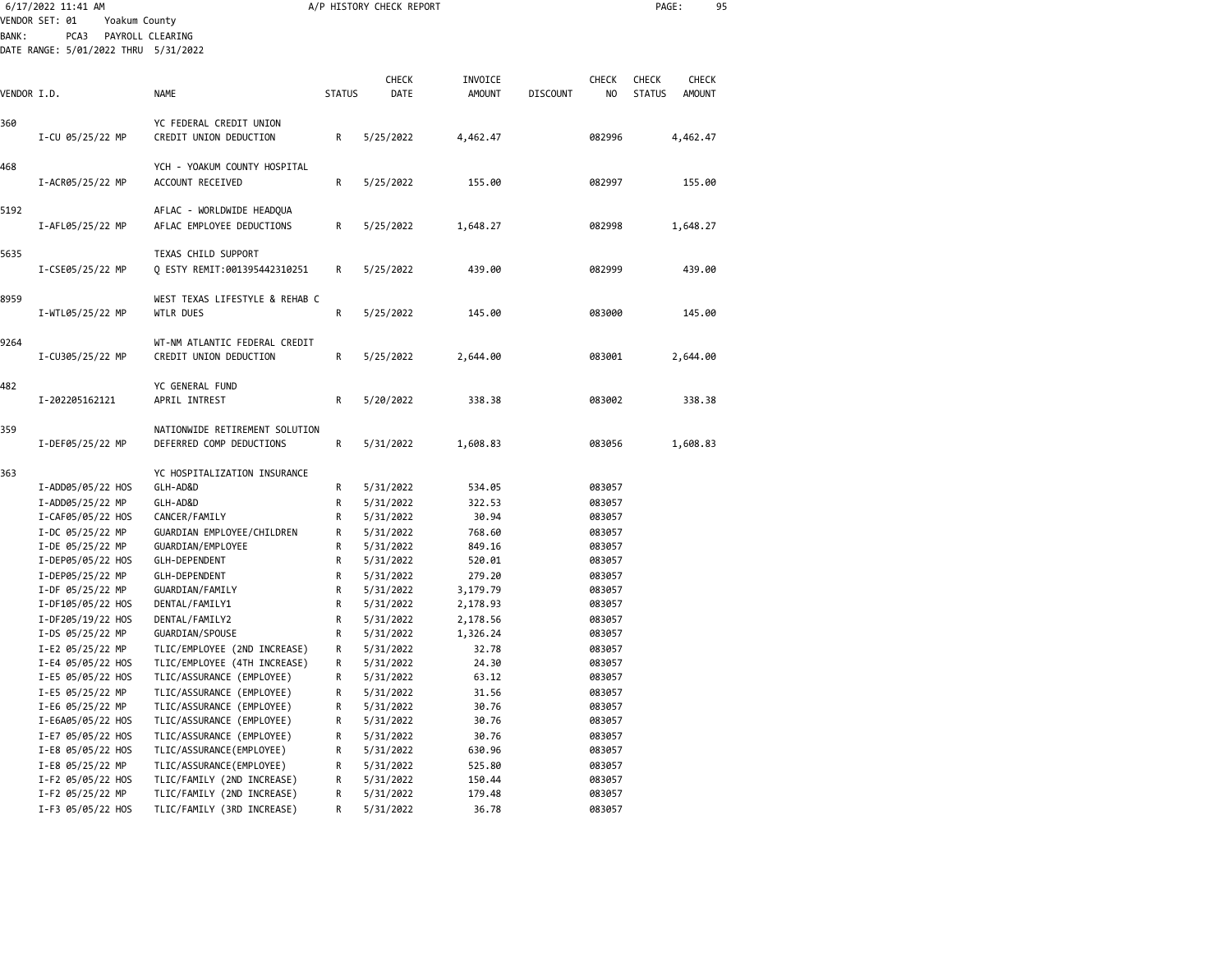|              | 6/17/2022 11:41 AM                    |                                                          |               | A/P HISTORY CHECK REPORT |                    |                 |                  | PAGE:         |              | 95 |
|--------------|---------------------------------------|----------------------------------------------------------|---------------|--------------------------|--------------------|-----------------|------------------|---------------|--------------|----|
|              | VENDOR SET: 01<br>Yoakum County       |                                                          |               |                          |                    |                 |                  |               |              |    |
| <b>BANK:</b> | PCA3                                  | PAYROLL CLEARING                                         |               |                          |                    |                 |                  |               |              |    |
|              | DATE RANGE: 5/01/2022 THRU 5/31/2022  |                                                          |               |                          |                    |                 |                  |               |              |    |
|              |                                       |                                                          |               |                          |                    |                 |                  |               |              |    |
|              |                                       |                                                          |               | <b>CHECK</b>             | INVOICE            |                 | <b>CHECK</b>     | <b>CHECK</b>  | <b>CHECK</b> |    |
| VENDOR I.D.  |                                       | <b>NAME</b>                                              | <b>STATUS</b> | DATE                     | <b>AMOUNT</b>      | <b>DISCOUNT</b> | NO               | <b>STATUS</b> | AMOUNT       |    |
| 360          |                                       | YC FEDERAL CREDIT UNION                                  |               |                          |                    |                 |                  |               |              |    |
|              | I-CU 05/25/22 MP                      | CREDIT UNION DEDUCTION                                   | R             | 5/25/2022                | 4,462.47           |                 | 082996           |               | 4,462.47     |    |
|              |                                       |                                                          |               |                          |                    |                 |                  |               |              |    |
| 468          |                                       | YCH - YOAKUM COUNTY HOSPITAL                             |               |                          |                    |                 |                  |               |              |    |
|              | I-ACR05/25/22 MP                      | ACCOUNT RECEIVED                                         | R             | 5/25/2022                | 155.00             |                 | 082997           |               | 155.00       |    |
|              |                                       |                                                          |               |                          |                    |                 |                  |               |              |    |
| 5192         |                                       | AFLAC - WORLDWIDE HEADQUA                                |               |                          |                    |                 |                  |               |              |    |
|              | I-AFL05/25/22 MP                      | AFLAC EMPLOYEE DEDUCTIONS                                | R             | 5/25/2022                | 1,648.27           |                 | 082998           |               | 1,648.27     |    |
| 5635         |                                       | TEXAS CHILD SUPPORT                                      |               |                          |                    |                 |                  |               |              |    |
|              | I-CSE05/25/22 MP                      | Q ESTY REMIT:001395442310251                             | R             | 5/25/2022                | 439.00             |                 | 082999           |               | 439.00       |    |
|              |                                       |                                                          |               |                          |                    |                 |                  |               |              |    |
| 8959         |                                       | WEST TEXAS LIFESTYLE & REHAB C                           |               |                          |                    |                 |                  |               |              |    |
|              | I-WTL05/25/22 MP                      | WTLR DUES                                                | R             | 5/25/2022                | 145.00             |                 | 083000           |               | 145.00       |    |
|              |                                       |                                                          |               |                          |                    |                 |                  |               |              |    |
| 9264         |                                       | WT-NM ATLANTIC FEDERAL CREDIT                            |               |                          |                    |                 |                  |               |              |    |
|              | I-CU305/25/22 MP                      | CREDIT UNION DEDUCTION                                   | R             | 5/25/2022                | 2,644.00           |                 | 083001           |               | 2,644.00     |    |
|              |                                       |                                                          |               |                          |                    |                 |                  |               |              |    |
| 482          |                                       | YC GENERAL FUND                                          |               |                          |                    |                 |                  |               |              |    |
|              | I-202205162121                        | APRIL INTREST                                            | R             | 5/20/2022                | 338.38             |                 | 083002           |               | 338.38       |    |
| 359          |                                       | NATIONWIDE RETIREMENT SOLUTION                           |               |                          |                    |                 |                  |               |              |    |
|              | I-DEF05/25/22 MP                      | DEFERRED COMP DEDUCTIONS                                 | R             | 5/31/2022                | 1,608.83           |                 | 083056           |               | 1,608.83     |    |
|              |                                       |                                                          |               |                          |                    |                 |                  |               |              |    |
| 363          |                                       | YC HOSPITALIZATION INSURANCE                             |               |                          |                    |                 |                  |               |              |    |
|              | I-ADD05/05/22 HOS                     | GLH-AD&D                                                 | R             | 5/31/2022                | 534.05             |                 | 083057           |               |              |    |
|              | I-ADD05/25/22 MP                      | GLH-AD&D                                                 | R             | 5/31/2022                | 322.53             |                 | 083057           |               |              |    |
|              | I-CAF05/05/22 HOS                     | CANCER/FAMILY                                            | R             | 5/31/2022                | 30.94              |                 | 083057           |               |              |    |
|              | I-DC 05/25/22 MP                      | GUARDIAN EMPLOYEE/CHILDREN                               | R             | 5/31/2022                | 768.60             |                 | 083057           |               |              |    |
|              | I-DE 05/25/22 MP                      | GUARDIAN/EMPLOYEE                                        | R             | 5/31/2022                | 849.16             |                 | 083057           |               |              |    |
|              | I-DEP05/05/22 HOS                     | GLH-DEPENDENT                                            | R             | 5/31/2022                | 520.01             |                 | 083057           |               |              |    |
|              | I-DEP05/25/22 MP<br>I-DF 05/25/22 MP  | GLH-DEPENDENT<br>GUARDIAN/FAMILY                         | R<br>R        | 5/31/2022<br>5/31/2022   | 279.20<br>3,179.79 |                 | 083057<br>083057 |               |              |    |
|              | I-DF105/05/22 HOS                     | DENTAL/FAMILY1                                           | R             | 5/31/2022                | 2,178.93           |                 | 083057           |               |              |    |
|              | I-DF205/19/22 HOS                     | DENTAL/FAMILY2                                           | R             | 5/31/2022                | 2,178.56           |                 | 083057           |               |              |    |
|              | I-DS 05/25/22 MP                      | GUARDIAN/SPOUSE                                          | R             | 5/31/2022                | 1,326.24           |                 | 083057           |               |              |    |
|              | I-E2 05/25/22 MP                      | TLIC/EMPLOYEE (2ND INCREASE)                             | R             | 5/31/2022                | 32.78              |                 | 083057           |               |              |    |
|              | I-E4 05/05/22 HOS                     | TLIC/EMPLOYEE (4TH INCREASE)                             | R             | 5/31/2022                | 24.30              |                 | 083057           |               |              |    |
|              | I-E5 05/05/22 HOS                     | TLIC/ASSURANCE (EMPLOYEE)                                | R             | 5/31/2022                | 63.12              |                 | 083057           |               |              |    |
|              | I-E5 05/25/22 MP                      | TLIC/ASSURANCE (EMPLOYEE)                                | R             | 5/31/2022                | 31.56              |                 | 083057           |               |              |    |
|              | I-E6 05/25/22 MP                      | TLIC/ASSURANCE (EMPLOYEE)                                | R             | 5/31/2022                | 30.76              |                 | 083057           |               |              |    |
|              | I-E6A05/05/22 HOS                     | TLIC/ASSURANCE (EMPLOYEE)                                | R             | 5/31/2022                | 30.76              |                 | 083057           |               |              |    |
|              | I-E7 05/05/22 HOS                     | TLIC/ASSURANCE (EMPLOYEE)                                | R             | 5/31/2022                | 30.76              |                 | 083057           |               |              |    |
|              | I-E8 05/05/22 HOS                     | TLIC/ASSURANCE (EMPLOYEE)                                | R             | 5/31/2022                | 630.96             |                 | 083057           |               |              |    |
|              | I-E8 05/25/22 MP                      | TLIC/ASSURANCE (EMPLOYEE)                                | R             | 5/31/2022                | 525.80             |                 | 083057           |               |              |    |
|              | I-F2 05/05/22 HOS<br>I-F2 05/25/22 MP | TLIC/FAMILY (2ND INCREASE)<br>TLIC/FAMILY (2ND INCREASE) | R<br>R        | 5/31/2022<br>5/31/2022   | 150.44<br>179.48   |                 | 083057<br>083057 |               |              |    |
|              | I-F3 05/05/22 HOS                     | TLIC/FAMILY (3RD INCREASE)                               | R             | 5/31/2022                | 36.78              |                 | 083057           |               |              |    |
|              |                                       |                                                          |               |                          |                    |                 |                  |               |              |    |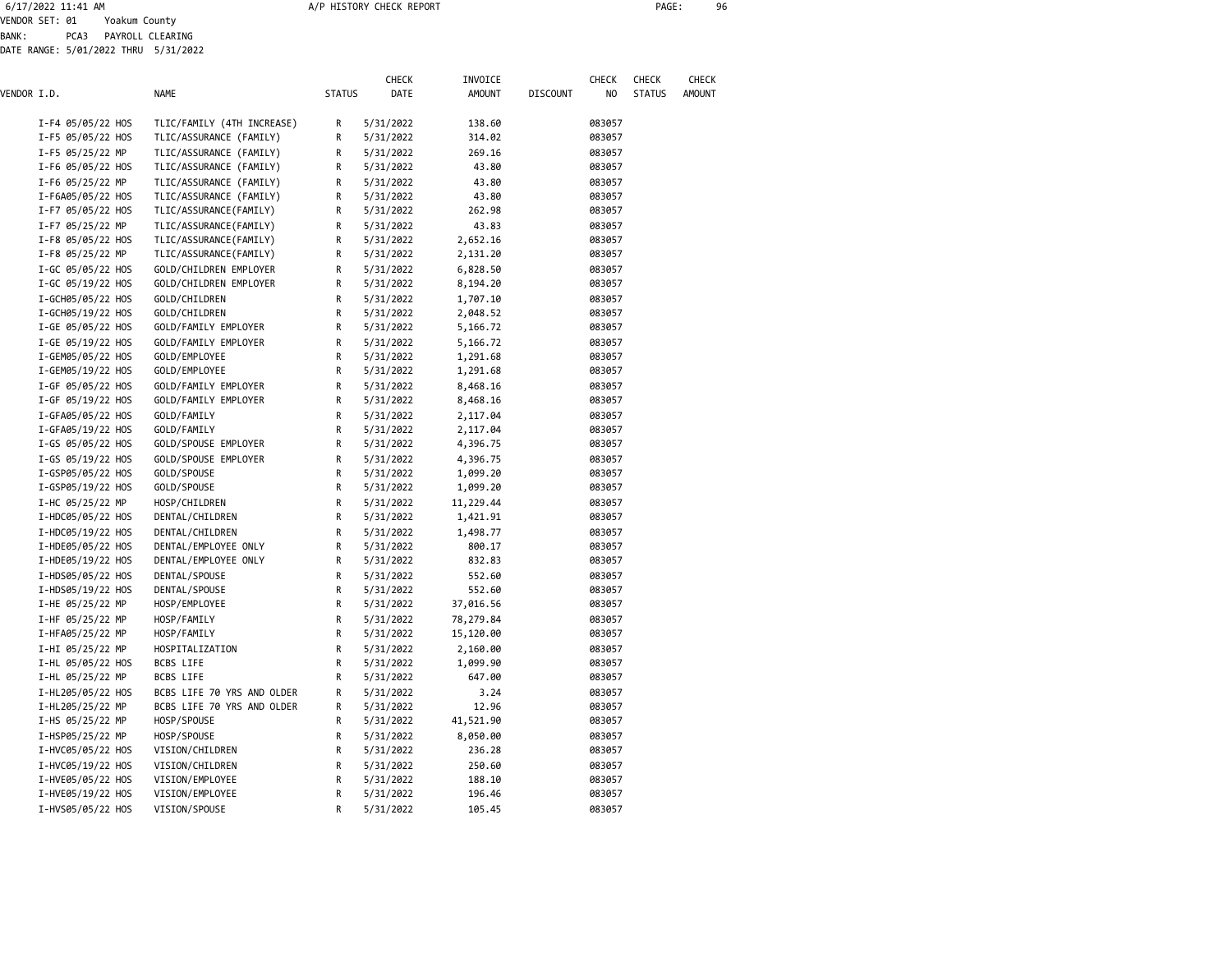6/17/2022 11:41 AM A/P HISTORY CHECK REPORT PAGE: 96

VENDOR SET: 01 Yoakum County BANK: PCA3 PAYROLL CLEARING

DATE RANGE: 5/01/2022 THRU 5/31/2022

|             |                   |                            |               | <b>CHECK</b> | INVOICE       |                 | <b>CHECK</b> | CHECK         | CHECK         |
|-------------|-------------------|----------------------------|---------------|--------------|---------------|-----------------|--------------|---------------|---------------|
| VENDOR I.D. |                   | <b>NAME</b>                | <b>STATUS</b> | DATE         | <b>AMOUNT</b> | <b>DISCOUNT</b> | NO           | <b>STATUS</b> | <b>AMOUNT</b> |
|             | I-F4 05/05/22 HOS | TLIC/FAMILY (4TH INCREASE) | R             | 5/31/2022    | 138.60        |                 | 083057       |               |               |
|             | I-F5 05/05/22 HOS | TLIC/ASSURANCE (FAMILY)    | R             | 5/31/2022    | 314.02        |                 | 083057       |               |               |
|             | I-F5 05/25/22 MP  | TLIC/ASSURANCE (FAMILY)    | R             | 5/31/2022    | 269.16        |                 | 083057       |               |               |
|             | I-F6 05/05/22 HOS | TLIC/ASSURANCE (FAMILY)    | R             | 5/31/2022    | 43.80         |                 | 083057       |               |               |
|             | I-F6 05/25/22 MP  | TLIC/ASSURANCE (FAMILY)    | R             | 5/31/2022    | 43.80         |                 | 083057       |               |               |
|             | I-F6A05/05/22 HOS | TLIC/ASSURANCE (FAMILY)    | R             | 5/31/2022    | 43.80         |                 | 083057       |               |               |
|             | I-F7 05/05/22 HOS | TLIC/ASSURANCE(FAMILY)     | R             | 5/31/2022    | 262.98        |                 | 083057       |               |               |
|             | I-F7 05/25/22 MP  | TLIC/ASSURANCE(FAMILY)     | R             | 5/31/2022    | 43.83         |                 | 083057       |               |               |
|             | I-F8 05/05/22 HOS | TLIC/ASSURANCE (FAMILY)    | R             | 5/31/2022    | 2,652.16      |                 | 083057       |               |               |
|             | I-F8 05/25/22 MP  | TLIC/ASSURANCE(FAMILY)     | R             | 5/31/2022    | 2,131.20      |                 | 083057       |               |               |
|             | I-GC 05/05/22 HOS | GOLD/CHILDREN EMPLOYER     | R             | 5/31/2022    | 6,828.50      |                 | 083057       |               |               |
|             | I-GC 05/19/22 HOS | GOLD/CHILDREN EMPLOYER     | R             | 5/31/2022    | 8,194.20      |                 | 083057       |               |               |
|             | I-GCH05/05/22 HOS | GOLD/CHILDREN              | R             | 5/31/2022    | 1,707.10      |                 | 083057       |               |               |
|             | I-GCH05/19/22 HOS | GOLD/CHILDREN              | R             | 5/31/2022    | 2,048.52      |                 | 083057       |               |               |
|             | I-GE 05/05/22 HOS | GOLD/FAMILY EMPLOYER       | R             | 5/31/2022    | 5,166.72      |                 | 083057       |               |               |
|             | I-GE 05/19/22 HOS | GOLD/FAMILY EMPLOYER       | R             | 5/31/2022    | 5,166.72      |                 | 083057       |               |               |
|             | I-GEM05/05/22 HOS | GOLD/EMPLOYEE              | R             | 5/31/2022    | 1,291.68      |                 | 083057       |               |               |
|             | I-GEM05/19/22 HOS | GOLD/EMPLOYEE              | R             | 5/31/2022    | 1,291.68      |                 | 083057       |               |               |
|             | I-GF 05/05/22 HOS | GOLD/FAMILY EMPLOYER       | R             | 5/31/2022    | 8,468.16      |                 | 083057       |               |               |
|             | I-GF 05/19/22 HOS | GOLD/FAMILY EMPLOYER       | R             | 5/31/2022    | 8,468.16      |                 | 083057       |               |               |
|             | I-GFA05/05/22 HOS | GOLD/FAMILY                | R             | 5/31/2022    | 2,117.04      |                 | 083057       |               |               |
|             | I-GFA05/19/22 HOS | GOLD/FAMILY                | R             | 5/31/2022    | 2,117.04      |                 | 083057       |               |               |
|             | I-GS 05/05/22 HOS | GOLD/SPOUSE EMPLOYER       | R             | 5/31/2022    | 4,396.75      |                 | 083057       |               |               |
|             | I-GS 05/19/22 HOS | GOLD/SPOUSE EMPLOYER       | R             | 5/31/2022    | 4,396.75      |                 | 083057       |               |               |
|             | I-GSP05/05/22 HOS | GOLD/SPOUSE                | R             | 5/31/2022    | 1,099.20      |                 | 083057       |               |               |
|             | I-GSP05/19/22 HOS | GOLD/SPOUSE                | R             | 5/31/2022    | 1,099.20      |                 | 083057       |               |               |
|             | I-HC 05/25/22 MP  | HOSP/CHILDREN              | R             | 5/31/2022    | 11,229.44     |                 | 083057       |               |               |
|             | I-HDC05/05/22 HOS | DENTAL/CHILDREN            | R             | 5/31/2022    | 1,421.91      |                 | 083057       |               |               |
|             | I-HDC05/19/22 HOS | DENTAL/CHILDREN            | R             | 5/31/2022    | 1,498.77      |                 | 083057       |               |               |
|             | I-HDE05/05/22 HOS | DENTAL/EMPLOYEE ONLY       | R             | 5/31/2022    | 800.17        |                 | 083057       |               |               |
|             | I-HDE05/19/22 HOS | DENTAL/EMPLOYEE ONLY       | R             | 5/31/2022    | 832.83        |                 | 083057       |               |               |
|             | I-HDS05/05/22 HOS | DENTAL/SPOUSE              | R             | 5/31/2022    | 552.60        |                 | 083057       |               |               |
|             | I-HDS05/19/22 HOS | DENTAL/SPOUSE              | R             | 5/31/2022    | 552.60        |                 | 083057       |               |               |
|             | I-HE 05/25/22 MP  | HOSP/EMPLOYEE              | R             | 5/31/2022    | 37,016.56     |                 | 083057       |               |               |
|             | I-HF 05/25/22 MP  | HOSP/FAMILY                | R             | 5/31/2022    | 78,279.84     |                 | 083057       |               |               |
|             | I-HFA05/25/22 MP  | HOSP/FAMILY                | R             | 5/31/2022    | 15,120.00     |                 | 083057       |               |               |
|             | I-HI 05/25/22 MP  | HOSPITALIZATION            | R             | 5/31/2022    | 2,160.00      |                 | 083057       |               |               |
|             | I-HL 05/05/22 HOS | BCBS LIFE                  | R             | 5/31/2022    | 1,099.90      |                 | 083057       |               |               |
|             | I-HL 05/25/22 MP  | BCBS LIFE                  | R             | 5/31/2022    | 647.00        |                 | 083057       |               |               |
|             | I-HL205/05/22 HOS | BCBS LIFE 70 YRS AND OLDER | R             | 5/31/2022    | 3.24          |                 | 083057       |               |               |
|             | I-HL205/25/22 MP  | BCBS LIFE 70 YRS AND OLDER | R             | 5/31/2022    | 12.96         |                 | 083057       |               |               |
|             | I-HS 05/25/22 MP  | HOSP/SPOUSE                | R             | 5/31/2022    | 41,521.90     |                 | 083057       |               |               |
|             | I-HSP05/25/22 MP  | HOSP/SPOUSE                | R             | 5/31/2022    | 8,050.00      |                 | 083057       |               |               |
|             | I-HVC05/05/22 HOS | VISION/CHILDREN            | R             | 5/31/2022    | 236.28        |                 | 083057       |               |               |
|             | I-HVC05/19/22 HOS | VISION/CHILDREN            | R             | 5/31/2022    | 250.60        |                 | 083057       |               |               |
|             | I-HVE05/05/22 HOS | VISION/EMPLOYEE            | R             | 5/31/2022    | 188.10        |                 | 083057       |               |               |
|             | I-HVE05/19/22 HOS | VISION/EMPLOYEE            | R             | 5/31/2022    | 196.46        |                 | 083057       |               |               |
|             | I-HVS05/05/22 HOS | VISION/SPOUSE              | R             | 5/31/2022    | 105.45        |                 | 083057       |               |               |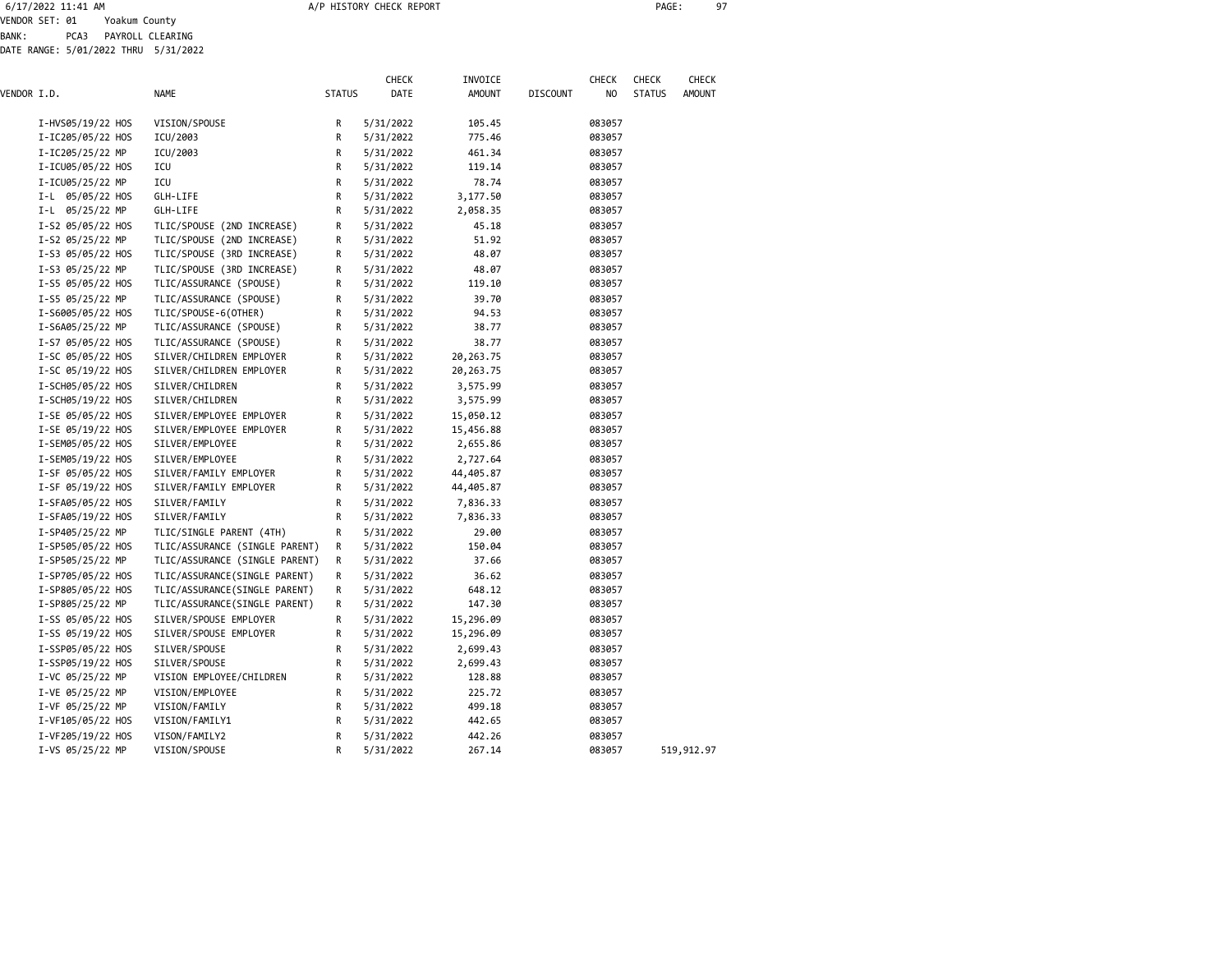6/17/2022 11:41 AM A/P HISTORY CHECK REPORT PAGE: 97

VENDOR SET: 01 Yoakum County BANK: PCA3 PAYROLL CLEARING

DATE RANGE: 5/01/2022 THRU 5/31/2022

| VENDOR I.D. |                   | <b>NAME</b>                    | <b>STATUS</b> | <b>CHECK</b><br>DATE | INVOICE<br><b>AMOUNT</b> | <b>DISCOUNT</b> | <b>CHECK</b><br>NO | CHECK<br><b>STATUS</b> | CHECK<br><b>AMOUNT</b> |
|-------------|-------------------|--------------------------------|---------------|----------------------|--------------------------|-----------------|--------------------|------------------------|------------------------|
|             | I-HVS05/19/22 HOS | VISION/SPOUSE                  | R             | 5/31/2022            | 105.45                   |                 | 083057             |                        |                        |
|             | I-IC205/05/22 HOS | ICU/2003                       | R             | 5/31/2022            | 775.46                   |                 | 083057             |                        |                        |
|             | I-IC205/25/22 MP  | ICU/2003                       | R             | 5/31/2022            | 461.34                   |                 | 083057             |                        |                        |
|             | I-ICU05/05/22 HOS | ICU                            | R             | 5/31/2022            | 119.14                   |                 | 083057             |                        |                        |
|             | I-ICU05/25/22 MP  | ICU                            | R             | 5/31/2022            | 78.74                    |                 | 083057             |                        |                        |
|             | I-L 05/05/22 HOS  | GLH-LIFE                       | R             | 5/31/2022            | 3,177.50                 |                 | 083057             |                        |                        |
|             | I-L 05/25/22 MP   | GLH-LIFE                       | R             | 5/31/2022            | 2,058.35                 |                 | 083057             |                        |                        |
|             | I-S2 05/05/22 HOS | TLIC/SPOUSE (2ND INCREASE)     | R             | 5/31/2022            | 45.18                    |                 | 083057             |                        |                        |
|             | I-S2 05/25/22 MP  | TLIC/SPOUSE (2ND INCREASE)     | R             | 5/31/2022            | 51.92                    |                 | 083057             |                        |                        |
|             | I-S3 05/05/22 HOS | TLIC/SPOUSE (3RD INCREASE)     | R             | 5/31/2022            | 48.07                    |                 | 083057             |                        |                        |
|             | I-S3 05/25/22 MP  | TLIC/SPOUSE (3RD INCREASE)     | R             | 5/31/2022            | 48.07                    |                 | 083057             |                        |                        |
|             | I-S5 05/05/22 HOS | TLIC/ASSURANCE (SPOUSE)        | R             | 5/31/2022            | 119.10                   |                 | 083057             |                        |                        |
|             | I-S5 05/25/22 MP  | TLIC/ASSURANCE (SPOUSE)        | R             | 5/31/2022            | 39.70                    |                 | 083057             |                        |                        |
|             | I-S6005/05/22 HOS | TLIC/SPOUSE-6(OTHER)           | R             | 5/31/2022            | 94.53                    |                 | 083057             |                        |                        |
|             | I-S6A05/25/22 MP  | TLIC/ASSURANCE (SPOUSE)        | R             | 5/31/2022            | 38.77                    |                 | 083057             |                        |                        |
|             | I-S7 05/05/22 HOS | TLIC/ASSURANCE (SPOUSE)        | R             | 5/31/2022            | 38.77                    |                 | 083057             |                        |                        |
|             | I-SC 05/05/22 HOS | SILVER/CHILDREN EMPLOYER       | R             | 5/31/2022            | 20,263.75                |                 | 083057             |                        |                        |
|             | I-SC 05/19/22 HOS | SILVER/CHILDREN EMPLOYER       | R             | 5/31/2022            | 20,263.75                |                 | 083057             |                        |                        |
|             | I-SCH05/05/22 HOS | SILVER/CHILDREN                | R             | 5/31/2022            | 3,575.99                 |                 | 083057             |                        |                        |
|             | I-SCH05/19/22 HOS | SILVER/CHILDREN                | R             | 5/31/2022            | 3,575.99                 |                 | 083057             |                        |                        |
|             | I-SE 05/05/22 HOS | SILVER/EMPLOYEE EMPLOYER       | R             | 5/31/2022            | 15,050.12                |                 | 083057             |                        |                        |
|             | I-SE 05/19/22 HOS | SILVER/EMPLOYEE EMPLOYER       | R             | 5/31/2022            | 15,456.88                |                 | 083057             |                        |                        |
|             | I-SEM05/05/22 HOS | SILVER/EMPLOYEE                | R             | 5/31/2022            | 2,655.86                 |                 | 083057             |                        |                        |
|             | I-SEM05/19/22 HOS | SILVER/EMPLOYEE                | R             | 5/31/2022            | 2,727.64                 |                 | 083057             |                        |                        |
|             | I-SF 05/05/22 HOS | SILVER/FAMILY EMPLOYER         | R             | 5/31/2022            | 44,405.87                |                 | 083057             |                        |                        |
|             | I-SF 05/19/22 HOS | SILVER/FAMILY EMPLOYER         | R             | 5/31/2022            | 44,405.87                |                 | 083057             |                        |                        |
|             | I-SFA05/05/22 HOS | SILVER/FAMILY                  | R             | 5/31/2022            | 7,836.33                 |                 | 083057             |                        |                        |
|             | I-SFA05/19/22 HOS | SILVER/FAMILY                  | R             | 5/31/2022            | 7,836.33                 |                 | 083057             |                        |                        |
|             | I-SP405/25/22 MP  | TLIC/SINGLE PARENT (4TH)       | R             | 5/31/2022            | 29.00                    |                 | 083057             |                        |                        |
|             | I-SP505/05/22 HOS | TLIC/ASSURANCE (SINGLE PARENT) | R             | 5/31/2022            | 150.04                   |                 | 083057             |                        |                        |
|             | I-SP505/25/22 MP  | TLIC/ASSURANCE (SINGLE PARENT) | R             | 5/31/2022            | 37.66                    |                 | 083057             |                        |                        |
|             | I-SP705/05/22 HOS | TLIC/ASSURANCE(SINGLE PARENT)  | R             | 5/31/2022            | 36.62                    |                 | 083057             |                        |                        |
|             | I-SP805/05/22 HOS | TLIC/ASSURANCE(SINGLE PARENT)  | R             | 5/31/2022            | 648.12                   |                 | 083057             |                        |                        |
|             | I-SP805/25/22 MP  | TLIC/ASSURANCE(SINGLE PARENT)  | R             | 5/31/2022            | 147.30                   |                 | 083057             |                        |                        |
|             | I-SS 05/05/22 HOS | SILVER/SPOUSE EMPLOYER         | R             | 5/31/2022            | 15,296.09                |                 | 083057             |                        |                        |
|             | I-SS 05/19/22 HOS | SILVER/SPOUSE EMPLOYER         | R             | 5/31/2022            | 15,296.09                |                 | 083057             |                        |                        |
|             | I-SSP05/05/22 HOS | SILVER/SPOUSE                  | R             | 5/31/2022            | 2,699.43                 |                 | 083057             |                        |                        |
|             | I-SSP05/19/22 HOS | SILVER/SPOUSE                  | R             | 5/31/2022            | 2,699.43                 |                 | 083057             |                        |                        |
|             | I-VC 05/25/22 MP  | VISION EMPLOYEE/CHILDREN       | R             | 5/31/2022            | 128.88                   |                 | 083057             |                        |                        |
|             | I-VE 05/25/22 MP  | VISION/EMPLOYEE                | R             | 5/31/2022            | 225.72                   |                 | 083057             |                        |                        |
|             | I-VF 05/25/22 MP  | VISION/FAMILY                  | R             | 5/31/2022            | 499.18                   |                 | 083057             |                        |                        |
|             | I-VF105/05/22 HOS | VISION/FAMILY1                 | R             | 5/31/2022            | 442.65                   |                 | 083057             |                        |                        |
|             | I-VF205/19/22 HOS | VISON/FAMILY2                  | R             | 5/31/2022            | 442.26                   |                 | 083057             |                        |                        |
|             | I-VS 05/25/22 MP  | VISION/SPOUSE                  | R             | 5/31/2022            | 267.14                   |                 | 083057             |                        | 519,912.97             |
|             |                   |                                |               |                      |                          |                 |                    |                        |                        |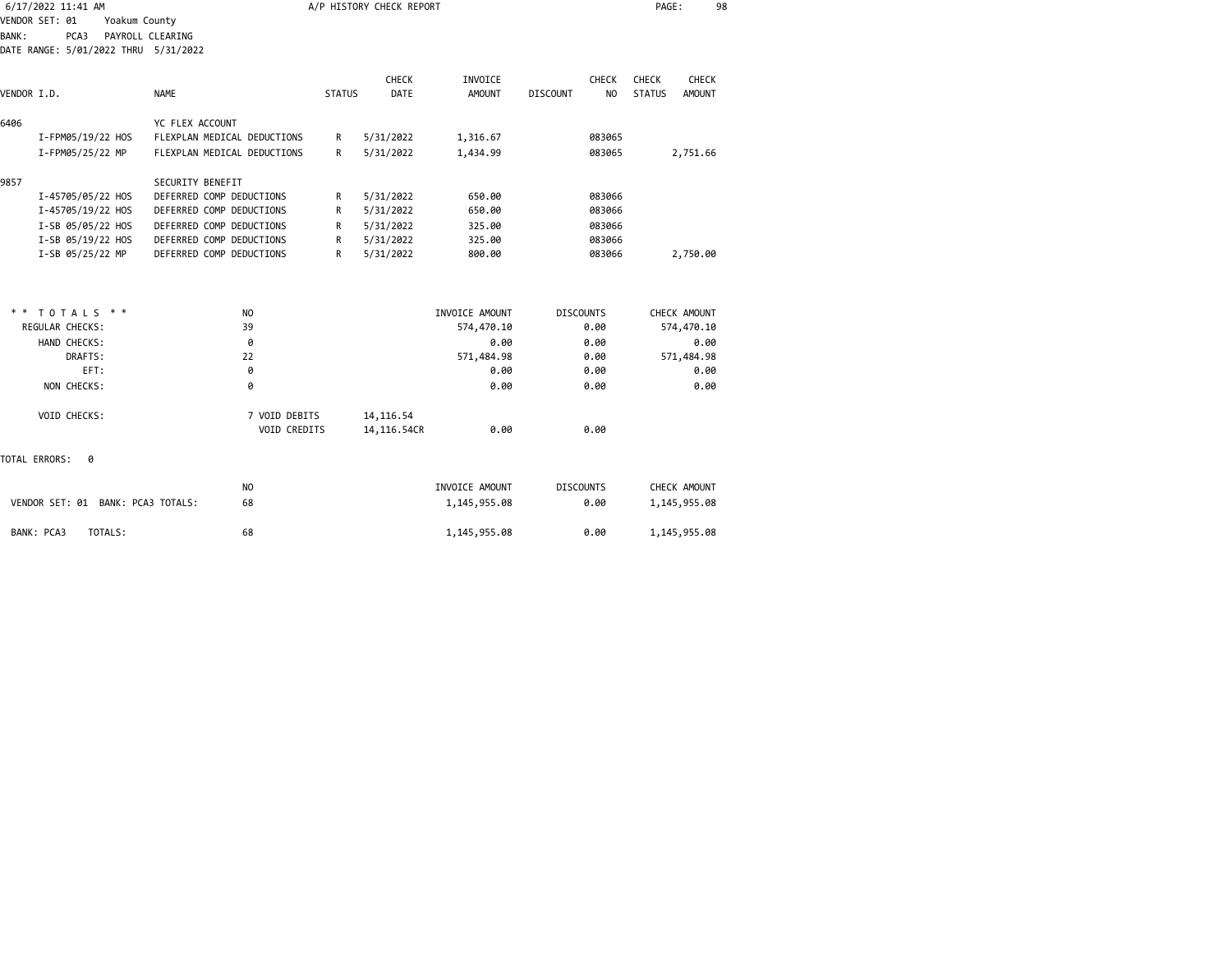|             | 6/17/2022 11:41 AM                           |                                   |                               |               | A/P HISTORY CHECK REPORT  |                |                  |              | PAGE:         | 98            |  |
|-------------|----------------------------------------------|-----------------------------------|-------------------------------|---------------|---------------------------|----------------|------------------|--------------|---------------|---------------|--|
|             | VENDOR SET: 01                               | Yoakum County<br>PAYROLL CLEARING |                               |               |                           |                |                  |              |               |               |  |
| BANK:       | PCA3<br>DATE RANGE: 5/01/2022 THRU 5/31/2022 |                                   |                               |               |                           |                |                  |              |               |               |  |
|             |                                              |                                   |                               |               | <b>CHECK</b>              | INVOICE        |                  | <b>CHECK</b> | <b>CHECK</b>  | CHECK         |  |
| VENDOR I.D. |                                              | <b>NAME</b>                       |                               | <b>STATUS</b> | DATE                      | <b>AMOUNT</b>  | <b>DISCOUNT</b>  | NO.          | <b>STATUS</b> | <b>AMOUNT</b> |  |
| 6406        |                                              |                                   | YC FLEX ACCOUNT               |               |                           |                |                  |              |               |               |  |
|             | I-FPM05/19/22 HOS                            |                                   | FLEXPLAN MEDICAL DEDUCTIONS   | R             | 5/31/2022                 | 1,316.67       |                  | 083065       |               |               |  |
|             | I-FPM05/25/22 MP                             |                                   | FLEXPLAN MEDICAL DEDUCTIONS   | R             | 5/31/2022                 | 1,434.99       |                  | 083065       |               | 2,751.66      |  |
| 9857        |                                              |                                   | SECURITY BENEFIT              |               |                           |                |                  |              |               |               |  |
|             | I-45705/05/22 HOS                            |                                   | DEFERRED COMP DEDUCTIONS      | R             | 5/31/2022                 | 650.00         |                  | 083066       |               |               |  |
|             | I-45705/19/22 HOS                            |                                   | DEFERRED COMP DEDUCTIONS      | R             | 5/31/2022                 | 650.00         |                  | 083066       |               |               |  |
|             | I-SB 05/05/22 HOS                            |                                   | DEFERRED COMP DEDUCTIONS      | R             | 5/31/2022                 | 325.00         |                  | 083066       |               |               |  |
|             | I-SB 05/19/22 HOS                            |                                   | DEFERRED COMP DEDUCTIONS      | R             | 5/31/2022                 | 325.00         |                  | 083066       |               |               |  |
|             | I-SB 05/25/22 MP                             |                                   | DEFERRED COMP DEDUCTIONS      | R             | 5/31/2022                 | 800.00         |                  | 083066       |               | 2,750.00      |  |
| * *         | TOTALS * *                                   |                                   | NO.                           |               |                           | INVOICE AMOUNT | <b>DISCOUNTS</b> |              |               | CHECK AMOUNT  |  |
|             | REGULAR CHECKS:                              |                                   | 39                            |               |                           | 574,470.10     |                  | 0.00         |               | 574,470.10    |  |
|             | HAND CHECKS:                                 |                                   | 0                             |               |                           | 0.00           |                  | 0.00         |               | 0.00          |  |
|             | DRAFTS:                                      |                                   | 22                            |               |                           | 571,484.98     |                  | 0.00         |               | 571,484.98    |  |
|             | EFT:                                         |                                   | 0                             |               |                           | 0.00           |                  | 0.00         |               | 0.00          |  |
|             | NON CHECKS:                                  |                                   | 0                             |               |                           | 0.00           |                  | 0.00         |               | 0.00          |  |
|             | VOID CHECKS:                                 |                                   | 7 VOID DEBITS<br>VOID CREDITS |               | 14, 116.54<br>14,116.54CR | 0.00           |                  | 0.00         |               |               |  |
|             | TOTAL ERRORS:<br>0                           |                                   |                               |               |                           |                |                  |              |               |               |  |
|             |                                              |                                   | NO.                           |               |                           | INVOICE AMOUNT | <b>DISCOUNTS</b> |              |               | CHECK AMOUNT  |  |
|             | VENDOR SET: 01 BANK: PCA3 TOTALS:            |                                   | 68                            |               |                           | 1,145,955.08   |                  | 0.00         |               | 1,145,955.08  |  |
|             | BANK: PCA3<br>TOTALS:                        |                                   | 68                            |               |                           | 1,145,955.08   |                  | 0.00         |               | 1,145,955.08  |  |
|             |                                              |                                   |                               |               |                           |                |                  |              |               |               |  |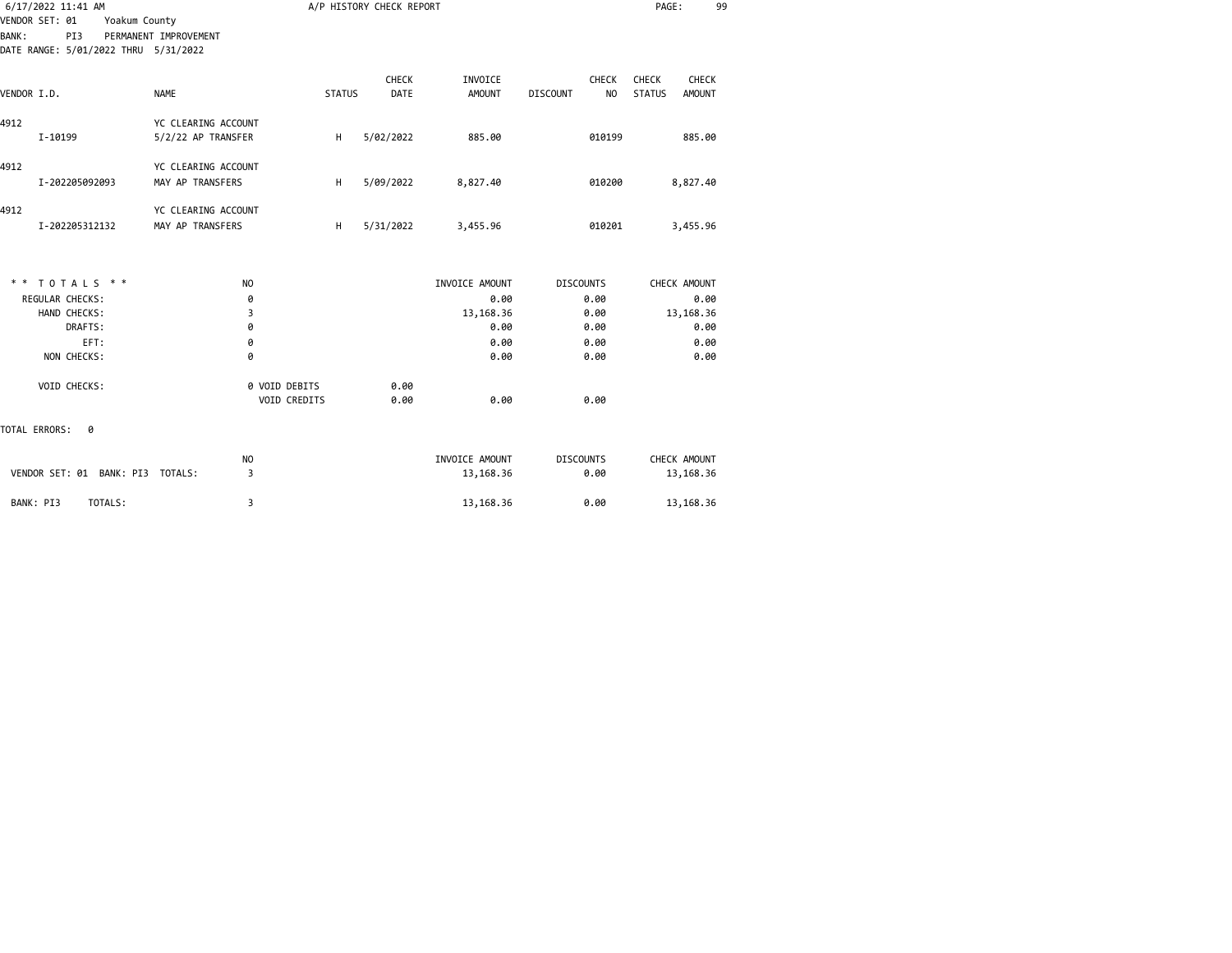| <b>BANK:</b>  | 6/17/2022 11:41 AM<br>VENDOR SET: 01<br>Yoakum County<br>PI3<br>DATE RANGE: 5/01/2022 THRU 5/31/2022 | PERMANENT IMPROVEMENT                     |                               |               | A/P HISTORY CHECK REPORT |                          |                  |                           | PAGE:                  |                 | 99 |
|---------------|------------------------------------------------------------------------------------------------------|-------------------------------------------|-------------------------------|---------------|--------------------------|--------------------------|------------------|---------------------------|------------------------|-----------------|----|
| VENDOR I.D.   |                                                                                                      | <b>NAME</b>                               |                               | <b>STATUS</b> | <b>CHECK</b><br>DATE     | INVOICE<br><b>AMOUNT</b> | <b>DISCOUNT</b>  | <b>CHECK</b><br><b>NO</b> | CHECK<br><b>STATUS</b> | CHECK<br>AMOUNT |    |
| 4912          | I-10199                                                                                              | YC CLEARING ACCOUNT<br>5/2/22 AP TRANSFER |                               | н             | 5/02/2022                | 885.00                   |                  | 010199                    |                        | 885.00          |    |
| 4912          | I-202205092093                                                                                       | YC CLEARING ACCOUNT<br>MAY AP TRANSFERS   |                               | H             | 5/09/2022                | 8,827.40                 |                  | 010200                    |                        | 8,827.40        |    |
| 4912          | I-202205312132                                                                                       | YC CLEARING ACCOUNT<br>MAY AP TRANSFERS   |                               | H             | 5/31/2022                | 3,455.96                 |                  | 010201                    |                        | 3,455.96        |    |
|               | ** TOTALS **                                                                                         | N <sub>O</sub>                            |                               |               |                          | INVOICE AMOUNT           | <b>DISCOUNTS</b> |                           |                        | CHECK AMOUNT    |    |
|               | REGULAR CHECKS:                                                                                      | 0                                         |                               |               |                          | 0.00                     |                  | 0.00                      |                        | 0.00            |    |
|               | HAND CHECKS:                                                                                         | 3                                         |                               |               |                          | 13,168.36                |                  | 0.00                      |                        | 13,168.36       |    |
|               | DRAFTS:<br>EFT:                                                                                      | 0                                         |                               |               |                          | 0.00<br>0.00             |                  | 0.00<br>0.00              |                        | 0.00<br>0.00    |    |
|               | NON CHECKS:                                                                                          | 0<br>0                                    |                               |               |                          | 0.00                     |                  | 0.00                      |                        | 0.00            |    |
|               | VOID CHECKS:                                                                                         |                                           | 0 VOID DEBITS<br>VOID CREDITS |               | 0.00<br>0.00             | 0.00                     |                  | 0.00                      |                        |                 |    |
| TOTAL ERRORS: | 0                                                                                                    |                                           |                               |               |                          |                          |                  |                           |                        |                 |    |
|               |                                                                                                      | <b>NO</b>                                 |                               |               |                          | INVOICE AMOUNT           | <b>DISCOUNTS</b> |                           |                        | CHECK AMOUNT    |    |
|               | VENDOR SET: 01 BANK: PI3 TOTALS:                                                                     | 3                                         |                               |               |                          | 13,168.36                |                  | 0.00                      |                        | 13,168.36       |    |
| BANK: PI3     | TOTALS:                                                                                              | 3                                         |                               |               |                          | 13,168.36                |                  | 0.00                      |                        | 13,168.36       |    |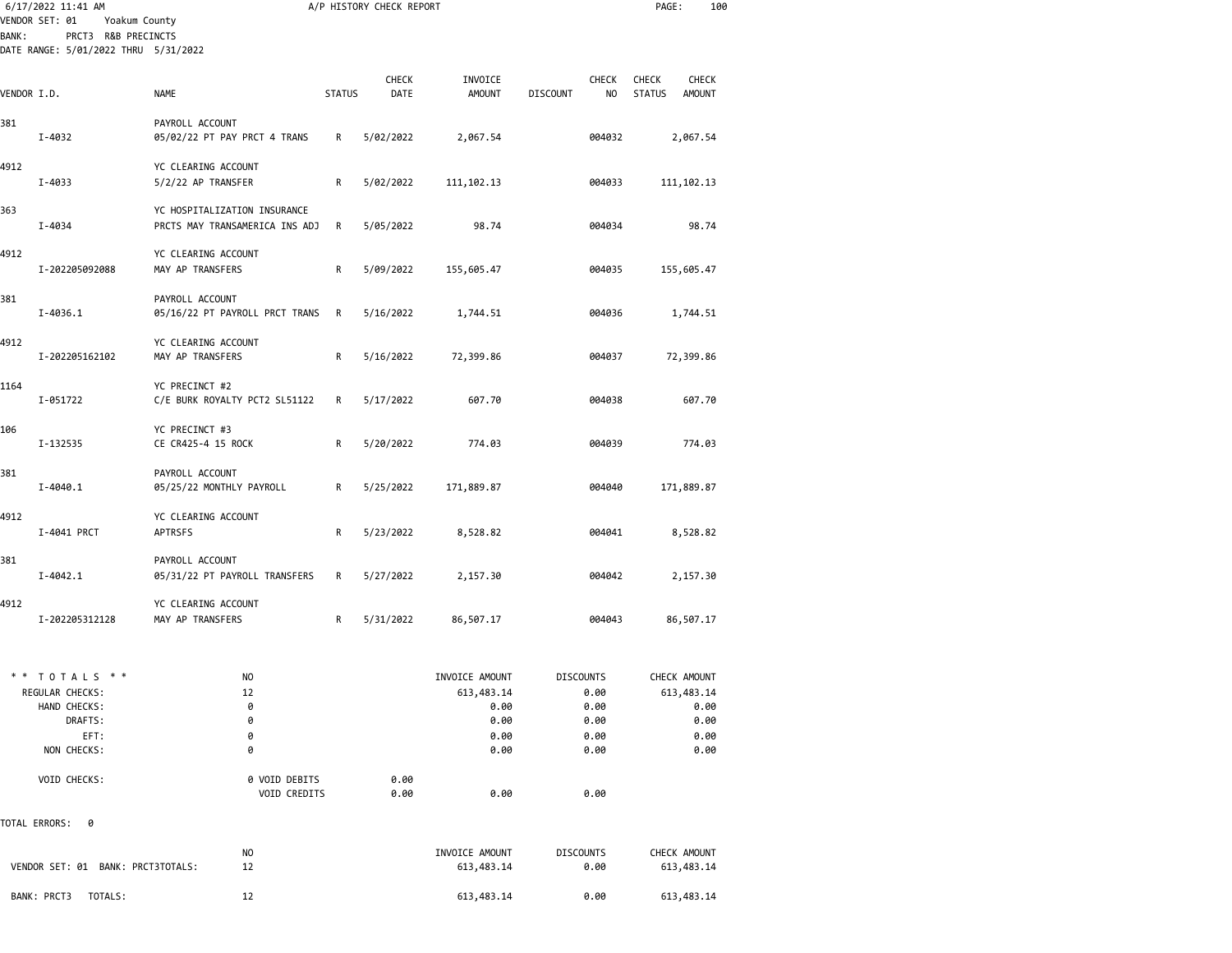|              | 6/17/2022 11:41 AM<br>VENDOR SET: 01<br>Yoakum County                             |                                                                |               | A/P HISTORY CHECK REPORT |                                                              |                                                          | PAGE:<br>100                                                   |  |
|--------------|-----------------------------------------------------------------------------------|----------------------------------------------------------------|---------------|--------------------------|--------------------------------------------------------------|----------------------------------------------------------|----------------------------------------------------------------|--|
| <b>BANK:</b> | PRCT3 R&B PRECINCTS<br>DATE RANGE: 5/01/2022 THRU 5/31/2022                       |                                                                |               |                          |                                                              |                                                          |                                                                |  |
|              |                                                                                   |                                                                |               |                          |                                                              |                                                          |                                                                |  |
| VENDOR I.D.  |                                                                                   | <b>NAME</b>                                                    | <b>STATUS</b> | <b>CHECK</b><br>DATE     | INVOICE<br><b>AMOUNT</b>                                     | <b>CHECK</b><br><b>DISCOUNT</b><br>NO                    | <b>CHECK</b><br><b>CHECK</b><br><b>STATUS</b><br><b>AMOUNT</b> |  |
| 381          | I-4032                                                                            | PAYROLL ACCOUNT<br>05/02/22 PT PAY PRCT 4 TRANS                | R             | 5/02/2022                | 2,067.54                                                     | 004032                                                   | 2,067.54                                                       |  |
| 4912         | I-4033                                                                            | YC CLEARING ACCOUNT<br>5/2/22 AP TRANSFER                      | R             | 5/02/2022                | 111, 102. 13                                                 | 004033                                                   | 111, 102. 13                                                   |  |
| 363          | I-4034                                                                            | YC HOSPITALIZATION INSURANCE<br>PRCTS MAY TRANSAMERICA INS ADJ | R             | 5/05/2022                | 98.74                                                        | 004034                                                   | 98.74                                                          |  |
| 4912         | I-202205092088                                                                    | YC CLEARING ACCOUNT<br>MAY AP TRANSFERS                        | R             | 5/09/2022                | 155,605.47                                                   | 004035                                                   | 155,605.47                                                     |  |
| 381          | I-4036.1                                                                          | PAYROLL ACCOUNT<br>05/16/22 PT PAYROLL PRCT TRANS              | R             | 5/16/2022                | 1,744.51                                                     | 004036                                                   | 1,744.51                                                       |  |
| 4912         | I-202205162102                                                                    | YC CLEARING ACCOUNT<br>MAY AP TRANSFERS                        | R             | 5/16/2022                | 72,399.86                                                    | 004037                                                   | 72,399.86                                                      |  |
| 1164         | I-051722                                                                          | YC PRECINCT #2<br>C/E BURK ROYALTY PCT2 SL51122                | R             | 5/17/2022                | 607.70                                                       | 004038                                                   | 607.70                                                         |  |
| 106          | I-132535                                                                          | YC PRECINCT #3<br>CE CR425-4 15 ROCK                           | R             | 5/20/2022                | 774.03                                                       | 004039                                                   | 774.03                                                         |  |
| 381          | $I - 4040.1$                                                                      | PAYROLL ACCOUNT<br>05/25/22 MONTHLY PAYROLL                    | R             | 5/25/2022                | 171,889.87                                                   | 004040                                                   | 171,889.87                                                     |  |
| 4912         | I-4041 PRCT                                                                       | YC CLEARING ACCOUNT<br><b>APTRSFS</b>                          | R             | 5/23/2022                | 8,528.82                                                     | 004041                                                   | 8,528.82                                                       |  |
| 381          | $I - 4042.1$                                                                      | PAYROLL ACCOUNT<br>05/31/22 PT PAYROLL TRANSFERS               | R             | 5/27/2022                | 2,157.30                                                     | 004042                                                   | 2,157.30                                                       |  |
| 4912         | I-202205312128                                                                    | YC CLEARING ACCOUNT<br>MAY AP TRANSFERS                        | R             | 5/31/2022                | 86,507.17                                                    | 004043                                                   | 86,507.17                                                      |  |
|              | ** TOTALS **<br>REGULAR CHECKS:<br>HAND CHECKS:<br>DRAFTS:<br>EFT:<br>NON CHECKS: | NO<br>12<br>0<br>0<br>0<br>0                                   |               |                          | INVOICE AMOUNT<br>613,483.14<br>0.00<br>0.00<br>0.00<br>0.00 | <b>DISCOUNTS</b><br>0.00<br>0.00<br>0.00<br>0.00<br>0.00 | CHECK AMOUNT<br>613,483.14<br>0.00<br>0.00<br>0.00<br>0.00     |  |
|              | VOID CHECKS:                                                                      | 0 VOID DEBITS<br>VOID CREDITS                                  |               | 0.00<br>0.00             | 0.00                                                         | 0.00                                                     |                                                                |  |
|              | TOTAL ERRORS:<br>0                                                                |                                                                |               |                          |                                                              |                                                          |                                                                |  |
|              | VENDOR SET: 01 BANK: PRCT3TOTALS:                                                 | NO.<br>12                                                      |               |                          | INVOICE AMOUNT<br>613,483.14                                 | <b>DISCOUNTS</b><br>0.00                                 | CHECK AMOUNT<br>613,483.14                                     |  |
|              | BANK: PRCT3<br>TOTALS:                                                            | 12                                                             |               |                          | 613,483.14                                                   | 0.00                                                     | 613,483.14                                                     |  |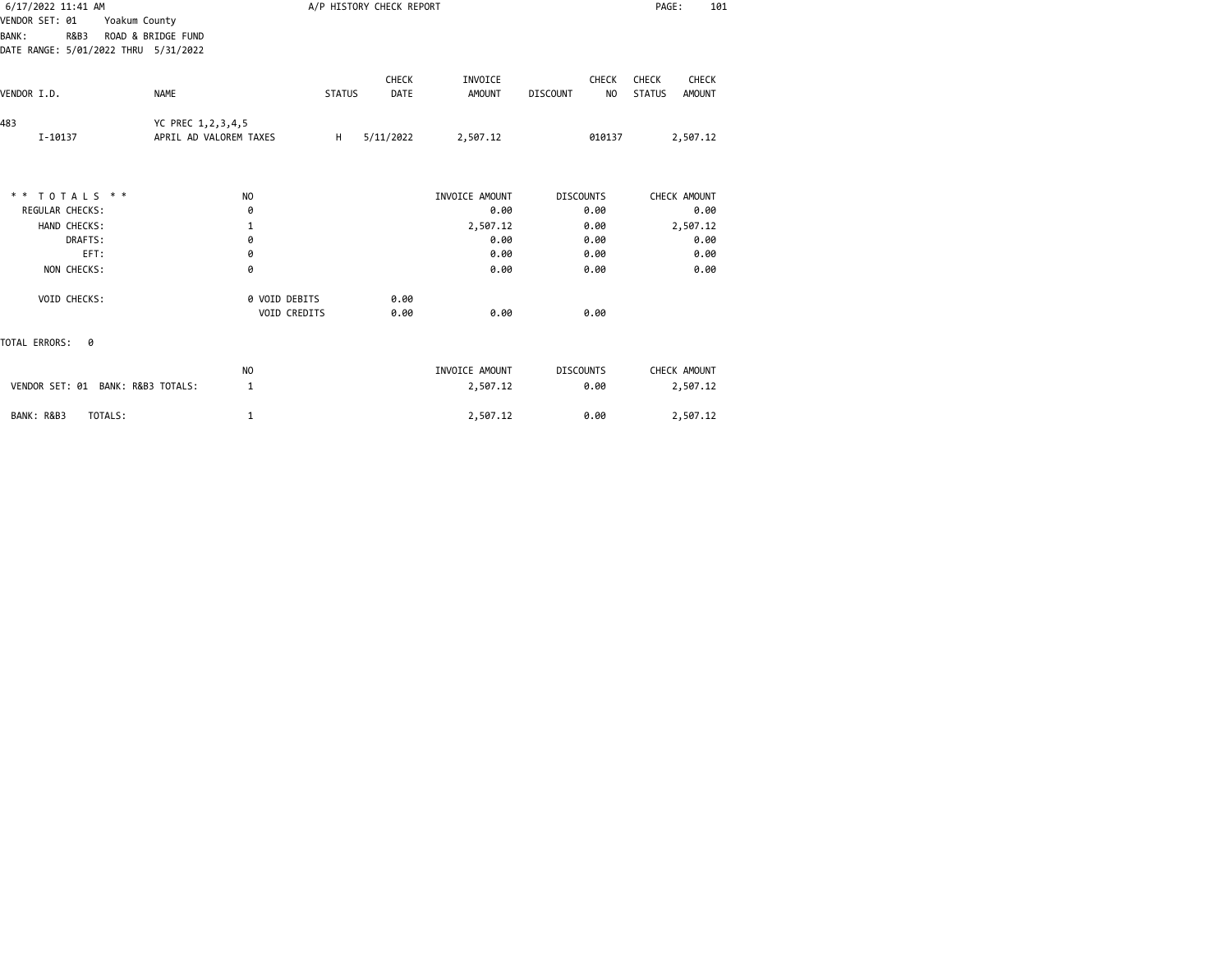| 6/17/2022 11:41 AM                                                                                                    |                                             |               | A/P HISTORY CHECK REPORT |                          |                                       | PAGE:<br>101                                     |
|-----------------------------------------------------------------------------------------------------------------------|---------------------------------------------|---------------|--------------------------|--------------------------|---------------------------------------|--------------------------------------------------|
| VENDOR SET: 01<br>Yoakum County<br>ROAD & BRIDGE FUND<br><b>BANK:</b><br>R&B3<br>DATE RANGE: 5/01/2022 THRU 5/31/2022 |                                             |               |                          |                          |                                       |                                                  |
| VENDOR I.D.                                                                                                           | <b>NAME</b>                                 | <b>STATUS</b> | <b>CHECK</b><br>DATE     | INVOICE<br><b>AMOUNT</b> | <b>CHECK</b><br><b>DISCOUNT</b><br>NO | <b>CHECK</b><br>CHECK<br><b>STATUS</b><br>AMOUNT |
|                                                                                                                       |                                             |               |                          |                          |                                       |                                                  |
| 483<br>I-10137                                                                                                        | YC PREC 1,2,3,4,5<br>APRIL AD VALOREM TAXES | H             | 5/11/2022                | 2,507.12                 | 010137                                | 2,507.12                                         |
|                                                                                                                       |                                             |               |                          |                          |                                       |                                                  |
| ** TOTALS **<br><b>REGULAR CHECKS:</b>                                                                                | N <sub>O</sub>                              |               |                          | INVOICE AMOUNT<br>0.00   | <b>DISCOUNTS</b><br>0.00              | CHECK AMOUNT                                     |
| HAND CHECKS:                                                                                                          | 0<br>1                                      |               |                          | 2,507.12                 | 0.00                                  | 0.00<br>2,507.12                                 |
| DRAFTS:                                                                                                               | 0                                           |               |                          | 0.00                     | 0.00                                  | 0.00                                             |
| EFT:                                                                                                                  | 0                                           |               |                          | 0.00                     | 0.00                                  | 0.00                                             |
| NON CHECKS:                                                                                                           | 0                                           |               |                          | 0.00                     | 0.00                                  | 0.00                                             |
| VOID CHECKS:                                                                                                          | 0 VOID DEBITS<br><b>VOID CREDITS</b>        |               | 0.00<br>0.00             | 0.00                     | 0.00                                  |                                                  |
| TOTAL ERRORS:<br>0                                                                                                    |                                             |               |                          |                          |                                       |                                                  |
|                                                                                                                       | N <sub>O</sub>                              |               |                          | INVOICE AMOUNT           | <b>DISCOUNTS</b>                      | CHECK AMOUNT                                     |
| VENDOR SET: 01 BANK: R&B3 TOTALS:                                                                                     | 1                                           |               |                          | 2,507.12                 | 0.00                                  | 2,507.12                                         |
| BANK: R&B3<br>TOTALS:                                                                                                 | 1                                           |               |                          | 2,507.12                 | 0.00                                  | 2,507.12                                         |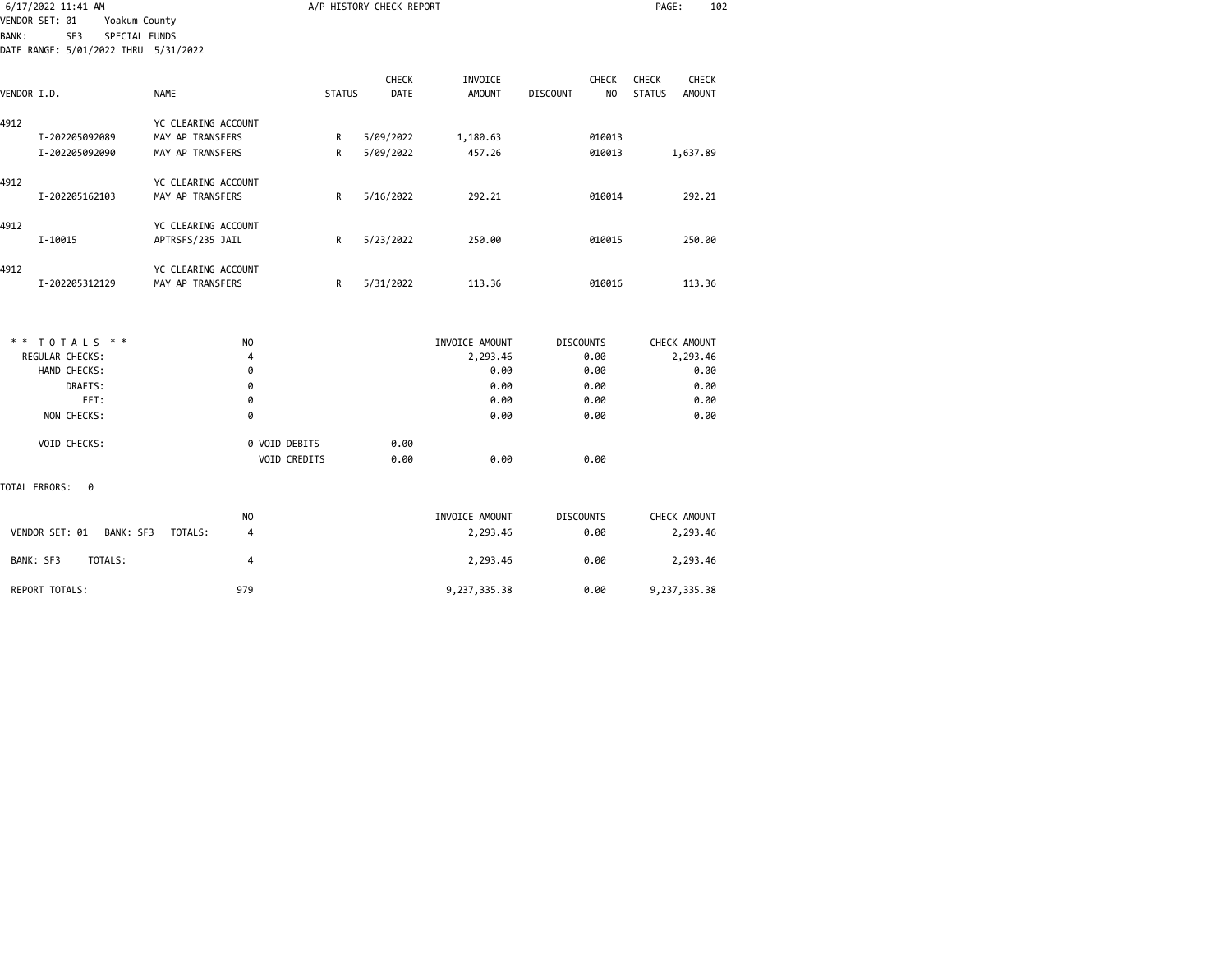| 6/17/2022 11:41 AM    |                                      |                |               | A/P HISTORY CHECK REPORT |                |                                   | PAGE:<br>102                   |  |
|-----------------------|--------------------------------------|----------------|---------------|--------------------------|----------------|-----------------------------------|--------------------------------|--|
| VENDOR SET: 01        | Yoakum County                        |                |               |                          |                |                                   |                                |  |
| <b>BANK:</b><br>SF3   | SPECIAL FUNDS                        |                |               |                          |                |                                   |                                |  |
|                       | DATE RANGE: 5/01/2022 THRU 5/31/2022 |                |               |                          |                |                                   |                                |  |
|                       |                                      |                |               | <b>CHECK</b>             | INVOICE        | <b>CHECK</b>                      | <b>CHECK</b><br><b>CHECK</b>   |  |
| VENDOR I.D.           | NAME                                 |                | <b>STATUS</b> | DATE                     | <b>AMOUNT</b>  | N <sub>O</sub><br><b>DISCOUNT</b> | <b>STATUS</b><br><b>AMOUNT</b> |  |
| 4912                  | YC CLEARING ACCOUNT                  |                |               |                          |                |                                   |                                |  |
| I-202205092089        | MAY AP TRANSFERS                     |                | R             | 5/09/2022                | 1,180.63       | 010013                            |                                |  |
| I-202205092090        | MAY AP TRANSFERS                     |                | R             | 5/09/2022                | 457.26         | 010013                            | 1,637.89                       |  |
|                       |                                      |                |               |                          |                |                                   |                                |  |
| 4912                  | YC CLEARING ACCOUNT                  |                |               |                          |                |                                   |                                |  |
| I-202205162103        | MAY AP TRANSFERS                     |                | R             | 5/16/2022                | 292.21         | 010014                            | 292.21                         |  |
| 4912                  | YC CLEARING ACCOUNT                  |                |               |                          |                |                                   |                                |  |
| I-10015               | APTRSFS/235 JAIL                     |                | R             | 5/23/2022                | 250.00         | 010015                            | 250.00                         |  |
| 4912                  | YC CLEARING ACCOUNT                  |                |               |                          |                |                                   |                                |  |
| I-202205312129        | MAY AP TRANSFERS                     |                | R             | 5/31/2022                | 113.36         | 010016                            | 113.36                         |  |
|                       |                                      |                |               |                          |                |                                   |                                |  |
| ** TOTALS **          |                                      | NO.            |               |                          | INVOICE AMOUNT | <b>DISCOUNTS</b>                  | CHECK AMOUNT                   |  |
| REGULAR CHECKS:       |                                      | 4              |               |                          | 2,293.46       | 0.00                              | 2,293.46                       |  |
| HAND CHECKS:          |                                      | 0              |               |                          | 0.00           | 0.00                              | 0.00                           |  |
| DRAFTS:               |                                      | 0              |               |                          | 0.00           | 0.00                              | 0.00                           |  |
| EFT:                  |                                      | 0              |               |                          | 0.00           | 0.00                              | 0.00                           |  |
| NON CHECKS:           |                                      | 0              |               |                          | 0.00           | 0.00                              | 0.00                           |  |
| VOID CHECKS:          |                                      | 0 VOID DEBITS  |               | 0.00                     |                |                                   |                                |  |
|                       |                                      |                | VOID CREDITS  | 0.00                     | 0.00           | 0.00                              |                                |  |
| TOTAL ERRORS:<br>0    |                                      |                |               |                          |                |                                   |                                |  |
|                       |                                      | NO.            |               |                          | INVOICE AMOUNT | <b>DISCOUNTS</b>                  | CHECK AMOUNT                   |  |
| VENDOR SET: 01        | BANK: SF3<br>TOTALS:                 | $\overline{4}$ |               |                          | 2,293.46       | 0.00                              | 2,293.46                       |  |
| BANK: SF3             | TOTALS:                              | $\overline{4}$ |               |                          | 2,293.46       | 0.00                              | 2,293.46                       |  |
| <b>REPORT TOTALS:</b> |                                      | 979            |               |                          | 9,237,335.38   | 0.00                              | 9,237,335.38                   |  |